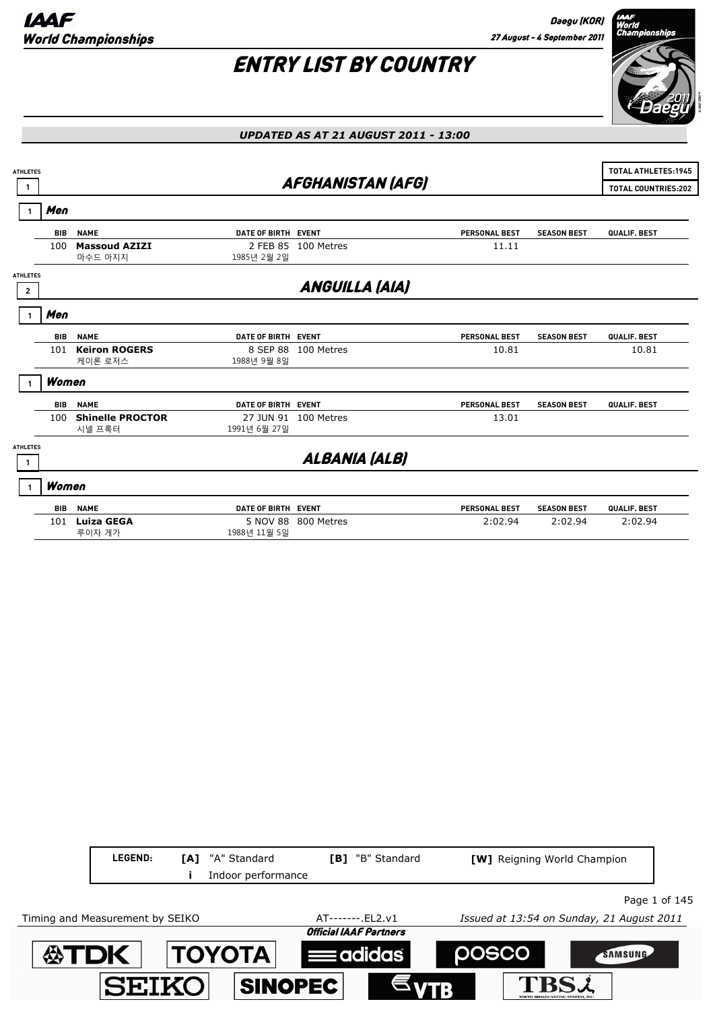Daegu (KOR) 27 August - 4 September 2011

# r<br>World<br>Championships

## ENTRY LIST BY COUNTRY

|                 |            | <b>UPDATED AS AT 21 AUGUST 2011 - 13:00</b> |                     |                          |                      |                    |                            |  |
|-----------------|------------|---------------------------------------------|---------------------|--------------------------|----------------------|--------------------|----------------------------|--|
|                 |            |                                             |                     |                          |                      |                    |                            |  |
| <b>ATHLETES</b> |            |                                             |                     |                          |                      |                    | <b>TOTAL ATHLETES:1945</b> |  |
|                 |            |                                             |                     | <b>AFGHANISTAN (AFG)</b> |                      |                    | <b>TOTAL COUNTRIES:202</b> |  |
|                 | Men        |                                             |                     |                          |                      |                    |                            |  |
|                 | <b>BIB</b> | <b>NAME</b>                                 | DATE OF BIRTH EVENT |                          | <b>PERSONAL BEST</b> | <b>SEASON BEST</b> | QUALIF. BEST               |  |
|                 | 100        | <b>Massoud AZIZI</b>                        | 2 FEB 85            | 100 Metres               | 11.11                |                    |                            |  |
|                 |            | 마수드 아지지                                     | 1985년 2월 2일         |                          |                      |                    |                            |  |
| <b>ATHLETES</b> |            |                                             |                     |                          |                      |                    |                            |  |
| $\overline{2}$  |            |                                             |                     | <b>ANGUILLA (AIA)</b>    |                      |                    |                            |  |
|                 | Men        |                                             |                     |                          |                      |                    |                            |  |
|                 | <b>BIB</b> | <b>NAME</b>                                 | DATE OF BIRTH EVENT |                          | <b>PERSONAL BEST</b> | <b>SEASON BEST</b> | QUALIF. BEST               |  |
|                 | 101        | <b>Keiron ROGERS</b>                        |                     | 8 SEP 88 100 Metres      | 10.81                |                    | 10.81                      |  |
|                 |            | 케이론 로저스                                     | 1988년 9월 8일         |                          |                      |                    |                            |  |
|                 | Women      |                                             |                     |                          |                      |                    |                            |  |
|                 | BIB        | <b>NAME</b>                                 | DATE OF BIRTH EVENT |                          | <b>PERSONAL BEST</b> | <b>SEASON BEST</b> | QUALIF. BEST               |  |
|                 | 100        | <b>Shinelle PROCTOR</b>                     |                     | 27 JUN 91 100 Metres     | 13.01                |                    |                            |  |
|                 |            | 시넬 프록터                                      | 1991년 6월 27일        |                          |                      |                    |                            |  |
| <b>ATHLETES</b> |            |                                             |                     |                          |                      |                    |                            |  |
| $\mathbf{1}$    |            |                                             |                     | ALBANIA (ALB)            |                      |                    |                            |  |
|                 | Women      |                                             |                     |                          |                      |                    |                            |  |
|                 | BIB        | <b>NAME</b>                                 | DATE OF BIRTH EVENT |                          | <b>PERSONAL BEST</b> | <b>SEASON BEST</b> | QUALIF. BEST               |  |
|                 | 101        | <b>Luiza GEGA</b>                           |                     | 5 NOV 88 800 Metres      | 2:02.94              | 2:02.94            | 2:02.94                    |  |
|                 |            | 루이자 게가                                      | 1988년 11월 5일        |                          |                      |                    |                            |  |

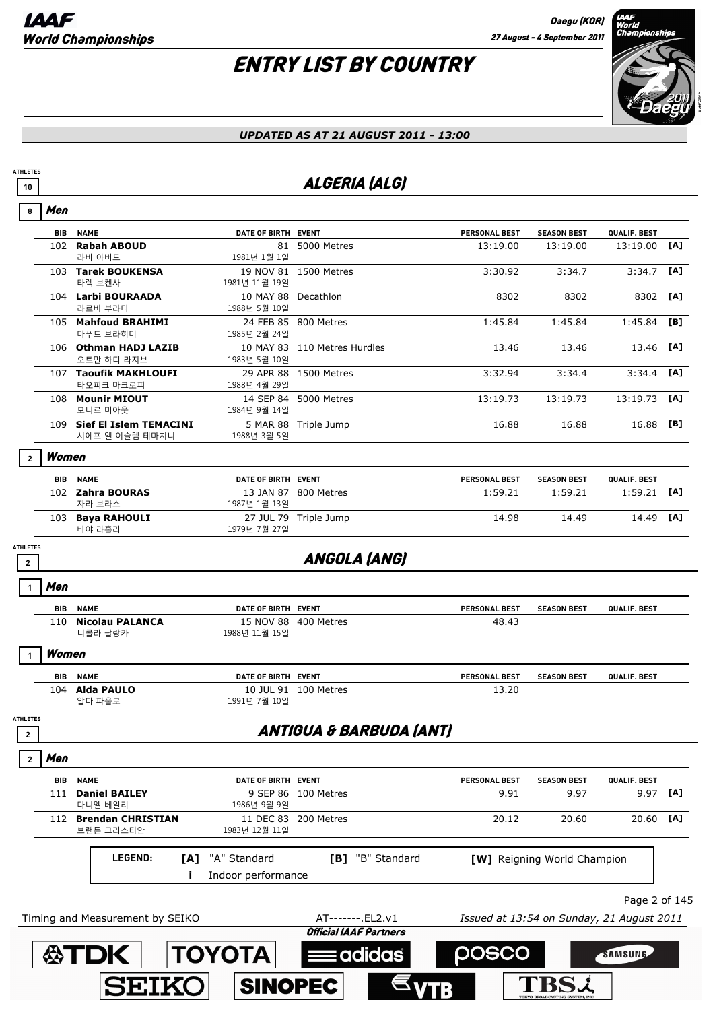# ENTRY LIST BY COUNTRY



#### *UPDATED AS AT 21 AUGUST 2011 - 13:00*

## **10 ALGERIA (ALG)**

| 8                               | Men        |                                              |                                     |                                    |                      |                                           |               |     |
|---------------------------------|------------|----------------------------------------------|-------------------------------------|------------------------------------|----------------------|-------------------------------------------|---------------|-----|
|                                 | <b>BIB</b> | <b>NAME</b>                                  | DATE OF BIRTH EVENT                 |                                    | <b>PERSONAL BEST</b> | <b>SEASON BEST</b>                        | QUALIF. BEST  |     |
|                                 | 102        | <b>Rabah ABOUD</b><br>라바 아버드                 | 1981년 1월 1일                         | 81 5000 Metres                     | 13:19.00             | 13:19.00                                  | 13:19.00      | [A] |
|                                 |            | 103 Tarek BOUKENSA<br>타렉 보켄사                 | 1981년 11월 19일                       | 19 NOV 81 1500 Metres              | 3:30.92              | 3:34.7                                    | 3:34.7        | [A] |
|                                 |            | 104 Larbi BOURAADA<br>라르비 부라다                | 10 MAY 88 Decathlon<br>1988년 5월 10일 |                                    | 8302                 | 8302                                      | 8302          | [A] |
|                                 |            | 105 Mahfoud BRAHIMI<br>마푸드 브라히미              | 1985년 2월 24일                        | 24 FEB 85 800 Metres               | 1:45.84              | 1:45.84                                   | 1:45.84       | [B] |
|                                 |            | 106 Othman HADJ LAZIB<br>오트만 하디 라지브          | 1983년 5월 10일                        | 10 MAY 83 110 Metres Hurdles       | 13.46                | 13.46                                     | 13.46         | [A] |
|                                 |            | 107 Taoufik MAKHLOUFI<br>타오피크 마크로피           | 1988년 4월 29일                        | 29 APR 88 1500 Metres              | 3:32.94              | 3:34.4                                    | 3:34.4        | [A] |
|                                 |            | 108 Mounir MIOUT<br>모니르 미아웃                  | 1984년 9월 14일                        | 14 SEP 84 5000 Metres              | 13:19.73             | 13:19.73                                  | 13:19.73      | [A] |
|                                 |            | 109 Sief El Islem TEMACINI<br>시에프 엘 이슬렘 테마치니 | 1988년 3월 5일                         | 5 MAR 88 Triple Jump               | 16.88                | 16.88                                     | 16.88         | [B] |
| $\overline{2}$                  | Women      |                                              |                                     |                                    |                      |                                           |               |     |
|                                 | BIB        | <b>NAME</b>                                  | DATE OF BIRTH EVENT                 |                                    | <b>PERSONAL BEST</b> | <b>SEASON BEST</b>                        | QUALIF. BEST  |     |
|                                 |            | 102 Zahra BOURAS<br>자라 보라스                   | 1987년 1월 13일                        | 13 JAN 87 800 Metres               | 1:59.21              | 1:59.21                                   | 1:59.21       | [A] |
|                                 |            | 103 Baya RAHOULI<br>바야 라홀리                   | 1979년 7월 27일                        | 27 JUL 79 Triple Jump              | 14.98                | 14.49                                     | 14.49         | [A] |
| <b>ATHLETES</b><br>$\mathbf{2}$ |            |                                              |                                     | <b>ANGOLA (ANG)</b>                |                      |                                           |               |     |
|                                 | Men        |                                              |                                     |                                    |                      |                                           |               |     |
|                                 | <b>BIB</b> | <b>NAME</b>                                  | DATE OF BIRTH EVENT                 |                                    | <b>PERSONAL BEST</b> | <b>SEASON BEST</b>                        | QUALIF. BEST  |     |
|                                 | 110        | <b>Nicolau PALANCA</b><br>니콜라 팔랑카            | 1988년 11월 15일                       | 15 NOV 88 400 Metres               | 48.43                |                                           |               |     |
|                                 | Women      |                                              |                                     |                                    |                      |                                           |               |     |
|                                 | BIB        | <b>NAME</b>                                  | DATE OF BIRTH EVENT                 |                                    | PERSONAL BEST        | <b>SEASON BEST</b>                        | QUALIF. BEST  |     |
|                                 |            | 104 Alda PAULO<br>알다 파울로                     | 1991년 7월 10일                        | 10 JUL 91 100 Metres               | 13.20                |                                           |               |     |
| <b>ATHLETES</b><br>$\mathbf{2}$ |            |                                              |                                     | <b>ANTIGUA &amp; BARBUDA (ANT)</b> |                      |                                           |               |     |
| $\overline{2}$                  | Men        |                                              |                                     |                                    |                      |                                           |               |     |
|                                 | BIB        | <b>NAME</b>                                  | DATE OF BIRTH EVENT                 |                                    | <b>PERSONAL BEST</b> | <b>SEASON BEST</b>                        | QUALIF. BEST  |     |
|                                 | 111        | <b>Daniel BAILEY</b><br>다니엘 베일리              | 1986년 9월 9일                         | 9 SEP 86 100 Metres                | 9.91                 | 9.97                                      | 9.97          | [A] |
|                                 | 112        | <b>Brendan CHRISTIAN</b><br>브랜든 크리스티안        | 1983년 12월 11일                       | 11 DEC 83 200 Metres               | 20.12                | 20.60                                     | 20.60         | [A] |
|                                 |            | LEGEND:<br>[A]                               | "A" Standard                        | [B] "B" Standard                   |                      | [W] Reigning World Champion               |               |     |
|                                 |            | j.                                           | Indoor performance                  |                                    |                      |                                           |               |     |
|                                 |            |                                              |                                     |                                    |                      |                                           | Page 2 of 145 |     |
|                                 |            | Timing and Measurement by SEIKO              |                                     | AT-------. EL2.v1                  |                      | Issued at 13:54 on Sunday, 21 August 2011 |               |     |
|                                 |            |                                              |                                     | <b>Official IAAF Partners</b>      |                      |                                           |               |     |

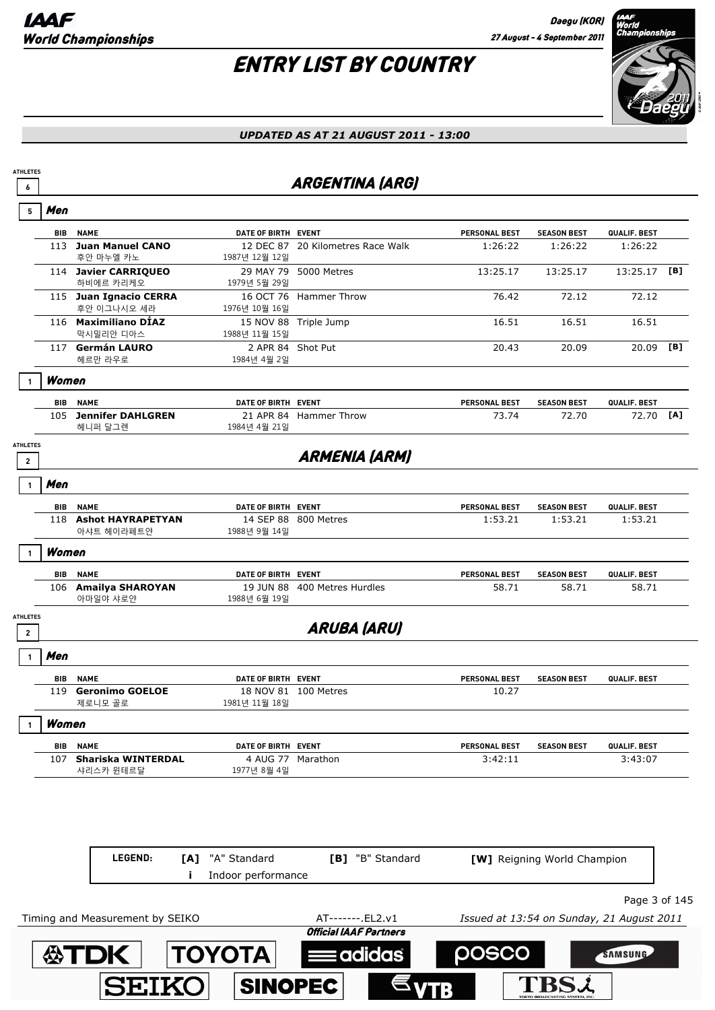

|                                   |            |                                       |                                  | <b>ARGENTINA (ARG)</b>            |                      |                    |              |     |
|-----------------------------------|------------|---------------------------------------|----------------------------------|-----------------------------------|----------------------|--------------------|--------------|-----|
| 5                                 | Men        |                                       |                                  |                                   |                      |                    |              |     |
|                                   | <b>BIB</b> | <b>NAME</b>                           | DATE OF BIRTH EVENT              |                                   | PERSONAL BEST        | <b>SEASON BEST</b> | QUALIF. BEST |     |
|                                   | 113        | <b>Juan Manuel CANO</b><br>후안 마누엘 카노  | 1987년 12월 12일                    | 12 DEC 87 20 Kilometres Race Walk | 1:26:22              | 1:26:22            | 1:26:22      |     |
|                                   |            | 114 Javier CARRIQUEO<br>하비에르 카리케오     | 1979년 5월 29일                     | 29 MAY 79 5000 Metres             | 13:25.17             | 13:25.17           | 13:25.17     | [B] |
|                                   |            | 115 Juan Ignacio CERRA<br>후안 이그나시오 세라 | 1976년 10월 16일                    | 16 OCT 76 Hammer Throw            | 76.42                | 72.12              | 72.12        |     |
|                                   |            | 116 Maximiliano DÍAZ<br>막시밀리안 디아스     | 1988년 11월 15일                    | 15 NOV 88 Triple Jump             | 16.51                | 16.51              | 16.51        |     |
|                                   |            | 117 Germán LAURO<br>헤르만 라우로           | 2 APR 84 Shot Put<br>1984년 4월 2일 |                                   | 20.43                | 20.09              | 20.09        | [B] |
|                                   | Women      |                                       |                                  |                                   |                      |                    |              |     |
|                                   | <b>BIB</b> | <b>NAME</b>                           | DATE OF BIRTH EVENT              |                                   | <b>PERSONAL BEST</b> | <b>SEASON BEST</b> | QUALIF. BEST |     |
|                                   |            | 105 Jennifer DAHLGREN<br>헤니퍼 달그렌      | 1984년 4월 21일                     | 21 APR 84 Hammer Throw            | 73.74                | 72.70              | 72.70        | [A] |
| <b>ATHLETES</b>                   |            |                                       |                                  |                                   |                      |                    |              |     |
| $\overline{2}$                    |            |                                       |                                  | <b>ARMENIA (ARM)</b>              |                      |                    |              |     |
|                                   | Men        |                                       |                                  |                                   |                      |                    |              |     |
|                                   | BIB        | <b>NAME</b>                           | DATE OF BIRTH EVENT              |                                   | PERSONAL BEST        | <b>SEASON BEST</b> | QUALIF. BEST |     |
|                                   |            | 118 Ashot HAYRAPETYAN<br>아샤트 헤이라페트얀   | 1988년 9월 14일                     | 14 SEP 88 800 Metres              | 1:53.21              | 1:53.21            | 1:53.21      |     |
| $\mathbf{1}$                      | Women      |                                       |                                  |                                   |                      |                    |              |     |
|                                   | BIB        | <b>NAME</b>                           | DATE OF BIRTH EVENT              |                                   | PERSONAL BEST        | <b>SEASON BEST</b> | QUALIF. BEST |     |
|                                   |            | 106 Amailya SHAROYAN<br>아마일야 샤로얀      | 1988년 6월 19일                     | 19 JUN 88 400 Metres Hurdles      | 58.71                | 58.71              | 58.71        |     |
| <b>ATHLETES</b><br>$\overline{2}$ |            |                                       |                                  | <b>ARUBA (ARU)</b>                |                      |                    |              |     |
|                                   | Men        |                                       |                                  |                                   |                      |                    |              |     |
|                                   | BIB        | <b>NAME</b>                           | DATE OF BIRTH EVENT              |                                   | <b>PERSONAL BEST</b> | <b>SEASON BEST</b> | QUALIF. BEST |     |
|                                   | 119        | <b>Geronimo GOELOE</b><br>제로니모 골로     | 1981년 11월 18일                    | 18 NOV 81 100 Metres              | 10.27                |                    |              |     |
|                                   | Women      |                                       |                                  |                                   |                      |                    |              |     |
|                                   |            | <b>BIB NAME</b>                       | DATE OF BIRTH EVENT              |                                   | PERSONAL BEST        | <b>SEASON BEST</b> | QUALIF. BEST |     |
|                                   |            | 107 Shariska WINTERDAL<br>샤리스카 윈테르달   | 1977년 8월 4일                      | 4 AUG 77 Marathon                 | 3:42:11              |                    | 3:43:07      |     |
|                                   |            |                                       |                                  |                                   |                      |                    |              |     |
|                                   |            |                                       |                                  |                                   |                      |                    |              |     |

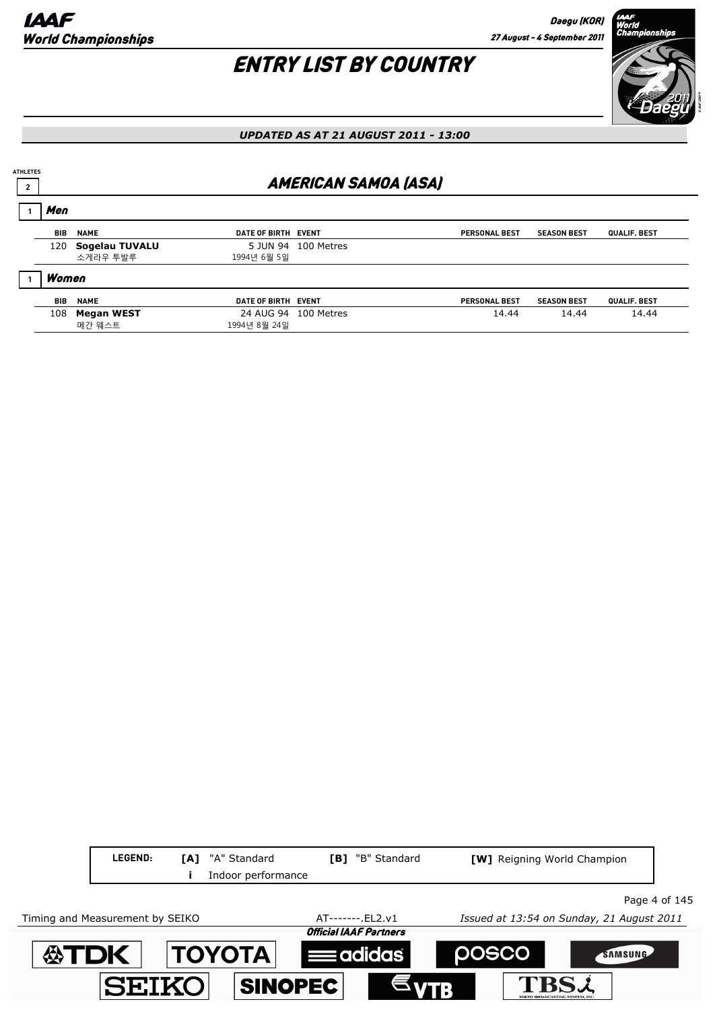

*UPDATED AS AT 21 AUGUST 2011 - 13:00*

#### **2 AMERICAN SAMOA (ASA) ATHLETES BIB NAME EVENT DATE OF BIRTH** Men **1 PERSONAL BEST SEASON BEST QUALIF. BEST** 120 **Sogelau TUVALU** 5 JUN 94 100 Metres 소게라우 투발루 1994년 6월 5일 **BIB NAME EVENT DATE OF BIRTH** Women **1 PERSONAL BEST SEASON BEST QUALIF. BEST** 108 **Megan WEST** 24 AUG 94 100 Metres 14.44 14.44 14.44 14.44 메간 웨스트 1994년 8월 24일

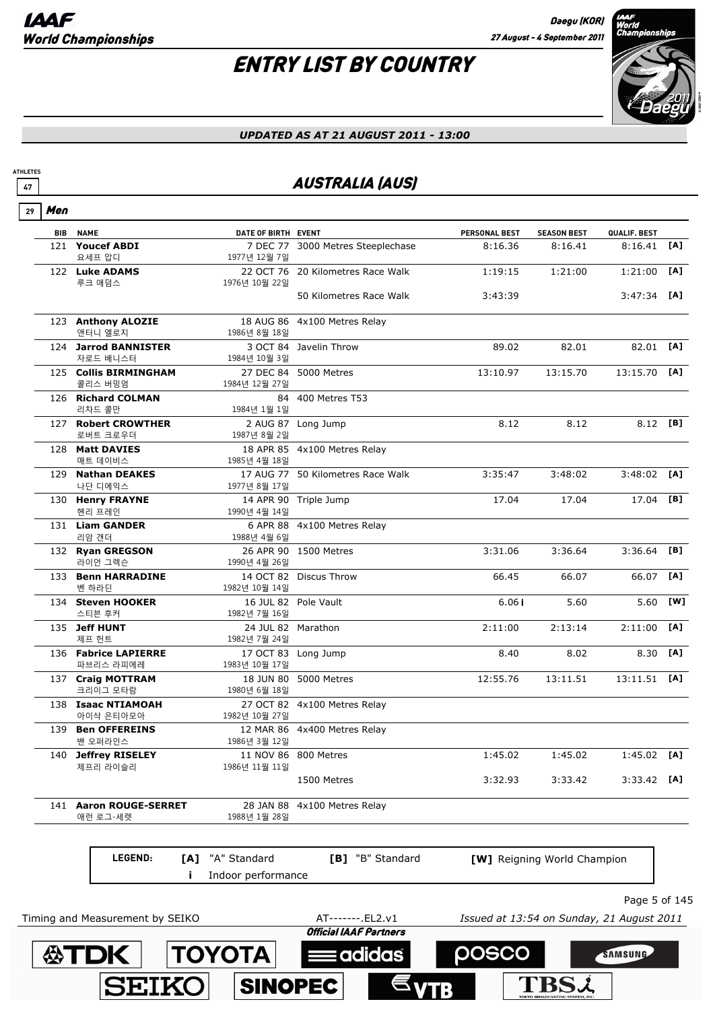

#### *UPDATED AS AT 21 AUGUST 2011 - 13:00*

## **47 AUSTRALIA (AUS)**

|--|--|

**ATHLETES**

|                                                                             | <b>BIB NAME</b>                 | DATE OF BIRTH EVENT |                                   | <b>PERSONAL BEST</b> | <b>SEASON BEST</b>          | QUALIF. BEST  |     |
|-----------------------------------------------------------------------------|---------------------------------|---------------------|-----------------------------------|----------------------|-----------------------------|---------------|-----|
|                                                                             | 121 Youcef ABDI                 |                     | 7 DEC 77 3000 Metres Steeplechase | 8:16.36              | 8:16.41                     | 8:16.41       | [A] |
|                                                                             | 요세프 압디                          | 1977년 12월 7일        |                                   |                      |                             |               |     |
|                                                                             | 122 Luke ADAMS                  |                     | 22 OCT 76 20 Kilometres Race Walk | 1:19:15              | 1:21:00                     | 1:21:00       | [A] |
|                                                                             | 루크 애덤스                          | 1976년 10월 22일       |                                   |                      |                             |               |     |
|                                                                             |                                 |                     | 50 Kilometres Race Walk           | 3:43:39              |                             | 3:47:34       | [A] |
|                                                                             | 123 Anthony ALOZIE              |                     | 18 AUG 86 4x100 Metres Relay      |                      |                             |               |     |
|                                                                             | 앤터니 엘로지<br>1986년 8월 18일         |                     |                                   |                      |                             |               |     |
|                                                                             | 124 Jarrod BANNISTER            |                     | 3 OCT 84 Javelin Throw            | 89.02                | 82.01                       | 82.01         | [A] |
|                                                                             | 자로드 배니스터<br>1984년 10월 3일        |                     |                                   |                      |                             |               |     |
|                                                                             | 125 Collis BIRMINGHAM           |                     | 27 DEC 84 5000 Metres             | 13:10.97             | 13:15.70                    | 13:15.70      | [A] |
|                                                                             | 콜리스 버밍엄                         | 1984년 12월 27일       |                                   |                      |                             |               |     |
|                                                                             | 126 Richard COLMAN              |                     | 84 400 Metres T53                 |                      |                             |               |     |
|                                                                             | 리차드 콜만                          | 1984년 1월 1일         |                                   |                      |                             | 8.12 [B]      |     |
|                                                                             | 127 Robert CROWTHER<br>로버트 크로우더 | 1987년 8월 2일         | 2 AUG 87 Long Jump                | 8.12                 | 8.12                        |               |     |
| 128 Matt DAVIES<br>18 APR 85 4x100 Metres Relay                             |                                 |                     |                                   |                      |                             |               |     |
|                                                                             | 매트 데이비스                         | 1985년 4월 18일        |                                   |                      |                             |               |     |
| 3:35:47<br><b>Nathan DEAKES</b><br>17 AUG 77 50 Kilometres Race Walk<br>129 |                                 | 3:48:02             | 3:48:02                           | [A]                  |                             |               |     |
|                                                                             | 나단 디에익스                         | 1977년 8월 17일        |                                   |                      |                             |               |     |
|                                                                             | 130 Henry FRAYNE                |                     | 14 APR 90 Triple Jump             | 17.04                | 17.04                       | 17.04         | [B] |
|                                                                             | 헨리 프레인                          | 1990년 4월 14일        |                                   |                      |                             |               |     |
|                                                                             | 131 Liam GANDER                 |                     | 6 APR 88 4x100 Metres Relay       |                      |                             |               |     |
|                                                                             | 리암 갠더                           | 1988년 4월 6일         |                                   |                      |                             |               |     |
|                                                                             | 132 Ryan GREGSON                |                     | 26 APR 90 1500 Metres             | 3:31.06              | 3:36.64                     | 3:36.64       | [B] |
|                                                                             | 라이언 그렉슨                         | 1990년 4월 26일        |                                   |                      |                             |               |     |
|                                                                             | 133 Benn HARRADINE<br>벤 하라딘     | 1982년 10월 14일       | 14 OCT 82 Discus Throw            | 66.45                | 66.07                       | 66.07         | [A] |
|                                                                             | 134 Steven HOOKER               |                     | 16 JUL 82 Pole Vault              | 6.06i                | 5.60                        | 5.60          | [W] |
|                                                                             | 스티븐 후커                          | 1982년 7월 16일        |                                   |                      |                             |               |     |
|                                                                             | 135 Jeff HUNT                   | 24 JUL 82 Marathon  |                                   | 2:11:00              | 2:13:14                     | 2:11:00       | [A] |
|                                                                             | 제프 헌트                           | 1982년 7월 24일        |                                   |                      |                             |               |     |
|                                                                             | 136 Fabrice LAPIERRE            |                     | 17 OCT 83 Long Jump               | 8.40                 | 8.02                        | 8.30          | [A] |
|                                                                             | 파브리스 라피에레                       | 1983년 10월 17일       |                                   |                      |                             |               |     |
|                                                                             | 137 Craig MOTTRAM               |                     | 18 JUN 80 5000 Metres             | 12:55.76             | 13:11.51                    | 13:11.51      | [A] |
|                                                                             | 크리이그 모타람                        | 1980년 6월 18일        |                                   |                      |                             |               |     |
|                                                                             | 138 Isaac NTIAMOAH              |                     | 27 OCT 82 4x100 Metres Relay      |                      |                             |               |     |
|                                                                             | 아이삭 은티아모아                       | 1982년 10월 27일       |                                   |                      |                             |               |     |
|                                                                             | 139 Ben OFFEREINS               |                     | 12 MAR 86 4x400 Metres Relay      |                      |                             |               |     |
|                                                                             | 밴 오퍼라인스                         | 1986년 3월 12일        |                                   |                      |                             |               | [A] |
|                                                                             | 140 Jeffrey RISELEY<br>제프리 라이슬리 | 1986년 11월 11일       | 11 NOV 86 800 Metres              | 1:45.02              | 1:45.02                     | 1:45.02       |     |
|                                                                             |                                 |                     | 1500 Metres                       | 3:32.93              | 3:33.42                     | $3:33.42$ [A] |     |
|                                                                             |                                 |                     |                                   |                      |                             |               |     |
|                                                                             | 141 Aaron ROUGE-SERRET          |                     | 28 JAN 88 4x100 Metres Relay      |                      |                             |               |     |
|                                                                             | 애런 로그-세렛                        | 1988년 1월 28일        |                                   |                      |                             |               |     |
|                                                                             |                                 |                     |                                   |                      |                             |               |     |
|                                                                             |                                 |                     |                                   |                      |                             |               |     |
|                                                                             | LEGEND:<br>[A]                  | "A" Standard        | [B] "B" Standard                  |                      | [W] Reigning World Champion |               |     |
|                                                                             | Ĩ.                              | Indoor performance  |                                   |                      |                             |               |     |
|                                                                             |                                 |                     |                                   |                      |                             |               |     |

Page 5 of 145

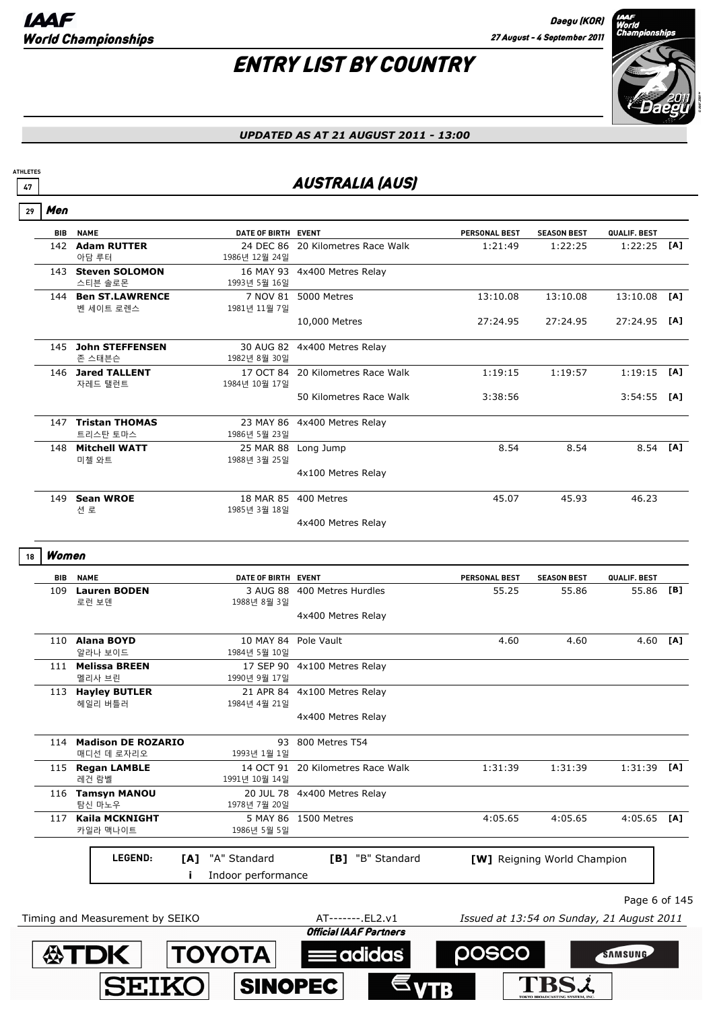**SEIKO** 

**SINOPEC** 

**ATHLETES**

# ENTRY LIST BY COUNTRY



**TBSL** 

#### *UPDATED AS AT 21 AUGUST 2011 - 13:00*

## **47 AUSTRALIA (AUS)**

| 29 | Men        |                                      |                                      |                                                    |                                           |                                    |               |          |
|----|------------|--------------------------------------|--------------------------------------|----------------------------------------------------|-------------------------------------------|------------------------------------|---------------|----------|
|    | <b>BIB</b> | <b>NAME</b>                          | DATE OF BIRTH EVENT                  |                                                    | <b>PERSONAL BEST</b>                      | <b>SEASON BEST</b>                 | QUALIF. BEST  |          |
|    |            | 142 Adam RUTTER<br>아담 루터             | 1986년 12월 24일                        | 24 DEC 86 20 Kilometres Race Walk                  | 1:21:49                                   | 1:22:25                            | 1:22:25       | [A]      |
|    |            | 143 Steven SOLOMON<br>스티븐 솔로몬        | 1993년 5월 16일                         | 16 MAY 93 4x400 Metres Relay                       |                                           |                                    |               |          |
|    |            | 144 Ben ST.LAWRENCE<br>벤 세이트 로렌스     | 1981년 11월 7일                         | 7 NOV 81 5000 Metres                               | 13:10.08                                  | 13:10.08                           | 13:10.08      | [A]      |
|    |            |                                      |                                      | 10,000 Metres                                      | 27:24.95                                  | 27:24.95                           | 27:24.95 [A]  |          |
|    |            | 145 John STEFFENSEN<br>존 스태븐슨        | 1982년 8월 30일                         | 30 AUG 82 4x400 Metres Relay                       |                                           |                                    |               |          |
|    |            | 146 Jared TALLENT<br>자레드 탤런트         | 1984년 10월 17일                        | 17 OCT 84 20 Kilometres Race Walk                  | 1:19:15                                   | 1:19:57                            | $1:19:15$ [A] |          |
|    |            |                                      |                                      | 50 Kilometres Race Walk                            | 3:38:56                                   |                                    | $3:54:55$ [A] |          |
|    |            | 147 Tristan THOMAS<br>트리스탄 토마스       | 1986년 5월 23일                         | 23 MAY 86 4x400 Metres Relay                       |                                           |                                    |               |          |
|    | 148        | <b>Mitchell WATT</b><br>미첼 와트        | 25 MAR 88 Long Jump<br>1988년 3월 25일  |                                                    | 8.54                                      | 8.54                               | 8.54 [A]      |          |
|    |            |                                      |                                      | 4x100 Metres Relay                                 |                                           |                                    |               |          |
|    | 149        | <b>Sean WROE</b><br>션 로              | 1985년 3월 18일                         | 18 MAR 85 400 Metres                               | 45.07                                     | 45.93                              | 46.23         |          |
|    |            |                                      |                                      | 4x400 Metres Relay                                 |                                           |                                    |               |          |
| 18 | Women      |                                      |                                      |                                                    |                                           |                                    |               |          |
|    | <b>BIB</b> | <b>NAME</b>                          | DATE OF BIRTH EVENT                  |                                                    | PERSONAL BEST                             | <b>SEASON BEST</b>                 | QUALIF. BEST  |          |
|    |            | 109 Lauren BODEN<br>로런 보덴            | 1988년 8월 3일                          | 3 AUG 88 400 Metres Hurdles                        | 55.25                                     | 55.86                              | 55.86 [B]     |          |
|    |            |                                      |                                      | 4x400 Metres Relay                                 |                                           |                                    |               |          |
|    |            | 110 Alana BOYD<br>알라나 보이드            | 10 MAY 84 Pole Vault<br>1984년 5월 10일 |                                                    | 4.60                                      | 4.60                               |               | 4.60 [A] |
|    |            | 111 Melissa BREEN<br>멜리사 브린          | 1990년 9월 17일                         | 17 SEP 90 4x100 Metres Relay                       |                                           |                                    |               |          |
|    |            | 113 Hayley BUTLER<br>헤일리 버틀러         | 1984년 4월 21일                         | 21 APR 84 4x100 Metres Relay                       |                                           |                                    |               |          |
|    |            |                                      |                                      | 4x400 Metres Relay                                 |                                           |                                    |               |          |
|    |            | 114 Madison DE ROZARIO<br>매디선 데 로자리오 | 1993년 1월 1일                          | 93 800 Metres T54                                  |                                           |                                    |               |          |
|    |            | 115 Regan LAMBLE<br>레건 람벨            | 1991년 10월 14일                        | 14 OCT 91 20 Kilometres Race Walk                  | 1:31:39                                   | 1:31:39                            | $1:31:39$ [A] |          |
|    |            | 116 Tamsyn MANOU<br>탐신 마노우           | 1978년 7월 20일                         | 20 JUL 78 4x400 Metres Relay                       |                                           |                                    |               |          |
|    |            | 117 Kaila MCKNIGHT<br>카일라 맥나이트       | 1986년 5월 5일                          | 5 MAY 86 1500 Metres                               | 4:05.65                                   | 4:05.65                            | $4:05.65$ [A] |          |
|    |            | LEGEND:                              | "A" Standard<br>[A]                  | [B] "B" Standard                                   |                                           | <b>[W]</b> Reigning World Champion |               |          |
|    |            |                                      | Indoor performance<br>j.             |                                                    |                                           |                                    |               |          |
|    |            |                                      |                                      |                                                    |                                           |                                    | Page 6 of 145 |          |
|    |            | Timing and Measurement by SEIKO      |                                      | AT-------. EL2.v1<br><b>Official IAAF Partners</b> | Issued at 13:54 on Sunday, 21 August 2011 |                                    |               |          |
|    |            | <b>公丁DK</b>                          | <b>TOYOTA</b>                        | adidas                                             | posco                                     |                                    | SAMSUNG       |          |
|    |            |                                      |                                      |                                                    |                                           |                                    |               |          |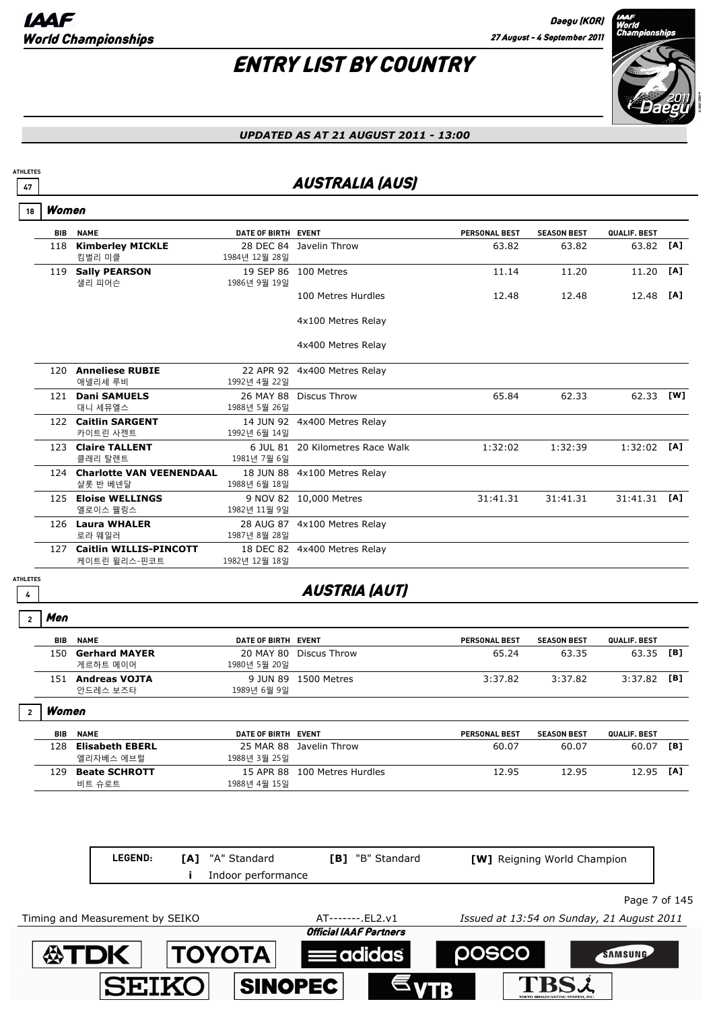

#### *UPDATED AS AT 21 AUGUST 2011 - 13:00*

## <u><sup>47</sup> AUSTRALIA (AUS)</u>

|  | Women |
|--|-------|
|--|-------|

**ATHLETES**

|     | <b>BIB</b><br><b>NAME</b>                     | DATE OF BIRTH EVENT       |                                  | <b>PERSONAL BEST</b> | <b>SEASON BEST</b> | QUALIF. BEST |     |
|-----|-----------------------------------------------|---------------------------|----------------------------------|----------------------|--------------------|--------------|-----|
| 118 | <b>Kimberley MICKLE</b><br>킴벌리 미클             | 1984년 12월 28일             | 28 DEC 84 Javelin Throw          | 63.82                | 63.82              | 63.82        | [A] |
| 119 | <b>Sally PEARSON</b><br>샐리 피어슨                | 1986년 9월 19일              | 19 SEP 86 100 Metres             | 11.14                | 11.20              | 11.20        | [A] |
|     |                                               |                           | 100 Metres Hurdles               | 12.48                | 12.48              | 12.48        | [A] |
|     |                                               |                           | 4x100 Metres Relay               |                      |                    |              |     |
|     |                                               |                           | 4x400 Metres Relay               |                      |                    |              |     |
|     | 120 Anneliese RUBIE<br>애넬리세 루비                | 1992년 4월 22일              | 22 APR 92 4x400 Metres Relay     |                      |                    |              |     |
| 121 | <b>Dani SAMUELS</b><br>대니 세뮤엘스                | 26 MAY 88<br>1988년 5월 26일 | <b>Discus Throw</b>              | 65.84                | 62.33              | 62.33        | [W] |
|     | 122 Caitlin SARGENT<br>카이트린 사젠트               | 1992년 6월 14일              | 14 JUN 92 4x400 Metres Relay     |                      |                    |              |     |
|     | 123 Claire TALLENT<br>클래리 탈렌트                 | 1981년 7월 6일               | 6 JUL 81 20 Kilometres Race Walk | 1:32:02              | 1:32:39            | 1:32:02      | [A] |
|     | 124 Charlotte VAN VEENENDAAL<br>샬롯 반 베넨달      | 1988년 6월 18일              | 18 JUN 88 4x100 Metres Relay     |                      |                    |              |     |
| 125 | <b>Eloise WELLINGS</b><br>엘로이스 웰링스            | 1982년 11월 9일              | 9 NOV 82 10,000 Metres           | 31:41.31             | 31:41.31           | 31:41.31     | TA1 |
|     | 126 Laura WHALER<br>로라 웨일러                    | 28 AUG 87<br>1987년 8월 28일 | 4x100 Metres Relay               |                      |                    |              |     |
| 127 | <b>Caitlin WILLIS-PINCOTT</b><br>케이트린 윌리스-핀코트 | 1982년 12월 18일             | 18 DEC 82 4x400 Metres Relay     |                      |                    |              |     |
|     |                                               |                           |                                  |                      |                    |              |     |

**ATHLETES**

## **<sup>4</sup>** AUSTRIA (AUT)

Men **2**

|                | BIB        | <b>NAME</b>            | DATE OF BIRTH EVENT |                    | <b>PERSONAL BEST</b> | <b>SEASON BEST</b> | QUALIF. BEST |     |
|----------------|------------|------------------------|---------------------|--------------------|----------------------|--------------------|--------------|-----|
|                | 150        | <b>Gerhard MAYER</b>   | 20 MAY 80           | Discus Throw       | 65.24                | 63.35              | 63.35        | [B] |
|                |            | 게르하트 메이어               | 1980년 5월 20일        |                    |                      |                    |              |     |
|                | 151        | <b>Andreas VOJTA</b>   | 9 JUN 89            | 1500 Metres        | 3:37.82              | 3:37.82            | 3:37.82      | [B] |
|                |            | 안드레스 보즈타               | 1989년 6월 9일         |                    |                      |                    |              |     |
| $\overline{2}$ | Women      |                        |                     |                    |                      |                    |              |     |
|                | <b>BIB</b> | <b>NAME</b>            | DATE OF BIRTH EVENT |                    | <b>PERSONAL BEST</b> | <b>SEASON BEST</b> | QUALIF. BEST |     |
|                | 128        | <b>Elisabeth EBERL</b> | 25 MAR 88           | Javelin Throw      | 60.07                | 60.07              | 60.07        | [B] |
|                |            | 엘리자베스 에브럴              | 1988년 3월 25일        |                    |                      |                    |              |     |
|                | 129        | <b>Beate SCHROTT</b>   | 15 APR 88           | 100 Metres Hurdles | 12.95                | 12.95              | 12.95        | [A] |
|                |            | 비트 슈로트                 | 1988년 4월 15일        |                    |                      |                    |              |     |

|                                 | LEGEND: | "A" Standard<br>[A]    | <b>[B]</b> "B" Standard       | <b>[W]</b> Reigning World Champion        |               |
|---------------------------------|---------|------------------------|-------------------------------|-------------------------------------------|---------------|
|                                 |         | Indoor performance     |                               |                                           |               |
|                                 |         |                        |                               |                                           | Page 7 of 145 |
| Timing and Measurement by SEIKO |         |                        | AT-------. EL2.v1             | Issued at 13:54 on Sunday, 21 August 2011 |               |
|                                 |         |                        | <b>Official IAAF Partners</b> |                                           |               |
| ∰TDK                            |         | $\vert$ TOYOTA $\vert$ | $\equiv$ adidas               | <b>POSCO</b>                              | SAMSUNG       |
|                                 |         |                        | <b>SINOPEC</b>                | <b>TRS.A</b>                              |               |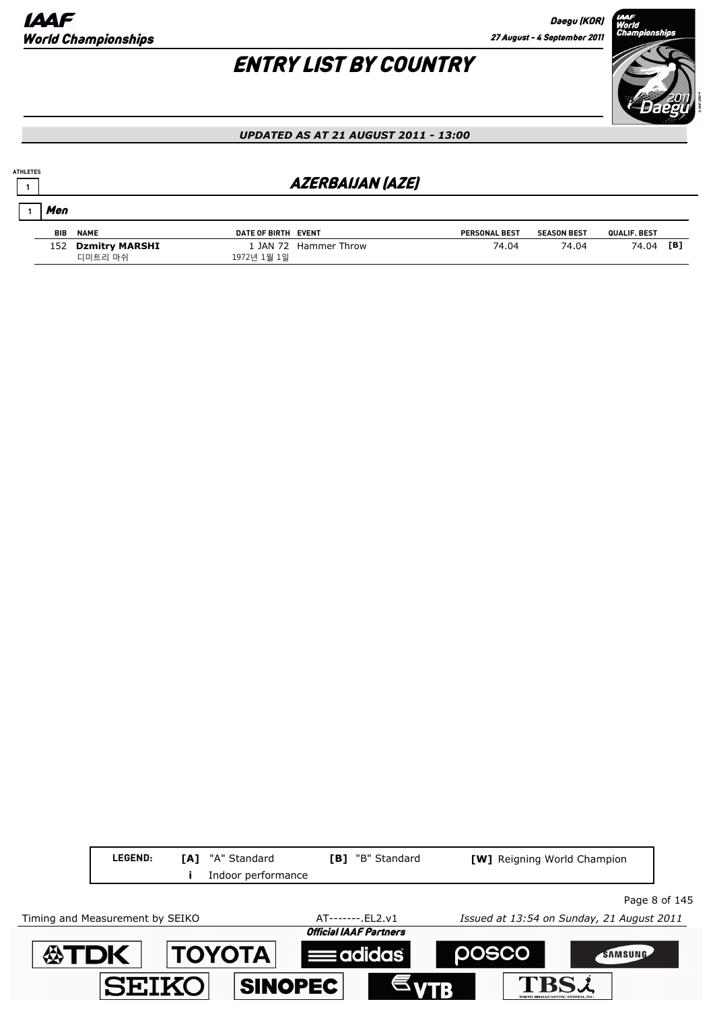# ENTRY LIST BY COUNTRY



#### *UPDATED AS AT 21 AUGUST 2011 - 13:00*

## **<sup>1</sup>** AZERBAIJAN (AZE)

| Men        |                    |                     |                       |                      |                    |              |     |
|------------|--------------------|---------------------|-----------------------|----------------------|--------------------|--------------|-----|
| <b>BIB</b> | <b>NAME</b>        | DATE OF BIRTH EVENT |                       | <b>PERSONAL BEST</b> | <b>SEASON BEST</b> | QUALIF. BEST |     |
|            | 152 Dzmitry MARSHI |                     | 1 JAN 72 Hammer Throw | 74.04                | 74.04              | 74.04        | [B] |
|            | 디미트리 마쉬            | 1972년 1월 1일         |                       |                      |                    |              |     |

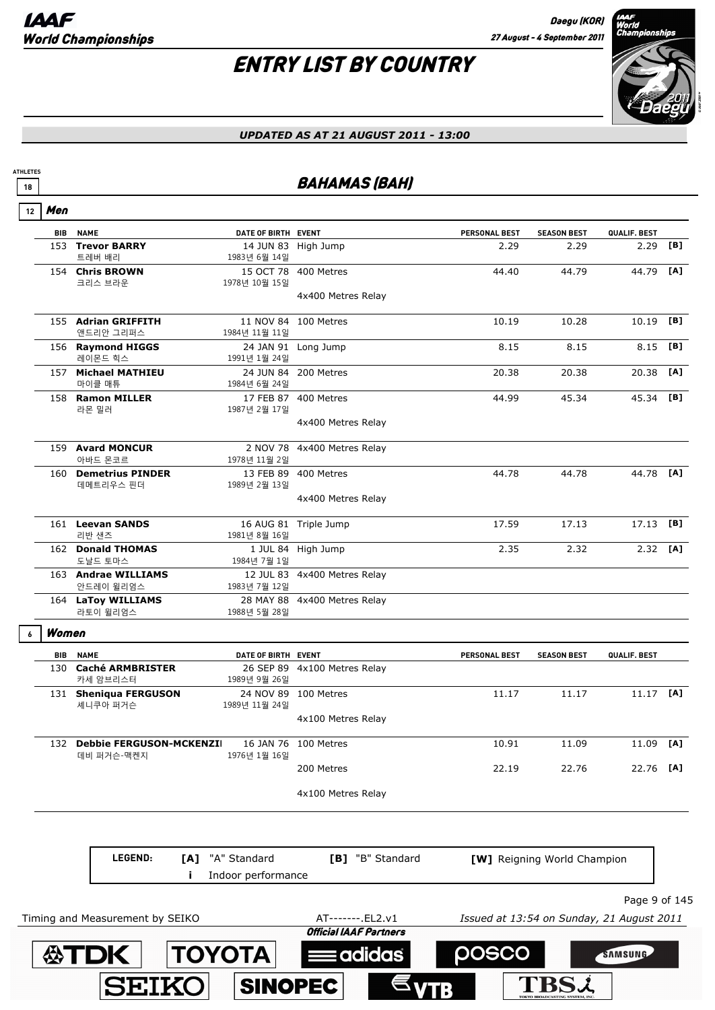

#### *UPDATED AS AT 21 AUGUST 2011 - 13:00*

## **18 BAHAMAS (BAH)**

|  | í |
|--|---|
|--|---|

**ATHLETES**

 $\lceil$ 

| <b>BIB</b> | <b>NAME</b>             | DATE OF BIRTH EVENT |                              | <b>PERSONAL BEST</b> | <b>SEASON BEST</b> | QUALIF. BEST |     |
|------------|-------------------------|---------------------|------------------------------|----------------------|--------------------|--------------|-----|
| 153        | <b>Trevor BARRY</b>     |                     | 14 JUN 83 High Jump          | 2.29                 | 2.29               | 2.29         | [B] |
|            | 트레버 배리                  | 1983년 6월 14일        |                              |                      |                    |              |     |
|            | 154 Chris BROWN         |                     | 15 OCT 78 400 Metres         | 44.40                | 44.79              | 44.79        | [A] |
|            | 크리스 브라운                 | 1978년 10월 15일       |                              |                      |                    |              |     |
|            |                         |                     | 4x400 Metres Relay           |                      |                    |              |     |
|            |                         |                     |                              |                      |                    |              |     |
|            | 155 Adrian GRIFFITH     |                     | 11 NOV 84 100 Metres         | 10.19                | 10.28              | 10.19        | [B] |
|            | 앤드리안 그리퍼스               | 1984년 11월 11일       |                              |                      |                    |              |     |
|            | 156 Raymond HIGGS       |                     | 24 JAN 91 Long Jump          | 8.15                 | 8.15               | 8.15         | [B] |
|            | 레이몬드 힉스                 | 1991년 1월 24일        |                              |                      |                    |              |     |
| 157        | <b>Michael MATHIEU</b>  |                     | 24 JUN 84 200 Metres         | 20.38                | 20.38              | 20.38        | [A] |
|            | 마이클 매튜                  | 1984년 6월 24일        |                              |                      |                    |              |     |
| 158        | <b>Ramon MILLER</b>     |                     | 17 FEB 87 400 Metres         | 44.99                | 45.34              | 45.34 [B]    |     |
|            | 라몬 밀러                   | 1987년 2월 17일        |                              |                      |                    |              |     |
|            |                         |                     | 4x400 Metres Relay           |                      |                    |              |     |
|            | 159 Avard MONCUR        |                     | 2 NOV 78 4x400 Metres Relay  |                      |                    |              |     |
|            | 아바드 몬코르                 | 1978년 11월 2일        |                              |                      |                    |              |     |
| 160        | <b>Demetrius PINDER</b> |                     | 13 FEB 89 400 Metres         | 44.78                | 44.78              | 44.78        | [A] |
|            | 데메트리우스 핀더               | 1989년 2월 13일        |                              |                      |                    |              |     |
|            |                         |                     | 4x400 Metres Relay           |                      |                    |              |     |
|            |                         |                     |                              |                      |                    |              |     |
|            | 161 Leevan SANDS        |                     | 16 AUG 81 Triple Jump        | 17.59                | 17.13              | 17.13        | [B] |
|            | 리반 샌즈                   | 1981년 8월 16일        |                              |                      |                    |              |     |
|            | 162 Donald THOMAS       |                     | 1 JUL 84 High Jump           | 2.35                 | 2.32               | 2.32         | [A] |
|            | 도날드 토마스                 | 1984년 7월 1일         |                              |                      |                    |              |     |
|            | 163 Andrae WILLIAMS     |                     | 12 JUL 83 4x400 Metres Relay |                      |                    |              |     |
|            | 안드레이 윌리엄스               | 1983년 7월 12일        |                              |                      |                    |              |     |
|            | 164 LaToy WILLIAMS      |                     | 28 MAY 88 4x400 Metres Relay |                      |                    |              |     |
|            | 라토이 윌리엄스                | 1988년 5월 28일        |                              |                      |                    |              |     |
| Women      |                         |                     |                              |                      |                    |              |     |
| BIB        | <b>NAME</b>             | DATE OF BIRTH EVENT |                              | <b>PERSONAL BEST</b> | <b>SEASON BEST</b> | QUALIF. BEST |     |
| 130        | <b>Caché ARMBRISTER</b> |                     | 26 SEP 89 4x100 Metres Relay |                      |                    |              |     |
|            | 카세 암브리스터                | 1989년 9월 26일        |                              |                      |                    |              |     |
|            | 131 Sheniqua FERGUSON   |                     | 24 NOV 89 100 Metres         | 11.17                | 11.17              | 11.17 [A]    |     |
|            |                         |                     |                              |                      |                    |              |     |

셰니쿠아 퍼거슨 1989년 11월 24일 4x100 Metres Relay 132 **Debbie FERGUSON-MCKENZIE** 16 JAN 76 100 Metres 10.91 11.09 11.09 **[A]** 데비 퍼거슨-맥켄지 1976년 1월 16일 200 Metres 22.19 22.76 22.76 **[A]**

4x100 Metres Relay

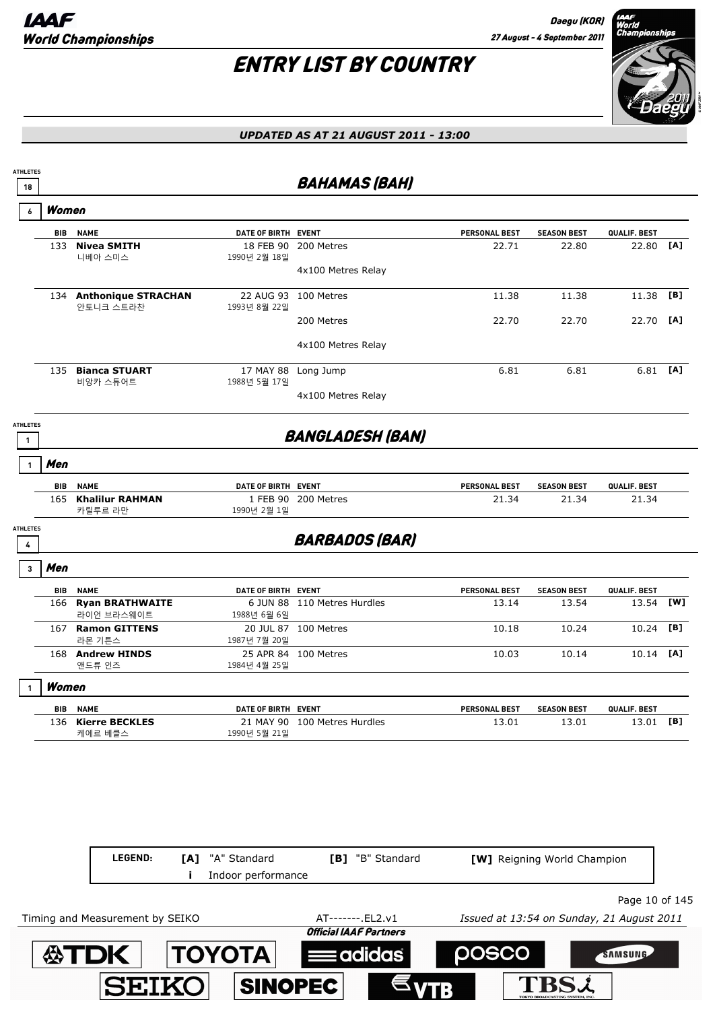

| <b>ATHLETES</b>                 |            |                                      |                           |                                  |                      |                    |              |     |
|---------------------------------|------------|--------------------------------------|---------------------------|----------------------------------|----------------------|--------------------|--------------|-----|
| 18                              |            |                                      |                           | <b>BAHAMAS (BAH)</b>             |                      |                    |              |     |
| 6                               | Women      |                                      |                           |                                  |                      |                    |              |     |
|                                 | <b>BIB</b> | <b>NAME</b>                          | DATE OF BIRTH EVENT       |                                  | <b>PERSONAL BEST</b> | <b>SEASON BEST</b> | QUALIF. BEST |     |
|                                 | 133        | <b>Nivea SMITH</b><br>니베아 스미스        | 18 FEB 90<br>1990년 2월 18일 | 200 Metres<br>4x100 Metres Relay | 22.71                | 22.80              | 22.80        | [A] |
|                                 | 134        | <b>Anthonique STRACHAN</b>           |                           | 22 AUG 93 100 Metres             | 11.38                | 11.38              | 11.38        | [B] |
|                                 |            | 안토니크 스트라찬                            | 1993년 8월 22일              |                                  |                      |                    |              |     |
|                                 |            |                                      |                           | 200 Metres                       | 22.70                | 22.70              | 22.70        | [A] |
|                                 |            |                                      |                           | 4x100 Metres Relay               |                      |                    |              |     |
|                                 | 135        | <b>Bianca STUART</b><br>비앙카 스튜어트     | 1988년 5월 17일              | 17 MAY 88 Long Jump              | 6.81                 | 6.81               | $6.81$ [A]   |     |
|                                 |            |                                      |                           | 4x100 Metres Relay               |                      |                    |              |     |
| <b>ATHLETES</b><br>$\mathbf{1}$ |            |                                      |                           | <b>BANGLADESH (BAN)</b>          |                      |                    |              |     |
|                                 | Men        |                                      |                           |                                  |                      |                    |              |     |
|                                 | BIB        | <b>NAME</b>                          | DATE OF BIRTH EVENT       |                                  | <b>PERSONAL BEST</b> | <b>SEASON BEST</b> | QUALIF. BEST |     |
|                                 | 165        | <b>Khalilur RAHMAN</b><br>카릴루르 라만    | 1990년 2월 1일               | 1 FEB 90 200 Metres              | 21.34                | 21.34              | 21.34        |     |
| <b>ATHLETES</b><br>4            |            |                                      |                           | <b>BARBADOS (BAR)</b>            |                      |                    |              |     |
| 3                               | Men        |                                      |                           |                                  |                      |                    |              |     |
|                                 | <b>BIB</b> | <b>NAME</b>                          | DATE OF BIRTH EVENT       |                                  | PERSONAL BEST        | <b>SEASON BEST</b> | QUALIF. BEST |     |
|                                 | 166        | <b>Ryan BRATHWAITE</b><br>라이언 브라스웨이트 | 1988년 6월 6일               | 6 JUN 88 110 Metres Hurdles      | 13.14                | 13.54              | 13.54        | [W] |
|                                 |            | 167 Ramon GITTENS<br>라몬 기튼스          | 1987년 7월 20일              | 20 JUL 87 100 Metres             | 10.18                | 10.24              | 10.24        | [B] |
|                                 |            | 168 Andrew HINDS<br>앤드류 인즈           | 1984년 4월 25일              | 25 APR 84 100 Metres             | 10.03                | 10.14              | 10.14        | [A] |
|                                 | Women      |                                      |                           |                                  |                      |                    |              |     |
|                                 | BIB        | <b>NAME</b>                          | DATE OF BIRTH EVENT       |                                  | <b>PERSONAL BEST</b> | <b>SEASON BEST</b> | QUALIF. BEST |     |
|                                 |            | 136 Kierre BECKLES<br>케에르 베클스        | 1990년 5월 21일              | 21 MAY 90 100 Metres Hurdles     | 13.01                | 13.01              | 13.01        | [B] |

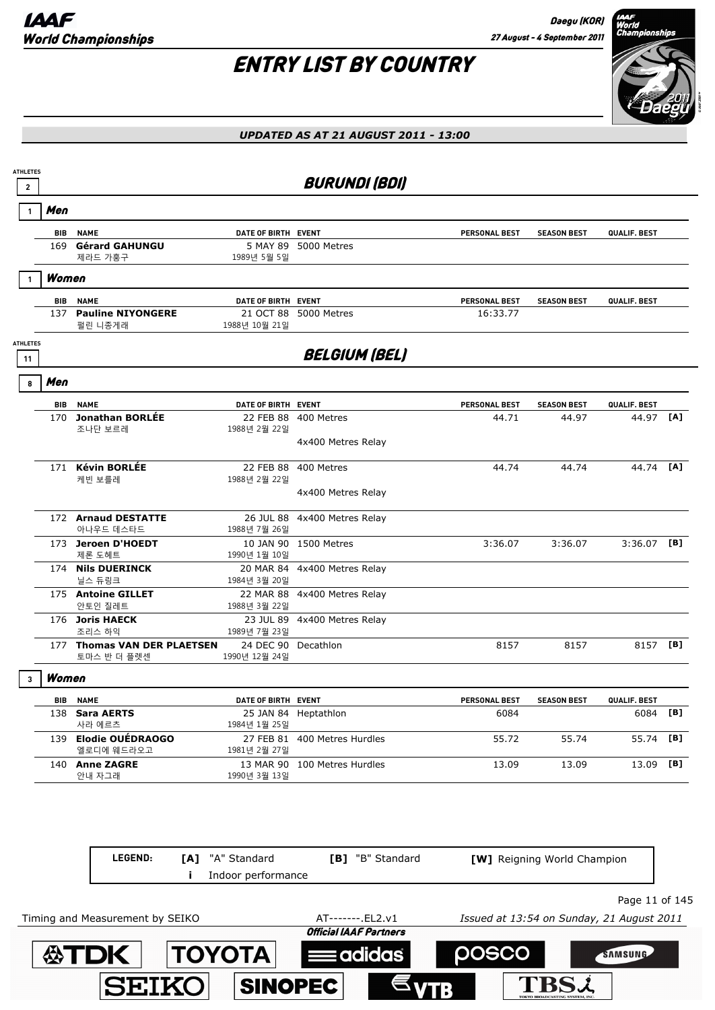

#### *UPDATED AS AT 21 AUGUST 2011 - 13:00*



Page 11 of 145

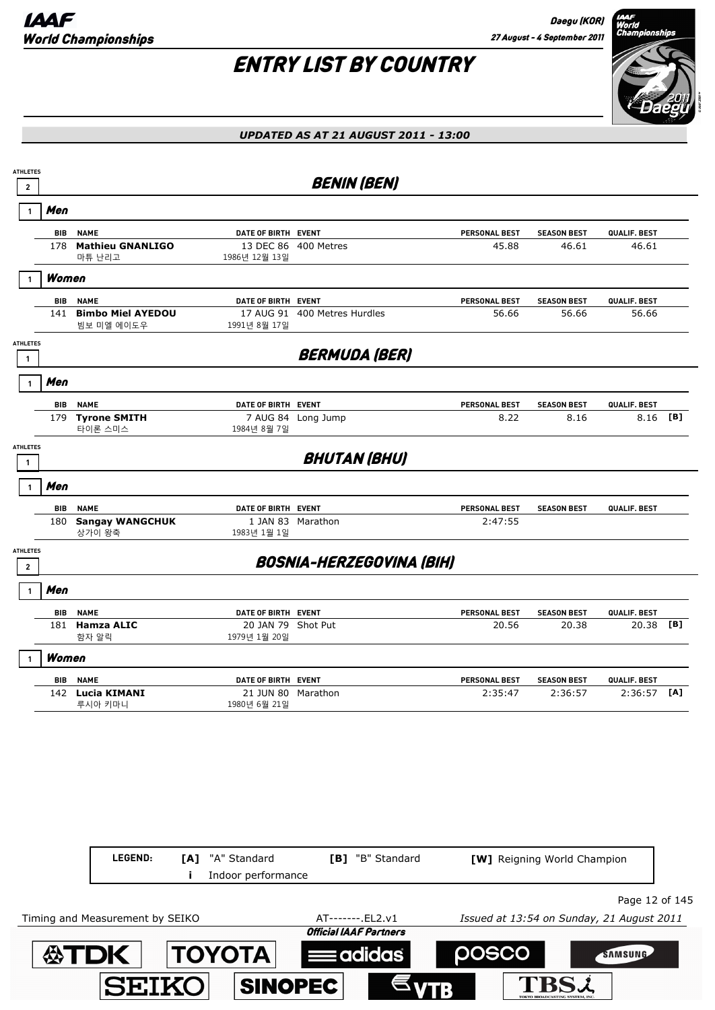**ATDK TOYOTA** 

**SEIKO** 

# ENTRY LIST BY COUNTRY



#### *UPDATED AS AT 21 AUGUST 2011 - 13:00*

| $\mathbf{2}$                      |            |                                        |                                    | <b>BENIN (BEN)</b>              |                      |                             |               |     |
|-----------------------------------|------------|----------------------------------------|------------------------------------|---------------------------------|----------------------|-----------------------------|---------------|-----|
| $\mathbf{1}$                      | Men        |                                        |                                    |                                 |                      |                             |               |     |
|                                   | BIB        | <b>NAME</b>                            | DATE OF BIRTH EVENT                |                                 | PERSONAL BEST        | <b>SEASON BEST</b>          | QUALIF. BEST  |     |
|                                   | 178        | <b>Mathieu GNANLIGO</b><br>마튜 난리고      | 1986년 12월 13일                      | 13 DEC 86 400 Metres            | 45.88                | 46.61                       | 46.61         |     |
|                                   | Women      |                                        |                                    |                                 |                      |                             |               |     |
|                                   | BIB        | <b>NAME</b>                            | DATE OF BIRTH EVENT                |                                 | <b>PERSONAL BEST</b> | <b>SEASON BEST</b>          | QUALIF. BEST  |     |
|                                   | 141        | <b>Bimbo Miel AYEDOU</b><br>빔보 미엘 에이도우 | 1991년 8월 17일                       | 17 AUG 91 400 Metres Hurdles    | 56.66                | 56.66                       | 56.66         |     |
| <b>ATHLETES</b><br>$\mathbf{1}$   |            |                                        |                                    | <b>BERMUDA (BER)</b>            |                      |                             |               |     |
| $\mathbf{1}$                      | Men        |                                        |                                    |                                 |                      |                             |               |     |
|                                   | BIB        | <b>NAME</b>                            | DATE OF BIRTH EVENT                |                                 | PERSONAL BEST        | <b>SEASON BEST</b>          | QUALIF. BEST  |     |
|                                   | 179        | <b>Tyrone SMITH</b><br>타이론 스미스         | 7 AUG 84<br>1984년 8월 7일            | Long Jump                       | 8.22                 | 8.16                        | 8.16          | [B] |
| <b>ATHLETES</b><br>$\mathbf{1}$   |            |                                        |                                    | <b>BHUTAN (BHU)</b>             |                      |                             |               |     |
| $\mathbf{1}$                      | Men        |                                        |                                    |                                 |                      |                             |               |     |
|                                   | BIB        | <b>NAME</b>                            | DATE OF BIRTH EVENT                |                                 | <b>PERSONAL BEST</b> | <b>SEASON BEST</b>          | QUALIF. BEST  |     |
|                                   | 180        | <b>Sangay WANGCHUK</b><br>상가이 왕축       | 1983년 1월 1일                        | 1 JAN 83 Marathon               | 2:47:55              |                             |               |     |
| <b>ATHLETES</b><br>$\overline{2}$ |            |                                        |                                    | <b>BOSNIA-HERZEGOVINA (BIH)</b> |                      |                             |               |     |
|                                   | Men        |                                        |                                    |                                 |                      |                             |               |     |
|                                   | <b>BIB</b> | <b>NAME</b>                            | DATE OF BIRTH EVENT                |                                 | PERSONAL BEST        | <b>SEASON BEST</b>          | QUALIF. BEST  |     |
|                                   | 181        | <b>Hamza ALIC</b><br>함자 알릭             | 20 JAN 79 Shot Put<br>1979년 1월 20일 |                                 | 20.56                | 20.38                       | 20.38         | [B] |
|                                   | Women      |                                        |                                    |                                 |                      |                             |               |     |
|                                   | BIB        | <b>NAME</b>                            | DATE OF BIRTH EVENT                |                                 | <b>PERSONAL BEST</b> | <b>SEASON BEST</b>          | QUALIF. BEST  |     |
|                                   |            | 142 Lucia KIMANI<br>루시아 키마니            | 21 JUN 80 Marathon<br>1980년 6월 21일 |                                 | 2:35:47              | 2:36:57                     | $2:36:57$ [A] |     |
|                                   |            |                                        |                                    |                                 |                      |                             |               |     |
|                                   |            | LEGEND:<br>[A]                         | "A" Standard                       | [B] "B" Standard                |                      | [W] Reigning World Champion |               |     |
|                                   |            |                                        | Indoor performance                 |                                 |                      |                             |               |     |

**Eadidas** 

**SINOPEC** 

posco

**TBSL** 

SAMSUNG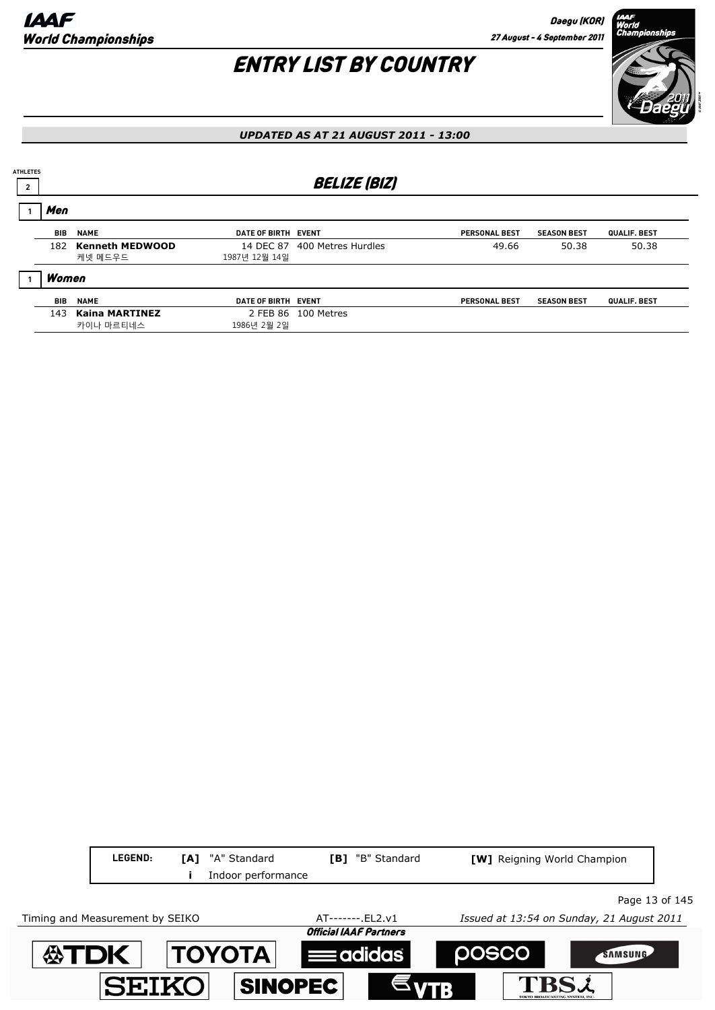

| <b>ATHLETES</b> |       |                                    |                     |                              |                      |                    |              |
|-----------------|-------|------------------------------------|---------------------|------------------------------|----------------------|--------------------|--------------|
| $\overline{2}$  |       |                                    |                     | <b>BELIZE (BIZ)</b>          |                      |                    |              |
|                 | Men   |                                    |                     |                              |                      |                    |              |
|                 | BIB   | <b>NAME</b>                        | DATE OF BIRTH EVENT |                              | <b>PERSONAL BEST</b> | <b>SEASON BEST</b> | QUALIF. BEST |
|                 | 182   | <b>Kenneth MEDWOOD</b><br>케넷 메드우드  | 1987년 12월 14일       | 14 DEC 87 400 Metres Hurdles | 49.66                | 50.38              | 50.38        |
|                 | Women |                                    |                     |                              |                      |                    |              |
|                 | BIB   | <b>NAME</b>                        | DATE OF BIRTH EVENT |                              | <b>PERSONAL BEST</b> | <b>SEASON BEST</b> | QUALIF. BEST |
|                 | 143   | <b>Kaina MARTINEZ</b><br>카이나 마르티네스 | 1986년 2월 2일         | 2 FEB 86 100 Metres          |                      |                    |              |

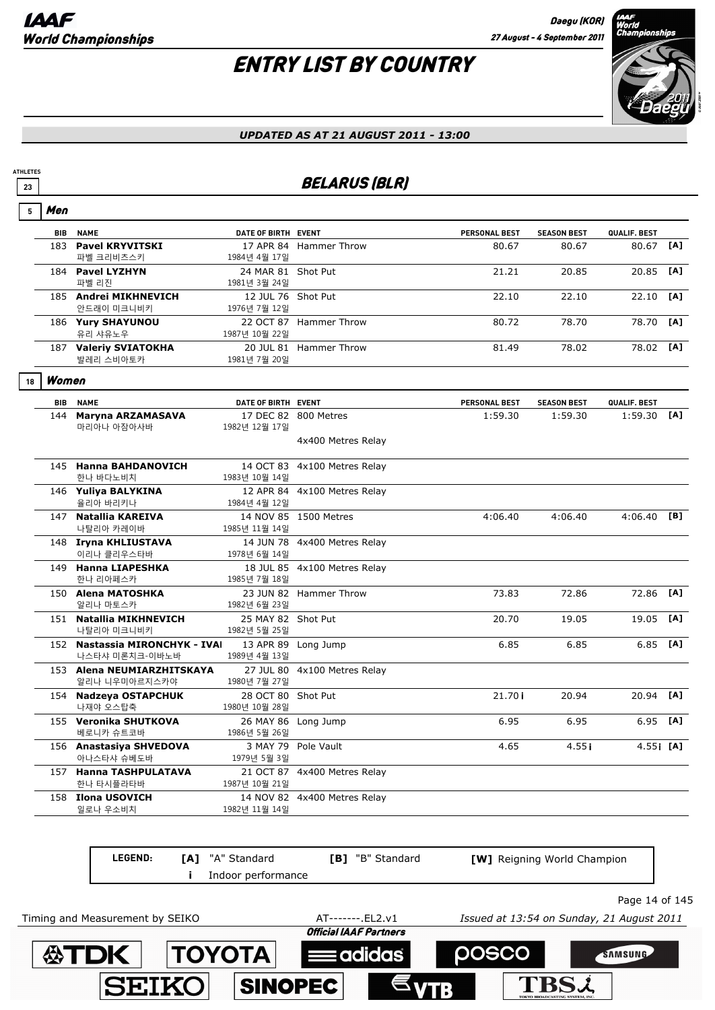# ENTRY LIST BY COUNTRY



#### *UPDATED AS AT 21 AUGUST 2011 - 13:00*

## **23** BELARUS (BLR)

| 5  | Men        |                                                  |                                     |                              |               |                    |              |     |
|----|------------|--------------------------------------------------|-------------------------------------|------------------------------|---------------|--------------------|--------------|-----|
|    | <b>BIB</b> | <b>NAME</b>                                      | DATE OF BIRTH EVENT                 |                              | PERSONAL BEST | <b>SEASON BEST</b> | QUALIF. BEST |     |
|    |            | 183 Pavel KRYVITSKI<br>파벨 크리비츠스키                 | 1984년 4월 17일                        | 17 APR 84 Hammer Throw       | 80.67         | 80.67              | 80.67        | [A] |
|    |            | 184 Pavel LYZHYN<br>파벨 리진                        | 24 MAR 81 Shot Put<br>1981년 3월 24일  |                              | 21.21         | 20.85              | 20.85        | [A] |
|    |            | 185 Andrei MIKHNEVICH<br>안드래이 미크니비키              | 12 JUL 76 Shot Put<br>1976년 7월 12일  |                              | 22.10         | 22.10              | 22.10        | [A] |
|    |            | 186 Yury SHAYUNOU<br>유리 샤유노우                     | 1987년 10월 22일                       | 22 OCT 87 Hammer Throw       | 80.72         | 78.70              | 78.70        | [A] |
|    |            | 187 Valeriy SVIATOKHA<br>발레리 스비아토카               | 1981년 7월 20일                        | 20 JUL 81 Hammer Throw       | 81.49         | 78.02              | 78.02        | [A] |
| 18 | Women      |                                                  |                                     |                              |               |                    |              |     |
|    | <b>BIB</b> | <b>NAME</b>                                      | DATE OF BIRTH EVENT                 |                              | PERSONAL BEST | <b>SEASON BEST</b> | QUALIF. BEST |     |
|    | 144        | Maryna ARZAMASAVA<br>마리아나 아잠아사바                  | 1982년 12월 17일                       | 17 DEC 82 800 Metres         | 1:59.30       | 1:59.30            | 1:59.30      | [A] |
|    |            |                                                  |                                     | 4x400 Metres Relay           |               |                    |              |     |
|    |            | 145 Hanna BAHDANOVICH<br>한나 바다노비치                | 1983년 10월 14일                       | 14 OCT 83 4x100 Metres Relay |               |                    |              |     |
|    |            | 146 Yuliya BALYKINA<br>율리아 바리키나                  | 1984년 4월 12일                        | 12 APR 84 4x100 Metres Relay |               |                    |              |     |
|    |            | 147 Natallia KAREIVA<br>나탈리아 카레이바                | 1985년 11월 14일                       | 14 NOV 85 1500 Metres        | 4:06.40       | 4:06.40            | 4:06.40      | [B] |
|    |            | 148 Iryna KHLIUSTAVA<br>이리나 클리우스타바               | 1978년 6월 14일                        | 14 JUN 78 4x400 Metres Relay |               |                    |              |     |
|    |            | 149 Hanna LIAPESHKA<br>한나 리아페스카                  | 1985년 7월 18일                        | 18 JUL 85 4x100 Metres Relay |               |                    |              |     |
|    |            | 150 Alena MATOSHKA<br>알리나 마토스카                   | 1982년 6월 23일                        | 23 JUN 82 Hammer Throw       | 73.83         | 72.86              | 72.86        | [A] |
|    |            | 151 Natallia MIKHNEVICH<br>나탈리아 미크니비키            | 25 MAY 82 Shot Put<br>1982년 5월 25일  |                              | 20.70         | 19.05              | 19.05        | [A] |
|    |            | 152 Nastassia MIRONCHYK - IVAI<br>나스타샤 미론치크-이바노바 | 1989년 4월 13일                        | 13 APR 89 Long Jump          | 6.85          | 6.85               | 6.85         | [A] |
|    |            | 153 Alena NEUMIARZHITSKAYA<br>알리나 니우미아르지스카야      | 1980년 7월 27일                        | 27 JUL 80 4x100 Metres Relay |               |                    |              |     |
|    |            | 154 Nadzeya OSTAPCHUK<br>나재야 오스탑축                | 28 OCT 80 Shot Put<br>1980년 10월 28일 |                              | 21.70i        | 20.94              | 20.94        | [A] |
|    |            | 155 Veronika SHUTKOVA<br>베로니카 슈트코바               | 1986년 5월 26일                        | 26 MAY 86 Long Jump          | 6.95          | 6.95               | 6.95         | [A] |
|    |            | 156 Anastasiya SHVEDOVA<br>아나스타샤 슈베도바            | 1979년 5월 3일                         | 3 MAY 79 Pole Vault          | 4.65          | 4.55i              | 4.55i [A]    |     |
|    |            | 157 Hanna TASHPULATAVA<br>한나 타시플라타바              | 1987년 10월 21일                       | 21 OCT 87 4x400 Metres Relay |               |                    |              |     |
|    |            | 158 Ilona USOVICH<br>일로나 우소비치                    | 1982년 11월 14일                       | 14 NOV 82 4x400 Metres Relay |               |                    |              |     |
|    |            |                                                  |                                     |                              |               |                    |              |     |

**LEGEND: [A]** "A" Standard **[B]** "B" Standard **[W]** Reigning World Champion **i** Indoor performance Page 14 of 145 Timing and Measurement by SEIKO AT-------.EL2.v1 *Issued at 13:54 on Sunday, 21 August 2011***Official IAAF Partners 公TDK TOYOTA DOSCO** SAMSUNG adidas TBS2 **SEIKO SINOPEC**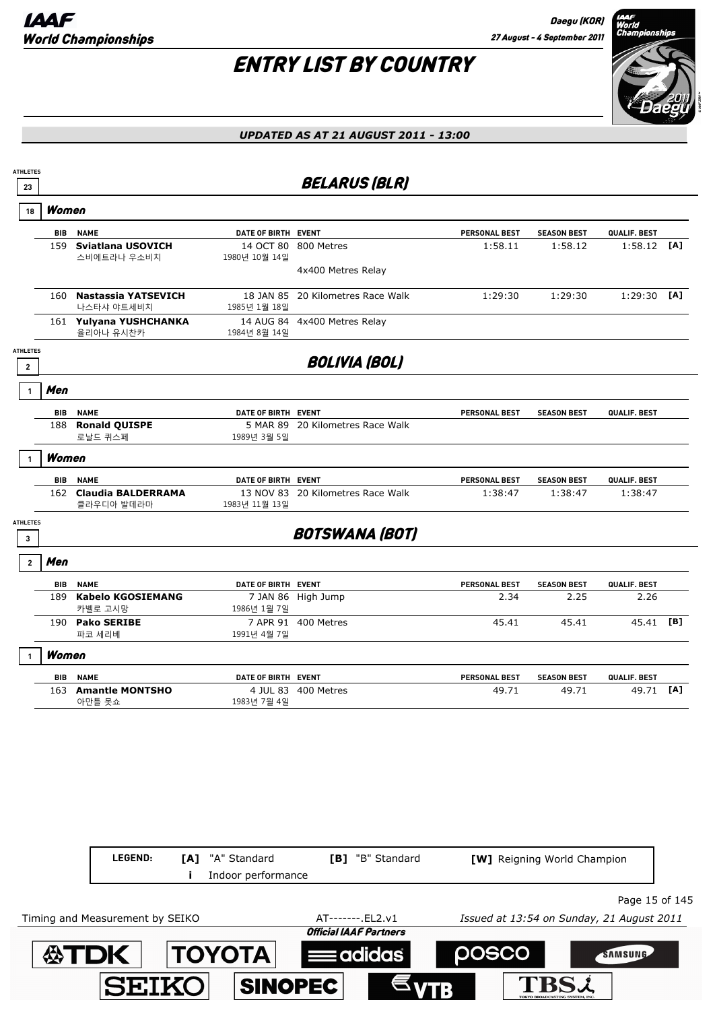

| <b>ATHLETES</b><br>23                      |       |                                      |                            | <b>BELARUS (BLR)</b>              |                      |                             |                |     |
|--------------------------------------------|-------|--------------------------------------|----------------------------|-----------------------------------|----------------------|-----------------------------|----------------|-----|
| 18                                         | Women |                                      |                            |                                   |                      |                             |                |     |
|                                            | BIB   | <b>NAME</b>                          | DATE OF BIRTH EVENT        |                                   | PERSONAL BEST        | <b>SEASON BEST</b>          | QUALIF. BEST   |     |
|                                            | 159   | Sviatlana USOVICH<br>스비에트라나 우소비치     | 14 OCT 80<br>1980년 10월 14일 | 800 Metres                        | 1:58.11              | 1:58.12                     | 1:58.12        | [A] |
|                                            |       |                                      |                            | 4x400 Metres Relay                |                      |                             |                |     |
|                                            | 160   | Nastassia YATSEVICH<br>나스타샤 야트세비치    | 1985년 1월 18일               | 18 JAN 85 20 Kilometres Race Walk | 1:29:30              | 1:29:30                     | $1:29:30$ [A]  |     |
|                                            |       | 161 Yulyana YUSHCHANKA<br>율리아나 유시찬카  | 1984년 8월 14일               | 14 AUG 84 4x400 Metres Relay      |                      |                             |                |     |
| <b>ATHLETES</b><br>$\overline{\mathbf{2}}$ |       |                                      |                            | <b>BOLIVIA (BOL)</b>              |                      |                             |                |     |
|                                            | Men   |                                      |                            |                                   |                      |                             |                |     |
|                                            | BIB   | <b>NAME</b>                          | DATE OF BIRTH EVENT        |                                   | PERSONAL BEST        | <b>SEASON BEST</b>          | QUALIF. BEST   |     |
|                                            | 188   | <b>Ronald QUISPE</b><br>로날드 퀴스페      | 1989년 3월 5일                | 5 MAR 89 20 Kilometres Race Walk  |                      |                             |                |     |
|                                            | Women |                                      |                            |                                   |                      |                             |                |     |
|                                            | BIB   | <b>NAME</b>                          | DATE OF BIRTH EVENT        |                                   | <b>PERSONAL BEST</b> | <b>SEASON BEST</b>          | QUALIF. BEST   |     |
|                                            |       | 162 Claudia BALDERRAMA<br>클라우디아 발데라마 | 1983년 11월 13일              | 13 NOV 83 20 Kilometres Race Walk | 1:38:47              | 1:38:47                     | 1:38:47        |     |
| <b>ATHLETES</b><br>3                       |       |                                      |                            | <b>BOTSWANA (BOT)</b>             |                      |                             |                |     |
| $\overline{2}$                             | Men   |                                      |                            |                                   |                      |                             |                |     |
|                                            | BIB   | <b>NAME</b>                          | DATE OF BIRTH EVENT        |                                   | <b>PERSONAL BEST</b> | <b>SEASON BEST</b>          | QUALIF. BEST   |     |
|                                            | 189   | <b>Kabelo KGOSIEMANG</b><br>카벨로 고시망  | 1986년 1월 7일                | 7 JAN 86 High Jump                | 2.34                 | 2.25                        | 2.26           |     |
|                                            |       | 190 Pako SERIBE<br>파코 세리베            | 1991년 4월 7일                | 7 APR 91 400 Metres               | 45.41                | 45.41                       | 45.41 [B]      |     |
|                                            | Women |                                      |                            |                                   |                      |                             |                |     |
|                                            | BIB   | <b>NAME</b>                          | DATE OF BIRTH EVENT        |                                   | <b>PERSONAL BEST</b> | <b>SEASON BEST</b>          | QUALIF. BEST   |     |
|                                            |       | 163 Amantle MONTSHO<br>아만틀 못쇼        | 1983년 7월 4일                | 4 JUL 83 400 Metres               | 49.71                | 49.71                       | 49.71          | [A] |
|                                            |       |                                      |                            |                                   |                      |                             |                |     |
|                                            |       |                                      |                            |                                   |                      |                             |                |     |
|                                            |       |                                      |                            |                                   |                      |                             |                |     |
|                                            |       |                                      |                            |                                   |                      |                             |                |     |
|                                            |       | LEGEND:<br>[A]                       | "A" Standard               | [B] "B" Standard                  |                      | [W] Reigning World Champion |                |     |
|                                            |       |                                      | Indoor performance         |                                   |                      |                             |                |     |
|                                            |       |                                      |                            |                                   |                      |                             | Page 15 of 145 |     |

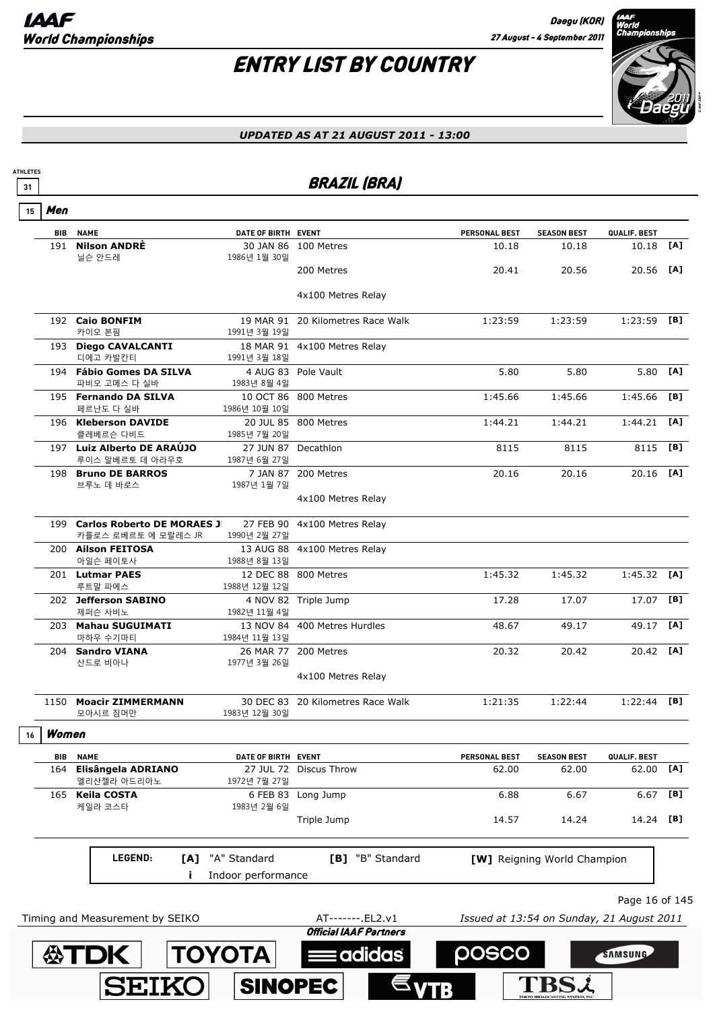

| <b>ATHLETES</b><br>31 |       |                                                       |                                     | <b>BRAZIL (BRA)</b>                               |                      |                                           |                    |     |
|-----------------------|-------|-------------------------------------------------------|-------------------------------------|---------------------------------------------------|----------------------|-------------------------------------------|--------------------|-----|
| 15                    | Men   |                                                       |                                     |                                                   |                      |                                           |                    |     |
|                       | BIB   | <b>NAME</b>                                           | DATE OF BIRTH EVENT                 |                                                   | <b>PERSONAL BEST</b> | <b>SEASON BEST</b>                        | QUALIF. BEST       |     |
|                       | 191   | <b>Nilson ANDRÈ</b><br>닐슨 안드레                         | 1986년 1월 30일                        | 30 JAN 86 100 Metres                              | 10.18                | 10.18                                     | 10.18              | [A] |
|                       |       |                                                       |                                     | 200 Metres                                        | 20.41                | 20.56                                     | 20.56              | [A] |
|                       |       |                                                       |                                     | 4x100 Metres Relay                                |                      |                                           |                    |     |
|                       |       | 192 Caio BONFIM<br>카이오 본핌                             | 1991년 3월 19일                        | 19 MAR 91 20 Kilometres Race Walk                 | 1:23:59              | 1:23:59                                   | 1:23:59 [B]        |     |
|                       |       | 193 Diego CAVALCANTI<br>디에고 카발칸티                      | 1991년 3월 18일                        | 18 MAR 91 4x100 Metres Relay                      |                      |                                           |                    |     |
|                       |       | 194 Fábio Gomes DA SILVA<br>파비오 고메스 다 실바              | 1983년 8월 4일                         | 4 AUG 83 Pole Vault                               | 5.80                 | 5.80                                      | 5.80               | [A] |
|                       |       | 195 Fernando DA SILVA<br>페르난도 다 실바                    | 1986년 10월 10일                       | 10 OCT 86 800 Metres                              | 1:45.66              | 1:45.66                                   | 1:45.66            | [B] |
|                       |       | 196 Kleberson DAVIDE<br>클레베르슨 다비드                     | 1985년 7월 20일                        | 20 JUL 85 800 Metres                              | 1:44.21              | 1:44.21                                   | 1:44.21            | [A] |
|                       |       | 197 Luiz Alberto DE ARAUJO<br>루이스 알베르토 데 아라우호         | 27 JUN 87 Decathlon<br>1987년 6월 27일 |                                                   | 8115                 | 8115                                      | 8115               | [B] |
|                       |       | 198 Bruno DE BARROS<br>브루노 데 바로스                      | 1987년 1월 7일                         | 7 JAN 87 200 Metres                               | 20.16                | 20.16                                     | 20.16              | [A] |
|                       |       |                                                       |                                     | 4x100 Metres Relay                                |                      |                                           |                    |     |
|                       |       | 199 Carlos Roberto DE MORAES J<br>카를로스 로베르토 에 모랄레스 JR | 1990년 2월 27일                        | 27 FEB 90 4x100 Metres Relay                      |                      |                                           |                    |     |
|                       |       | 200 Ailson FEITOSA<br>아일슨 페이토사                        | 1988년 8월 13일                        | 13 AUG 88 4x100 Metres Relay                      |                      |                                           |                    |     |
|                       |       | 201 Lutmar PAES<br>루트말 파에스                            | 1988년 12월 12일                       | 12 DEC 88 800 Metres                              | 1:45.32              | 1:45.32                                   | 1:45.32            | [A] |
|                       |       | 202 Jefferson SABINO<br>제퍼슨 사비노                       | 1982년 11월 4일                        | 4 NOV 82 Triple Jump                              | 17.28                | 17.07                                     | 17.07              | [B] |
|                       |       | 203 Mahau SUGUIMATI<br>마하우 수기마티                       | 1984년 11월 13일                       | 13 NOV 84 400 Metres Hurdles                      | 48.67                | 49.17                                     | 49.17              | [A] |
|                       |       | 204 Sandro VIANA<br>산드로 비아나                           | 1977년 3월 26일                        | 26 MAR 77 200 Metres                              | 20.32                | 20.42                                     | 20.42 [ <b>A</b> ] |     |
|                       |       |                                                       |                                     | 4x100 Metres Relay                                |                      |                                           |                    |     |
|                       |       | 1150 Moacir ZIMMERMANN<br>모아시르 짐머만                    | 1983년 12월 30일                       | 30 DEC 83 20 Kilometres Race Walk                 | 1:21:35              | 1:22:44                                   | 1:22:44            | [B] |
| 16                    | Women |                                                       |                                     |                                                   |                      |                                           |                    |     |
|                       | BIB   | <b>NAME</b>                                           | DATE OF BIRTH EVENT                 |                                                   | PERSONAL BEST        | <b>SEASON BEST</b>                        | QUALIF. BEST       |     |
|                       |       | 164 Elisângela ADRIANO<br>엘리산젤라 아드리아노                 | 1972년 7월 27일                        | 27 JUL 72 Discus Throw                            | 62.00                | 62.00                                     | 62.00              | [A] |
|                       |       | 165 Keila COSTA<br>케일라 코스타                            | 1983년 2월 6일                         | 6 FEB 83 Long Jump                                | 6.88                 | 6.67                                      | 6.67               | [B] |
|                       |       |                                                       |                                     | Triple Jump                                       | 14.57                | 14.24                                     | 14.24              | [B] |
|                       |       | LEGEND:<br>[A]                                        | "A" Standard                        | [B] "B" Standard                                  |                      | [W] Reigning World Champion               |                    |     |
|                       |       | j.                                                    | Indoor performance                  |                                                   |                      |                                           |                    |     |
|                       |       |                                                       |                                     |                                                   |                      |                                           | Page 16 of 145     |     |
|                       |       | Timing and Measurement by SEIKO                       |                                     | AT------- EL2.v1<br><b>Official IAAF Partners</b> |                      | Issued at 13:54 on Sunday, 21 August 2011 |                    |     |
|                       |       | <b>公丁口</b>                                            | TOYOTA                              | adidas                                            | posco                |                                           | SAMSUNG            |     |
|                       |       |                                                       |                                     |                                                   |                      |                                           |                    |     |
|                       |       | SEIKO                                                 | <b>SINOPEC</b>                      |                                                   |                      | TBSL                                      |                    |     |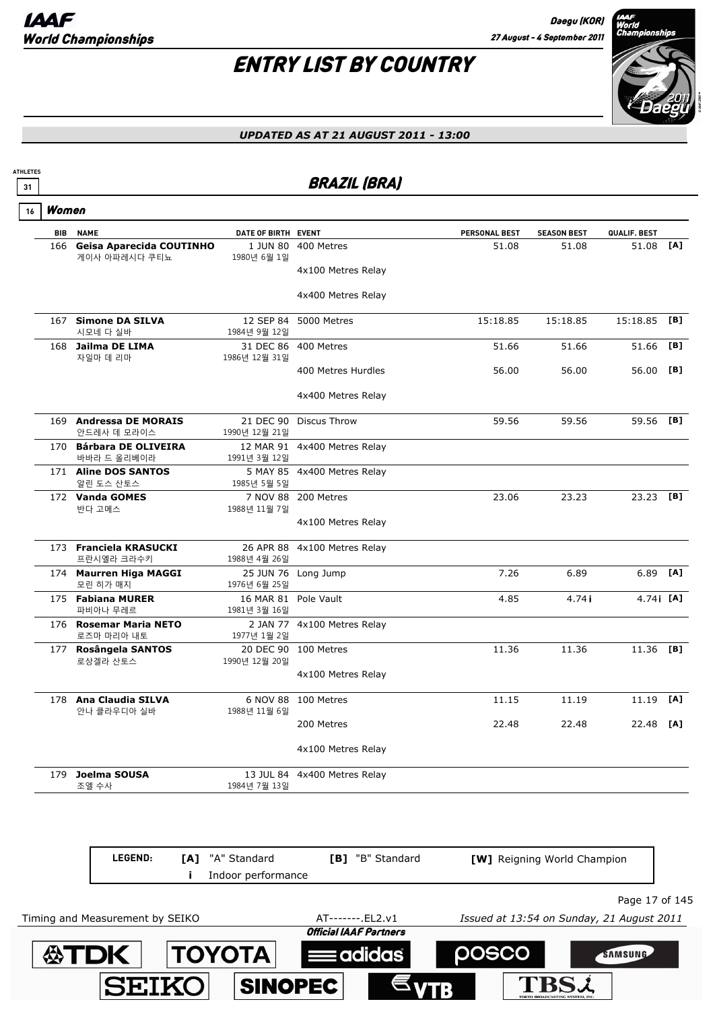# ENTRY LIST BY COUNTRY



| 31 |       |                                                  |                            | <b>BRAZIL (BRA)</b>          |               |                    |              |                   |
|----|-------|--------------------------------------------------|----------------------------|------------------------------|---------------|--------------------|--------------|-------------------|
| 16 | Women |                                                  |                            |                              |               |                    |              |                   |
|    | BIB   | <b>NAME</b>                                      | DATE OF BIRTH EVENT        |                              | PERSONAL BEST | <b>SEASON BEST</b> | QUALIF. BEST |                   |
|    | 166   | <b>Geisa Aparecida COUTINHO</b><br>게이사 아파레시다 쿠티뇨 | 1980년 6월 1일                | 1 JUN 80 400 Metres          | 51.08         | 51.08              | 51.08 [A]    |                   |
|    |       |                                                  |                            | 4x100 Metres Relay           |               |                    |              |                   |
|    |       |                                                  |                            | 4x400 Metres Relay           |               |                    |              |                   |
|    |       | 167 Simone DA SILVA<br>시모네 다 실바                  | 12 SEP 84<br>1984년 9월 12일  | 5000 Metres                  | 15:18.85      | 15:18.85           | 15:18.85     | [B]               |
|    |       | 168 Jailma DE LIMA<br>자일마 데 리마                   | 1986년 12월 31일              | 31 DEC 86 400 Metres         | 51.66         | 51.66              | 51.66        | [B]               |
|    |       |                                                  |                            | 400 Metres Hurdles           | 56.00         | 56.00              | 56.00        | [B]               |
|    |       |                                                  |                            | 4x400 Metres Relay           |               |                    |              |                   |
|    |       | 169 Andressa DE MORAIS<br>안드레사 데 모라이스            | 21 DEC 90<br>1990년 12월 21일 | <b>Discus Throw</b>          | 59.56         | 59.56              | 59.56        | [B]               |
|    |       | 170 Bárbara DE OLIVEIRA<br>바바라 드 올리베이라           | 1991년 3월 12일               | 12 MAR 91 4x400 Metres Relay |               |                    |              |                   |
|    |       | 171 Aline DOS SANTOS<br>알린 도스 산토스                | 1985년 5월 5일                | 5 MAY 85 4x400 Metres Relay  |               |                    |              |                   |
|    |       | 172 Vanda GOMES<br>반다 고메스                        | 7 NOV 88<br>1988년 11월 7일   | 200 Metres                   | 23.06         | 23.23              | $23.23$ [B]  |                   |
|    |       |                                                  |                            | 4x100 Metres Relay           |               |                    |              |                   |
|    |       | 173 Franciela KRASUCKI<br>프란시엘라 크라수키             | 26 APR 88<br>1988년 4월 26일  | 4x100 Metres Relay           |               |                    |              |                   |
|    |       | 174 Maurren Higa MAGGI<br>모린 히가 매지               | 25 JUN 76<br>1976년 6월 25일  | Long Jump                    | 7.26          | 6.89               | 6.89         | [A]               |
|    |       | 175 Fabiana MURER<br>파비아나 무레르                    | 16 MAR 81<br>1981년 3월 16일  | Pole Vault                   | 4.85          | 4.74 i             |              | 4.74 <b>i [A]</b> |
|    |       | 176 Rosemar Maria NETO<br>로즈마 마리아 내토             | 1977년 1월 2일                | 2 JAN 77 4x100 Metres Relay  |               |                    |              |                   |
|    |       | 177 Rosângela SANTOS<br>로상겔라 산토스                 | 1990년 12월 20일              | 20 DEC 90 100 Metres         | 11.36         | 11.36              | 11.36 [B]    |                   |
|    |       |                                                  |                            | 4x100 Metres Relay           |               |                    |              |                   |
|    |       | 178 Ana Claudia SILVA<br>안나 클라우디아 실바             | 1988년 11월 6일               | 6 NOV 88 100 Metres          | 11.15         | 11.19              | 11.19        | [A]               |
|    |       |                                                  |                            | 200 Metres                   | 22.48         | 22.48              | 22.48 [A]    |                   |
|    |       |                                                  |                            | 4x100 Metres Relay           |               |                    |              |                   |
|    |       | 179 Joelma SOUSA<br>조엘 수사                        | 1984년 7월 13일               | 13 JUL 84 4x400 Metres Relay |               |                    |              |                   |

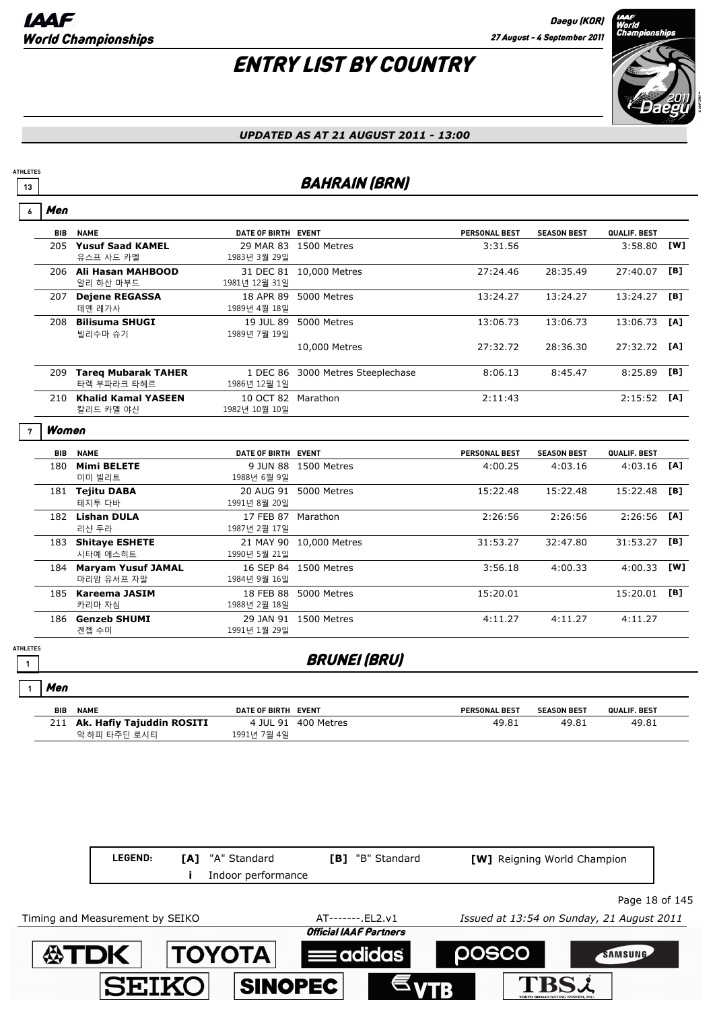# ENTRY LIST BY COUNTRY



#### *UPDATED AS AT 21 AUGUST 2011 - 13:00*

## **13 BAHRAIN (BRN)**

| 6 | Men        |                                           |                            |                          |                      |                    |              |     |
|---|------------|-------------------------------------------|----------------------------|--------------------------|----------------------|--------------------|--------------|-----|
|   | <b>BIB</b> | <b>NAME</b>                               | DATE OF BIRTH EVENT        |                          | <b>PERSONAL BEST</b> | <b>SEASON BEST</b> | QUALIF. BEST |     |
|   | 205        | <b>Yusuf Saad KAMEL</b><br>유스프 사드 카멜      | 29 MAR 83<br>1983년 3월 29일  | 1500 Metres              | 3:31.56              |                    | 3:58.80      | [W] |
|   | 206        | Ali Hasan MAHBOOD<br>알리 하산 마부드            | 31 DEC 81<br>1981년 12월 31일 | 10,000 Metres            | 27:24.46             | 28:35.49           | 27:40.07     | [B] |
|   | 207        | <b>Dejene REGASSA</b><br>데옌 레가사           | 18 APR 89<br>1989년 4월 18일  | 5000 Metres              | 13:24.27             | 13:24.27           | 13:24.27     | [B] |
|   | 208        | <b>Bilisuma SHUGI</b><br>빌리수마 슈기          | 19 JUL 89<br>1989년 7월 19일  | 5000 Metres              | 13:06.73             | 13:06.73           | 13:06.73     | [A] |
|   |            |                                           |                            | 10,000 Metres            | 27:32.72             | 28:36.30           | 27:32.72     | [A] |
|   | 209        | <b>Tareg Mubarak TAHER</b><br>타렉 부파라크 타헤르 | 1 DEC 86<br>1986년 12월 1일   | 3000 Metres Steeplechase | 8:06.13              | 8:45.47            | 8:25.89      | [B] |
|   | 210        | <b>Khalid Kamal YASEEN</b><br>칼리드 카멜 야신   | 10 OCT 82<br>1982년 10월 10일 | Marathon                 | 2:11:43              |                    | 2:15:52      | [A] |
| 7 | Women      |                                           |                            |                          |                      |                    |              |     |
|   | <b>BIB</b> | <b>NAME</b>                               | <b>DATE OF BIRTH</b>       | <b>EVENT</b>             | <b>PERSONAL BEST</b> | <b>SEASON BEST</b> | QUALIF. BEST |     |
|   | 180        | <b>Mimi BELETE</b>                        | 9 JUN 88                   | 1500 Metres              | 4:00.25              | 4:03.16            | 4:03.16      | [A] |
|   |            | 미미 빙리트                                    | 1988년 6월 9일                |                          |                      |                    |              |     |

| 180 | <b>Mimi BELETE</b>        | 9 JUN 88     | 1500 Metres   | 4:00.25  | 4:03.16  | 4:03.16       | [A] |
|-----|---------------------------|--------------|---------------|----------|----------|---------------|-----|
|     | 미미 빌리트                    | 1988년 6월 9일  |               |          |          |               |     |
| 181 | <b>Tejitu DABA</b>        | 20 AUG 91    | 5000 Metres   | 15:22.48 | 15:22.48 | 15:22.48      | [B] |
|     | 테지투 다바                    | 1991년 8월 20일 |               |          |          |               |     |
| 182 | <b>Lishan DULA</b>        | 17 FEB 87    | Marathon      | 2:26:56  | 2:26:56  | $2:26:56$ [A] |     |
|     | 리샨 두라                     | 1987년 2월 17일 |               |          |          |               |     |
| 183 | <b>Shitaye ESHETE</b>     | 21 MAY 90    | 10,000 Metres | 31:53.27 | 32:47.80 | 31:53.27      | [B] |
|     | 시타예 에스히트                  | 1990년 5월 21일 |               |          |          |               |     |
| 184 | <b>Maryam Yusuf JAMAL</b> | 16 SEP 84    | 1500 Metres   | 3:56.18  | 4:00.33  | 4:00.33       | [W] |
|     | 마리암 유서프 자말                | 1984년 9월 16일 |               |          |          |               |     |
| 185 | Kareema JASIM             | 18 FEB 88    | 5000 Metres   | 15:20.01 |          | 15:20.01      | [B] |
|     | 카리마 자심                    | 1988년 2월 18일 |               |          |          |               |     |
| 186 | <b>Genzeb SHUMI</b>       | 29 JAN 91    | 1500 Metres   | 4:11.27  | 4:11.27  | 4:11.27       |     |
|     | 겐젭 수미                     | 1991년 1월 29일 |               |          |          |               |     |

**ATHLETES**

 $\overline{\phantom{a}}$ 

**1**

Men

## **1 1 BRUNEI (BRU)**

| ווסויו |                               |                     |                     |                      |                    |              |
|--------|-------------------------------|---------------------|---------------------|----------------------|--------------------|--------------|
| BIB    | <b>NAME</b>                   | DATE OF BIRTH EVENT |                     | <b>PERSONAL BEST</b> | <b>SEASON BEST</b> | QUALIF. BEST |
|        | 211 Ak. Hafiy Tajuddin ROSITI |                     | 4 JUL 91 400 Metres | 49.81                | 49.81              | 49.81        |
|        | 악.하피 타주딘 로시티                  | 1991년 7월 4일         |                     |                      |                    |              |

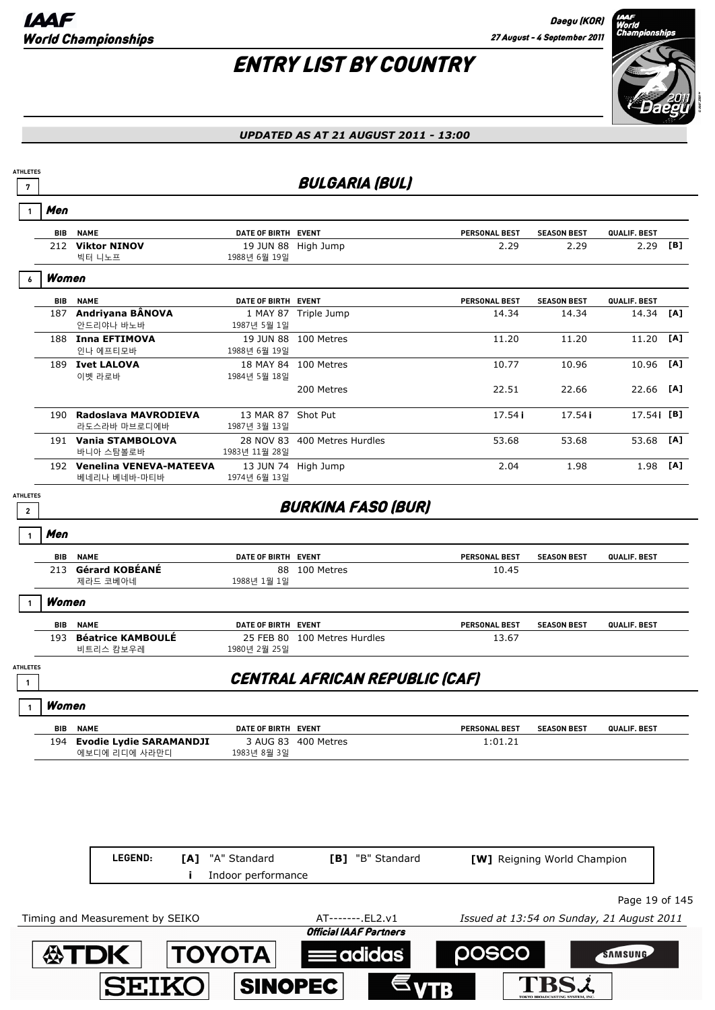

**SAMSUNG** 

TBSL

#### *UPDATED AS AT 21 AUGUST 2011 - 13:00*



adidas

**SINOPEC** 

**SEIK**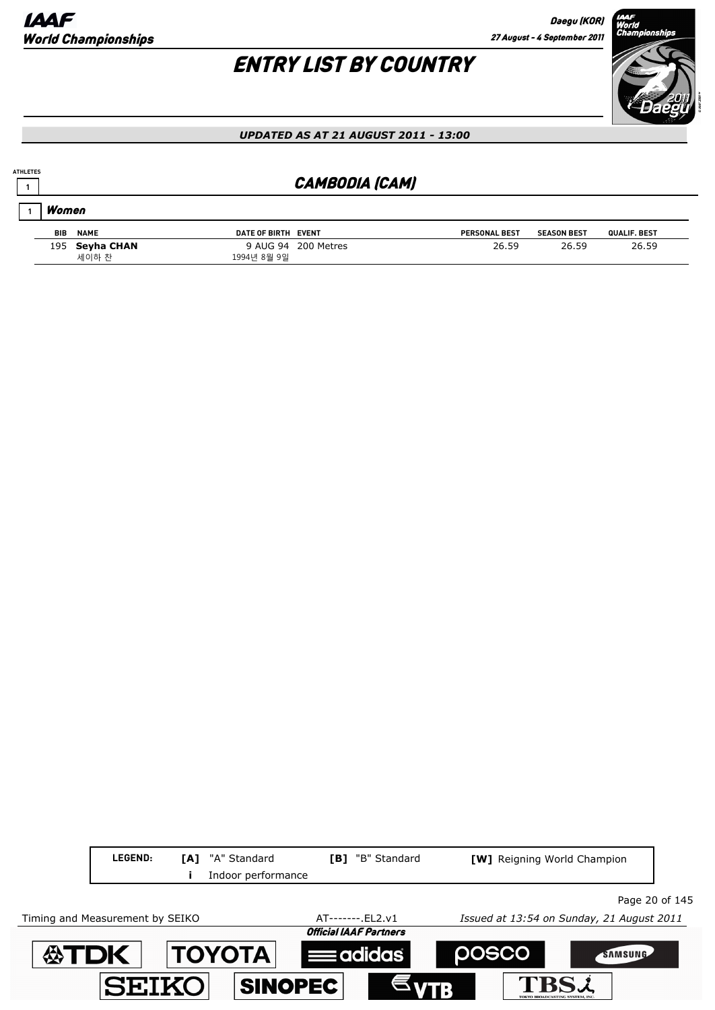# ENTRY LIST BY COUNTRY



#### *UPDATED AS AT 21 AUGUST 2011 - 13:00*

## **<sup>1</sup>** CAMBODIA (CAM)

| Women      |                         |                     |                     |                      |                    |              |  |  |
|------------|-------------------------|---------------------|---------------------|----------------------|--------------------|--------------|--|--|
| <b>BIB</b> | <b>NAME</b>             | DATE OF BIRTH EVENT |                     | <b>PERSONAL BEST</b> | <b>SEASON BEST</b> | QUALIF. BEST |  |  |
|            | 195 Seyha CHAN<br>세이하 찬 | 1994년 8월 9일         | 9 AUG 94 200 Metres | 26.59                | 26.59              | 26.59        |  |  |

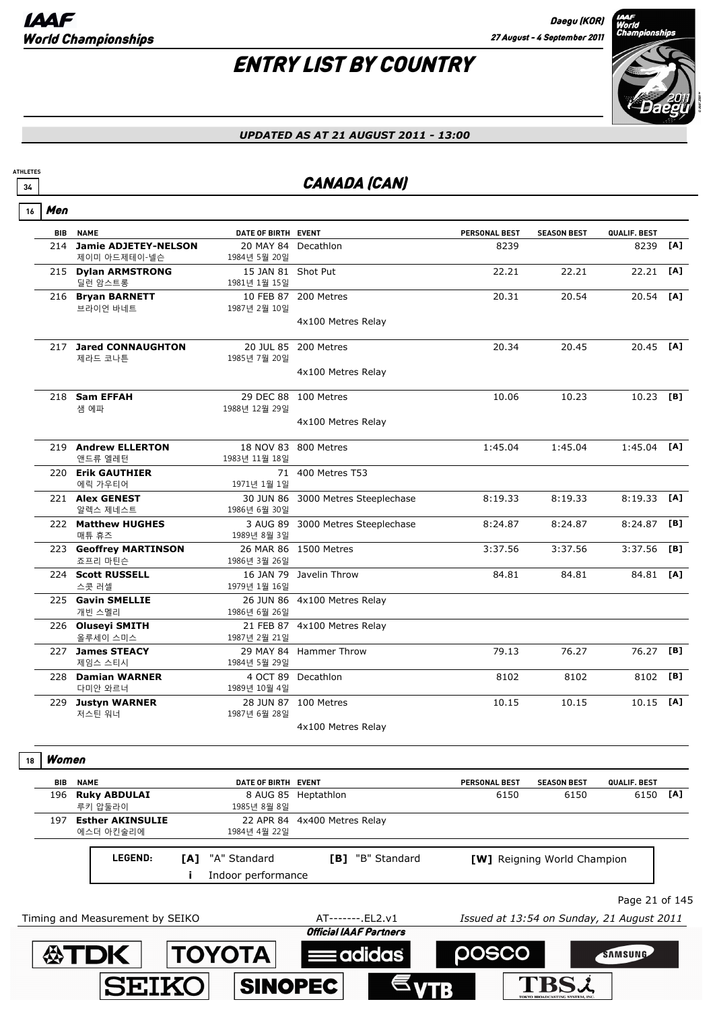$\overline{\phantom{a}}$ 

# ENTRY LIST BY COUNTRY



#### *UPDATED AS AT 21 AUGUST 2011 - 13:00*

## **34** CANADA (CAN)

| 16 | Men        |                                             |                                     |                                                    |                                           |                             |                |     |
|----|------------|---------------------------------------------|-------------------------------------|----------------------------------------------------|-------------------------------------------|-----------------------------|----------------|-----|
|    | <b>BIB</b> | <b>NAME</b>                                 | DATE OF BIRTH EVENT                 |                                                    | <b>PERSONAL BEST</b>                      | <b>SEASON BEST</b>          | QUALIF. BEST   |     |
|    | 214        | <b>Jamie ADJETEY-NELSON</b><br>제이미 아드제테이-넬슨 | 20 MAY 84 Decathlon<br>1984년 5월 20일 |                                                    | 8239                                      |                             | 8239           | [A] |
|    |            | 215 Dylan ARMSTRONG<br>딜런 암스트롱              | 15 JAN 81 Shot Put<br>1981년 1월 15일  |                                                    | 22.21                                     | 22.21                       | 22.21          | [A] |
|    |            | 216 Bryan BARNETT                           |                                     | 10 FEB 87 200 Metres                               | 20.31                                     | 20.54                       | 20.54          | [A] |
|    |            | 브라이언 바네트                                    | 1987년 2월 10일                        | 4x100 Metres Relay                                 |                                           |                             |                |     |
|    |            | 217 Jared CONNAUGHTON                       |                                     | 20 JUL 85 200 Metres                               | 20.34                                     | 20.45                       | 20.45 [A]      |     |
|    |            | 제라드 코나튼                                     | 1985년 7월 20일                        | 4x100 Metres Relay                                 |                                           |                             |                |     |
|    |            | 218 Sam EFFAH                               |                                     | 29 DEC 88 100 Metres                               | 10.06                                     | 10.23                       | 10.23          | [B] |
|    |            | 샘 에파                                        | 1988년 12월 29일                       | 4x100 Metres Relay                                 |                                           |                             |                |     |
|    |            |                                             |                                     |                                                    |                                           |                             |                |     |
|    |            | 219 Andrew ELLERTON<br>앤드류 엘레턴              | 1983년 11월 18일                       | 18 NOV 83 800 Metres                               | 1:45.04                                   | 1:45.04                     | 1:45.04        | [A] |
|    |            | 220 Erik GAUTHIER<br>에릭 가우티어                | 1971년 1월 1일                         | 71 400 Metres T53                                  |                                           |                             |                |     |
|    |            | 221 Alex GENEST<br>알렉스 제네스트                 | 1986년 6월 30일                        | 30 JUN 86 3000 Metres Steeplechase                 | 8:19.33                                   | 8:19.33                     | 8:19.33        | [A] |
|    |            | 222 Matthew HUGHES<br>매튜 휴즈                 | 1989년 8월 3일                         | 3 AUG 89 3000 Metres Steeplechase                  | 8:24.87                                   | 8:24.87                     | 8:24.87        | [B] |
|    |            | 223 Geoffrey MARTINSON<br>죠프리 마틴슨           | 1986년 3월 26일                        | 26 MAR 86 1500 Metres                              | 3:37.56                                   | 3:37.56                     | $3:37.56$ [B]  |     |
|    |            | 224 Scott RUSSELL<br>스콧 러셀                  | 1979년 1월 16일                        | 16 JAN 79 Javelin Throw                            | 84.81                                     | 84.81                       | 84.81 [A]      |     |
|    |            | 225 Gavin SMELLIE<br>개빈 스멜리                 | 1986년 6월 26일                        | 26 JUN 86 4x100 Metres Relay                       |                                           |                             |                |     |
|    |            | 226 Oluseyi SMITH<br>올루세이 스미스               | 1987년 2월 21일                        | 21 FEB 87 4x100 Metres Relay                       |                                           |                             |                |     |
|    |            | 227 James STEACY<br>제임스 스티시                 | 1984년 5월 29일                        | 29 MAY 84 Hammer Throw                             | 79.13                                     | 76.27                       | 76.27          | [B] |
|    |            | 228 Damian WARNER<br>다미안 와르너                | 1989년 10월 4일                        | 4 OCT 89 Decathlon                                 | 8102                                      | 8102                        | 8102           | [B] |
|    |            | 229 Justyn WARNER<br>저스틴 워너                 | 1987년 6월 28일                        | 28 JUN 87 100 Metres                               | 10.15                                     | 10.15                       | $10.15$ [A]    |     |
|    |            |                                             |                                     | 4x100 Metres Relay                                 |                                           |                             |                |     |
| 18 | Women      |                                             |                                     |                                                    |                                           |                             |                |     |
|    | BIB        | <b>NAME</b>                                 | DATE OF BIRTH                       | <b>EVENT</b>                                       | <b>PERSONAL BEST</b>                      | <b>SEASON BEST</b>          | QUALIF. BEST   |     |
|    | 196        | <b>Ruky ABDULAI</b><br>루키 압둘라이              | 8 AUG 85<br>1985년 8월 8일             | Heptathlon                                         | 6150                                      | 6150                        | 6150           | [A] |
|    | 197        | <b>Esther AKINSULIE</b><br>에스더 아킨술리에        | 22 APR 84<br>1984년 4월 22일           | 4x400 Metres Relay                                 |                                           |                             |                |     |
|    |            | LEGEND:<br>[A]                              | "A" Standard                        | [B] "B" Standard                                   |                                           | [W] Reigning World Champion |                |     |
|    |            | Ī                                           | Indoor performance                  |                                                    |                                           |                             |                |     |
|    |            |                                             |                                     |                                                    |                                           |                             | Page 21 of 145 |     |
|    |            | Timing and Measurement by SEIKO             |                                     | AT-------. EL2.v1<br><b>Official IAAF Partners</b> | Issued at 13:54 on Sunday, 21 August 2011 |                             |                |     |
|    |            | <b>公TDK</b>                                 | ΤΟΥΟΤΑ                              | : adidas                                           | posco                                     |                             | <b>SAMSUNG</b> |     |
|    |            |                                             |                                     |                                                    |                                           |                             |                |     |
|    |            | <b>SEIKO</b>                                | <b>SINOPEC</b>                      |                                                    |                                           |                             |                |     |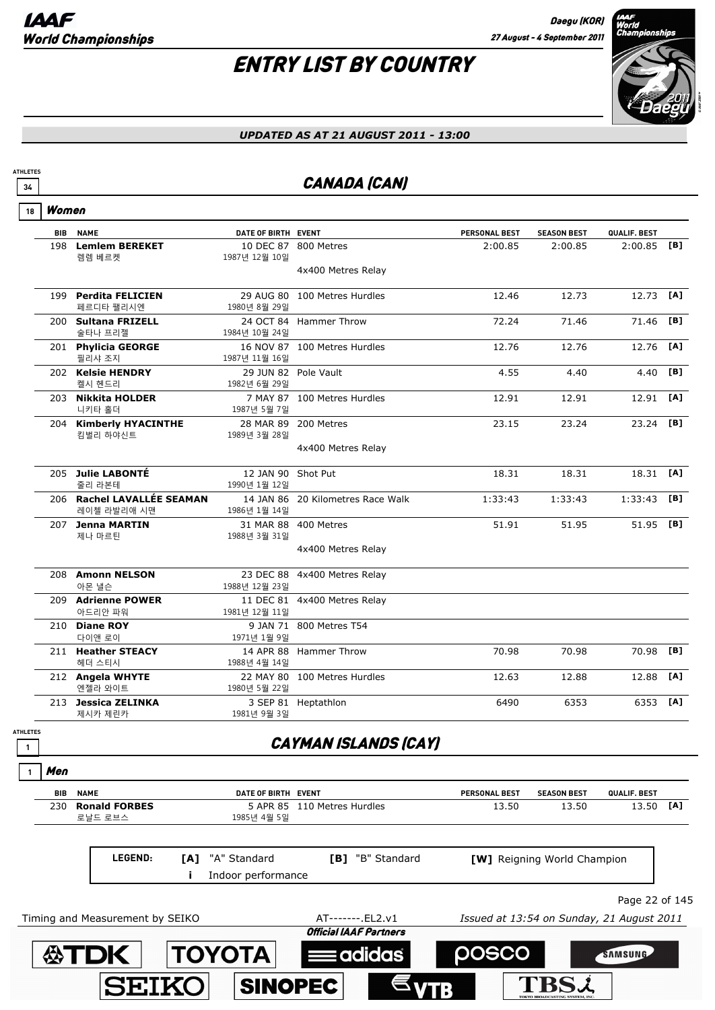

#### *UPDATED AS AT 21 AUGUST 2011 - 13:00*

## **34** CANADA (CAN)

Women **18**

**ATHLETES**

ATH<br> **C** 

|              | <b>BIB</b> | <b>NAME</b>                      | DATE OF BIRTH EVENT                |                                   | PERSONAL BEST | <b>SEASON BEST</b> | QUALIF. BEST  |     |
|--------------|------------|----------------------------------|------------------------------------|-----------------------------------|---------------|--------------------|---------------|-----|
|              |            | 198 Lemlem BEREKET               |                                    | 10 DEC 87 800 Metres              | 2:00.85       | 2:00.85            | $2:00.85$ [B] |     |
|              |            | 렘렘 베르켓                           | 1987년 12월 10일                      |                                   |               |                    |               |     |
|              |            |                                  |                                    | 4x400 Metres Relay                |               |                    |               |     |
|              |            | 199 Perdita FELICIEN             |                                    | 29 AUG 80 100 Metres Hurdles      | 12.46         | 12.73              | 12.73         | [A] |
|              |            | 페르디타 팰리시엔                        | 1980년 8월 29일                       |                                   |               |                    |               |     |
|              |            | 200 Sultana FRIZELL              |                                    | 24 OCT 84 Hammer Throw            | 72.24         | 71.46              | 71.46         | [B] |
|              |            | 술타나 프리젤<br>201 Phylicia GEORGE   | 1984년 10월 24일                      | 16 NOV 87 100 Metres Hurdles      | 12.76         | 12.76              | 12.76         | [A] |
|              |            | 필리샤 조지                           | 1987년 11월 16일                      |                                   |               |                    |               |     |
|              |            | 202 Kelsie HENDRY                | 29 JUN 82 Pole Vault               |                                   | 4.55          | 4.40               | 4.40          | [B] |
|              |            | 켈시 헨드리                           | 1982년 6월 29일                       |                                   |               |                    |               |     |
|              |            | 203 Nikkita HOLDER               |                                    | 7 MAY 87 100 Metres Hurdles       | 12.91         | 12.91              | 12.91         | [A] |
|              |            | 니키타 홀더<br>204 Kimberly HYACINTHE | 1987년 5월 7일                        | 28 MAR 89 200 Metres              | 23.15         | 23.24              | 23.24         | [B] |
|              |            | 킴벌리 하야신트                         | 1989년 3월 28일                       |                                   |               |                    |               |     |
|              |            |                                  |                                    | 4x400 Metres Relay                |               |                    |               |     |
|              |            |                                  |                                    |                                   |               |                    |               |     |
|              |            | 205 Julie LABONTÉ<br>줄리 라본테      | 12 JAN 90 Shot Put<br>1990년 1월 12일 |                                   | 18.31         | 18.31              | 18.31 [A]     |     |
|              |            | 206 Rachel LAVALLÉE SEAMAN       |                                    | 14 JAN 86 20 Kilometres Race Walk | 1:33:43       | 1:33:43            | 1:33:43       | [B] |
|              |            | 레이첼 라발리애 시맨                      | 1986년 1월 14일                       |                                   |               |                    |               |     |
|              |            | 207 Jenna MARTIN                 |                                    | 31 MAR 88 400 Metres              | 51.91         | 51.95              | 51.95 [B]     |     |
|              |            | 제나 마르틴                           | 1988년 3월 31일                       |                                   |               |                    |               |     |
|              |            |                                  |                                    | 4x400 Metres Relay                |               |                    |               |     |
|              |            | 208 Amonn NELSON                 |                                    | 23 DEC 88 4x400 Metres Relay      |               |                    |               |     |
|              |            | 아몬 낼슨                            | 1988년 12월 23일                      |                                   |               |                    |               |     |
|              |            | 209 Adrienne POWER               |                                    | 11 DEC 81 4x400 Metres Relay      |               |                    |               |     |
|              |            | 아드리안 파워                          | 1981년 12월 11일                      |                                   |               |                    |               |     |
|              |            | 210 Diane ROY<br>다이앤 로이          | 1971년 1월 9일                        | 9 JAN 71 800 Metres T54           |               |                    |               |     |
|              |            | 211 Heather STEACY               |                                    | 14 APR 88 Hammer Throw            | 70.98         | 70.98              | 70.98         | [B] |
|              |            | 헤더 스티시                           | 1988년 4월 14일                       |                                   |               |                    |               |     |
|              |            | 212 Angela WHYTE                 |                                    | 22 MAY 80 100 Metres Hurdles      | 12.63         | 12.88              | 12.88         | [A] |
|              |            | 엔젤라 와이트                          | 1980년 5월 22일                       |                                   |               |                    |               |     |
|              |            | 213 Jessica ZELINKA<br>제시카 제린카   | 1981년 9월 3일                        | 3 SEP 81 Heptathlon               | 6490          | 6353               | 6353 [A]      |     |
| <b>ETES</b>  |            |                                  |                                    |                                   |               |                    |               |     |
| $\mathbf{1}$ |            |                                  |                                    | <b>CAYMAN ISLANDS (CAY)</b>       |               |                    |               |     |
|              |            |                                  |                                    |                                   |               |                    |               |     |
|              | Men        |                                  |                                    |                                   |               |                    |               |     |
|              | <b>BIB</b> | <b>NAME</b>                      | DATE OF BIRTH EVENT                |                                   | PERSONAL BEST | <b>SEASON BEST</b> | QUALIF. BEST  |     |
|              | 230        | <b>Ronald FORBES</b>             |                                    | 5 APR 85 110 Metres Hurdles       | 13.50         | 13.50              | 13.50         | [A] |
|              |            | 로날드 로브스                          | 1985년 4월 5일                        |                                   |               |                    |               |     |



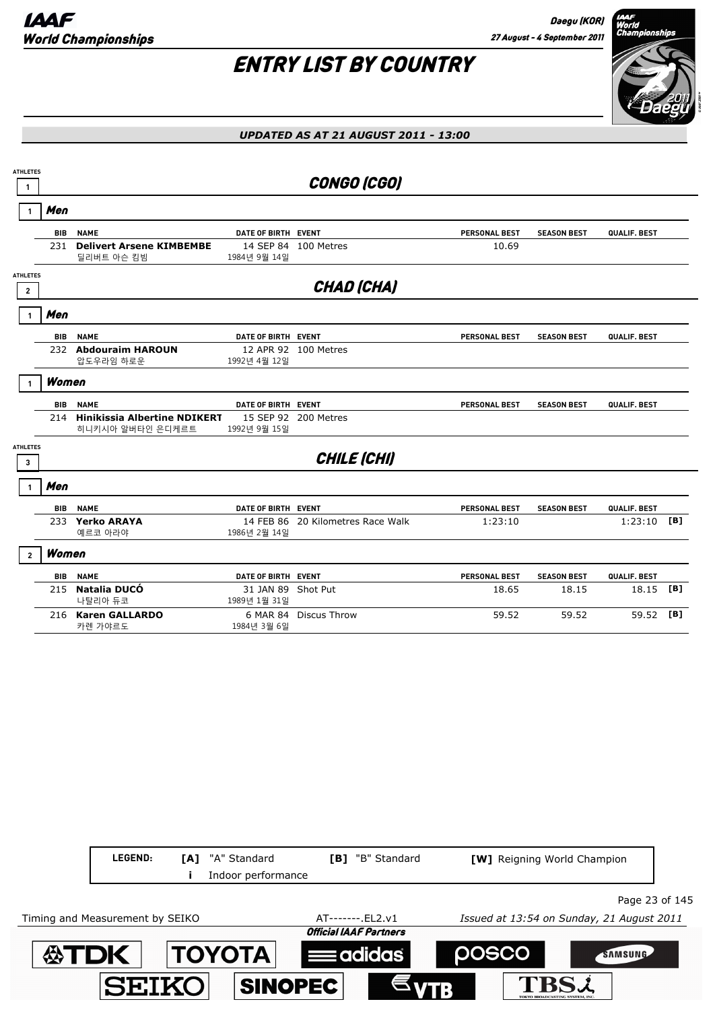

| <b>ATHLETES</b>                   |            |                                                         |                                    |                                   |                      |                    |              |     |
|-----------------------------------|------------|---------------------------------------------------------|------------------------------------|-----------------------------------|----------------------|--------------------|--------------|-----|
| 1                                 |            |                                                         |                                    | <b>CONGO (CGO)</b>                |                      |                    |              |     |
|                                   | Men        |                                                         |                                    |                                   |                      |                    |              |     |
|                                   | <b>BIB</b> | <b>NAME</b>                                             | DATE OF BIRTH EVENT                |                                   | <b>PERSONAL BEST</b> | <b>SEASON BEST</b> | QUALIF. BEST |     |
|                                   |            | 231 Delivert Arsene KIMBEMBE<br>딜리버트 아슨 킴빔              | 1984년 9월 14일                       | 14 SEP 84 100 Metres              | 10.69                |                    |              |     |
| <b>ATHLETES</b><br>$\overline{2}$ |            |                                                         |                                    | <b>CHAD (CHA)</b>                 |                      |                    |              |     |
|                                   |            |                                                         |                                    |                                   |                      |                    |              |     |
|                                   | Men        |                                                         |                                    |                                   |                      |                    |              |     |
|                                   | <b>BIB</b> | <b>NAME</b>                                             | DATE OF BIRTH EVENT                |                                   | <b>PERSONAL BEST</b> | <b>SEASON BEST</b> | QUALIF. BEST |     |
|                                   |            | 232 Abdouraim HAROUN                                    |                                    | 12 APR 92 100 Metres              |                      |                    |              |     |
|                                   |            | 압도우라임 하로운                                               | 1992년 4월 12일                       |                                   |                      |                    |              |     |
|                                   | Women      |                                                         |                                    |                                   |                      |                    |              |     |
|                                   | <b>BIB</b> | <b>NAME</b>                                             | DATE OF BIRTH EVENT                |                                   | <b>PERSONAL BEST</b> | <b>SEASON BEST</b> | QUALIF. BEST |     |
|                                   | 214        | <b>Hinikissia Albertine NDIKERT</b><br>히니키시아 알버타인 은디케르트 | 1992년 9월 15일                       | 15 SEP 92 200 Metres              |                      |                    |              |     |
| <b>ATHLETES</b><br>3              |            |                                                         |                                    | CHILE (CHI)                       |                      |                    |              |     |
| 1                                 | Men        |                                                         |                                    |                                   |                      |                    |              |     |
|                                   | BIB        | <b>NAME</b>                                             | DATE OF BIRTH EVENT                |                                   | <b>PERSONAL BEST</b> | <b>SEASON BEST</b> | QUALIF. BEST |     |
|                                   |            | 233 Yerko ARAYA                                         |                                    | 14 FEB 86 20 Kilometres Race Walk | 1:23:10              |                    | 1:23:10      | [B] |
|                                   |            | 예르코 아라야                                                 | 1986년 2월 14일                       |                                   |                      |                    |              |     |
| $\overline{2}$                    | Women      |                                                         |                                    |                                   |                      |                    |              |     |
|                                   | <b>BIB</b> | <b>NAME</b>                                             | DATE OF BIRTH EVENT                |                                   | <b>PERSONAL BEST</b> | <b>SEASON BEST</b> | QUALIF. BEST |     |
|                                   | 215        | Natalia DUCÓ<br>나탈리아 듀코                                 | 31 JAN 89 Shot Put<br>1989년 1월 31일 |                                   | 18.65                | 18.15              | 18.15        | [B] |
|                                   |            | 216 Karen GALLARDO<br>카렌 가야르도                           | 6 MAR 84<br>1984년 3월 6일            | <b>Discus Throw</b>               | 59.52                | 59.52              | 59.52 [B]    |     |
|                                   |            |                                                         |                                    |                                   |                      |                    |              |     |

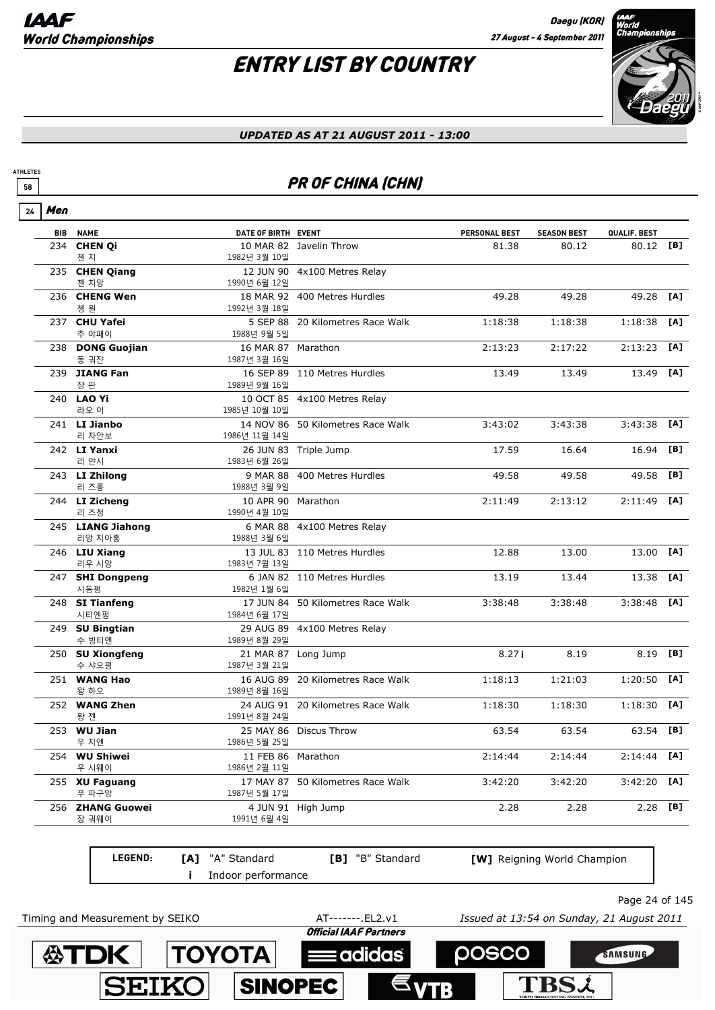# ENTRY LIST BY COUNTRY



#### *UPDATED AS AT 21 AUGUST 2011 - 13:00*

## **FR OF CHINA (CHN)**

| 24 | Men        |                             |                                    |                                   |               |                    |              |     |
|----|------------|-----------------------------|------------------------------------|-----------------------------------|---------------|--------------------|--------------|-----|
|    | <b>BIB</b> | <b>NAME</b>                 | DATE OF BIRTH EVENT                |                                   | PERSONAL BEST | <b>SEASON BEST</b> | QUALIF. BEST |     |
|    | 234        | <b>CHEN Qi</b><br>첸 치       | 1982년 3월 10일                       | 10 MAR 82 Javelin Throw           | 81.38         | 80.12              | 80.12 [B]    |     |
|    |            | 235 CHEN Qiang<br>첸 치앙      | 1990년 6월 12일                       | 12 JUN 90 4x100 Metres Relay      |               |                    |              |     |
|    |            | 236 CHENG Wen<br>쳉 워        | 1992년 3월 18일                       | 18 MAR 92 400 Metres Hurdles      | 49.28         | 49.28              | 49.28        | [A] |
|    |            | 237 CHU Yafei<br>추 야패이      | 1988년 9월 5일                        | 5 SEP 88 20 Kilometres Race Walk  | 1:18:38       | 1:18:38            | 1:18:38      | [A] |
|    |            | 238 DONG Guojian<br>동 궈쟌    | 16 MAR 87 Marathon<br>1987년 3월 16일 |                                   | 2:13:23       | 2:17:22            | 2:13:23      | [A] |
|    |            | 239 JIANG Fan<br>쟝 판        | 1989년 9월 16일                       | 16 SEP 89 110 Metres Hurdles      | 13.49         | 13.49              | 13.49        | [A] |
|    |            | 240 <b>LAO Yi</b><br>라오 이   | 1985년 10월 10일                      | 10 OCT 85 4x100 Metres Relay      |               |                    |              |     |
|    |            | 241 LI Jianbo<br>리 자안보      | 1986년 11월 14일                      | 14 NOV 86 50 Kilometres Race Walk | 3:43:02       | 3:43:38            | 3:43:38      | TA1 |
|    |            | 242 LI Yanxi<br>리 얀시        | 1983년 6월 26일                       | 26 JUN 83 Triple Jump             | 17.59         | 16.64              | 16.94        | [B] |
|    |            | 243 LI Zhilong<br>리 즈롱      | 1988년 3월 9일                        | 9 MAR 88 400 Metres Hurdles       | 49.58         | 49.58              | 49.58        | [B] |
|    |            | 244 LI Zicheng<br>리 즈청      | 10 APR 90 Marathon<br>1990년 4월 10일 |                                   | 2:11:49       | 2:13:12            | 2:11:49      | [A] |
|    |            | 245 LIANG Jiahong<br>리앙 지아홍 | 6 MAR 88<br>1988년 3월 6일            | 4x100 Metres Relay                |               |                    |              |     |
|    |            | 246 LIU Xiang<br>리우 시앙      | 1983년 7월 13일                       | 13 JUL 83 110 Metres Hurdles      | 12.88         | 13.00              | 13.00        | [A] |
|    |            | 247 SHI Dongpeng<br>시동펑     | 1982년 1월 6일                        | 6 JAN 82 110 Metres Hurdles       | 13.19         | 13.44              | 13.38        | [A] |
|    |            | 248 SI Tianfeng<br>시티엔펑     | 17 JUN 84<br>1984년 6월 17일          | 50 Kilometres Race Walk           | 3:38:48       | 3:38:48            | 3:38:48      | [A] |
|    |            | 249 SU Bingtian<br>수 빙티엔    | 1989년 8월 29일                       | 29 AUG 89 4x100 Metres Relay      |               |                    |              |     |
|    |            | 250 SU Xiongfeng<br>수 샤오펑   | 21 MAR 87<br>1987년 3월 21일          | Long Jump                         | 8.27i         | 8.19               | 8.19         | [B] |
|    |            | 251 WANG Hao<br>왕 하오        | 16 AUG 89<br>1989년 8월 16일          | 20 Kilometres Race Walk           | 1:18:13       | 1:21:03            | 1:20:50      | [A] |
|    |            | 252 WANG Zhen<br>왕 젠        | 24 AUG 91<br>1991년 8월 24일          | 20 Kilometres Race Walk           | 1:18:30       | 1:18:30            | 1:18:30      | [A] |
|    |            | 253 <b>WU Jian</b><br>우 지엔  | 1986년 5월 25일                       | 25 MAY 86 Discus Throw            | 63.54         | 63.54              | 63.54        | [B] |
|    |            | 254 WU Shiwei<br>우 시웨이      | 11 FEB 86 Marathon<br>1986년 2월 11일 |                                   | 2:14:44       | 2:14:44            | 2:14:44      | [A] |
|    |            | 255 XU Faguang<br>푸 파구앙     | 1987년 5월 17일                       | 17 MAY 87 50 Kilometres Race Walk | 3:42:20       | 3:42:20            | 3:42:20      | [A] |
|    |            | 256 ZHANG Guowei<br>장 궈웨이   | 1991년 6월 4일                        | 4 JUN 91 High Jump                | 2.28          | 2.28               | 2.28         | [B] |
|    |            |                             |                                    |                                   |               |                    |              |     |

**LEGEND: i** Indoor performance **[A]** "A" Standard **[B]** "B" Standard **[W]** Reigning World Champion

Page 24 of 145

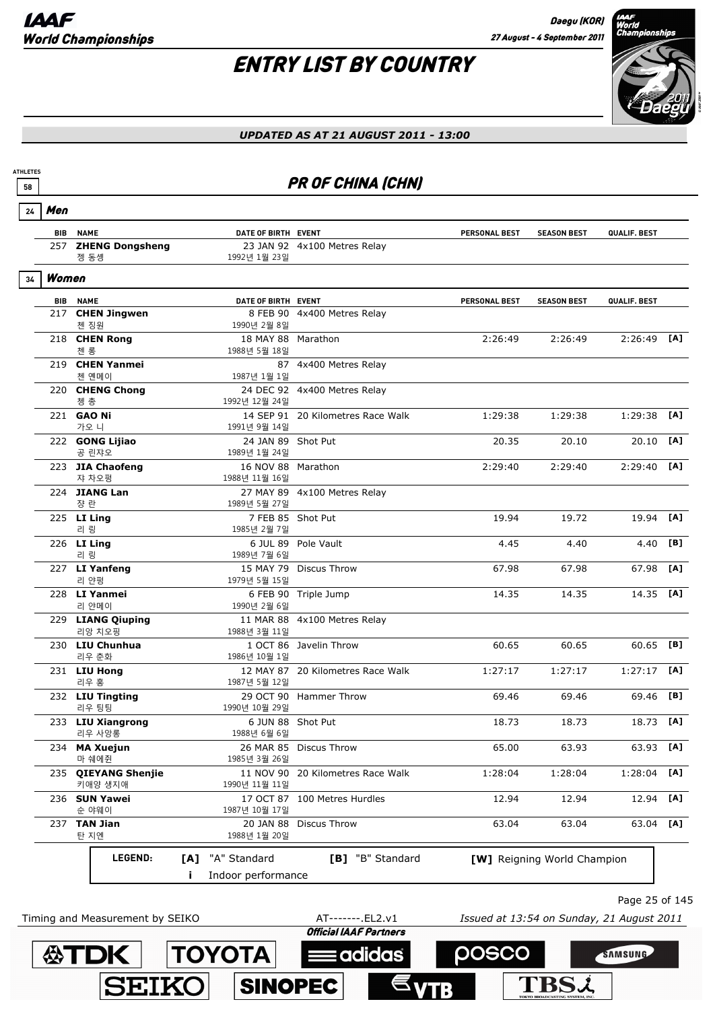# ENTRY LIST BY COUNTRY



#### *UPDATED AS AT 21 AUGUST 2011 - 13:00*

## **FR OF CHINA (CHN)**

| 24 | Men        |                                   |                                     |                                   |                      |                             |               |     |
|----|------------|-----------------------------------|-------------------------------------|-----------------------------------|----------------------|-----------------------------|---------------|-----|
|    |            | <b>BIB NAME</b>                   | DATE OF BIRTH EVENT                 |                                   | <b>PERSONAL BEST</b> | <b>SEASON BEST</b>          | QUALIF. BEST  |     |
|    |            | 257 ZHENG Dongsheng<br>젱 동솅       | 1992년 1월 23일                        | 23 JAN 92 4x100 Metres Relay      |                      |                             |               |     |
| 34 | Women      |                                   |                                     |                                   |                      |                             |               |     |
|    | <b>BIB</b> | <b>NAME</b>                       | DATE OF BIRTH EVENT                 |                                   | <b>PERSONAL BEST</b> | <b>SEASON BEST</b>          | QUALIF. BEST  |     |
|    |            | 217 CHEN Jingwen<br>첸 징원          | 1990년 2월 8일                         | 8 FEB 90 4x400 Metres Relay       |                      |                             |               |     |
|    |            | 218 CHEN Rong<br>첸 롱              | 18 MAY 88 Marathon<br>1988년 5월 18일  |                                   | 2:26:49              | 2:26:49                     | $2:26:49$ [A] |     |
|    |            | 219 CHEN Yanmei<br>첸 옌메이          | 1987년 1월 1일                         | 87 4x400 Metres Relay             |                      |                             |               |     |
|    |            | 220 CHENG Chong<br>쳉 총            | 1992년 12월 24일                       | 24 DEC 92 4x400 Metres Relay      |                      |                             |               |     |
|    |            | 221 <b>GAO Ni</b><br>가오 니         | 1991년 9월 14일                        | 14 SEP 91 20 Kilometres Race Walk | 1:29:38              | 1:29:38                     | 1:29:38       | [A] |
|    |            | 222 GONG Lijiao<br>공 린쟈오          | 24 JAN 89 Shot Put<br>1989년 1월 24일  |                                   | 20.35                | 20.10                       | 20.10         | [A] |
|    |            | 223 JIA Chaofeng<br>쟈 차오펑         | 16 NOV 88 Marathon<br>1988년 11월 16일 |                                   | 2:29:40              | 2:29:40                     | 2:29:40       | [A] |
|    |            | 224 JIANG Lan<br>쟝 란              | 1989년 5월 27일                        | 27 MAY 89 4x100 Metres Relay      |                      |                             |               |     |
|    |            | 225 LI Ling<br>리 링                | 1985년 2월 7일                         | 7 FEB 85 Shot Put                 | 19.94                | 19.72                       | 19.94         | [A] |
|    |            | 226 LI Ling<br>리 링                | 1989년 7월 6일                         | 6 JUL 89 Pole Vault               | 4.45                 | 4.40                        | 4.40          | [B] |
|    |            | 227 LI Yanfeng<br>리 얀평            | 15 MAY 79<br>1979년 5월 15일           | Discus Throw                      | 67.98                | 67.98                       | 67.98         | [A] |
|    |            | 228 LI Yanmei<br>리 얀메이            | 1990년 2월 6일                         | 6 FEB 90 Triple Jump              | 14.35                | 14.35                       | 14.35 [A]     |     |
|    |            | 229 LIANG Qiuping<br>리앙 치오핑       | 11 MAR 88<br>1988년 3월 11일           | 4x100 Metres Relay                |                      |                             |               |     |
|    |            | 230 LIU Chunhua<br>리우 춘화          | 1986년 10월 1일                        | 1 OCT 86 Javelin Throw            | 60.65                | 60.65                       | 60.65         | [B] |
|    |            | 231 LIU Hong<br>리우 홍              | 1987년 5월 12일                        | 12 MAY 87 20 Kilometres Race Walk | 1:27:17              | 1:27:17                     | 1:27:17       | [A] |
|    |            | 232 LIU Tingting<br>리우 팅팅         | 1990년 10월 29일                       | 29 OCT 90 Hammer Throw            | 69.46                | 69.46                       | 69.46         | [B] |
|    |            | 233 LIU Xiangrong<br>리우 사앙롱       | 6 JUN 88<br>1988년 6월 6일             | Shot Put                          | 18.73                | 18.73                       | 18.73         | [A] |
|    | 234        | <b>MA Xuejun</b><br>마 쉐에쥔         | 1985년 3월 26일                        | 26 MAR 85 Discus Throw            | 65.00                | 63.93                       | 63.93 [A]     |     |
|    | 235        | <b>QIEYANG Shenjie</b><br>키애양 생지애 | 1990년 11월 11일                       | 11 NOV 90 20 Kilometres Race Walk | 1:28:04              | 1:28:04                     | 1:28:04       | [A] |
|    |            | 236 SUN Yawei<br>순 야웨이            | 1987년 10월 17일                       | 17 OCT 87 100 Metres Hurdles      | 12.94                | 12.94                       | 12.94         | [A] |
|    |            | 237 TAN Jian<br>탄 지엔              | 20 JAN 88<br>1988년 1월 20일           | <b>Discus Throw</b>               | 63.04                | 63.04                       | 63.04         | [A] |
|    |            | LEGEND:                           | "A" Standard<br>[A]                 | [B] "B" Standard                  |                      | [W] Reigning World Champion |               |     |
|    |            |                                   | Indoor performance<br>Ĩ.            |                                   |                      |                             |               |     |



**公下DK** 

Page 25 of 145

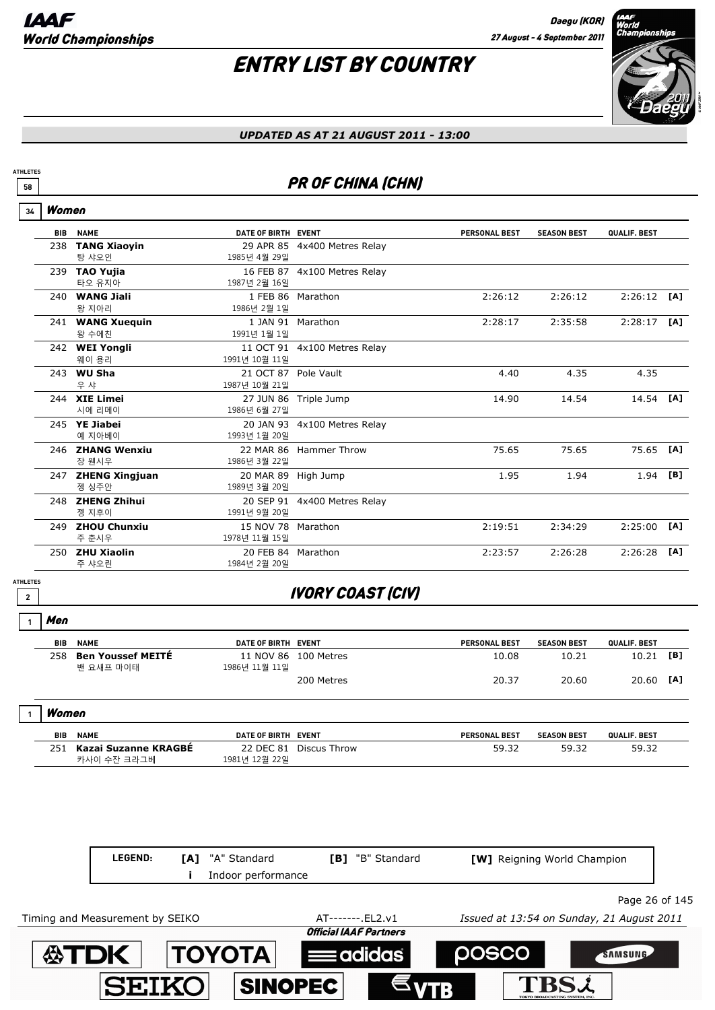

#### *UPDATED AS AT 21 AUGUST 2011 - 13:00*

## **FR OF CHINA (CHN)**

#### Women **34**

**ATHLETES**

| <b>BIB</b> | <b>NAME</b>         | DATE OF BIRTH EVENT  |                              | <b>PERSONAL BEST</b> | <b>SEASON BEST</b> | QUALIF. BEST |     |
|------------|---------------------|----------------------|------------------------------|----------------------|--------------------|--------------|-----|
| 238        | <b>TANG Xiaoyin</b> |                      | 29 APR 85 4x400 Metres Relay |                      |                    |              |     |
|            | 탕 샤오인               | 1985년 4월 29일         |                              |                      |                    |              |     |
| 239        | <b>TAO Yujia</b>    |                      | 16 FEB 87 4x100 Metres Relay |                      |                    |              |     |
|            | 타오 유지아              | 1987년 2월 16일         |                              |                      |                    |              |     |
| 240.       | <b>WANG Jiali</b>   | 1 FEB 86             | Marathon                     | 2:26:12              | 2:26:12            | 2:26:12      | [A] |
|            | 왕 지아리               | 1986년 2월 1일          |                              |                      |                    |              |     |
|            | 241 WANG Xuequin    | 1 JAN 91             | Marathon                     | 2:28:17              | 2:35:58            | 2:28:17      | [A] |
|            | 왕 수에친               | 1991년 1월 1일          |                              |                      |                    |              |     |
|            | 242 WEI Yongli      |                      | 11 OCT 91 4x100 Metres Relay |                      |                    |              |     |
|            | 웨이 용리               | 1991년 10월 11일        |                              |                      |                    |              |     |
| 243        | <b>WU Sha</b>       | 21 OCT 87 Pole Vault |                              | 4.40                 | 4.35               | 4.35         |     |
|            | 우 샤                 | 1987년 10월 21일        |                              |                      |                    |              |     |
|            | 244 XIE Limei       | 27 JUN 86            | Triple Jump                  | 14.90                | 14.54              | 14.54        | [A] |
|            | 시에 리메이              | 1986년 6월 27일         |                              |                      |                    |              |     |
|            | 245 YE Jiabei       |                      | 20 JAN 93 4x100 Metres Relay |                      |                    |              |     |
|            | 예 지아베이              | 1993년 1월 20일         |                              |                      |                    |              |     |
|            | 246 ZHANG Wenxiu    |                      | 22 MAR 86 Hammer Throw       | 75.65                | 75.65              | 75.65        | [A] |
|            | 장 웬시우               | 1986년 3월 22일         |                              |                      |                    |              |     |
|            | 247 ZHENG Xingjuan  | 20 MAR 89            | High Jump                    | 1.95                 | 1.94               | 1.94         | [B] |
|            | 젱 싱주안               | 1989년 3월 20일         |                              |                      |                    |              |     |
|            | 248 ZHENG Zhihui    | 20 SEP 91            | 4x400 Metres Relay           |                      |                    |              |     |
|            | 젱 지후이               | 1991년 9월 20일         |                              |                      |                    |              |     |
| 249        | <b>ZHOU Chunxiu</b> | 15 NOV 78            | Marathon                     | 2:19:51              | 2:34:29            | 2:25:00      | [A] |
|            | 주 춘시우               | 1978년 11월 15일        |                              |                      |                    |              |     |
| 250        | <b>ZHU Xiaolin</b>  | 20 FEB 84 Marathon   |                              | 2:23:57              | 2:26:28            | 2:26:28      | TA1 |
|            | 주 샤오린               | 1984년 2월 20일         |                              |                      |                    |              |     |

**ATHLETES**

## **<sup>2</sup>** IVORY COAST (CIV)

#### Men **1**

| <b>BIB</b> | <b>NAME</b>                           | DATE OF BIRTH EVENT |                      | <b>PERSONAL BEST</b> | <b>SEASON BEST</b> | QUALIF. BEST |                |
|------------|---------------------------------------|---------------------|----------------------|----------------------|--------------------|--------------|----------------|
| 258        | <b>Ben Youssef MEITE</b><br>밴 요새프 마이태 | 1986년 11월 11일       | 11 NOV 86 100 Metres | 10.08                | 10.21              | 10.21        | $\mathbf{[B]}$ |
|            |                                       |                     | 200 Metres           | 20.37                | 20.60              | 20.60        | [A]            |

#### Women **1**

| <b>BIB</b> | <b>NAME</b>                         | DATE OF BIRTH                  | EVENT        | <b>PERSONAL BEST</b> | <b>SEASON BEST</b> | <b>QUALIF, BEST</b> |
|------------|-------------------------------------|--------------------------------|--------------|----------------------|--------------------|---------------------|
| 751        | Kazai Suzanne KRAGBE<br>카사이 수잔 크라그베 | <b>DEC 81</b><br>1981년 12월 22일 | Discus Throw | 59.32                | 59.32              | 59.32               |

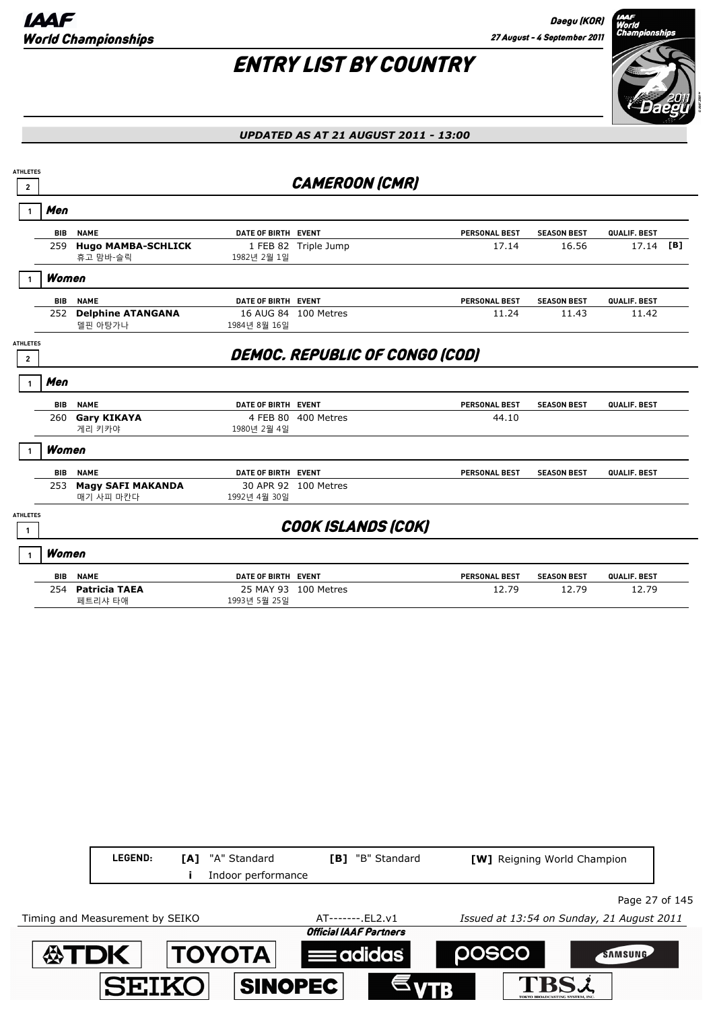

| <b>ATHLETES</b><br>$\mathbf{2}$   |                                       |                     | <b>CAMEROON (CMR)</b>          |                      |                    |              |  |
|-----------------------------------|---------------------------------------|---------------------|--------------------------------|----------------------|--------------------|--------------|--|
| Men                               |                                       |                     |                                |                      |                    |              |  |
| <b>BIB</b>                        | <b>NAME</b>                           | DATE OF BIRTH EVENT |                                | <b>PERSONAL BEST</b> | <b>SEASON BEST</b> | QUALIF. BEST |  |
| 259                               | <b>Hugo MAMBA-SCHLICK</b><br>휴고 맘바-슬릭 | 1982년 2월 1일         | 1 FEB 82 Triple Jump           | 17.14                | 16.56              | 17.14 [B]    |  |
| Women                             |                                       |                     |                                |                      |                    |              |  |
| <b>BIB</b>                        | <b>NAME</b>                           | DATE OF BIRTH EVENT |                                | <b>PERSONAL BEST</b> | <b>SEASON BEST</b> | QUALIF. BEST |  |
| 252                               | <b>Delphine ATANGANA</b><br>델핀 아탕가나   | 1984년 8월 16일        | 16 AUG 84 100 Metres           | 11.24                | 11.43              | 11.42        |  |
| <b>ATHLETES</b><br>$\overline{2}$ |                                       |                     | DEMOC. REPUBLIC OF CONGO (COD) |                      |                    |              |  |
| Men<br>1                          |                                       |                     |                                |                      |                    |              |  |
| <b>BIB</b>                        | <b>NAME</b>                           | DATE OF BIRTH EVENT |                                | PERSONAL BEST        | <b>SEASON BEST</b> | QUALIF. BEST |  |
| 260                               | <b>Gary KIKAYA</b><br>게리 키카야          | 1980년 2월 4일         | 4 FEB 80 400 Metres            | 44.10                |                    |              |  |
| Women                             |                                       |                     |                                |                      |                    |              |  |
| <b>BIB</b>                        | <b>NAME</b>                           | DATE OF BIRTH EVENT |                                | <b>PERSONAL BEST</b> | <b>SEASON BEST</b> | QUALIF. BEST |  |
|                                   | 253 Magy SAFI MAKANDA<br>매기 사피 마칸다    | 1992년 4월 30일        | 30 APR 92 100 Metres           |                      |                    |              |  |
| <b>ATHLETES</b>                   |                                       |                     | <b>COOK ISLANDS (COK)</b>      |                      |                    |              |  |
| Women                             |                                       |                     |                                |                      |                    |              |  |
| <b>BIB</b>                        | <b>NAME</b>                           | DATE OF BIRTH EVENT |                                | <b>PERSONAL BEST</b> | <b>SEASON BEST</b> | QUALIF. BEST |  |
|                                   | 254 Patricia TAEA<br>페트리샤 타애          | 1993년 5월 25일        | 25 MAY 93 100 Metres           | 12.79                | 12.79              | 12.79        |  |
|                                   |                                       |                     |                                |                      |                    |              |  |
|                                   |                                       |                     |                                |                      |                    |              |  |

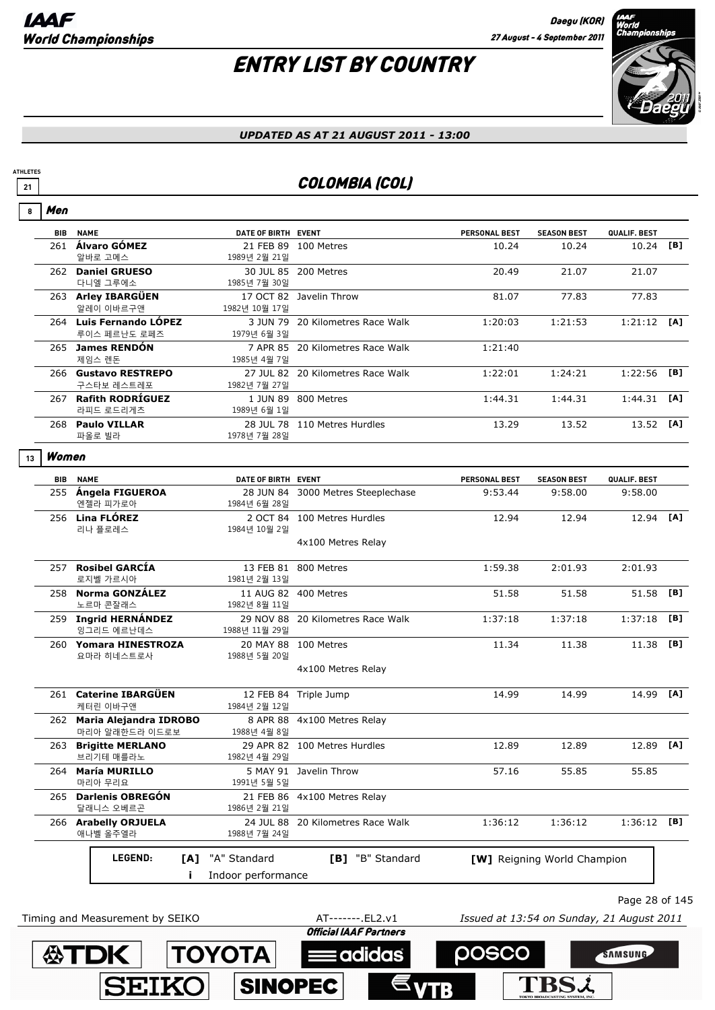**ATDK TOYOTA** 

**SEIKO** 

**ATHLETES**

# ENTRY LIST BY COUNTRY



#### *UPDATED AS AT 21 AUGUST 2011 - 13:00*

## **21** COLOMBIA (COL)

| 8  | Men        |                                              |                     |                                    |                                           |                             |               |     |
|----|------------|----------------------------------------------|---------------------|------------------------------------|-------------------------------------------|-----------------------------|---------------|-----|
|    | <b>BIB</b> | <b>NAME</b>                                  | DATE OF BIRTH EVENT |                                    | <b>PERSONAL BEST</b>                      | <b>SEASON BEST</b>          | QUALIF. BEST  |     |
|    |            | 261 Álvaro GÓMEZ<br>알바로 고메스                  | 1989년 2월 21일        | 21 FEB 89 100 Metres               | 10.24                                     | 10.24                       | 10.24 [B]     |     |
|    |            | 262 Daniel GRUESO<br>다니엘 그루에소                | 1985년 7월 30일        | 30 JUL 85 200 Metres               | 20.49                                     | 21.07                       | 21.07         |     |
|    |            | 263 Arley IBARGÜEN<br>알레이 이바르구앤              | 1982년 10월 17일       | 17 OCT 82 Javelin Throw            | 81.07                                     | 77.83                       | 77.83         |     |
|    |            | 264 Luis Fernando LÓPEZ<br>루이스 페르난도 로페즈      | 1979년 6월 3일         | 3 JUN 79 20 Kilometres Race Walk   | 1:20:03                                   | 1:21:53                     | $1:21:12$ [A] |     |
|    |            | 265 James RENDÓN<br>제임스 렌돈                   | 1985년 4월 7일         | 7 APR 85 20 Kilometres Race Walk   | 1:21:40                                   |                             |               |     |
|    |            | 266 Gustavo RESTREPO<br>구스타보 레스트레포           | 1982년 7월 27일        | 27 JUL 82 20 Kilometres Race Walk  | 1:22:01                                   | 1:24:21                     | $1:22:56$ [B] |     |
|    |            | 267 Rafith RODRÍGUEZ<br>라피드 로드리게츠            | 1989년 6월 1일         | 1 JUN 89 800 Metres                | 1:44.31                                   | 1:44.31                     | $1:44.31$ [A] |     |
|    |            | 268 Paulo VILLAR<br>파올로 빌라                   | 1978년 7월 28일        | 28 JUL 78 110 Metres Hurdles       | 13.29                                     | 13.52                       | 13.52 [A]     |     |
| 13 | Women      |                                              |                     |                                    |                                           |                             |               |     |
|    |            | <b>BIB NAME</b>                              | DATE OF BIRTH EVENT |                                    | <b>PERSONAL BEST</b>                      | <b>SEASON BEST</b>          | QUALIF. BEST  |     |
|    |            | 255 Ángela FIGUEROA<br>엔젤라 피가로아              | 1984년 6월 28일        | 28 JUN 84 3000 Metres Steeplechase | 9:53.44                                   | 9:58.00                     | 9:58.00       |     |
|    |            | 256 Lina FLÓREZ<br>리나 플로레스                   | 1984년 10월 2일        | 2 OCT 84 100 Metres Hurdles        | 12.94                                     | 12.94                       | 12.94 [A]     |     |
|    |            |                                              |                     | 4x100 Metres Relay                 |                                           |                             |               |     |
|    |            | 257 Rosibel GARCÍA<br>로지벨 가르시아               | 1981년 2월 13일        | 13 FEB 81 800 Metres               | 1:59.38                                   | 2:01.93                     | 2:01.93       |     |
|    |            | 258 Norma GONZÁLEZ<br>노르마 콘잘래스               | 1982년 8월 11일        | 11 AUG 82 400 Metres               | 51.58                                     | 51.58                       | 51.58         | [B] |
|    |            | 259 Ingrid HERNÁNDEZ<br>잉그리드 에르난데스           | 1988년 11월 29일       | 29 NOV 88 20 Kilometres Race Walk  | 1:37:18                                   | 1:37:18                     | 1:37:18       | [B] |
|    |            | 260 Yomara HINESTROZA<br>요마라 히네스트로사          | 1988년 5월 20일        | 20 MAY 88 100 Metres               | 11.34                                     | 11.38                       | 11.38 [B]     |     |
|    |            |                                              |                     | 4x100 Metres Relay                 |                                           |                             |               |     |
|    |            | 261 Caterine IBARGÜEN<br>케터린 이바구앤            | 1984년 2월 12일        | 12 FEB 84 Triple Jump              | 14.99                                     | 14.99                       | 14.99 [A]     |     |
|    |            | 262 Maria Alejandra IDROBO<br>마리아 알래한드라 이드로보 | 1988년 4월 8일         | 8 APR 88 4x100 Metres Relay        |                                           |                             |               |     |
|    |            | 263 Brigitte MERLANO<br>브리기테 매를라노            | 1982년 4월 29일        | 29 APR 82 100 Metres Hurdles       | 12.89                                     | 12.89                       | 12.89 [A]     |     |
|    |            | 264 María MURILLO<br>마리아 무리요                 | 1991년 5월 5일         | 5 MAY 91 Javelin Throw             | 57.16                                     | 55.85                       | 55.85         |     |
|    |            | 265 Darlenis OBREGÓN<br>달래니스 오베르곤            | 1986년 2월 21일        | 21 FEB 86 4x100 Metres Relay       |                                           |                             |               |     |
|    |            | 266 Arabelly ORJUELA<br>애나벨 올주엘라             | 1988년 7월 24일        | 24 JUL 88 20 Kilometres Race Walk  | 1:36:12                                   | 1:36:12                     | 1:36:12 [B]   |     |
|    |            | LEGEND:<br>[A]                               | "A" Standard        | [B] "B" Standard                   |                                           | [W] Reigning World Champion |               |     |
|    |            | Ĩ.                                           | Indoor performance  |                                    |                                           |                             |               |     |
|    |            |                                              |                     |                                    |                                           |                             |               |     |
|    |            | Timing and Measurement by SEIKO              |                     | AT-------. EL2.v1                  | Issued at 13:54 on Sunday, 21 August 2011 |                             | Page 28 of 14 |     |

**Eadidas** 

**SINOPEC** 



SAMSUNG

posco

**TBSL**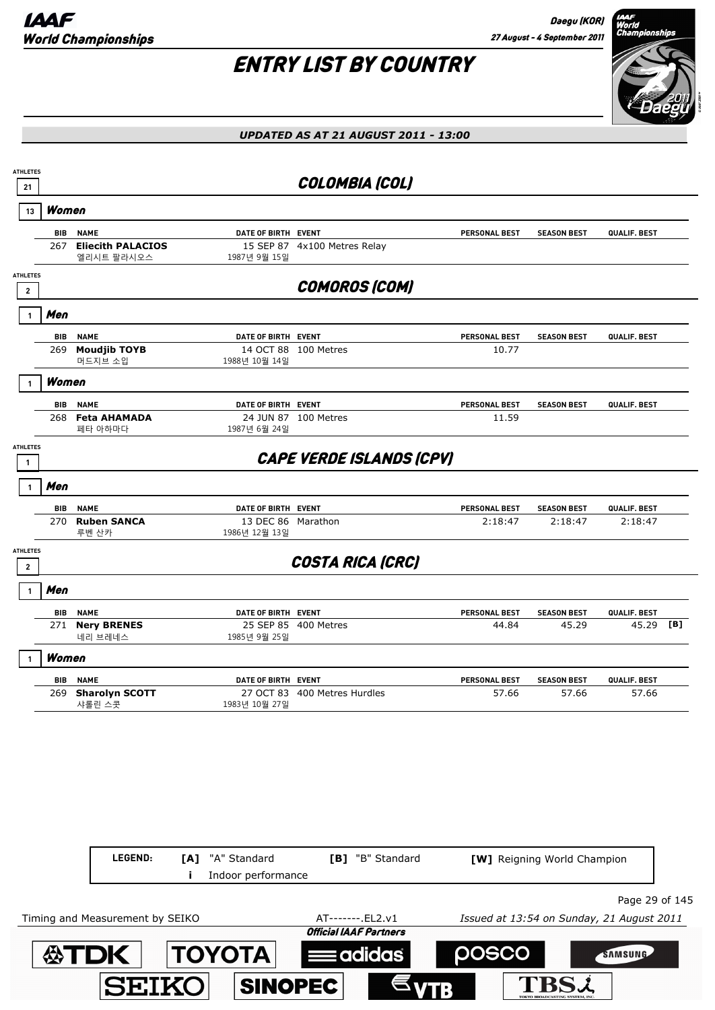Daegu (KOR) 27 August - 4 September 2011

# ENTRY LIST BY COUNTRY



#### *UPDATED AS AT 21 AUGUST 2011 - 13:00*

| <b>ATHLETES</b><br>21                      |            |                                                       |                                      | COLOMBIA (COL)                  |                                 |                                           |                         |     |
|--------------------------------------------|------------|-------------------------------------------------------|--------------------------------------|---------------------------------|---------------------------------|-------------------------------------------|-------------------------|-----|
| 13                                         | Women      |                                                       |                                      |                                 |                                 |                                           |                         |     |
|                                            | BIB<br>267 | <b>NAME</b><br><b>Eliecith PALACIOS</b><br>엘리시트 팔라시오스 | DATE OF BIRTH EVENT<br>1987년 9월 15일  | 15 SEP 87 4x100 Metres Relay    | <b>PERSONAL BEST</b>            | <b>SEASON BEST</b>                        | QUALIF. BEST            |     |
| <b>ATHLETES</b><br>$\overline{\mathbf{2}}$ |            |                                                       |                                      | <b>COMOROS (COM)</b>            |                                 |                                           |                         |     |
|                                            | Men        |                                                       |                                      |                                 |                                 |                                           |                         |     |
|                                            | BIB<br>269 | <b>NAME</b><br><b>Moudjib TOYB</b><br>머드지브 소입         | DATE OF BIRTH EVENT<br>1988년 10월 14일 | 14 OCT 88 100 Metres            | <b>PERSONAL BEST</b><br>10.77   | <b>SEASON BEST</b>                        | QUALIF. BEST            |     |
|                                            | Women      |                                                       |                                      |                                 |                                 |                                           |                         |     |
|                                            | BIB<br>268 | <b>NAME</b><br><b>Feta AHAMADA</b><br>페타 아하마다         | DATE OF BIRTH EVENT<br>1987년 6월 24일  | 24 JUN 87 100 Metres            | <b>PERSONAL BEST</b><br>11.59   | <b>SEASON BEST</b>                        | QUALIF. BEST            |     |
| <b>ATHLETES</b><br>$\mathbf{1}$            |            |                                                       |                                      | <b>CAPE VERDE ISLANDS (CPV)</b> |                                 |                                           |                         |     |
|                                            | Men        |                                                       |                                      |                                 |                                 |                                           |                         |     |
|                                            | BIB<br>270 | <b>NAME</b><br><b>Ruben SANCA</b><br>루벤 산카            | DATE OF BIRTH EVENT<br>1986년 12월 13일 | 13 DEC 86 Marathon              | <b>PERSONAL BEST</b><br>2:18:47 | <b>SEASON BEST</b><br>2:18:47             | QUALIF. BEST<br>2:18:47 |     |
| <b>ATHLETES</b><br>$\mathbf{2}$            |            |                                                       |                                      | <b>COSTA RICA (CRC)</b>         |                                 |                                           |                         |     |
| 1                                          | Men        |                                                       |                                      |                                 |                                 |                                           |                         |     |
|                                            | BIB<br>271 | <b>NAME</b><br><b>Nery BRENES</b><br>네리 브레네스          | DATE OF BIRTH EVENT<br>1985년 9월 25일  | 25 SEP 85 400 Metres            | <b>PERSONAL BEST</b><br>44.84   | <b>SEASON BEST</b><br>45.29               | QUALIF. BEST<br>45.29   | [B] |
|                                            | Women      |                                                       |                                      |                                 |                                 |                                           |                         |     |
|                                            | BIB<br>269 | <b>NAME</b><br><b>Sharolyn SCOTT</b><br>샤롤린 스콧        | DATE OF BIRTH EVENT<br>1983년 10월 27일 | 27 OCT 83 400 Metres Hurdles    | <b>PERSONAL BEST</b><br>57.66   | <b>SEASON BEST</b><br>57.66               | QUALIF. BEST<br>57.66   |     |
|                                            |            | LEGEND:                                               | "A" Standard<br>[A]                  | [B] "B" Standard                |                                 | [W] Reigning World Champion               |                         |     |
|                                            |            |                                                       | Indoor performance                   |                                 |                                 |                                           |                         |     |
|                                            |            | Timing and Measurement by SEIKO                       |                                      | AT-------. EL2.v1               |                                 | Issued at 13:54 on Sunday, 21 August 2011 | Page 29 of 145          |     |
|                                            |            |                                                       |                                      | <b>Official IAAF Partners</b>   |                                 |                                           |                         |     |

posco

**TBSL** 

SAMSUNG

**ATDK TOYOTA Example 10** 

**SINOPEC** 

**SEIKO**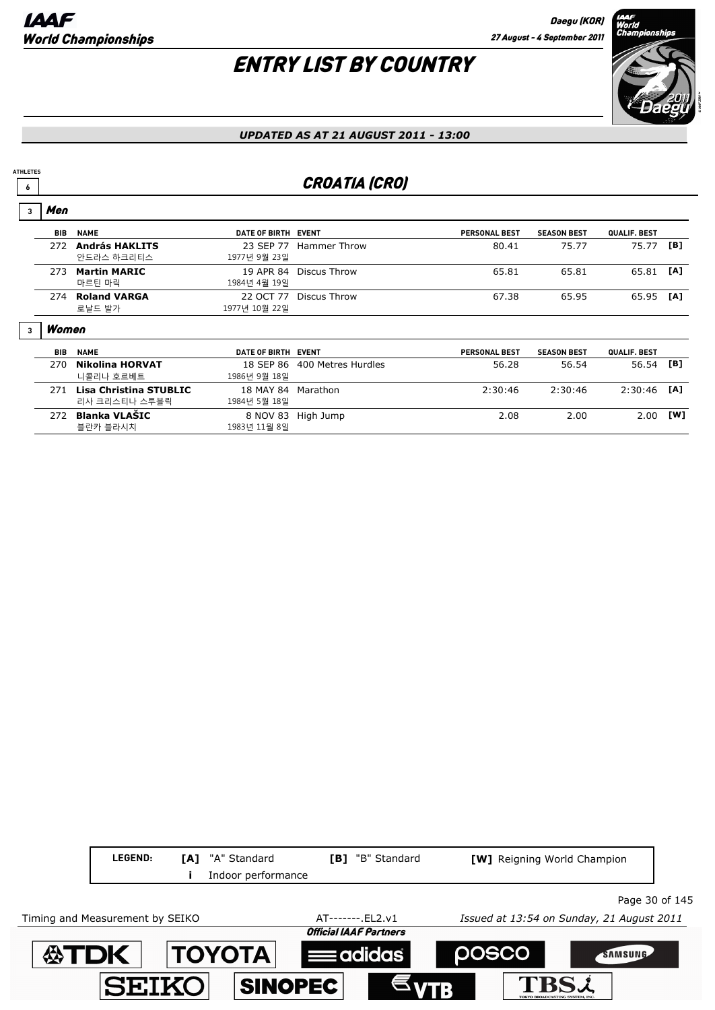**PERSONAL BEST SEASON BEST QUALIF. BEST**

## ENTRY LIST BY COUNTRY



#### *UPDATED AS AT 21 AUGUST 2011 - 13:00*

## **6 6** CROATIA (CRO)

#### **BIB NAME EVENT DATE OF BIRTH** Men **3** 272 **András HAKLITS** 23 SEP 77 Hammer Throw 80.41 75.77 75.77 **[B]** 안드라스 하크리티스 1977년 9월 23일 273 **Martin MARIC** 19 APR 84 Discus Throw 65.81 65.81 65.81 **[A]** 마르틴 마릭 1984년 4월 19일 274 **Roland VARGA** 22 OCT 77 Discus Throw 67.38 65.95 65.95 **[A]**

로날드 발가 1977년 10월 22일

#### Women **3**

**ATHLETES**

| <b>BIB</b> | <b>NAME</b>                             | DATE OF BIRTH EVENT                |                              | <b>PERSONAL BEST</b> | <b>SEASON BEST</b> | <b>QUALIF, BEST</b> |     |
|------------|-----------------------------------------|------------------------------------|------------------------------|----------------------|--------------------|---------------------|-----|
| 270        | Nikolina HORVAT<br>니콜리나 호르베트            | 1986년 9월 18일                       | 18 SEP 86 400 Metres Hurdles | 56.28                | 56.54              | 56.54               | [B] |
| 271        | Lisa Christina STUBLIC<br>리사 크리스티나 스투블릭 | 18 MAY 84 Marathon<br>1984년 5월 18일 |                              | 2:30:46              | 2:30:46            | $2:30:46$ [A]       |     |
| 272        | Blanka VLAŠIC<br>블란카 블라시치               | 1983년 11월 8일                       | 8 NOV 83 High Jump           | 2.08                 | 2.00               | 2.00                | [W] |

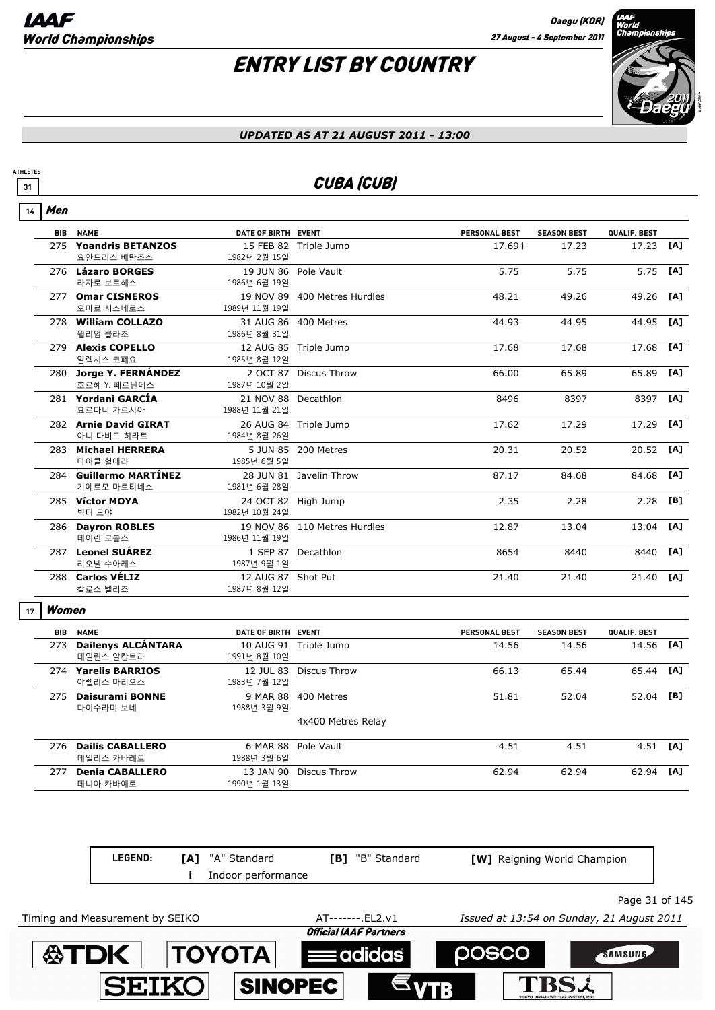

#### *UPDATED AS AT 21 AUGUST 2011 - 13:00*

## **31 CUBA (CUB)**

|  | П |
|--|---|
|--|---|

**ATHLETES**

| <b>BIB</b> | <b>NAME</b>                            | DATE OF BIRTH EVENT                  |                              | <b>PERSONAL BEST</b> | <b>SEASON BEST</b> | QUALIF. BEST |     |
|------------|----------------------------------------|--------------------------------------|------------------------------|----------------------|--------------------|--------------|-----|
| 275        | <b>Yoandris BETANZOS</b><br>요안드리스 베탄조스 | 1982년 2월 15일                         | 15 FEB 82 Triple Jump        | 17.69 i              | 17.23              | 17.23        | [A] |
|            | 276 Lázaro BORGES<br>라자로 보르헤스          | 19 JUN 86 Pole Vault<br>1986년 6월 19일 |                              | 5.75                 | 5.75               | 5.75 [A]     |     |
| 277        | <b>Omar CISNEROS</b><br>오마르 시스네로스      | 1989년 11월 19일                        | 19 NOV 89 400 Metres Hurdles | 48.21                | 49.26              | 49.26 [A]    |     |
|            | 278 William COLLAZO<br>윌리엄 콜라조         | 1986년 8월 31일                         | 31 AUG 86 400 Metres         | 44.93                | 44.95              | 44.95 [A]    |     |
|            | 279 Alexis COPELLO<br>알렉시스 코폐요         | 1985년 8월 12일                         | 12 AUG 85 Triple Jump        | 17.68                | 17.68              | 17.68        | [A] |
|            | 280 Jorge Y. FERNÁNDEZ<br>호르헤 Y. 페르난데스 | 1987년 10월 2일                         | 2 OCT 87 Discus Throw        | 66.00                | 65.89              | 65.89        | [A] |
|            | 281 Yordani GARCÍA<br>요르다니 가르시아        | 21 NOV 88 Decathlon<br>1988년 11월 21일 |                              | 8496                 | 8397               | 8397         | [A] |
|            | 282 Arnie David GIRAT<br>아니 다비드 히라트    | 1984년 8월 26일                         | 26 AUG 84 Triple Jump        | 17.62                | 17.29              | 17.29        | [A] |
|            | 283 Michael HERRERA<br>마이클 헐에라         | 1985년 6월 5일                          | 5 JUN 85 200 Metres          | 20.31                | 20.52              | 20.52        | [A] |
|            | 284 Guillermo MARTÍNEZ<br>기예르모 마르티네스   | 1981년 6월 28일                         | 28 JUN 81 Javelin Throw      | 87.17                | 84.68              | 84.68        | [A] |
|            | 285 Víctor MOYA<br>빅터 모야               | 24 OCT 82 High Jump<br>1982년 10월 24일 |                              | 2.35                 | 2.28               | 2.28         | [B] |
|            | 286 Dayron ROBLES<br>데이런 로블스           | 1986년 11월 19일                        | 19 NOV 86 110 Metres Hurdles | 12.87                | 13.04              | 13.04        | [A] |
|            | 287 Leonel SUÁREZ<br>리오넬 수아레스          | 1987년 9월 1일                          | 1 SEP 87 Decathlon           | 8654                 | 8440               | 8440         | [A] |
|            | 288 Carlos VÉLIZ<br>칼로스 벨리즈            | 12 AUG 87 Shot Put<br>1987년 8월 12일   |                              | 21.40                | 21.40              | 21.40        | [A] |

#### Women **17**

| BIB | <b>NAME</b>                            | DATE OF BIRTH EVENT       |                     | <b>PERSONAL BEST</b> | <b>SEASON BEST</b> | QUALIF. BEST |     |
|-----|----------------------------------------|---------------------------|---------------------|----------------------|--------------------|--------------|-----|
| 273 | <b>Dailenys ALCÁNTARA</b><br>데일린스 알칸트라 | 10 AUG 91<br>1991년 8월 10일 | Triple Jump         | 14.56                | 14.56              | 14.56        | [A] |
| 274 | <b>Yarelis BARRIOS</b><br>야렐리스 마리오스    | 12 JUL 83<br>1983년 7월 12일 | Discus Throw        | 66.13                | 65.44              | 65.44 [A]    |     |
| 275 | Daisurami BONNE<br>다이수라미 보네            | 9 MAR 88<br>1988년 3월 9일   | 400 Metres          | 51.81                | 52.04              | 52.04        | [B] |
|     |                                        |                           | 4x400 Metres Relay  |                      |                    |              |     |
| 276 | <b>Dailis CABALLERO</b><br>데일리스 카바레로   | 1988년 3월 6일               | 6 MAR 88 Pole Vault | 4.51                 | 4.51               | $4.51$ [A]   |     |
| 277 | <b>Denia CABALLERO</b><br>데니아 카바예로     | 13 JAN 90<br>1990년 1월 13일 | Discus Throw        | 62.94                | 62.94              | 62.94        | [A] |

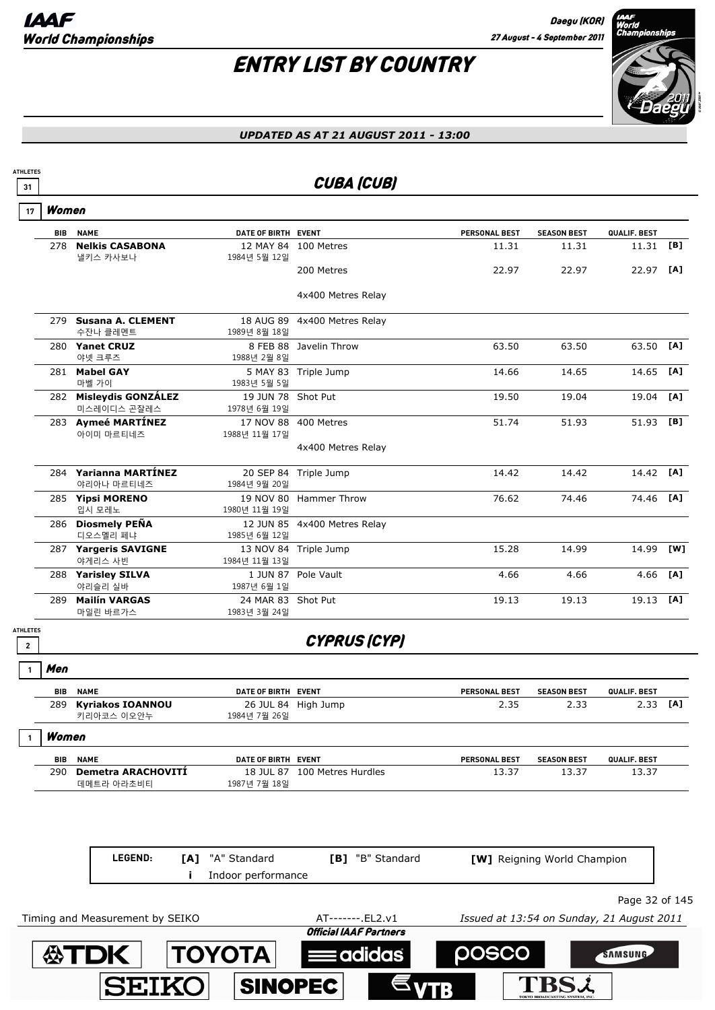

| <b>ATHLETES</b><br>31 |       |                                       |                                    | <b>CUBA (CUB)</b>             |                      |                                           |                |     |
|-----------------------|-------|---------------------------------------|------------------------------------|-------------------------------|----------------------|-------------------------------------------|----------------|-----|
| 17                    | Women |                                       |                                    |                               |                      |                                           |                |     |
|                       | BIB   | <b>NAME</b>                           | DATE OF BIRTH EVENT                |                               | <b>PERSONAL BEST</b> | <b>SEASON BEST</b>                        | QUALIF. BEST   |     |
|                       | 278   | <b>Nelkis CASABONA</b><br>낼키스 카사보나    | 1984년 5월 12일                       | 12 MAY 84 100 Metres          | 11.31                | 11.31                                     | 11.31          | [B] |
|                       |       |                                       |                                    | 200 Metres                    | 22.97                | 22.97                                     | 22.97 [A]      |     |
|                       |       |                                       |                                    | 4x400 Metres Relay            |                      |                                           |                |     |
|                       | 279   | <b>Susana A. CLEMENT</b><br>수잔나 클레멘트  | 1989년 8월 18일                       | 18 AUG 89 4x400 Metres Relay  |                      |                                           |                |     |
|                       |       | 280 Yanet CRUZ<br>야넷 크루즈              | 1988년 2월 8일                        | 8 FEB 88 Javelin Throw        | 63.50                | 63.50                                     | 63.50          | [A] |
|                       |       | 281 Mabel GAY<br>마벨 가이                | 1983년 5월 5일                        | 5 MAY 83 Triple Jump          | 14.66                | 14.65                                     | 14.65          | [A] |
|                       |       | 282 Misleydis GONZÁLEZ<br>미스레이디스 곤잘레스 | 19 JUN 78 Shot Put<br>1978년 6월 19일 |                               | 19.50                | 19.04                                     | 19.04          | [A] |
|                       |       | 283 Aymeé MARTÍNEZ<br>아이미 마르티네즈       | 1988년 11월 17일                      | 17 NOV 88 400 Metres          | 51.74                | 51.93                                     | 51.93          | [B] |
|                       |       |                                       |                                    | 4x400 Metres Relay            |                      |                                           |                |     |
|                       |       | 284 Yarianna MARTÍNEZ<br>야리아나 마르티네즈   | 1984년 9월 20일                       | 20 SEP 84 Triple Jump         | 14.42                | 14.42                                     | 14.42 [A]      |     |
|                       |       | 285 Yipsi MORENO<br>입시 모레노            | 1980년 11월 19일                      | 19 NOV 80 Hammer Throw        | 76.62                | 74.46                                     | 74.46          | [A] |
|                       |       | 286 Diosmely PEÑA<br>디오스멜리 페냐         | 1985년 6월 12일                       | 12 JUN 85 4x400 Metres Relay  |                      |                                           |                |     |
|                       |       | 287 Yargeris SAVIGNE<br>야게리스 사빈       | 1984년 11월 13일                      | 13 NOV 84 Triple Jump         | 15.28                | 14.99                                     | 14.99          | [W] |
|                       |       | 288 Yarisley SILVA<br>야리슬리 실바         | 1987년 6월 1일                        | 1 JUN 87 Pole Vault           | 4.66                 | 4.66                                      | 4.66           | [A] |
|                       | 289   | <b>Mailín VARGAS</b><br>마일린 바르가스      | 24 MAR 83 Shot Put<br>1983년 3월 24일 |                               | 19.13                | 19.13                                     | 19.13          | [A] |
| <b>ATHLETES</b>       |       |                                       |                                    | <b>CYPRUS (CYP)</b>           |                      |                                           |                |     |
|                       | Men   |                                       |                                    |                               |                      |                                           |                |     |
|                       | BIB   | <b>NAME</b>                           | DATE OF BIRTH EVENT                |                               | <b>PERSONAL BEST</b> | <b>SEASON BEST</b>                        | QUALIF. BEST   |     |
|                       | 289   | <b>Kyriakos IOANNOU</b><br>키리아코스 이오안누 | 1984년 7월 26일                       | 26 JUL 84 High Jump           | 2.35                 | 2.33                                      | 2.33           | [A] |
|                       | Women |                                       |                                    |                               |                      |                                           |                |     |
|                       | BIB   | <b>NAME</b>                           | DATE OF BIRTH EVENT                |                               | PERSONAL BEST        | <b>SEASON BEST</b>                        | QUALIF. BEST   |     |
|                       | 290   | Demetra ARACHOVITÍ<br>데메트라 아라초비티      | 1987년 7월 18일                       | 18 JUL 87 100 Metres Hurdles  | 13.37                | 13.37                                     | 13.37          |     |
|                       |       | LEGEND:<br>[A]<br>j.                  | "A" Standard<br>Indoor performance | [B] "B" Standard              |                      | [W] Reigning World Champion               |                |     |
|                       |       |                                       |                                    |                               |                      |                                           |                |     |
|                       |       | Timing and Measurement by SEIKO       |                                    | AT-------. EL2.v1             |                      | Issued at 13:54 on Sunday, 21 August 2011 | Page 32 of 145 |     |
|                       |       |                                       |                                    | <b>Official IAAF Partners</b> |                      |                                           |                |     |

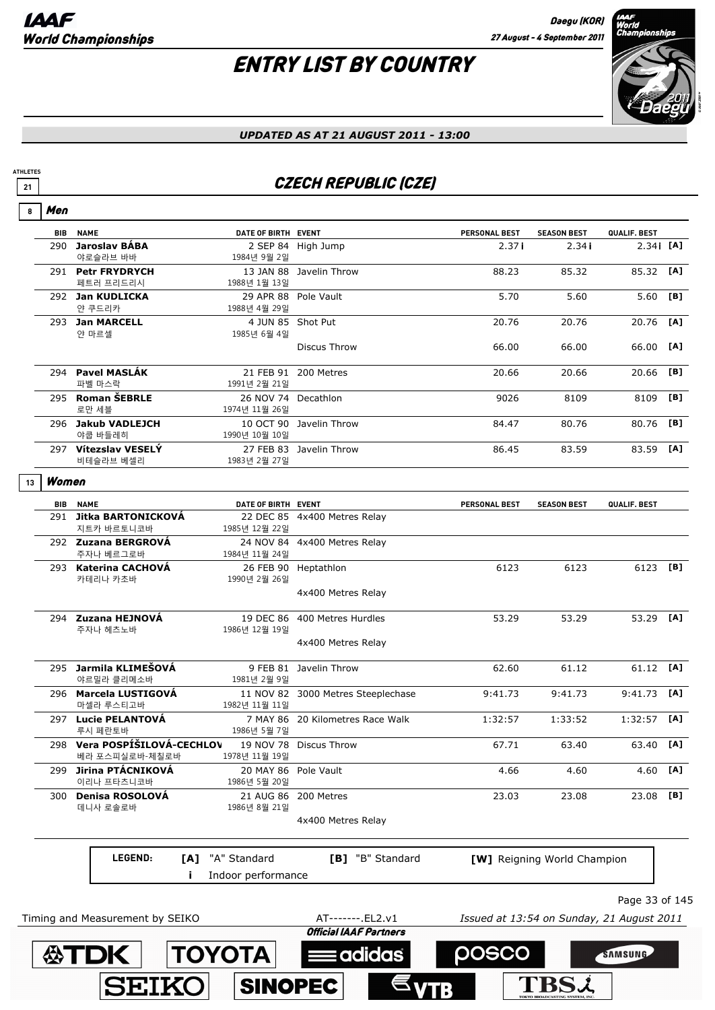# ENTRY LIST BY COUNTRY



#### *UPDATED AS AT 21 AUGUST 2011 - 13:00*

## **21** CZECH REPUBLIC (CZE)

| <b>BIB</b> | <b>NAME</b>                                                           | DATE OF BIRTH EVENT                  |                                    | <b>PERSONAL BEST</b>                      | <b>SEASON BEST</b>          | QUALIF. BEST   |     |
|------------|-----------------------------------------------------------------------|--------------------------------------|------------------------------------|-------------------------------------------|-----------------------------|----------------|-----|
|            | 290 Jaroslav BÁBA<br>야로슬라브 바바                                         | 1984년 9월 2일                          | 2 SEP 84 High Jump                 | 2.37i                                     | 2.34i                       | $2.34$ i [A]   |     |
|            | 291 Petr FRYDRYCH<br>페트러 프리드리시                                        | 1988년 1월 13일                         | 13 JAN 88 Javelin Throw            | 88.23                                     | 85.32                       | 85.32          | [A] |
|            | 292 Jan KUDLICKA<br>얀 쿠드리카                                            | 1988년 4월 29일                         | 29 APR 88 Pole Vault               | 5.70                                      | 5.60                        | 5.60           | [B] |
|            | 293 Jan MARCELL<br>얀 마르셀                                              | 4 JUN 85 Shot Put<br>1985년 6월 4일     |                                    | 20.76                                     | 20.76                       | 20.76          | [A] |
|            |                                                                       |                                      | <b>Discus Throw</b>                | 66.00                                     | 66.00                       | 66.00 [A]      |     |
|            | 294 Pavel MASLÁK<br>파벨 마스락                                            | 1991년 2월 21일                         | 21 FEB 91 200 Metres               | 20.66                                     | 20.66                       | 20.66          | [B] |
|            | 295 Roman ŠEBRLE<br>로만 세블                                             | 26 NOV 74 Decathlon<br>1974년 11월 26일 |                                    | 9026                                      | 8109                        | 8109           | [B] |
|            | 296 Jakub VADLEJCH<br>야쿱 바들레히                                         | 1990년 10월 10일                        | 10 OCT 90 Javelin Throw            | 84.47                                     | 80.76                       | 80.76          | [B] |
|            | 297 Vítezslav VESELÝ<br>비테슬라브 베셀리                                     | 1983년 2월 27일                         | 27 FEB 83 Javelin Throw            | 86.45                                     | 83.59                       | 83.59 [A]      |     |
| Women      |                                                                       |                                      |                                    |                                           |                             |                |     |
| <b>BIB</b> | <b>NAME</b>                                                           | DATE OF BIRTH EVENT                  |                                    | <b>PERSONAL BEST</b>                      | <b>SEASON BEST</b>          | QUALIF. BEST   |     |
|            | 291 Jitka BARTONICKOVÁ<br>지트카 바르토니코바                                  | 1985년 12월 22일                        | 22 DEC 85 4x400 Metres Relay       |                                           |                             |                |     |
|            | 292 Zuzana BERGROVÁ<br>주자나 베르그로바                                      | 1984년 11월 24일                        | 24 NOV 84 4x400 Metres Relay       |                                           |                             |                |     |
|            | 293 Katerina CACHOVÁ<br>카테리나 카초바                                      | 1990년 2월 26일                         | 26 FEB 90 Heptathlon               | 6123                                      | 6123                        | 6123 [B]       |     |
|            |                                                                       |                                      | 4x400 Metres Relay                 |                                           |                             |                |     |
|            | 294 Zuzana HEJNOVÁ<br>주자나 헤츠노바                                        | 1986년 12월 19일                        | 19 DEC 86 400 Metres Hurdles       | 53.29                                     | 53.29                       | 53.29 [A]      |     |
|            |                                                                       |                                      | 4x400 Metres Relay                 |                                           |                             |                |     |
|            | 295 Jarmila KLIMEŠOVÁ<br>야르밀라 클리메소바                                   | 1981년 2월 9일                          | 9 FEB 81 Javelin Throw             | 62.60                                     | 61.12                       | 61.12 [A]      |     |
|            | 296 Marcela LUSTIGOVÁ<br>마셀라 루스티고바                                    | 1982년 11월 11일                        | 11 NOV 82 3000 Metres Steeplechase | 9:41.73                                   | 9:41.73                     | 9:41.73        | [A] |
|            | 297 Lucie PELANTOVÁ<br>루시 페란토바                                        | 1986년 5월 7일                          | 7 MAY 86 20 Kilometres Race Walk   | 1:32:57                                   | 1:33:52                     | $1:32:57$ [A]  |     |
|            | 298 Vera POSPÍŠILOVÁ-CECHLOV 19 NOV 78 Discus Throw<br>베라 포스피실로바-체칠로바 | 1978년 11월 19일                        |                                    | 67.71                                     | 63.40                       | 63.40 [A]      |     |
| 299        | Jirina PTÁCNIKOVÁ<br>이리나 프타츠니코바                                       | 20 MAY 86<br>1986년 5월 20일            | Pole Vault                         | 4.66                                      | 4.60                        | 4.60 $[A]$     |     |
|            | 300 Denisa ROSOLOVÁ<br>데니사 로솔로바                                       | 21 AUG 86<br>1986년 8월 21일            | 200 Metres                         | 23.03                                     | 23.08                       | 23.08 [B]      |     |
|            |                                                                       |                                      | 4x400 Metres Relay                 |                                           |                             |                |     |
|            | LEGEND:<br>[A]<br>Ĩ.                                                  | "A" Standard<br>Indoor performance   | [B] "B" Standard                   |                                           | [W] Reigning World Champion |                |     |
|            |                                                                       |                                      |                                    |                                           |                             | Page 33 of 145 |     |
|            | Timing and Measurement by SEIKO                                       |                                      | AT-------. EL2.v1                  | Issued at 13:54 on Sunday, 21 August 2011 |                             |                |     |

SINOPEC

**SEIKO** 

 $\epsilon_{VTB}$ 

**TBSi**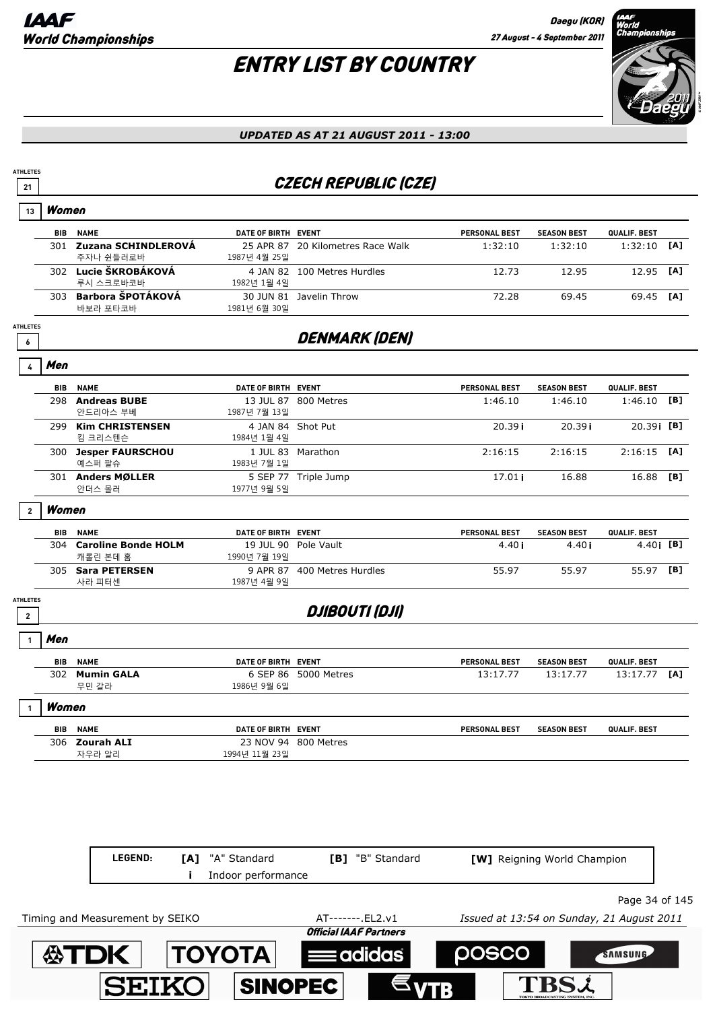## ENTRY LIST BY COUNTRY



#### *UPDATED AS AT 21 AUGUST 2011 - 13:00*

## **21** CZECH REPUBLIC (CZE)

#### **BIB NAME EVENT DATE OF BIRTH** Women **13 PERSONAL BEST SEASON BEST QUALIF. BEST** 301 **Zuzana SCHINDLEROVÁ** 25 APR 87 20 Kilometres Race Walk 1:32:10 1:32:10 1:32:10 **[A]** 주자나 쉰들러로바 1987년 4월 25일 302 **Lucie ŠKROBÁKOVÁ** 4 JAN 82 100 Metres Hurdles 12.73 12.95 12.95 **[A]** 루시 스크로바코바 1982년 1월 4일 303 **Barbora ŠPOTÁKOVÁ** 30 JUN 81 Javelin Throw 72.28 69.45 69.45 **[A]** 바보라 포타코바 1981년 6월 30일 *G* DENMARK (DEN) **ATHLETES BIB NAME EVENT DATE OF BIRTH** Men **4 PERSONAL BEST SEASON BEST QUALIF. BEST** 298 **Andreas BUBE** 13 JUL 87 800 Metres 1:46.10 1:46.10 1:46.10 **[B]** 안드리아스 부베 1987년 7월 13일 299 **Kim CHRISTENSEN** 4 JAN 84 Shot Put 20.39 i 20.39 i 20.39i **[B]** 킴 크리스텐슨 1984년 1월 4일 300 **Jesper FAURSCHOU** 1 JUL 83 Marathon 2:16:15 2:16:15 2:16:15 **[A]** 예스퍼 팔슈 1983년 7월 1일 301 **Anders MØLLER** 5 SEP 77 Triple Jump 17.01 i 16.88 16.88 **[B]** 안더스 몰러 1977년 9월 5일 **BIB NAME EVENT DATE OF BIRTH** Women **2 PERSONAL BEST SEASON BEST QUALIF. BEST** 304 **Caroline Bonde HOLM** 19 JUL 90 Pole Vault 4.40 i 4.40 i 4.40i **[B]** 캐롤린 본데 홈 1990년 7월 19일 305 **Sara PETERSEN** 9 APR 87 400 Metres Hurdles 55.97 55.97 55.97 **[B]** 사라 피터센 1987년 4월 9일 **<sup>2</sup>** DJIBOUTI (DJI) **ATHLETES BIB NAME EVENT DATE OF BIRTH** Men **1 PERSONAL BEST SEASON BEST QUALIF. BEST** 302 **Mumin GALA** 6 SEP 86 5000 Metres 13:17.77 13:17.77 13:17.77 **[A]** 무민 갈라 1986년 9월 6일 **BIB NAME EVENT DATE OF BIRTH** Women **1 PERSONAL BEST SEASON BEST QUALIF. BEST** 306 **Zourah ALI** 23 NOV 94 800 Metres 자우라 알리 1994년 11월 23일

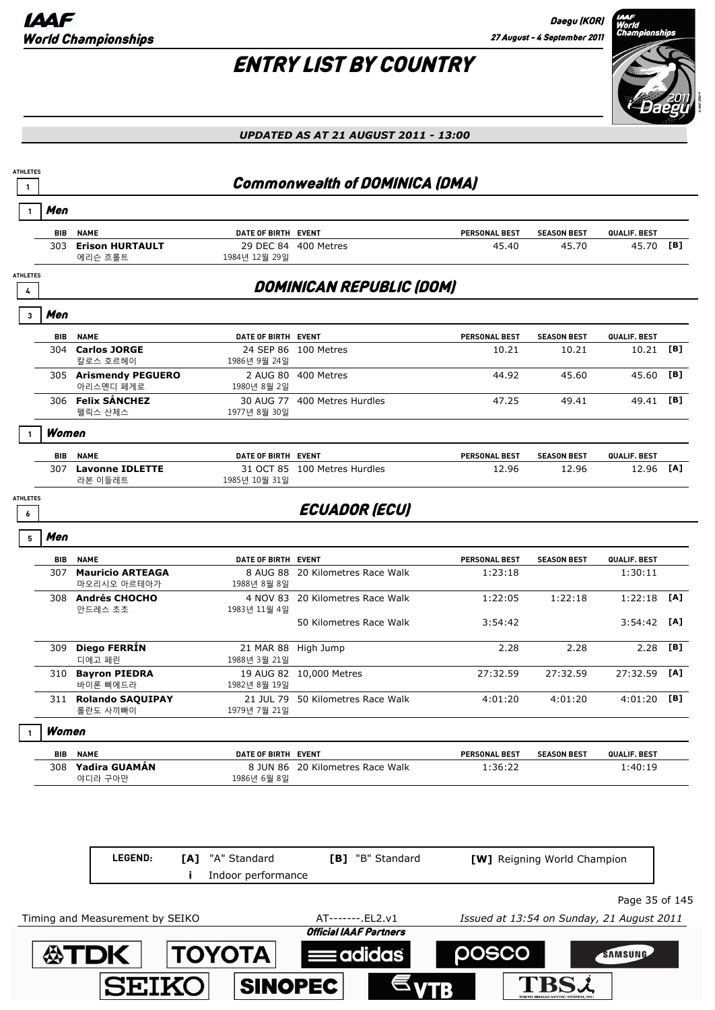

| <b>ATHLETES</b><br>$\mathbf{1}$ |            |                                        |                                             | Commonwealth of DOMINICA (DMA)    |                      |                             |                       |     |
|---------------------------------|------------|----------------------------------------|---------------------------------------------|-----------------------------------|----------------------|-----------------------------|-----------------------|-----|
|                                 | Men        |                                        |                                             |                                   |                      |                             |                       |     |
|                                 | BIB        | <b>NAME</b>                            | DATE OF BIRTH EVENT                         |                                   | <b>PERSONAL BEST</b> | <b>SEASON BEST</b>          | QUALIF. BEST          |     |
|                                 | 303        | <b>Erison HURTAULT</b><br>에리슨 흐롤트      | 1984년 12월 29일                               | 29 DEC 84 400 Metres              | 45.40                | 45.70                       | 45.70 [B]             |     |
| <b>ATHLETES</b><br>4            |            |                                        |                                             | <b>DOMINICAN REPUBLIC (DOM)</b>   |                      |                             |                       |     |
|                                 | Men        |                                        |                                             |                                   |                      |                             |                       |     |
| 3                               |            |                                        |                                             |                                   |                      |                             |                       |     |
|                                 | BIB<br>304 | <b>NAME</b><br><b>Carlos JORGE</b>     | DATE OF BIRTH EVENT                         | 24 SEP 86 100 Metres              | <b>PERSONAL BEST</b> | <b>SEASON BEST</b>          | QUALIF. BEST<br>10.21 | [B] |
|                                 |            | 칼로스 호르헤이                               | 1986년 9월 24일                                |                                   | 10.21                | 10.21                       |                       |     |
|                                 |            | 305 Arismendy PEGUERO<br>아리스멘디 페게로     | 1980년 8월 2일                                 | 2 AUG 80 400 Metres               | 44.92                | 45.60                       | 45.60                 | [B] |
|                                 |            | 306 Felix SÁNCHEZ<br>펠릭스 산체스           | 1977년 8월 30일                                | 30 AUG 77 400 Metres Hurdles      | 47.25                | 49.41                       | 49.41                 | [B] |
|                                 | Women      |                                        |                                             |                                   |                      |                             |                       |     |
|                                 | BIB        | <b>NAME</b>                            | DATE OF BIRTH EVENT                         |                                   | PERSONAL BEST        | <b>SEASON BEST</b>          | QUALIF. BEST          |     |
|                                 |            | 307 Lavonne IDLETTE<br>라본 이들레트         | 1985년 10월 31일                               | 31 OCT 85 100 Metres Hurdles      | 12.96                | 12.96                       | 12.96                 | [A] |
| <b>ATHLETES</b>                 |            |                                        |                                             |                                   |                      |                             |                       |     |
| 6                               |            |                                        |                                             | <b>ECUADOR (ECU)</b>              |                      |                             |                       |     |
| 5                               | Men        |                                        |                                             |                                   |                      |                             |                       |     |
|                                 | BIB        | <b>NAME</b>                            | DATE OF BIRTH EVENT                         |                                   | PERSONAL BEST        | <b>SEASON BEST</b>          | QUALIF. BEST          |     |
|                                 | 307        | <b>Mauricio ARTEAGA</b><br>마오리시오 아르테아가 | 1988년 8월 8일                                 | 8 AUG 88 20 Kilometres Race Walk  | 1:23:18              |                             | 1:30:11               |     |
|                                 |            | 308 Andrés CHOCHO<br>안드레스 초초           | 1983년 11월 4일                                | 4 NOV 83 20 Kilometres Race Walk  | 1:22:05              | 1:22:18                     | $1:22:18$ [A]         |     |
|                                 |            |                                        |                                             | 50 Kilometres Race Walk           | 3:54:42              |                             | $3:54:42$ [A]         |     |
|                                 | 309        | Diego FERRÍN<br>디에고 페린                 | 21 MAR 88 High Jump<br>1988년 3월 21일         |                                   | 2.28                 | 2.28                        | 2.28                  | [B] |
|                                 |            | 310 Bayron PIEDRA<br>바이론 삐에드라          | 1982년 8월 19일                                | 19 AUG 82 10,000 Metres           | 27:32.59             | 27:32.59                    | 27:32.59              | [A] |
|                                 |            | 311 Rolando SAQUIPAY<br>롤란도 사끼빠이       | 1979년 7월 21일                                | 21 JUL 79 50 Kilometres Race Walk | 4:01:20              | 4:01:20                     | $4:01:20$ [B]         |     |
|                                 | Women      |                                        |                                             |                                   |                      |                             |                       |     |
|                                 | BIB        | <b>NAME</b>                            | DATE OF BIRTH EVENT                         |                                   | PERSONAL BEST        | <b>SEASON BEST</b>          | QUALIF. BEST          |     |
|                                 |            | 308 Yadira GUAMÁN<br>야디라 구아만           | 1986년 6월 8일                                 | 8 JUN 86 20 Kilometres Race Walk  | 1:36:22              |                             | 1:40:19               |     |
|                                 |            |                                        |                                             |                                   |                      |                             |                       |     |
|                                 |            | LEGEND:                                | [A] "A" Standard<br>Indoor performance<br>Ť | [B] "B" Standard                  |                      | [W] Reigning World Champion |                       |     |
|                                 |            |                                        |                                             |                                   |                      |                             | Page 35 of 145        |     |

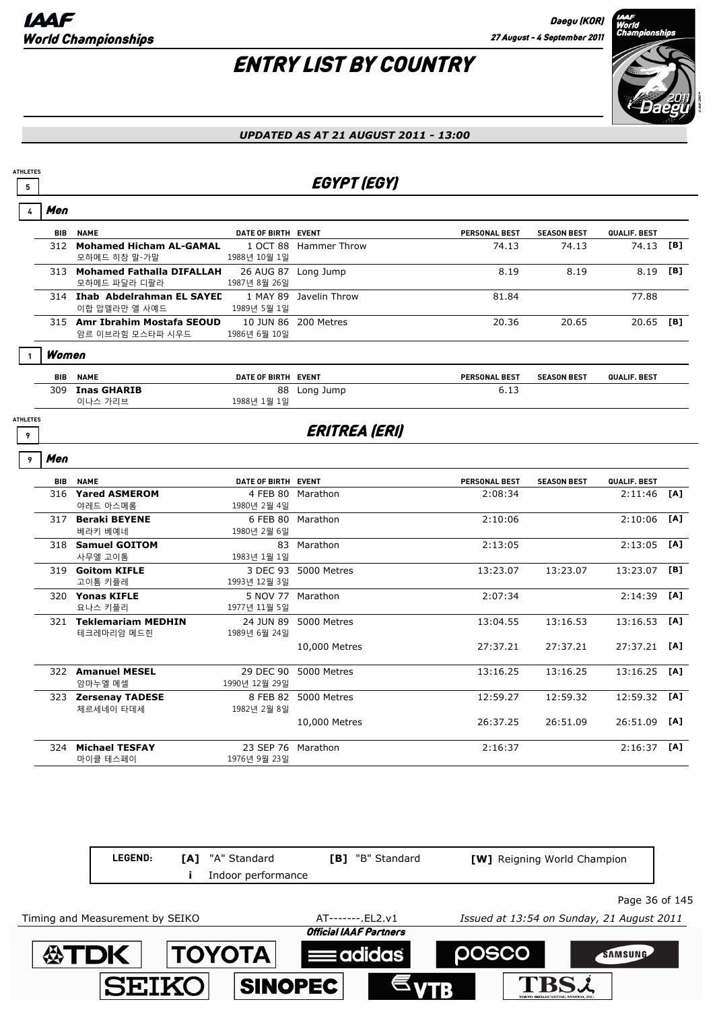# ENTRY LIST BY COUNTRY



#### *UPDATED AS AT 21 AUGUST 2011 - 13:00*

## **5 EGYPT (EGY)**

| 4                    | Men        |                                                   |                                     |                        |               |                    |                |     |
|----------------------|------------|---------------------------------------------------|-------------------------------------|------------------------|---------------|--------------------|----------------|-----|
|                      |            | <b>BIB NAME</b>                                   | DATE OF BIRTH EVENT                 |                        | PERSONAL BEST | <b>SEASON BEST</b> | QUALIF. BEST   |     |
|                      |            | 312 Mohamed Hicham AL-GAMAL<br>모하메드 히참 말-가말       | 1988년 10월 1일                        | 1 OCT 88 Hammer Throw  | 74.13         | 74.13              | 74.13          | [B] |
|                      |            | 313 Mohamed Fathalla DIFALLAH<br>모하메드 파달라 디팔라     | 26 AUG 87 Long Jump<br>1987년 8월 26일 |                        | 8.19          | 8.19               | 8.19           | [B] |
|                      |            | 314 Ihab Abdelrahman EL SAYED<br>이합 압델라만 엘 사예드    | 1989년 5월 1일                         | 1 MAY 89 Javelin Throw | 81.84         |                    | 77.88          |     |
|                      |            | 315 Amr Ibrahim Mostafa SEOUD<br>암르 이브라힘 모스타파 시우드 | 1986년 6월 10일                        | 10 JUN 86 200 Metres   | 20.36         | 20.65              | 20.65 [B]      |     |
| 1                    | Women      |                                                   |                                     |                        |               |                    |                |     |
|                      | <b>BIB</b> | <b>NAME</b>                                       | DATE OF BIRTH EVENT                 |                        | PERSONAL BEST | <b>SEASON BEST</b> | QUALIF. BEST   |     |
|                      |            | 309 Inas GHARIB<br>이나스 가리브                        | 1988년 1월 1일                         | 88 Long Jump           | 6.13          |                    |                |     |
| <b>ATHLETES</b><br>9 |            |                                                   |                                     | <b>ERITREA (ERI)</b>   |               |                    |                |     |
| 9                    | Men        |                                                   |                                     |                        |               |                    |                |     |
|                      |            | <b>BIB NAME</b>                                   | DATE OF BIRTH EVENT                 |                        | PERSONAL BEST | <b>SEASON BEST</b> | QUALIF. BEST   |     |
|                      |            | 316 Yared ASMEROM<br>야레드 아스메롬                     | 1980년 2월 4일                         | 4 FEB 80 Marathon      | 2:08:34       |                    | 2:11:46        | [A] |
|                      |            | 317 Beraki BEYENE<br>베라키 베예네                      | 1980년 2월 6일                         | 6 FEB 80 Marathon      | 2:10:06       |                    | 2:10:06        | [A] |
|                      |            | 318 Samuel GOITOM<br>사무엘 고이톰                      | 1983년 1월 1일                         | 83 Marathon            | 2:13:05       |                    | $2:13:05$ [A]  |     |
|                      |            | 319 Goitom KIFLE<br>고이톰 키플레                       | 1993년 12월 3일                        | 3 DEC 93 5000 Metres   | 13:23.07      | 13:23.07           | 13:23.07       | [B] |
|                      |            | 320 Yonas KIFLE<br>요나스 키플리                        | 5 NOV 77 Marathon<br>1977년 11월 5일   |                        | 2:07:34       |                    | 2:14:39        | [A] |
|                      |            | 321 Teklemariam MEDHIN<br>테크레마리암 메드힌              | 1989년 6월 24일                        | 24 JUN 89 5000 Metres  | 13:04.55      | 13:16.53           | 13:16.53       | TA1 |
|                      |            |                                                   |                                     | 10,000 Metres          | 27:37.21      | 27:37.21           | $27:37.21$ [A] |     |
|                      |            | 322 Amanuel MESEL<br>암마누엘 메셀                      | 1990년 12월 29일                       | 29 DEC 90 5000 Metres  | 13:16.25      | 13:16.25           | $13:16.25$ [A] |     |
|                      |            | 323 Zersenay TADESE<br>체르세네이 타데세                  | 1982년 2월 8일                         | 8 FEB 82 5000 Metres   | 12:59.27      | 12:59.32           | 12:59.32 [A]   |     |
|                      |            |                                                   |                                     | 10,000 Metres          | 26:37.25      | 26:51.09           | 26:51.09       | TA1 |
|                      |            | 324 Michael TESFAY<br>마이클 테스페이                    | 23 SEP 76 Marathon<br>1976년 9월 23일  |                        | 2:16:37       |                    | $2:16:37$ [A]  |     |

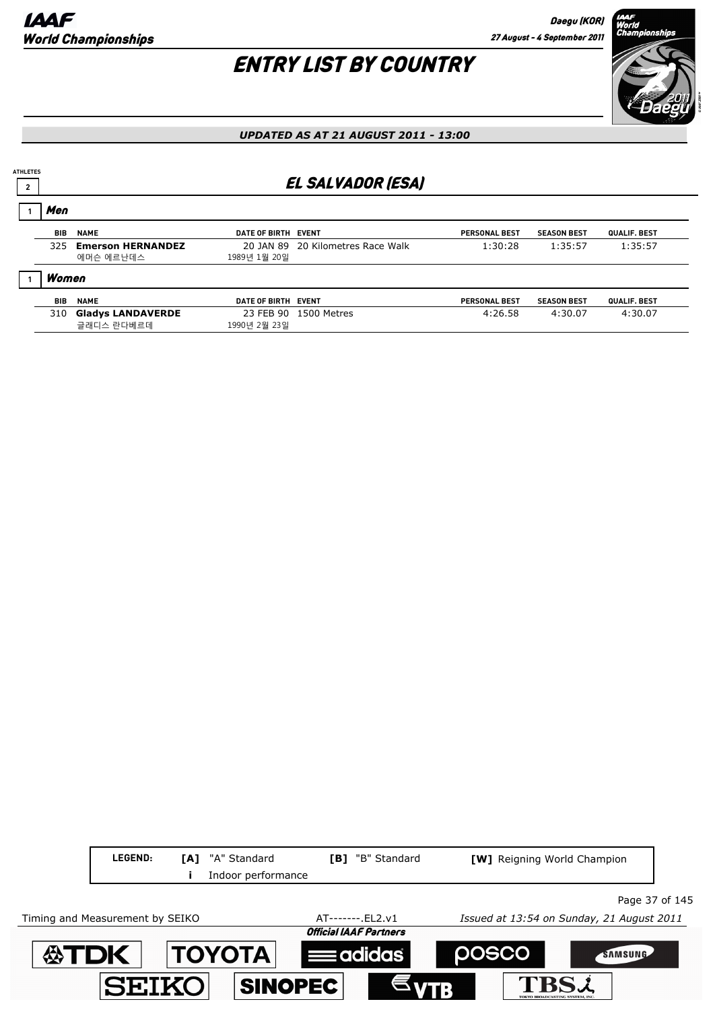## ENTRY LIST BY COUNTRY



#### *UPDATED AS AT 21 AUGUST 2011 - 13:00*

### <sup>2</sup> EL SALVADOR (ESA)

| Men   |                          |                     |                                   |                      |                    |                     |
|-------|--------------------------|---------------------|-----------------------------------|----------------------|--------------------|---------------------|
| BIB   | <b>NAME</b>              | DATE OF BIRTH EVENT |                                   | <b>PERSONAL BEST</b> | <b>SEASON BEST</b> | QUALIF. BEST        |
| 325.  | <b>Emerson HERNANDEZ</b> |                     | 20 JAN 89 20 Kilometres Race Walk | 1:30:28              | 1:35:57            | 1:35:57             |
|       | 에머슨 에르난데스                | 1989년 1월 20일        |                                   |                      |                    |                     |
| Women |                          |                     |                                   |                      |                    |                     |
| BIB   | <b>NAME</b>              | DATE OF BIRTH EVENT |                                   | <b>PERSONAL BEST</b> | <b>SEASON BEST</b> | <b>QUALIF, BEST</b> |
| 310   | <b>Gladys LANDAVERDE</b> |                     | 23 FEB 90 1500 Metres             | 4:26.58              | 4:30.07            | 4:30.07             |
|       | 글래디스 란다베르데               | 1990년 2월 23일        |                                   |                      |                    |                     |

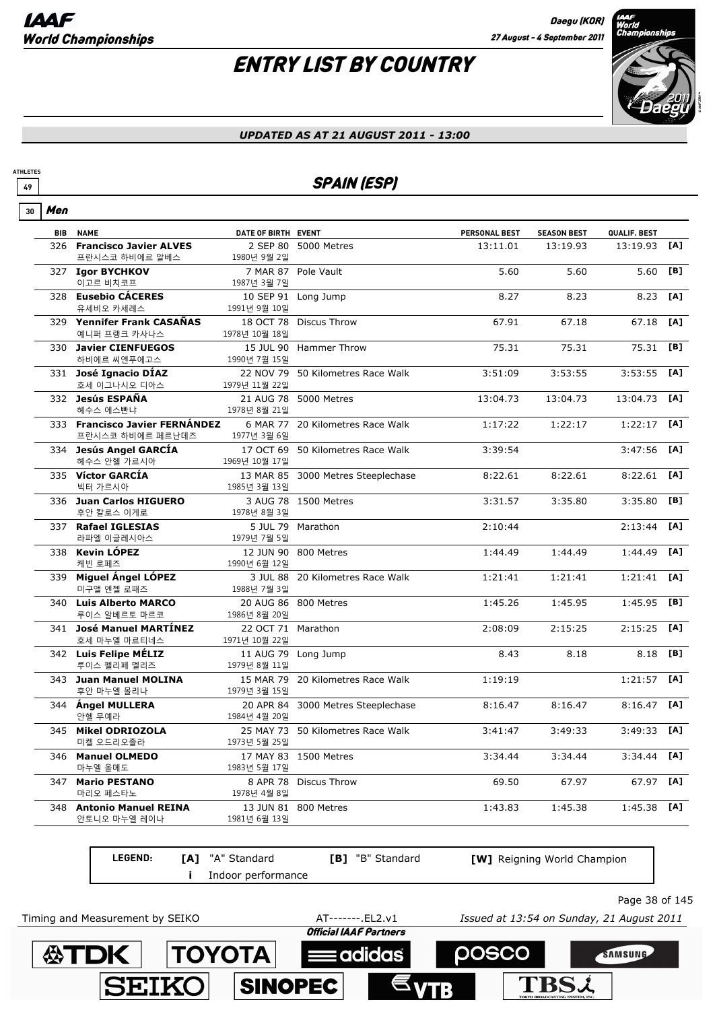# ENTRY LIST BY COUNTRY



#### *UPDATED AS AT 21 AUGUST 2011 - 13:00*

### **49** SPAIN (ESP)

| Men<br>30  |                                                    |                                     |                                    |                      |                    |               |     |
|------------|----------------------------------------------------|-------------------------------------|------------------------------------|----------------------|--------------------|---------------|-----|
| <b>BIB</b> | <b>NAME</b>                                        | DATE OF BIRTH EVENT                 |                                    | <b>PERSONAL BEST</b> | <b>SEASON BEST</b> | QUALIF. BEST  |     |
|            | 326 Francisco Javier ALVES<br>프란시스코 하비에르 알베스       | 1980년 9월 2일                         | 2 SEP 80 5000 Metres               | 13:11.01             | 13:19.93           | 13:19.93      | [A] |
|            | 327 Igor BYCHKOV<br>이고르 비치코프                       | 1987년 3월 7일                         | 7 MAR 87 Pole Vault                | 5.60                 | 5.60               | 5.60          | [B] |
|            | 328 Eusebio CÁCERES<br>유세비오 카세레스                   | 1991년 9월 10일                        | 10 SEP 91 Long Jump                | 8.27                 | 8.23               | 8.23          | [A] |
|            | 329 Yennifer Frank CASAÑAS<br>예니퍼 프랭크 카사나스         | 1978년 10월 18일                       | 18 OCT 78 Discus Throw             | 67.91                | 67.18              | 67.18         | [A] |
|            | 330 Javier CIENFUEGOS<br>하비에르 씨엔푸에고스               | 1990년 7월 15일                        | 15 JUL 90 Hammer Throw             | 75.31                | 75.31              | 75.31         | [B] |
|            | 331 José Ignacio DÍAZ<br>호세 이그나시오 디아스              | 1979년 11월 22일                       | 22 NOV 79 50 Kilometres Race Walk  | 3:51:09              | 3:53:55            | 3:53:55       | [A] |
|            | 332 Jesús ESPAÑA<br>헤수스 에스빤냐                       | 1978년 8월 21일                        | 21 AUG 78 5000 Metres              | 13:04.73             | 13:04.73           | 13:04.73      | [A] |
|            | 333 Francisco Javier FERNÁNDEZ<br>프란시스코 하비에르 페르난데즈 | 1977년 3월 6일                         | 6 MAR 77 20 Kilometres Race Walk   | 1:17:22              | 1:22:17            | 1:22:17       | [A] |
|            | 334 Jesús Angel GARCÍA<br>헤수스 안헬 가르시아              | 1969년 10월 17일                       | 17 OCT 69 50 Kilometres Race Walk  | 3:39:54              |                    | 3:47:56       | [A] |
|            | 335 Víctor GARCÍA<br>빅터 가르시아                       | 1985년 3월 13일                        | 13 MAR 85 3000 Metres Steeplechase | 8:22.61              | 8:22.61            | 8:22.61       | [A] |
|            | 336 Juan Carlos HIGUERO<br>후안 칼로스 이게로              | 1978년 8월 3일                         | 3 AUG 78 1500 Metres               | 3:31.57              | 3:35.80            | 3:35.80       | [B] |
|            | 337 Rafael IGLESIAS<br>라파엘 이글레시아스                  | 1979년 7월 5일                         | 5 JUL 79 Marathon                  | 2:10:44              |                    | 2:13:44       | [A] |
|            | 338 Kevin LÓPEZ<br>케빈 로페즈                          | 1990년 6월 12일                        | 12 JUN 90 800 Metres               | 1:44.49              | 1:44.49            | 1:44.49       | [A] |
|            | 339 Miguel Ángel LÓPEZ<br>미구앨 엔젤 로패즈               | 1988년 7월 3일                         | 3 JUL 88 20 Kilometres Race Walk   | 1:21:41              | 1:21:41            | 1:21:41       | [A] |
|            | 340 Luis Alberto MARCO<br>루이스 알베르토 마르코             | 1986년 8월 20일                        | 20 AUG 86 800 Metres               | 1:45.26              | 1:45.95            | 1:45.95       | [B] |
|            | 341 José Manuel MARTÍNEZ<br>호세 마누엘 마르티네스           | 22 OCT 71 Marathon<br>1971년 10월 22일 |                                    | 2:08:09              | 2:15:25            | 2:15:25       | [A] |
|            | 342 Luis Felipe MÉLIZ<br>루이스 펠리페 멜리즈               | 1979년 8월 11일                        | 11 AUG 79 Long Jump                | 8.43                 | 8.18               | 8.18          | [B] |
|            | 343 Juan Manuel MOLINA<br>후안 마누엘 몰리나               | 1979년 3월 15일                        | 15 MAR 79 20 Kilometres Race Walk  | 1:19:19              |                    | 1:21:57       | [A] |
|            | 344 Ángel MULLERA<br>안헬 무예라                        | 1984년 4월 20일                        | 20 APR 84 3000 Metres Steeplechase | 8:16.47              | 8:16.47            | 8:16.47       | [A] |
|            | 345 Mikel ODRIOZOLA<br>미켈 오드리오졸라                   | 1973년 5월 25일                        | 25 MAY 73 50 Kilometres Race Walk  | 3:41:47              | 3:49:33            | 3:49:33       | [A] |
|            | 346 Manuel OLMEDO<br>마누엘 올메도                       | 1983년 5월 17일                        | 17 MAY 83 1500 Metres              | 3:34.44              | 3:34.44            | $3:34.44$ [A] |     |
|            | 347 Mario PESTANO<br>마리오 페스타노                      | 1978년 4월 8일                         | 8 APR 78 Discus Throw              | 69.50                | 67.97              | 67.97 [A]     |     |
| 348        | <b>Antonio Manuel REINA</b><br>안토니오 마누엘 레이나        | 1981년 6월 13일                        | 13 JUN 81 800 Metres               | 1:43.83              | 1:45.38            | $1:45.38$ [A] |     |

| <b>LEGEND:</b> | <b>[A]</b> "A" Standard | <b>[B]</b> "B" Standard | <b>[W]</b> Reigning World Champion |                |
|----------------|-------------------------|-------------------------|------------------------------------|----------------|
|                | Indoor performance      |                         |                                    |                |
|                |                         |                         |                                    | Page 38 of 145 |

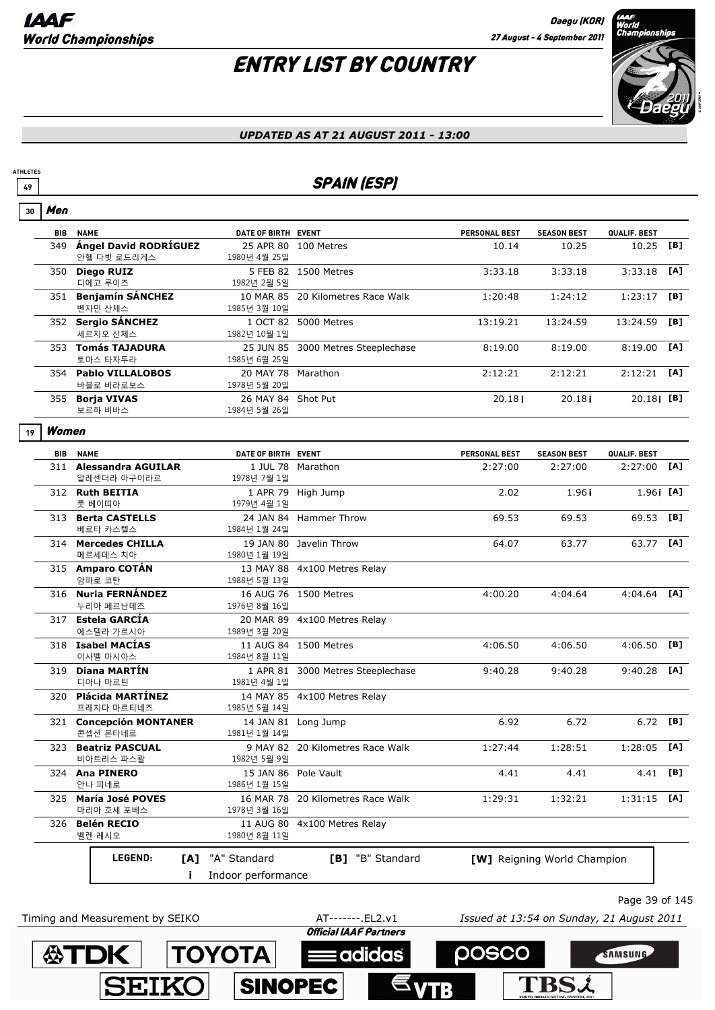Men

# ENTRY LIST BY COUNTRY



#### *UPDATED AS AT 21 AUGUST 2011 - 13:00*

### **49** SPAIN (ESP)

| 30 | men   |                                          |                                    |                                    |                      |                             |                  |     |
|----|-------|------------------------------------------|------------------------------------|------------------------------------|----------------------|-----------------------------|------------------|-----|
|    | BIB   | <b>NAME</b>                              | DATE OF BIRTH EVENT                |                                    | <b>PERSONAL BEST</b> | <b>SEASON BEST</b>          | QUALIF. BEST     |     |
|    |       | 349 Ángel David RODRÍGUEZ<br>안헬 다빗 로드리게스 | 1980년 4월 25일                       | 25 APR 80 100 Metres               | 10.14                | 10.25                       | 10.25            | [B] |
|    |       | 350 Diego RUIZ<br>디에고 루이즈                | 1982년 2월 5일                        | 5 FEB 82 1500 Metres               | 3:33.18              | 3:33.18                     | 3:33.18          | [A] |
|    |       | 351 Benjamín SÁNCHEZ<br>벤자민 산체스          | 1985년 3월 10일                       | 10 MAR 85 20 Kilometres Race Walk  | 1:20:48              | 1:24:12                     | 1:23:17          | [B] |
|    |       | 352 Sergio SÁNCHEZ<br>세르지오 산체스           | 1982년 10월 1일                       | 1 OCT 82 5000 Metres               | 13:19.21             | 13:24.59                    | 13:24.59         | [B] |
|    |       | 353 Tomás TAJADURA<br>토마스 타자두라           | 1985년 6월 25일                       | 25 JUN 85 3000 Metres Steeplechase | 8:19.00              | 8:19.00                     | 8:19.00          | [A] |
|    |       | 354 Pablo VILLALOBOS<br>바블로 비라로보스        | 20 MAY 78 Marathon<br>1978년 5월 20일 |                                    | 2:12:21              | 2:12:21                     | 2:12:21          | [A] |
|    |       | 355 Borja VIVAS<br>보르하 비바스               | 26 MAY 84 Shot Put<br>1984년 5월 26일 |                                    | 20.18i               | 20.18i                      | $20.18$ i [B]    |     |
| 19 | Women |                                          |                                    |                                    |                      |                             |                  |     |
|    |       | <b>BIB NAME</b>                          | DATE OF BIRTH EVENT                |                                    | <b>PERSONAL BEST</b> | <b>SEASON BEST</b>          | QUALIF. BEST     |     |
|    |       | 311 Alessandra AGUILAR<br>알레센더라 아구이라르    | 1978년 7월 1일                        | 1 JUL 78 Marathon                  | 2:27:00              | 2:27:00                     | 2:27:00          | [A] |
|    |       | 312 Ruth BEITIA<br>룻 베이띠아                | 1979년 4월 1일                        | 1 APR 79 High Jump                 | 2.02                 | 1.96i                       | 1.961 [A]        |     |
|    |       | 313 Berta CASTELLS<br>베르타 카스텔스           | 1984년 1월 24일                       | 24 JAN 84 Hammer Throw             | 69.53                | 69.53                       | 69.53            | [B] |
|    |       | 314 Mercedes CHILLA<br>메르세데스 치아          | 1980년 1월 19일                       | 19 JAN 80 Javelin Throw            | 64.07                | 63.77                       | 63.77 <b>[A]</b> |     |
|    |       | 315 Amparo COTÁN<br>암파로 코탄               | 1988년 5월 13일                       | 13 MAY 88 4x100 Metres Relay       |                      |                             |                  |     |
|    |       | 316 Nuria FERNÁNDEZ<br>누리아 페르난데즈         | 1976년 8월 16일                       | 16 AUG 76 1500 Metres              | 4:00.20              | 4:04.64                     | $4:04.64$ [A]    |     |
|    |       | 317 Estela GARCÍA<br>에스텔라 가르시아           | 1989년 3월 20일                       | 20 MAR 89 4x100 Metres Relay       |                      |                             |                  |     |
|    |       | 318 Isabel MACIAS<br>이사벨 마시아스            | 1984년 8월 11일                       | 11 AUG 84 1500 Metres              | 4:06.50              | 4:06.50                     | 4:06.50          | [B] |
|    |       | 319 Diana MARTÍN<br>디아나 마르틴              | 1981년 4월 1일                        | 1 APR 81 3000 Metres Steeplechase  | 9:40.28              | 9:40.28                     | 9:40.28          | [A] |
|    |       | 320 Plácida MARTÍNEZ<br>프래치다 마르티네즈       | 1985년 5월 14일                       | 14 MAY 85 4x100 Metres Relay       |                      |                             |                  |     |
|    |       | 321 Concepción MONTANER<br>콘셉션 몬타네르      | 1981년 1월 14일                       | 14 JAN 81 Long Jump                | 6.92                 | 6.72                        | $6.72$ [B]       |     |
|    |       | 323 Beatriz PASCUAL<br>비아트리스 파스콸         | 1982년 5월 9일                        | 9 MAY 82 20 Kilometres Race Walk   | 1:27:44              | 1:28:51                     | $1:28:05$ [A]    |     |
|    |       | 324 Ana PINERO<br>안나 피네로                 | 1986년 1월 15일                       | 15 JAN 86 Pole Vault               | 4.41                 | 4.41                        | 4.41 [B]         |     |
|    |       | 325 María José POVES<br>마리아 호세 포베스       | 1978년 3월 16일                       | 16 MAR 78 20 Kilometres Race Walk  | 1:29:31              | 1:32:21                     | $1:31:15$ [A]    |     |
|    |       | 326 Belén RECIO<br>벨렌 레시오                | 1980년 8월 11일                       | 11 AUG 80 4x100 Metres Relay       |                      |                             |                  |     |
|    |       | <b>LEGEND:</b><br>[A]                    | "A" Standard                       | [B] "B" Standard                   |                      | [W] Reigning World Champion |                  |     |
|    |       | Ť.                                       | Indoor performance                 |                                    |                      |                             |                  |     |
|    |       |                                          |                                    |                                    |                      |                             |                  |     |



Page 39 of 145

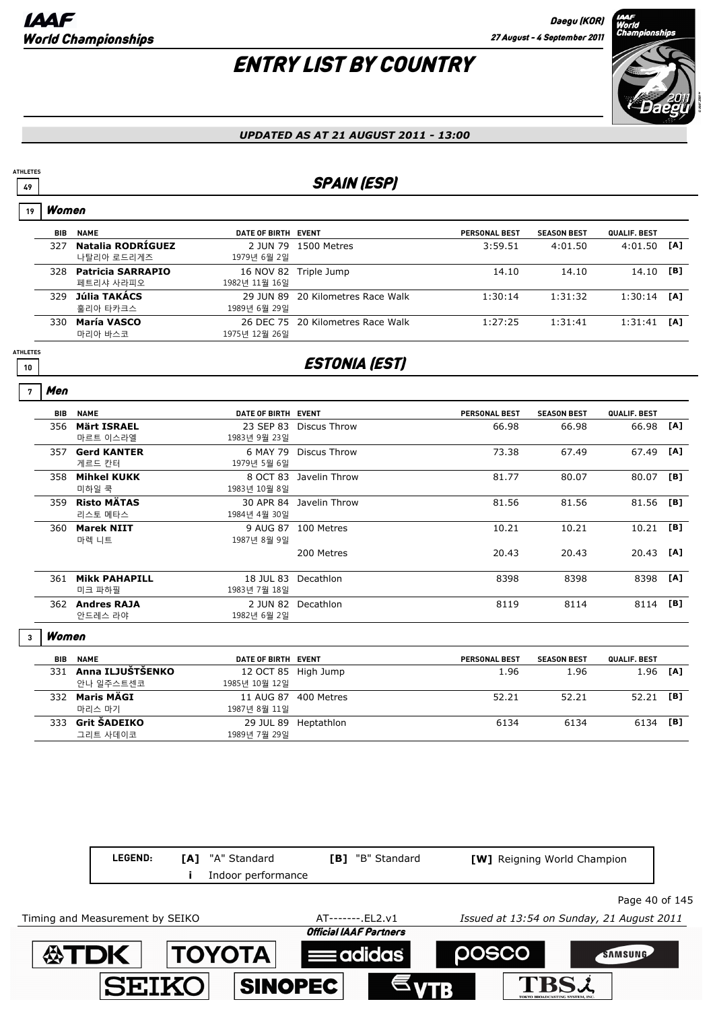## ENTRY LIST BY COUNTRY



#### *UPDATED AS AT 21 AUGUST 2011 - 13:00*

### **49** SPAIN (ESP)

| 19                    | Women      |                                       |                                      |                                   |                      |                    |                     |     |
|-----------------------|------------|---------------------------------------|--------------------------------------|-----------------------------------|----------------------|--------------------|---------------------|-----|
|                       | <b>BIB</b> | <b>NAME</b>                           | DATE OF BIRTH EVENT                  |                                   | <b>PERSONAL BEST</b> | <b>SEASON BEST</b> | QUALIF. BEST        |     |
|                       | 327        | Natalia RODRÍGUEZ<br>나탈리아 로드리게즈       | 1979년 6월 2일                          | 2 JUN 79 1500 Metres              | 3:59.51              | 4:01.50            | 4:01.50             | [A] |
|                       | 328        | <b>Patricia SARRAPIO</b><br>페트리샤 사라피오 | 1982년 11월 16일                        | 16 NOV 82 Triple Jump             | 14.10                | 14.10              | 14.10               | [B] |
|                       | 329        | Júlia TAKÁCS<br>훌리아 타카크스              | 1989년 6월 29일                         | 29 JUN 89 20 Kilometres Race Walk | 1:30:14              | 1:31:32            | 1:30:14             | [A] |
|                       |            | 330 María VASCO<br>마리아 바스코            | 1975년 12월 26일                        | 26 DEC 75 20 Kilometres Race Walk | 1:27:25              | 1:31:41            | 1:31:41             | [A] |
| <b>ATHLETES</b><br>10 |            |                                       |                                      | <b>ESTONIA (EST)</b>              |                      |                    |                     |     |
| 7                     | Men        |                                       |                                      |                                   |                      |                    |                     |     |
|                       | <b>BIB</b> | <b>NAME</b>                           | DATE OF BIRTH EVENT                  |                                   | <b>PERSONAL BEST</b> | <b>SEASON BEST</b> | QUALIF. BEST        |     |
|                       | 356        | <b>Märt ISRAEL</b><br>마르트 이스라엘        | 1983년 9월 23일                         | 23 SEP 83 Discus Throw            | 66.98                | 66.98              | 66.98               | [A] |
|                       |            | 357 Gerd KANTER<br>게르드 칸터             | 1979년 5월 6일                          | 6 MAY 79 Discus Throw             | 73.38                | 67.49              | 67.49               | [A] |
|                       | 358        | <b>Mihkel KUKK</b><br>미하일 쿡           | 1983년 10월 8일                         | 8 OCT 83 Javelin Throw            | 81.77                | 80.07              | 80.07               | [B] |
|                       |            | 359 Risto MÄTAS<br>리스토 메타스            | 1984년 4월 30일                         | 30 APR 84 Javelin Throw           | 81.56                | 81.56              | 81.56               | [B] |
|                       |            | 360 Marek NIIT<br>마렉 니트               | 1987년 8월 9일                          | 9 AUG 87 100 Metres               | 10.21                | 10.21              | 10.21               | [B] |
|                       |            |                                       |                                      | 200 Metres                        | 20.43                | 20.43              | 20.43               | [A] |
|                       |            | 361 Mikk PAHAPILL<br>미크 파하필           | 1983년 7월 18일                         | 18 JUL 83 Decathlon               | 8398                 | 8398               | 8398                | [A] |
|                       |            | 362 Andres RAJA<br>안드레스 라야            | 1982년 6월 2일                          | 2 JUN 82 Decathlon                | 8119                 | 8114               | 8114                | [B] |
| $\overline{3}$        | Women      |                                       |                                      |                                   |                      |                    |                     |     |
|                       | <b>BIB</b> | <b>NAME</b>                           | DATE OF BIRTH EVENT                  |                                   | <b>PERSONAL BEST</b> | <b>SEASON BEST</b> | <b>QUALIF. BEST</b> |     |
|                       |            | 331 Anna ILJUŠTŠENKO<br>안나 일주스트센코     | 12 OCT 85 High Jump<br>1985년 10월 12일 |                                   | 1.96                 | 1.96               | 1.96                | [A] |

|     | <b>331 ANNA ILJUSISENNU</b> | UZ UCI 83 FILIH JUHID |                      | 1.90  | 1.90  | 1.90 LAJ |     |
|-----|-----------------------------|-----------------------|----------------------|-------|-------|----------|-----|
|     | 안나 일주스트센코                   | 1985년 10월 12일         |                      |       |       |          |     |
| 332 | Maris MÄGI                  | 11 AUG 87 400 Metres  |                      | 52.21 | 52.21 | 52.21    | TB1 |
|     | 마리스 마기                      | 1987년 8월 11일          |                      |       |       |          |     |
| 333 | Grit ŠADEIKO                |                       | 29 JUL 89 Heptathlon | 6134  | 6134  | 6134 [B] |     |
|     | 그리트 사데이코                    | 1989년 7월 29일          |                      |       |       |          |     |
|     |                             |                       |                      |       |       |          |     |

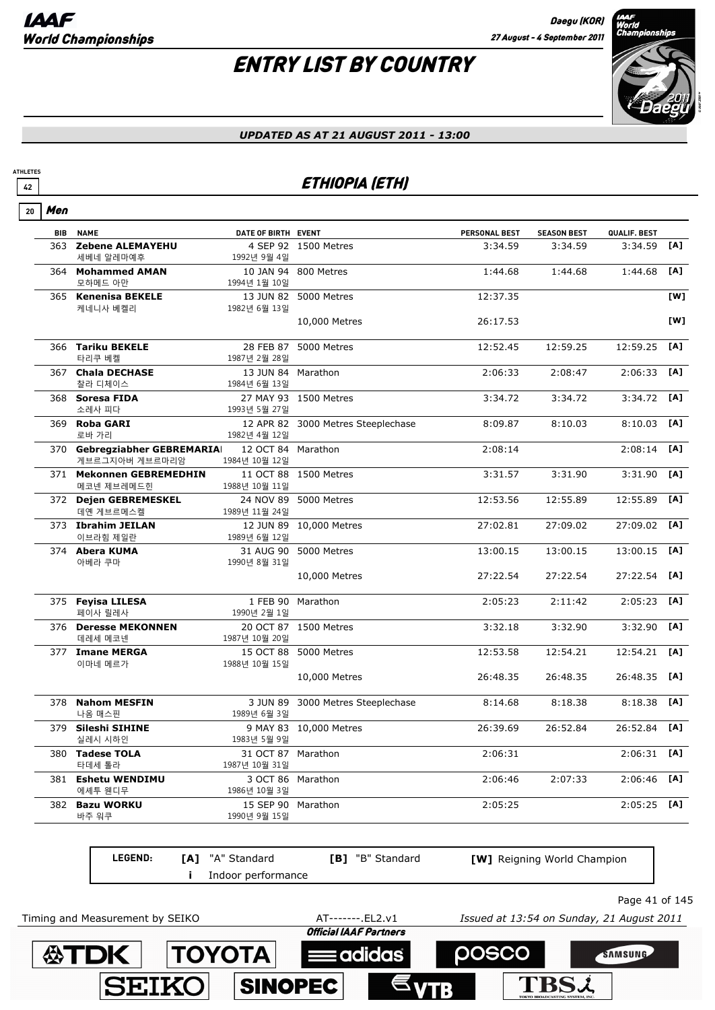# ENTRY LIST BY COUNTRY



#### *UPDATED AS AT 21 AUGUST 2011 - 13:00*

### **<sup>42</sup>** ETHIOPIA (ETH)

| Men        |                           |                                                                                                                                                                                                                                                                                                                                                                                                        |                              |                                                                                                                                                                                                                                                                                                                                                                                                                                                                                                                          |                    |              |     |
|------------|---------------------------|--------------------------------------------------------------------------------------------------------------------------------------------------------------------------------------------------------------------------------------------------------------------------------------------------------------------------------------------------------------------------------------------------------|------------------------------|--------------------------------------------------------------------------------------------------------------------------------------------------------------------------------------------------------------------------------------------------------------------------------------------------------------------------------------------------------------------------------------------------------------------------------------------------------------------------------------------------------------------------|--------------------|--------------|-----|
| <b>BIB</b> | <b>NAME</b>               |                                                                                                                                                                                                                                                                                                                                                                                                        |                              | PERSONAL BEST                                                                                                                                                                                                                                                                                                                                                                                                                                                                                                            | <b>SEASON BEST</b> | QUALIF. BEST |     |
|            | 세베네 알레마예후                 | 1992년 9월 4일                                                                                                                                                                                                                                                                                                                                                                                            |                              | 3:34.59                                                                                                                                                                                                                                                                                                                                                                                                                                                                                                                  | 3:34.59            | 3:34.59      | [A] |
|            | 모하메드 아만                   | 1994년 1월 10일                                                                                                                                                                                                                                                                                                                                                                                           |                              | 1:44.68                                                                                                                                                                                                                                                                                                                                                                                                                                                                                                                  | 1:44.68            | 1:44.68      | [A] |
|            | 케네니사 베켈리                  | 1982년 6월 13일                                                                                                                                                                                                                                                                                                                                                                                           |                              | 12:37.35                                                                                                                                                                                                                                                                                                                                                                                                                                                                                                                 |                    |              | [W] |
|            |                           |                                                                                                                                                                                                                                                                                                                                                                                                        | 10,000 Metres                | 26:17.53                                                                                                                                                                                                                                                                                                                                                                                                                                                                                                                 |                    |              | [W] |
|            | 타리쿠 베켈                    | 1987년 2월 28일                                                                                                                                                                                                                                                                                                                                                                                           | 5000 Metres                  | 12:52.45                                                                                                                                                                                                                                                                                                                                                                                                                                                                                                                 | 12:59.25           | 12:59.25     | [A] |
|            | 찰라 디체이스                   | 1984년 6월 13일                                                                                                                                                                                                                                                                                                                                                                                           |                              | 2:06:33                                                                                                                                                                                                                                                                                                                                                                                                                                                                                                                  | 2:08:47            | 2:06:33      | [A] |
|            | 소레사 피다                    | 1993년 5월 27일                                                                                                                                                                                                                                                                                                                                                                                           |                              | 3:34.72                                                                                                                                                                                                                                                                                                                                                                                                                                                                                                                  | 3:34.72            | 3:34.72      | [A] |
|            | <b>Roba GARI</b><br>로바 가리 | 1982년 4월 12일                                                                                                                                                                                                                                                                                                                                                                                           |                              | 8:09.87                                                                                                                                                                                                                                                                                                                                                                                                                                                                                                                  | 8:10.03            | 8:10.03      | [A] |
|            | 게브르그지아버 게브르마리암            | 1984년 10월 12일                                                                                                                                                                                                                                                                                                                                                                                          |                              | 2:08:14                                                                                                                                                                                                                                                                                                                                                                                                                                                                                                                  |                    | 2:08:14      | [A] |
|            | 메코넨 제브레메드힌                | 1988년 10월 11일                                                                                                                                                                                                                                                                                                                                                                                          |                              | 3:31.57                                                                                                                                                                                                                                                                                                                                                                                                                                                                                                                  | 3:31.90            | 3:31.90      | [A] |
|            | 데옌 게브르메스켈                 | 1989년 11월 24일                                                                                                                                                                                                                                                                                                                                                                                          |                              | 12:53.56                                                                                                                                                                                                                                                                                                                                                                                                                                                                                                                 | 12:55.89           | 12:55.89     | [A] |
|            | 이브라힘 제일란                  | 1989년 6월 12일                                                                                                                                                                                                                                                                                                                                                                                           |                              | 27:02.81                                                                                                                                                                                                                                                                                                                                                                                                                                                                                                                 | 27:09.02           | 27:09.02     | [A] |
|            | 아베라 쿠마                    | 1990년 8월 31일                                                                                                                                                                                                                                                                                                                                                                                           |                              | 13:00.15                                                                                                                                                                                                                                                                                                                                                                                                                                                                                                                 | 13:00.15           | 13:00.15     | [A] |
|            |                           |                                                                                                                                                                                                                                                                                                                                                                                                        | 10,000 Metres                | 27:22.54                                                                                                                                                                                                                                                                                                                                                                                                                                                                                                                 | 27:22.54           | 27:22.54     | [A] |
|            | 페이사 릴레사                   | 1990년 2월 1일                                                                                                                                                                                                                                                                                                                                                                                            |                              | 2:05:23                                                                                                                                                                                                                                                                                                                                                                                                                                                                                                                  | 2:11:42            | 2:05:23      | [A] |
|            | 데레세 메코넨                   | 1987년 10월 20일                                                                                                                                                                                                                                                                                                                                                                                          |                              | 3:32.18                                                                                                                                                                                                                                                                                                                                                                                                                                                                                                                  | 3:32.90            | 3:32.90      | [A] |
|            | 이마네 메르가                   | 1988년 10월 15일                                                                                                                                                                                                                                                                                                                                                                                          |                              | 12:53.58                                                                                                                                                                                                                                                                                                                                                                                                                                                                                                                 | 12:54.21           | 12:54.21     | [A] |
|            |                           |                                                                                                                                                                                                                                                                                                                                                                                                        | 10,000 Metres                | 26:48.35                                                                                                                                                                                                                                                                                                                                                                                                                                                                                                                 | 26:48.35           | 26:48.35     | [A] |
|            | 나옴 매스핀                    | 3 JUN 89<br>1989년 6월 3일                                                                                                                                                                                                                                                                                                                                                                                |                              | 8:14.68                                                                                                                                                                                                                                                                                                                                                                                                                                                                                                                  | 8:18.38            | 8:18.38      | [A] |
|            | 실레시 시하인                   | 1983년 5월 9일                                                                                                                                                                                                                                                                                                                                                                                            |                              | 26:39.69                                                                                                                                                                                                                                                                                                                                                                                                                                                                                                                 | 26:52.84           | 26:52.84     | [A] |
|            | 타데세 톨라                    | 1987년 10월 31일                                                                                                                                                                                                                                                                                                                                                                                          |                              | 2:06:31                                                                                                                                                                                                                                                                                                                                                                                                                                                                                                                  |                    | 2:06:31      | [A] |
|            | 에셰투 웬디무                   | 1986년 10월 3일                                                                                                                                                                                                                                                                                                                                                                                           |                              | 2:06:46                                                                                                                                                                                                                                                                                                                                                                                                                                                                                                                  | 2:07:33            | 2:06:46      | [A] |
|            | 바주 워쿠                     | 1990년 9월 15일                                                                                                                                                                                                                                                                                                                                                                                           |                              | 2:05:25                                                                                                                                                                                                                                                                                                                                                                                                                                                                                                                  |                    | 2:05:25      | [A] |
|            |                           | 363 Zebene ALEMAYEHU<br>364 Mohammed AMAN<br>365 Kenenisa BEKELE<br>366 Tariku BEKELE<br>367 Chala DECHASE<br>368 Soresa FIDA<br>369<br>371 Mekonnen GEBREMEDHIN<br>372 Dejen GEBREMESKEL<br>373 Ibrahim JEILAN<br>374 Abera KUMA<br>375 Feyisa LILESA<br>376 Deresse MEKONNEN<br>377 Imane MERGA<br>378 Nahom MESFIN<br>379 Sileshi SIHINE<br>380 Tadese TOLA<br>381 Eshetu WENDIMU<br>382 Bazu WORKU | 370 Gebregziabher GEBREMARIA | DATE OF BIRTH EVENT<br>4 SEP 92 1500 Metres<br>10 JAN 94 800 Metres<br>13 JUN 82 5000 Metres<br>28 FEB 87<br>13 JUN 84 Marathon<br>27 MAY 93 1500 Metres<br>12 APR 82 3000 Metres Steeplechase<br>12 OCT 84 Marathon<br>11 OCT 88 1500 Metres<br>24 NOV 89 5000 Metres<br>12 JUN 89 10,000 Metres<br>31 AUG 90 5000 Metres<br>1 FEB 90 Marathon<br>20 OCT 87 1500 Metres<br>15 OCT 88 5000 Metres<br>3000 Metres Steeplechase<br>9 MAY 83 10,000 Metres<br>31 OCT 87 Marathon<br>3 OCT 86 Marathon<br>15 SEP 90 Marathon |                    |              |     |

**LEGEND: [A]** "A" Standard **[B]** "B" Standard **[W]** Reigning World Champion **i** Indoor performance Page 41 of 145 Timing and Measurement by SEIKO AT-------.EL2.v1 *Issued at 13:54 on Sunday, 21 August 2011***TOYOTA 公TDK POSCO** SAMSUNG

adidas

**SINOPEC** 

**SEIKO** 

**TBS2**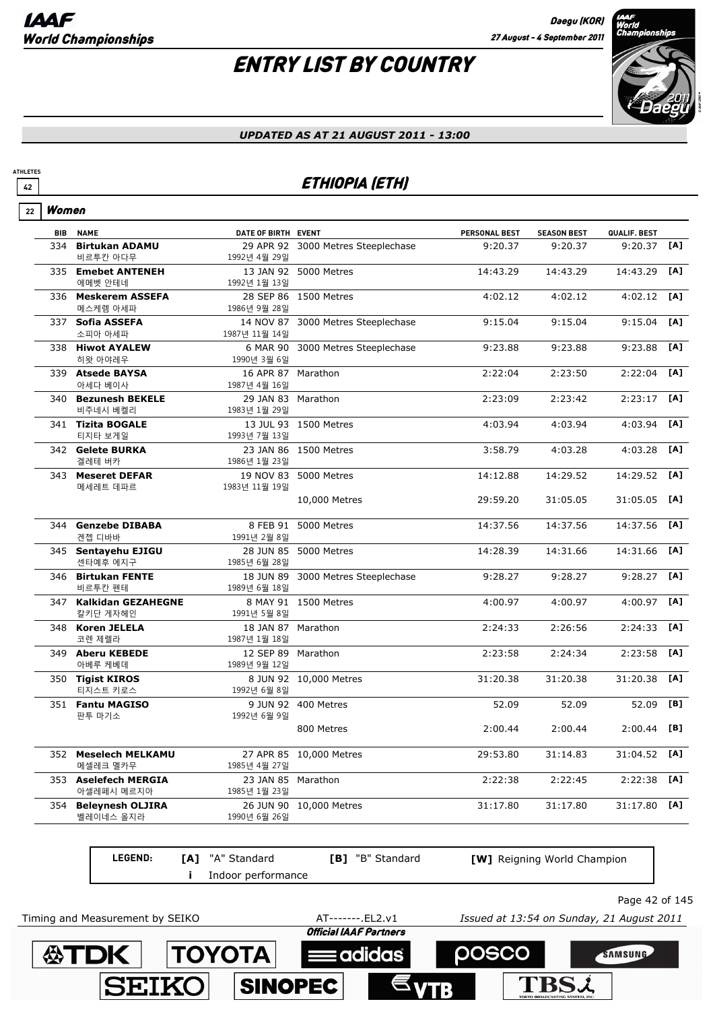

145

#### *UPDATED AS AT 21 AUGUST 2011 - 13:00*

### **<sup>42</sup>** ETHIOPIA (ETH)

|  | women |
|--|-------|
|--|-------|

**ATHLETES**

|     | <b>BIB NAME</b>                    | DATE OF BIRTH EVENT                |                                    | PERSONAL BEST | <b>SEASON BEST</b> | QUALIF. BEST  |     |
|-----|------------------------------------|------------------------------------|------------------------------------|---------------|--------------------|---------------|-----|
| 334 | <b>Birtukan ADAMU</b><br>비르투칸 아다무  | 1992년 4월 29일                       | 29 APR 92 3000 Metres Steeplechase | 9:20.37       | 9:20.37            | $9:20.37$ [A] |     |
|     | 335 Emebet ANTENEH<br>에메벳 안테네      | 1992년 1월 13일                       | 13 JAN 92 5000 Metres              | 14:43.29      | 14:43.29           | 14:43.29      | [A] |
|     | 336 Meskerem ASSEFA<br>메스케렘 아세파    | 1986년 9월 28일                       | 28 SEP 86 1500 Metres              | 4:02.12       | 4:02.12            | 4:02.12       | [A] |
|     | 337 Sofia ASSEFA<br>소피아 아세파        | 1987년 11월 14일                      | 14 NOV 87 3000 Metres Steeplechase | 9:15.04       | 9:15.04            | 9:15.04       | [A] |
|     | 338 Hiwot AYALEW<br>히왓 아야레우        | 1990년 3월 6일                        | 6 MAR 90 3000 Metres Steeplechase  | 9:23.88       | 9:23.88            | 9:23.88       | [A] |
|     | 339 Atsede BAYSA<br>아세다 베이사        | 16 APR 87 Marathon<br>1987년 4월 16일 |                                    | 2:22:04       | 2:23:50            | 2:22:04       | [A] |
|     | 340 Bezunesh BEKELE<br>비주네시 베켈리    | 29 JAN 83 Marathon<br>1983년 1월 29일 |                                    | 2:23:09       | 2:23:42            | 2:23:17       | [A] |
|     | 341 Tizita BOGALE<br>티지타 보게일       | 1993년 7월 13일                       | 13 JUL 93 1500 Metres              | 4:03.94       | 4:03.94            | 4:03.94       | [A] |
|     | 342 Gelete BURKA<br>겔레테 버카         | 1986년 1월 23일                       | 23 JAN 86 1500 Metres              | 3:58.79       | 4:03.28            | 4:03.28       | [A] |
|     | 343 Meseret DEFAR<br>메세레트 데파르      | 1983년 11월 19일                      | 19 NOV 83 5000 Metres              | 14:12.88      | 14:29.52           | 14:29.52      | [A] |
|     |                                    |                                    | 10,000 Metres                      | 29:59.20      | 31:05.05           | 31:05.05      | [A] |
|     | 344 Genzebe DIBABA<br>겐젭 디바바       | 1991년 2월 8일                        | 8 FEB 91 5000 Metres               | 14:37.56      | 14:37.56           | 14:37.56      | [A] |
|     | 345 Sentayehu EJIGU<br>센타예후 에지구    | 1985년 6월 28일                       | 28 JUN 85 5000 Metres              | 14:28.39      | 14:31.66           | 14:31.66      | [A] |
|     | 346 Birtukan FENTE<br>비르투칸 펜테      | 1989년 6월 18일                       | 18 JUN 89 3000 Metres Steeplechase | 9:28.27       | 9:28.27            | 9:28.27       | [A] |
|     | 347 Kalkidan GEZAHEGNE<br>칼키단 게자헤인 | 1991년 5월 8일                        | 8 MAY 91 1500 Metres               | 4:00.97       | 4:00.97            | 4:00.97       | [A] |
|     | 348 Koren JELELA<br>코렌 제렐라         | 18 JAN 87 Marathon<br>1987년 1월 18일 |                                    | 2:24:33       | 2:26:56            | 2:24:33       | [A] |
|     | 349 Aberu KEBEDE<br>아베루 케베데        | 12 SEP 89 Marathon<br>1989년 9월 12일 |                                    | 2:23:58       | 2:24:34            | 2:23:58       | [A] |
|     | 350 Tigist KIROS<br>티지스트 키로스       | 1992년 6월 8일                        | 8 JUN 92 10,000 Metres             | 31:20.38      | 31:20.38           | 31:20.38      | [A] |
|     | 351 Fantu MAGISO<br>판투 마기소         | 1992년 6월 9일                        | 9 JUN 92 400 Metres                | 52.09         | 52.09              | 52.09         | [B] |
|     |                                    |                                    | 800 Metres                         | 2:00.44       | 2:00.44            | 2:00.44       | [B] |
|     | 352 Meselech MELKAMU<br>메셀레크 멜카무   | 1985년 4월 27일                       | 27 APR 85 10,000 Metres            | 29:53.80      | 31:14.83           | 31:04.52      | [A] |
|     | 353 Aselefech MERGIA<br>아셀레페시 메르지아 | 23 JAN 85 Marathon<br>1985년 1월 23일 |                                    | 2:22:38       | 2:22:45            | 2:22:38       | [A] |
|     | 354 Beleynesh OLJIRA<br>벨레이네스 올지라  | 1990년 6월 26일                       | 26 JUN 90 10,000 Metres            | 31:17.80      | 31:17.80           | 31:17.80      | [A] |
|     |                                    |                                    |                                    |               |                    |               |     |

| <b>LEGEND:</b>                  | <b>[A]</b> "A" Standard<br>Indoor performance | <b>[B]</b> "B" Standard | <b>[W]</b> Reigning World Champion        |  |
|---------------------------------|-----------------------------------------------|-------------------------|-------------------------------------------|--|
|                                 |                                               |                         | Page 42 of $1i$                           |  |
| Timing and Measurement by SEIKO |                                               | AT-------. EL2.v1       | Issued at 13:54 on Sunday, 21 August 2011 |  |

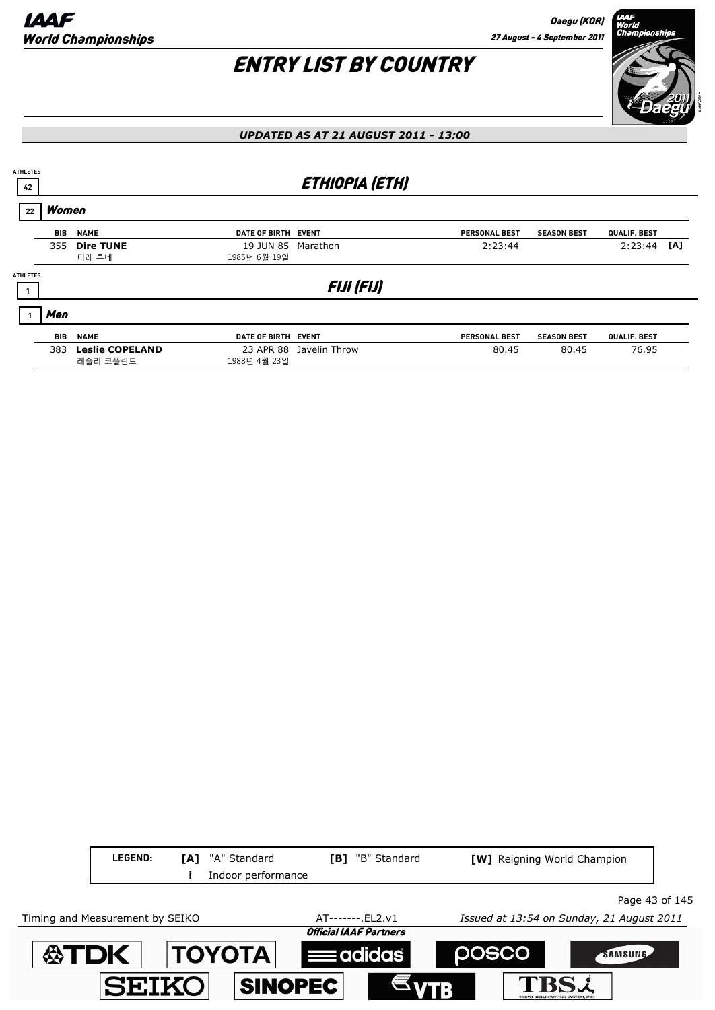

#### *UPDATED AS AT 21 AUGUST 2011 - 13:00*

| <b>ATHLETES</b><br>42 |            |                                    |                                    | <b>ETHIOPIA (ETH)</b>   |                      |                    |              |     |
|-----------------------|------------|------------------------------------|------------------------------------|-------------------------|----------------------|--------------------|--------------|-----|
| 22                    | Women      |                                    |                                    |                         |                      |                    |              |     |
|                       | BIB        | <b>NAME</b>                        | DATE OF BIRTH EVENT                |                         | <b>PERSONAL BEST</b> | <b>SEASON BEST</b> | QUALIF. BEST |     |
|                       | 355        | <b>Dire TUNE</b><br>디레 투네          | 19 JUN 85 Marathon<br>1985년 6월 19일 |                         | 2:23:44              |                    | 2:23:44      | [A] |
| <b>ATHLETES</b>       |            |                                    |                                    | <b>FIJI (FIJ)</b>       |                      |                    |              |     |
|                       | Men        |                                    |                                    |                         |                      |                    |              |     |
|                       | <b>BIB</b> | <b>NAME</b>                        | DATE OF BIRTH EVENT                |                         | <b>PERSONAL BEST</b> | <b>SEASON BEST</b> | QUALIF. BEST |     |
|                       | 383        | <b>Leslie COPELAND</b><br>레슬리 코플란드 | 1988년 4월 23일                       | 23 APR 88 Javelin Throw | 80.45                | 80.45              | 76.95        |     |

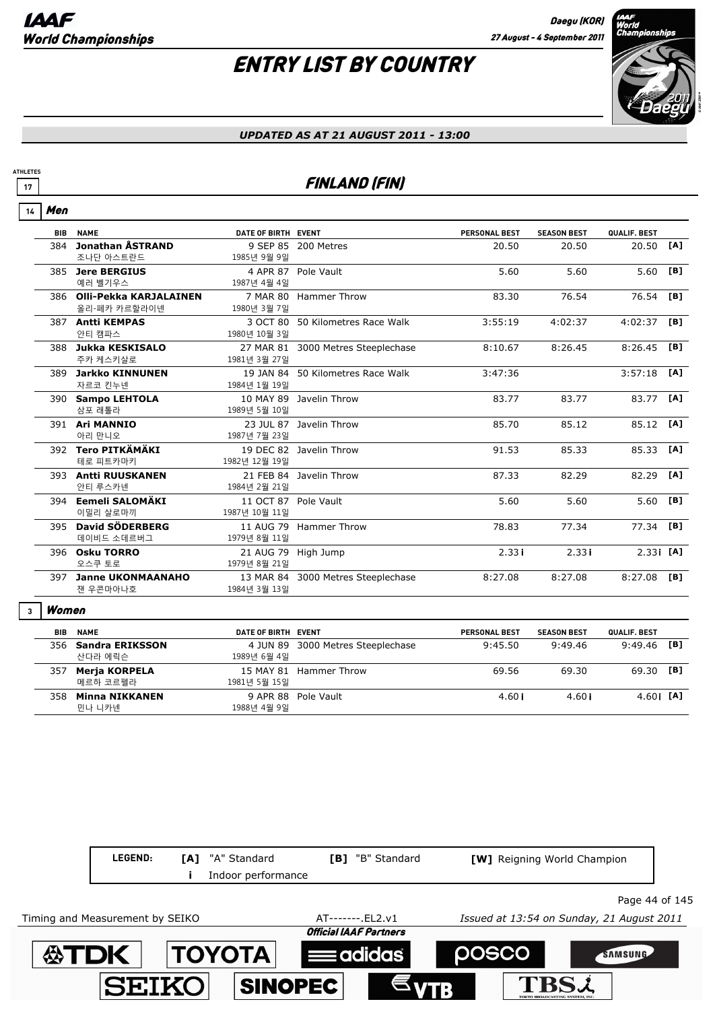

#### *UPDATED AS AT 21 AUGUST 2011 - 13:00*

### **17 FINLAND (FIN)**

|  | 77 |
|--|----|
|--|----|

**ATHLETES**

| <b>BIB</b> | <b>NAME</b>                | DATE OF BIRTH EVENT  |                                    | <b>PERSONAL BEST</b> | <b>SEASON BEST</b> | QUALIF. BEST |            |
|------------|----------------------------|----------------------|------------------------------------|----------------------|--------------------|--------------|------------|
| 384        | Jonathan ÅSTRAND           |                      | 9 SEP 85 200 Metres                | 20.50                | 20.50              | 20.50        | [A]        |
|            | 조나단 아스트란드                  | 1985년 9월 9일          |                                    |                      |                    |              |            |
|            | 385 Jere BERGIUS           |                      | 4 APR 87 Pole Vault                | 5.60                 | 5.60               | 5.60         | [B]        |
|            | 예러 벨기우스                    | 1987년 4월 4일          |                                    |                      |                    |              |            |
|            | 386 Olli-Pekka KARJALAINEN |                      | 7 MAR 80 Hammer Throw              | 83.30                | 76.54              | 76.54        | [B]        |
|            | 올리-페카 카르할라이넨               | 1980년 3월 7일          |                                    |                      |                    |              |            |
|            | 387 Antti KEMPAS           |                      | 3 OCT 80 50 Kilometres Race Walk   | 3:55:19              | 4:02:37            | 4:02:37      | [B]        |
|            | 안티 캠파스                     | 1980년 10월 3일         |                                    |                      |                    |              |            |
|            | 388 Jukka KESKISALO        |                      | 27 MAR 81 3000 Metres Steeplechase | 8:10.67              | 8:26.45            | 8:26.45      | [B]        |
|            | 주카 케스키살로                   | 1981년 3월 27일         |                                    |                      |                    |              |            |
|            | 389 Jarkko KINNUNEN        | 19 JAN 84            | 50 Kilometres Race Walk            | 3:47:36              |                    | 3:57:18      | [A]        |
|            | 자르코 킨누넨                    | 1984년 1월 19일         |                                    |                      |                    |              |            |
|            | 390 Sampo LEHTOLA          |                      | 10 MAY 89 Javelin Throw            | 83.77                | 83.77              | 83.77        | [A]        |
|            | 삼포 래톨라                     | 1989년 5월 10일         |                                    |                      |                    |              |            |
|            | 391 Ari MANNIO             |                      | 23 JUL 87 Javelin Throw            | 85.70                | 85.12              | 85.12 [A]    |            |
|            | 아리 만니오                     | 1987년 7월 23일         |                                    |                      |                    |              |            |
|            | 392 Tero PITKÄMÄKI         |                      | 19 DEC 82 Javelin Throw            | 91.53                | 85.33              | 85.33        | <b>TA1</b> |
|            | 테로 피트카마키                   | 1982년 12월 19일        |                                    |                      |                    |              |            |
|            | 393 Antti RUUSKANEN        |                      | 21 FEB 84 Javelin Throw            | 87.33                | 82.29              | 82.29        | <b>TA1</b> |
|            | 안티 루스카넨                    | 1984년 2월 21일         |                                    |                      |                    |              |            |
|            | 394 Eemeli SALOMÄKI        | 11 OCT 87 Pole Vault |                                    | 5.60                 | 5.60               | 5.60 [B]     |            |
|            | 이밀리 살로마끼                   | 1987년 10월 11일        |                                    |                      |                    |              |            |
|            | 395 David SÖDERBERG        |                      | 11 AUG 79 Hammer Throw             | 78.83                | 77.34              | 77.34        | [B]        |
|            | 데이비드 소데르버그                 | 1979년 8월 11일         |                                    |                      |                    |              |            |
|            | 396 Osku TORRO             | 21 AUG 79            | High Jump                          | 2.33i                | 2.33i              | $2.33$ [A]   |            |
|            | 오스쿠 토로                     | 1979년 8월 21일         |                                    |                      |                    |              |            |
|            | 397 Janne UKONMAANAHO      |                      | 13 MAR 84 3000 Metres Steeplechase | 8:27.08              | 8:27.08            | 8:27.08      | TB1        |
|            | 잰 우콘마아나호                   | 1984년 3월 13일         |                                    |                      |                    |              |            |

#### Women **3**

| BIB  | <b>NAME</b>     | DATE OF BIRTH EVENT |                                   | <b>PERSONAL BEST</b> | <b>SEASON BEST</b> | QUALIF, BEST |  |
|------|-----------------|---------------------|-----------------------------------|----------------------|--------------------|--------------|--|
| 356. | Sandra ERIKSSON |                     | 4 JUN 89 3000 Metres Steeplechase | 9:45.50              | 9:49.46            | 9:49.46 [B]  |  |
|      | 산다라 에릭슨         | 1989년 6월 4일         |                                   |                      |                    |              |  |
| 357  | Merja KORPELA   |                     | 15 MAY 81 Hammer Throw            | 69.56                | 69.30              | $69.30$ [B]  |  |
|      | 메르하 코르펠라        | 1981년 5월 15일        |                                   |                      |                    |              |  |
| 358  | Minna NIKKANEN  |                     | 9 APR 88 Pole Vault               | 4.60i                | 4.60i              | $4.60$ i [A] |  |
|      | 민나 니카넨          | 1988년 4월 9일         |                                   |                      |                    |              |  |

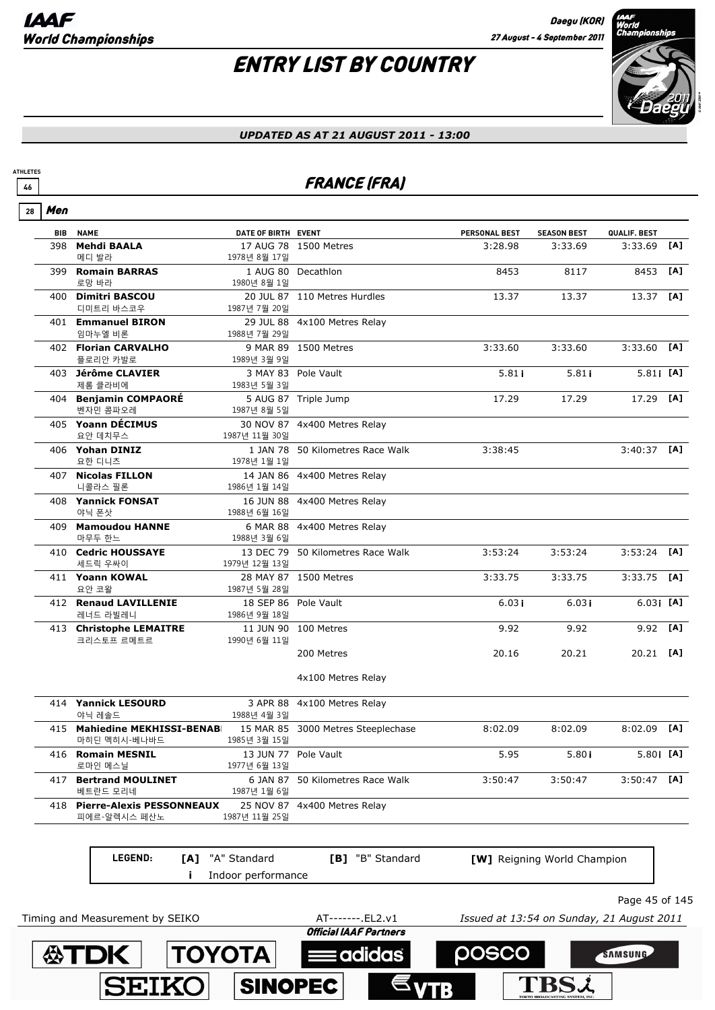**公下门** 

**TOYOTA** 

**SEIKO** 

SINOPEC

# ENTRY LIST BY COUNTRY



#### *UPDATED AS AT 21 AUGUST 2011 - 13:00*

### **46 FRANCE (FRA)**

|--|

**ATHLETES**

| <b>BIB</b> | <b>NAME</b>                                               | DATE OF BIRTH EVENT                    |                                    | <b>PERSONAL BEST</b>                      | <b>SEASON BEST</b>          | QUALIF. BEST   |     |
|------------|-----------------------------------------------------------|----------------------------------------|------------------------------------|-------------------------------------------|-----------------------------|----------------|-----|
| 398        | <b>Mehdi BAALA</b>                                        |                                        | 17 AUG 78 1500 Metres              | 3:28.98                                   | 3:33.69                     | 3:33.69        | [A] |
| 399        | 메디 발라<br><b>Romain BARRAS</b>                             | 1978년 8월 17일                           | 1 AUG 80 Decathlon                 | 8453                                      | 8117                        | 8453           | [A] |
|            | 로망 바라                                                     | 1980년 8월 1일                            |                                    |                                           |                             |                |     |
|            | 400 Dimitri BASCOU                                        |                                        | 20 JUL 87 110 Metres Hurdles       | 13.37                                     | 13.37                       | 13.37 [A]      |     |
|            | 디미트리 바스코우                                                 | 1987년 7월 20일                           |                                    |                                           |                             |                |     |
|            | 401 Emmanuel BIRON<br>임마누엘 비론                             | 1988년 7월 29일                           | 29 JUL 88 4x100 Metres Relay       |                                           |                             |                |     |
|            | 402 Florian CARVALHO                                      |                                        | 9 MAR 89 1500 Metres               | 3:33.60                                   | 3:33.60                     | $3:33.60$ [A]  |     |
|            | 플로리안 카발로                                                  | 1989년 3월 9일                            |                                    |                                           |                             |                |     |
|            | 403 Jérôme CLAVIER<br>제롬 클라비에                             | 1983년 5월 3일                            | 3 MAY 83 Pole Vault                | 5.81i                                     | 5.81i                       | 5.81 [A]       |     |
|            | 404 Benjamin COMPAORÉ<br>벤자민 콤파오레                         | 1987년 8월 5일                            | 5 AUG 87 Triple Jump               | 17.29                                     | 17.29                       | 17.29 [A]      |     |
|            | 405 Yoann DÉCIMUS                                         |                                        | 30 NOV 87 4x400 Metres Relay       |                                           |                             |                |     |
|            | 요안 데치무스                                                   | 1987년 11월 30일                          |                                    |                                           |                             |                |     |
|            | 406 Yohan DINIZ<br>요한 디니츠                                 | 1978년 1월 1일                            | 1 JAN 78 50 Kilometres Race Walk   | 3:38:45                                   |                             | $3:40:37$ [A]  |     |
|            | 407 Nicolas FILLON<br>니콜라스 필론                             | 1986년 1월 14일                           | 14 JAN 86 4x400 Metres Relay       |                                           |                             |                |     |
|            | 408 Yannick FONSAT<br>야닉 폰삿                               | 1988년 6월 16일                           | 16 JUN 88 4x400 Metres Relay       |                                           |                             |                |     |
|            | 409 Mamoudou HANNE<br>마무두 한느                              |                                        | 6 MAR 88 4x400 Metres Relay        |                                           |                             |                |     |
|            | 410 Cedric HOUSSAYE                                       | 1988년 3월 6일                            | 13 DEC 79 50 Kilometres Race Walk  | 3:53:24                                   | 3:53:24                     | $3:53:24$ [A]  |     |
|            | 세드릭 우싸이<br>411 Yoann KOWAL<br>요안 코왈                       | 1979년 12월 13일<br>1987년 5월 28일          | 28 MAY 87 1500 Metres              | 3:33.75                                   | 3:33.75                     | $3:33.75$ [A]  |     |
|            | 412 Renaud LAVILLENIE<br>레너드 라빌레니                         | 1986년 9월 18일                           | 18 SEP 86 Pole Vault               | 6.03i                                     | 6.03i                       | $6.03$ [A]     |     |
|            | 413 Christophe LEMAITRE<br>크리스토프 르메트르                     | 1990년 6월 11일                           | 11 JUN 90 100 Metres               | 9.92                                      | 9.92                        | 9.92 [A]       |     |
|            |                                                           |                                        | 200 Metres                         | 20.16                                     | 20.21                       | $20.21$ [A]    |     |
|            |                                                           |                                        | 4x100 Metres Relay                 |                                           |                             |                |     |
|            | 414 Yannick LESOURD<br>야닉 레솔드                             | 1988년 4월 3일                            | 3 APR 88 4x100 Metres Relay        |                                           |                             |                |     |
|            | 415 Mahiedine MEKHISSI-BENAB<br>마히딘 멕히시-베나바드              | 1985년 3월 15일                           | 15 MAR 85 3000 Metres Steeplechase | 8:02.09                                   | 8:02.09                     | $8:02.09$ [A]  |     |
|            | 416 Romain MESNIL<br>로마인 메스닐                              | 1977년 6월 13일                           | 13 JUN 77 Pole Vault               | 5.95                                      | 5.80i                       | 5.80 [A]       |     |
|            | 417 Bertrand MOULINET                                     |                                        | 6 JAN 87 50 Kilometres Race Walk   | 3:50:47                                   | 3:50:47                     | $3:50:47$ [A]  |     |
|            | 베트란드 모리네<br>418 Pierre-Alexis PESSONNEAUX<br>피에르-알렉시스 페산노 | 1987년 1월 6일<br>1987년 11월 25일           | 25 NOV 87 4x400 Metres Relay       |                                           |                             |                |     |
|            | LEGEND:                                                   |                                        |                                    |                                           |                             |                |     |
|            | Ť                                                         | [A] "A" Standard<br>Indoor performance | [B] "B" Standard                   |                                           | [W] Reigning World Champion |                |     |
|            |                                                           |                                        |                                    |                                           |                             | Page 45 of 145 |     |
|            | Timing and Measurement by SEIKO                           |                                        | AT-------.EL2.v1                   | Issued at 13:54 on Sunday, 21 August 2011 |                             |                |     |

**Eadidas** 

**POSCO** 

**TBSi** 

SAMSUNG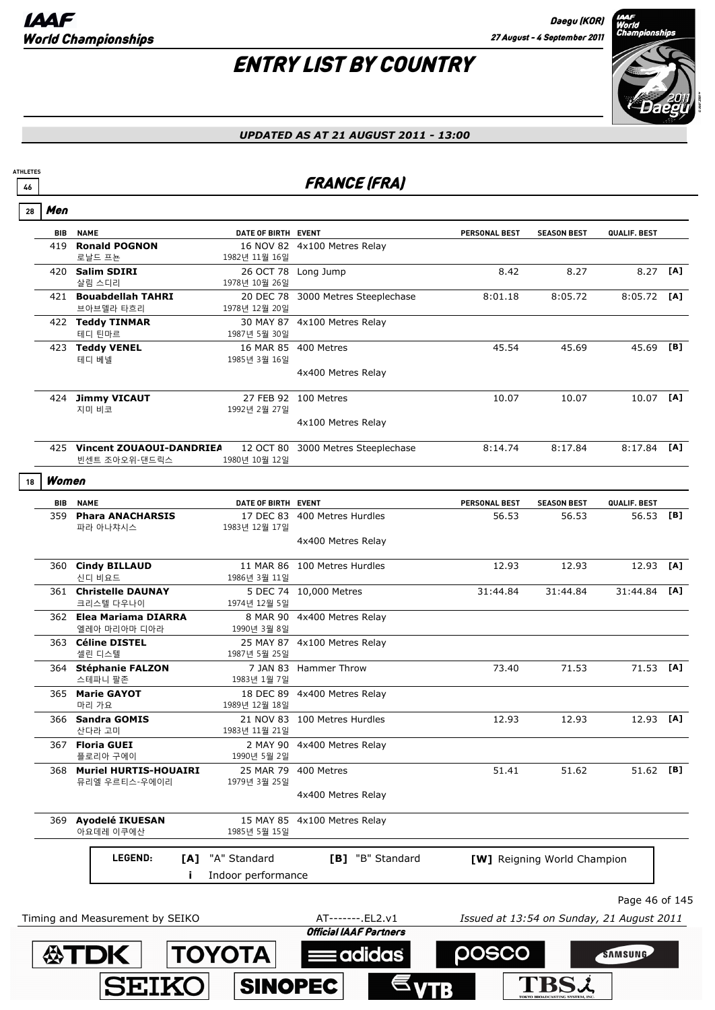# ENTRY LIST BY COUNTRY



### *UPDATED AS AT 21 AUGUST 2011 - 13:00*

### <u>46</u> FRANCE (FRA)

| <b>NAME</b><br>DATE OF BIRTH EVENT<br>PERSONAL BEST<br><b>SEASON BEST</b><br>QUALIF. BEST<br>BIB<br><b>Ronald POGNON</b><br>419<br>16 NOV 82 4x100 Metres Relay<br>로날드 프뇬<br>1982년 11월 16일<br>8.42<br>8.27<br>420 Salim SDIRI<br>26 OCT 78 Long Jump<br>살림 스디리<br>1978년 10월 26일<br>421 Bouabdellah TAHRI<br>20 DEC 78 3000 Metres Steeplechase<br>8:01.18<br>8:05.72<br>브아브델라 타흐리<br>1978년 12월 20일<br>422 Teddy TINMAR<br>30 MAY 87 4x100 Metres Relay<br>테디 틴마르<br>1987년 5월 30일<br>16 MAR 85 400 Metres<br>45.54<br>423 Teddy VENEL<br>45.69<br>테디 베넬<br>1985년 3월 16일<br>4x400 Metres Relay<br>424 Jimmy VICAUT<br>27 FEB 92 100 Metres<br>10.07<br>10.07<br>지미 비코<br>1992년 2월 27일<br>4x100 Metres Relay<br>425 Vincent ZOUAOUI-DANDRIEA<br>12 OCT 80 3000 Metres Steeplechase<br>8:14.74<br>8:17.84<br>빈센트 조아오위-댄드릭스<br>1980년 10월 12일<br>Women<br>18<br>BIB<br><b>NAME</b><br>DATE OF BIRTH EVENT<br><b>PERSONAL BEST</b><br><b>SEASON BEST</b><br>359 Phara ANACHARSIS<br>17 DEC 83 400 Metres Hurdles<br>56.53<br>56.53<br>파라 아나챠시스<br>1983년 12월 17일<br>4x400 Metres Relay |                |     |
|--------------------------------------------------------------------------------------------------------------------------------------------------------------------------------------------------------------------------------------------------------------------------------------------------------------------------------------------------------------------------------------------------------------------------------------------------------------------------------------------------------------------------------------------------------------------------------------------------------------------------------------------------------------------------------------------------------------------------------------------------------------------------------------------------------------------------------------------------------------------------------------------------------------------------------------------------------------------------------------------------------------------------------------------------------------------------------|----------------|-----|
|                                                                                                                                                                                                                                                                                                                                                                                                                                                                                                                                                                                                                                                                                                                                                                                                                                                                                                                                                                                                                                                                                |                |     |
|                                                                                                                                                                                                                                                                                                                                                                                                                                                                                                                                                                                                                                                                                                                                                                                                                                                                                                                                                                                                                                                                                |                |     |
|                                                                                                                                                                                                                                                                                                                                                                                                                                                                                                                                                                                                                                                                                                                                                                                                                                                                                                                                                                                                                                                                                | 8.27 [A]       |     |
|                                                                                                                                                                                                                                                                                                                                                                                                                                                                                                                                                                                                                                                                                                                                                                                                                                                                                                                                                                                                                                                                                | $8:05.72$ [A]  |     |
|                                                                                                                                                                                                                                                                                                                                                                                                                                                                                                                                                                                                                                                                                                                                                                                                                                                                                                                                                                                                                                                                                |                |     |
|                                                                                                                                                                                                                                                                                                                                                                                                                                                                                                                                                                                                                                                                                                                                                                                                                                                                                                                                                                                                                                                                                | 45.69 [B]      |     |
|                                                                                                                                                                                                                                                                                                                                                                                                                                                                                                                                                                                                                                                                                                                                                                                                                                                                                                                                                                                                                                                                                |                |     |
|                                                                                                                                                                                                                                                                                                                                                                                                                                                                                                                                                                                                                                                                                                                                                                                                                                                                                                                                                                                                                                                                                | $10.07$ [A]    |     |
|                                                                                                                                                                                                                                                                                                                                                                                                                                                                                                                                                                                                                                                                                                                                                                                                                                                                                                                                                                                                                                                                                |                |     |
|                                                                                                                                                                                                                                                                                                                                                                                                                                                                                                                                                                                                                                                                                                                                                                                                                                                                                                                                                                                                                                                                                | $8:17.84$ [A]  |     |
|                                                                                                                                                                                                                                                                                                                                                                                                                                                                                                                                                                                                                                                                                                                                                                                                                                                                                                                                                                                                                                                                                |                |     |
|                                                                                                                                                                                                                                                                                                                                                                                                                                                                                                                                                                                                                                                                                                                                                                                                                                                                                                                                                                                                                                                                                | QUALIF. BEST   |     |
|                                                                                                                                                                                                                                                                                                                                                                                                                                                                                                                                                                                                                                                                                                                                                                                                                                                                                                                                                                                                                                                                                | 56.53          | [B] |
|                                                                                                                                                                                                                                                                                                                                                                                                                                                                                                                                                                                                                                                                                                                                                                                                                                                                                                                                                                                                                                                                                |                |     |
| 360 Cindy BILLAUD<br>11 MAR 86 100 Metres Hurdles<br>12.93<br>12.93<br>신디 비요드<br>1986년 3월 11일                                                                                                                                                                                                                                                                                                                                                                                                                                                                                                                                                                                                                                                                                                                                                                                                                                                                                                                                                                                  | 12.93          | [A] |
| 5 DEC 74 10,000 Metres<br>361 Christelle DAUNAY<br>31:44.84<br>31:44.84<br>크리스텔 다우나이<br>1974년 12월 5일                                                                                                                                                                                                                                                                                                                                                                                                                                                                                                                                                                                                                                                                                                                                                                                                                                                                                                                                                                           | 31:44.84       | [A] |
| 362 Elea Mariama DIARRA<br>8 MAR 90 4x400 Metres Relay<br>엘레아 마리아마 디아라<br>1990년 3월 8일                                                                                                                                                                                                                                                                                                                                                                                                                                                                                                                                                                                                                                                                                                                                                                                                                                                                                                                                                                                          |                |     |
| 363 Céline DISTEL<br>25 MAY 87 4x100 Metres Relay<br>셀린 디스텔<br>1987년 5월 25일                                                                                                                                                                                                                                                                                                                                                                                                                                                                                                                                                                                                                                                                                                                                                                                                                                                                                                                                                                                                    |                |     |
| 364 Stéphanie FALZON<br>7 JAN 83 Hammer Throw<br>73.40<br>71.53<br>스테파니 팔존<br>1983년 1월 7일                                                                                                                                                                                                                                                                                                                                                                                                                                                                                                                                                                                                                                                                                                                                                                                                                                                                                                                                                                                      | 71.53 [A]      |     |
| 365 Marie GAYOT<br>18 DEC 89 4x400 Metres Relay<br>마리 가요<br>1989년 12월 18일                                                                                                                                                                                                                                                                                                                                                                                                                                                                                                                                                                                                                                                                                                                                                                                                                                                                                                                                                                                                      |                |     |
| 12.93<br>12.93<br>366 Sandra GOMIS<br>21 NOV 83 100 Metres Hurdles<br>산다라 고미<br>1983년 11월 21일                                                                                                                                                                                                                                                                                                                                                                                                                                                                                                                                                                                                                                                                                                                                                                                                                                                                                                                                                                                  | 12.93 [A]      |     |
| 2 MAY 90 4x400 Metres Relay<br>367 Floria GUEI<br>플로리아 구에이<br>1990년 5월 2일                                                                                                                                                                                                                                                                                                                                                                                                                                                                                                                                                                                                                                                                                                                                                                                                                                                                                                                                                                                                      |                |     |
| 368 Muriel HURTIS-HOUAIRI<br>25 MAR 79<br>400 Metres<br>51.41<br>51.62<br>뮤리엘 우르티스-우에이리<br>1979년 3월 25일                                                                                                                                                                                                                                                                                                                                                                                                                                                                                                                                                                                                                                                                                                                                                                                                                                                                                                                                                                        | 51.62          | [B] |
| 4x400 Metres Relay                                                                                                                                                                                                                                                                                                                                                                                                                                                                                                                                                                                                                                                                                                                                                                                                                                                                                                                                                                                                                                                             |                |     |
| 369 Ayodelé IKUESAN<br>15 MAY 85 4x100 Metres Relay<br>아요데레 이쿠에산<br>1985년 5월 15일                                                                                                                                                                                                                                                                                                                                                                                                                                                                                                                                                                                                                                                                                                                                                                                                                                                                                                                                                                                               |                |     |
| "A" Standard<br>[B] "B" Standard<br>LEGEND:<br>[A]<br>[W] Reigning World Champion                                                                                                                                                                                                                                                                                                                                                                                                                                                                                                                                                                                                                                                                                                                                                                                                                                                                                                                                                                                              |                |     |
| Indoor performance                                                                                                                                                                                                                                                                                                                                                                                                                                                                                                                                                                                                                                                                                                                                                                                                                                                                                                                                                                                                                                                             |                |     |
|                                                                                                                                                                                                                                                                                                                                                                                                                                                                                                                                                                                                                                                                                                                                                                                                                                                                                                                                                                                                                                                                                | Page 46 of 145 |     |
| Timing and Measurement by SEIKO<br>AT-------.EL2.v1<br>Issued at 13:54 on Sunday, 21 August 2011<br><b>Official IAAF Partners</b>                                                                                                                                                                                                                                                                                                                                                                                                                                                                                                                                                                                                                                                                                                                                                                                                                                                                                                                                              |                |     |
| <b>TOYOTA</b><br>: adidas<br>· 公丁DK<br>posco<br>SAMSUNG                                                                                                                                                                                                                                                                                                                                                                                                                                                                                                                                                                                                                                                                                                                                                                                                                                                                                                                                                                                                                        |                |     |

SINOPEC

**SEIKO** 

 $\epsilon$  vtb

**TBSi**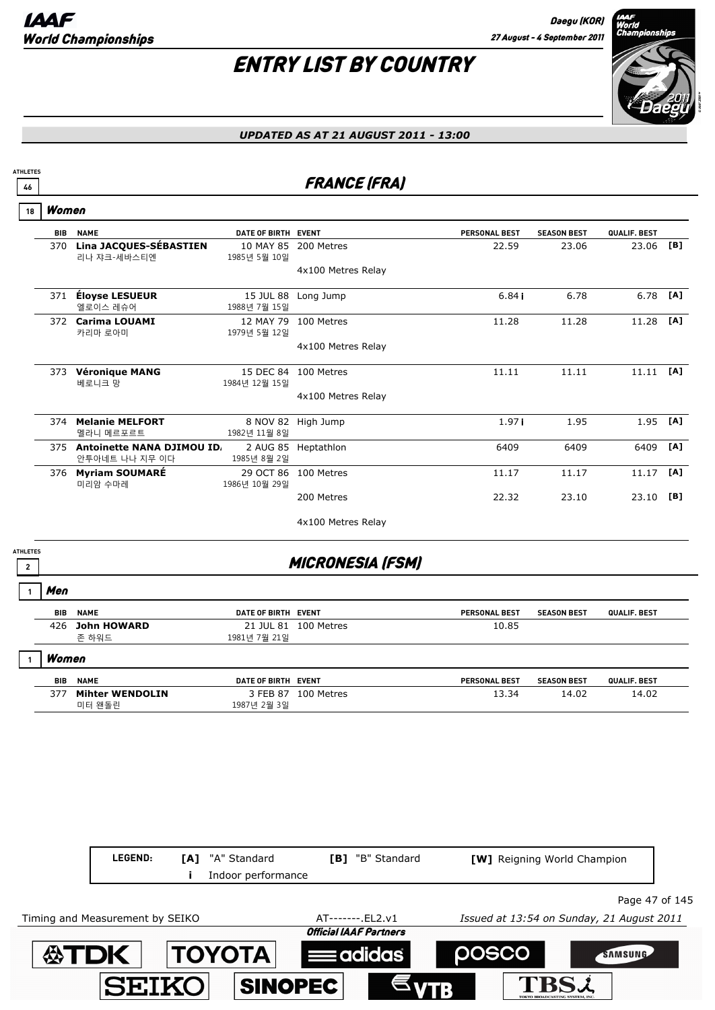

#### *UPDATED AS AT 21 AUGUST 2011 - 13:00*

### **46** FRANCE (FRA)

Women **18**

**ATHLETES**

| <b>BIB</b> | <b>NAME</b>                                         | DATE OF BIRTH EVENT        |                    | <b>PERSONAL BEST</b> | <b>SEASON BEST</b> | QUALIF. BEST |     |
|------------|-----------------------------------------------------|----------------------------|--------------------|----------------------|--------------------|--------------|-----|
| 370        | Lina JACQUES-SÉBASTIEN<br>리나 쟈크-세바스티엔               | 10 MAY 85<br>1985년 5월 10일  | 200 Metres         | 22.59                | 23.06              | 23.06        | [B] |
|            |                                                     |                            | 4x100 Metres Relay |                      |                    |              |     |
| 371        | Éloyse LESUEUR<br>엘로이스 레슈어                          | 15 JUL 88<br>1988년 7월 15일  | Long Jump          | 6.84i                | 6.78               | 6.78         | [A] |
| 372        | <b>Carima LOUAMI</b><br>카리마 로아미                     | 12 MAY 79<br>1979년 5월 12일  | 100 Metres         | 11.28                | 11.28              | 11.28        | [A] |
|            |                                                     |                            | 4x100 Metres Relay |                      |                    |              |     |
| 373        | <b>Véronique MANG</b><br>베로니크 망                     | 15 DEC 84<br>1984년 12월 15일 | 100 Metres         | 11.11                | 11.11              | 11.11        | [A] |
|            |                                                     |                            | 4x100 Metres Relay |                      |                    |              |     |
| 374        | <b>Melanie MELFORT</b><br>멜라니 메르포르트                 | 8 NOV 82<br>1982년 11월 8일   | High Jump          | 1.97i                | 1.95               | 1.95         | [A] |
| 375        | <b>Antoinette NANA DJIMOU ID.</b><br>안투아네트 나나 지무 이다 | 2 AUG 85<br>1985년 8월 2일    | Heptathlon         | 6409                 | 6409               | 6409         | [A] |
| 376        | <b>Myriam SOUMARÉ</b><br>미리암 수마레                    | 29 OCT 86<br>1986년 10월 29일 | 100 Metres         | 11.17                | 11.17              | 11.17        | [A] |
|            |                                                     |                            | 200 Metres         | 22.32                | 23.10              | 23.10        | [B] |
|            |                                                     |                            | 4x100 Metres Relay |                      |                    |              |     |

**ATHLETES**

### **2** MICRONESIA (FSM)

Men **1**

| BIB   | <b>NAME</b> | DATE OF BIRTH EVENT |                      | <b>PERSONAL BEST</b> | <b>SEASON BEST</b> | QUALIF. BEST |
|-------|-------------|---------------------|----------------------|----------------------|--------------------|--------------|
| 426   | John HOWARD |                     | 21 JUL 81 100 Metres | 10.85                |                    |              |
|       | 존 하워드       | 1981년 7월 21일        |                      |                      |                    |              |
| Women |             |                     |                      |                      |                    |              |

| BIB | <b>NAME</b>            | <b>DATE OF BIRTH</b> | <b>EVENT</b> | <b>PERSONAL BEST</b> | <b>SEASON BEST</b> | <b>QUALIF, BEST</b> |
|-----|------------------------|----------------------|--------------|----------------------|--------------------|---------------------|
|     | <b>Mihter WENDOLIN</b> | FEB 87               | 100 Metres   |                      | 14.02              | 14.02               |
|     | '왠돌린<br>미터             | 1987년 2월 3일          |              |                      |                    |                     |

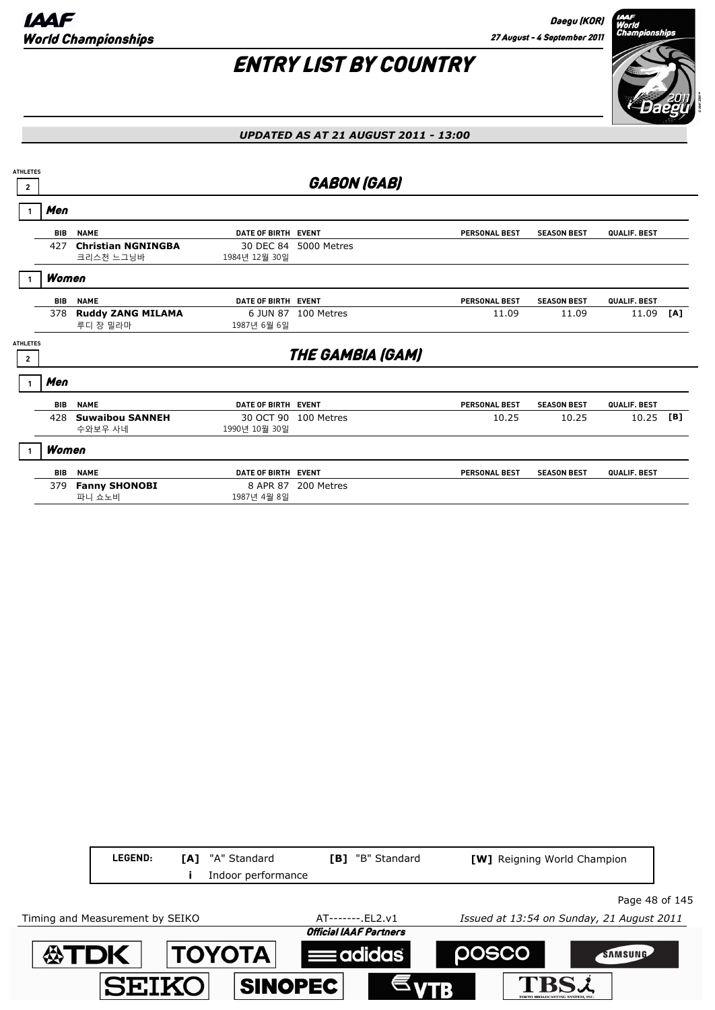

#### *UPDATED AS AT 21 AUGUST 2011 - 13:00*

| <b>ATHLETES</b><br>$\overline{2}$ |            |                                        |                            | <b>GABON (GAB)</b>      |                      |                    |              |     |
|-----------------------------------|------------|----------------------------------------|----------------------------|-------------------------|----------------------|--------------------|--------------|-----|
|                                   | Men        |                                        |                            |                         |                      |                    |              |     |
|                                   | <b>BIB</b> | <b>NAME</b>                            | DATE OF BIRTH EVENT        |                         | <b>PERSONAL BEST</b> | <b>SEASON BEST</b> | QUALIF. BEST |     |
|                                   | 427        | <b>Christian NGNINGBA</b><br>크리스천 느그닝바 | 30 DEC 84<br>1984년 12월 30일 | 5000 Metres             |                      |                    |              |     |
|                                   | Women      |                                        |                            |                         |                      |                    |              |     |
|                                   | <b>BIB</b> | <b>NAME</b>                            | DATE OF BIRTH EVENT        |                         | <b>PERSONAL BEST</b> | <b>SEASON BEST</b> | QUALIF. BEST |     |
|                                   | 378        | <b>Ruddy ZANG MILAMA</b><br>루디 장 밀라마   | 6 JUN 87<br>1987년 6월 6일    | 100 Metres              | 11.09                | 11.09              | 11.09        | [A] |
| <b>ATHLETES</b><br>$\overline{2}$ |            |                                        |                            | <b>THE GAMBIA (GAM)</b> |                      |                    |              |     |
|                                   | Men        |                                        |                            |                         |                      |                    |              |     |
|                                   | <b>BIB</b> | <b>NAME</b>                            | DATE OF BIRTH EVENT        |                         | <b>PERSONAL BEST</b> | <b>SEASON BEST</b> | QUALIF. BEST |     |
|                                   | 428        | <b>Suwaibou SANNEH</b><br>수와보우 사네      | 1990년 10월 30일              | 30 OCT 90 100 Metres    | 10.25                | 10.25              | 10.25        | [B] |
|                                   | Women      |                                        |                            |                         |                      |                    |              |     |
|                                   | <b>BIB</b> | <b>NAME</b>                            | DATE OF BIRTH EVENT        |                         | <b>PERSONAL BEST</b> | <b>SEASON BEST</b> | QUALIF. BEST |     |
|                                   | 379        | <b>Fanny SHONOBI</b><br>파니 쇼노비         | 8 APR 87<br>1987년 4월 8일    | 200 Metres              |                      |                    |              |     |

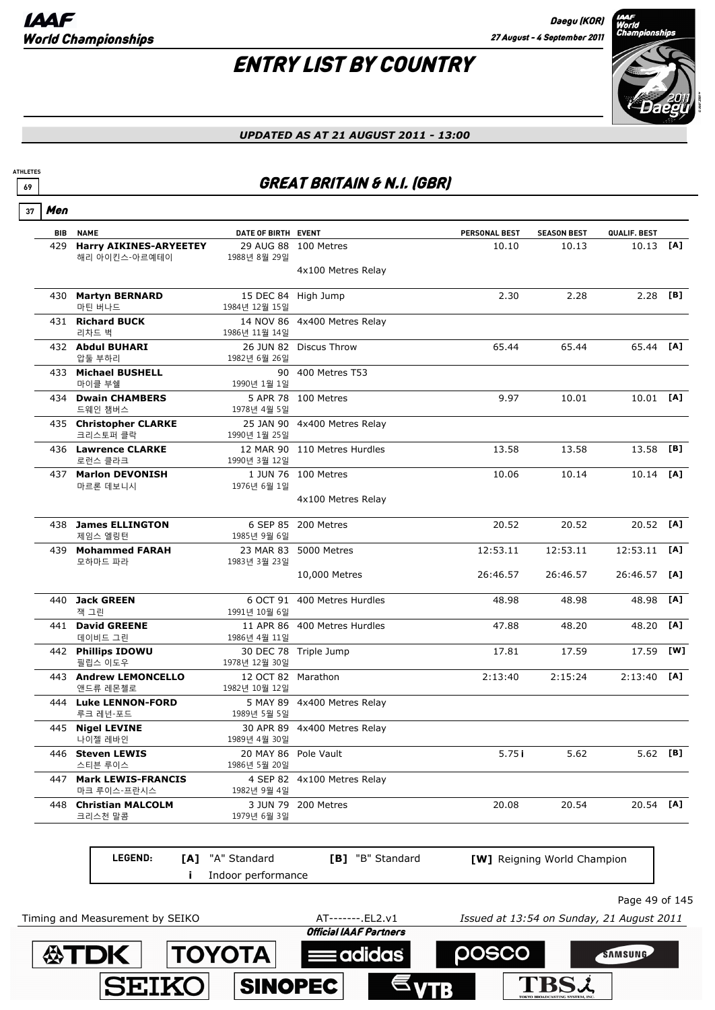

#### *UPDATED AS AT 21 AUGUST 2011 - 13:00*

### **69 GREAT BRITAIN & N.I. (GBR)**

Men **37**

**ATHLETES**

|     | <b>BIB NAME</b>                                | DATE OF BIRTH EVENT                  |                              | PERSONAL BEST | <b>SEASON BEST</b> | QUALIF. BEST |          |
|-----|------------------------------------------------|--------------------------------------|------------------------------|---------------|--------------------|--------------|----------|
| 429 | <b>Harry AIKINES-ARYEETEY</b><br>해리 아이킨스-아르예테이 | 1988년 8월 29일                         | 29 AUG 88 100 Metres         | 10.10         | 10.13              | 10.13 [A]    |          |
|     |                                                |                                      | 4x100 Metres Relay           |               |                    |              |          |
|     | 430 Martyn BERNARD<br>마틴 버나드                   | 1984년 12월 15일                        | 15 DEC 84 High Jump          | 2.30          | 2.28               | 2.28         | [B]      |
|     | 431 Richard BUCK<br>리차드 벅                      | 1986년 11월 14일                        | 14 NOV 86 4x400 Metres Relay |               |                    |              |          |
|     | 432 Abdul BUHARI<br>압둘 부하리                     | 1982년 6월 26일                         | 26 JUN 82 Discus Throw       | 65.44         | 65.44              | 65.44 [A]    |          |
|     | 433 Michael BUSHELL<br>마이클 부쉘                  | 90<br>1990년 1월 1일                    | 400 Metres T53               |               |                    |              |          |
|     | 434 Dwain CHAMBERS<br>드웨인 챔버스                  | 1978년 4월 5일                          | 5 APR 78 100 Metres          | 9.97          | 10.01              | 10.01 [A]    |          |
|     | 435 Christopher CLARKE<br>크리스토퍼 클락             | 1990년 1월 25일                         | 25 JAN 90 4x400 Metres Relay |               |                    |              |          |
|     | 436 Lawrence CLARKE<br>로런스 클라크                 | 1990년 3월 12일                         | 12 MAR 90 110 Metres Hurdles | 13.58         | 13.58              | 13.58        | [B]      |
|     | 437 Marlon DEVONISH<br>마르론 데보니시                | 1976년 6월 1일                          | 1 JUN 76 100 Metres          | 10.06         | 10.14              | 10.14        | [A]      |
|     |                                                |                                      | 4x100 Metres Relay           |               |                    |              |          |
|     | 438 James ELLINGTON<br>제임스 엘링턴                 | 1985년 9월 6일                          | 6 SEP 85 200 Metres          | 20.52         | 20.52              | 20.52 [A]    |          |
|     | 439 Mohammed FARAH<br>모하마드 파라                  | 1983년 3월 23일                         | 23 MAR 83 5000 Metres        | 12:53.11      | 12:53.11           | 12:53.11     | [A]      |
|     |                                                |                                      | 10,000 Metres                | 26:46.57      | 26:46.57           | 26:46.57     | [A]      |
|     | 440 Jack GREEN<br>잭 그린                         | 1991년 10월 6일                         | 6 OCT 91 400 Metres Hurdles  | 48.98         | 48.98              | 48.98        | [A]      |
|     | 441 David GREENE<br>데이비드 그린                    | 1986년 4월 11일                         | 11 APR 86 400 Metres Hurdles | 47.88         | 48.20              | 48.20        | [A]      |
|     | 442 Phillips IDOWU<br>필립스 이도우                  | 1978년 12월 30일                        | 30 DEC 78 Triple Jump        | 17.81         | 17.59              | 17.59        | [W]      |
|     | 443 Andrew LEMONCELLO<br>앤드류 레몬첼로              | 12 OCT 82 Marathon<br>1982년 10월 12일  |                              | 2:13:40       | 2:15:24            | 2:13:40      | [A]      |
|     | 444 Luke LENNON-FORD<br>루크 레넌-포드               | 1989년 5월 5일                          | 5 MAY 89 4x400 Metres Relay  |               |                    |              |          |
|     | 445 Nigel LEVINE<br>나이젤 레바인                    | 1989년 4월 30일                         | 30 APR 89 4x400 Metres Relay |               |                    |              |          |
|     | 446 Steven LEWIS<br>스티븐 루이스                    | 20 MAY 86 Pole Vault<br>1986년 5월 20일 |                              | 5.75i         | 5.62               |              | 5.62 [B] |
|     | 447 Mark LEWIS-FRANCIS<br>마크 루이스-프란시스          | 1982년 9월 4일                          | 4 SEP 82 4x100 Metres Relay  |               |                    |              |          |
|     | 448 Christian MALCOLM<br>크리스천 말콤               | 1979년 6월 3일                          | 3 JUN 79 200 Metres          | 20.08         | 20.54              | 20.54 [A]    |          |

**LEGEND: i** Indoor performance **[A]** "A" Standard **[B]** "B" Standard **[W]** Reigning World Champion

Page 49 of 145

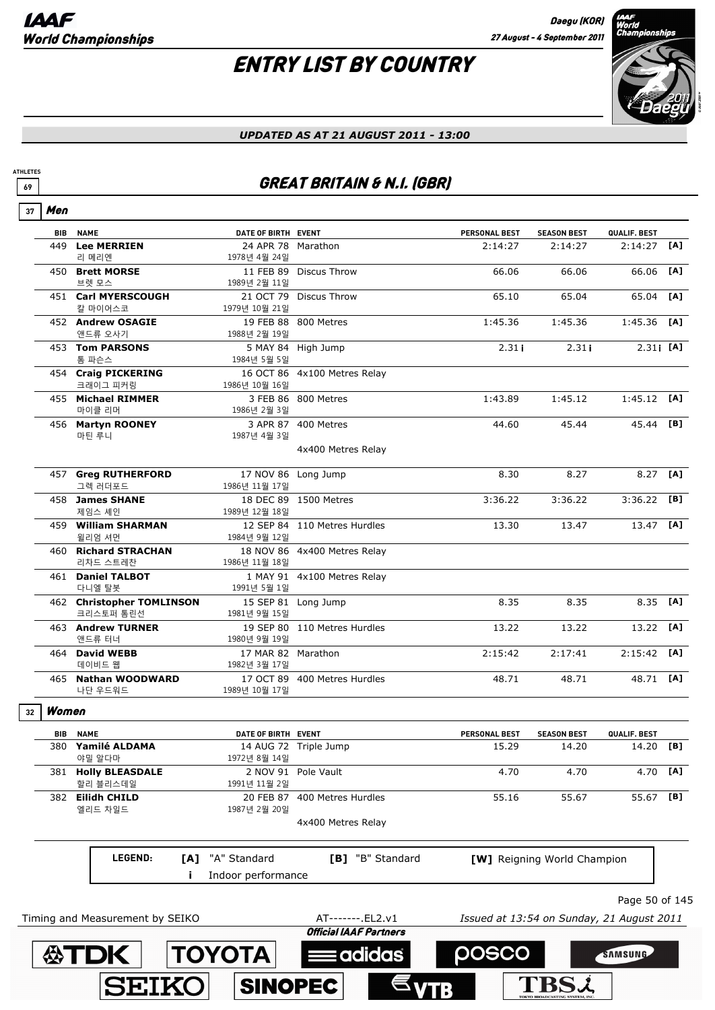## ENTRY LIST BY COUNTRY



#### *UPDATED AS AT 21 AUGUST 2011 - 13:00*

### **69 GREAT BRITAIN & N.I. (GBR)**

| 37 | Men        |                                        |                                    |                               |                                           |                             |                   |     |
|----|------------|----------------------------------------|------------------------------------|-------------------------------|-------------------------------------------|-----------------------------|-------------------|-----|
|    | <b>BIB</b> | <b>NAME</b>                            | DATE OF BIRTH EVENT                |                               | <b>PERSONAL BEST</b>                      | <b>SEASON BEST</b>          | QUALIF. BEST      |     |
|    | 449        | <b>Lee MERRIEN</b><br>리 메리엔            | 24 APR 78<br>1978년 4월 24일          | Marathon                      | 2:14:27                                   | 2:14:27                     | 2:14:27           | [A] |
|    |            | 450 Brett MORSE<br>브렛 모스               | 1989년 2월 11일                       | 11 FEB 89 Discus Throw        | 66.06                                     | 66.06                       | 66.06             | [A] |
|    |            | 451 Carl MYERSCOUGH<br>칼 마이어스코         | 1979년 10월 21일                      | 21 OCT 79 Discus Throw        | 65.10                                     | 65.04                       | 65.04             | [A] |
|    |            | 452 Andrew OSAGIE<br>앤드류 오사기           | 1988년 2월 19일                       | 19 FEB 88 800 Metres          | 1:45.36                                   | 1:45.36                     | 1:45.36           | [A] |
|    |            | 453 Tom PARSONS<br>톰 파슨스               | 5 MAY 84<br>1984년 5월 5일            | High Jump                     | 2.31i                                     | 2.31i                       | $2.31$ <b>[A]</b> |     |
|    |            | 454 Craig PICKERING<br>크래이그 피커링        | 1986년 10월 16일                      | 16 OCT 86 4x100 Metres Relay  |                                           |                             |                   |     |
|    |            | 455 Michael RIMMER<br>마이클 리머           | 1986년 2월 3일                        | 3 FEB 86 800 Metres           | 1:43.89                                   | 1:45.12                     | $1:45.12$ [A]     |     |
|    |            | 456 Martyn ROONEY<br>마틴 루니             | 1987년 4월 3일                        | 3 APR 87 400 Metres           | 44.60                                     | 45.44                       | 45.44             | [B] |
|    |            |                                        |                                    | 4x400 Metres Relay            |                                           |                             |                   |     |
|    |            | 457 Greg RUTHERFORD<br>그렉 러더포드         | 1986년 11월 17일                      | 17 NOV 86 Long Jump           | 8.30                                      | 8.27                        | 8.27              | [A] |
|    |            | 458 James SHANE<br>제임스 셰인              | 1989년 12월 18일                      | 18 DEC 89 1500 Metres         | 3:36.22                                   | 3:36.22                     | 3:36.22           | [B] |
|    |            | 459 William SHARMAN<br>윌리엄 셔먼          | 1984년 9월 12일                       | 12 SEP 84 110 Metres Hurdles  | 13.30                                     | 13.47                       | 13.47             | [A] |
|    |            | 460 Richard STRACHAN<br>리차드 스트레찬       | 1986년 11월 18일                      | 18 NOV 86 4x400 Metres Relay  |                                           |                             |                   |     |
|    |            | 461 Daniel TALBOT<br>다니엘 탈봇            | 1991년 5월 1일                        | 1 MAY 91 4x100 Metres Relay   |                                           |                             |                   |     |
|    |            | 462 Christopher TOMLINSON<br>크리스토퍼 톰린선 | 15 SEP 81<br>1981년 9월 15일          | Long Jump                     | 8.35                                      | 8.35                        | 8.35              | [A] |
|    |            | 463 Andrew TURNER<br>앤드류 터너            | 1980년 9월 19일                       | 19 SEP 80 110 Metres Hurdles  | 13.22                                     | 13.22                       | 13.22             | [A] |
|    |            | 464 David WEBB<br>데이비드 웹               | 17 MAR 82 Marathon<br>1982년 3월 17일 |                               | 2:15:42                                   | 2:17:41                     | 2:15:42           | [A] |
|    |            | 465 Nathan WOODWARD<br>나단 우드워드         | 1989년 10월 17일                      | 17 OCT 89 400 Metres Hurdles  | 48.71                                     | 48.71                       | 48.71 [A]         |     |
| 32 | Women      |                                        |                                    |                               |                                           |                             |                   |     |
|    |            | <b>BIB NAME</b>                        | DATE OF BIRTH EVENT                |                               | <b>PERSONAL BEST</b>                      | <b>SEASON BEST</b>          | QUALIF. BEST      |     |
|    |            | 380 Yamilé ALDAMA<br>야밀 알다마            | 1972년 8월 14일                       | 14 AUG 72 Triple Jump         | 15.29                                     | 14.20                       | 14.20 [B]         |     |
|    |            | 381 Holly BLEASDALE<br>할리 블리스데일        | 1991년 11월 2일                       | 2 NOV 91 Pole Vault           | 4.70                                      | 4.70                        | 4.70              | [A] |
|    |            | 382 Eilidh CHILD<br>엘리드 차일드            | 1987년 2월 20일                       | 20 FEB 87 400 Metres Hurdles  | 55.16                                     | 55.67                       | 55.67             | [B] |
|    |            |                                        |                                    | 4x400 Metres Relay            |                                           |                             |                   |     |
|    |            | LEGEND:<br>[A]                         | "A" Standard<br>Indoor performance | [B] "B" Standard              |                                           | [W] Reigning World Champion |                   |     |
|    |            |                                        |                                    |                               |                                           |                             | Page 50 of 145    |     |
|    |            | Timing and Measurement by SEIKO        |                                    | AT-------. EL2.v1             | Issued at 13:54 on Sunday, 21 August 2011 |                             |                   |     |
|    |            |                                        |                                    | <b>Official IAAF Partners</b> | posco                                     |                             | <b>SAMSUNG</b>    |     |
|    |            | <b>公TDK</b>                            | <b>TOYOTA</b>                      | adidas                        |                                           |                             |                   |     |
|    |            | <b>SEIKO</b>                           | <b>SINOPEC</b>                     |                               |                                           |                             |                   |     |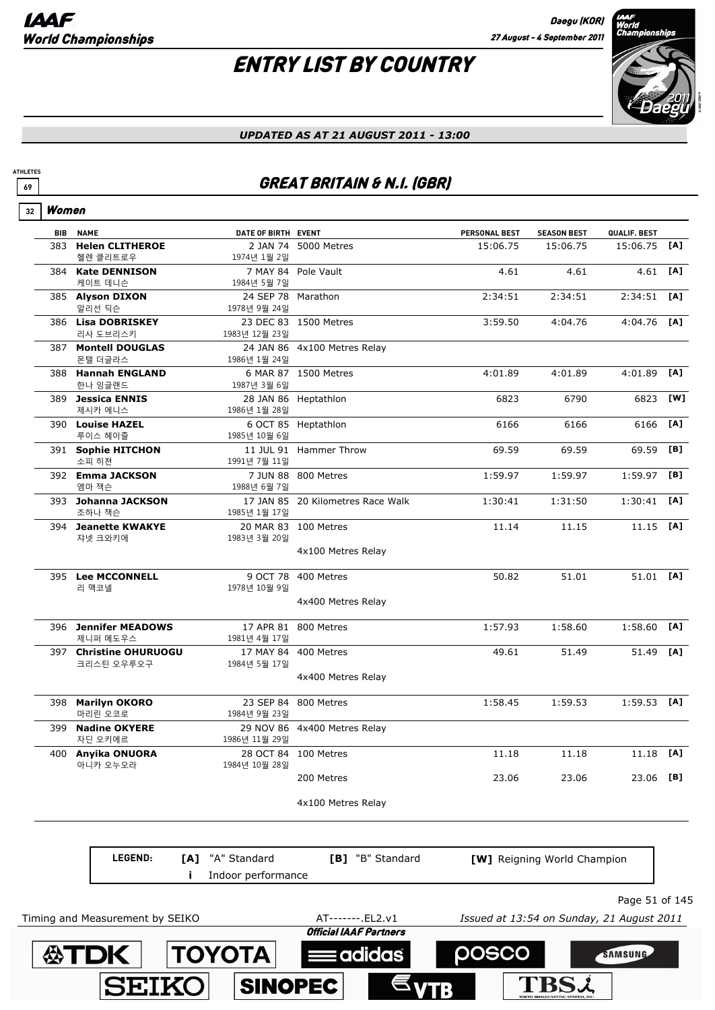**SEIK** 

**SINOPEC** 

**ATHLETES**

**TBSL** 

# ENTRY LIST BY COUNTRY



#### *UPDATED AS AT 21 AUGUST 2011 - 13:00*

### **69 GREAT BRITAIN & N.I. (GBR)**

| 32 | Women |                                      |                                    |                                   |                      |                                           |                |     |
|----|-------|--------------------------------------|------------------------------------|-----------------------------------|----------------------|-------------------------------------------|----------------|-----|
|    | BIB   | <b>NAME</b>                          | DATE OF BIRTH EVENT                |                                   | <b>PERSONAL BEST</b> | <b>SEASON BEST</b>                        | QUALIF. BEST   |     |
|    | 383   | <b>Helen CLITHEROE</b><br>헬렌 클리트로우   | 1974년 1월 2일                        | 2 JAN 74 5000 Metres              | 15:06.75             | 15:06.75                                  | 15:06.75       | [A] |
|    |       | 384 Kate DENNISON<br>케이트 데니슨         | 1984년 5월 7일                        | 7 MAY 84 Pole Vault               | 4.61                 | 4.61                                      | 4.61 [A]       |     |
|    |       | 385 Alyson DIXON<br>알리선 딕슨           | 24 SEP 78 Marathon<br>1978년 9월 24일 |                                   | 2:34:51              | 2:34:51                                   | $2:34:51$ [A]  |     |
|    |       | 386 Lisa DOBRISKEY<br>리사 도브리스키       | 1983년 12월 23일                      | 23 DEC 83 1500 Metres             | 3:59.50              | 4:04.76                                   | $4:04.76$ [A]  |     |
|    |       | 387 Montell DOUGLAS<br>몬텔 더글라스       | 1986년 1월 24일                       | 24 JAN 86 4x100 Metres Relay      |                      |                                           |                |     |
|    |       | 388 Hannah ENGLAND<br>한나 잉글랜드        | 1987년 3월 6일                        | 6 MAR 87 1500 Metres              | 4:01.89              | 4:01.89                                   | 4:01.89        | [A] |
|    |       | 389 Jessica ENNIS<br>제시카 에니스         | 1986년 1월 28일                       | 28 JAN 86 Heptathlon              | 6823                 | 6790                                      | 6823           | [W] |
|    |       | 390 Louise HAZEL<br>루이스 헤이즐          | 1985년 10월 6일                       | 6 OCT 85 Heptathlon               | 6166                 | 6166                                      | 6166           | [A] |
|    |       | 391 Sophie HITCHON<br>소피 히쳔          | 1991년 7월 11일                       | 11 JUL 91 Hammer Throw            | 69.59                | 69.59                                     | 69.59          | [B] |
|    |       | 392 Emma JACKSON<br>엠마 잭슨            | 1988년 6월 7일                        | 7 JUN 88 800 Metres               | 1:59.97              | 1:59.97                                   | $1:59.97$ [B]  |     |
|    |       | 393 Johanna JACKSON<br>조하나 잭슨        | 1985년 1월 17일                       | 17 JAN 85 20 Kilometres Race Walk | 1:30:41              | 1:31:50                                   | $1:30:41$ [A]  |     |
|    |       | 394 Jeanette KWAKYE<br>쟈넷 크와키에       | 1983년 3월 20일                       | 20 MAR 83 100 Metres              | 11.14                | 11.15                                     | $11.15$ [A]    |     |
|    |       |                                      |                                    | 4x100 Metres Relay                |                      |                                           |                |     |
|    |       | 395 Lee MCCONNELL<br>리 맥코넬           | 1978년 10월 9일                       | 9 OCT 78 400 Metres               | 50.82                | 51.01                                     | 51.01 [A]      |     |
|    |       |                                      |                                    | 4x400 Metres Relay                |                      |                                           |                |     |
|    |       | 396 Jennifer MEADOWS<br>제니퍼 메도우스     | 1981년 4월 17일                       | 17 APR 81 800 Metres              | 1:57.93              | 1:58.60                                   | $1:58.60$ [A]  |     |
|    |       | 397 Christine OHURUOGU<br>크리스틴 오우루오구 | 17 MAY 84<br>1984년 5월 17일          | 400 Metres                        | 49.61                | 51.49                                     | 51.49 [A]      |     |
|    |       |                                      |                                    | 4x400 Metres Relay                |                      |                                           |                |     |
|    |       | 398 Marilyn OKORO<br>마리린 오코로         | 1984년 9월 23일                       | 23 SEP 84 800 Metres              | 1:58.45              | 1:59.53                                   | $1:59.53$ [A]  |     |
|    | 399   | <b>Nadine OKYERE</b><br>자딘 오키에르      | 1986년 11월 29일                      | 29 NOV 86 4x400 Metres Relay      |                      |                                           |                |     |
|    | 400   | Anyika ONUORA<br>아니카 오누오라            | 1984년 10월 28일                      | 28 OCT 84 100 Metres              | 11.18                | 11.18                                     | 11.18          | [A] |
|    |       |                                      |                                    | 200 Metres                        | 23.06                | 23.06                                     | 23.06          | [B] |
|    |       |                                      |                                    | 4x100 Metres Relay                |                      |                                           |                |     |
|    |       |                                      |                                    |                                   |                      |                                           |                |     |
|    |       | LEGEND:<br>[A]                       | "A" Standard                       | [B] "B" Standard                  |                      | [W] Reigning World Champion               |                |     |
|    |       |                                      | Indoor performance                 |                                   |                      |                                           |                |     |
|    |       | Timing and Measurement by SEIKO      |                                    | AT-------. EL2.v1                 |                      | Issued at 13:54 on Sunday, 21 August 2011 | Page 51 of 145 |     |
|    |       |                                      |                                    | <b>Official IAAF Partners</b>     |                      |                                           |                |     |
|    |       | <b>公TDK</b>                          | <b>TOYOTA</b>                      | <b>Eadidas</b>                    | posco                |                                           | SAMSUNG        |     |
|    |       |                                      |                                    |                                   |                      |                                           |                |     |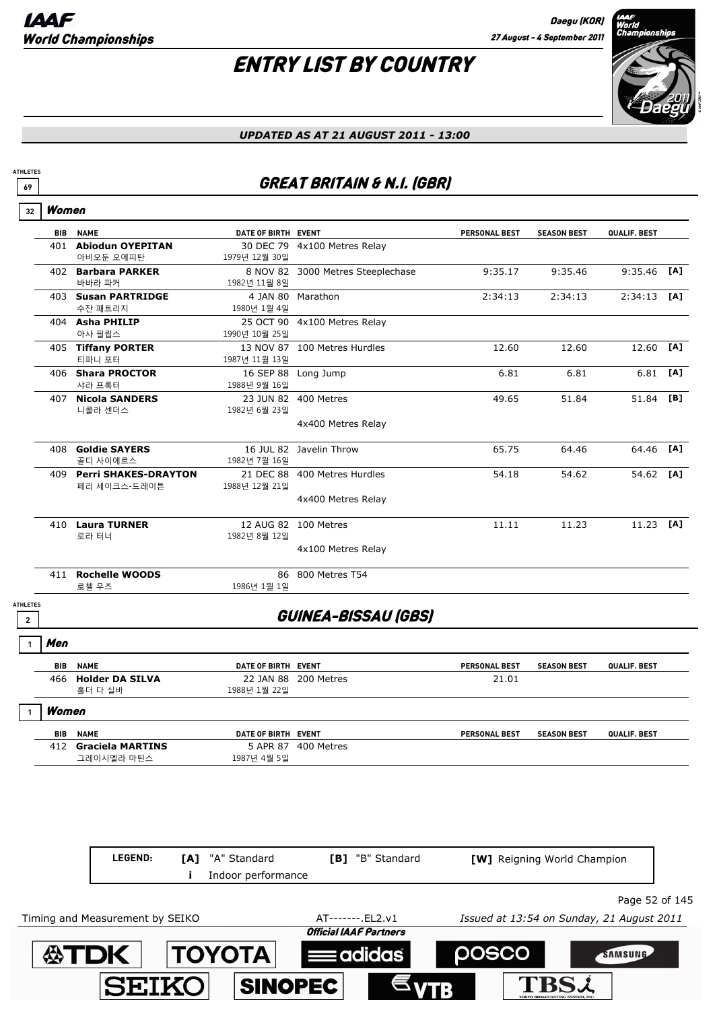# ENTRY LIST BY COUNTRY



*UPDATED AS AT 21 AUGUST 2011 - 13:00*

### **69 GREAT BRITAIN & N.I. (GBR)**

| <b>BIB</b>      | <b>NAME</b>                              | DATE OF BIRTH EVENT |                                   | <b>PERSONAL BEST</b> | <b>SEASON BEST</b> | QUALIF. BEST |     |
|-----------------|------------------------------------------|---------------------|-----------------------------------|----------------------|--------------------|--------------|-----|
|                 | 401 Abiodun OYEPITAN                     |                     | 30 DEC 79 4x100 Metres Relay      |                      |                    |              |     |
|                 | 아비오둔 오에피탄                                | 1979년 12월 30일       |                                   |                      |                    |              |     |
|                 | 402 Barbara PARKER                       |                     | 8 NOV 82 3000 Metres Steeplechase | 9:35.17              | 9:35.46            | 9:35.46      | [A] |
|                 | 바바라 파커                                   | 1982년 11월 8일        |                                   |                      |                    |              |     |
|                 | 403 Susan PARTRIDGE                      |                     | 4 JAN 80 Marathon                 | 2:34:13              | 2:34:13            | 2:34:13      | [A] |
|                 | 수잔 패트리지                                  | 1980년 1월 4일         |                                   |                      |                    |              |     |
|                 | 404 Asha PHILIP                          |                     | 25 OCT 90 4x100 Metres Relay      |                      |                    |              |     |
|                 | 아사 필립스                                   | 1990년 10월 25일       |                                   |                      |                    |              |     |
|                 | 405 Tiffany PORTER                       |                     | 13 NOV 87 100 Metres Hurdles      | 12.60                | 12.60              | 12.60        | [A] |
|                 | 티파니 포터                                   | 1987년 11월 13일       |                                   |                      |                    |              |     |
|                 | 406 Shara PROCTOR                        |                     | 16 SEP 88 Long Jump               | 6.81                 | 6.81               | $6.81$ [A]   |     |
|                 | 샤라 프록터                                   | 1988년 9월 16일        |                                   |                      |                    |              |     |
|                 | <b>407 Nicola SANDERS</b>                |                     | 23 JUN 82 400 Metres              | 49.65                | 51.84              | 51.84        | [B] |
|                 | 니콜라 센더스                                  | 1982년 6월 23일        |                                   |                      |                    |              |     |
|                 |                                          |                     | 4x400 Metres Relay                |                      |                    |              |     |
|                 |                                          |                     |                                   |                      |                    |              |     |
|                 | 408 Goldie SAYERS                        |                     | 16 JUL 82 Javelin Throw           | 65.75                | 64.46              | 64.46        | [A] |
|                 | 골디 사이에르스                                 | 1982년 7월 16일        |                                   |                      |                    |              |     |
|                 | 409 Perri SHAKES-DRAYTON<br>페리 세이크스-드레이튼 | 1988년 12월 21일       | 21 DEC 88 400 Metres Hurdles      | 54.18                | 54.62              | 54.62        | [A] |
|                 |                                          |                     | 4x400 Metres Relay                |                      |                    |              |     |
|                 |                                          |                     |                                   |                      |                    |              |     |
|                 | 410 Laura TURNER                         |                     | 12 AUG 82 100 Metres              | 11.11                | 11.23              | 11.23        | [A] |
|                 | 로라 터너                                    | 1982년 8월 12일        |                                   |                      |                    |              |     |
|                 |                                          |                     | 4x100 Metres Relay                |                      |                    |              |     |
|                 |                                          |                     |                                   |                      |                    |              |     |
|                 | 411 Rochelle WOODS                       |                     | 86 800 Metres T54                 |                      |                    |              |     |
|                 | 로첼 우즈                                    | 1986년 1월 1일         |                                   |                      |                    |              |     |
| <b>ATHLETES</b> |                                          |                     |                                   |                      |                    |              |     |
| $\overline{2}$  |                                          |                     | GUINEA-BISSAU (GBS)               |                      |                    |              |     |
|                 |                                          |                     |                                   |                      |                    |              |     |
| Men             |                                          |                     |                                   |                      |                    |              |     |
| <b>BIB</b>      | <b>NAME</b>                              | DATE OF BIRTH EVENT |                                   | PERSONAL BEST        | <b>SEASON BEST</b> | QUALIF. BEST |     |
|                 | 466 Holder DA SILVA                      |                     | 22 JAN 88 200 Metres              | 21.01                |                    |              |     |
|                 | 홀더 다 실바                                  | 1988년 1월 22일        |                                   |                      |                    |              |     |
|                 | Women                                    |                     |                                   |                      |                    |              |     |
| BIB             | <b>NAME</b>                              | DATE OF BIRTH EVENT |                                   | PERSONAL BEST        | <b>SEASON BEST</b> | QUALIF. BEST |     |
|                 | 412 Graciela MARTINS                     |                     | 5 APR 87 400 Metres               |                      |                    |              |     |
|                 | 그레이시엘라 마틴스                               | 1987년 4월 5일         |                                   |                      |                    |              |     |

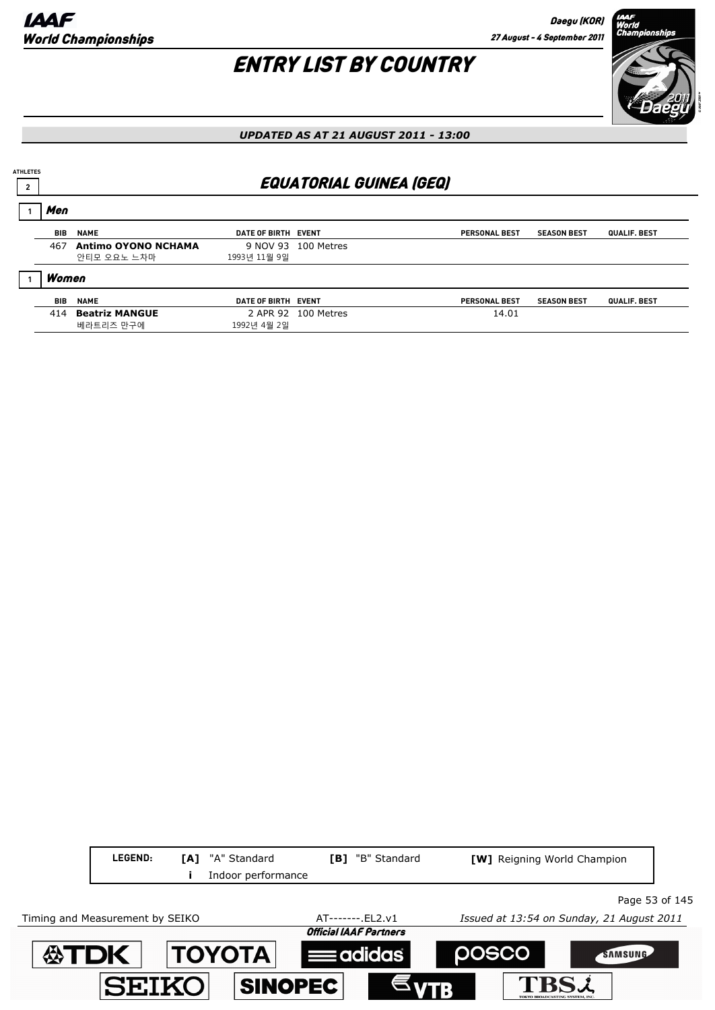## ENTRY LIST BY COUNTRY



*UPDATED AS AT 21 AUGUST 2011 - 13:00*

## **<sup>2</sup>** EQUATORIAL GUINEA (GEQ)

| Men        |                            |                     |                     |                      |                    |              |
|------------|----------------------------|---------------------|---------------------|----------------------|--------------------|--------------|
| BIB        | <b>NAME</b>                | DATE OF BIRTH EVENT |                     | <b>PERSONAL BEST</b> | <b>SEASON BEST</b> | QUALIF. BEST |
| 467        | <b>Antimo OYONO NCHAMA</b> |                     | 9 NOV 93 100 Metres |                      |                    |              |
|            | 안티모 오요노 느차마                | 1993년 11월 9일        |                     |                      |                    |              |
| Women      |                            |                     |                     |                      |                    |              |
| <b>BIB</b> | <b>NAME</b>                | DATE OF BIRTH EVENT |                     | <b>PERSONAL BEST</b> | <b>SEASON BEST</b> | QUALIF. BEST |
| 414        | <b>Beatriz MANGUE</b>      |                     | 2 APR 92 100 Metres | 14.01                |                    |              |
|            | 베라트리즈 만구에                  | 1992년 4월 2일         |                     |                      |                    |              |

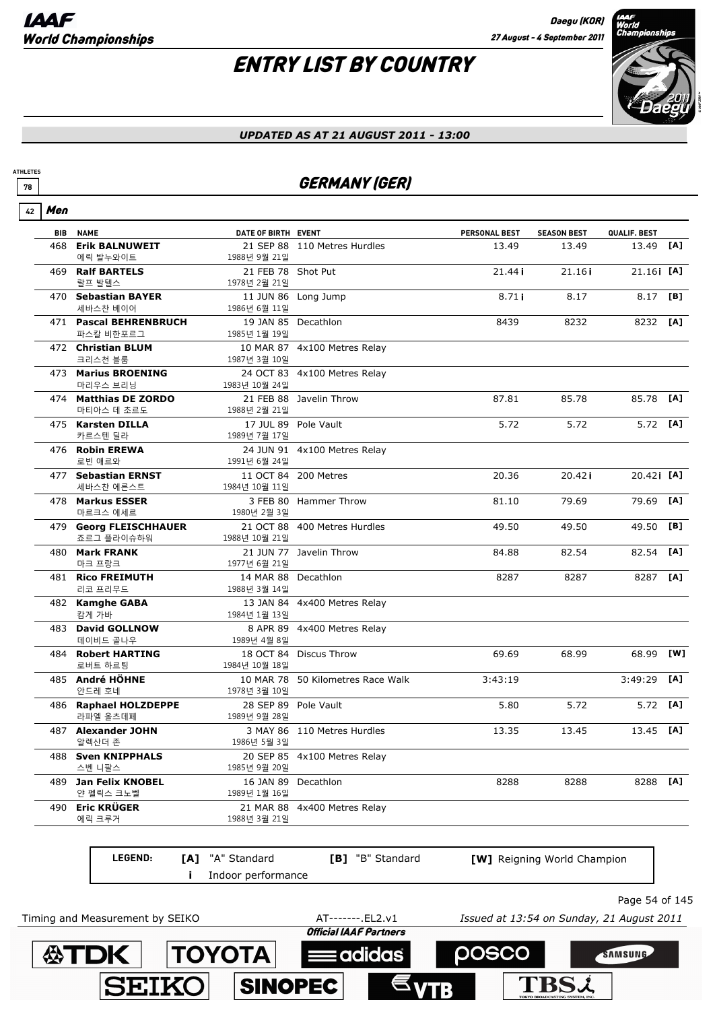# ENTRY LIST BY COUNTRY



#### *UPDATED AS AT 21 AUGUST 2011 - 13:00*

### *GERMANY (GER)*

| 42 | Men        |                                         |                                     |                                   |                      |                             |              |     |
|----|------------|-----------------------------------------|-------------------------------------|-----------------------------------|----------------------|-----------------------------|--------------|-----|
|    | <b>BIB</b> | <b>NAME</b>                             | DATE OF BIRTH EVENT                 |                                   | <b>PERSONAL BEST</b> | <b>SEASON BEST</b>          | QUALIF. BEST |     |
|    | 468        | <b>Erik BALNUWEIT</b>                   |                                     | 21 SEP 88 110 Metres Hurdles      | 13.49                | 13.49                       | 13.49        | [A] |
|    |            | 에릭 발누와이트<br>469 Ralf BARTELS            | 1988년 9월 21일<br>21 FEB 78 Shot Put  |                                   | 21.44i               | 21.16i                      | 21.16 [A]    |     |
|    |            | 랄프 발텔스                                  | 1978년 2월 21일                        |                                   |                      |                             |              |     |
|    | 470        | <b>Sebastian BAYER</b>                  |                                     | 11 JUN 86 Long Jump               | 8.71i                | 8.17                        | 8.17         | [B] |
|    |            | 세바스찬 베이어                                | 1986년 6월 11일                        |                                   |                      |                             |              |     |
|    |            | 471 Pascal BEHRENBRUCH<br>파스칼 비한포르그     |                                     | 19 JAN 85 Decathlon               | 8439                 | 8232                        | 8232 [A]     |     |
|    |            | 472 Christian BLUM                      | 1985년 1월 19일                        | 10 MAR 87 4x100 Metres Relay      |                      |                             |              |     |
|    |            | 크리스천 블룸                                 | 1987년 3월 10일                        |                                   |                      |                             |              |     |
|    |            | 473 Marius BROENING                     |                                     | 24 OCT 83 4x100 Metres Relay      |                      |                             |              |     |
|    |            | 마리우스 브리닝                                | 1983년 10월 24일                       |                                   |                      |                             |              |     |
|    |            | 474 Matthias DE ZORDO                   |                                     | 21 FEB 88 Javelin Throw           | 87.81                | 85.78                       | 85.78        | [A] |
|    |            | 마티아스 데 초르도                              | 1988년 2월 21일                        |                                   |                      |                             |              |     |
|    |            | 475 Karsten DILLA                       |                                     | 17 JUL 89 Pole Vault              | 5.72                 | 5.72                        | 5.72 [A]     |     |
|    |            | 카르스텐 딜라                                 | 1989년 7월 17일                        |                                   |                      |                             |              |     |
|    |            | 476 Robin EREWA<br>로빈 애르와               | 1991년 6월 24일                        | 24 JUN 91 4x100 Metres Relay      |                      |                             |              |     |
|    | 477        | <b>Sebastian ERNST</b>                  |                                     | 11 OCT 84 200 Metres              | 20.36                | 20.42i                      | 20.421 [A]   |     |
|    |            | 세바스찬 에른스트                               | 1984년 10월 11일                       |                                   |                      |                             |              |     |
|    |            | 478 Markus ESSER                        |                                     | 3 FEB 80 Hammer Throw             | 81.10                | 79.69                       | 79.69        | [A] |
|    |            | 마르크스 에세르                                | 1980년 2월 3일                         |                                   |                      |                             |              |     |
|    | 479        | <b>Georg FLEISCHHAUER</b><br>죠르그 플라이슈하워 | 1988년 10월 21일                       | 21 OCT 88 400 Metres Hurdles      | 49.50                | 49.50                       | 49.50        | [B] |
|    |            | 480 Mark FRANK                          |                                     | 21 JUN 77 Javelin Throw           | 84.88                | 82.54                       | 82.54        | [A] |
|    |            | 마크 프랑크                                  | 1977년 6월 21일                        |                                   |                      |                             |              |     |
|    | 481        | <b>Rico FREIMUTH</b><br>리코 프리무드         | 14 MAR 88 Decathlon<br>1988년 3월 14일 |                                   | 8287                 | 8287                        | 8287         | [A] |
|    |            | 482 Kamghe GABA                         |                                     | 13 JAN 84 4x400 Metres Relay      |                      |                             |              |     |
|    |            | 캄게 가바                                   | 1984년 1월 13일                        |                                   |                      |                             |              |     |
|    | 483        | <b>David GOLLNOW</b>                    |                                     | 8 APR 89 4x400 Metres Relay       |                      |                             |              |     |
|    |            | 데이비드 골나우                                | 1989년 4월 8일                         |                                   |                      |                             |              |     |
|    | 484        | <b>Robert HARTING</b>                   |                                     | 18 OCT 84 Discus Throw            | 69.69                | 68.99                       | 68.99        | [W] |
|    |            | 로버트 하르팅                                 | 1984년 10월 18일                       |                                   |                      |                             |              |     |
|    |            | 485 André HÖHNE<br>안드레 호네               | 1978년 3월 10일                        | 10 MAR 78 50 Kilometres Race Walk | 3:43:19              |                             | 3:49:29      | [A] |
|    |            | 486 Raphael HOLZDEPPE                   |                                     | 28 SEP 89 Pole Vault              | 5.80                 | 5.72                        | 5.72         | [A] |
|    |            | 라파엘 올츠데페                                | 1989년 9월 28일                        |                                   |                      |                             |              |     |
|    |            | 487 Alexander JOHN                      |                                     | 3 MAY 86 110 Metres Hurdles       | 13.35                | 13.45                       | 13.45        | [A] |
|    |            | 알렉산더 존                                  | 1986년 5월 3일                         |                                   |                      |                             |              |     |
|    |            | 488 Sven KNIPPHALS                      |                                     | 20 SEP 85 4x100 Metres Relay      |                      |                             |              |     |
|    |            | 스벤 니팔스                                  | 1985년 9월 20일                        |                                   |                      |                             |              |     |
|    |            | 489 Jan Felix KNOBEL<br>얀 펠릭스 크노벨       | 1989년 1월 16일                        | 16 JAN 89 Decathlon               | 8288                 | 8288                        | 8288         | [A] |
|    | 490        | <b>Eric KRÜGER</b>                      | 21 MAR 88                           | 4x400 Metres Relay                |                      |                             |              |     |
|    |            | 에릭 크루거                                  | 1988년 3월 21일                        |                                   |                      |                             |              |     |
|    |            |                                         |                                     |                                   |                      |                             |              |     |
|    |            | LEGEND:                                 | [A] "A" Standard                    | [B] "B" Standard                  |                      | [W] Reigning World Champion |              |     |
|    |            |                                         | Indoor performance                  |                                   |                      |                             |              |     |

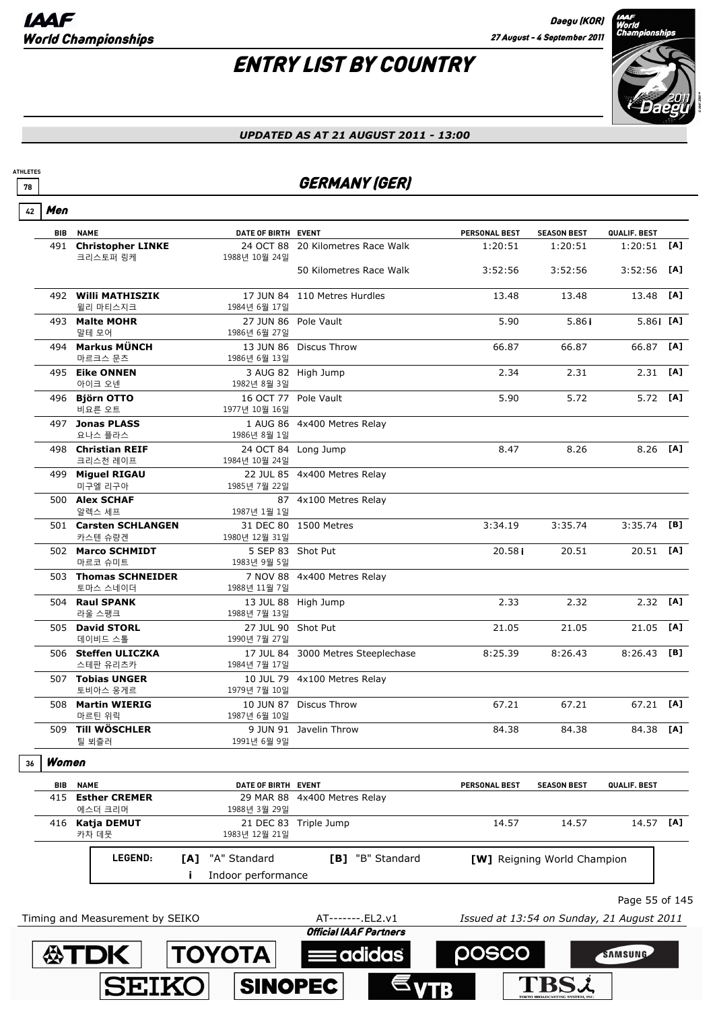

#### *UPDATED AS AT 21 AUGUST 2011 - 13:00*

### <u>*T***8</del>** GERMANY (GER)</u>

|  | í, |
|--|----|
|--|----|

**ATHLETES**

| 491 Christopher LINKE<br>$1:20:51$ [A]<br>24 OCT 88 20 Kilometres Race Walk<br>1:20:51<br>1:20:51<br>크리스토퍼 링케<br>1988년 10월 24일<br>50 Kilometres Race Walk<br>3:52:56<br>3:52:56<br>$3:52:56$ [A]<br>492 Willi MATHISZIK<br>13.48<br>17 JUN 84 110 Metres Hurdles<br>13.48<br>13.48<br>윌리 마티스지크<br>1984년 6월 17일<br>5.86 [A]<br>5.90<br>493 Malte MOHR<br>27 JUN 86 Pole Vault<br>5.86 i<br>말테 모어<br>1986년 6월 27일<br>494 Markus MÜNCH<br>66.87<br>66.87<br>66.87<br>13 JUN 86 Discus Throw<br>마르크스 문츠<br>1986년 6월 13일<br>$2.31$ [A]<br>495 Eike ONNEN<br>3 AUG 82 High Jump<br>2.34<br>2.31<br>아이크 오넨<br>1982년 8월 3일<br>5.90<br>5.72<br>$5.72$ [A]<br>496 Björn OTTO<br>16 OCT 77 Pole Vault<br>비요른 오트<br>1977년 10월 16일<br>497 Jonas PLASS<br>1 AUG 86 4x400 Metres Relay<br>요나스 플라스<br>1986년 8월 1일<br>498 Christian REIF<br>24 OCT 84 Long Jump<br>8.26<br>8.26 [A]<br>8.47<br>크리스천 레이프<br>1984년 10월 24일<br>499 Miguel RIGAU<br>22 JUL 85 4x400 Metres Relay<br>미구엘 리구아<br>1985년 7월 22일<br>500 Alex SCHAF<br>87 4x100 Metres Relay<br>알렉스 세프<br>1987년 1월 1일<br>31 DEC 80 1500 Metres<br>3:34.19<br>3:35.74<br>$3:35.74$ [B]<br>501 Carsten SCHLANGEN<br>카스텐 슈량겐<br>1980년 12월 31일<br>20.51 [A]<br>502 Marco SCHMIDT<br>5 SEP 83 Shot Put<br>20.58i<br>20.51<br>마르코 슈미트<br>1983년 9월 5일<br>503 Thomas SCHNEIDER<br>7 NOV 88 4x400 Metres Relay<br>토마스 스네이더<br>1988년 11월 7일<br>2.32<br>504 Raul SPANK<br>13 JUL 88 High Jump<br>2.33<br>2.32<br>라울 스팽크<br>1988년 7월 13일<br>21.05<br>21.05<br>505 David STORL<br>27 JUL 90 Shot Put<br>21.05<br>데이비드 스톨<br>1990년 7월 27일<br>506 Steffen ULICZKA<br>17 JUL 84 3000 Metres Steeplechase<br>8:25.39<br>8:26.43<br>$8:26.43$ [B]<br>스테판 유리츠카<br>1984년 7월 17일<br>507 Tobias UNGER<br>10 JUL 79 4x100 Metres Relay<br>1979년 7월 10일<br>토비아스 웅게르<br>508 Martin WIERIG<br>10 JUN 87 Discus Throw<br>67.21<br>67.21<br>67.21 [A]<br>마르틴 위릭<br>1987년 6월 10일<br>509 Till WÖSCHLER<br>84.38<br>9 JUN 91 Javelin Throw<br>84.38<br>84.38<br>1991년 6월 9일<br>틸 뵈츨러<br>Women<br>36 | [A]<br>[A] |
|-----------------------------------------------------------------------------------------------------------------------------------------------------------------------------------------------------------------------------------------------------------------------------------------------------------------------------------------------------------------------------------------------------------------------------------------------------------------------------------------------------------------------------------------------------------------------------------------------------------------------------------------------------------------------------------------------------------------------------------------------------------------------------------------------------------------------------------------------------------------------------------------------------------------------------------------------------------------------------------------------------------------------------------------------------------------------------------------------------------------------------------------------------------------------------------------------------------------------------------------------------------------------------------------------------------------------------------------------------------------------------------------------------------------------------------------------------------------------------------------------------------------------------------------------------------------------------------------------------------------------------------------------------------------------------------------------------------------------------------------------------------------------------------------------------------------------------------------------------------------------------------------------------------------------------------------------------------------------------------------------------------|------------|
|                                                                                                                                                                                                                                                                                                                                                                                                                                                                                                                                                                                                                                                                                                                                                                                                                                                                                                                                                                                                                                                                                                                                                                                                                                                                                                                                                                                                                                                                                                                                                                                                                                                                                                                                                                                                                                                                                                                                                                                                           |            |
|                                                                                                                                                                                                                                                                                                                                                                                                                                                                                                                                                                                                                                                                                                                                                                                                                                                                                                                                                                                                                                                                                                                                                                                                                                                                                                                                                                                                                                                                                                                                                                                                                                                                                                                                                                                                                                                                                                                                                                                                           |            |
|                                                                                                                                                                                                                                                                                                                                                                                                                                                                                                                                                                                                                                                                                                                                                                                                                                                                                                                                                                                                                                                                                                                                                                                                                                                                                                                                                                                                                                                                                                                                                                                                                                                                                                                                                                                                                                                                                                                                                                                                           |            |
|                                                                                                                                                                                                                                                                                                                                                                                                                                                                                                                                                                                                                                                                                                                                                                                                                                                                                                                                                                                                                                                                                                                                                                                                                                                                                                                                                                                                                                                                                                                                                                                                                                                                                                                                                                                                                                                                                                                                                                                                           |            |
|                                                                                                                                                                                                                                                                                                                                                                                                                                                                                                                                                                                                                                                                                                                                                                                                                                                                                                                                                                                                                                                                                                                                                                                                                                                                                                                                                                                                                                                                                                                                                                                                                                                                                                                                                                                                                                                                                                                                                                                                           |            |
|                                                                                                                                                                                                                                                                                                                                                                                                                                                                                                                                                                                                                                                                                                                                                                                                                                                                                                                                                                                                                                                                                                                                                                                                                                                                                                                                                                                                                                                                                                                                                                                                                                                                                                                                                                                                                                                                                                                                                                                                           |            |
|                                                                                                                                                                                                                                                                                                                                                                                                                                                                                                                                                                                                                                                                                                                                                                                                                                                                                                                                                                                                                                                                                                                                                                                                                                                                                                                                                                                                                                                                                                                                                                                                                                                                                                                                                                                                                                                                                                                                                                                                           |            |
|                                                                                                                                                                                                                                                                                                                                                                                                                                                                                                                                                                                                                                                                                                                                                                                                                                                                                                                                                                                                                                                                                                                                                                                                                                                                                                                                                                                                                                                                                                                                                                                                                                                                                                                                                                                                                                                                                                                                                                                                           |            |
|                                                                                                                                                                                                                                                                                                                                                                                                                                                                                                                                                                                                                                                                                                                                                                                                                                                                                                                                                                                                                                                                                                                                                                                                                                                                                                                                                                                                                                                                                                                                                                                                                                                                                                                                                                                                                                                                                                                                                                                                           |            |
|                                                                                                                                                                                                                                                                                                                                                                                                                                                                                                                                                                                                                                                                                                                                                                                                                                                                                                                                                                                                                                                                                                                                                                                                                                                                                                                                                                                                                                                                                                                                                                                                                                                                                                                                                                                                                                                                                                                                                                                                           |            |
|                                                                                                                                                                                                                                                                                                                                                                                                                                                                                                                                                                                                                                                                                                                                                                                                                                                                                                                                                                                                                                                                                                                                                                                                                                                                                                                                                                                                                                                                                                                                                                                                                                                                                                                                                                                                                                                                                                                                                                                                           |            |
|                                                                                                                                                                                                                                                                                                                                                                                                                                                                                                                                                                                                                                                                                                                                                                                                                                                                                                                                                                                                                                                                                                                                                                                                                                                                                                                                                                                                                                                                                                                                                                                                                                                                                                                                                                                                                                                                                                                                                                                                           |            |
|                                                                                                                                                                                                                                                                                                                                                                                                                                                                                                                                                                                                                                                                                                                                                                                                                                                                                                                                                                                                                                                                                                                                                                                                                                                                                                                                                                                                                                                                                                                                                                                                                                                                                                                                                                                                                                                                                                                                                                                                           |            |
|                                                                                                                                                                                                                                                                                                                                                                                                                                                                                                                                                                                                                                                                                                                                                                                                                                                                                                                                                                                                                                                                                                                                                                                                                                                                                                                                                                                                                                                                                                                                                                                                                                                                                                                                                                                                                                                                                                                                                                                                           |            |
|                                                                                                                                                                                                                                                                                                                                                                                                                                                                                                                                                                                                                                                                                                                                                                                                                                                                                                                                                                                                                                                                                                                                                                                                                                                                                                                                                                                                                                                                                                                                                                                                                                                                                                                                                                                                                                                                                                                                                                                                           | [A]        |
|                                                                                                                                                                                                                                                                                                                                                                                                                                                                                                                                                                                                                                                                                                                                                                                                                                                                                                                                                                                                                                                                                                                                                                                                                                                                                                                                                                                                                                                                                                                                                                                                                                                                                                                                                                                                                                                                                                                                                                                                           | [A]        |
|                                                                                                                                                                                                                                                                                                                                                                                                                                                                                                                                                                                                                                                                                                                                                                                                                                                                                                                                                                                                                                                                                                                                                                                                                                                                                                                                                                                                                                                                                                                                                                                                                                                                                                                                                                                                                                                                                                                                                                                                           |            |
|                                                                                                                                                                                                                                                                                                                                                                                                                                                                                                                                                                                                                                                                                                                                                                                                                                                                                                                                                                                                                                                                                                                                                                                                                                                                                                                                                                                                                                                                                                                                                                                                                                                                                                                                                                                                                                                                                                                                                                                                           |            |
|                                                                                                                                                                                                                                                                                                                                                                                                                                                                                                                                                                                                                                                                                                                                                                                                                                                                                                                                                                                                                                                                                                                                                                                                                                                                                                                                                                                                                                                                                                                                                                                                                                                                                                                                                                                                                                                                                                                                                                                                           |            |
|                                                                                                                                                                                                                                                                                                                                                                                                                                                                                                                                                                                                                                                                                                                                                                                                                                                                                                                                                                                                                                                                                                                                                                                                                                                                                                                                                                                                                                                                                                                                                                                                                                                                                                                                                                                                                                                                                                                                                                                                           | [A]        |
|                                                                                                                                                                                                                                                                                                                                                                                                                                                                                                                                                                                                                                                                                                                                                                                                                                                                                                                                                                                                                                                                                                                                                                                                                                                                                                                                                                                                                                                                                                                                                                                                                                                                                                                                                                                                                                                                                                                                                                                                           |            |
| <b>NAME</b><br>DATE OF BIRTH EVENT<br><b>PERSONAL BEST</b><br><b>SEASON BEST</b><br>QUALIF. BEST<br>BIB                                                                                                                                                                                                                                                                                                                                                                                                                                                                                                                                                                                                                                                                                                                                                                                                                                                                                                                                                                                                                                                                                                                                                                                                                                                                                                                                                                                                                                                                                                                                                                                                                                                                                                                                                                                                                                                                                                   |            |
| 415<br><b>Esther CREMER</b><br>29 MAR 88 4x400 Metres Relay<br>에스더 크리머<br>1988년 3월 29일                                                                                                                                                                                                                                                                                                                                                                                                                                                                                                                                                                                                                                                                                                                                                                                                                                                                                                                                                                                                                                                                                                                                                                                                                                                                                                                                                                                                                                                                                                                                                                                                                                                                                                                                                                                                                                                                                                                    |            |
| 14.57 [A]<br>416 Katja DEMUT<br>14.57<br>14.57<br>21 DEC 83 Triple Jump<br>카차 데뭇<br>1983년 12월 21일                                                                                                                                                                                                                                                                                                                                                                                                                                                                                                                                                                                                                                                                                                                                                                                                                                                                                                                                                                                                                                                                                                                                                                                                                                                                                                                                                                                                                                                                                                                                                                                                                                                                                                                                                                                                                                                                                                         |            |
| [B] "B" Standard<br>LEGEND:<br>"A" Standard<br>[A]<br>[W] Reigning World Champion<br>Indoor performance                                                                                                                                                                                                                                                                                                                                                                                                                                                                                                                                                                                                                                                                                                                                                                                                                                                                                                                                                                                                                                                                                                                                                                                                                                                                                                                                                                                                                                                                                                                                                                                                                                                                                                                                                                                                                                                                                                   |            |
| Page 55 of 145                                                                                                                                                                                                                                                                                                                                                                                                                                                                                                                                                                                                                                                                                                                                                                                                                                                                                                                                                                                                                                                                                                                                                                                                                                                                                                                                                                                                                                                                                                                                                                                                                                                                                                                                                                                                                                                                                                                                                                                            |            |
|                                                                                                                                                                                                                                                                                                                                                                                                                                                                                                                                                                                                                                                                                                                                                                                                                                                                                                                                                                                                                                                                                                                                                                                                                                                                                                                                                                                                                                                                                                                                                                                                                                                                                                                                                                                                                                                                                                                                                                                                           |            |
| Timing and Measurement by SEIKO<br>AT-------. EL2.v1<br>Issued at 13:54 on Sunday, 21 August 2011<br><b>Official IAAF Partners</b>                                                                                                                                                                                                                                                                                                                                                                                                                                                                                                                                                                                                                                                                                                                                                                                                                                                                                                                                                                                                                                                                                                                                                                                                                                                                                                                                                                                                                                                                                                                                                                                                                                                                                                                                                                                                                                                                        |            |

**Eadidas** 

**TOYOTA** 

**SINOPEC** 

**公TDK** 

**SEIKO** 

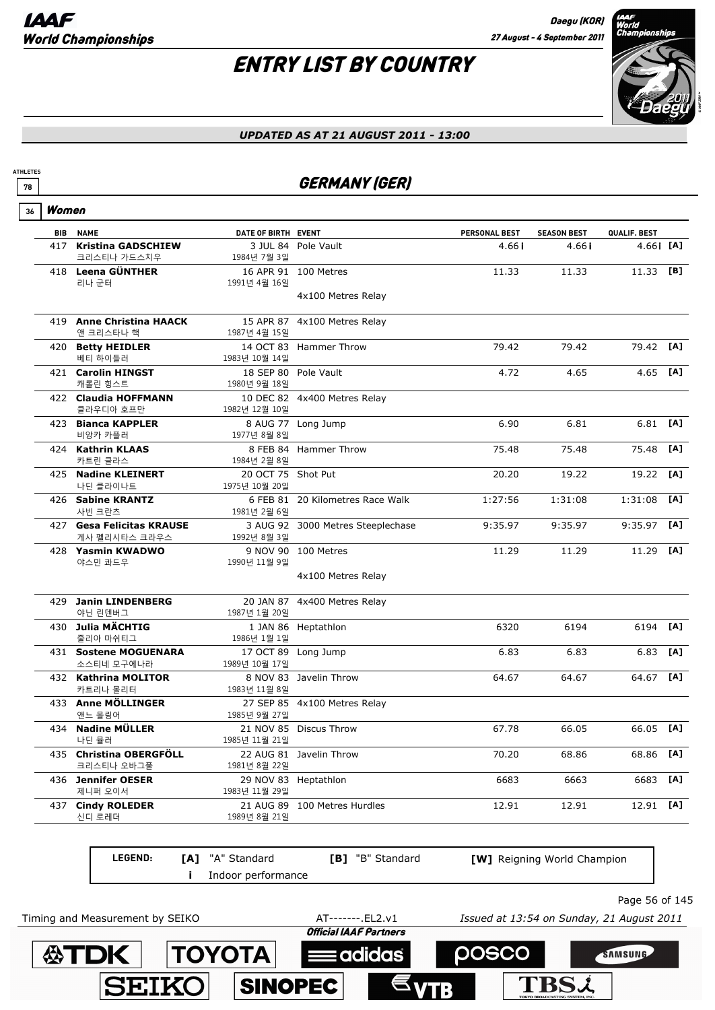

#### *UPDATED AS AT 21 AUGUST 2011 - 13:00*

### *T***8** GERMANY (GER)

| Women |
|-------|
|       |

**ATHLETES**

|     | <b>BIB NAME</b>                  | DATE OF BIRTH EVENT |                                   | <b>PERSONAL BEST</b> | <b>SEASON BEST</b> | QUALIF. BEST |     |
|-----|----------------------------------|---------------------|-----------------------------------|----------------------|--------------------|--------------|-----|
| 417 | <b>Kristina GADSCHIEW</b>        |                     | 3 JUL 84 Pole Vault               | 4.66 i               | 4.66i              | $4.66$ i [A] |     |
|     | 크리스티나 가드스치우                      | 1984년 7월 3일         |                                   |                      |                    |              |     |
|     | 418 Leena GÜNTHER                |                     | 16 APR 91 100 Metres              | 11.33                | 11.33              | 11.33        | [B] |
|     | 리나 군터                            | 1991년 4월 16일        |                                   |                      |                    |              |     |
|     |                                  |                     | 4x100 Metres Relay                |                      |                    |              |     |
|     | 419 Anne Christina HAACK         |                     | 15 APR 87 4x100 Metres Relay      |                      |                    |              |     |
|     | 앤 크리스타나 핵                        | 1987년 4월 15일        |                                   |                      |                    |              |     |
|     | 420 Betty HEIDLER                |                     | 14 OCT 83 Hammer Throw            | 79.42                | 79.42              | 79.42        | [A] |
|     | 베티 하이들러                          | 1983년 10월 14일       |                                   |                      |                    |              |     |
|     | 421 Carolin HINGST               |                     | 18 SEP 80 Pole Vault              | 4.72                 | 4.65               | 4.65         | [A] |
|     | 캐롤린 힝스트                          | 1980년 9월 18일        |                                   |                      |                    |              |     |
|     | 422 Claudia HOFFMANN             |                     | 10 DEC 82 4x400 Metres Relay      |                      |                    |              |     |
|     | 클라우디아 호프만<br>423 Bianca KAPPLER  | 1982년 12월 10일       |                                   | 6.90                 | 6.81               | 6.81         | [A] |
|     | 비앙카 카플러                          | 1977년 8월 8일         | 8 AUG 77 Long Jump                |                      |                    |              |     |
|     | 424 Kathrin KLAAS                |                     | 8 FEB 84 Hammer Throw             | 75.48                | 75.48              | 75.48        | [A] |
|     | 카트린 클라스                          | 1984년 2월 8일         |                                   |                      |                    |              |     |
|     | 425 Nadine KLEINERT              | 20 OCT 75 Shot Put  |                                   | 20.20                | 19.22              | 19.22        | [A] |
|     | 나딘 클라이나트                         | 1975년 10월 20일       |                                   |                      |                    |              |     |
|     | 426 Sabine KRANTZ                |                     | 6 FEB 81 20 Kilometres Race Walk  | 1:27:56              | 1:31:08            | 1:31:08      | [A] |
|     | 사빈 크란츠                           | 1981년 2월 6일         |                                   |                      |                    |              |     |
|     | 427 Gesa Felicitas KRAUSE        |                     | 3 AUG 92 3000 Metres Steeplechase | 9:35.97              | 9:35.97            | 9:35.97      | [A] |
|     | 게사 펠리시타스 크라우스                    | 1992년 8월 3일         |                                   |                      |                    |              |     |
|     | 428 Yasmin KWADWO                |                     | 9 NOV 90 100 Metres               | 11.29                | 11.29              | 11.29        | [A] |
|     | 야스민 콰드우                          | 1990년 11월 9일        |                                   |                      |                    |              |     |
|     |                                  |                     | 4x100 Metres Relay                |                      |                    |              |     |
| 429 | <b>Janin LINDENBERG</b>          |                     | 20 JAN 87 4x400 Metres Relay      |                      |                    |              |     |
|     | 야닌 린덴버그                          | 1987년 1월 20일        |                                   |                      |                    |              |     |
|     | 430 Julia MÄCHTIG                |                     | 1 JAN 86 Heptathlon               | 6320                 | 6194               | 6194         | [A] |
|     | 줄리아 마쉬티그                         | 1986년 1월 1일         |                                   |                      |                    |              |     |
|     | 431 Sostene MOGUENARA            |                     | 17 OCT 89 Long Jump               | 6.83                 | 6.83               | 6.83         | [A] |
|     | 소스티네 모구에나라                       | 1989년 10월 17일       |                                   |                      |                    |              |     |
|     | 432 Kathrina MOLITOR<br>카트리나 몰리터 | 1983년 11월 8일        | 8 NOV 83 Javelin Throw            | 64.67                | 64.67              | 64.67        | [A] |
|     | 433 Anne MÖLLINGER               |                     | 27 SEP 85 4x100 Metres Relay      |                      |                    |              |     |
|     | 앤느 몰링어                           | 1985년 9월 27일        |                                   |                      |                    |              |     |
|     | 434 Nadine MÜLLER                |                     | 21 NOV 85 Discus Throw            | 67.78                | 66.05              | 66.05        | [A] |
|     | 나딘 뮬러                            | 1985년 11월 21일       |                                   |                      |                    |              |     |
|     | 435 Christina OBERGFÖLL          |                     | 22 AUG 81 Javelin Throw           | 70.20                | 68.86              | 68.86        | [A] |
|     | 크리스티나 오바그풀                       | 1981년 8월 22일        |                                   |                      |                    |              |     |
|     | 436 Jennifer OESER               |                     | 29 NOV 83 Heptathlon              | 6683                 | 6663               | 6683         | [A] |
|     | 제니퍼 오이서                          | 1983년 11월 29일       |                                   |                      |                    |              |     |
|     | 437 Cindy ROLEDER                |                     | 21 AUG 89 100 Metres Hurdles      | 12.91                | 12.91              | 12.91        | [A] |
|     | 신디 로레더                           | 1989년 8월 21일        |                                   |                      |                    |              |     |
|     |                                  |                     |                                   |                      |                    |              |     |

**LEGEND: i** Indoor performance **[A]** "A" Standard **[B]** "B" Standard **[W]** Reigning World Champion

Page 56 of 145

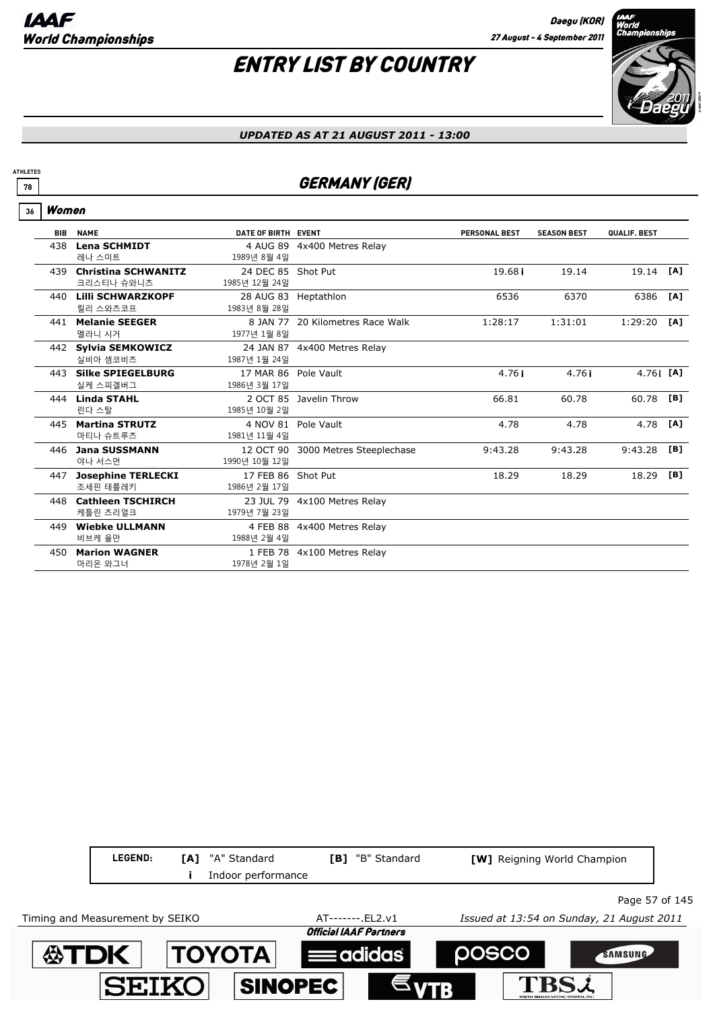

#### *UPDATED AS AT 21 AUGUST 2011 - 13:00*

### *T***8** GERMANY (GER)

#### Women **36**

**ATHLETES**

| <b>BIB</b> | <b>NAME</b>                              | DATE OF BIRTH EVENT                  |                                    | <b>PERSONAL BEST</b> | <b>SEASON BEST</b> | QUALIF. BEST |     |
|------------|------------------------------------------|--------------------------------------|------------------------------------|----------------------|--------------------|--------------|-----|
| 438        | <b>Lena SCHMIDT</b><br>레나 스미트            | 1989년 8월 4일                          | 4 AUG 89 4x400 Metres Relay        |                      |                    |              |     |
| 439        | <b>Christina SCHWANITZ</b><br>크리스티나 슈와니츠 | 24 DEC 85 Shot Put<br>1985년 12월 24일  |                                    | 19.681               | 19.14              | 19.14        | [A] |
| 440        | Lilli SCHWARZKOPF<br>릴리 스와츠코프            | 28 AUG 83 Heptathlon<br>1983년 8월 28일 |                                    | 6536                 | 6370               | 6386         | [A] |
| 441        | <b>Melanie SEEGER</b><br>멜라니 시거          | 1977년 1월 8일                          | 8 JAN 77 20 Kilometres Race Walk   | 1:28:17              | 1:31:01            | 1:29:20      | [A] |
|            | 442 Sylvia SEMKOWICZ<br>실비아 셈코비츠         | 1987년 1월 24일                         | 24 JAN 87 4x400 Metres Relay       |                      |                    |              |     |
|            | 443 Silke SPIEGELBURG<br>실케 스피겔버그        | 17 MAR 86 Pole Vault<br>1986년 3월 17일 |                                    | 4.76i                | 4.76i              | 4.76 $[$ [A] |     |
| 444        | <b>Linda STAHL</b><br>린다 스탈              | 1985년 10월 2일                         | 2 OCT 85 Javelin Throw             | 66.81                | 60.78              | 60.78        | [B] |
| 445        | <b>Martina STRUTZ</b><br>마티나 슈트루츠        | 1981년 11월 4일                         | 4 NOV 81 Pole Vault                | 4.78                 | 4.78               | 4.78         | [A] |
| 446        | <b>Jana SUSSMANN</b><br>야나 서스먼           | 1990년 10월 12일                        | 12 OCT 90 3000 Metres Steeplechase | 9:43.28              | 9:43.28            | 9:43.28      | [B] |
| 447        | <b>Josephine TERLECKI</b><br>조세핀 테를레키    | 17 FEB 86 Shot Put<br>1986년 2월 17일   |                                    | 18.29                | 18.29              | 18.29        | [B] |
| 448        | <b>Cathleen TSCHIRCH</b><br>케틀린 츠리얼크     | 1979년 7월 23일                         | 23 JUL 79 4x100 Metres Relay       |                      |                    |              |     |
| 449        | <b>Wiebke ULLMANN</b><br>비브케 율만          | 1988년 2월 4일                          | 4 FEB 88 4x400 Metres Relay        |                      |                    |              |     |
| 450        | <b>Marion WAGNER</b><br>마리온 와그너          | 1978년 2월 1일                          | 1 FEB 78 4x100 Metres Relay        |                      |                    |              |     |

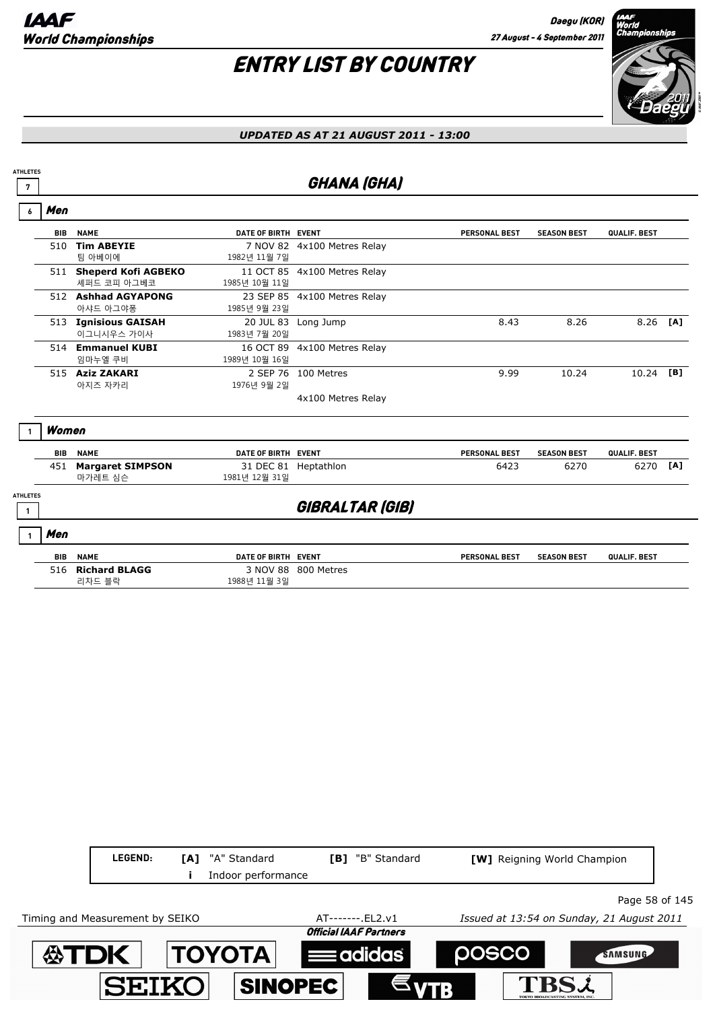# ENTRY LIST BY COUNTRY



#### *UPDATED AS AT 21 AUGUST 2011 - 13:00*

### *T* GHANA (GHA)

|                 | Men               |                                               |                                                 |                              |                      |                    |              |     |
|-----------------|-------------------|-----------------------------------------------|-------------------------------------------------|------------------------------|----------------------|--------------------|--------------|-----|
|                 | <b>BIB</b>        | <b>NAME</b>                                   | DATE OF BIRTH EVENT                             |                              | <b>PERSONAL BEST</b> | <b>SEASON BEST</b> | QUALIF. BEST |     |
|                 | 510               | <b>Tim ABEYIE</b><br>팀 아베이에                   | 1982년 11월 7일                                    | 7 NOV 82 4x100 Metres Relay  |                      |                    |              |     |
|                 |                   | 511 Sheperd Kofi AGBEKO<br>셰퍼드 코피 아그베코        | 1985년 10월 11일                                   | 11 OCT 85 4x100 Metres Relay |                      |                    |              |     |
|                 |                   | 512 Ashhad AGYAPONG<br>아샤드 아그야퐁               | 1985년 9월 23일                                    | 23 SEP 85 4x100 Metres Relay |                      |                    |              |     |
|                 | 513               | <b>Ignisious GAISAH</b><br>이그니시우스 가이사         | 20 JUL 83<br>1983년 7월 20일                       | Long Jump                    | 8.43                 | 8.26               | 8.26         | [A] |
|                 |                   | 514 Emmanuel KUBI<br>임마누엘 쿠비                  | 16 OCT 89<br>1989년 10월 16일                      | 4x100 Metres Relay           |                      |                    |              |     |
|                 |                   | 515 Aziz ZAKARI<br>아지즈 자카리                    | 2 SEP 76<br>1976년 9월 2일                         | 100 Metres                   | 9.99                 | 10.24              | 10.24        | [B] |
|                 |                   |                                               |                                                 | 4x100 Metres Relay           |                      |                    |              |     |
| <b>ATHLETES</b> | Women             |                                               |                                                 |                              |                      |                    |              |     |
|                 | <b>BIB</b>        | <b>NAME</b>                                   | DATE OF BIRTH EVENT                             |                              | <b>PERSONAL BEST</b> | <b>SEASON BEST</b> | QUALIF. BEST |     |
|                 | 451               | <b>Margaret SIMPSON</b><br>마가레트 심슨            | 31 DEC 81<br>1981년 12월 31일                      | Heptathlon                   | 6423                 | 6270               | 6270         | [A] |
|                 |                   |                                               |                                                 | GIBRALTAR (GIB)              |                      |                    |              |     |
|                 | Men               |                                               |                                                 |                              |                      |                    |              |     |
|                 |                   |                                               |                                                 |                              |                      |                    |              |     |
|                 | <b>BIB</b><br>516 | <b>NAME</b><br><b>Richard BLAGG</b><br>리차드 블락 | DATE OF BIRTH EVENT<br>3 NOV 88<br>1988년 11월 3일 | 800 Metres                   | <b>PERSONAL BEST</b> | <b>SEASON BEST</b> | QUALIF. BEST |     |

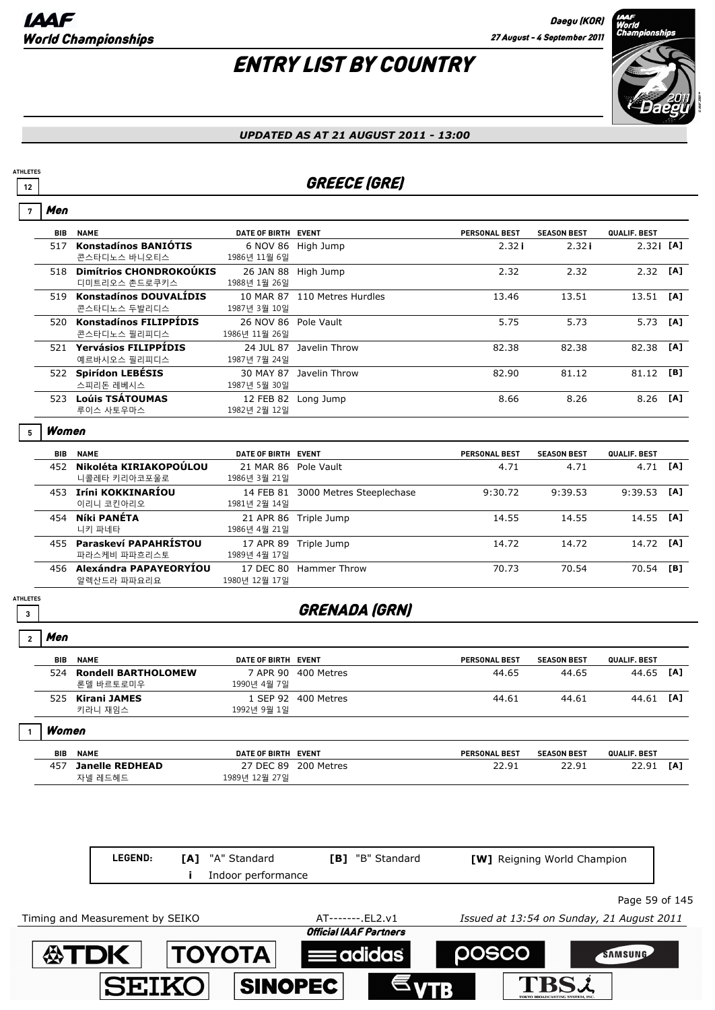# ENTRY LIST BY COUNTRY



#### *UPDATED AS AT 21 AUGUST 2011 - 13:00*

### **12** GREECE (GRE)

| 7                    | Men        |                                              |                                        |                                    |                      |                             |                |          |
|----------------------|------------|----------------------------------------------|----------------------------------------|------------------------------------|----------------------|-----------------------------|----------------|----------|
|                      | <b>BIB</b> | <b>NAME</b>                                  | DATE OF BIRTH EVENT                    |                                    | <b>PERSONAL BEST</b> | <b>SEASON BEST</b>          | QUALIF. BEST   |          |
|                      |            | 517 Konstadínos BANIÓTIS<br>콘스타디노스 바니오티스     | 1986년 11월 6일                           | 6 NOV 86 High Jump                 | 2.32i                | 2.32i                       | $2.32i$ [A]    |          |
|                      |            | 518 Dimítrios CHONDROKOÚKIS<br>디미트리오스 촌드로쿠키스 | 1988년 1월 26일                           | 26 JAN 88 High Jump                | 2.32                 | 2.32                        | $2.32$ [A]     |          |
|                      |            | 519 Konstadínos DOUVALÍDIS<br>콘스타디노스 두발리디스   | 1987년 3월 10일                           | 10 MAR 87 110 Metres Hurdles       | 13.46                | 13.51                       | 13.51          | [A]      |
|                      |            | 520 Konstadínos FILIPPÍDIS<br>콘스타디노스 필리피디스   | 26 NOV 86 Pole Vault<br>1986년 11월 26일  |                                    | 5.75                 | 5.73                        | 5.73           | [A]      |
|                      |            | 521 Yervásios FILIPPÍDIS<br>예르바시오스 필리피디스     | 1987년 7월 24일                           | 24 JUL 87 Javelin Throw            | 82.38                | 82.38                       | 82.38          | [A]      |
|                      |            | 522 Spirídon LEBÉSIS<br>스피리돈 레베시스            | 1987년 5월 30일                           | 30 MAY 87 Javelin Throw            | 82.90                | 81.12                       | 81.12          | [B]      |
|                      |            | 523 Loúis TSÁTOUMAS<br>루이스 사토우마스             | 1982년 2월 12일                           | 12 FEB 82 Long Jump                | 8.66                 | 8.26                        | 8.26           | [A]      |
|                      | Women      |                                              |                                        |                                    |                      |                             |                |          |
|                      | BIB        | <b>NAME</b>                                  | DATE OF BIRTH EVENT                    |                                    | <b>PERSONAL BEST</b> | <b>SEASON BEST</b>          | QUALIF. BEST   |          |
|                      |            | 452 Nikoléta KIRIAKOPOÚLOU<br>니콜레타 키리아코포울로   | 21 MAR 86 Pole Vault<br>1986년 3월 21일   |                                    | 4.71                 | 4.71                        |                | 4.71 [A] |
|                      |            | 453 Iríni KOKKINARÍOU<br>이리니 코킨아리오           | 1981년 2월 14일                           | 14 FEB 81 3000 Metres Steeplechase | 9:30.72              | 9:39.53                     | 9:39.53        | [A]      |
|                      | 454        | Níki PANÉTA<br>니키 파네타                        | 1986년 4월 21일                           | 21 APR 86 Triple Jump              | 14.55                | 14.55                       | 14.55          | [A]      |
|                      |            | 455 Paraskeví PAPAHRÍSTOU<br>파라스케비 파파흐리스토    | 1989년 4월 17일                           | 17 APR 89 Triple Jump              | 14.72                | 14.72                       | 14.72          | [A]      |
|                      |            | 456 Alexándra PAPAYEORYÍOU<br>알렉산드라 파파요리요    | 1980년 12월 17일                          | 17 DEC 80 Hammer Throw             | 70.73                | 70.54                       | 70.54          | [B]      |
| <b>ATHLETES</b><br>3 |            |                                              |                                        | <b>GRENADA (GRN)</b>               |                      |                             |                |          |
| $\overline{2}$       | Men        |                                              |                                        |                                    |                      |                             |                |          |
|                      | BIB        | <b>NAME</b>                                  | DATE OF BIRTH EVENT                    |                                    | <b>PERSONAL BEST</b> | <b>SEASON BEST</b>          | QUALIF. BEST   |          |
|                      |            | 524 Rondell BARTHOLOMEW<br>론델 바르토로미우         | 1990년 4월 7일                            | 7 APR 90 400 Metres                | 44.65                | 44.65                       | 44.65          | [A]      |
|                      |            | 525 Kirani JAMES<br>키라니 재임스                  | 1992년 9월 1일                            | 1 SEP 92 400 Metres                | 44.61                | 44.61                       | 44.61 [A]      |          |
| $\mathbf{1}$         | Women      |                                              |                                        |                                    |                      |                             |                |          |
|                      | BIB        | <b>NAME</b>                                  | DATE OF BIRTH EVENT                    |                                    | <b>PERSONAL BEST</b> | <b>SEASON BEST</b>          | QUALIF. BEST   |          |
|                      | 457        | <b>Janelle REDHEAD</b><br>자넬 레드헤드            | 1989년 12월 27일                          | 27 DEC 89 200 Metres               | 22.91                | 22.91                       | 22.91          | [A]      |
|                      |            |                                              |                                        |                                    |                      |                             |                |          |
|                      |            | LEGEND:                                      | [A] "A" Standard<br>Indoor performance | [B] "B" Standard                   |                      | [W] Reigning World Champion |                |          |
|                      |            |                                              |                                        |                                    |                      |                             | Page 59 of 145 |          |

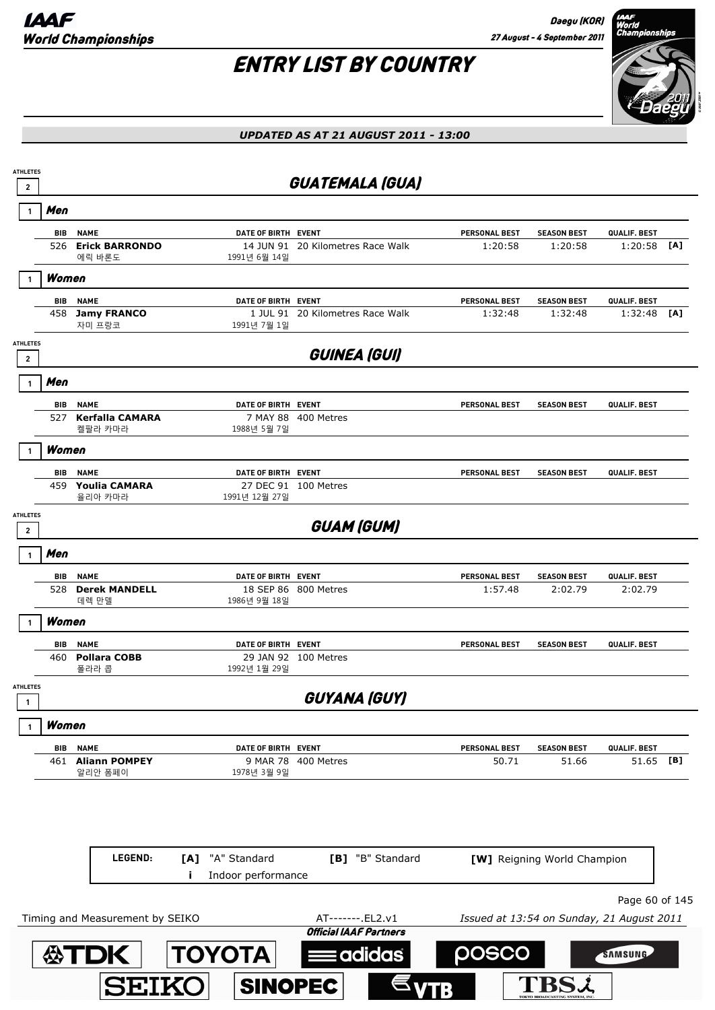Daegu (KOR) 27 August - 4 September 2011

# ENTRY LIST BY COUNTRY



### *UPDATED AS AT 21 AUGUST 2011 - 13:00*

| <b>ATHLETES</b><br>$\mathbf{2}$ |                   |                                     |                          | <b>GUATEMALA (GUA)</b>                             |                                           |                               |                         |     |
|---------------------------------|-------------------|-------------------------------------|--------------------------|----------------------------------------------------|-------------------------------------------|-------------------------------|-------------------------|-----|
|                                 | Men               |                                     |                          |                                                    |                                           |                               |                         |     |
|                                 | <b>BIB</b>        | <b>NAME</b>                         | DATE OF BIRTH EVENT      |                                                    | PERSONAL BEST                             | <b>SEASON BEST</b>            | QUALIF. BEST            |     |
|                                 | 526               | <b>Erick BARRONDO</b><br>에릭 바론도     | 1991년 6월 14일             | 14 JUN 91 20 Kilometres Race Walk                  | 1:20:58                                   | 1:20:58                       | 1:20:58                 | [A] |
|                                 | Women             |                                     |                          |                                                    |                                           |                               |                         |     |
|                                 | BIB               | <b>NAME</b>                         | DATE OF BIRTH EVENT      |                                                    | <b>PERSONAL BEST</b>                      | <b>SEASON BEST</b>            | QUALIF. BEST            |     |
|                                 |                   | 458 Jamy FRANCO<br>자미 프랑코           | 1991년 7월 1일              | 1 JUL 91 20 Kilometres Race Walk                   | 1:32:48                                   | 1:32:48                       | 1:32:48                 | [A] |
| <b>ATHLETES</b>                 |                   |                                     |                          | GUINEA (GUI)                                       |                                           |                               |                         |     |
| $\mathbf{2}$                    |                   |                                     |                          |                                                    |                                           |                               |                         |     |
|                                 | Men               |                                     |                          |                                                    |                                           |                               |                         |     |
|                                 | BIB<br>527        | <b>NAME</b><br>Kerfalla CAMARA      | DATE OF BIRTH EVENT      | 7 MAY 88 400 Metres                                | <b>PERSONAL BEST</b>                      | <b>SEASON BEST</b>            | QUALIF. BEST            |     |
|                                 |                   | 켈팔라 카마라                             | 1988년 5월 7일              |                                                    |                                           |                               |                         |     |
|                                 | Women             |                                     |                          |                                                    |                                           |                               |                         |     |
|                                 | <b>BIB</b>        | <b>NAME</b><br>459 Youlia CAMARA    | DATE OF BIRTH EVENT      | 27 DEC 91 100 Metres                               | <b>PERSONAL BEST</b>                      | <b>SEASON BEST</b>            | <b>QUALIF. BEST</b>     |     |
|                                 |                   | 율리아 카마라                             | 1991년 12월 27일            |                                                    |                                           |                               |                         |     |
| <b>ATHLETES</b>                 |                   |                                     |                          | <b>GUAM (GUM)</b>                                  |                                           |                               |                         |     |
| $\mathbf{2}$                    |                   |                                     |                          |                                                    |                                           |                               |                         |     |
|                                 | Men               |                                     |                          |                                                    |                                           |                               |                         |     |
|                                 | BIB<br>528        | <b>NAME</b><br><b>Derek MANDELL</b> | DATE OF BIRTH EVENT      | 18 SEP 86 800 Metres                               | <b>PERSONAL BEST</b><br>1:57.48           | <b>SEASON BEST</b><br>2:02.79 | QUALIF. BEST<br>2:02.79 |     |
|                                 |                   | 데렉 만델                               | 1986년 9월 18일             |                                                    |                                           |                               |                         |     |
|                                 | Women             |                                     |                          |                                                    |                                           |                               |                         |     |
|                                 | <b>BIB</b><br>460 | <b>NAME</b><br><b>Pollara COBB</b>  | DATE OF BIRTH EVENT      | 29 JAN 92 100 Metres                               | <b>PERSONAL BEST</b>                      | <b>SEASON BEST</b>            | QUALIF. BEST            |     |
|                                 |                   | 폴라라 콥                               | 1992년 1월 29일             |                                                    |                                           |                               |                         |     |
| <b>ATHLETES</b>                 |                   |                                     |                          | GUYANA (GUY)                                       |                                           |                               |                         |     |
|                                 | Women             |                                     |                          |                                                    |                                           |                               |                         |     |
|                                 | BIB               | <b>NAME</b>                         | DATE OF BIRTH EVENT      |                                                    | PERSONAL BEST                             | <b>SEASON BEST</b>            | QUALIF. BEST            |     |
|                                 |                   | 461 Aliann POMPEY<br>알리안 폼페이        | 1978년 3월 9일              | 9 MAR 78 400 Metres                                | 50.71                                     | 51.66                         | 51.65 [B]               |     |
|                                 |                   |                                     |                          |                                                    |                                           |                               |                         |     |
|                                 |                   |                                     |                          |                                                    |                                           |                               |                         |     |
|                                 |                   |                                     |                          |                                                    |                                           |                               |                         |     |
|                                 |                   | LEGEND:                             | "A" Standard<br>[A]      | [B] "B" Standard                                   |                                           | [W] Reigning World Champion   |                         |     |
|                                 |                   |                                     | Indoor performance<br>Ĩ. |                                                    |                                           |                               |                         |     |
|                                 |                   |                                     |                          |                                                    |                                           |                               | Page 60 of 145          |     |
|                                 |                   | Timing and Measurement by SEIKO     |                          | AT-------. EL2.v1<br><b>Official IAAF Partners</b> | Issued at 13:54 on Sunday, 21 August 2011 |                               |                         |     |
|                                 |                   |                                     | <b>TOYOTA</b>            |                                                    | posco                                     |                               | SAMSUNG                 |     |
|                                 |                   | <b>公TDK</b>                         |                          | adidas                                             |                                           |                               |                         |     |
|                                 |                   | <b>SEIKO</b>                        | <b>SINOPEC</b>           |                                                    |                                           |                               |                         |     |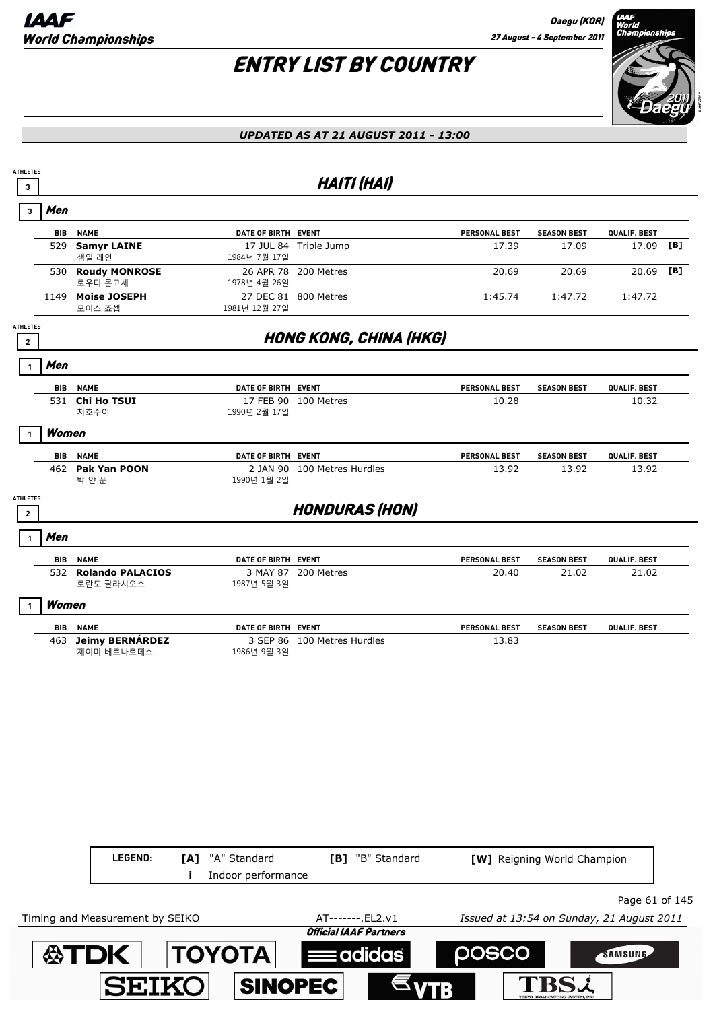

#### *UPDATED AS AT 21 AUGUST 2011 - 13:00*

|                 |                               |                                                                                                                                                                       | <b>HAITI (HAI)</b> |                                                                                                                                                                                                                                                                                                                                |                               |              |     |
|-----------------|-------------------------------|-----------------------------------------------------------------------------------------------------------------------------------------------------------------------|--------------------|--------------------------------------------------------------------------------------------------------------------------------------------------------------------------------------------------------------------------------------------------------------------------------------------------------------------------------|-------------------------------|--------------|-----|
| Men             |                               |                                                                                                                                                                       |                    |                                                                                                                                                                                                                                                                                                                                |                               |              |     |
| <b>BIB</b>      | <b>NAME</b>                   |                                                                                                                                                                       |                    | PERSONAL BEST                                                                                                                                                                                                                                                                                                                  | <b>SEASON BEST</b>            | QUALIF. BEST |     |
| 529             | <b>Samyr LAINE</b><br>샘일 래인   | 1984년 7월 17일                                                                                                                                                          |                    | 17.39                                                                                                                                                                                                                                                                                                                          | 17.09                         | 17.09        | [B] |
|                 | 로우디 몬고세                       | 1978년 4월 26일                                                                                                                                                          |                    | 20.69                                                                                                                                                                                                                                                                                                                          | 20.69                         | 20.69        | [B] |
|                 | <b>Moise JOSEPH</b><br>모이스 죠셉 | 1981년 12월 27일                                                                                                                                                         |                    | 1:45.74                                                                                                                                                                                                                                                                                                                        | 1:47.72                       | 1:47.72      |     |
| <b>ATHLETES</b> |                               |                                                                                                                                                                       |                    |                                                                                                                                                                                                                                                                                                                                |                               |              |     |
| Men             |                               |                                                                                                                                                                       |                    |                                                                                                                                                                                                                                                                                                                                |                               |              |     |
|                 |                               |                                                                                                                                                                       |                    | <b>PERSONAL BEST</b>                                                                                                                                                                                                                                                                                                           | <b>SEASON BEST</b>            | QUALIF. BEST |     |
|                 | 치호수이                          | 1990년 2월 17일                                                                                                                                                          |                    | 10.28                                                                                                                                                                                                                                                                                                                          |                               | 10.32        |     |
|                 |                               |                                                                                                                                                                       |                    |                                                                                                                                                                                                                                                                                                                                |                               |              |     |
| BIB             | <b>NAME</b>                   |                                                                                                                                                                       |                    | PERSONAL BEST                                                                                                                                                                                                                                                                                                                  | <b>SEASON BEST</b>            | QUALIF. BEST |     |
|                 | 박 얀 푼                         | 1990년 1월 2일                                                                                                                                                           |                    | 13.92                                                                                                                                                                                                                                                                                                                          | 13.92                         | 13.92        |     |
| <b>ATHLETES</b> |                               |                                                                                                                                                                       |                    |                                                                                                                                                                                                                                                                                                                                |                               |              |     |
| Men             |                               |                                                                                                                                                                       |                    |                                                                                                                                                                                                                                                                                                                                |                               |              |     |
|                 | <b>NAME</b>                   |                                                                                                                                                                       |                    | <b>PERSONAL BEST</b>                                                                                                                                                                                                                                                                                                           | <b>SEASON BEST</b>            | QUALIF. BEST |     |
|                 | 로란도 팔라시오스                     | 1987년 5월 3일                                                                                                                                                           |                    | 20.40                                                                                                                                                                                                                                                                                                                          | 21.02                         | 21.02        |     |
|                 |                               |                                                                                                                                                                       |                    |                                                                                                                                                                                                                                                                                                                                |                               |              |     |
| BIB             | <b>NAME</b>                   |                                                                                                                                                                       |                    | PERSONAL BEST                                                                                                                                                                                                                                                                                                                  | <b>SEASON BEST</b>            | QUALIF. BEST |     |
|                 | 제이미 베르나르데스                    | 1986년 9월 3일                                                                                                                                                           |                    | 13.83                                                                                                                                                                                                                                                                                                                          |                               |              |     |
|                 |                               |                                                                                                                                                                       |                    |                                                                                                                                                                                                                                                                                                                                |                               |              |     |
|                 |                               |                                                                                                                                                                       |                    |                                                                                                                                                                                                                                                                                                                                |                               |              |     |
|                 |                               | 530 Roudy MONROSE<br>1149<br><b>BIB NAME</b><br>531 Chi Ho TSUI<br>Women<br>462 Pak Yan POON<br>BIB<br>532 Rolando PALACIOS<br>Women<br><b>Jeimy BERNÁRDEZ</b><br>463 |                    | DATE OF BIRTH EVENT<br>17 JUL 84 Triple Jump<br>26 APR 78 200 Metres<br>27 DEC 81 800 Metres<br>DATE OF BIRTH EVENT<br>17 FEB 90 100 Metres<br>DATE OF BIRTH EVENT<br>2 JAN 90 100 Metres Hurdles<br><b>HONDURAS (HON)</b><br>DATE OF BIRTH EVENT<br>3 MAY 87 200 Metres<br>DATE OF BIRTH EVENT<br>3 SEP 86 100 Metres Hurdles | <b>HONG KONG, CHINA (HKG)</b> |              |     |

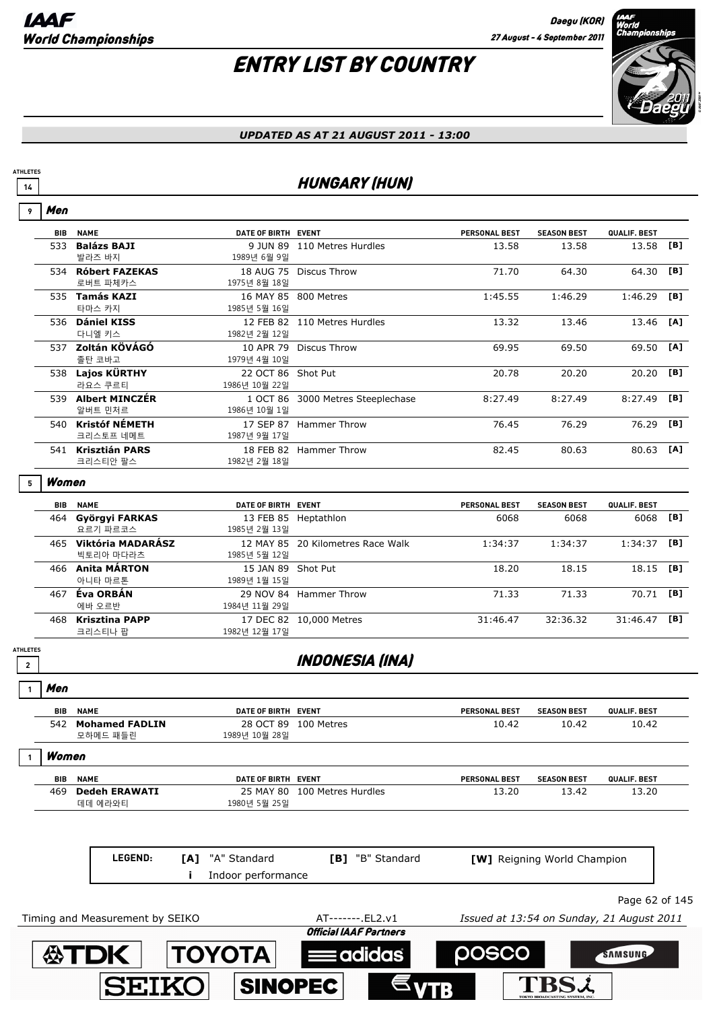# ENTRY LIST BY COUNTRY



**TBSL** 

#### *UPDATED AS AT 21 AUGUST 2011 - 13:00*

### **14 HUNGARY (HUN)**

| 9                                          | Men        |                                    |                                                 |                                                    |                      |                                           |                |     |
|--------------------------------------------|------------|------------------------------------|-------------------------------------------------|----------------------------------------------------|----------------------|-------------------------------------------|----------------|-----|
|                                            | <b>BIB</b> | <b>NAME</b>                        | DATE OF BIRTH EVENT                             |                                                    | <b>PERSONAL BEST</b> | <b>SEASON BEST</b>                        | QUALIF. BEST   |     |
|                                            | 533        | <b>Balázs BAJI</b><br>발라즈 바지       | 1989년 6월 9일                                     | 9 JUN 89 110 Metres Hurdles                        | 13.58                | 13.58                                     | 13.58          | [B] |
|                                            |            | 534 Róbert FAZEKAS<br>로버트 파체카스     | 1975년 8월 18일                                    | 18 AUG 75 Discus Throw                             | 71.70                | 64.30                                     | 64.30          | [B] |
|                                            |            | 535 Tamás KAZI<br>타마스 카지           | 1985년 5월 16일                                    | 16 MAY 85 800 Metres                               | 1:45.55              | 1:46.29                                   | 1:46.29        | [B] |
|                                            |            | 536 Dániel KISS<br>다니엘 키스          | 1982년 2월 12일                                    | 12 FEB 82 110 Metres Hurdles                       | 13.32                | 13.46                                     | 13.46          | [A] |
|                                            |            | 537 Zoltán KÖVÁGÓ<br>졸탄 코바고        | 1979년 4월 10일                                    | 10 APR 79 Discus Throw                             | 69.95                | 69.50                                     | 69.50          | [A] |
|                                            |            | 538 Lajos KÜRTHY<br>라요스 쿠르티        | 22 OCT 86 Shot Put<br>1986년 10월 22일             |                                                    | 20.78                | 20.20                                     | 20.20          | [B] |
|                                            |            | 539 Albert MINCZÉR<br>알버트 민처르      | 1986년 10월 1일                                    | 1 OCT 86 3000 Metres Steeplechase                  | 8:27.49              | 8:27.49                                   | 8:27.49        | [B] |
|                                            |            | 540 Kristóf NÉMETH<br>크리스토프 네메트    | 1987년 9월 17일                                    | 17 SEP 87 Hammer Throw                             | 76.45                | 76.29                                     | 76.29          | [B] |
|                                            |            | 541 Krisztián PARS<br>크리스티안 팔스     | 1982년 2월 18일                                    | 18 FEB 82 Hammer Throw                             | 82.45                | 80.63                                     | 80.63          | [A] |
| 5                                          | Women      |                                    |                                                 |                                                    |                      |                                           |                |     |
|                                            | <b>BIB</b> | <b>NAME</b>                        | DATE OF BIRTH EVENT                             |                                                    | <b>PERSONAL BEST</b> | <b>SEASON BEST</b>                        | QUALIF. BEST   |     |
|                                            | 464        | Györgyi FARKAS<br>요르기 파르코스         | 1985년 2월 13일                                    | 13 FEB 85 Heptathlon                               | 6068                 | 6068                                      | 6068           | [B] |
|                                            |            | 465 Viktória MADARÁSZ<br>빅토리아 마다라츠 | 1985년 5월 12일                                    | 12 MAY 85 20 Kilometres Race Walk                  | 1:34:37              | 1:34:37                                   | 1:34:37        | [B] |
|                                            |            | 466 Anita MÁRTON<br>아니타 마르톤        | 15 JAN 89 Shot Put<br>1989년 1월 15일              |                                                    | 18.20                | 18.15                                     | 18.15          | [B] |
|                                            |            | 467 Éva ORBÁN<br>에바 오르반            | 1984년 11월 29일                                   | 29 NOV 84 Hammer Throw                             | 71.33                | 71.33                                     | 70.71          | [B] |
|                                            | 468        | <b>Krisztina PAPP</b><br>크리스티나 팝   | 1982년 12월 17일                                   | 17 DEC 82 10,000 Metres                            | 31:46.47             | 32:36.32                                  | $31:46.47$ [B] |     |
| <b>ATHLETES</b><br>$\overline{\mathbf{2}}$ |            |                                    |                                                 | INDONESIA (INA)                                    |                      |                                           |                |     |
|                                            | Men        |                                    |                                                 |                                                    |                      |                                           |                |     |
|                                            | BIB        | <b>NAME</b>                        | DATE OF BIRTH EVENT                             |                                                    | PERSONAL BEST        | <b>SEASON BEST</b>                        | QUALIF. BEST   |     |
|                                            |            | 542 Mohamed FADLIN<br>모하메드 패들린     | 1989년 10월 28일                                   | 28 OCT 89 100 Metres                               | 10.42                | 10.42                                     | 10.42          |     |
|                                            | Women      |                                    |                                                 |                                                    |                      |                                           |                |     |
|                                            | BIB        | <b>NAME</b>                        | DATE OF BIRTH EVENT                             |                                                    | <b>PERSONAL BEST</b> | <b>SEASON BEST</b>                        | QUALIF. BEST   |     |
|                                            | 469        | <b>Dedeh ERAWATI</b><br>데데 에라와티    | 1980년 5월 25일                                    | 25 MAY 80 100 Metres Hurdles                       | 13.20                | 13.42                                     | 13.20          |     |
|                                            |            |                                    |                                                 |                                                    |                      |                                           |                |     |
|                                            |            | LEGEND:                            | "A" Standard<br>[A]<br>Indoor performance<br>Ĩ. | [B] "B" Standard                                   |                      | [W] Reigning World Champion               |                |     |
|                                            |            |                                    |                                                 |                                                    |                      |                                           | Page 62 of 145 |     |
|                                            |            | Timing and Measurement by SEIKO    |                                                 | AT-------- EL2.v1<br><b>Official IAAF Partners</b> |                      | Issued at 13:54 on Sunday, 21 August 2011 |                |     |
|                                            |            | <b>公TDK</b>                        | <b>TOYOTA</b>                                   | adidas                                             | <b>POSCO</b>         |                                           | SAMSUNG        |     |

SINOPEC

**SEIKO**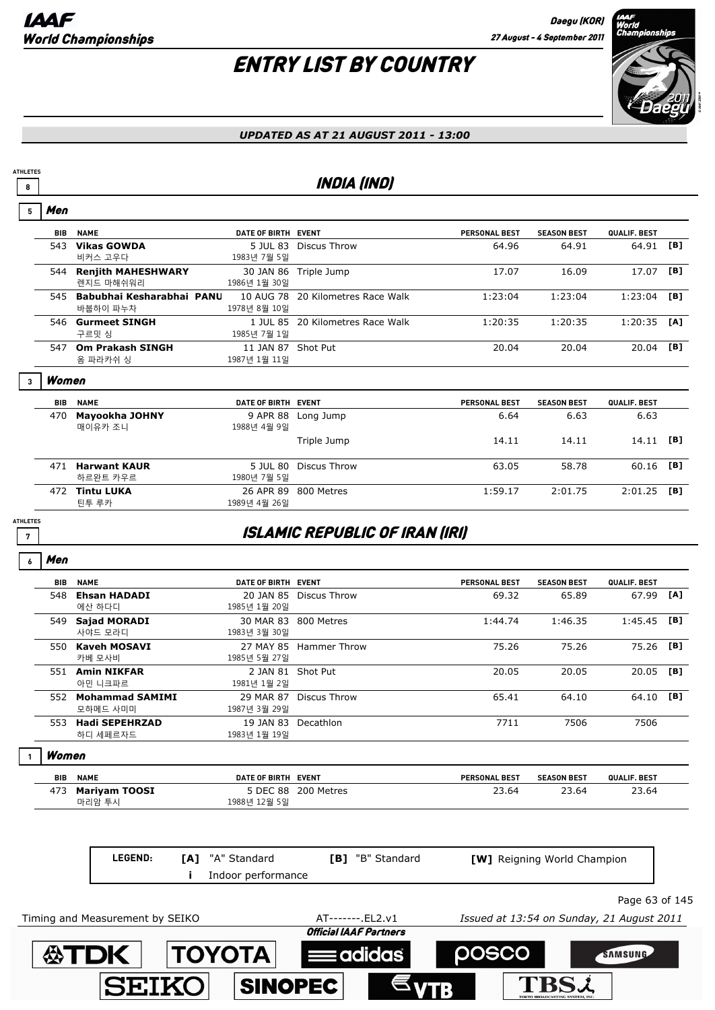# ENTRY LIST BY COUNTRY



#### *UPDATED AS AT 21 AUGUST 2011 - 13:00*

### **8 INDIA (IND)**

| <b>BIB</b>      | <b>NAME</b> | DATE OF BIRTH EVENT                                                                                                                                                                                                                                                                     |                               | <b>PERSONAL BEST</b>                                                                                                                                                                                                                                                                                                                                                                                                 | <b>SEASON BEST</b>                    | QUALIF. BEST |     |
|-----------------|-------------|-----------------------------------------------------------------------------------------------------------------------------------------------------------------------------------------------------------------------------------------------------------------------------------------|-------------------------------|----------------------------------------------------------------------------------------------------------------------------------------------------------------------------------------------------------------------------------------------------------------------------------------------------------------------------------------------------------------------------------------------------------------------|---------------------------------------|--------------|-----|
|                 | 비커스 고우다     | 1983년 7월 5일                                                                                                                                                                                                                                                                             |                               | 64.96                                                                                                                                                                                                                                                                                                                                                                                                                | 64.91                                 | 64.91        | [B] |
|                 | 렌지드 마해쉬워리   | 1986년 1월 30일                                                                                                                                                                                                                                                                            |                               | 17.07                                                                                                                                                                                                                                                                                                                                                                                                                | 16.09                                 | 17.07        | [B] |
|                 | 바붑하이 파누차    | 1978년 8월 10일                                                                                                                                                                                                                                                                            |                               | 1:23:04                                                                                                                                                                                                                                                                                                                                                                                                              | 1:23:04                               | 1:23:04      | [B] |
|                 | 구르밋 싱       | 1985년 7월 1일                                                                                                                                                                                                                                                                             |                               | 1:20:35                                                                                                                                                                                                                                                                                                                                                                                                              | 1:20:35                               | 1:20:35      | [A] |
|                 | 옴 파라카쉬 싱    | 1987년 1월 11일                                                                                                                                                                                                                                                                            |                               | 20.04                                                                                                                                                                                                                                                                                                                                                                                                                | 20.04                                 | 20.04        | [B] |
|                 |             |                                                                                                                                                                                                                                                                                         |                               |                                                                                                                                                                                                                                                                                                                                                                                                                      |                                       |              |     |
| <b>BIB</b>      | <b>NAME</b> |                                                                                                                                                                                                                                                                                         |                               | <b>PERSONAL BEST</b>                                                                                                                                                                                                                                                                                                                                                                                                 | <b>SEASON BEST</b>                    | QUALIF. BEST |     |
|                 | 매이유카 조니     | 1988년 4월 9일                                                                                                                                                                                                                                                                             |                               | 6.64                                                                                                                                                                                                                                                                                                                                                                                                                 | 6.63                                  | 6.63         |     |
|                 |             |                                                                                                                                                                                                                                                                                         | Triple Jump                   | 14.11                                                                                                                                                                                                                                                                                                                                                                                                                | 14.11                                 | 14.11        | [B] |
|                 | 하르완트 카우르    | 1980년 7월 5일                                                                                                                                                                                                                                                                             |                               | 63.05                                                                                                                                                                                                                                                                                                                                                                                                                | 58.78                                 | 60.16        | [B] |
|                 | 틴투 루카       | 1989년 4월 26일                                                                                                                                                                                                                                                                            |                               | 1:59.17                                                                                                                                                                                                                                                                                                                                                                                                              | 2:01.75                               | 2:01.25      | [B] |
| <b>ATHLETES</b> |             |                                                                                                                                                                                                                                                                                         |                               |                                                                                                                                                                                                                                                                                                                                                                                                                      |                                       |              |     |
| Men             |             |                                                                                                                                                                                                                                                                                         |                               |                                                                                                                                                                                                                                                                                                                                                                                                                      |                                       |              |     |
| BIB             | <b>NAME</b> |                                                                                                                                                                                                                                                                                         |                               | <b>PERSONAL BEST</b>                                                                                                                                                                                                                                                                                                                                                                                                 | <b>SEASON BEST</b>                    | QUALIF. BEST |     |
|                 | 에산 하다디      | 1985년 1월 20일                                                                                                                                                                                                                                                                            |                               | 69.32                                                                                                                                                                                                                                                                                                                                                                                                                | 65.89                                 | 67.99        | [A] |
|                 | 사야드 모라디     | 1983년 3월 30일                                                                                                                                                                                                                                                                            |                               | 1:44.74                                                                                                                                                                                                                                                                                                                                                                                                              | 1:46.35                               | 1:45.45      | [B] |
|                 | 카베 모사비      | 1985년 5월 27일                                                                                                                                                                                                                                                                            |                               | 75.26                                                                                                                                                                                                                                                                                                                                                                                                                | 75.26                                 | 75.26        | [B] |
|                 | 아민 니크파르     | 1981년 1월 2일                                                                                                                                                                                                                                                                             |                               | 20.05                                                                                                                                                                                                                                                                                                                                                                                                                | 20.05                                 | 20.05        | [B] |
|                 | 모하메드 사미미    | 1987년 3월 29일                                                                                                                                                                                                                                                                            |                               | 65.41                                                                                                                                                                                                                                                                                                                                                                                                                | 64.10                                 | 64.10        | [B] |
|                 | 하디 세페르자드    | 1983년 1월 19일                                                                                                                                                                                                                                                                            |                               | 7711                                                                                                                                                                                                                                                                                                                                                                                                                 | 7506                                  | 7506         |     |
|                 |             | 543 Vikas GOWDA<br>544 Renjith MAHESHWARY<br>546 Gurmeet SINGH<br>547 Om Prakash SINGH<br>Women<br>470 Mayookha JOHNY<br>471 Harwant KAUR<br>472 Tintu LUKA<br>548 Ehsan HADADI<br>549 Sajad MORADI<br>550 Kaveh MOSAVI<br>551 Amin NIKFAR<br>552 Mohammad SAMIMI<br>553 Hadi SEPEHRZAD | 545 Babubhai Kesharabhai PANU | 5 JUL 83 Discus Throw<br>30 JAN 86 Triple Jump<br>10 AUG 78 20 Kilometres Race Walk<br>1 JUL 85 20 Kilometres Race Walk<br>11 JAN 87 Shot Put<br>DATE OF BIRTH EVENT<br>9 APR 88 Long Jump<br>5 JUL 80 Discus Throw<br>26 APR 89 800 Metres<br>DATE OF BIRTH EVENT<br>20 JAN 85 Discus Throw<br>30 MAR 83 800 Metres<br>27 MAY 85 Hammer Throw<br>2 JAN 81 Shot Put<br>29 MAR 87 Discus Throw<br>19 JAN 83 Decathlon | <b>ISLAMIC REPUBLIC OF IRAN (IRI)</b> |              |     |

| <b>BIB</b> | <b>NAME</b>   | DATE OF BIRTH EVENT |                     | <b>PERSONAL BEST</b> | <b>SEASON BEST</b> | <b>QUALIF, BEST</b> |
|------------|---------------|---------------------|---------------------|----------------------|--------------------|---------------------|
| 473        | Mariyam TOOSI |                     | 5 DEC 88 200 Metres | 23.64                | 23.64              | 23.64               |
|            | 마리암 투시        | 1988년 12월 5일        |                     |                      |                    |                     |

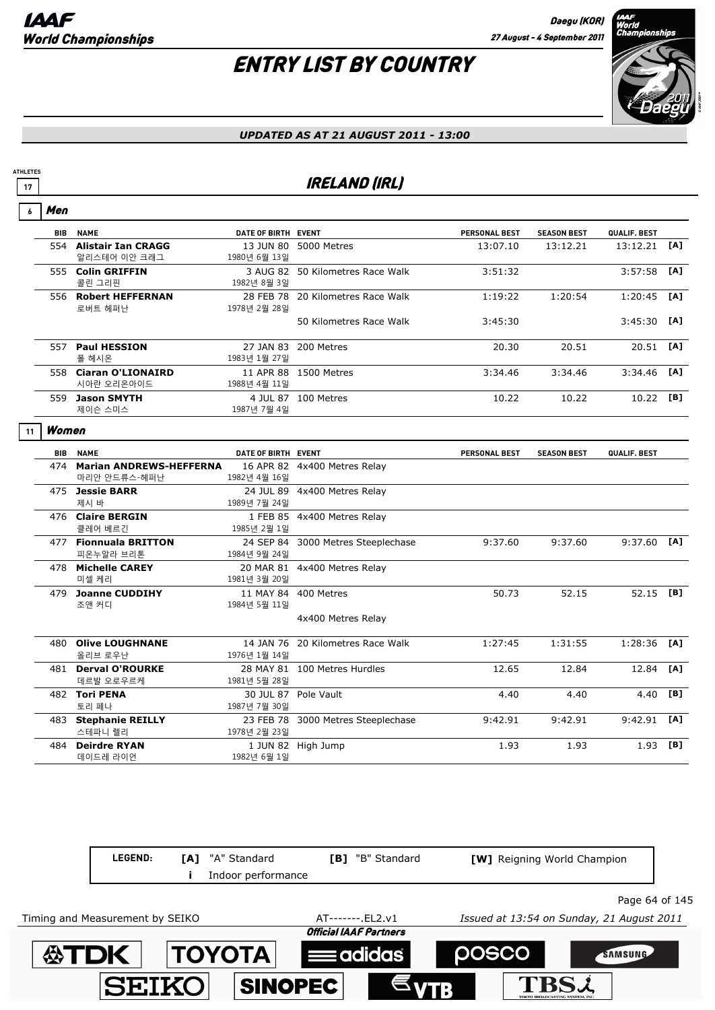# ENTRY LIST BY COUNTRY



#### *UPDATED AS AT 21 AUGUST 2011 - 13:00*

### **17 IRELAND (IRL)**

| $\overline{6}$ | Men   |                                             |                     |                                    |               |                    |               |     |
|----------------|-------|---------------------------------------------|---------------------|------------------------------------|---------------|--------------------|---------------|-----|
|                |       | <b>BIB NAME</b>                             | DATE OF BIRTH EVENT |                                    | PERSONAL BEST | <b>SEASON BEST</b> | QUALIF. BEST  |     |
|                |       | 554 Alistair Ian CRAGG<br>알리스테어 이안 크래그      | 1980년 6월 13일        | 13 JUN 80 5000 Metres              | 13:07.10      | 13:12.21           | 13:12.21      | [A] |
|                |       | 555 Colin GRIFFIN<br>콜린 그리핀                 | 1982년 8월 3일         | 3 AUG 82 50 Kilometres Race Walk   | 3:51:32       |                    | 3:57:58       | [A] |
|                |       | 556 Robert HEFFERNAN<br>로버트 헤퍼난             | 1978년 2월 28일        | 28 FEB 78 20 Kilometres Race Walk  | 1:19:22       | 1:20:54            | 1:20:45       | [A] |
|                |       |                                             |                     | 50 Kilometres Race Walk            | 3:45:30       |                    | 3:45:30       | [A] |
|                |       | 557 Paul HESSION<br>폴 헤시온                   | 1983년 1월 27일        | 27 JAN 83 200 Metres               | 20.30         | 20.51              | 20.51         | [A] |
|                |       | 558 Ciaran O'LIONAIRD<br>시아란 오리온아이드         | 1988년 4월 11일        | 11 APR 88 1500 Metres              | 3:34.46       | 3:34.46            | 3:34.46       | [A] |
|                |       | 559 Jason SMYTH<br>제이슨 스미스                  | 1987년 7월 4일         | 4 JUL 87 100 Metres                | 10.22         | 10.22              | 10.22 [B]     |     |
| 11             | Women |                                             |                     |                                    |               |                    |               |     |
|                |       | <b>BIB NAME</b>                             | DATE OF BIRTH EVENT |                                    | PERSONAL BEST | <b>SEASON BEST</b> | QUALIF. BEST  |     |
|                |       | 474 Marian ANDREWS-HEFFERNA<br>마리안 안드류스-헤퍼난 | 1982년 4월 16일        | 16 APR 82 4x400 Metres Relay       |               |                    |               |     |
|                |       | 475 Jessie BARR<br>제시 바                     | 1989년 7월 24일        | 24 JUL 89 4x400 Metres Relay       |               |                    |               |     |
|                |       | 476 Claire BERGIN<br>클레어 베르긴                | 1985년 2월 1일         | 1 FEB 85 4x400 Metres Relay        |               |                    |               |     |
|                |       | 477 Fionnuala BRITTON<br>피온누알라 브리톤          | 1984년 9월 24일        | 24 SEP 84 3000 Metres Steeplechase | 9:37.60       | 9:37.60            | $9:37.60$ [A] |     |
|                |       | 478 Michelle CAREY<br>미셀 케리                 | 1981년 3월 20일        | 20 MAR 81 4x400 Metres Relay       |               |                    |               |     |
|                |       | 479 Joanne CUDDIHY<br>조앤 커디                 | 1984년 5월 11일        | 11 MAY 84 400 Metres               | 50.73         | 52.15              | 52.15 [B]     |     |
|                |       |                                             |                     | 4x400 Metres Relay                 |               |                    |               |     |
|                |       | 480 Olive LOUGHNANE<br>올리브 로우난              | 1976년 1월 14일        | 14 JAN 76 20 Kilometres Race Walk  | 1:27:45       | 1:31:55            | 1:28:36       | [A] |
|                |       | 481 Derval O'ROURKE<br>데르발 오로우르케            | 1981년 5월 28일        | 28 MAY 81 100 Metres Hurdles       | 12.65         | 12.84              | 12.84         | [A] |
|                |       | 482 Tori PENA<br>토리 페나                      | 1987년 7월 30일        | 30 JUL 87 Pole Vault               | 4.40          | 4.40               | 4.40          | [B] |
|                |       | 483 Stephanie REILLY<br>스테파니 렐리             | 1978년 2월 23일        | 23 FEB 78 3000 Metres Steeplechase | 9:42.91       | 9:42.91            | 9:42.91       | [A] |
|                | 484   | <b>Deirdre RYAN</b><br>데이드레 라이언             | 1982년 6월 1일         | 1 JUN 82 High Jump                 | 1.93          | 1.93               | 1.93          | [B] |

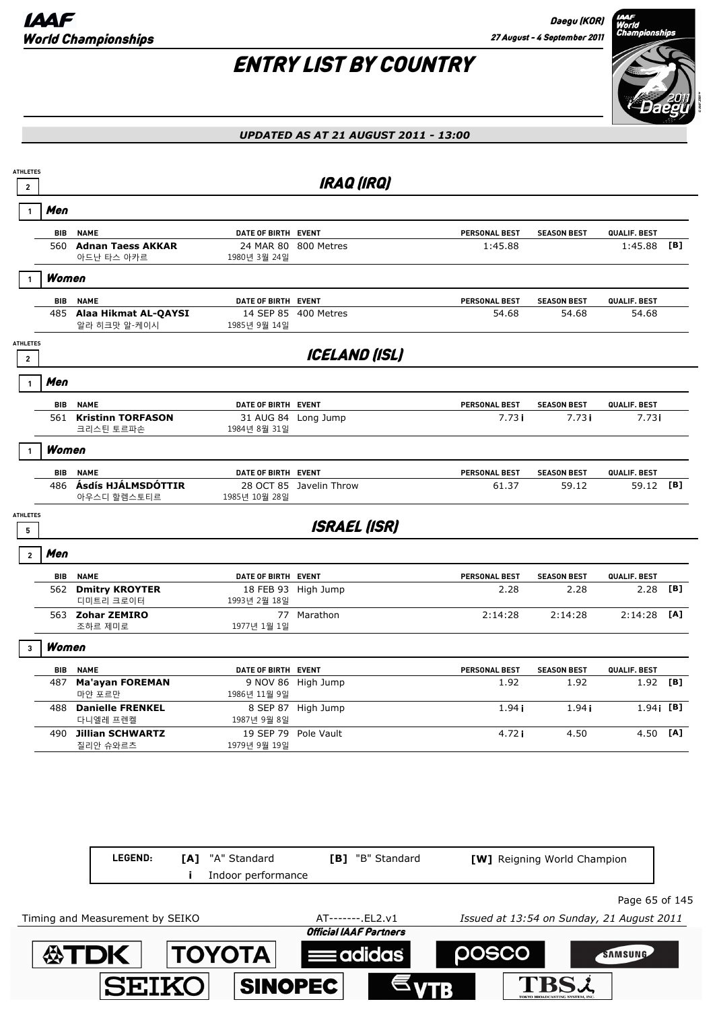

#### *UPDATED AS AT 21 AUGUST 2011 - 13:00*

| <b>ATHLETES</b><br>$\mathbf{2}$   |            |                                          |                     | <b>IRAQ (IRQ)</b>       |                      |                    |              |     |
|-----------------------------------|------------|------------------------------------------|---------------------|-------------------------|----------------------|--------------------|--------------|-----|
| $\mathbf{1}$                      | Men        |                                          |                     |                         |                      |                    |              |     |
|                                   | <b>BIB</b> | <b>NAME</b>                              | DATE OF BIRTH EVENT |                         | PERSONAL BEST        | <b>SEASON BEST</b> | QUALIF. BEST |     |
|                                   |            | 560 Adnan Taess AKKAR<br>아드난 타스 아카르      | 1980년 3월 24일        | 24 MAR 80 800 Metres    | 1:45.88              |                    | 1:45.88      | [B] |
|                                   | Women      |                                          |                     |                         |                      |                    |              |     |
|                                   | <b>BIB</b> | <b>NAME</b>                              | DATE OF BIRTH EVENT |                         | PERSONAL BEST        | <b>SEASON BEST</b> | QUALIF. BEST |     |
|                                   |            | 485 Alaa Hikmat AL-QAYSI<br>알라 히크맛 알-케이시 | 1985년 9월 14일        | 14 SEP 85 400 Metres    | 54.68                | 54.68              | 54.68        |     |
| <b>ATHLETES</b><br>$\overline{2}$ |            |                                          |                     | <b>ICELAND (ISL)</b>    |                      |                    |              |     |
| $\mathbf{1}$                      | Men        |                                          |                     |                         |                      |                    |              |     |
|                                   | <b>BIB</b> | <b>NAME</b>                              | DATE OF BIRTH EVENT |                         | PERSONAL BEST        | <b>SEASON BEST</b> | QUALIF. BEST |     |
|                                   |            | 561 Kristinn TORFASON<br>크리스틴 토르파손       | 1984년 8월 31일        | 31 AUG 84 Long Jump     | 7.73i                | 7.731              | 7.731        |     |
| 1                                 | Women      |                                          |                     |                         |                      |                    |              |     |
|                                   | BIB        | <b>NAME</b>                              | DATE OF BIRTH EVENT |                         | PERSONAL BEST        | <b>SEASON BEST</b> | QUALIF. BEST |     |
|                                   |            | 486 Ásdís HJÁLMSDÓTTIR<br>아우스디 할렘스토티르    | 1985년 10월 28일       | 28 OCT 85 Javelin Throw | 61.37                | 59.12              | 59.12 [B]    |     |
| <b>ATHLETES</b><br>5              |            |                                          |                     | <b>ISRAEL (ISR)</b>     |                      |                    |              |     |
| $\overline{2}$                    | Men        |                                          |                     |                         |                      |                    |              |     |
|                                   |            | <b>BIB NAME</b>                          | DATE OF BIRTH EVENT |                         | <b>PERSONAL BEST</b> | <b>SEASON BEST</b> | QUALIF. BEST |     |
|                                   |            | 562 Dmitry KROYTER<br>디미트리 크로이터          | 1993년 2월 18일        | 18 FEB 93 High Jump     | 2.28                 | 2.28               | 2.28         | [B] |
|                                   |            | 563 Zohar ZEMIRO<br>조하르 제미로              | 77<br>1977년 1월 1일   | Marathon                | 2:14:28              | 2:14:28            | 2:14:28      | [A] |
| $\overline{3}$                    | Women      |                                          |                     |                         |                      |                    |              |     |
|                                   | <b>BIB</b> | <b>NAME</b>                              | DATE OF BIRTH EVENT |                         | PERSONAL BEST        | <b>SEASON BEST</b> | QUALIF. BEST |     |
|                                   | 487        | <b>Ma'ayan FOREMAN</b><br>마얀 포르만         | 1986년 11월 9일        | 9 NOV 86 High Jump      | 1.92                 | 1.92               | $1.92$ [B]   |     |
|                                   |            | 488 Danielle FRENKEL<br>다니엘레 프렌켈         | 1987년 9월 8일         | 8 SEP 87 High Jump      | 1.94i                | 1.94i              | $1.94$ [B]   |     |
|                                   |            | 490 Jillian SCHWARTZ<br>질리안 슈와르츠         | 1979년 9월 19일        | 19 SEP 79 Pole Vault    | 4.72i                | 4.50               | 4.50 [A]     |     |

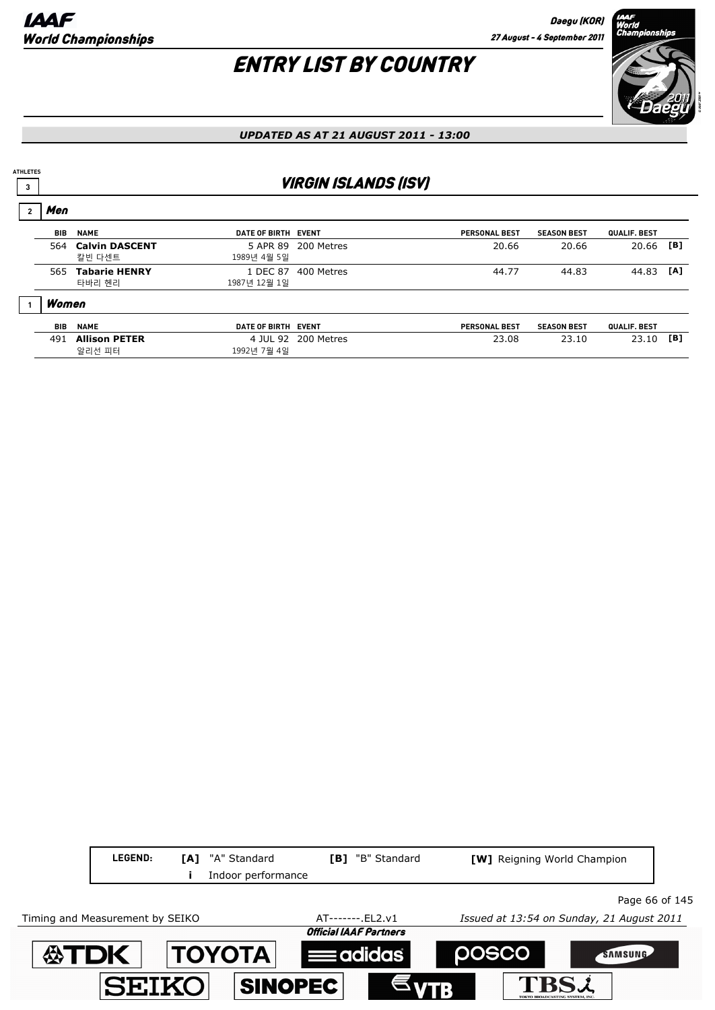Men

## ENTRY LIST BY COUNTRY



#### *UPDATED AS AT 21 AUGUST 2011 - 13:00*

### **3 1 VIRGIN ISLANDS (ISV)**

| men   |                                 |                          |                     |                      |                    |              |     |
|-------|---------------------------------|--------------------------|---------------------|----------------------|--------------------|--------------|-----|
| BIB   | <b>NAME</b>                     | DATE OF BIRTH EVENT      |                     | <b>PERSONAL BEST</b> | <b>SEASON BEST</b> | QUALIF. BEST |     |
| 564   | <b>Calvin DASCENT</b><br>칼빈 다센트 | 1989년 4월 5일              | 5 APR 89 200 Metres | 20.66                | 20.66              | 20.66        | [B] |
| 565   | <b>Tabarie HENRY</b><br>타바리 헨리  | 1 DEC 87<br>1987년 12월 1일 | 400 Metres          | 44.77                | 44.83              | 44.83        | [A] |
| Women |                                 |                          |                     |                      |                    |              |     |
| BIB   | <b>NAME</b>                     | DATE OF BIRTH EVENT      |                     | <b>PERSONAL BEST</b> | <b>SEASON BEST</b> | QUALIF. BEST |     |
| 491   | <b>Allison PETER</b><br>알리선 피터  | 1992년 7월 4일              | 4 JUL 92 200 Metres | 23.08                | 23.10              | 23.10        | [B] |

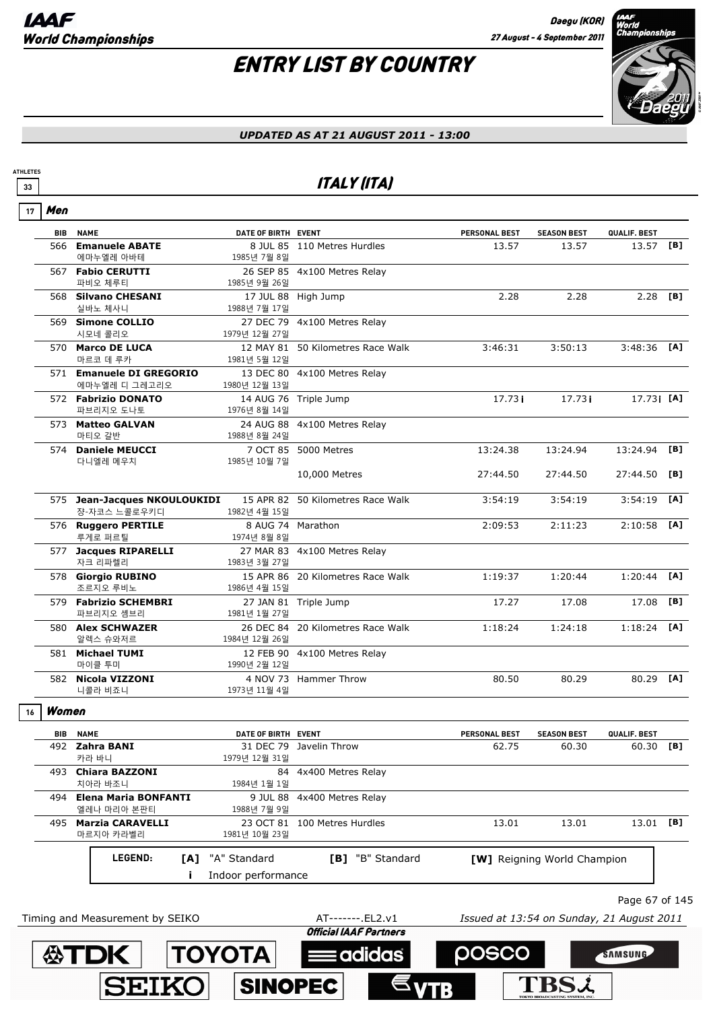## ENTRY LIST BY COUNTRY



#### *UPDATED AS AT 21 AUGUST 2011 - 13:00*

### **33** ITALY (ITA)

| 17 | Men        |                                              |                         |                                   |                                           |                             |                |     |
|----|------------|----------------------------------------------|-------------------------|-----------------------------------|-------------------------------------------|-----------------------------|----------------|-----|
|    | <b>BIB</b> | <b>NAME</b>                                  | DATE OF BIRTH EVENT     |                                   | <b>PERSONAL BEST</b>                      | <b>SEASON BEST</b>          | QUALIF. BEST   |     |
|    |            | 566 Emanuele ABATE<br>에마누엘레 아바테              | 1985년 7월 8일             | 8 JUL 85 110 Metres Hurdles       | 13.57                                     | 13.57                       | 13.57 [B]      |     |
|    |            | 567 Fabio CERUTTI<br>파비오 체루티                 | 1985년 9월 26일            | 26 SEP 85 4x100 Metres Relay      |                                           |                             |                |     |
|    |            | 568 Silvano CHESANI<br>실바노 체사니               | 1988년 7월 17일            | 17 JUL 88 High Jump               | 2.28                                      | 2.28                        | 2.28           | [B] |
|    |            | 569 Simone COLLIO<br>시모네 콜리오                 | 1979년 12월 27일           | 27 DEC 79 4x100 Metres Relay      |                                           |                             |                |     |
|    |            | 570 Marco DE LUCA<br>마르코 데 루카                | 1981년 5월 12일            | 12 MAY 81 50 Kilometres Race Walk | 3:46:31                                   | 3:50:13                     | $3:48:36$ [A]  |     |
|    |            | 571 Emanuele DI GREGORIO<br>에마누엘레 디 그레고리오    | 1980년 12월 13일           | 13 DEC 80 4x100 Metres Relay      |                                           |                             |                |     |
|    |            | 572 Fabrizio DONATO<br>파브리지오 도나토             | 1976년 8월 14일            | 14 AUG 76 Triple Jump             | 17.731                                    | 17.73i                      | $17.73$ i [A]  |     |
|    |            | 573 Matteo GALVAN<br>마티오 갈반                  | 1988년 8월 24일            | 24 AUG 88 4x100 Metres Relay      |                                           |                             |                |     |
|    |            | 574 Daniele MEUCCI<br>다니엘레 메우치               | 1985년 10월 7일            | 7 OCT 85 5000 Metres              | 13:24.38                                  | 13:24.94                    | 13:24.94       | [B] |
|    |            |                                              |                         | 10,000 Metres                     | 27:44.50                                  | 27:44.50                    | 27:44.50       | [B] |
|    |            | 575 Jean-Jacques NKOULOUKIDI<br>쟝-자코스 느콜로우키디 | 1982년 4월 15일            | 15 APR 82 50 Kilometres Race Walk | 3:54:19                                   | 3:54:19                     | 3:54:19        | [A] |
|    |            | 576 Ruggero PERTILE<br>루게로 퍼르틸               | 1974년 8월 8일             | 8 AUG 74 Marathon                 | 2:09:53                                   | 2:11:23                     | 2:10:58        | [A] |
|    |            | 577 Jacques RIPARELLI<br>자크 리파렐리             | 1983년 3월 27일            | 27 MAR 83 4x100 Metres Relay      |                                           |                             |                |     |
|    |            | 578 Giorgio RUBINO<br>조르지오 루비노               | 1986년 4월 15일            | 15 APR 86 20 Kilometres Race Walk | 1:19:37                                   | 1:20:44                     | 1:20:44        | [A] |
|    |            | 579 Fabrizio SCHEMBRI<br>파브리지오 솀브리           | 1981년 1월 27일            | 27 JAN 81 Triple Jump             | 17.27                                     | 17.08                       | 17.08          | [B] |
|    |            | 580 Alex SCHWAZER<br>알렉스 슈와저르                | 1984년 12월 26일           | 26 DEC 84 20 Kilometres Race Walk | 1:18:24                                   | 1:24:18                     | 1:18:24        | [A] |
|    |            | 581 Michael TUMI<br>마이클 투미                   | 1990년 2월 12일            | 12 FEB 90 4x100 Metres Relay      |                                           |                             |                |     |
|    |            | 582 Nicola VIZZONI<br>니콜라 비죠니                | 1973년 11월 4일            | 4 NOV 73 Hammer Throw             | 80.50                                     | 80.29                       | 80.29          | [A] |
| 16 | Women      |                                              |                         |                                   |                                           |                             |                |     |
|    |            | <b>BIB NAME</b>                              | DATE OF BIRTH EVENT     |                                   | <b>PERSONAL BEST</b>                      | <b>SEASON BEST</b>          | QUALIF. BEST   |     |
|    |            | 492 Zahra BANI<br>카라 바니                      | 1979년 12월 31일           | 31 DEC 79 Javelin Throw           | 62.75                                     | 60.30                       | 60.30 [B]      |     |
|    |            | 493 Chiara BAZZONI<br>치아라 바조니                | 84<br>1984년 1월 1일       | 4x400 Metres Relay                |                                           |                             |                |     |
|    | 494        | <b>Elena Maria BONFANTI</b><br>엘레나 마리아 본판티   | 9 JUL 88<br>1988년 7월 9일 | 4x400 Metres Relay                |                                           |                             |                |     |
|    | 495        | <b>Marzia CARAVELLI</b><br>마르지아 카라벨리         | 1981년 10월 23일           | 23 OCT 81 100 Metres Hurdles      | 13.01                                     | 13.01                       | 13.01 [B]      |     |
|    |            | LEGEND:<br>[A]                               | "A" Standard            | [B] "B" Standard                  |                                           | [W] Reigning World Champion |                |     |
|    |            |                                              | Indoor performance      |                                   |                                           |                             |                |     |
|    |            |                                              |                         |                                   |                                           |                             | Page 67 of 145 |     |
|    |            | Timing and Measurement by SEIKO              |                         | AT-------. EL2.v1                 | Issued at 13:54 on Sunday, 21 August 2011 |                             |                |     |
|    |            |                                              |                         | <b>Official IAAF Partners</b>     |                                           |                             |                |     |

posco

**TBSL** 

SAMSUNG

**ATDK TOYOTA Example 10** 

**SINOPEC** 

**SEIKO**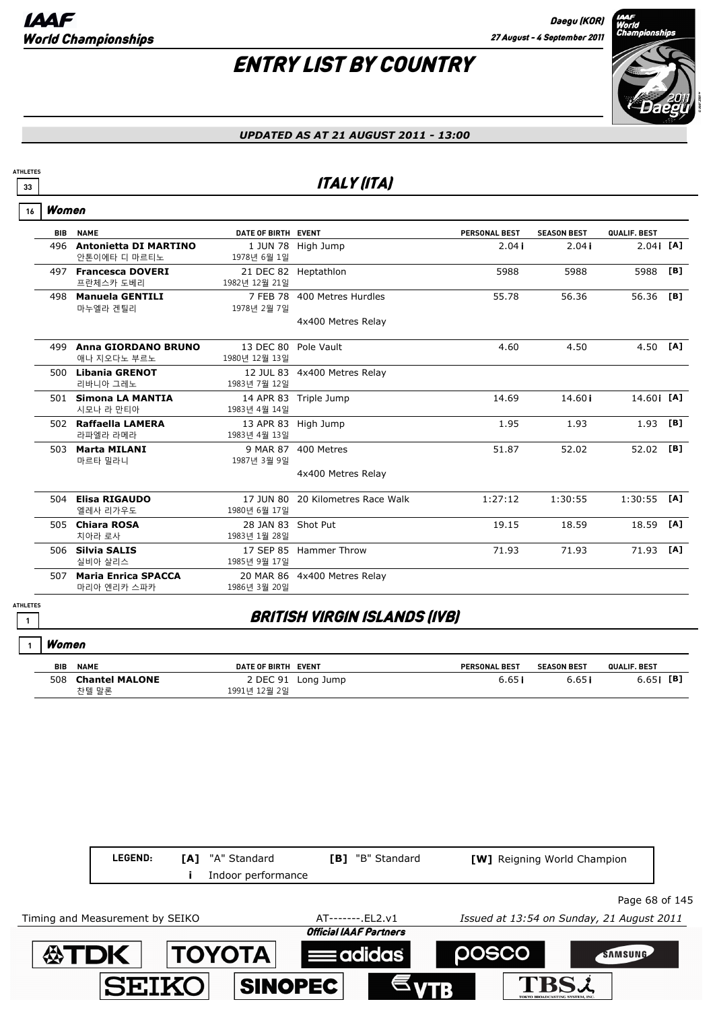

#### *UPDATED AS AT 21 AUGUST 2011 - 13:00*

### **33** ITALY (ITA)

|  | Women |
|--|-------|
|--|-------|

**ATHLETES**

| <b>BIB</b> | <b>NAME</b>                  | DATE OF BIRTH EVENT  |                                   | <b>PERSONAL BEST</b> | <b>SEASON BEST</b> | QUALIF. BEST |     |
|------------|------------------------------|----------------------|-----------------------------------|----------------------|--------------------|--------------|-----|
| 496        | <b>Antonietta DI MARTINO</b> |                      | 1 JUN 78 High Jump                | 2.04i                | 2.04i              | $2.04$ i [A] |     |
|            | 안톤이에타 디 마르티노                 | 1978년 6월 1일          |                                   |                      |                    |              |     |
|            | 497 Francesca DOVERI         |                      | 21 DEC 82 Heptathlon              | 5988                 | 5988               | 5988         | [B] |
|            | 프란체스카 도베리                    | 1982년 12월 21일        |                                   |                      |                    |              |     |
| 498        | <b>Manuela GENTILI</b>       |                      | 7 FEB 78 400 Metres Hurdles       | 55.78                | 56.36              | 56.36        | [B] |
|            | 마누엘라 겐틸리                     | 1978년 2월 7일          |                                   |                      |                    |              |     |
|            |                              |                      | 4x400 Metres Relay                |                      |                    |              |     |
|            |                              |                      |                                   |                      |                    |              |     |
| 499        | Anna GIORDANO BRUNO          | 13 DEC 80 Pole Vault |                                   | 4.60                 | 4.50               | 4.50         | [A] |
|            | 애나 지오다노 부르노                  | 1980년 12월 13일        |                                   |                      |                    |              |     |
|            | 500 Libania GRENOT           |                      | 12 JUL 83 4x400 Metres Relay      |                      |                    |              |     |
|            | 리바니아 그레노                     | 1983년 7월 12일         |                                   |                      |                    |              |     |
|            | 501 Simona LA MANTIA         |                      | 14 APR 83 Triple Jump             | 14.69                | 14.60i             | 14.60 [A]    |     |
|            | 시모나 라 만티아                    | 1983년 4월 14일         |                                   |                      |                    |              |     |
|            | 502 Raffaella LAMERA         | 13 APR 83 High Jump  |                                   | 1.95                 | 1.93               | 1.93         | [B] |
|            | 라파엘라 라메라                     | 1983년 4월 13일         |                                   |                      |                    |              |     |
| 503        | <b>Marta MILANI</b>          |                      | 9 MAR 87 400 Metres               | 51.87                | 52.02              | 52.02        | [B] |
|            | 마르타 밀라니                      | 1987년 3월 9일          |                                   |                      |                    |              |     |
|            |                              |                      | 4x400 Metres Relay                |                      |                    |              |     |
|            |                              |                      |                                   |                      |                    |              |     |
|            | 504 Elisa RIGAUDO            |                      | 17 JUN 80 20 Kilometres Race Walk | 1:27:12              | 1:30:55            | 1:30:55      | [A] |
|            | 엘레사 리가우도                     | 1980년 6월 17일         |                                   |                      |                    |              |     |
| 505        | <b>Chiara ROSA</b>           | 28 JAN 83 Shot Put   |                                   | 19.15                | 18.59              | 18.59        | [A] |
|            | 치아라 로사                       | 1983년 1월 28일         |                                   |                      |                    |              |     |
| 506        | <b>Silvia SALIS</b>          |                      | 17 SEP 85 Hammer Throw            | 71.93                | 71.93              | 71.93        | [A] |
|            | 실비아 살리스                      | 1985년 9월 17일         |                                   |                      |                    |              |     |
| 507        | <b>Maria Enrica SPACCA</b>   |                      | 20 MAR 86 4x400 Metres Relay      |                      |                    |              |     |
|            | 마리아 엔리카 스파카                  | 1986년 3월 20일         |                                   |                      |                    |              |     |
|            |                              |                      |                                   |                      |                    |              |     |

### **<sup>1</sup>** BRITISH VIRGIN ISLANDS (IVB)

#### Women **1**

**ATHLETES**

| <b>BIB</b> | <b>NAME</b>                    | DATE OF BIRTH EVENT |                    | <b>PERSONAL BEST</b> | <b>SEASON BEST</b> | <b>QUALIF, BEST</b> |
|------------|--------------------------------|---------------------|--------------------|----------------------|--------------------|---------------------|
| 508        | <b>Chantel MALONE</b><br>차텔 말론 | 1991년 12월 2일        | 2 DEC 91 Long Jump | 6.65                 | 6.65               | 6.65 <b>i</b> [B]   |

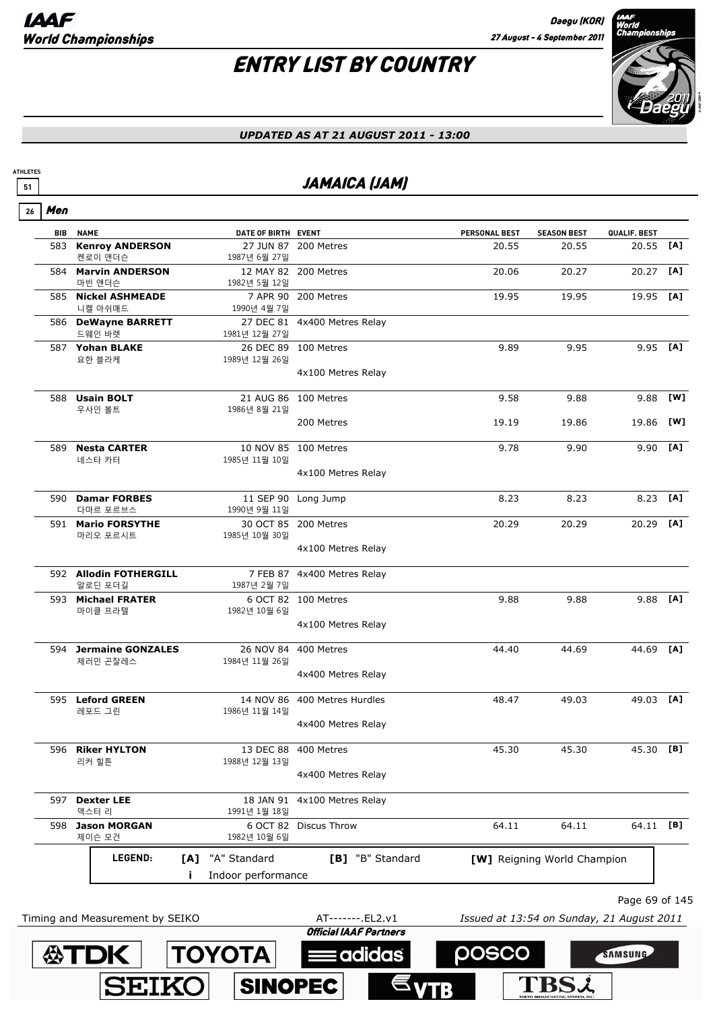**SEIK** 

**SINOPEC** 

**ATHLETES**

**TBSL** 

# ENTRY LIST BY COUNTRY



### *UPDATED AS AT 21 AUGUST 2011 - 13:00*

### **51 JAMAICA (JAM)**

| <b>NAME</b><br><b>Kenroy ANDERSON</b><br>583<br>켄로이 앤더슨<br><b>Marvin ANDERSON</b><br>584 | DATE OF BIRTH EVENT                                                                                                             |                                                                                                                                                                                                                                             | PERSONAL BEST                                                                                                                                                                                                                                                                                              |                    |              |                                                                                                                                                                                    |
|------------------------------------------------------------------------------------------|---------------------------------------------------------------------------------------------------------------------------------|---------------------------------------------------------------------------------------------------------------------------------------------------------------------------------------------------------------------------------------------|------------------------------------------------------------------------------------------------------------------------------------------------------------------------------------------------------------------------------------------------------------------------------------------------------------|--------------------|--------------|------------------------------------------------------------------------------------------------------------------------------------------------------------------------------------|
|                                                                                          |                                                                                                                                 |                                                                                                                                                                                                                                             |                                                                                                                                                                                                                                                                                                            | <b>SEASON BEST</b> | QUALIF. BEST |                                                                                                                                                                                    |
|                                                                                          | 1987년 6월 27일                                                                                                                    | 27 JUN 87 200 Metres                                                                                                                                                                                                                        | 20.55                                                                                                                                                                                                                                                                                                      | 20.55              | 20.55        | [A]                                                                                                                                                                                |
| 마빈 앤더슨                                                                                   | 1982년 5월 12일                                                                                                                    | 12 MAY 82 200 Metres                                                                                                                                                                                                                        | 20.06                                                                                                                                                                                                                                                                                                      | 20.27              | 20.27        | [A]                                                                                                                                                                                |
| 585 Nickel ASHMEADE<br>니켈 아쉬매드                                                           | 1990년 4월 7일                                                                                                                     | 7 APR 90 200 Metres                                                                                                                                                                                                                         | 19.95                                                                                                                                                                                                                                                                                                      | 19.95              | 19.95        | [A]                                                                                                                                                                                |
| 586 DeWayne BARRETT                                                                      |                                                                                                                                 | 27 DEC 81 4x400 Metres Relay                                                                                                                                                                                                                |                                                                                                                                                                                                                                                                                                            |                    |              |                                                                                                                                                                                    |
| 드웨인 바렛<br>587 Yohan BLAKE                                                                | 1981년 12월 27일                                                                                                                   | 26 DEC 89 100 Metres                                                                                                                                                                                                                        | 9.89                                                                                                                                                                                                                                                                                                       | 9.95               | $9.95$ [A]   |                                                                                                                                                                                    |
| 요한 블라케                                                                                   | 1989년 12월 26일                                                                                                                   | 4x100 Metres Relay                                                                                                                                                                                                                          |                                                                                                                                                                                                                                                                                                            |                    |              |                                                                                                                                                                                    |
| 588 Usain BOLT                                                                           |                                                                                                                                 |                                                                                                                                                                                                                                             | 9.58                                                                                                                                                                                                                                                                                                       | 9.88               | 9.88         | [W]                                                                                                                                                                                |
|                                                                                          |                                                                                                                                 | 200 Metres                                                                                                                                                                                                                                  | 19.19                                                                                                                                                                                                                                                                                                      | 19.86              | 19.86        | [W]                                                                                                                                                                                |
| <b>Nesta CARTER</b>                                                                      |                                                                                                                                 |                                                                                                                                                                                                                                             | 9.78                                                                                                                                                                                                                                                                                                       | 9.90               |              | [A]                                                                                                                                                                                |
|                                                                                          |                                                                                                                                 | 4x100 Metres Relay                                                                                                                                                                                                                          |                                                                                                                                                                                                                                                                                                            |                    |              |                                                                                                                                                                                    |
| 590 Damar FORBES                                                                         |                                                                                                                                 |                                                                                                                                                                                                                                             | 8.23                                                                                                                                                                                                                                                                                                       | 8.23               |              | [A]                                                                                                                                                                                |
| 591 Mario FORSYTHE                                                                       |                                                                                                                                 |                                                                                                                                                                                                                                             | 20.29                                                                                                                                                                                                                                                                                                      | 20.29              |              | [A]                                                                                                                                                                                |
|                                                                                          |                                                                                                                                 | 4x100 Metres Relay                                                                                                                                                                                                                          |                                                                                                                                                                                                                                                                                                            |                    |              |                                                                                                                                                                                    |
| 592 Allodin FOTHERGILL                                                                   |                                                                                                                                 | 4x400 Metres Relay                                                                                                                                                                                                                          |                                                                                                                                                                                                                                                                                                            |                    |              |                                                                                                                                                                                    |
| 593 Michael FRATER                                                                       |                                                                                                                                 |                                                                                                                                                                                                                                             | 9.88                                                                                                                                                                                                                                                                                                       | 9.88               |              | 9.88 [A]                                                                                                                                                                           |
|                                                                                          |                                                                                                                                 | 4x100 Metres Relay                                                                                                                                                                                                                          |                                                                                                                                                                                                                                                                                                            |                    |              |                                                                                                                                                                                    |
| 594 Jermaine GONZALES                                                                    |                                                                                                                                 | 400 Metres                                                                                                                                                                                                                                  | 44.40                                                                                                                                                                                                                                                                                                      | 44.69              |              |                                                                                                                                                                                    |
|                                                                                          |                                                                                                                                 | 4x400 Metres Relay                                                                                                                                                                                                                          |                                                                                                                                                                                                                                                                                                            |                    |              |                                                                                                                                                                                    |
| 595 Leford GREEN                                                                         |                                                                                                                                 |                                                                                                                                                                                                                                             | 48.47                                                                                                                                                                                                                                                                                                      | 49.03              |              |                                                                                                                                                                                    |
|                                                                                          |                                                                                                                                 | 4x400 Metres Relay                                                                                                                                                                                                                          |                                                                                                                                                                                                                                                                                                            |                    |              |                                                                                                                                                                                    |
| 596 Riker HYLTON                                                                         |                                                                                                                                 |                                                                                                                                                                                                                                             | 45.30                                                                                                                                                                                                                                                                                                      | 45.30              |              |                                                                                                                                                                                    |
|                                                                                          |                                                                                                                                 | 4x400 Metres Relay                                                                                                                                                                                                                          |                                                                                                                                                                                                                                                                                                            |                    |              |                                                                                                                                                                                    |
| 597 Dexter LEE                                                                           |                                                                                                                                 | 4x100 Metres Relay                                                                                                                                                                                                                          |                                                                                                                                                                                                                                                                                                            |                    |              |                                                                                                                                                                                    |
| <b>Jason MORGAN</b>                                                                      |                                                                                                                                 |                                                                                                                                                                                                                                             | 64.11                                                                                                                                                                                                                                                                                                      | 64.11              |              |                                                                                                                                                                                    |
| LEGEND:                                                                                  | "A" Standard                                                                                                                    | [B] "B" Standard                                                                                                                                                                                                                            |                                                                                                                                                                                                                                                                                                            |                    |              |                                                                                                                                                                                    |
|                                                                                          |                                                                                                                                 |                                                                                                                                                                                                                                             |                                                                                                                                                                                                                                                                                                            |                    |              |                                                                                                                                                                                    |
|                                                                                          |                                                                                                                                 |                                                                                                                                                                                                                                             |                                                                                                                                                                                                                                                                                                            |                    |              |                                                                                                                                                                                    |
|                                                                                          |                                                                                                                                 | AT-------. EL2.v1                                                                                                                                                                                                                           |                                                                                                                                                                                                                                                                                                            |                    |              |                                                                                                                                                                                    |
|                                                                                          | 우사인 볼트<br>네스타 카터<br>다마르 포르브스<br>마리오 포르시트<br>알로딘 포더길<br>마이클 프라텔<br>제러민 곤잘레스<br>레포드 그린<br>리커 힐튼<br>덱스터 리<br>제이슨 모건<br><b>公TDK</b> | 1986년 8월 21일<br>1985년 11월 10일<br>1990년 9월 11일<br>1985년 10월 30일<br>1987년 2월 7일<br>1982년 10월 6일<br>1984년 11월 26일<br>1986년 11월 14일<br>1988년 12월 13일<br>1991년 1월 18일<br>1982년 10월 6일<br>[A]<br>Timing and Measurement by SEIKO<br><b>TOYOTA</b> | 21 AUG 86 100 Metres<br>10 NOV 85 100 Metres<br>11 SEP 90 Long Jump<br>30 OCT 85 200 Metres<br>7 FEB 87<br>6 OCT 82 100 Metres<br>26 NOV 84<br>14 NOV 86 400 Metres Hurdles<br>13 DEC 88 400 Metres<br>18 JAN 91<br>6 OCT 82 Discus Throw<br>Indoor performance<br><b>Official IAAF Partners</b><br>adidas |                    | DOSCO        | 9.90<br>8.23<br>20.29<br>44.69 [A]<br>49.03 [A]<br>45.30 [B]<br>64.11 [B]<br>[W] Reigning World Champion<br>Page 69 of 145<br>Issued at 13:54 on Sunday, 21 August 2011<br>SAMSUNG |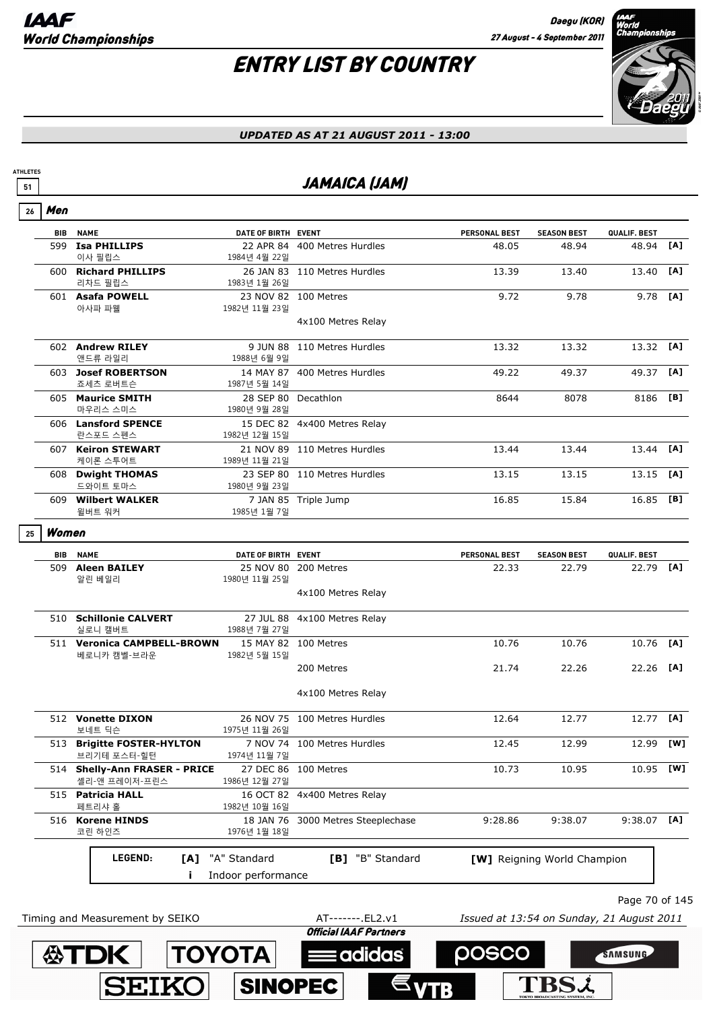

#### *UPDATED AS AT 21 AUGUST 2011 - 13:00*

### **<sup>51</sup>** JAMAICA (JAM)

|--|--|

**ATHLETES**

| <b>BIB</b> | <b>NAME</b>                                    | DATE OF BIRTH EVENT                 |                              | PERSONAL BEST | <b>SEASON BEST</b>          | QUALIF. BEST   |     |
|------------|------------------------------------------------|-------------------------------------|------------------------------|---------------|-----------------------------|----------------|-----|
| 599        | <b>Isa PHILLIPS</b><br>이사 필립스                  | 1984년 4월 22일                        | 22 APR 84 400 Metres Hurdles | 48.05         | 48.94                       | 48.94          | [A] |
|            | 600 Richard PHILLIPS<br>리차드 필립스                | 1983년 1월 26일                        | 26 JAN 83 110 Metres Hurdles | 13.39         | 13.40                       | 13.40          | [A] |
|            | 601 Asafa POWELL<br>아사파 파웰                     | 1982년 11월 23일                       | 23 NOV 82 100 Metres         | 9.72          | 9.78                        | 9.78           | [A] |
|            |                                                |                                     | 4x100 Metres Relay           |               |                             |                |     |
|            | 602 Andrew RILEY<br>앤드류 라일리                    | 1988년 6월 9일                         | 9 JUN 88 110 Metres Hurdles  | 13.32         | 13.32                       | 13.32 [A]      |     |
|            | 603 Josef ROBERTSON<br>죠세츠 로버트슨                | 1987년 5월 14일                        | 14 MAY 87 400 Metres Hurdles | 49.22         | 49.37                       | 49.37          | [A] |
|            | 605 Maurice SMITH<br>마우리스 스미스                  | 28 SEP 80 Decathlon<br>1980년 9월 28일 |                              | 8644          | 8078                        | 8186           | [B] |
|            | 606 Lansford SPENCE<br>란스포드 스펜스                | 1982년 12월 15일                       | 15 DEC 82 4x400 Metres Relay |               |                             |                |     |
|            | 607 Keiron STEWART<br>케이론 스투어트                 | 1989년 11월 21일                       | 21 NOV 89 110 Metres Hurdles | 13.44         | 13.44                       | 13.44 [A]      |     |
|            | 608 Dwight THOMAS<br>드와이트 토마스                  | 1980년 9월 23일                        | 23 SEP 80 110 Metres Hurdles | 13.15         | 13.15                       | 13.15          | [A] |
|            | 609 Wilbert WALKER<br>윌버트 워커                   | 1985년 1월 7일                         | 7 JAN 85 Triple Jump         | 16.85         | 15.84                       | 16.85 [B]      |     |
| Women      |                                                |                                     |                              |               |                             |                |     |
| BIB        | <b>NAME</b>                                    | DATE OF BIRTH EVENT                 |                              | PERSONAL BEST | <b>SEASON BEST</b>          | QUALIF. BEST   |     |
|            | 509 Aleen BAILEY<br>알린 베일리                     | 1980년 11월 25일                       | 25 NOV 80 200 Metres         | 22.33         | 22.79                       | 22.79          | [A] |
|            |                                                |                                     | 4x100 Metres Relay           |               |                             |                |     |
|            | 510 Schillonie CALVERT<br>실로니 캘버트              | 1988년 7월 27일                        | 27 JUL 88 4x100 Metres Relay |               |                             |                |     |
|            | 511 Veronica CAMPBELL-BROWN<br>베로니카 캠벨-브라운     | 1982년 5월 15일                        | 15 MAY 82 100 Metres         | 10.76         | 10.76                       | 10.76 [A]      |     |
|            |                                                |                                     | 200 Metres                   | 21.74         | 22.26                       | 22.26 [A]      |     |
|            |                                                |                                     | 4x100 Metres Relay           |               |                             |                |     |
|            | 512 Vonette DIXON<br>보네트 딕슨                    | 1975년 11월 26일                       | 26 NOV 75 100 Metres Hurdles | 12.64         | 12.77                       | 12.77          | [A] |
|            | 513 Brigitte FOSTER-HYLTON<br>브리기테 포스터-힐턴      | 1974년 11월 7일                        | 7 NOV 74 100 Metres Hurdles  | 12.45         | 12.99                       | 12.99 [W]      |     |
|            | 514 Shelly-Ann FRASER - PRICE<br>셸리-앤 프레이저-프린스 | 1986년 12월 27일                       | 27 DEC 86 100 Metres         | 10.73         | 10.95                       | 10.95 [W]      |     |
|            | 515 Patricia HALL<br>페트리샤 홀                    | 1982년 10월 16일                       | 16 OCT 82 4x400 Metres Relay |               |                             |                |     |
| 516        | <b>Korene HINDS</b><br>코린 하인즈                  | 18 JAN 76<br>1976년 1월 18일           | 3000 Metres Steeplechase     | 9:28.86       | 9:38.07                     | $9:38.07$ [A]  |     |
|            | LEGEND:                                        | [A] "A" Standard                    | [B] "B" Standard             |               | [W] Reigning World Champion |                |     |
|            | j.                                             | Indoor performance                  |                              |               |                             |                |     |
|            |                                                |                                     |                              |               |                             |                |     |
|            |                                                |                                     |                              |               |                             | Page 70 of 145 |     |

: adidas

**POSCO** 

**TBS2** 

SAMSUNG

**TOYOTA** 

**SINOPEC** 

**SEIKO** 

**公TDK**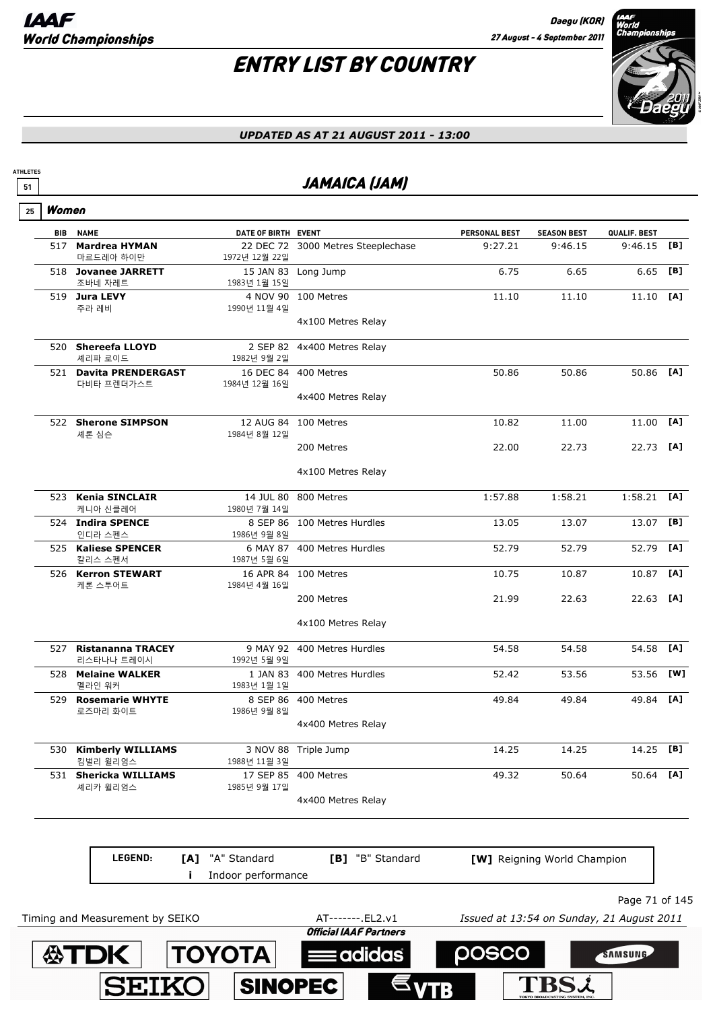# ENTRY LIST BY COUNTRY



#### *UPDATED AS AT 21 AUGUST 2011 - 13:00*

### **<sup>51</sup>** JAMAICA (JAM)

|            | Women                                  |                           |                                    |                      |                             |                |     |
|------------|----------------------------------------|---------------------------|------------------------------------|----------------------|-----------------------------|----------------|-----|
| <b>BIB</b> | <b>NAME</b>                            | DATE OF BIRTH EVENT       |                                    | <b>PERSONAL BEST</b> | <b>SEASON BEST</b>          | QUALIF. BEST   |     |
| 517        | <b>Mardrea HYMAN</b><br>마르드레아 하이만      | 1972년 12월 22일             | 22 DEC 72 3000 Metres Steeplechase | 9:27.21              | 9:46.15                     | 9:46.15        | [B] |
|            | 518 Jovanee JARRETT<br>조바네 자레트         | 1983년 1월 15일              | 15 JAN 83 Long Jump                | 6.75                 | 6.65                        | 6.65           | [B] |
|            | 519 Jura LEVY<br>주라 레비                 | 1990년 11월 4일              | 4 NOV 90 100 Metres                | 11.10                | 11.10                       | 11.10          | [A] |
|            |                                        |                           | 4x100 Metres Relay                 |                      |                             |                |     |
|            | 520 Shereefa LLOYD<br>셰리파 로이드          | 1982년 9월 2일               | 2 SEP 82 4x400 Metres Relay        |                      |                             |                |     |
|            | 521 Davita PRENDERGAST<br>다비타 프렌더가스트   | 1984년 12월 16일             | 16 DEC 84 400 Metres               | 50.86                | 50.86                       | 50.86          | [A] |
|            |                                        |                           | 4x400 Metres Relay                 |                      |                             |                |     |
|            | 522 Sherone SIMPSON<br>세론 심슨           | 12 AUG 84<br>1984년 8월 12일 | 100 Metres                         | 10.82                | 11.00                       | 11.00          | [A] |
|            |                                        |                           | 200 Metres                         | 22.00                | 22.73                       | 22.73 [A]      |     |
|            |                                        |                           | 4x100 Metres Relay                 |                      |                             |                |     |
|            | 523 Kenia SINCLAIR<br>케니아 신클레어         | 1980년 7월 14일              | 14 JUL 80 800 Metres               | 1:57.88              | 1:58.21                     | $1:58.21$ [A]  |     |
|            | 524 Indira SPENCE<br>인디라 스펜스           | 1986년 9월 8일               | 8 SEP 86 100 Metres Hurdles        | 13.05                | 13.07                       | 13.07          | [B] |
|            | 525 Kaliese SPENCER<br>칼리스 스펜서         | 1987년 5월 6일               | 6 MAY 87 400 Metres Hurdles        | 52.79                | 52.79                       | 52.79          | [A] |
|            | 526 Kerron STEWART<br>케론 스투어트          | 1984년 4월 16일              | 16 APR 84 100 Metres               | 10.75                | 10.87                       | 10.87          | [A] |
|            |                                        |                           | 200 Metres                         | 21.99                | 22.63                       | 22.63 [A]      |     |
|            |                                        |                           | 4x100 Metres Relay                 |                      |                             |                |     |
| 527        | <b>Ristananna TRACEY</b><br>리스타나나 트레이시 | 1992년 5월 9일               | 9 MAY 92 400 Metres Hurdles        | 54.58                | 54.58                       | 54.58          | [A] |
|            | 528 Melaine WALKER<br>멜라인 워커           | 1983년 1월 1일               | 1 JAN 83 400 Metres Hurdles        | 52.42                | 53.56                       | 53.56          | [W] |
|            | 529 Rosemarie WHYTE<br>로즈마리 화이트        | 1986년 9월 8일               | 8 SEP 86 400 Metres                | 49.84                | 49.84                       | 49.84          | [A] |
|            |                                        |                           | 4x400 Metres Relay                 |                      |                             |                |     |
|            | 530 Kimberly WILLIAMS<br>킴벌리 윌리엄스      | 1988년 11월 3일              | 3 NOV 88 Triple Jump               | 14.25                | 14.25                       | 14.25 [B]      |     |
|            | 531 Shericka WILLIAMS<br>셰리카 윌리엄스      | 1985년 9월 17일              | 17 SEP 85 400 Metres               | 49.32                | 50.64                       | 50.64          | [A] |
|            |                                        |                           | 4x400 Metres Relay                 |                      |                             |                |     |
|            | LEGEND:<br>[A]                         | "A" Standard              | [B] "B" Standard                   |                      | [W] Reigning World Champion |                |     |
|            | Ť                                      | Indoor performance        |                                    |                      |                             |                |     |
|            |                                        |                           |                                    |                      |                             | Page 71 of 145 |     |

Timing and Measurement by SEIKO **AT-------**.EL2.v1 *Issued at 13:54 on Sunday, 21 August 2011*<br>**Official IAAF Partners** 

adidas

**POSCO** 

**TBS2** 

SAMSUNG

**TOYOTA** 

**SINOPEC** 

**SEIKO** 

**公TDK**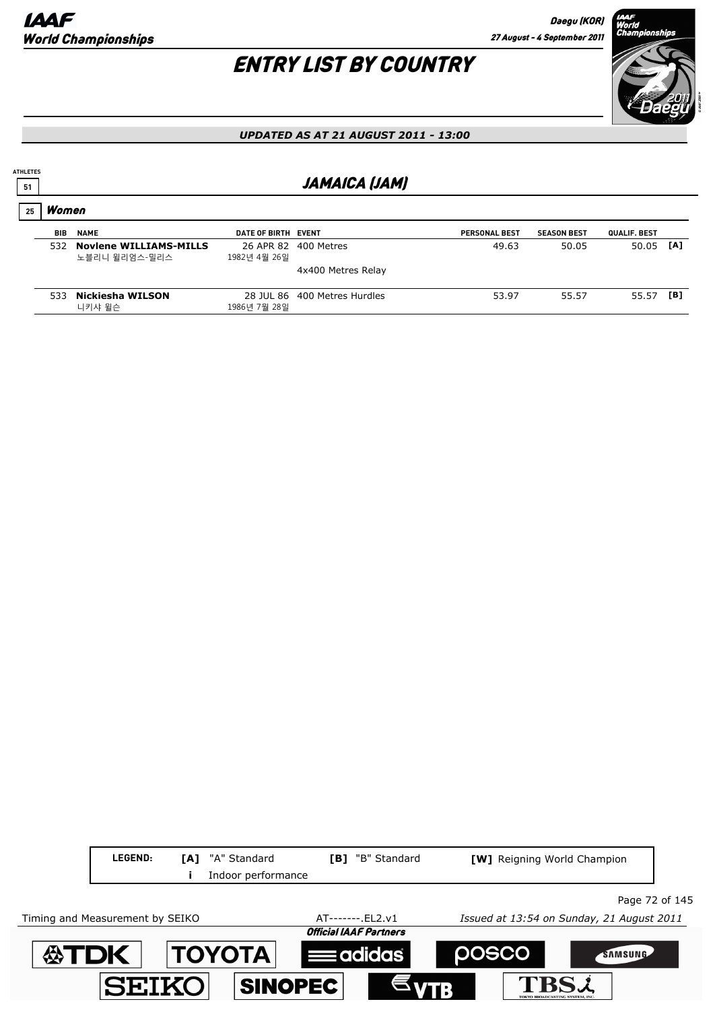

#### *UPDATED AS AT 21 AUGUST 2011 - 13:00*

### **<sup>51</sup>** JAMAICA (JAM)

### Women **25**

**ATHLETES**

| <b>BIB</b> | <b>NAME</b>                                    | DATE OF BIRTH EVENT |                              | <b>PERSONAL BEST</b> | <b>SEASON BEST</b> | <b>QUALIF, BEST</b> |     |
|------------|------------------------------------------------|---------------------|------------------------------|----------------------|--------------------|---------------------|-----|
| 532        | <b>Noviene WILLIAMS-MILLS</b><br>노블리니 윌리엄스-밀리스 | 1982년 4월 26일        | 26 APR 82 400 Metres         | 49.63                | 50.05              | 50.05               | [A] |
|            |                                                |                     | 4x400 Metres Relay           |                      |                    |                     |     |
| 533        | Nickiesha WILSON<br>니키샤 윌슨                     | 1986년 7월 28일        | 28 JUL 86 400 Metres Hurdles | 53.97                | 55.57              | 55.57               | [B] |

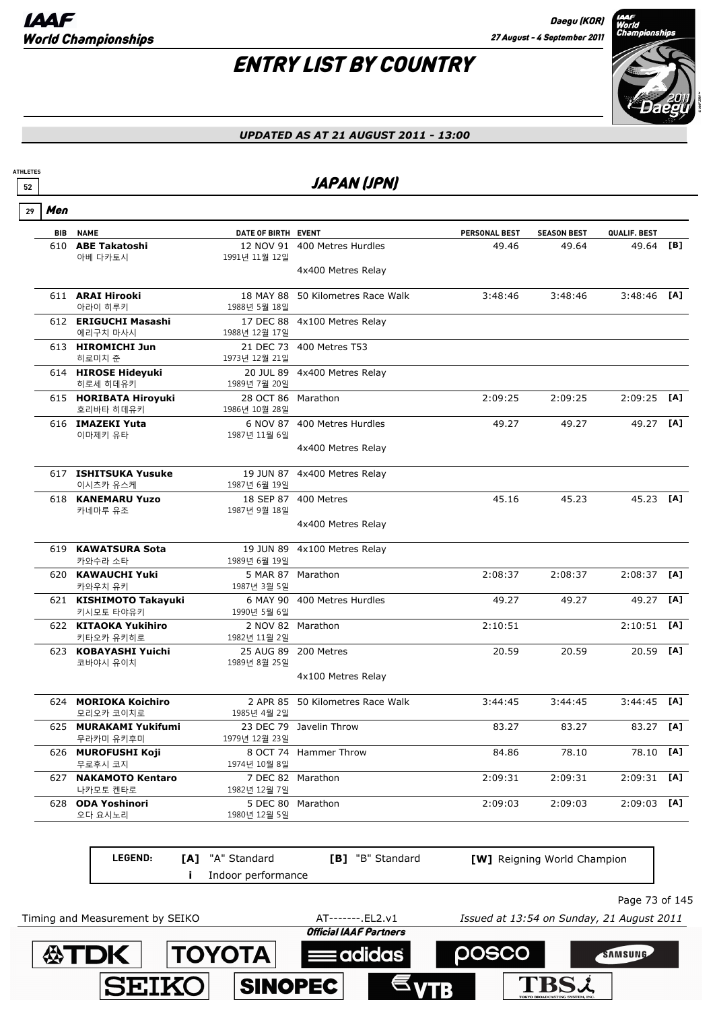**公TDK** 

**SEIKO** 

**TOYOTA** 

SINOPEC

**ATHLETES**

# ENTRY LIST BY COUNTRY



#### *UPDATED AS AT 21 AUGUST 2011 - 13:00*

| Men |                                      |                           |                                  |                               |                             |                           |     |
|-----|--------------------------------------|---------------------------|----------------------------------|-------------------------------|-----------------------------|---------------------------|-----|
|     | <b>BIB NAME</b><br>610 ABE Takatoshi | DATE OF BIRTH EVENT       | 12 NOV 91 400 Metres Hurdles     | <b>PERSONAL BEST</b><br>49.46 | <b>SEASON BEST</b><br>49.64 | QUALIF. BEST<br>49.64 [B] |     |
|     | 아베 다카토시                              | 1991년 11월 12일             |                                  |                               |                             |                           |     |
|     |                                      |                           | 4x400 Metres Relay               |                               |                             |                           |     |
|     | 611 ARAI Hirooki                     | 18 MAY 88                 | 50 Kilometres Race Walk          | 3:48:46                       | 3:48:46                     | $3:48:46$ [A]             |     |
|     | 아라이 히루키<br>612 ERIGUCHI Masashi      | 1988년 5월 18일              | 17 DEC 88 4x100 Metres Relay     |                               |                             |                           |     |
|     | 에리구치 마사시                             | 1988년 12월 17일             |                                  |                               |                             |                           |     |
|     | 613 HIROMICHI Jun<br>히로미치 준          | 1973년 12월 21일             | 21 DEC 73 400 Metres T53         |                               |                             |                           |     |
|     | 614 HIROSE Hideyuki<br>히로세 히데유키      | 1989년 7월 20일              | 20 JUL 89 4x400 Metres Relay     |                               |                             |                           |     |
|     | 615 HORIBATA Hiroyuki                | 28 OCT 86 Marathon        |                                  | 2:09:25                       | 2:09:25                     | $2:09:25$ [A]             |     |
|     | 호리바타 히데유키<br>616 IMAZEKI Yuta        | 1986년 10월 28일<br>6 NOV 87 | 400 Metres Hurdles               | 49.27                         | 49.27                       | 49.27 [A]                 |     |
|     | 이마제키 유타                              | 1987년 11월 6일              |                                  |                               |                             |                           |     |
|     |                                      |                           | 4x400 Metres Relay               |                               |                             |                           |     |
|     | 617 ISHITSUKA Yusuke                 |                           | 19 JUN 87 4x400 Metres Relay     |                               |                             |                           |     |
|     | 이시츠카 유스케<br>618 KANEMARU Yuzo        | 1987년 6월 19일              | 18 SEP 87 400 Metres             | 45.16                         | 45.23                       | 45.23 [A]                 |     |
|     | 카네마루 유조                              | 1987년 9월 18일              |                                  |                               |                             |                           |     |
|     |                                      |                           | 4x400 Metres Relay               |                               |                             |                           |     |
|     | 619 KAWATSURA Sota<br>카와수라 소타        | 1989년 6월 19일              | 19 JUN 89 4x100 Metres Relay     |                               |                             |                           |     |
|     | 620 KAWAUCHI Yuki                    |                           | 5 MAR 87 Marathon                | 2:08:37                       | 2:08:37                     | 2:08:37                   | [A] |
|     | 카와우치 유키                              | 1987년 3월 5일               | 6 MAY 90 400 Metres Hurdles      |                               |                             |                           | [A] |
|     | 621 KISHIMOTO Takayuki<br>키시모토 타야유키  | 1990년 5월 6일               |                                  | 49.27                         | 49.27                       | 49.27                     |     |
|     | 622 KITAOKA Yukihiro<br>키타오카 유키히로    | 1982년 11월 2일              | 2 NOV 82 Marathon                | 2:10:51                       |                             | 2:10:51                   | [A] |
|     | 623 KOBAYASHI Yuichi                 |                           | 25 AUG 89 200 Metres             | 20.59                         | 20.59                       | 20.59 [A]                 |     |
|     | 코바야시 유이치                             | 1989년 8월 25일              | 4x100 Metres Relay               |                               |                             |                           |     |
|     |                                      |                           |                                  |                               |                             |                           |     |
|     | 624 MORIOKA Koichiro<br>모리오카 코이치로    | 1985년 4월 2일               | 2 APR 85 50 Kilometres Race Walk | 3:44:45                       | 3:44:45                     | $3:44:45$ [A]             |     |
|     | 625 MURAKAMI Yukifumi                |                           | 23 DEC 79 Javelin Throw          | 83.27                         | 83.27                       | 83.27 [A]                 |     |
|     | 무라카미 유키후미<br>626 MUROFUSHI Koji      | 1979년 12월 23일             | 8 OCT 74 Hammer Throw            | 84.86                         | 78.10                       | 78.10 [A]                 |     |
|     | 무로후시 코지<br>627 NAKAMOTO Kentaro      | 1974년 10월 8일              | 7 DEC 82 Marathon                | 2:09:31                       | 2:09:31                     | $2:09:31$ [A]             |     |
|     | 나카모토 켄타로                             | 1982년 12월 7일              |                                  |                               |                             |                           |     |
|     | 628 ODA Yoshinori<br>오다 요시노리         | 1980년 12월 5일              | 5 DEC 80 Marathon                | 2:09:03                       | 2:09:03                     | $2:09:03$ [A]             |     |
|     | LEGEND:                              | [A] "A" Standard          | [B] "B" Standard                 |                               | [W] Reigning World Champion |                           |     |
|     |                                      | Indoor performance        |                                  |                               |                             |                           |     |

**Eadidas** 

posco

**TBSL** 

SAMSUNG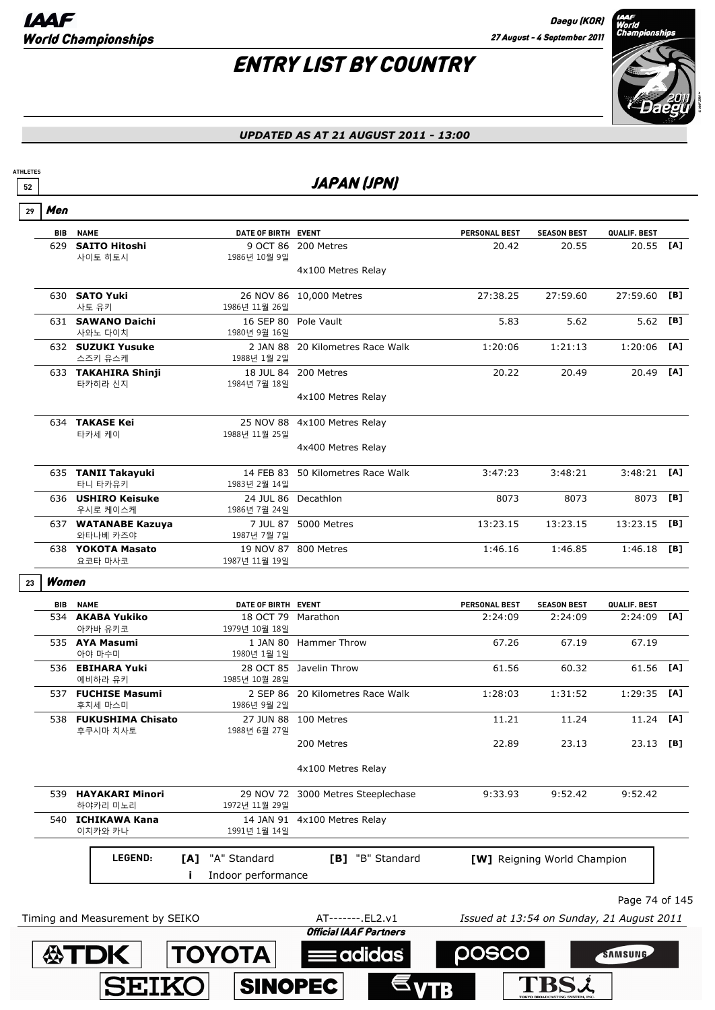

### *UPDATED AS AT 21 AUGUST 2011 - 13:00*

### <u>52</u> JAPAN (JPN)

 $\overline{\phantom{a}}$  Men **29**

**ATHLETES**

| <b>BIB</b> | <b>NAME</b>                         | DATE OF BIRTH EVENT                 |                                                    | <b>PERSONAL BEST</b> | <b>SEASON BEST</b>                        | QUALIF. BEST   |     |
|------------|-------------------------------------|-------------------------------------|----------------------------------------------------|----------------------|-------------------------------------------|----------------|-----|
| 629        | <b>SAITO Hitoshi</b>                |                                     | 9 OCT 86 200 Metres                                | 20.42                | 20.55                                     | 20.55          | [A] |
|            | 사이토 히토시                             | 1986년 10월 9일                        | 4x100 Metres Relay                                 |                      |                                           |                |     |
|            | 630 SATO Yuki                       |                                     | 26 NOV 86 10,000 Metres                            | 27:38.25             | 27:59.60                                  | 27:59.60       | [B] |
|            | 사토 유키<br>631 SAWANO Daichi          | 1986년 11월 26일                       | 16 SEP 80 Pole Vault                               | 5.83                 | 5.62                                      | 5.62           | [B] |
|            | 사와노 다이치                             | 1980년 9월 16일                        |                                                    |                      |                                           |                |     |
|            | 632 SUZUKI Yusuke<br>스즈키 유스케        | 1988년 1월 2일                         | 2 JAN 88 20 Kilometres Race Walk                   | 1:20:06              | 1:21:13                                   | 1:20:06        | [A] |
|            | 633 TAKAHIRA Shinji<br>타카히라 신지      | 1984년 7월 18일                        | 18 JUL 84 200 Metres                               | 20.22                | 20.49                                     | 20.49          | [A] |
|            |                                     |                                     | 4x100 Metres Relay                                 |                      |                                           |                |     |
|            | 634 TAKASE Kei<br>타카세 케이            |                                     | 25 NOV 88 4x100 Metres Relay                       |                      |                                           |                |     |
|            |                                     | 1988년 11월 25일                       | 4x400 Metres Relay                                 |                      |                                           |                |     |
|            | 635 TANII Takayuki<br>타니 타카유키       | 1983년 2월 14일                        | 14 FEB 83 50 Kilometres Race Walk                  | 3:47:23              | 3:48:21                                   | 3:48:21        | [A] |
|            | 636 USHIRO Keisuke<br>우시로 케이스케      | 1986년 7월 24일                        | 24 JUL 86 Decathlon                                | 8073                 | 8073                                      | 8073           | [B] |
|            | 637 WATANABE Kazuya<br>와타나베 카즈야     | 1987년 7월 7일                         | 7 JUL 87 5000 Metres                               | 13:23.15             | 13:23.15                                  | 13:23.15       | [B] |
|            | 638 YOKOTA Masato<br>요코타 마사코        | 1987년 11월 19일                       | 19 NOV 87 800 Metres                               | 1:46.16              | 1:46.85                                   | 1:46.18        | [B] |
| Women      |                                     |                                     |                                                    |                      |                                           |                |     |
| <b>BIB</b> | <b>NAME</b>                         | DATE OF BIRTH EVENT                 |                                                    | <b>PERSONAL BEST</b> | <b>SEASON BEST</b>                        | QUALIF. BEST   |     |
|            | 534 AKABA Yukiko<br>아카바 유키코         | 18 OCT 79 Marathon<br>1979년 10월 18일 |                                                    | 2:24:09              | 2:24:09                                   | 2:24:09        | [A] |
|            | 535 AYA Masumi<br>아야 마수미            | 1980년 1월 1일                         | 1 JAN 80 Hammer Throw                              | 67.26                | 67.19                                     | 67.19          |     |
|            | 536 EBIHARA Yuki<br>에비하라 유키         | 1985년 10월 28일                       | 28 OCT 85 Javelin Throw                            | 61.56                | 60.32                                     | 61.56          | [A] |
|            | 537 FUCHISE Masumi<br>후치세 마스미       | 1986년 9월 2일                         | 2 SEP 86 20 Kilometres Race Walk                   | 1:28:03              | 1:31:52                                   | 1:29:35        | [A] |
|            | 538 FUKUSHIMA Chisato<br>후쿠시마 치사토   | 1988년 6월 27일                        | 27 JUN 88 100 Metres                               | 11.21                | 11.24                                     | 11.24          | [A] |
|            |                                     |                                     | 200 Metres                                         | 22.89                | 23.13                                     | 23.13 [B]      |     |
|            |                                     |                                     | 4x100 Metres Relay                                 |                      |                                           |                |     |
|            | 539 HAYAKARI Minori<br>하야카리 미노리     | 1972년 11월 29일                       | 29 NOV 72 3000 Metres Steeplechase                 | 9:33.93              | 9:52.42                                   | 9:52.42        |     |
|            | 540 <b>ICHIKAWA Kana</b><br>이치카와 카나 | 1991년 1월 14일                        | 14 JAN 91 4x100 Metres Relay                       |                      |                                           |                |     |
|            | LEGEND:                             | "A" Standard                        | [B] "B" Standard                                   |                      |                                           |                |     |
|            |                                     | [A]<br>Indoor performance           |                                                    |                      | [W] Reigning World Champion               |                |     |
|            |                                     |                                     |                                                    |                      |                                           |                |     |
|            |                                     |                                     |                                                    |                      |                                           | Page 74 of 145 |     |
|            | Timing and Measurement by SEIKO     |                                     | AT-------. EL2.v1<br><b>Official IAAF Partners</b> |                      | Issued at 13:54 on Sunday, 21 August 2011 |                |     |

 $\epsilon_{\text{VTB}}$ 

**TBSL** 

SINOPEC

SEIKO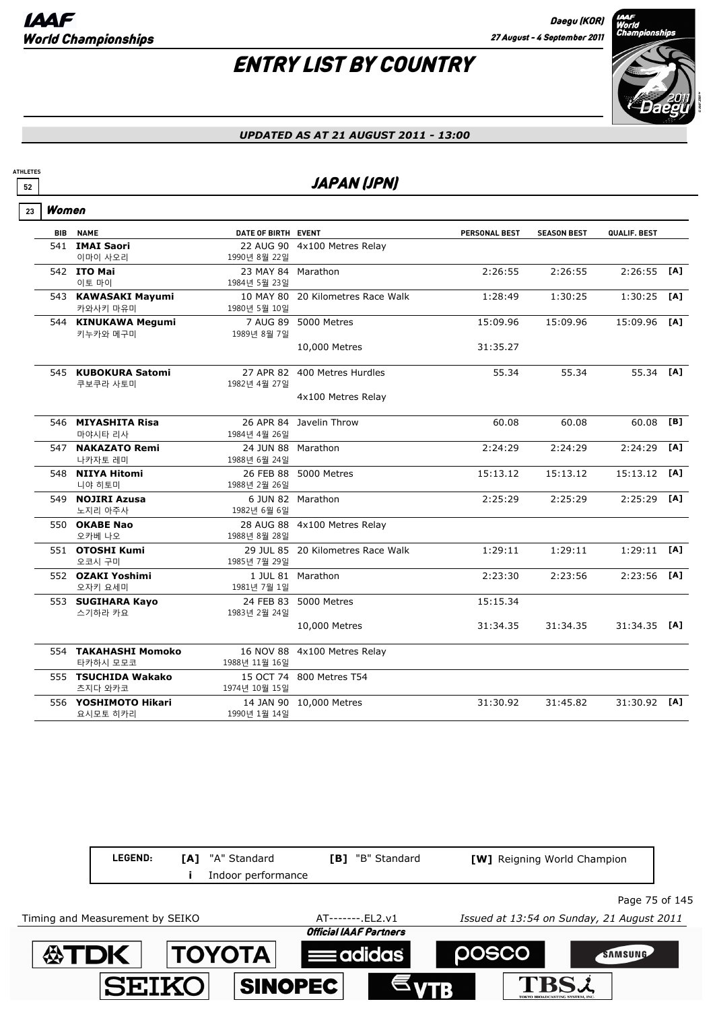# ENTRY LIST BY COUNTRY



#### *UPDATED AS AT 21 AUGUST 2011 - 13:00*

### **<sup>52</sup>** JAPAN (JPN)

| 23 | Women |                                  |                                    |                                   |               |                    |              |     |
|----|-------|----------------------------------|------------------------------------|-----------------------------------|---------------|--------------------|--------------|-----|
|    |       | <b>BIB NAME</b>                  | DATE OF BIRTH EVENT                |                                   | PERSONAL BEST | <b>SEASON BEST</b> | QUALIF. BEST |     |
|    |       | 541 IMAI Saori<br>이마이 사오리        | 1990년 8월 22일                       | 22 AUG 90 4x100 Metres Relay      |               |                    |              |     |
|    |       | 542 ITO Mai<br>이토 마이             | 23 MAY 84 Marathon<br>1984년 5월 23일 |                                   | 2:26:55       | 2:26:55            | 2:26:55      | [A] |
|    |       | 543 KAWASAKI Mayumi<br>카와사키 마유미  | 1980년 5월 10일                       | 10 MAY 80 20 Kilometres Race Walk | 1:28:49       | 1:30:25            | 1:30:25      | [A] |
|    |       | 544 KINUKAWA Megumi<br>키누카와 메구미  | 1989년 8월 7일                        | 7 AUG 89 5000 Metres              | 15:09.96      | 15:09.96           | 15:09.96     | [A] |
|    |       |                                  |                                    | 10,000 Metres                     | 31:35.27      |                    |              |     |
|    |       | 545 KUBOKURA Satomi<br>쿠보쿠라 사토미  | 1982년 4월 27일                       | 27 APR 82 400 Metres Hurdles      | 55.34         | 55.34              | 55.34 [A]    |     |
|    |       |                                  |                                    | 4x100 Metres Relay                |               |                    |              |     |
|    |       | 546 MIYASHITA Risa<br>마야시타 리사    | 1984년 4월 26일                       | 26 APR 84 Javelin Throw           | 60.08         | 60.08              | 60.08        | [B] |
|    | 547   | <b>NAKAZATO Remi</b><br>나카자토 레미  | 24 JUN 88 Marathon<br>1988년 6월 24일 |                                   | 2:24:29       | 2:24:29            | 2:24:29      | [A] |
|    |       | 548 NIIYA Hitomi<br>니야 히토미       | 1988년 2월 26일                       | 26 FEB 88 5000 Metres             | 15:13.12      | 15:13.12           | 15:13.12     | [A] |
|    |       | 549 NOJIRI Azusa<br>노지리 아주사      | 1982년 6월 6일                        | 6 JUN 82 Marathon                 | 2:25:29       | 2:25:29            | 2:25:29      | [A] |
|    |       | 550 OKABE Nao<br>오카베 나오          | 1988년 8월 28일                       | 28 AUG 88 4x100 Metres Relay      |               |                    |              |     |
|    |       | 551 OTOSHI Kumi<br>오코시 구미        | 1985년 7월 29일                       | 29 JUL 85 20 Kilometres Race Walk | 1:29:11       | 1:29:11            | 1:29:11      | [A] |
|    |       | 552 OZAKI Yoshimi<br>오자키 요세미     | 1981년 7월 1일                        | 1 JUL 81 Marathon                 | 2:23:30       | 2:23:56            | 2:23:56      | [A] |
|    |       | 553 SUGIHARA Kayo<br>스기하라 카요     | 1983년 2월 24일                       | 24 FEB 83 5000 Metres             | 15:15.34      |                    |              |     |
|    |       |                                  |                                    | 10,000 Metres                     | 31:34.35      | 31:34.35           | 31:34.35 [A] |     |
|    |       | 554 TAKAHASHI Momoko<br>타카하시 모모코 | 1988년 11월 16일                      | 16 NOV 88 4x100 Metres Relay      |               |                    |              |     |
|    |       | 555 TSUCHIDA Wakako<br>츠지다 와카코   | 1974년 10월 15일                      | 15 OCT 74 800 Metres T54          |               |                    |              |     |
|    |       | 556 YOSHIMOTO Hikari<br>요시모토 히카리 | 1990년 1월 14일                       | 14 JAN 90 10,000 Metres           | 31:30.92      | 31:45.82           | 31:30.92     | [A] |

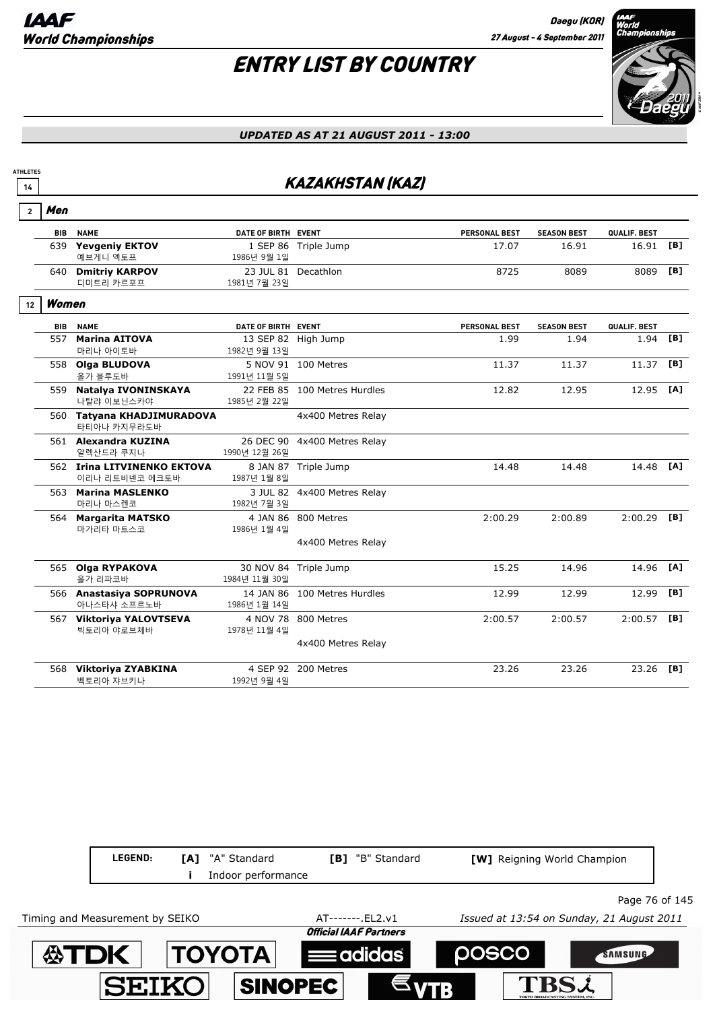# ENTRY LIST BY COUNTRY



#### *UPDATED AS AT 21 AUGUST 2011 - 13:00*

### **14** *II KAZAKHSTAN (KAZ)*

| $\mathbf{2}$ | Men        |                                               |                     |                              |                      |                    |              |     |
|--------------|------------|-----------------------------------------------|---------------------|------------------------------|----------------------|--------------------|--------------|-----|
|              | <b>BIB</b> | <b>NAME</b>                                   | DATE OF BIRTH EVENT |                              | <b>PERSONAL BEST</b> | <b>SEASON BEST</b> | QUALIF. BEST |     |
|              | 639        | <b>Yevgeniy EKTOV</b><br>예브게니 엑토프             | 1986년 9월 1일         | 1 SEP 86 Triple Jump         | 17.07                | 16.91              | 16.91        | [B] |
|              | 640        | <b>Dmitriy KARPOV</b><br>디미트리 카르포프            | 1981년 7월 23일        | 23 JUL 81 Decathlon          | 8725                 | 8089               | 8089         | [B] |
| 12           | Women      |                                               |                     |                              |                      |                    |              |     |
|              | <b>BIB</b> | <b>NAME</b>                                   | DATE OF BIRTH EVENT |                              | <b>PERSONAL BEST</b> | <b>SEASON BEST</b> | QUALIF. BEST |     |
|              | 557        | <b>Marina AITOVA</b><br>마리나 아이토바              | 1982년 9월 13일        | 13 SEP 82 High Jump          | 1.99                 | 1.94               | 1.94         | [B] |
|              |            | 558 Olga BLUDOVA<br>올가 블루도바                   | 1991년 11월 5일        | 5 NOV 91 100 Metres          | 11.37                | 11.37              | 11.37        | [B] |
|              | 559        | Natalya IVONINSKAYA<br>나탈랴 이보닌스카야             | 1985년 2월 22일        | 22 FEB 85 100 Metres Hurdles | 12.82                | 12.95              | 12.95        | [A] |
|              |            | 560 Tatyana KHADJIMURADOVA<br>타티아나 카지무라도바     |                     | 4x400 Metres Relay           |                      |                    |              |     |
|              |            | 561 Alexandra KUZINA<br>알렉산드라 쿠지나             | 1990년 12월 26일       | 26 DEC 90 4x400 Metres Relay |                      |                    |              |     |
|              |            | 562 Irina LITVINENKO EKTOVA<br>이리나 리트비넨코 에크토바 | 1987년 1월 8일         | 8 JAN 87 Triple Jump         | 14.48                | 14.48              | 14.48        | [A] |
|              | 563        | <b>Marina MASLENKO</b><br>마리나 마스렌코            | 1982년 7월 3일         | 3 JUL 82 4x400 Metres Relay  |                      |                    |              |     |
|              | 564        | <b>Margarita MATSKO</b><br>마가리타 마트스코          | 1986년 1월 4일         | 4 JAN 86 800 Metres          | 2:00.29              | 2:00.89            | 2:00.29      | [B] |
|              |            |                                               |                     | 4x400 Metres Relay           |                      |                    |              |     |
|              |            | 565 Olga RYPAKOVA<br>올가 리파코바                  | 1984년 11월 30일       | 30 NOV 84 Triple Jump        | 15.25                | 14.96              | 14.96        | [A] |
|              |            | 566 Anastasiya SOPRUNOVA<br>아나스타샤 소프르노바       | 1986년 1월 14일        | 14 JAN 86 100 Metres Hurdles | 12.99                | 12.99              | 12.99        | [B] |
|              |            | 567 Viktoriya YALOVTSEVA<br>빅토리아 야로브체바        | 1978년 11월 4일        | 4 NOV 78 800 Metres          | 2:00.57              | 2:00.57            | 2:00.57      | [B] |
|              |            |                                               |                     | 4x400 Metres Relay           |                      |                    |              |     |
|              |            | 568 Viktoriya ZYABKINA<br>벡토리아 쟈브키나           | 1992년 9월 4일         | 4 SEP 92 200 Metres          | 23.26                | 23.26              | 23.26        | [B] |

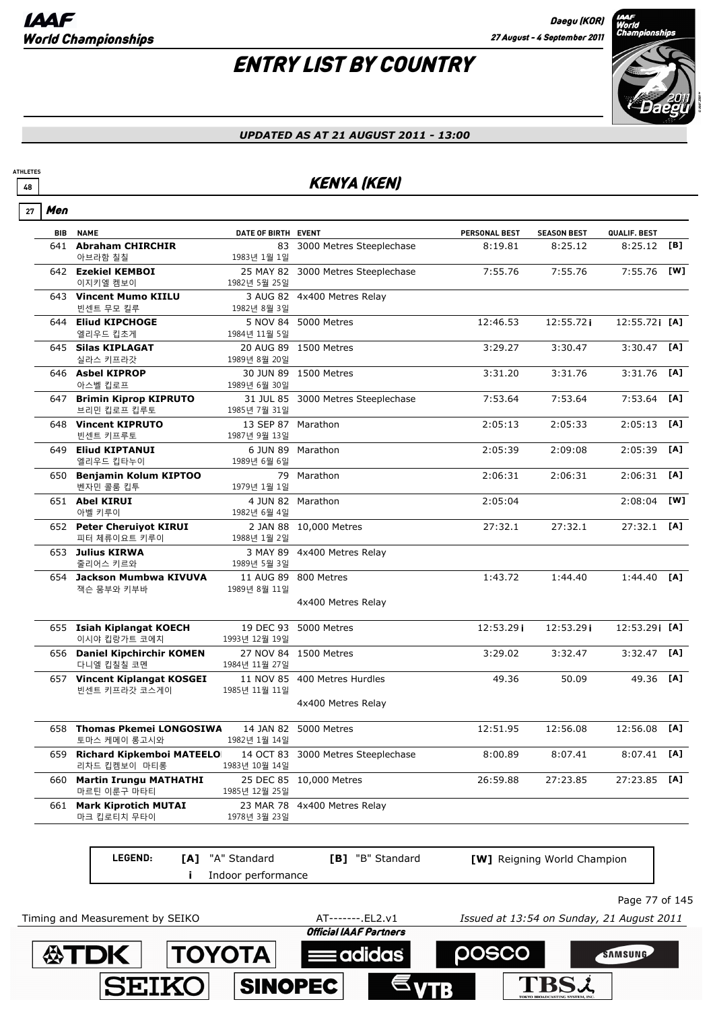# ENTRY LIST BY COUNTRY



#### *UPDATED AS AT 21 AUGUST 2011 - 13:00*

### **<sup>48</sup>** KENYA (KEN)

| 27 | Men        |                                               |                                    |                                    |                                           |                             |                |     |
|----|------------|-----------------------------------------------|------------------------------------|------------------------------------|-------------------------------------------|-----------------------------|----------------|-----|
|    | <b>BIB</b> | <b>NAME</b>                                   | DATE OF BIRTH EVENT                |                                    | <b>PERSONAL BEST</b>                      | <b>SEASON BEST</b>          | QUALIF. BEST   |     |
|    |            | 641 Abraham CHIRCHIR<br>아브라함 칠칠               | 1983년 1월 1일                        | 83 3000 Metres Steeplechase        | 8:19.81                                   | 8:25.12                     | 8:25.12        | [B] |
|    |            | 642 Ezekiel KEMBOI<br>이지키엘 켐보이                | 1982년 5월 25일                       | 25 MAY 82 3000 Metres Steeplechase | 7:55.76                                   | 7:55.76                     | 7:55.76        | [W] |
|    |            | 643 Vincent Mumo KIILU<br>빈센트 무모 킬루           | 1982년 8월 3일                        | 3 AUG 82 4x400 Metres Relay        |                                           |                             |                |     |
|    |            | 644 Eliud KIPCHOGE<br>엘리우드 킵초게                | 1984년 11월 5일                       | 5 NOV 84 5000 Metres               | 12:46.53                                  | 12:55.72i                   | 12:55.721 [A]  |     |
|    |            | 645 Silas KIPLAGAT<br>실라스 키프라갓                | 1989년 8월 20일                       | 20 AUG 89 1500 Metres              | 3:29.27                                   | 3:30.47                     | $3:30.47$ [A]  |     |
|    |            | 646 Asbel KIPROP<br>아스벨 킵로프                   | 1989년 6월 30일                       | 30 JUN 89 1500 Metres              | 3:31.20                                   | 3:31.76                     | $3:31.76$ [A]  |     |
|    |            | 647 Brimin Kiprop KIPRUTO<br>브리민 킵로프 킵루토      | 1985년 7월 31일                       | 31 JUL 85 3000 Metres Steeplechase | 7:53.64                                   | 7:53.64                     | 7:53.64        | [A] |
|    |            | 648 Vincent KIPRUTO<br>빈센트 키프루토               | 13 SEP 87 Marathon<br>1987년 9월 13일 |                                    | 2:05:13                                   | 2:05:33                     | $2:05:13$ [A]  |     |
|    |            | 649 Eliud KIPTANUI<br>엘리우드 킵타누이               | 1989년 6월 6일                        | 6 JUN 89 Marathon                  | 2:05:39                                   | 2:09:08                     | 2:05:39        | [A] |
|    |            | 650 Benjamin Kolum KIPTOO<br>벤자민 콜룸 킵투        | 1979년 1월 1일                        | 79 Marathon                        | 2:06:31                                   | 2:06:31                     | $2:06:31$ [A]  |     |
|    |            | 651 Abel KIRUI<br>아벨 키루이                      | 1982년 6월 4일                        | 4 JUN 82 Marathon                  | 2:05:04                                   |                             | 2:08:04        | [W] |
|    |            | 652 Peter Cheruiyot KIRUI<br>피터 체류이요트 키루이     | 1988년 1월 2일                        | 2 JAN 88 10,000 Metres             | 27:32.1                                   | 27:32.1                     | $27:32.1$ [A]  |     |
|    |            | 653 Julius KIRWA<br>줄리어스 키르와                  | 1989년 5월 3일                        | 3 MAY 89 4x400 Metres Relay        |                                           |                             |                |     |
|    |            | 654 Jackson Mumbwa KIVUVA<br>잭슨 뭄부와 키부바       | 1989년 8월 11일                       | 11 AUG 89 800 Metres               | 1:43.72                                   | 1:44.40                     | $1:44.40$ [A]  |     |
|    |            |                                               |                                    | 4x400 Metres Relay                 |                                           |                             |                |     |
|    |            | 655 Isiah Kiplangat KOECH<br>이시야 킵랑가트 코에치     | 1993년 12월 19일                      | 19 DEC 93 5000 Metres              | 12:53.29i                                 | 12:53.29i                   | 12:53.29 [A]   |     |
|    |            | 656 Daniel Kipchirchir KOMEN<br>다니엘 킵칠칠 코멘    | 1984년 11월 27일                      | 27 NOV 84 1500 Metres              | 3:29.02                                   | 3:32.47                     | $3:32.47$ [A]  |     |
|    |            | 657 Vincent Kiplangat KOSGEI<br>빈센트 키프라갓 코스게이 | 1985년 11월 11일                      | 11 NOV 85 400 Metres Hurdles       | 49.36                                     | 50.09                       | 49.36 [A]      |     |
|    |            |                                               |                                    | 4x400 Metres Relay                 |                                           |                             |                |     |
|    |            | 658 Thomas Pkemei LONGOSIWA<br>토마스 케메이 롱고시와   | 1982년 1월 14일                       | 14 JAN 82 5000 Metres              | 12:51.95                                  | 12:56.08                    | 12:56.08 [A]   |     |
|    |            | 659 Richard Kipkemboi MATEELO<br>리차드 킵켐보이 마티롱 | 1983년 10월 14일                      | 14 OCT 83 3000 Metres Steeplechase | 8:00.89                                   | 8:07.41                     | $8:07.41$ [A]  |     |
|    | 660        | <b>Martin Irungu MATHATHI</b><br>마르틴 이룬구 마타티  | 1985년 12월 25일                      | 25 DEC 85 10,000 Metres            | 26:59.88                                  | 27:23.85                    | 27:23.85       | [A] |
|    |            | 661 Mark Kiprotich MUTAI<br>마크 킵로티치 무타이       | 1978년 3월 23일                       | 23 MAR 78 4x400 Metres Relay       |                                           |                             |                |     |
|    |            | LEGEND:<br>[A]                                | "A" Standard                       | [B] "B" Standard                   |                                           | [W] Reigning World Champion |                |     |
|    |            |                                               | Indoor performance                 |                                    |                                           |                             |                |     |
|    |            |                                               |                                    |                                    |                                           |                             | Page 77 of 145 |     |
|    |            | Timing and Measurement by SEIKO               |                                    | AT-------.EL2.v1                   | Issued at 13:54 on Sunday, 21 August 2011 |                             |                |     |
|    |            |                                               |                                    | <b>Official IA A.E. Partnore</b>   |                                           |                             |                |     |

 $\equiv$ adidas

SINOPEC

posco

**TBSL** 

SAMSUNG

**ASTDK TOYOTA** 

**SEIKO**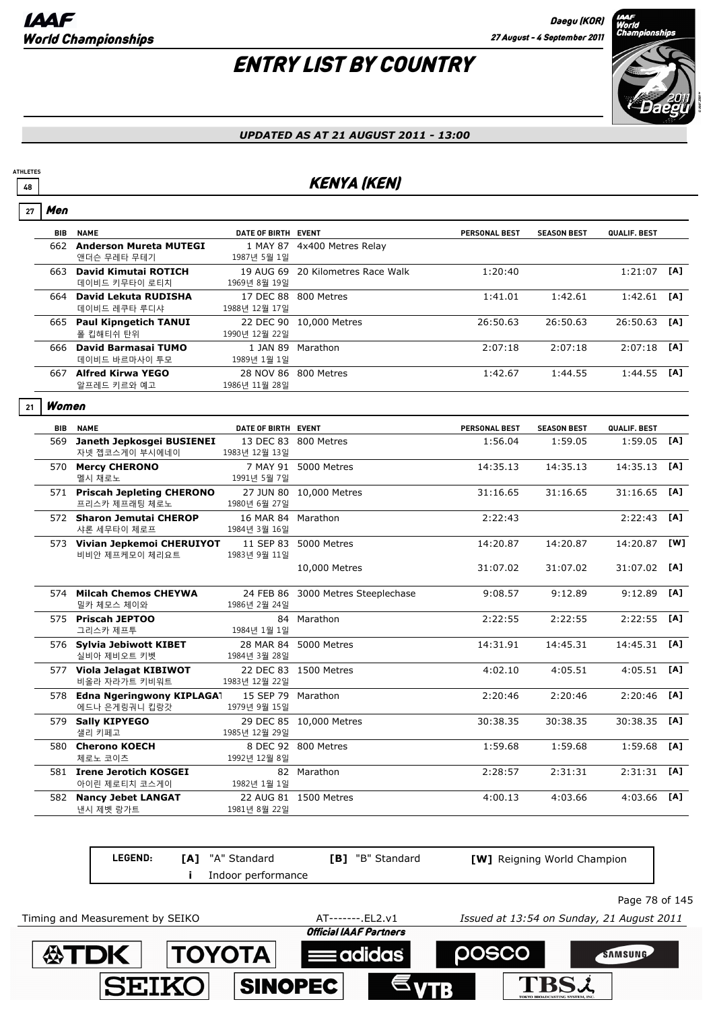Men

# ENTRY LIST BY COUNTRY



#### *UPDATED AS AT 21 AUGUST 2011 - 13:00*

### **<sup>48</sup>** KENYA (KEN)

| 27 | men        |                                                 |                                    |                                    |                      |                    |               |            |
|----|------------|-------------------------------------------------|------------------------------------|------------------------------------|----------------------|--------------------|---------------|------------|
|    | <b>BIB</b> | <b>NAME</b>                                     | DATE OF BIRTH EVENT                |                                    | <b>PERSONAL BEST</b> | <b>SEASON BEST</b> | QUALIF. BEST  |            |
|    |            | 662 Anderson Mureta MUTEGI<br>앤더슨 무레타 무테기       | 1987년 5월 1일                        | 1 MAY 87 4x400 Metres Relay        |                      |                    |               |            |
|    |            | 663 David Kimutai ROTICH<br>데이비드 키무타이 로티치       | 1969년 8월 19일                       | 19 AUG 69 20 Kilometres Race Walk  | 1:20:40              |                    | $1:21:07$ [A] |            |
|    |            | 664 David Lekuta RUDISHA<br>데이비드 레쿠타 루디샤        | 1988년 12월 17일                      | 17 DEC 88 800 Metres               | 1:41.01              | 1:42.61            | $1:42.61$ [A] |            |
|    |            | 665 Paul Kipngetich TANUI<br>폴 킵해티쉬 탄위          | 1990년 12월 22일                      | 22 DEC 90 10,000 Metres            | 26:50.63             | 26:50.63           | 26:50.63      | [A]        |
|    |            | 666 David Barmasai TUMO<br>데이비드 바르마사이 투모        | 1989년 1월 1일                        | 1 JAN 89 Marathon                  | 2:07:18              | 2:07:18            | $2:07:18$ [A] |            |
|    |            | 667 Alfred Kirwa YEGO<br>알프레드 키르와 예고            | 1986년 11월 28일                      | 28 NOV 86 800 Metres               | 1:42.67              | 1:44.55            | $1:44.55$ [A] |            |
| 21 | Women      |                                                 |                                    |                                    |                      |                    |               |            |
|    |            | <b>BIB NAME</b>                                 | DATE OF BIRTH EVENT                |                                    | PERSONAL BEST        | <b>SEASON BEST</b> | QUALIF. BEST  |            |
|    | 569        | Janeth Jepkosgei BUSIENEI<br>자넷 젭코스게이 부시에네이     | 1983년 12월 13일                      | 13 DEC 83 800 Metres               | 1:56.04              | 1:59.05            | $1:59.05$ [A] |            |
|    |            | 570 Mercy CHERONO<br>멜시 채로노                     | 1991년 5월 7일                        | 7 MAY 91 5000 Metres               | 14:35.13             | 14:35.13           | 14:35.13 [A]  |            |
|    |            | 571 Priscah Jepleting CHERONO<br>프리스카 제프래팅 체로노  | 1980년 6월 27일                       | 27 JUN 80 10,000 Metres            | 31:16.65             | 31:16.65           | 31:16.65      | [A]        |
|    |            | 572 Sharon Jemutai CHEROP<br>샤론 세무타이 체로프        | 16 MAR 84 Marathon<br>1984년 3월 16일 |                                    | 2:22:43              |                    | 2:22:43       | [A]        |
|    |            | 573 Vivian Jepkemoi CHERUIYOT<br>비비안 제프케모이 체리요트 | 1983년 9월 11일                       | 11 SEP 83 5000 Metres              | 14:20.87             | 14:20.87           | 14:20.87      | <b>TW1</b> |
|    |            |                                                 |                                    | 10,000 Metres                      | 31:07.02             | 31:07.02           | 31:07.02 [A]  |            |
|    |            | 574 Milcah Chemos CHEYWA<br>밀카 체모스 체이와          | 1986년 2월 24일                       | 24 FEB 86 3000 Metres Steeplechase | 9:08.57              | 9:12.89            | 9:12.89       | [A]        |
|    |            | 575 Priscah JEPTOO<br>그리스카 제프투                  | 1984년 1월 1일                        | 84 Marathon                        | 2:22:55              | 2:22:55            | 2:22:55       | [A]        |
|    |            | 576 Sylvia Jebiwott KIBET<br>실비아 제비오트 키벳        | 1984년 3월 28일                       | 28 MAR 84 5000 Metres              | 14:31.91             | 14:45.31           | 14:45.31 [A]  |            |
|    |            | 577 Viola Jelagat KIBIWOT<br>비올라 자라가트 키비워트      | 1983년 12월 22일                      | 22 DEC 83 1500 Metres              | 4:02.10              | 4:05.51            | $4:05.51$ [A] |            |
|    |            | 578 Edna Ngeringwony KIPLAGA<br>에드나 은게링궈니 킵랑갓   | 15 SEP 79 Marathon<br>1979년 9월 15일 |                                    | 2:20:46              | 2:20:46            | 2:20:46       | [A]        |
|    |            | 579 Sally KIPYEGO<br>샐리 키페고                     | 1985년 12월 29일                      | 29 DEC 85 10,000 Metres            | 30:38.35             | 30:38.35           | 30:38.35 [A]  |            |
|    |            | 580 Cherono KOECH<br>체로노 코이츠                    | 1992년 12월 8일                       | 8 DEC 92 800 Metres                | 1:59.68              | 1:59.68            | 1:59.68       | [A]        |
|    |            | 581 Irene Jerotich KOSGEI<br>아이린 제로티치 코스게이      | 1982년 1월 1일                        | 82 Marathon                        | 2:28:57              | 2:31:31            | $2:31:31$ [A] |            |
|    |            | 582 Nancy Jebet LANGAT<br>낸시 제벳 랑가트             | 1981년 8월 22일                       | 22 AUG 81 1500 Metres              | 4:00.13              | 4:03.66            | 4:03.66       | [A]        |
|    |            |                                                 |                                    |                                    |                      |                    |               |            |

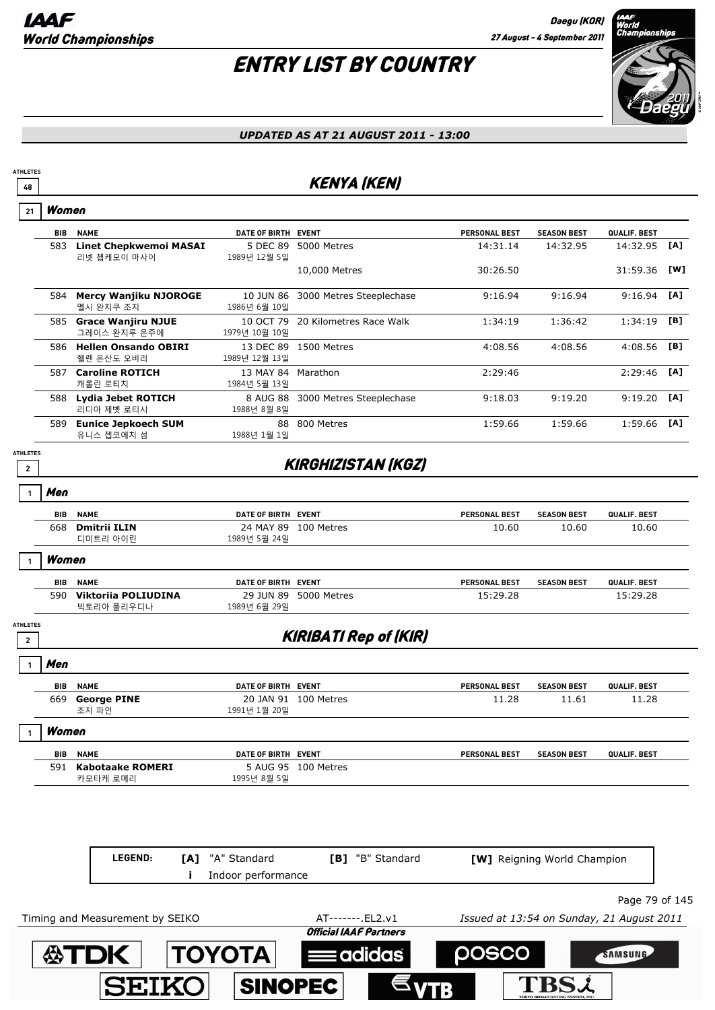

#### *UPDATED AS AT 21 AUGUST 2011 - 13:00*

### **48** KENYA (KEN)

|  | women |
|--|-------|
|--|-------|

**ATHLETES**

|                                 | BIB | <b>NAME</b>                                  | DATE OF BIRTH EVENT        |                           | <b>PERSONAL BEST</b> | <b>SEASON BEST</b> | QUALIF. BEST |     |
|---------------------------------|-----|----------------------------------------------|----------------------------|---------------------------|----------------------|--------------------|--------------|-----|
|                                 | 583 | <b>Linet Chepkwemoi MASAI</b><br>리넷 쳅케모이 마사이 | 5 DEC 89<br>1989년 12월 5일   | 5000 Metres               | 14:31.14             | 14:32.95           | 14:32.95     | [A] |
|                                 |     |                                              |                            | 10,000 Metres             | 30:26.50             |                    | 31:59.36     | [W] |
|                                 | 584 | <b>Mercy Wanjiku NJOROGE</b><br>멜시 완지쿠 조지    | 10 JUN 86<br>1986년 6월 10일  | 3000 Metres Steeplechase  | 9:16.94              | 9:16.94            | 9:16.94      | [A] |
|                                 | 585 | <b>Grace Wanjiru NJUE</b><br>그레이스 완지루 은주에    | 10 OCT 79<br>1979년 10월 10일 | 20 Kilometres Race Walk   | 1:34:19              | 1:36:42            | 1:34:19      | [B] |
|                                 | 586 | <b>Hellen Onsando OBIRI</b><br>헬렌 온산도 오비리    | 13 DEC 89<br>1989년 12월 13일 | 1500 Metres               | 4:08.56              | 4:08.56            | 4:08.56      | [B] |
|                                 | 587 | <b>Caroline ROTICH</b><br>캐롤린 로티치            | 13 MAY 84<br>1984년 5월 13일  | Marathon                  | 2:29:46              |                    | 2:29:46      | [A] |
|                                 | 588 | Lydia Jebet ROTICH<br>리디아 제벳 로티시             | 8 AUG 88<br>1988년 8월 8일    | 3000 Metres Steeplechase  | 9:18.03              | 9:19.20            | 9:19.20      | [A] |
|                                 | 589 | <b>Eunice Jepkoech SUM</b><br>유니스 젭코에치 섬     | 88<br>1988년 1월 1일          | 800 Metres                | 1:59.66              | 1:59.66            | 1:59.66      | [A] |
| <b>HLETES</b><br>$\overline{2}$ |     |                                              |                            | <b>KIRGHIZISTAN (KGZ)</b> |                      |                    |              |     |

**ATHLETES**

| l Men |                     |                     |                      |                      |                    |              |
|-------|---------------------|---------------------|----------------------|----------------------|--------------------|--------------|
| BIB   | <b>NAME</b>         | DATE OF BIRTH EVENT |                      | <b>PERSONAL BEST</b> | <b>SEASON BEST</b> | QUALIF. BEST |
| 668   | <b>Dmitrii ILIN</b> |                     | 24 MAY 89 100 Metres | 10.60                | 10.60              | 10.60        |
|       | 디미트리 아이린            | 1989년 5월 24일        |                      |                      |                    |              |
|       |                     |                     |                      |                      |                    |              |

**Women 1**

| <b>BIB</b> | <b>NAME</b>         | DATE OF BIRTH EVENT      | <b>PERSONAL BEST</b> | <b>QUALIF, BEST</b><br><b>SEASON BEST</b> |          |
|------------|---------------------|--------------------------|----------------------|-------------------------------------------|----------|
| 590        | Viktorija POLIUDINA | 29 JUN 89<br>5000 Metres | 15:29.28             |                                           | .5:29.28 |
|            | 빅토리아 폴리우디나          | 1989년 6월 29일             |                      |                                           |          |

### **<sup>2</sup>** KIRIBATI Rep of (KIR)

**ATHLETES**

Г

| Men   |                    |                     |                      |                      |                    |                     |  |
|-------|--------------------|---------------------|----------------------|----------------------|--------------------|---------------------|--|
| BIB   | <b>NAME</b>        | DATE OF BIRTH EVENT |                      | <b>PERSONAL BEST</b> | <b>SEASON BEST</b> | QUALIF. BEST        |  |
| 669   | <b>George PINE</b> |                     | 20 JAN 91 100 Metres | 11.28                | 11.61              | 11.28               |  |
|       | 조지 파인              | 1991년 1월 20일        |                      |                      |                    |                     |  |
| Women |                    |                     |                      |                      |                    |                     |  |
| BIB   | <b>NAME</b>        | DATE OF BIRTH EVENT |                      | <b>PERSONAL BEST</b> | <b>SEASON BEST</b> | <b>QUALIF, BEST</b> |  |
| 591   | Kabotaake ROMERI   |                     | 5 AUG 95 100 Metres  |                      |                    |                     |  |
|       | 카모타케 로메리           | 1995년 8월 5일         |                      |                      |                    |                     |  |

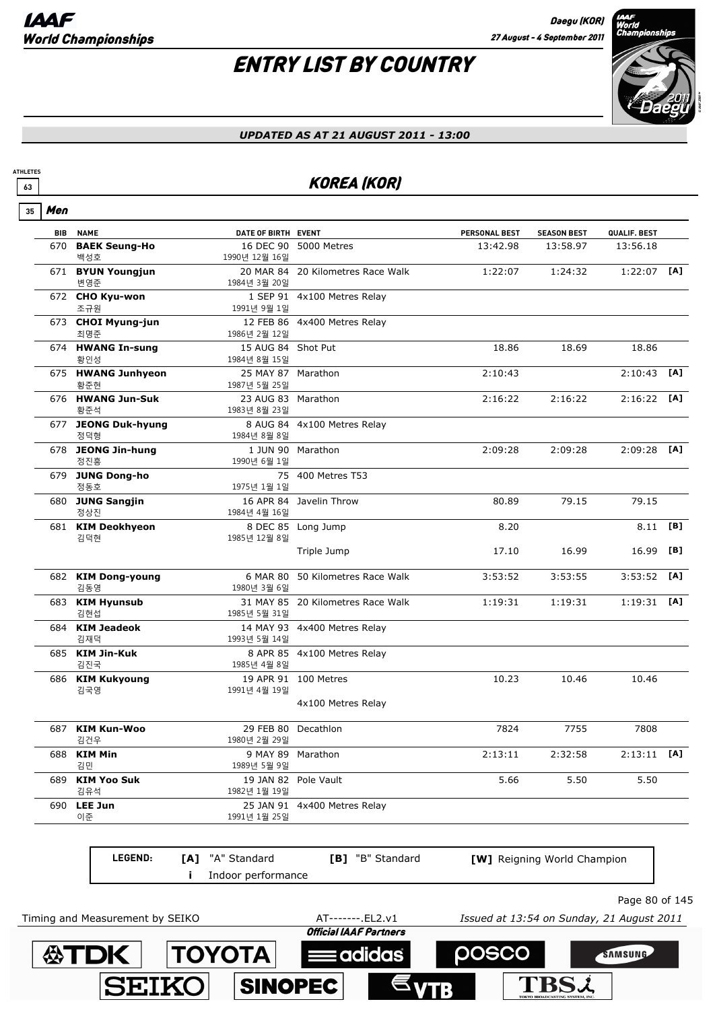# ENTRY LIST BY COUNTRY



#### *UPDATED AS AT 21 AUGUST 2011 - 13:00*

### **63** KOREA (KOR)

| 35 | Men        |                                 |                         |                                   |                      |                                           |                |     |
|----|------------|---------------------------------|-------------------------|-----------------------------------|----------------------|-------------------------------------------|----------------|-----|
|    | <b>BIB</b> | <b>NAME</b>                     | DATE OF BIRTH EVENT     |                                   | <b>PERSONAL BEST</b> | <b>SEASON BEST</b>                        | QUALIF. BEST   |     |
|    |            | 670 BAEK Seung-Ho<br>백성호        | 1990년 12월 16일           | 16 DEC 90 5000 Metres             | 13:42.98             | 13:58.97                                  | 13:56.18       |     |
|    |            | 671 BYUN Youngjun<br>변영준        | 1984년 3월 20일            | 20 MAR 84 20 Kilometres Race Walk | 1:22:07              | 1:24:32                                   | $1:22:07$ [A]  |     |
|    |            | 672 CHO Kyu-won<br>조규원          | 1991년 9월 1일             | 1 SEP 91 4x100 Metres Relay       |                      |                                           |                |     |
|    |            | 673 CHOI Myung-jun<br>최명준       | 1986년 2월 12일            | 12 FEB 86 4x400 Metres Relay      |                      |                                           |                |     |
|    |            | 674 HWANG In-sung<br>황인성        | 1984년 8월 15일            | 15 AUG 84 Shot Put                | 18.86                | 18.69                                     | 18.86          |     |
|    |            | 675 HWANG Junhyeon<br>황준현       | 1987년 5월 25일            | 25 MAY 87 Marathon                | 2:10:43              |                                           | 2:10:43        | [A] |
|    |            | 676 HWANG Jun-Suk<br>황준석        | 1983년 8월 23일            | 23 AUG 83 Marathon                | 2:16:22              | 2:16:22                                   | 2:16:22        | [A] |
|    | 677        | <b>JEONG Duk-hyung</b><br>정덕형   | 1984년 8월 8일             | 8 AUG 84 4x100 Metres Relay       |                      |                                           |                |     |
|    |            | 678 JEONG Jin-hung<br>정진흥       | 1990년 6월 1일             | 1 JUN 90 Marathon                 | 2:09:28              | 2:09:28                                   | $2:09:28$ [A]  |     |
|    |            | 679 JUNG Dong-ho<br>정동호         | 1975년 1월 1일             | 75 400 Metres T53                 |                      |                                           |                |     |
|    |            | 680 JUNG Sangjin<br>정상진         | 1984년 4월 16일            | 16 APR 84 Javelin Throw           | 80.89                | 79.15                                     | 79.15          |     |
|    |            | 681 KIM Deokhyeon<br>김덕현        | 1985년 12월 8일            | 8 DEC 85 Long Jump                | 8.20                 |                                           | 8.11           | [B] |
|    |            |                                 |                         | Triple Jump                       | 17.10                | 16.99                                     | 16.99          | [B] |
|    |            | 682 KIM Dong-young<br>김동영       | 6 MAR 80<br>1980년 3월 6일 | 50 Kilometres Race Walk           | 3:53:52              | 3:53:55                                   | 3:53:52        | [A] |
|    |            | 683 KIM Hyunsub<br>김현섭          | 1985년 5월 31일            | 31 MAY 85 20 Kilometres Race Walk | 1:19:31              | 1:19:31                                   | $1:19:31$ [A]  |     |
|    |            | 684 KIM Jeadeok<br>김재덕          | 1993년 5월 14일            | 14 MAY 93 4x400 Metres Relay      |                      |                                           |                |     |
|    |            | 685 KIM Jin-Kuk<br>김진국          | 1985년 4월 8일             | 8 APR 85 4x100 Metres Relay       |                      |                                           |                |     |
|    |            | 686 KIM Kukyoung<br>김국영         | 1991년 4월 19일            | 19 APR 91 100 Metres              | 10.23                | 10.46                                     | 10.46          |     |
|    |            |                                 |                         | 4x100 Metres Relay                |                      |                                           |                |     |
|    |            | 687 KIM Kun-Woo<br>김건우          | 1980년 2월 29일            | 29 FEB 80 Decathlon               | 7824                 | 7755                                      | 7808           |     |
|    |            | 688 KIM Min<br>김민               | 1989년 5월 9일             | 9 MAY 89 Marathon                 | 2:13:11              | 2:32:58                                   | $2:13:11$ [A]  |     |
|    |            | 689 KIM Yoo Suk<br>김유석          | 1982년 1월 19일            | 19 JAN 82 Pole Vault              | 5.66                 | 5.50                                      | 5.50           |     |
|    |            | 690 LEE Jun<br>이준               | 1991년 1월 25일            | 25 JAN 91 4x400 Metres Relay      |                      |                                           |                |     |
|    |            | LEGEND:                         | [A] "A" Standard        | [B] "B" Standard                  |                      | <b>[W]</b> Reigning World Champion        |                |     |
|    |            |                                 | Indoor performance      |                                   |                      |                                           |                |     |
|    |            |                                 |                         |                                   |                      |                                           | Page 80 of 145 |     |
|    |            | Timing and Measurement by SEIKO |                         | AT-------. EL2.v1                 |                      | Issued at 13:54 on Sunday, 21 August 2011 |                |     |

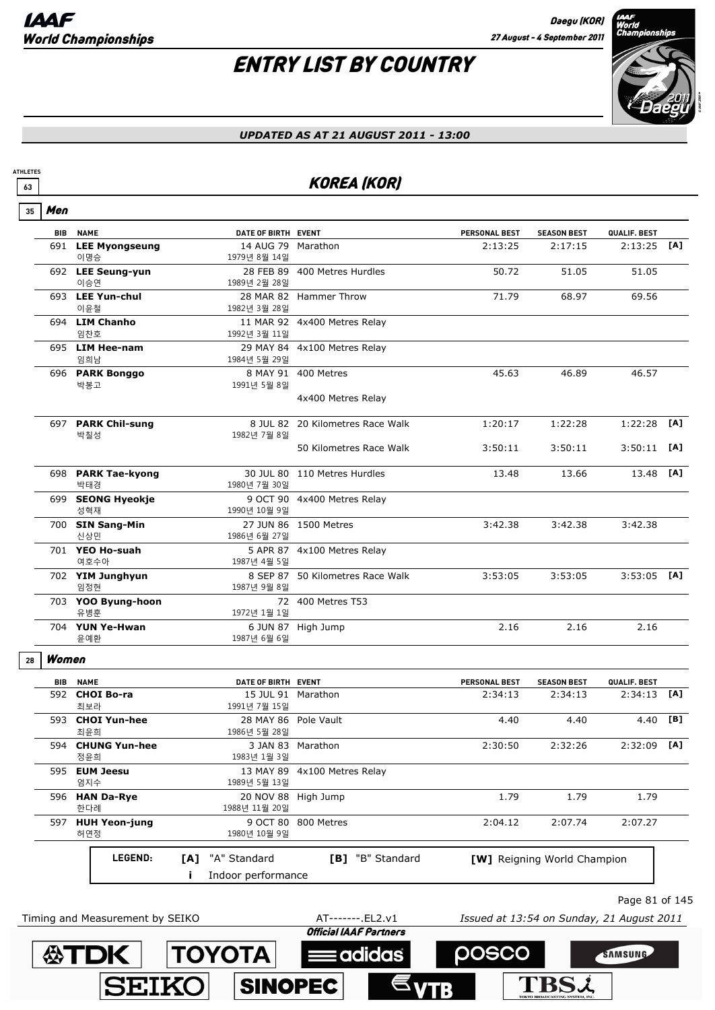# ENTRY LIST BY COUNTRY



#### *UPDATED AS AT 21 AUGUST 2011 - 13:00*

### **63** KOREA (KOR)

| 35 | Men        |                                 |     |                                      |                                            |                                           |                                    |                |     |
|----|------------|---------------------------------|-----|--------------------------------------|--------------------------------------------|-------------------------------------------|------------------------------------|----------------|-----|
|    | <b>BIB</b> | <b>NAME</b>                     |     | DATE OF BIRTH EVENT                  |                                            | <b>PERSONAL BEST</b>                      | <b>SEASON BEST</b>                 | QUALIF. BEST   |     |
|    |            | 691 LEE Myongseung<br>이명승       |     | 14 AUG 79 Marathon<br>1979년 8월 14일   |                                            | 2:13:25                                   | 2:17:15                            | 2:13:25        | [A] |
|    |            | 692 LEE Seung-yun<br>이승연        |     | 1989년 2월 28일                         | 28 FEB 89 400 Metres Hurdles               | 50.72                                     | 51.05                              | 51.05          |     |
|    |            | 693 LEE Yun-chul<br>이윤철         |     | 1982년 3월 28일                         | 28 MAR 82 Hammer Throw                     | 71.79                                     | 68.97                              | 69.56          |     |
|    |            | 694 LIM Chanho<br>임찬호           |     | 1992년 3월 11일                         | 11 MAR 92 4x400 Metres Relay               |                                           |                                    |                |     |
|    |            | 695 LIM Hee-nam<br>임희남          |     | 1984년 5월 29일                         | 29 MAY 84 4x100 Metres Relay               |                                           |                                    |                |     |
|    |            | 696 PARK Bonggo<br>박봉고          |     | 1991년 5월 8일                          | 8 MAY 91 400 Metres                        | 45.63                                     | 46.89                              | 46.57          |     |
|    |            |                                 |     |                                      | 4x400 Metres Relay                         |                                           |                                    |                |     |
|    |            | 697 PARK Chil-sung<br>박칠성       |     | 1982년 7월 8일                          | 8 JUL 82 20 Kilometres Race Walk           | 1:20:17                                   | 1:22:28                            | 1:22:28        | [A] |
|    |            |                                 |     |                                      | 50 Kilometres Race Walk                    | 3:50:11                                   | 3:50:11                            | 3:50:11        | [A] |
|    |            | 698 PARK Tae-kyong<br>박태경       |     | 1980년 7월 30일                         | 30 JUL 80 110 Metres Hurdles               | 13.48                                     | 13.66                              | 13.48          | [A] |
|    |            | 699 SEONG Hyeokje<br>성혁재        |     | 1990년 10월 9일                         | 9 OCT 90 4x400 Metres Relay                |                                           |                                    |                |     |
|    |            | 700 SIN Sang-Min<br>신상민         |     | 1986년 6월 27일                         | 27 JUN 86 1500 Metres                      | 3:42.38                                   | 3:42.38                            | 3:42.38        |     |
|    |            | 701 YEO Ho-suah<br>여호수아         |     | 1987년 4월 5일                          | 5 APR 87 4x100 Metres Relay                |                                           |                                    |                |     |
|    |            | 702 YIM Junghyun<br>임정현         |     | 1987년 9월 8일                          | 8 SEP 87 50 Kilometres Race Walk           | 3:53:05                                   | 3:53:05                            | $3:53:05$ [A]  |     |
|    |            | 703 YOO Byung-hoon<br>유병훈       |     | 1972년 1월 1일                          | 72 400 Metres T53                          |                                           |                                    |                |     |
|    |            | 704 YUN Ye-Hwan<br>윤예환          |     | 1987년 6월 6일                          | 6 JUN 87 High Jump                         | 2.16                                      | 2.16                               | 2.16           |     |
| 28 | Women      |                                 |     |                                      |                                            |                                           |                                    |                |     |
|    | BIB        | <b>NAME</b>                     |     | DATE OF BIRTH EVENT                  |                                            | PERSONAL BEST                             | <b>SEASON BEST</b>                 | QUALIF. BEST   |     |
|    |            | 592 CHOI Bo-ra<br>최보라           |     | 15 JUL 91 Marathon<br>1991년 7월 15일   |                                            | 2:34:13                                   | 2:34:13                            | 2:34:13        | [A] |
|    |            | 593 CHOI Yun-hee<br>최윤희         |     | 28 MAY 86 Pole Vault<br>1986년 5월 28일 |                                            | 4.40                                      | 4.40                               | 4.40 [B]       |     |
|    |            | 594 CHUNG Yun-hee<br>정윤희        |     | 1983년 1월 3일                          | 3 JAN 83 Marathon                          | 2:30:50                                   | 2:32:26                            | $2:32:09$ [A]  |     |
|    |            | 595 EUM Jeesu<br>엄지수            |     | 13 MAY 89<br>1989년 5월 13일            | 4x100 Metres Relay                         |                                           |                                    |                |     |
|    |            | 596 HAN Da-Rye<br>한다례           |     | 1988년 11월 20일                        | 20 NOV 88 High Jump                        | 1.79                                      | 1.79                               | 1.79           |     |
|    |            | 597 HUH Yeon-jung<br>허연정        |     | 9 OCT 80<br>1980년 10월 9일             | 800 Metres                                 | 2:04.12                                   | 2:07.74                            | 2:07.27        |     |
|    |            | LEGEND:                         | [A] | "A" Standard<br>Indoor performance   | [B] "B" Standard                           |                                           | <b>[W]</b> Reigning World Champion |                |     |
|    |            |                                 |     |                                      |                                            |                                           |                                    | Page 81 of 145 |     |
|    |            | Timing and Measurement by SEIKO |     |                                      | AT-------.EL2.v1<br>Official IAAC Pactorce | Issued at 13:54 on Sunday, 21 August 2011 |                                    |                |     |

 $\equiv$ adidas

**SINOPEC** 

posco

**TBSL** 

SAMSUNG

**ASTDK TOYOTA** 

**SEIKO**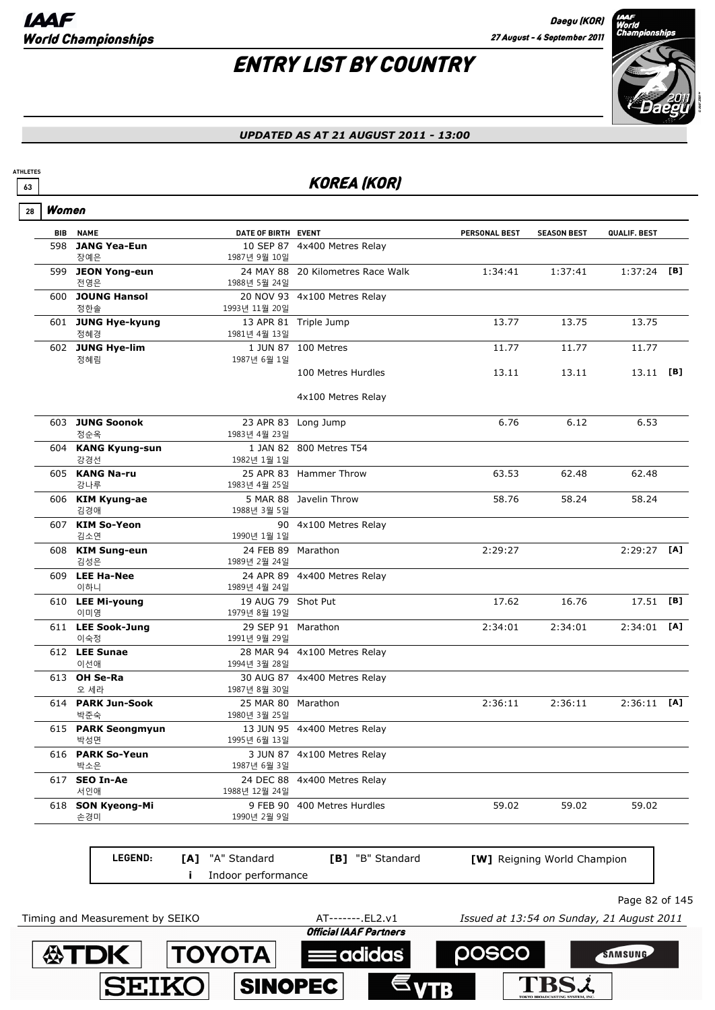I

**ATHLETES**

# ENTRY LIST BY COUNTRY



#### *UPDATED AS AT 21 AUGUST 2011 - 13:00*

### **63** KOREA (KOR)

| Women      |                            |                                    |                                   |               |                             |               |     |
|------------|----------------------------|------------------------------------|-----------------------------------|---------------|-----------------------------|---------------|-----|
| <b>BIB</b> | <b>NAME</b>                | DATE OF BIRTH EVENT                |                                   | PERSONAL BEST | <b>SEASON BEST</b>          | QUALIF. BEST  |     |
| 598        | <b>JANG Yea-Eun</b><br>장예은 | 1987년 9월 10일                       | 10 SEP 87 4x400 Metres Relay      |               |                             |               |     |
|            | 599 JEON Yong-eun<br>전영은   | 1988년 5월 24일                       | 24 MAY 88 20 Kilometres Race Walk | 1:34:41       | 1:37:41                     | 1:37:24       | [B] |
|            | 600 JOUNG Hansol<br>정한솔    | 1993년 11월 20일                      | 20 NOV 93 4x100 Metres Relay      |               |                             |               |     |
|            | 601 JUNG Hye-kyung<br>정혜경  | 1981년 4월 13일                       | 13 APR 81 Triple Jump             | 13.77         | 13.75                       | 13.75         |     |
|            | 602 JUNG Hye-lim<br>정혜림    | 1987년 6월 1일                        | 1 JUN 87 100 Metres               | 11.77         | 11.77                       | 11.77         |     |
|            |                            |                                    | 100 Metres Hurdles                | 13.11         | 13.11                       | 13.11         | [B] |
|            |                            |                                    | 4x100 Metres Relay                |               |                             |               |     |
|            | 603 JUNG Soonok<br>정순옥     | 1983년 4월 23일                       | 23 APR 83 Long Jump               | 6.76          | 6.12                        | 6.53          |     |
|            | 604 KANG Kyung-sun<br>강경선  | 1982년 1월 1일                        | 1 JAN 82 800 Metres T54           |               |                             |               |     |
|            | 605 KANG Na-ru<br>강나루      | 1983년 4월 25일                       | 25 APR 83 Hammer Throw            | 63.53         | 62.48                       | 62.48         |     |
|            | 606 KIM Kyung-ae<br>김경애    | 1988년 3월 5일                        | 5 MAR 88 Javelin Throw            | 58.76         | 58.24                       | 58.24         |     |
|            | 607 KIM So-Yeon<br>김소연     | 1990년 1월 1일                        | 90 4x100 Metres Relay             |               |                             |               |     |
|            | 608 KIM Sung-eun<br>김성은    | 24 FEB 89 Marathon<br>1989년 2월 24일 |                                   | 2:29:27       |                             | $2:29:27$ [A] |     |
|            | 609 LEE Ha-Nee<br>이하니      | 1989년 4월 24일                       | 24 APR 89 4x400 Metres Relay      |               |                             |               |     |
|            | 610 LEE Mi-young<br>이미영    | 19 AUG 79 Shot Put<br>1979년 8월 19일 |                                   | 17.62         | 16.76                       | 17.51         | [B] |
|            | 611 LEE Sook-Jung<br>이숙정   | 29 SEP 91 Marathon<br>1991년 9월 29일 |                                   | 2:34:01       | 2:34:01                     | 2:34:01       | [A] |
|            | 612 LEE Sunae<br>이선애       | 1994년 3월 28일                       | 28 MAR 94 4x100 Metres Relay      |               |                             |               |     |
|            | 613 OH Se-Ra<br>오 세라       | 1987년 8월 30일                       | 30 AUG 87 4x400 Metres Relay      |               |                             |               |     |
|            | 614 PARK Jun-Sook<br>박준숙   | 25 MAR 80<br>1980년 3월 25일          | Marathon                          | 2:36:11       | 2:36:11                     | 2:36:11       | [A] |
|            | 615 PARK Seongmyun<br>박성면  | 1995년 6월 13일                       | 13 JUN 95 4x400 Metres Relay      |               |                             |               |     |
|            | 616 PARK So-Yeun<br>박소은    | 1987년 6월 3일                        | 3 JUN 87 4x100 Metres Relay       |               |                             |               |     |
|            | 617 SEO In-Ae<br>서인애       | 1988년 12월 24일                      | 24 DEC 88 4x400 Metres Relay      |               |                             |               |     |
|            | 618 SON Kyeong-Mi<br>손경미   | 1990년 2월 9일                        | 9 FEB 90 400 Metres Hurdles       | 59.02         | 59.02                       | 59.02         |     |
|            | <b>LEGEND:</b>             | [A] "A" Standard                   | [B] "B" Standard                  |               | [W] Reigning World Champion |               |     |
|            |                            | Indoor performance                 |                                   |               |                             |               |     |

Page 82 of 145

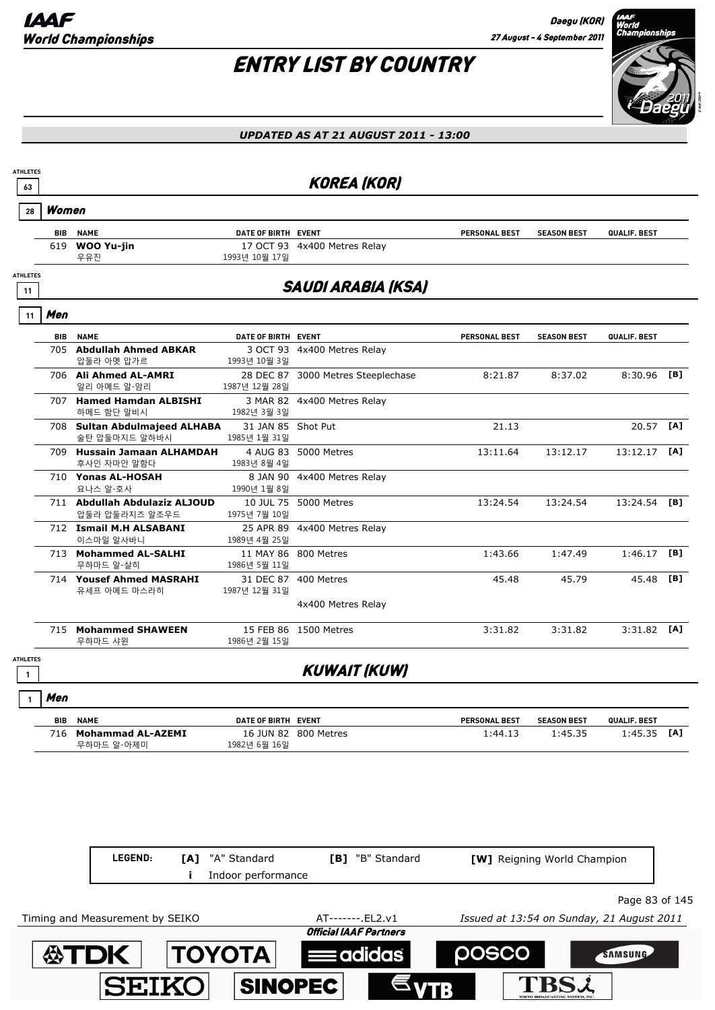

| <b>ATHLETES</b><br>63           |            |                                                 |                                    | <b>KOREA (KOR)</b>                 |                      |                    |                |     |
|---------------------------------|------------|-------------------------------------------------|------------------------------------|------------------------------------|----------------------|--------------------|----------------|-----|
| 28                              | Women      |                                                 |                                    |                                    |                      |                    |                |     |
|                                 | <b>BIB</b> | <b>NAME</b>                                     | DATE OF BIRTH EVENT                |                                    | <b>PERSONAL BEST</b> | <b>SEASON BEST</b> | QUALIF. BEST   |     |
|                                 |            | 619 WOO Yu-jin<br>우유진                           | 1993년 10월 17일                      | 17 OCT 93 4x400 Metres Relay       |                      |                    |                |     |
| <b>ATHLETES</b><br>11           |            |                                                 |                                    | <b>SAUDI ARABIA (KSA)</b>          |                      |                    |                |     |
| 11                              | Men        |                                                 |                                    |                                    |                      |                    |                |     |
|                                 |            | <b>BIB NAME</b>                                 | DATE OF BIRTH EVENT                |                                    | PERSONAL BEST        | <b>SEASON BEST</b> | QUALIF. BEST   |     |
|                                 |            | 705 Abdullah Ahmed ABKAR<br>압둘라 아멧 압가르          | 1993년 10월 3일                       | 3 OCT 93 4x400 Metres Relay        |                      |                    |                |     |
|                                 |            | 706 Ali Ahmed AL-AMRI<br>알리 아메드 알-암리            | 1987년 12월 28일                      | 28 DEC 87 3000 Metres Steeplechase | 8:21.87              | 8:37.02            | $8:30.96$ [B]  |     |
|                                 |            | 707 Hamed Hamdan ALBISHI<br>하메드 함단 알비시          | 1982년 3월 3일                        | 3 MAR 82 4x400 Metres Relay        |                      |                    |                |     |
|                                 |            | 708 Sultan Abdulmajeed ALHABA<br>술탄 압둘마지드 알하바시  | 31 JAN 85 Shot Put<br>1985년 1월 31일 |                                    | 21.13                |                    | 20.57 [A]      |     |
|                                 |            | 709 Hussain Jamaan ALHAMDAH<br>후사인 자마안 알함다      | 1983년 8월 4일                        | 4 AUG 83 5000 Metres               | 13:11.64             | 13:12.17           | $13:12.17$ [A] |     |
|                                 |            | 710 Yonas AL-HOSAH<br>요나스 알-호사                  | 1990년 1월 8일                        | 8 JAN 90 4x400 Metres Relay        |                      |                    |                |     |
|                                 |            | 711 Abdullah Abdulaziz ALJOUD<br>압둘라 압둘라지즈 알조우드 | 1975년 7월 10일                       | 10 JUL 75 5000 Metres              | 13:24.54             | 13:24.54           | 13:24.54 [B]   |     |
|                                 |            | 712 Ismail M.H ALSABANI<br>이스마일 알사바니            | 1989년 4월 25일                       | 25 APR 89 4x400 Metres Relay       |                      |                    |                |     |
|                                 |            | 713 Mohammed AL-SALHI<br>무하마드 알-살히              | 1986년 5월 11일                       | 11 MAY 86 800 Metres               | 1:43.66              | 1:47.49            | $1:46.17$ [B]  |     |
|                                 |            | 714 Yousef Ahmed MASRAHI<br>유세프 아메드 마스라히        | 1987년 12월 31일                      | 31 DEC 87 400 Metres               | 45.48                | 45.79              | 45.48          | [B] |
|                                 |            |                                                 |                                    | 4x400 Metres Relay                 |                      |                    |                |     |
|                                 |            | 715 Mohammed SHAWEEN<br>무하마드 샤윈                 | 1986년 2월 15일                       | 15 FEB 86 1500 Metres              | 3:31.82              | 3:31.82            | $3:31.82$ [A]  |     |
| <b>ATHLETES</b><br>$\mathbf{1}$ |            |                                                 |                                    | <b>KUWAIT (KUW)</b>                |                      |                    |                |     |
| $\mathbf{1}$                    | Men        |                                                 |                                    |                                    |                      |                    |                |     |
|                                 |            |                                                 |                                    |                                    |                      |                    |                |     |

| <b>BIB</b> | <b>NAME</b>       | DATE OF BIRTH EVENT |                      | <b>PERSONAL BEST</b> | <b>SEASON BEST</b> | QUALIF, BEST   |
|------------|-------------------|---------------------|----------------------|----------------------|--------------------|----------------|
| 716        | Mohammad AL-AZEMI |                     | 16 JUN 82 800 Metres | 1:44.13              | 1.4535             | [A]<br>l:45.35 |
|            | 무하마드 알-아제미        | 1982년 6월 16일        |                      |                      |                    |                |

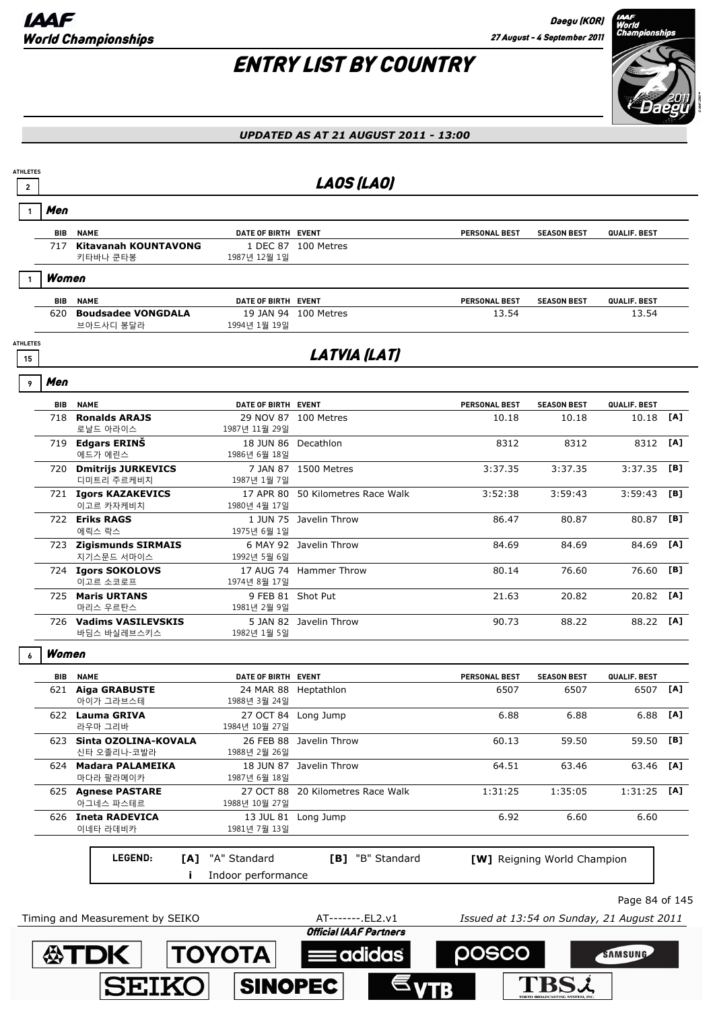

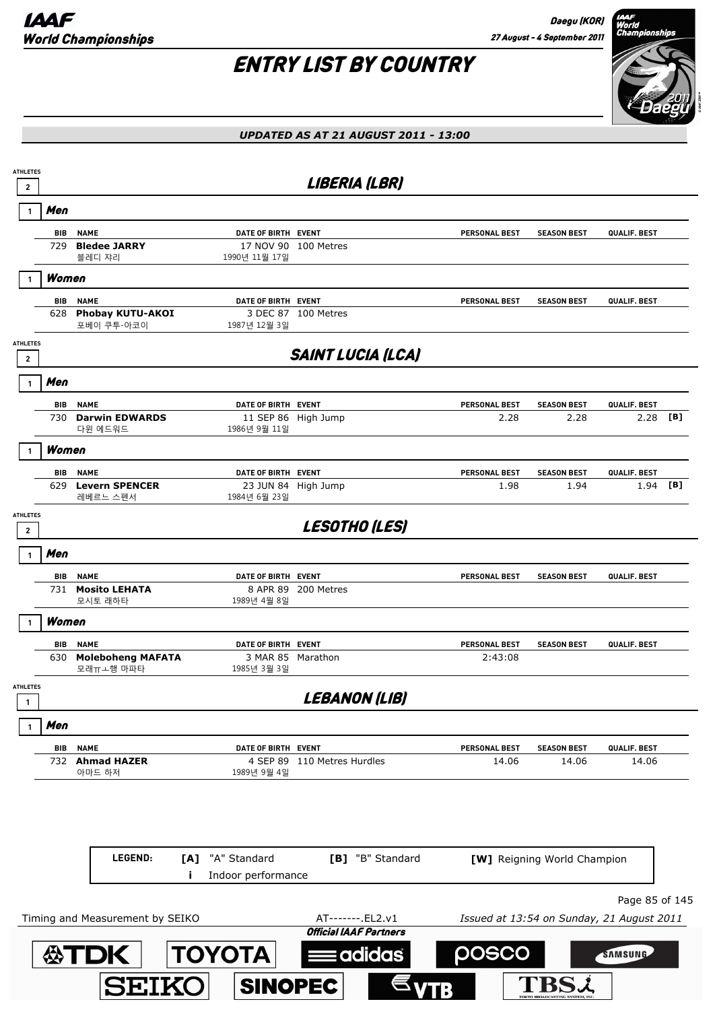

| UPDATED AS AT 21 AUGUST 2011 - 13:00 |  |  |
|--------------------------------------|--|--|
|                                      |  |  |

| <b>ATHLETES</b><br>$\mathbf{2}$   |            |                                        |                     | LIBERIA (LBR)                                      |                                           |                             |                |     |
|-----------------------------------|------------|----------------------------------------|---------------------|----------------------------------------------------|-------------------------------------------|-----------------------------|----------------|-----|
|                                   | Men        |                                        |                     |                                                    |                                           |                             |                |     |
|                                   | BIB        | <b>NAME</b>                            | DATE OF BIRTH EVENT |                                                    | PERSONAL BEST                             | <b>SEASON BEST</b>          | QUALIF. BEST   |     |
|                                   | 729        | <b>Bledee JARRY</b><br>블레디 쟈리          | 1990년 11월 17일       | 17 NOV 90 100 Metres                               |                                           |                             |                |     |
|                                   | Women      |                                        |                     |                                                    |                                           |                             |                |     |
|                                   | BIB        | <b>NAME</b><br><b>Phobay KUTU-AKOI</b> | DATE OF BIRTH EVENT | 3 DEC 87 100 Metres                                | <b>PERSONAL BEST</b>                      | <b>SEASON BEST</b>          | QUALIF. BEST   |     |
|                                   | 628        | 포베이 쿠투-아코이                             | 1987년 12월 3일        |                                                    |                                           |                             |                |     |
| <b>ATHLETES</b><br>$\overline{2}$ |            |                                        |                     | <b>SAINT LUCIA (LCA)</b>                           |                                           |                             |                |     |
|                                   | Men        |                                        |                     |                                                    |                                           |                             |                |     |
|                                   | <b>BIB</b> | <b>NAME</b>                            | DATE OF BIRTH EVENT |                                                    | <b>PERSONAL BEST</b>                      | <b>SEASON BEST</b>          | QUALIF. BEST   |     |
|                                   | 730        | <b>Darwin EDWARDS</b><br>다윈 에드워드       | 1986년 9월 11일        | 11 SEP 86 High Jump                                | 2.28                                      | 2.28                        | 2.28           | [B] |
|                                   | Women      |                                        |                     |                                                    |                                           |                             |                |     |
|                                   | <b>BIB</b> | <b>NAME</b>                            | DATE OF BIRTH EVENT |                                                    | PERSONAL BEST                             | <b>SEASON BEST</b>          | QUALIF. BEST   |     |
|                                   | 629        | <b>Levern SPENCER</b><br>레베르느 스펜서      | 1984년 6월 23일        | 23 JUN 84 High Jump                                | 1.98                                      | 1.94                        | 1.94           | [B] |
| <b>ATHLETES</b><br>$\overline{2}$ |            |                                        |                     | <b>LESOTHO (LES)</b>                               |                                           |                             |                |     |
|                                   | Men        |                                        |                     |                                                    |                                           |                             |                |     |
|                                   | BIB        | <b>NAME</b>                            | DATE OF BIRTH EVENT |                                                    | <b>PERSONAL BEST</b>                      | <b>SEASON BEST</b>          | QUALIF. BEST   |     |
|                                   | 731        | <b>Mosito LEHATA</b><br>모시토 래하타        | 1989년 4월 8일         | 8 APR 89 200 Metres                                |                                           |                             |                |     |
|                                   | Women      |                                        |                     |                                                    |                                           |                             |                |     |
|                                   | <b>BIB</b> | <b>NAME</b>                            | DATE OF BIRTH EVENT |                                                    | PERSONAL BEST                             | <b>SEASON BEST</b>          | QUALIF. BEST   |     |
|                                   | 630        | <b>Moleboheng MAFATA</b><br>모래ㅠㅗ행 마파타  | 1985년 3월 3일         | 3 MAR 85 Marathon                                  | 2:43:08                                   |                             |                |     |
| <b>ATHLETES</b>                   |            |                                        |                     | LEBANON (LIB)                                      |                                           |                             |                |     |
|                                   | Men        |                                        |                     |                                                    |                                           |                             |                |     |
|                                   | BIB        | <b>NAME</b>                            | DATE OF BIRTH EVENT |                                                    | <b>PERSONAL BEST</b>                      | <b>SEASON BEST</b>          | QUALIF. BEST   |     |
|                                   |            | 732 Ahmad HAZER<br>아마드 하저              | 1989년 9월 4일         | 4 SEP 89 110 Metres Hurdles                        | 14.06                                     | 14.06                       | 14.06          |     |
|                                   |            |                                        |                     |                                                    |                                           |                             |                |     |
|                                   |            |                                        |                     |                                                    |                                           |                             |                |     |
|                                   |            | LEGEND:<br>[A]                         | "A" Standard        | [B] "B" Standard                                   |                                           | [W] Reigning World Champion |                |     |
|                                   |            |                                        | Indoor performance  |                                                    |                                           |                             |                |     |
|                                   |            |                                        |                     |                                                    |                                           |                             | Page 85 of 145 |     |
|                                   |            | Timing and Measurement by SEIKO        |                     | AT-------. EL2.v1<br><b>Official IAAF Partners</b> | Issued at 13:54 on Sunday, 21 August 2011 |                             |                |     |
|                                   |            | <b>公丁口K</b>                            | <b>TOYOTA</b>       | adidas                                             | posco                                     |                             | SAMSUNG        |     |
|                                   |            |                                        |                     |                                                    |                                           |                             |                |     |
|                                   |            | <b>SEIKO</b>                           | <b>SINOPEC</b>      |                                                    |                                           |                             |                |     |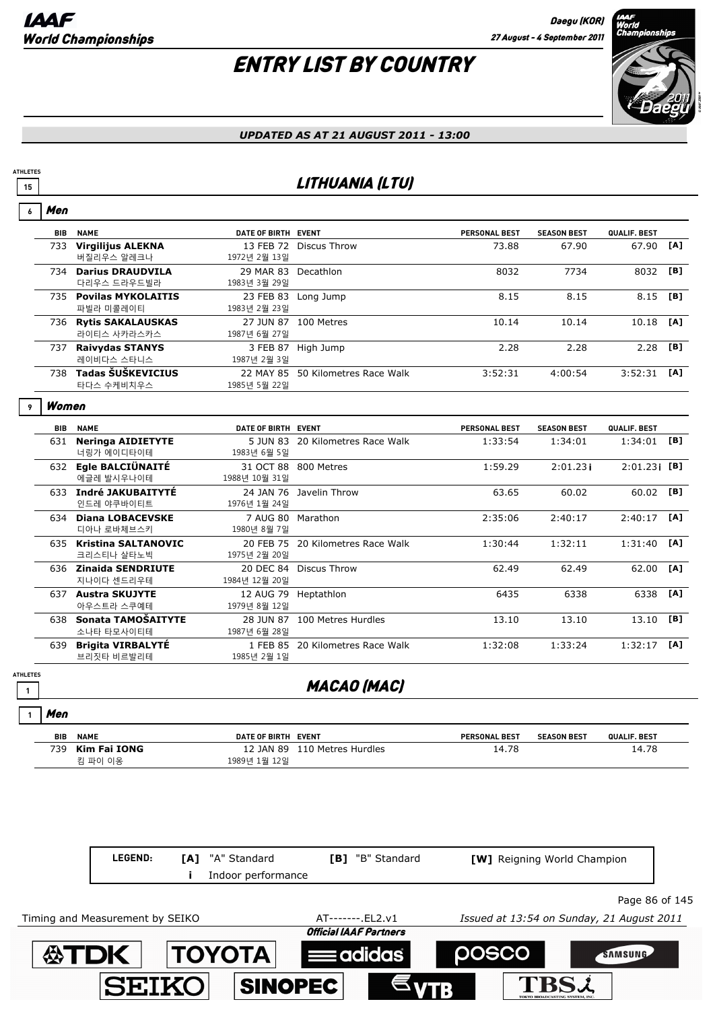### ENTRY LIST BY COUNTRY



#### *UPDATED AS AT 21 AUGUST 2011 - 13:00*

### **<sup>15</sup>** LITHUANIA (LTU)

|   | Men        |                                         |                            |                         |                      |                    |                 |     |
|---|------------|-----------------------------------------|----------------------------|-------------------------|----------------------|--------------------|-----------------|-----|
|   | BIB        | <b>NAME</b>                             | <b>DATE OF BIRTH</b>       | <b>EVENT</b>            | <b>PERSONAL BEST</b> | <b>SEASON BEST</b> | QUALIF. BEST    |     |
|   | 733        | <b>Virgilijus ALEKNA</b><br>버질리우스 알레크나  | 13 FEB 72<br>1972년 2월 13일  | Discus Throw            | 73.88                | 67.90              | 67.90           | [A] |
|   | 734        | <b>Darius DRAUDVILA</b><br>다리우스 드라우드빌라  | 29 MAR 83<br>1983년 3월 29일  | Decathlon               | 8032                 | 7734               | 8032            | [B] |
|   | 735        | <b>Povilas MYKOLAITIS</b><br>파빌라 미콜레이티  | 23 FEB 83<br>1983년 2월 23일  | Long Jump               | 8.15                 | 8.15               | 8.15            | [B] |
|   | 736        | <b>Rytis SAKALAUSKAS</b><br>라이티스 사카라스카스 | 27 JUN 87<br>1987년 6월 27일  | 100 Metres              | 10.14                | 10.14              | 10.18           | [A] |
|   | 737        | <b>Raivydas STANYS</b><br>레이비다스 스타니스    | 3 FEB 87<br>1987년 2월 3일    | High Jump               | 2.28                 | 2.28               | 2.28            | [B] |
|   | 738        | Tadas ŠUŠKEVICIUS<br>타다스 수케비치우스         | 22 MAY 85<br>1985년 5월 22일  | 50 Kilometres Race Walk | 3:52:31              | 4:00:54            | 3:52:31         | [A] |
| 9 | Women      |                                         |                            |                         |                      |                    |                 |     |
|   | <b>BIB</b> | <b>NAME</b>                             | <b>DATE OF BIRTH</b>       | <b>EVENT</b>            | <b>PERSONAL BEST</b> | <b>SEASON BEST</b> | QUALIF. BEST    |     |
|   | 631        | <b>Neringa AIDIETYTE</b><br>너링가 에이디타이테  | 5 JUN 83<br>1983년 6월 5일    | 20 Kilometres Race Walk | 1:33:54              | 1:34:01            | 1:34:01         | [B] |
|   | 632        | <b>Egle BALCIÜNAITÉ</b><br>에글레 발시우나이테   | 31 OCT 88<br>1988년 10월 31일 | 800 Metres              | 1:59.29              | $2:01.23$ i        | $2:01.23$ i [B] |     |
|   |            | 633 Todré JAVIIRATTVTÉ                  |                            | 24 JAN 76 Javelin Throw | <b>63 65</b>         | 60.02              | 60. QQ          | FR1 |

| 633 | Indré JAKUBAITYTÉ<br>인드레 야쿠바이티트          | 1976년 1월 24일               | 24 JAN 76 Javelin Throw           | 63.65   | 60.02   | 60.02     | [B] |
|-----|------------------------------------------|----------------------------|-----------------------------------|---------|---------|-----------|-----|
|     | 634 Diana LOBACEVSKE<br>디아나 로바체브스키       | 7 AUG 80<br>1980년 8월 7일    | Marathon                          | 2:35:06 | 2:40:17 | 2:40:17   | [A] |
| 635 | <b>Kristina SALTANOVIC</b><br>크리스티나 살타노빅 | 1975년 2월 20일               | 20 FEB 75 20 Kilometres Race Walk | 1:30:44 | 1:32:11 | 1:31:40   | [A] |
|     | 636 Zinaida SENDRIUTE<br>지나이다 센드리우테      | 20 DEC 84<br>1984년 12월 20일 | Discus Throw                      | 62.49   | 62.49   | 62.00     | [A] |
| 637 | <b>Austra SKUJYTE</b><br>아우스트라 스쿠예테      | 1979년 8월 12일               | 12 AUG 79 Heptathlon              | 6435    | 6338    | 6338      | [A] |
|     | 638 Sonata TAMOŠAITYTE<br>소나타 타모사이티테     | 28 JUN 87<br>1987년 6월 28일  | 100 Metres Hurdles                | 13.10   | 13.10   | 13.10 [B] |     |
| 639 | <b>Brigita VIRBALYTÉ</b><br>브리짓타 비르발리테   | 1 FEB 85<br>1985년 2월 1일    | 20 Kilometres Race Walk           | 1:32:08 | 1:33:24 | 1:32:17   | [A] |

### **1 1 MACAO (MAC)**

Men **1**

**ATHLETES**

#### **BIB NAME EVENT DATE OF BIRTH PERSONAL BEST SEASON BEST QUALIF. BEST** 739 **Kim Fai IONG** 12 JAN 89 110 Metres Hurdles 14.78 14.78 14.78 킴 파이 이옹 1989년 1월 12일

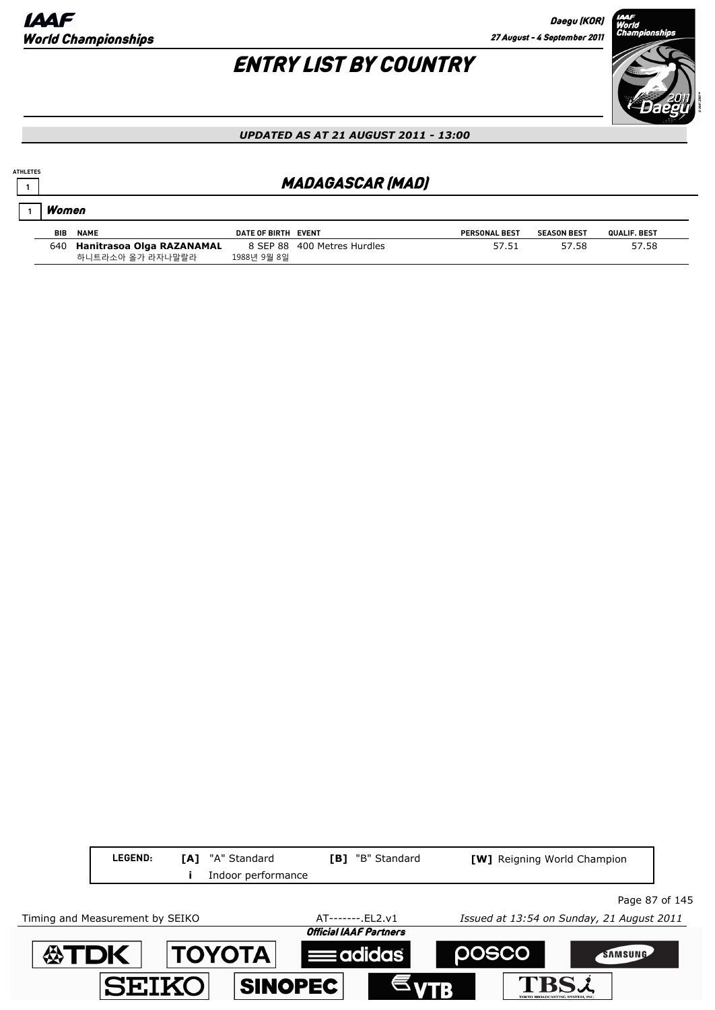**1**

Women

# ENTRY LIST BY COUNTRY



#### *UPDATED AS AT 21 AUGUST 2011 - 13:00*

### **<sup>1</sup>** MADAGASCAR (MAD)

| <b>BIB</b> | <b>NAME</b>               | DATE OF BIRTH EVENT |                    | <b>PERSONAL BEST</b> | <b>SEASON BEST</b> | <b>QUALIF, BEST</b> |
|------------|---------------------------|---------------------|--------------------|----------------------|--------------------|---------------------|
| 640        | Hanitrasoa Olga RAZANAMAL | 8 SEP 88            | 400 Metres Hurdles |                      | '.58               | 57.58               |
|            | 하니트라소아 올가 라자나말랄라          | 1988년 9월 8일         |                    |                      |                    |                     |

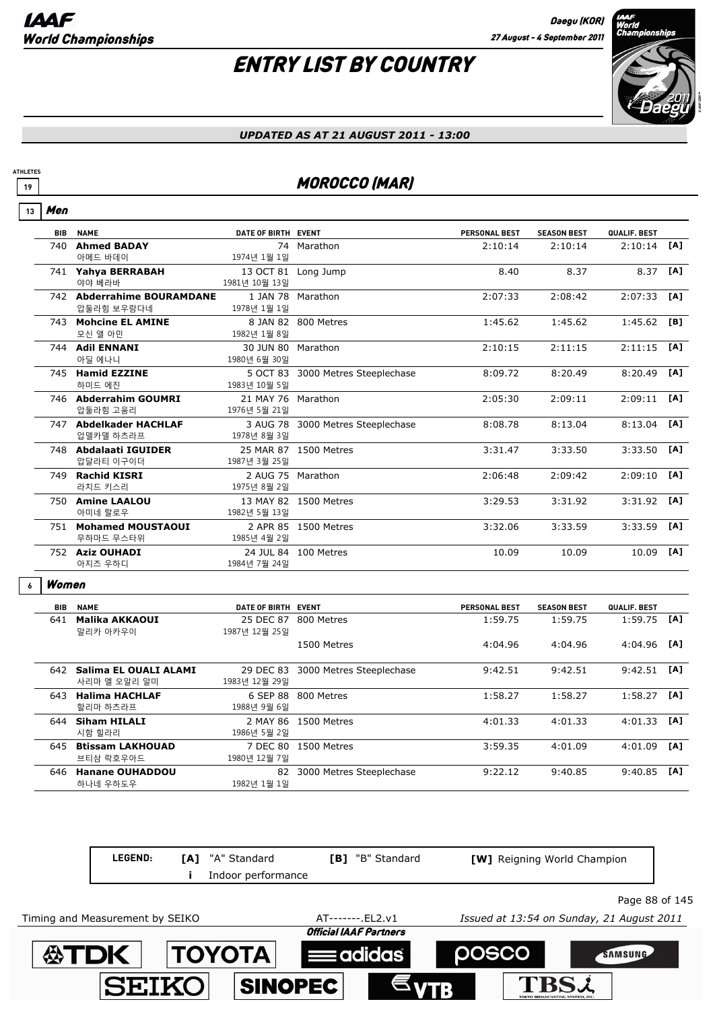

#### *UPDATED AS AT 21 AUGUST 2011 - 13:00*

### **19 MOROCCO (MAR)**

#### Men **13**

**ATHLETES**

| <b>BIB</b> | <b>NAME</b>                | DATE OF BIRTH EVENT |                          | <b>PERSONAL BEST</b> | <b>SEASON BEST</b> | QUALIF. BEST  |     |
|------------|----------------------------|---------------------|--------------------------|----------------------|--------------------|---------------|-----|
| 740        | <b>Ahmed BADAY</b>         |                     | 74 Marathon              | 2:10:14              | 2:10:14            | 2:10:14       | [A] |
|            | 아메드 바데이                    | 1974년 1월 1일         |                          |                      |                    |               |     |
|            | 741 Yahya BERRABAH         |                     | 13 OCT 81 Long Jump      | 8.40                 | 8.37               | 8.37          | [A] |
|            | 야야 베라바                     | 1981년 10월 13일       |                          |                      |                    |               |     |
|            | 742 Abderrahime BOURAMDANE | 1 JAN 78            | Marathon                 | 2:07:33              | 2:08:42            | 2:07:33       | [A] |
|            | 압둘라힘 보우람다네                 | 1978년 1월 1일         |                          |                      |                    |               |     |
|            | 743 Mohcine EL AMINE       |                     | 8 JAN 82 800 Metres      | 1:45.62              | 1:45.62            | 1:45.62       | [B] |
|            | 모신 앨 아민                    | 1982년 1월 8일         |                          |                      |                    |               |     |
|            | 744 Adil ENNANI            | 30 JUN 80 Marathon  |                          | 2:10:15              | 2:11:15            | 2:11:15       | [A] |
|            | 아딜 에나니                     | 1980년 6월 30일        |                          |                      |                    |               |     |
|            | 745 Hamid EZZINE           | 5 OCT 83            | 3000 Metres Steeplechase | 8:09.72              | 8:20.49            | 8:20.49       | [A] |
|            | 하미드 에진                     | 1983년 10월 5일        |                          |                      |                    |               |     |
|            | 746 Abderrahim GOUMRI      | 21 MAY 76 Marathon  |                          | 2:05:30              | 2:09:11            | 2:09:11       | [A] |
|            | 압둘라힘 고움리                   | 1976년 5월 21일        |                          |                      |                    |               |     |
|            | 747 Abdelkader HACHLAF     | 3 AUG 78            | 3000 Metres Steeplechase | 8:08.78              | 8:13.04            | 8:13.04       | [A] |
|            | 압델카델 하츠라프                  | 1978년 8월 3일         |                          |                      |                    |               |     |
|            | 748 Abdalaati IGUIDER      |                     | 25 MAR 87 1500 Metres    | 3:31.47              | 3:33.50            | 3:33.50       | [A] |
|            | 압달라티 이구이더                  | 1987년 3월 25일        |                          |                      |                    |               |     |
|            | 749 Rachid KISRI           |                     | 2 AUG 75 Marathon        | 2:06:48              | 2:09:42            | 2:09:10       | [A] |
|            | 라치드 키스리                    | 1975년 8월 2일         |                          |                      |                    |               |     |
|            | 750 Amine LAALOU           |                     | 13 MAY 82 1500 Metres    | 3:29.53              | 3:31.92            | $3:31.92$ [A] |     |
|            | 아미네 랄로우                    | 1982년 5월 13일        |                          |                      |                    |               |     |
|            | 751 Mohamed MOUSTAOUI      |                     | 2 APR 85 1500 Metres     | 3:32.06              | 3:33.59            | 3:33.59       | [A] |
|            | 무하마드 무스타위                  | 1985년 4월 2일         |                          |                      |                    |               |     |
|            | 752 Aziz OUHADI            |                     | 24 JUL 84 100 Metres     | 10.09                | 10.09              | 10.09         | [A] |
|            | 아지즈 우하디                    | 1984년 7월 24일        |                          |                      |                    |               |     |

#### Women **6**

| BIB | <b>NAME</b>                           | DATE OF BIRTH EVENT        |                          | <b>PERSONAL BEST</b> | <b>SEASON BEST</b> | QUALIF. BEST |     |
|-----|---------------------------------------|----------------------------|--------------------------|----------------------|--------------------|--------------|-----|
| 641 | Malika AKKAOUI<br>말리카 아카우이            | 25 DEC 87<br>1987년 12월 25일 | 800 Metres               | 1:59.75              | 1:59.75            | 1:59.75      | [A] |
|     |                                       |                            | 1500 Metres              | 4:04.96              | 4:04.96            | 4:04.96      | [A] |
| 642 | Salima EL OUALI ALAMI<br>사리마 엘 오알리 알미 | 29 DEC 83<br>1983년 12월 29일 | 3000 Metres Steeplechase | 9:42.51              | 9:42.51            | 9:42.51      | [A] |
| 643 | <b>Halima HACHLAF</b><br>할리마 하츠라프     | 6 SEP 88<br>1988년 9월 6일    | 800 Metres               | 1:58.27              | 1:58.27            | 1:58.27      | TA1 |
| 644 | <b>Siham HILALI</b><br>시함 힐라리         | 2 MAY 86<br>1986년 5월 2일    | 1500 Metres              | 4:01.33              | 4:01.33            | 4:01.33      | [A] |
| 645 | <b>Btissam LAKHOUAD</b><br>브티삼 락호우아드  | 7 DEC 80<br>1980년 12월 7일   | 1500 Metres              | 3:59.35              | 4:01.09            | 4:01.09      | [A] |
| 646 | <b>Hanane OUHADDOU</b><br>하나네 우하도우    | 82<br>1982년 1월 1일          | 3000 Metres Steeplechase | 9:22.12              | 9:40.85            | 9:40.85      | [A] |

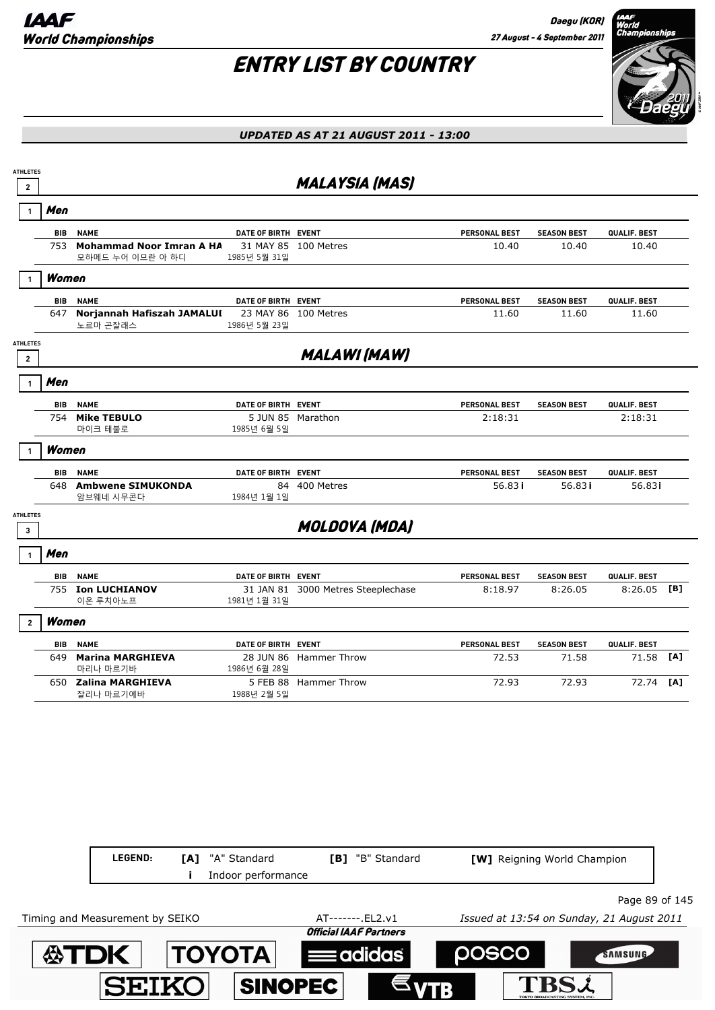

| $\mathbf{2}$                    |            |                                                     |                           |                                    |                      |                    |               |     |
|---------------------------------|------------|-----------------------------------------------------|---------------------------|------------------------------------|----------------------|--------------------|---------------|-----|
|                                 |            |                                                     |                           | <b>MALAYSIA (MAS)</b>              |                      |                    |               |     |
|                                 | Men        |                                                     |                           |                                    |                      |                    |               |     |
|                                 | <b>BIB</b> | <b>NAME</b>                                         | DATE OF BIRTH EVENT       |                                    | <b>PERSONAL BEST</b> | <b>SEASON BEST</b> | QUALIF. BEST  |     |
|                                 | 753        | <b>Mohammad Noor Imran A HA</b><br>모하메드 누어 이므란 아 하디 | 1985년 5월 31일              | 31 MAY 85 100 Metres               | 10.40                | 10.40              | 10.40         |     |
|                                 | Women      |                                                     |                           |                                    |                      |                    |               |     |
|                                 | <b>BIB</b> | <b>NAME</b>                                         | DATE OF BIRTH EVENT       |                                    | <b>PERSONAL BEST</b> | <b>SEASON BEST</b> | QUALIF. BEST  |     |
|                                 | 647        | Norjannah Hafiszah JAMALUI<br>노르마 곤잘래스              | 23 MAY 86<br>1986년 5월 23일 | 100 Metres                         | 11.60                | 11.60              | 11.60         |     |
| <b>ATHLETES</b><br>$\mathbf{2}$ |            |                                                     |                           | <b>MALAWI (MAW)</b>                |                      |                    |               |     |
| -1                              | Men        |                                                     |                           |                                    |                      |                    |               |     |
|                                 | BIB        | <b>NAME</b>                                         | DATE OF BIRTH EVENT       |                                    | PERSONAL BEST        | <b>SEASON BEST</b> | QUALIF. BEST  |     |
|                                 | 754        | <b>Mike TEBULO</b><br>마이크 테불로                       | 1985년 6월 5일               | 5 JUN 85 Marathon                  | 2:18:31              |                    | 2:18:31       |     |
|                                 | Women      |                                                     |                           |                                    |                      |                    |               |     |
|                                 | BIB        | <b>NAME</b>                                         | DATE OF BIRTH EVENT       |                                    | <b>PERSONAL BEST</b> | <b>SEASON BEST</b> | QUALIF. BEST  |     |
|                                 | 648        | <b>Ambwene SIMUKONDA</b><br>암브웨네 시무콘다               | 1984년 1월 1일               | 84 400 Metres                      | 56.83 i              | 56.83i             | 56.83i        |     |
| <b>ATHLETES</b><br>3            |            |                                                     |                           | <b>MOLDOVA (MDA)</b>               |                      |                    |               |     |
|                                 | Men        |                                                     |                           |                                    |                      |                    |               |     |
|                                 | <b>BIB</b> | <b>NAME</b>                                         | DATE OF BIRTH EVENT       |                                    | PERSONAL BEST        | <b>SEASON BEST</b> | QUALIF. BEST  |     |
|                                 |            | 755 Ion LUCHIANOV<br>이온 루치아노프                       | 1981년 1월 31일              | 31 JAN 81 3000 Metres Steeplechase | 8:18.97              | 8:26.05            | $8:26.05$ [B] |     |
|                                 | Women      |                                                     |                           |                                    |                      |                    |               |     |
|                                 | BIB        | <b>NAME</b>                                         | DATE OF BIRTH EVENT       |                                    | PERSONAL BEST        | <b>SEASON BEST</b> | QUALIF. BEST  |     |
|                                 | 649        | <b>Marina MARGHIEVA</b><br>마리나 마르기바                 | 1986년 6월 28일              | 28 JUN 86 Hammer Throw             | 72.53                | 71.58              | 71.58         | [A] |
|                                 |            | 650 Zalina MARGHIEVA                                |                           | 5 FEB 88 Hammer Throw              | 72.93                | 72.93              | 72.74         | [A] |

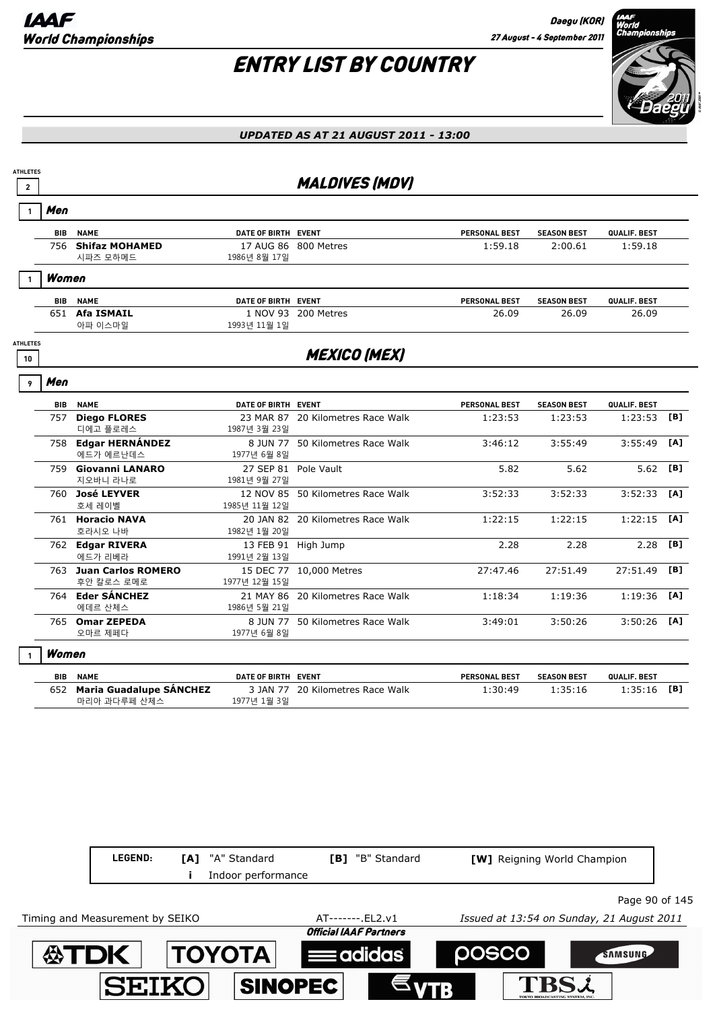

#### *UPDATED AS AT 21 AUGUST 2011 - 13:00*



Timing and Measurement by SEIKO AT-------.EL2.v1 *Issued at 13:54 on Sunday, 21 August 2011*

ΤΟΥΟΤΑ

**SINOPEC** 

SEIK(

∰TDI

**Official IAAF Partners** 

adidas

**DOSCO** 

TBSL

**SAMSUNG**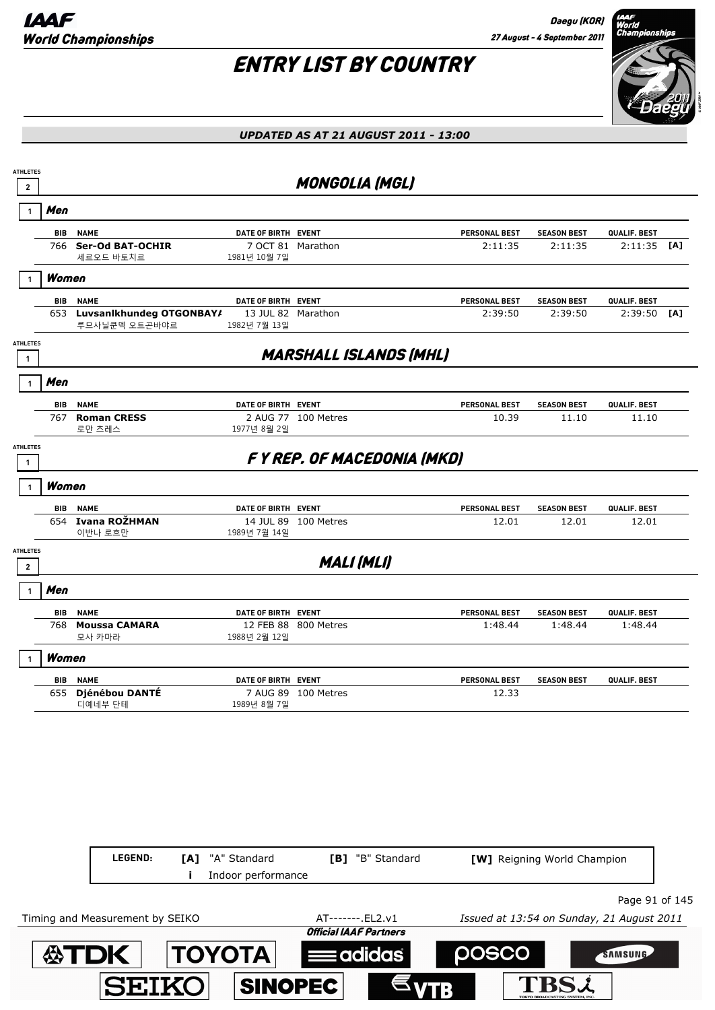**ATDK TOYOTA** 

**SEIKO** 

# ENTRY LIST BY COUNTRY



#### *UPDATED AS AT 21 AUGUST 2011 - 13:00*

| <b>ATHLETES</b><br>$\mathbf 2$  |            |                                               |                                    | <b>MONGOLIA (MGL)</b>         |                      |                                           |                |     |
|---------------------------------|------------|-----------------------------------------------|------------------------------------|-------------------------------|----------------------|-------------------------------------------|----------------|-----|
|                                 | Men        |                                               |                                    |                               |                      |                                           |                |     |
|                                 | BIB        | <b>NAME</b>                                   | DATE OF BIRTH EVENT                |                               | PERSONAL BEST        | <b>SEASON BEST</b>                        | QUALIF. BEST   |     |
|                                 | 766        | <b>Ser-Od BAT-OCHIR</b><br>세르오드 바토치르          | 7 OCT 81 Marathon<br>1981년 10월 7일  |                               | 2:11:35              | 2:11:35                                   | 2:11:35        | [A] |
|                                 | Women      |                                               |                                    |                               |                      |                                           |                |     |
|                                 | BIB        | <b>NAME</b>                                   | DATE OF BIRTH EVENT                |                               | PERSONAL BEST        | <b>SEASON BEST</b>                        | QUALIF. BEST   |     |
|                                 |            | 653 Luvsanlkhundeg OTGONBAY/<br>루므사닐쿤덱 오트곤바야르 | 13 JUL 82 Marathon<br>1982년 7월 13일 |                               | 2:39:50              | 2:39:50                                   | 2:39:50        | [A] |
| <b>ATHLETES</b><br>$\mathbf{1}$ |            |                                               |                                    | <b>MARSHALL ISLANDS (MHL)</b> |                      |                                           |                |     |
|                                 | Men        |                                               |                                    |                               |                      |                                           |                |     |
|                                 | <b>BIB</b> | <b>NAME</b>                                   | DATE OF BIRTH EVENT                |                               | <b>PERSONAL BEST</b> | <b>SEASON BEST</b>                        | QUALIF. BEST   |     |
|                                 | 767        | <b>Roman CRESS</b><br>로만 츠레스                  | 1977년 8월 2일                        | 2 AUG 77 100 Metres           | 10.39                | 11.10                                     | 11.10          |     |
| <b>ATHLETES</b><br>1            |            |                                               |                                    | FY REP. OF MACEDONIA (MKD)    |                      |                                           |                |     |
|                                 | Women      |                                               |                                    |                               |                      |                                           |                |     |
|                                 |            | <b>BIB NAME</b>                               | DATE OF BIRTH EVENT                |                               | PERSONAL BEST        | <b>SEASON BEST</b>                        | QUALIF. BEST   |     |
|                                 |            | 654 Ivana ROŽHMAN<br>이반나 로흐만                  | 1989년 7월 14일                       | 14 JUL 89 100 Metres          | 12.01                | 12.01                                     | 12.01          |     |
| <b>ATHLETES</b><br>$\mathbf{2}$ |            |                                               |                                    | <b>MALI (MLI)</b>             |                      |                                           |                |     |
|                                 | Men        |                                               |                                    |                               |                      |                                           |                |     |
|                                 | <b>BIB</b> | <b>NAME</b>                                   | DATE OF BIRTH EVENT                |                               | PERSONAL BEST        | <b>SEASON BEST</b>                        | QUALIF. BEST   |     |
|                                 | 768        | <b>Moussa CAMARA</b><br>모사 카마라                | 1988년 2월 12일                       | 12 FEB 88 800 Metres          | 1:48.44              | 1:48.44                                   | 1:48.44        |     |
|                                 | Women      |                                               |                                    |                               |                      |                                           |                |     |
|                                 | <b>BIB</b> | <b>NAME</b>                                   | DATE OF BIRTH EVENT                |                               | <b>PERSONAL BEST</b> | <b>SEASON BEST</b>                        | QUALIF. BEST   |     |
|                                 | 655        | Djénébou DANTÉ<br>디예네부 단테                     | 1989년 8월 7일                        | 7 AUG 89 100 Metres           | 12.33                |                                           |                |     |
|                                 |            |                                               |                                    |                               |                      |                                           |                |     |
|                                 |            |                                               |                                    |                               |                      |                                           |                |     |
|                                 |            |                                               |                                    |                               |                      |                                           |                |     |
|                                 |            |                                               |                                    |                               |                      |                                           |                |     |
|                                 |            |                                               |                                    |                               |                      |                                           |                |     |
|                                 |            | LEGEND:<br>[A]                                | "A" Standard<br>Indoor performance | [B] "B" Standard              |                      | [W] Reigning World Champion               |                |     |
|                                 |            |                                               |                                    |                               |                      |                                           | Page 91 of 145 |     |
|                                 |            | Timing and Measurement by SEIKO               |                                    | AT-------. EL2.v1             |                      | Issued at 13:54 on Sunday, 21 August 2011 |                |     |
|                                 |            |                                               |                                    | <b>Official IAAF Partners</b> |                      |                                           |                |     |

**Eadidas** 

**SINOPEC** 

posco

**TBSL** 

SAMSUNG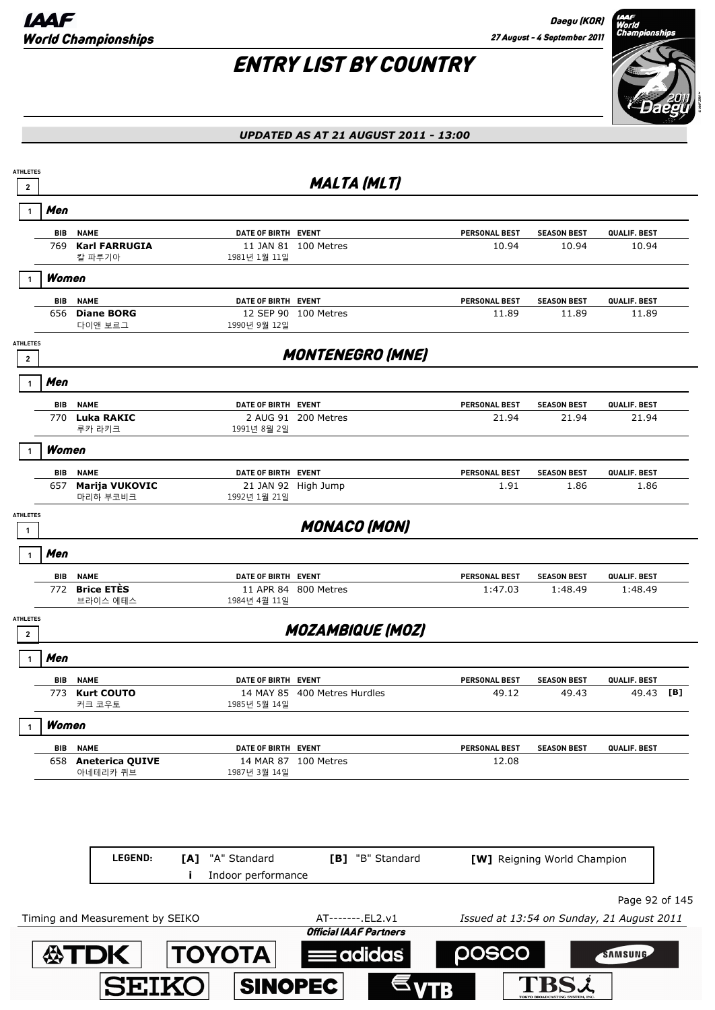

| <b>ATHLETES</b><br>$\mathbf{2}$ |                   |                                       |                                                 | <b>MALTA (MLT)</b>            |                                           |                             |                       |     |
|---------------------------------|-------------------|---------------------------------------|-------------------------------------------------|-------------------------------|-------------------------------------------|-----------------------------|-----------------------|-----|
|                                 | Men               |                                       |                                                 |                               |                                           |                             |                       |     |
|                                 | <b>BIB</b>        | <b>NAME</b>                           | DATE OF BIRTH EVENT                             |                               | PERSONAL BEST                             | <b>SEASON BEST</b>          | QUALIF. BEST          |     |
|                                 | 769               | <b>Karl FARRUGIA</b><br>칼 파루기아        | 1981년 1월 11일                                    | 11 JAN 81 100 Metres          | 10.94                                     | 10.94                       | 10.94                 |     |
|                                 | Women             |                                       |                                                 |                               |                                           |                             |                       |     |
|                                 |                   |                                       |                                                 |                               |                                           |                             |                       |     |
|                                 | <b>BIB</b><br>656 | <b>NAME</b><br><b>Diane BORG</b>      | DATE OF BIRTH EVENT                             | 12 SEP 90 100 Metres          | <b>PERSONAL BEST</b><br>11.89             | <b>SEASON BEST</b><br>11.89 | QUALIF. BEST<br>11.89 |     |
| <b>ATHLETES</b>                 |                   | 다이앤 보르그                               | 1990년 9월 12일                                    |                               |                                           |                             |                       |     |
| $\mathbf 2$                     |                   |                                       |                                                 | <b>MONTENEGRO (MNE)</b>       |                                           |                             |                       |     |
| 1                               | Men               |                                       |                                                 |                               |                                           |                             |                       |     |
|                                 | BIB               | <b>NAME</b>                           | DATE OF BIRTH EVENT                             |                               | <b>PERSONAL BEST</b>                      | <b>SEASON BEST</b>          | QUALIF. BEST          |     |
|                                 | 770               | Luka RAKIC<br>루카 라키크                  | 1991년 8월 2일                                     | 2 AUG 91 200 Metres           | 21.94                                     | 21.94                       | 21.94                 |     |
|                                 | Women             |                                       |                                                 |                               |                                           |                             |                       |     |
|                                 | BIB               | <b>NAME</b>                           | DATE OF BIRTH EVENT                             |                               | PERSONAL BEST                             | <b>SEASON BEST</b>          | QUALIF. BEST          |     |
|                                 | 657               | Marija VUKOVIC<br>마리하 부코비크            | 1992년 1월 21일                                    | 21 JAN 92 High Jump           | 1.91                                      | 1.86                        | 1.86                  |     |
| <b>ATHLETES</b>                 |                   |                                       |                                                 |                               |                                           |                             |                       |     |
| 1                               |                   |                                       |                                                 | <b>MONACO (MON)</b>           |                                           |                             |                       |     |
|                                 | Men               |                                       |                                                 |                               |                                           |                             |                       |     |
|                                 | BIB               | <b>NAME</b>                           | DATE OF BIRTH EVENT                             |                               | PERSONAL BEST                             | <b>SEASON BEST</b>          | QUALIF. BEST          |     |
|                                 | 772               | <b>Brice ETÈS</b><br>브라이스 에테스         | 1984년 4월 11일                                    | 11 APR 84 800 Metres          | 1:47.03                                   | 1:48.49                     | 1:48.49               |     |
| <b>ATHLETES</b>                 |                   |                                       |                                                 | <b>MOZAMBIQUE (MOZ)</b>       |                                           |                             |                       |     |
| $\mathbf{2}$                    |                   |                                       |                                                 |                               |                                           |                             |                       |     |
|                                 | Men               |                                       |                                                 |                               |                                           |                             |                       |     |
|                                 | BIB<br>773        | <b>NAME</b><br><b>Kurt COUTO</b>      | DATE OF BIRTH EVENT                             | 14 MAY 85 400 Metres Hurdles  | <b>PERSONAL BEST</b><br>49.12             | <b>SEASON BEST</b><br>49.43 | QUALIF. BEST<br>49.43 | [B] |
|                                 |                   | 커크 코우토                                | 1985년 5월 14일                                    |                               |                                           |                             |                       |     |
|                                 | Women             |                                       |                                                 |                               |                                           |                             |                       |     |
|                                 | BIB<br>658        | <b>NAME</b><br><b>Aneterica QUIVE</b> | DATE OF BIRTH EVENT                             | 14 MAR 87 100 Metres          | PERSONAL BEST<br>12.08                    | <b>SEASON BEST</b>          | QUALIF. BEST          |     |
|                                 |                   | 아네테리카 퀴브                              | 1987년 3월 14일                                    |                               |                                           |                             |                       |     |
|                                 |                   |                                       |                                                 |                               |                                           |                             |                       |     |
|                                 |                   |                                       |                                                 |                               |                                           |                             |                       |     |
|                                 |                   |                                       |                                                 |                               |                                           |                             |                       |     |
|                                 |                   | LEGEND:                               | "A" Standard<br>[A]<br>Indoor performance<br>Ĩ. | [B] "B" Standard              |                                           | [W] Reigning World Champion |                       |     |
|                                 |                   |                                       |                                                 |                               |                                           |                             | Page 92 of 145        |     |
|                                 |                   | Timing and Measurement by SEIKO       |                                                 | AT-------. EL2.v1             | Issued at 13:54 on Sunday, 21 August 2011 |                             |                       |     |
|                                 |                   |                                       |                                                 | <b>Official IAAF Partners</b> |                                           |                             |                       |     |
|                                 |                   | <b>公TDK</b>                           | <b>TOYOTA</b>                                   | adidas:                       | posco                                     |                             | SAMSUNG               |     |
|                                 |                   | <b>SEIKO</b>                          | <b>SINOPEC</b>                                  |                               |                                           |                             |                       |     |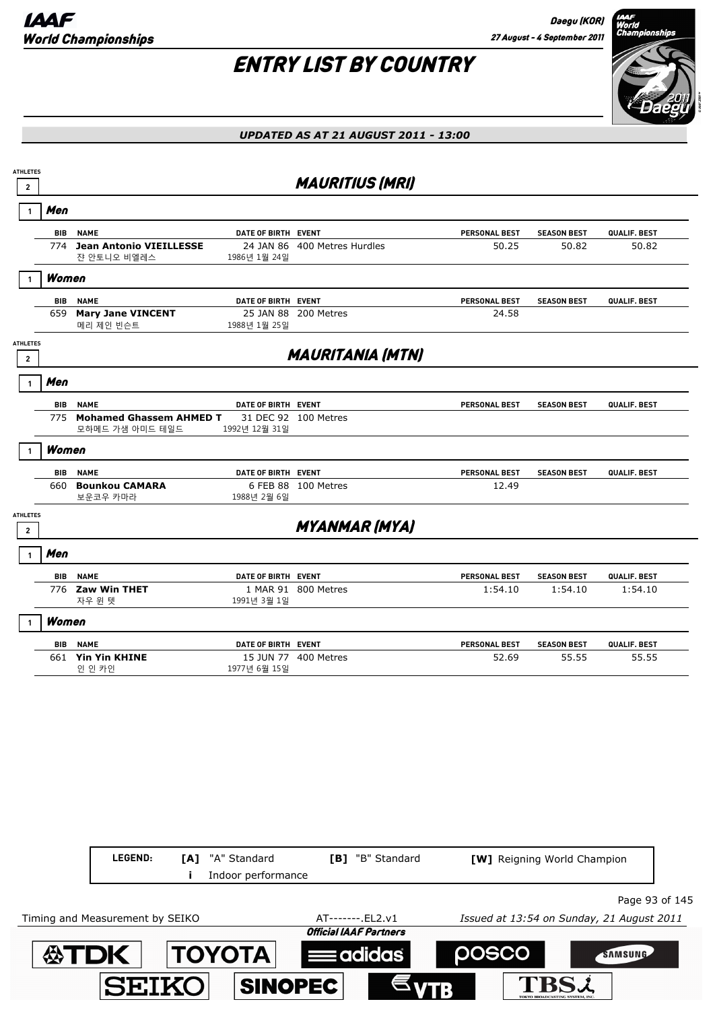Daegu (KOR) 27 August - 4 September 2011

# ENTRY LIST BY COUNTRY



| <b>ATHLETES</b><br>$\overline{2}$ |            |                                                |                     | <b>MAURITIUS (MRI)</b>       |                      |                    |              |
|-----------------------------------|------------|------------------------------------------------|---------------------|------------------------------|----------------------|--------------------|--------------|
|                                   | Men        |                                                |                     |                              |                      |                    |              |
|                                   |            | <b>BIB NAME</b>                                | DATE OF BIRTH EVENT |                              | PERSONAL BEST        | <b>SEASON BEST</b> | QUALIF. BEST |
|                                   |            | 774 Jean Antonio VIEILLESSE<br>쟌 안토니오 비엘레스     | 1986년 1월 24일        | 24 JAN 86 400 Metres Hurdles | 50.25                | 50.82              | 50.82        |
|                                   | Women      |                                                |                     |                              |                      |                    |              |
|                                   | <b>BIB</b> | <b>NAME</b>                                    | DATE OF BIRTH EVENT |                              | <b>PERSONAL BEST</b> | <b>SEASON BEST</b> | QUALIF. BEST |
|                                   |            | 659 Mary Jane VINCENT<br>메리 제인 빈슨트             | 1988년 1월 25일        | 25 JAN 88 200 Metres         | 24.58                |                    |              |
| <b>ATHLETES</b><br>$\overline{2}$ |            |                                                |                     | <b>MAURITANIA (MTN)</b>      |                      |                    |              |
| $\mathbf{1}$                      | Men        |                                                |                     |                              |                      |                    |              |
|                                   |            | <b>BIB NAME</b>                                | DATE OF BIRTH EVENT |                              | PERSONAL BEST        | <b>SEASON BEST</b> | QUALIF. BEST |
|                                   |            | 775 Mohamed Ghassem AHMED T<br>모하메드 가샘 아미드 테일드 | 1992년 12월 31일       | 31 DEC 92 100 Metres         |                      |                    |              |
| 1                                 | Women      |                                                |                     |                              |                      |                    |              |
|                                   | <b>BIB</b> | <b>NAME</b>                                    | DATE OF BIRTH EVENT |                              | PERSONAL BEST        | <b>SEASON BEST</b> | QUALIF. BEST |
|                                   |            | 660 Bounkou CAMARA<br>보운코우 카마라                 | 1988년 2월 6일         | 6 FEB 88 100 Metres          | 12.49                |                    |              |
| <b>ATHLETES</b><br>$\mathbf{2}$   |            |                                                |                     | <b>MYANMAR (MYA)</b>         |                      |                    |              |
|                                   | Men        |                                                |                     |                              |                      |                    |              |
|                                   | <b>BIB</b> | <b>NAME</b>                                    | DATE OF BIRTH EVENT |                              | <b>PERSONAL BEST</b> | <b>SEASON BEST</b> | QUALIF. BEST |
|                                   |            | 776 Zaw Win THET<br>자우 윈 텟                     | 1991년 3월 1일         | 1 MAR 91 800 Metres          | 1:54.10              | 1:54.10            | 1:54.10      |
|                                   | Women      |                                                |                     |                              |                      |                    |              |
|                                   |            | <b>BIB NAME</b>                                | DATE OF BIRTH EVENT |                              | PERSONAL BEST        | <b>SEASON BEST</b> | QUALIF. BEST |
|                                   |            | 661 Yin Yin KHINE<br>인 인 카인                    | 1977년 6월 15일        | 15 JUN 77 400 Metres         | 52.69                | 55.55              | 55.55        |

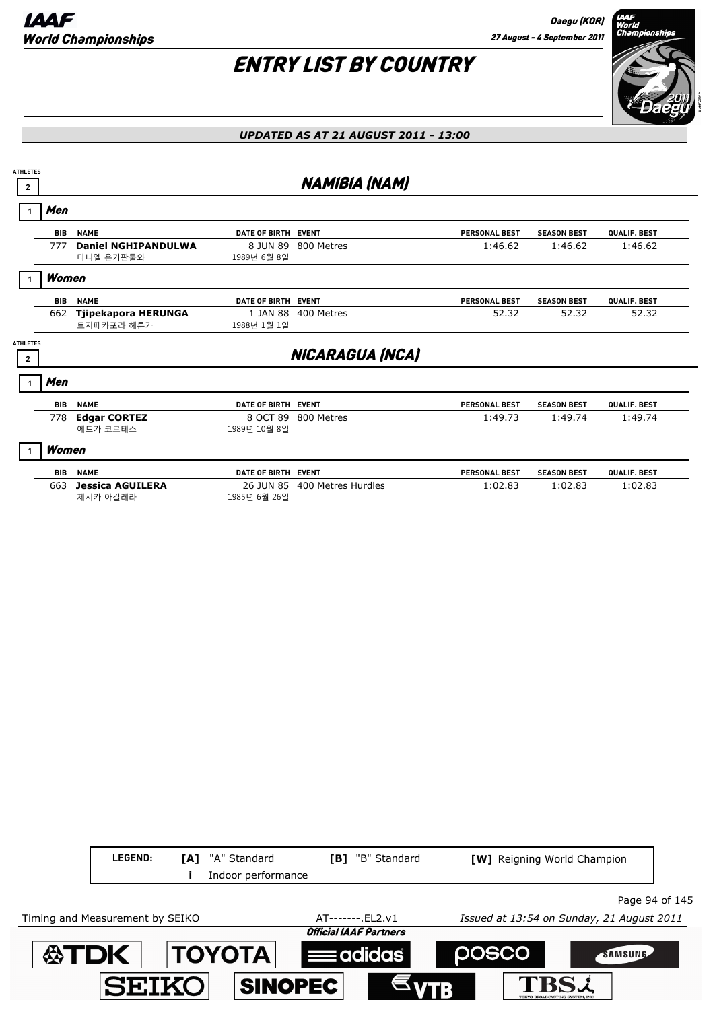

| <b>ATHLETES</b>                   |            |                                         |                           |                      |                      |                    |              |
|-----------------------------------|------------|-----------------------------------------|---------------------------|----------------------|----------------------|--------------------|--------------|
| $\overline{2}$                    |            |                                         |                           | <b>NAMIBIA (NAM)</b> |                      |                    |              |
|                                   | Men        |                                         |                           |                      |                      |                    |              |
|                                   | <b>BIB</b> | <b>NAME</b>                             | DATE OF BIRTH EVENT       |                      | <b>PERSONAL BEST</b> | <b>SEASON BEST</b> | QUALIF. BEST |
|                                   | 777        | <b>Daniel NGHIPANDULWA</b><br>다니엘 은기판둘와 | 8 JUN 89<br>1989년 6월 8일   | 800 Metres           | 1:46.62              | 1:46.62            | 1:46.62      |
|                                   | Women      |                                         |                           |                      |                      |                    |              |
|                                   | <b>BIB</b> | <b>NAME</b>                             | DATE OF BIRTH EVENT       |                      | <b>PERSONAL BEST</b> | <b>SEASON BEST</b> | QUALIF. BEST |
|                                   | 662        | Tjipekapora HERUNGA<br>트지페카포라 헤룬가       | 1 JAN 88<br>1988년 1월 1일   | 400 Metres           | 52.32                | 52.32              | 52.32        |
| <b>ATHLETES</b><br>$\overline{2}$ |            |                                         |                           | NICARAGUA (NCA)      |                      |                    |              |
|                                   | Men        |                                         |                           |                      |                      |                    |              |
|                                   | <b>BIB</b> | <b>NAME</b>                             | DATE OF BIRTH EVENT       |                      | <b>PERSONAL BEST</b> | <b>SEASON BEST</b> | QUALIF. BEST |
|                                   | 778        | <b>Edgar CORTEZ</b><br>에드가 코르테스         | 8 OCT 89<br>1989년 10월 8일  | 800 Metres           | 1:49.73              | 1:49.74            | 1:49.74      |
|                                   | Women      |                                         |                           |                      |                      |                    |              |
|                                   | <b>BIB</b> | <b>NAME</b>                             | DATE OF BIRTH EVENT       |                      | <b>PERSONAL BEST</b> | <b>SEASON BEST</b> | QUALIF. BEST |
|                                   | 663        | <b>Jessica AGUILERA</b><br>제시카 아길레라     | 26 JUN 85<br>1985년 6월 26일 | 400 Metres Hurdles   | 1:02.83              | 1:02.83            | 1:02.83      |

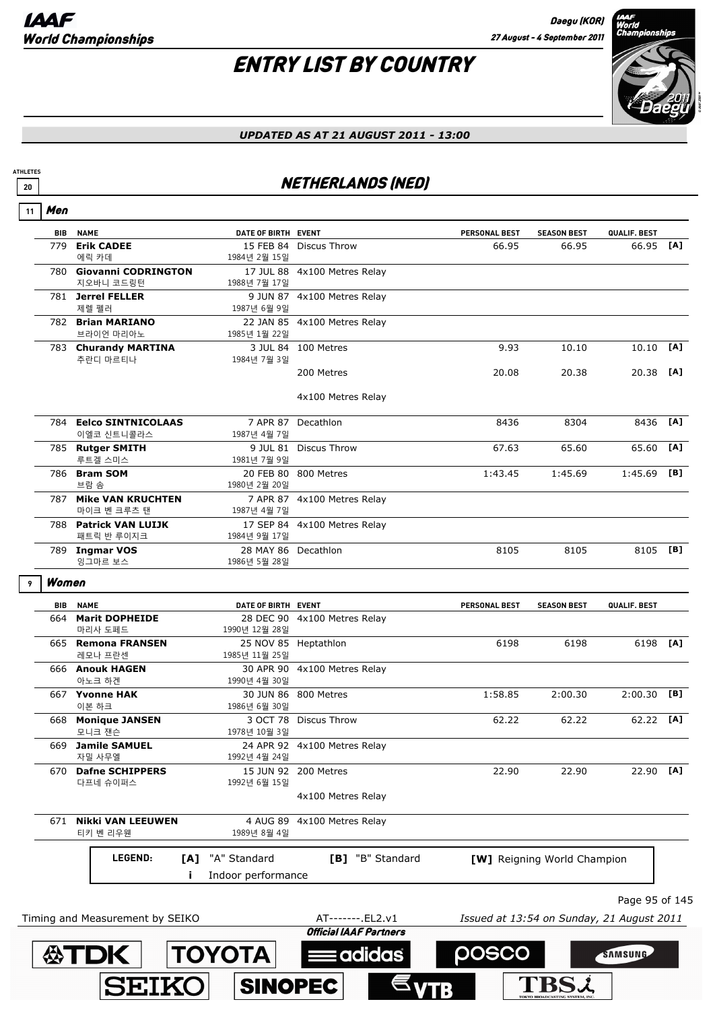SEIKO

**ATHLETES**

# ENTRY LIST BY COUNTRY



### *UPDATED AS AT 21 AUGUST 2011 - 13:00*

### **<sup>20</sup>** NETHERLANDS (NED)

| 11 | Men        |                                      |                                     |                              |                      |                             |                |     |
|----|------------|--------------------------------------|-------------------------------------|------------------------------|----------------------|-----------------------------|----------------|-----|
|    | <b>BIB</b> | <b>NAME</b>                          | DATE OF BIRTH EVENT                 |                              | <b>PERSONAL BEST</b> | <b>SEASON BEST</b>          | QUALIF. BEST   |     |
|    | 779        | <b>Erik CADEE</b><br>에릭 카데           | 1984년 2월 15일                        | 15 FEB 84 Discus Throw       | 66.95                | 66.95                       | 66.95 [A]      |     |
|    |            | 780 Giovanni CODRINGTON<br>지오바니 코드링턴 | 1988년 7월 17일                        | 17 JUL 88 4x100 Metres Relay |                      |                             |                |     |
|    |            | 781 Jerrel FELLER<br>제렐 펠러           | 1987년 6월 9일                         | 9 JUN 87 4x100 Metres Relay  |                      |                             |                |     |
|    |            | 782 Brian MARIANO<br>브라이언 마리아노       | 1985년 1월 22일                        | 22 JAN 85 4x100 Metres Relay |                      |                             |                |     |
|    |            | 783 Churandy MARTINA<br>추란디 마르티나     | 1984년 7월 3일                         | 3 JUL 84 100 Metres          | 9.93                 | 10.10                       | 10.10          | [A] |
|    |            |                                      |                                     | 200 Metres                   | 20.08                | 20.38                       | 20.38 [A]      |     |
|    |            |                                      |                                     | 4x100 Metres Relay           |                      |                             |                |     |
|    |            | 784 Eelco SINTNICOLAAS<br>이엘코 신트니콜라스 | 1987년 4월 7일                         | 7 APR 87 Decathlon           | 8436                 | 8304                        | 8436           | [A] |
|    |            | 785 Rutger SMITH<br>루트겔 스미스          | 1981년 7월 9일                         | 9 JUL 81 Discus Throw        | 67.63                | 65.60                       | 65.60          | [A] |
|    |            | 786 Bram SOM<br>브람 솜                 | 1980년 2월 20일                        | 20 FEB 80 800 Metres         | 1:43.45              | 1:45.69                     | 1:45.69        | [B] |
|    |            | 787 Mike VAN KRUCHTEN<br>마이크 벤 크루츠 탠 | 1987년 4월 7일                         | 7 APR 87 4x100 Metres Relay  |                      |                             |                |     |
|    |            | 788 Patrick VAN LUIJK<br>패트릭 반 루이지크  | 1984년 9월 17일                        | 17 SEP 84 4x100 Metres Relay |                      |                             |                |     |
|    |            | 789 Ingmar VOS<br>잉그마르 보스            | 28 MAY 86 Decathlon<br>1986년 5월 28일 |                              | 8105                 | 8105                        | 8105 [B]       |     |
| 9  | Women      |                                      |                                     |                              |                      |                             |                |     |
|    | BIB        | <b>NAME</b>                          | DATE OF BIRTH EVENT                 |                              | <b>PERSONAL BEST</b> | <b>SEASON BEST</b>          | QUALIF. BEST   |     |
|    | 664        | <b>Marit DOPHEIDE</b><br>마리사 도페드     | 1990년 12월 28일                       | 28 DEC 90 4x100 Metres Relay |                      |                             |                |     |
|    |            | 665 Remona FRANSEN<br>레모나 프란센        | 1985년 11월 25일                       | 25 NOV 85 Heptathlon         | 6198                 | 6198                        | 6198 [A]       |     |
|    |            | 666 Anouk HAGEN<br>아노크 하겐            | 1990년 4월 30일                        | 30 APR 90 4x100 Metres Relay |                      |                             |                |     |
|    |            | 667 Yvonne HAK<br>이본 하크              | 1986년 6월 30일                        | 30 JUN 86 800 Metres         | 1:58.85              | 2:00.30                     | 2:00.30        | [B] |
|    |            | 668 Monique JANSEN<br>모니크 잰슨         | 1978년 10월 3일                        | 3 OCT 78 Discus Throw        | 62.22                | 62.22                       | 62.22 [A]      |     |
|    |            | 669 Jamile SAMUEL<br>자밀 사무엘          | 1992년 4월 24일                        | 24 APR 92 4x100 Metres Relay |                      |                             |                |     |
|    |            | 670 Dafne SCHIPPERS<br>다프네 슈이퍼스      | 1992년 6월 15일                        | 15 JUN 92 200 Metres         | 22.90                | 22.90                       | 22.90 [A]      |     |
|    |            |                                      |                                     | 4x100 Metres Relay           |                      |                             |                |     |
|    |            |                                      | 4 AUG 89                            | 4x100 Metres Relay           |                      |                             |                |     |
|    |            | 671 Nikki VAN LEEUWEN<br>티키 벤 리우웬    | 1989년 8월 4일                         |                              |                      |                             |                |     |
|    |            | LEGEND:<br>[A]                       | "A" Standard                        | [B] "B" Standard             |                      | [W] Reigning World Champion |                |     |
|    |            |                                      | Indoor performance                  |                              |                      |                             |                |     |
|    |            |                                      |                                     |                              |                      |                             | Page 95 of 145 |     |

 $\epsilon_{\text{VTB}}$ 

**SINOPEC** 

**TBSi**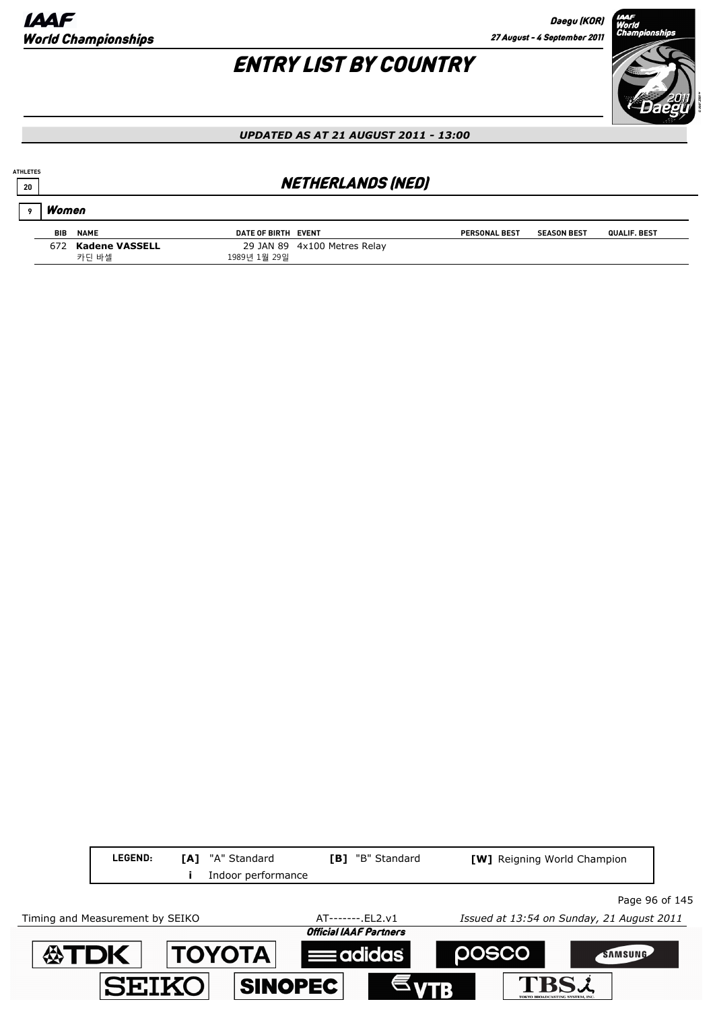Daegu (KOR) 27 August - 4 September 2011

# ENTRY LIST BY COUNTRY



#### *UPDATED AS AT 21 AUGUST 2011 - 13:00*

### **20** *NETHERLANDS (NED)*

#### Women **9**

**ATHLETES**

| <b>BIB</b> | <b>NAME</b>    | DATE OF BIRTH EVENT |                              | <b>PERSONAL BEST</b> | <b>SEASON BEST</b> | QUALIF, BEST |
|------------|----------------|---------------------|------------------------------|----------------------|--------------------|--------------|
| 672        | Kadene VASSELL |                     | 29 JAN 89 4x100 Metres Relay |                      |                    |              |
|            | 카딘 바셀          | 1989년 1월 29일        |                              |                      |                    |              |

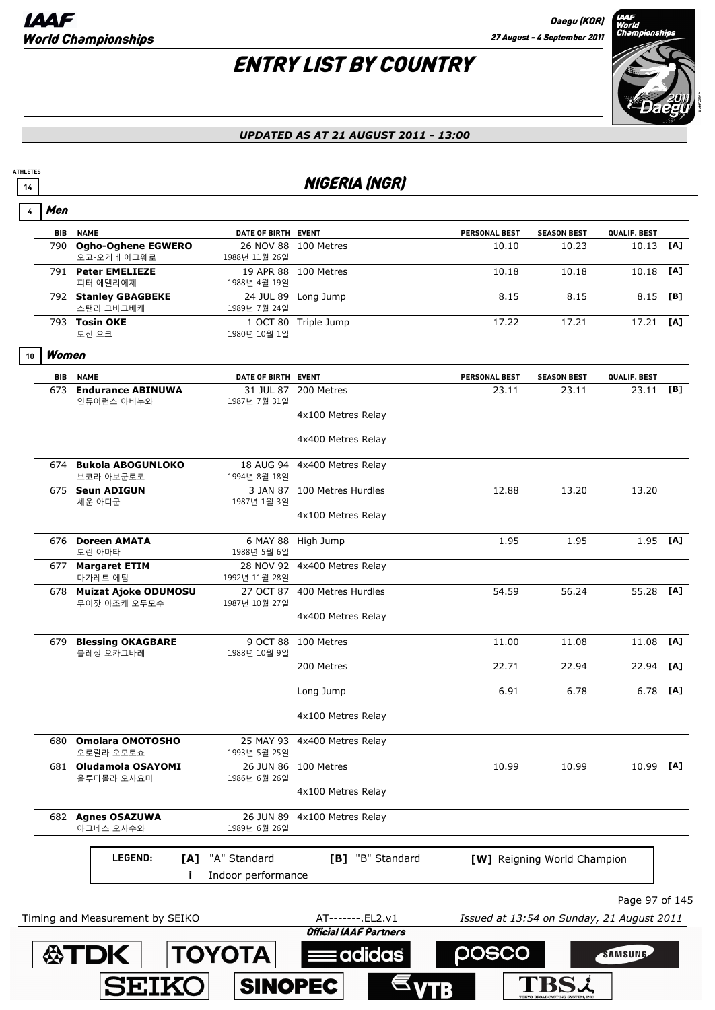**ATHLETES**

# ENTRY LIST BY COUNTRY



### *UPDATED AS AT 21 AUGUST 2011 - 13:00*

### **<sup>14</sup>** NIGERIA (NGR)

| 4  | Men        |                                          |                     |                                                    |                                           |                             |                |     |
|----|------------|------------------------------------------|---------------------|----------------------------------------------------|-------------------------------------------|-----------------------------|----------------|-----|
|    |            | <b>BIB NAME</b>                          | DATE OF BIRTH EVENT |                                                    | PERSONAL BEST                             | <b>SEASON BEST</b>          | QUALIF. BEST   |     |
|    |            | 790 Ogho-Oghene EGWERO<br>오고-오게네 에그웨로    | 1988년 11월 26일       | 26 NOV 88 100 Metres                               | 10.10                                     | 10.23                       | 10.13          | [A] |
|    |            | 791 Peter EMELIEZE<br>피터 에멜리에제           | 1988년 4월 19일        | 19 APR 88 100 Metres                               | 10.18                                     | 10.18                       | 10.18          | [A] |
|    |            | 792 Stanley GBAGBEKE<br>스탠리 그바그베케        | 1989년 7월 24일        | 24 JUL 89 Long Jump                                | 8.15                                      | 8.15                        | 8.15           | [B] |
|    |            | 793 Tosin OKE<br>토신 오크                   | 1980년 10월 1일        | 1 OCT 80 Triple Jump                               | 17.22                                     | 17.21                       | $17.21$ [A]    |     |
| 10 | Women      |                                          |                     |                                                    |                                           |                             |                |     |
|    | <b>BIB</b> | <b>NAME</b>                              | DATE OF BIRTH EVENT |                                                    | PERSONAL BEST                             | <b>SEASON BEST</b>          | QUALIF. BEST   |     |
|    |            | 673 Endurance ABINUWA<br>인듀어런스 아비누와      | 1987년 7월 31일        | 31 JUL 87 200 Metres                               | 23.11                                     | 23.11                       | $23.11$ [B]    |     |
|    |            |                                          |                     | 4x100 Metres Relay                                 |                                           |                             |                |     |
|    |            |                                          |                     | 4x400 Metres Relay                                 |                                           |                             |                |     |
|    |            | 674 Bukola ABOGUNLOKO<br>브코라 아보군로코       | 1994년 8월 18일        | 18 AUG 94 4x400 Metres Relay                       |                                           |                             |                |     |
|    |            | 675 Seun ADIGUN<br>세운 아디군                | 1987년 1월 3일         | 3 JAN 87 100 Metres Hurdles                        | 12.88                                     | 13.20                       | 13.20          |     |
|    |            |                                          |                     | 4x100 Metres Relay                                 |                                           |                             |                |     |
|    |            | 676 Doreen AMATA<br>도린 아마타               | 1988년 5월 6일         | 6 MAY 88 High Jump                                 | 1.95                                      | 1.95                        | $1.95$ [A]     |     |
|    |            | 677 Margaret ETIM<br>마가레트 에팀             | 1992년 11월 28일       | 28 NOV 92 4x400 Metres Relay                       |                                           |                             |                |     |
|    |            | 678 Muizat Ajoke ODUMOSU<br>무이잣 아조케 오두모수 | 1987년 10월 27일       | 27 OCT 87 400 Metres Hurdles                       | 54.59                                     | 56.24                       | 55.28 [A]      |     |
|    |            |                                          |                     | 4x400 Metres Relay                                 |                                           |                             |                |     |
|    |            | 679 Blessing OKAGBARE<br>블레싱 오카그바레       | 1988년 10월 9일        | 9 OCT 88 100 Metres                                | 11.00                                     | 11.08                       | 11.08          | [A] |
|    |            |                                          |                     | 200 Metres                                         | 22.71                                     | 22.94                       | 22.94          | [A] |
|    |            |                                          |                     | Long Jump                                          | 6.91                                      | 6.78                        | 6.78           | [A] |
|    |            |                                          |                     | 4x100 Metres Relay                                 |                                           |                             |                |     |
|    |            | 680 Omolara OMOTOSHO<br>오로랄라 오모토쇼        | 1993년 5월 25일        | 25 MAY 93 4x400 Metres Relay                       |                                           |                             |                |     |
|    |            | 681 Oludamola OSAYOMI<br>올루다몰라 오사요미      | 1986년 6월 26일        | 26 JUN 86 100 Metres                               | 10.99                                     | 10.99                       | 10.99          | [A] |
|    |            |                                          |                     | 4x100 Metres Relay                                 |                                           |                             |                |     |
|    |            | 682 Agnes OSAZUWA<br>아그네스 오사수와           | 1989년 6월 26일        | 26 JUN 89 4x100 Metres Relay                       |                                           |                             |                |     |
|    |            | LEGEND:                                  | [A] "A" Standard    | [B] "B" Standard                                   |                                           | [W] Reigning World Champion |                |     |
|    |            |                                          | Indoor performance  |                                                    |                                           |                             |                |     |
|    |            |                                          |                     |                                                    |                                           |                             | Page 97 of 145 |     |
|    |            | Timing and Measurement by SEIKO          |                     | AT-------. EL2.v1<br><b>Official IAAF Partners</b> | Issued at 13:54 on Sunday, 21 August 2011 |                             |                |     |
|    |            | <b>公TDK</b>                              | <b>TOYOTA</b>       | adidas                                             | posco                                     |                             | <b>SAMSUNG</b> |     |
|    |            |                                          |                     |                                                    |                                           |                             |                |     |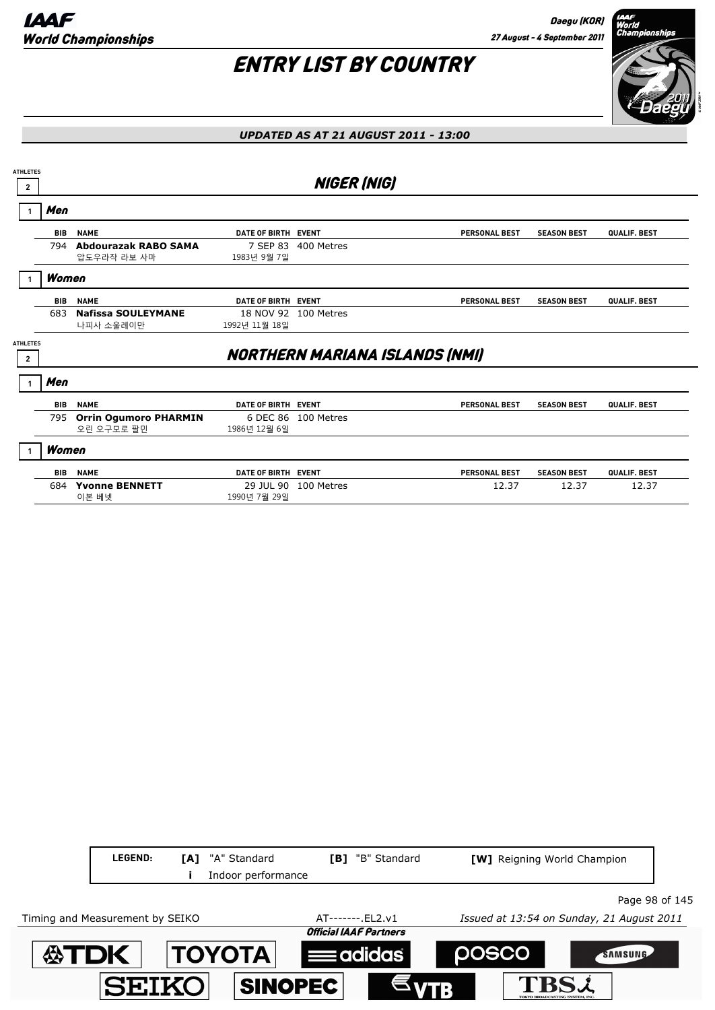

| <b>ATHLETES</b>                   |            |                                            |                           |                                       |                      |                    |              |
|-----------------------------------|------------|--------------------------------------------|---------------------------|---------------------------------------|----------------------|--------------------|--------------|
| $\overline{2}$                    |            |                                            |                           | <b>NIGER (NIG)</b>                    |                      |                    |              |
|                                   | Men        |                                            |                           |                                       |                      |                    |              |
|                                   | <b>BIB</b> | <b>NAME</b>                                | DATE OF BIRTH EVENT       |                                       | <b>PERSONAL BEST</b> | <b>SEASON BEST</b> | QUALIF. BEST |
|                                   | 794        | Abdourazak RABO SAMA<br>압도우라작 라보 사마        | 7 SEP 83<br>1983년 9월 7일   | 400 Metres                            |                      |                    |              |
|                                   | Women      |                                            |                           |                                       |                      |                    |              |
|                                   | <b>BIB</b> | <b>NAME</b>                                | DATE OF BIRTH EVENT       |                                       | <b>PERSONAL BEST</b> | <b>SEASON BEST</b> | QUALIF. BEST |
|                                   | 683        | <b>Nafissa SOULEYMANE</b><br>나피사 소울레이만     | 1992년 11월 18일             | 18 NOV 92 100 Metres                  |                      |                    |              |
| <b>ATHLETES</b><br>$\overline{2}$ |            |                                            |                           | <b>NORTHERN MARIANA ISLANDS (NMI)</b> |                      |                    |              |
|                                   | Men        |                                            |                           |                                       |                      |                    |              |
|                                   | <b>BIB</b> | <b>NAME</b>                                | DATE OF BIRTH EVENT       |                                       | <b>PERSONAL BEST</b> | <b>SEASON BEST</b> | QUALIF. BEST |
|                                   | 795        | <b>Orrin Ogumoro PHARMIN</b><br>오린 오구모로 팔민 | 1986년 12월 6일              | 6 DEC 86 100 Metres                   |                      |                    |              |
|                                   | Women      |                                            |                           |                                       |                      |                    |              |
|                                   | <b>BIB</b> | <b>NAME</b>                                | DATE OF BIRTH EVENT       |                                       | <b>PERSONAL BEST</b> | <b>SEASON BEST</b> | QUALIF. BEST |
|                                   | 684        | <b>Yvonne BENNETT</b><br>이본 베넷             | 29 JUL 90<br>1990년 7월 29일 | 100 Metres                            | 12.37                | 12.37              | 12.37        |

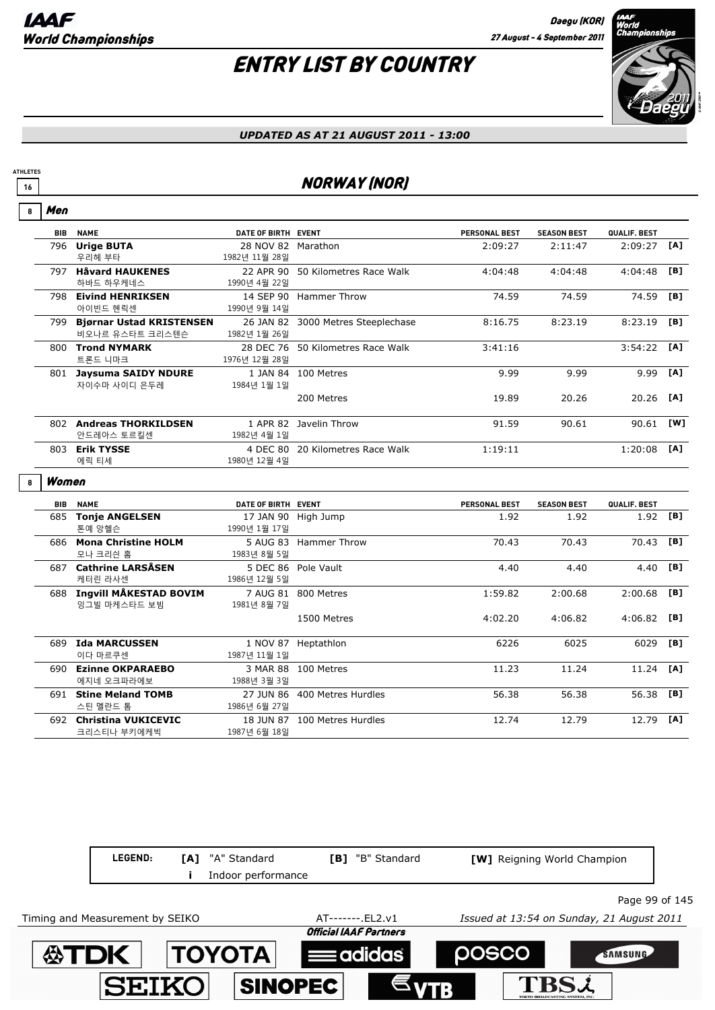# ENTRY LIST BY COUNTRY



#### *UPDATED AS AT 21 AUGUST 2011 - 13:00*

### **16** NORWAY (NOR)

| 8 | Men        |                                                 |                                     |                                    |               |                    |               |     |
|---|------------|-------------------------------------------------|-------------------------------------|------------------------------------|---------------|--------------------|---------------|-----|
|   | <b>BIB</b> | <b>NAME</b>                                     | DATE OF BIRTH EVENT                 |                                    | PERSONAL BEST | <b>SEASON BEST</b> | QUALIF. BEST  |     |
|   |            | 796 Urige BUTA<br>우리헤 부타                        | 28 NOV 82 Marathon<br>1982년 11월 28일 |                                    | 2:09:27       | 2:11:47            | $2:09:27$ [A] |     |
|   |            | 797 Håvard HAUKENES<br>하바드 하우케네스                | 1990년 4월 22일                        | 22 APR 90 50 Kilometres Race Walk  | 4:04:48       | 4:04:48            | 4:04:48       | [B] |
|   |            | 798 Eivind HENRIKSEN<br>아이빈드 헨릭센                | 1990년 9월 14일                        | 14 SEP 90 Hammer Throw             | 74.59         | 74.59              | 74.59         | [B] |
|   |            | 799 Biørnar Ustad KRISTENSEN<br>비오나르 유스타트 크리스텐슨 | 1982년 1월 26일                        | 26 JAN 82 3000 Metres Steeplechase | 8:16.75       | 8:23.19            | 8:23.19       | [B] |
|   |            | 800 Trond NYMARK<br>트론드 니마크                     | 1976년 12월 28일                       | 28 DEC 76 50 Kilometres Race Walk  | 3:41:16       |                    | 3:54:22       | [A] |
|   |            | 801 Jaysuma SAIDY NDURE<br>자이수마 사이디 은두레         | 1984년 1월 1일                         | 1 JAN 84 100 Metres                | 9.99          | 9.99               | 9.99          | [A] |
|   |            |                                                 |                                     | 200 Metres                         | 19.89         | 20.26              | 20.26         | [A] |
|   |            | 802 Andreas THORKILDSEN<br>안드레아스 토르킬센           | 1982년 4월 1일                         | 1 APR 82 Javelin Throw             | 91.59         | 90.61              | 90.61         | [W] |
|   |            | 803 Erik TYSSE<br>에릭 티세                         | 1980년 12월 4일                        | 4 DEC 80 20 Kilometres Race Walk   | 1:19:11       |                    | $1:20:08$ [A] |     |
| 8 | Women      |                                                 |                                     |                                    |               |                    |               |     |
|   | <b>BIB</b> | <b>NAME</b>                                     | DATE OF BIRTH EVENT                 |                                    | PERSONAL BEST | <b>SEASON BEST</b> | QUALIF. BEST  |     |
|   |            | 685 Tonje ANGELSEN<br>톤예 앙헬슨                    | 1990년 1월 17일                        | 17 JAN 90 High Jump                | 1.92          | 1.92               | $1.92$ [B]    |     |
|   |            | 686 Mona Christine HOLM<br>모나 크리싄 홈             | 1983년 8월 5일                         | 5 AUG 83 Hammer Throw              | 70.43         | 70.43              | 70.43         | [B] |
|   |            | 687 Cathrine LARSÅSEN<br>케터린 라사센                | 1986년 12월 5일                        | 5 DEC 86 Pole Vault                | 4.40          | 4.40               | 4.40          | [B] |
|   |            | 688 Ingvill MÅKESTAD BOVIM<br>잉그빌 마케스타드 보빔      | 1981년 8월 7일                         | 7 AUG 81 800 Metres                | 1:59.82       | 2:00.68            | 2:00.68       | [B] |
|   |            |                                                 |                                     | 1500 Metres                        | 4:02.20       | 4:06.82            | 4:06.82       | [B] |
|   |            | 689 Ida MARCUSSEN<br>이다 마르쿠센                    | 1987년 11월 1일                        | 1 NOV 87 Heptathlon                | 6226          | 6025               | 6029          | [B] |
|   |            | 690 Ezinne OKPARAEBO<br>에지네 오크파라에보              | 1988년 3월 3일                         | 3 MAR 88 100 Metres                | 11.23         | 11.24              | 11.24         | [A] |
|   |            | 691 Stine Meland TOMB<br>스틴 멜란드 톰               | 1986년 6월 27일                        | 27 JUN 86 400 Metres Hurdles       | 56.38         | 56.38              | 56.38         | [B] |
|   |            |                                                 |                                     |                                    |               |                    |               |     |

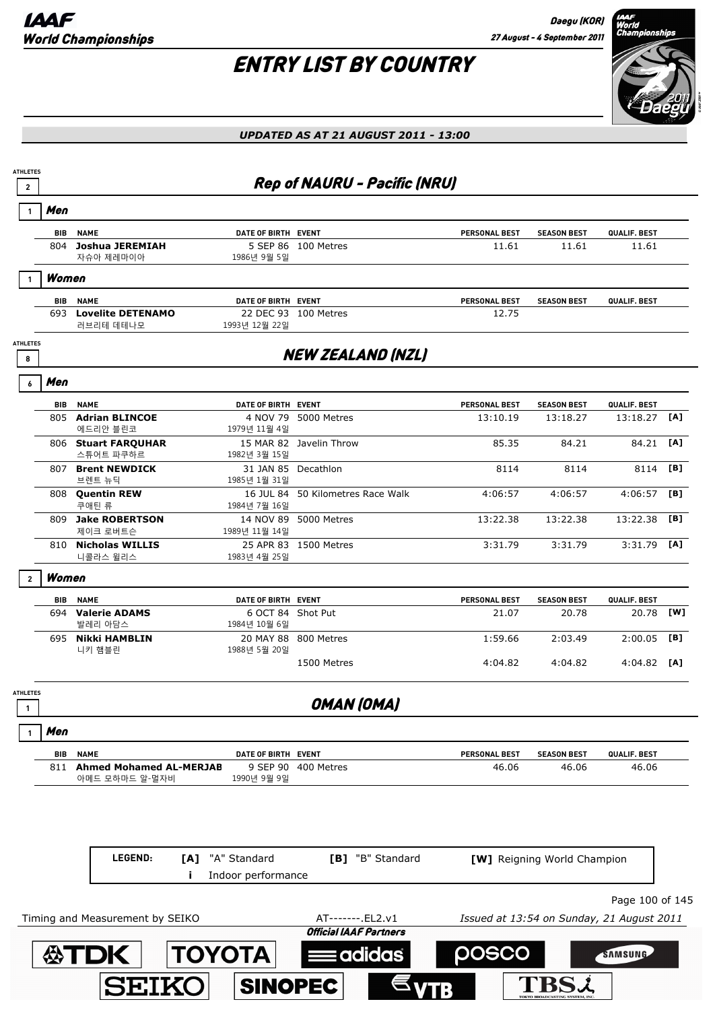

| <b>ATHLETES</b><br>$\overline{2}$ |                                                  |                                     | <b>Rep of NAURU - Pacific (NRU)</b>                |                                           |                             |                 |     |
|-----------------------------------|--------------------------------------------------|-------------------------------------|----------------------------------------------------|-------------------------------------------|-----------------------------|-----------------|-----|
| Men                               |                                                  |                                     |                                                    |                                           |                             |                 |     |
| BIB                               | <b>NAME</b>                                      | DATE OF BIRTH EVENT                 |                                                    | PERSONAL BEST                             | <b>SEASON BEST</b>          | QUALIF. BEST    |     |
|                                   | 804 Joshua JEREMIAH<br>자슈아 제레마이아                 | 1986년 9월 5일                         | 5 SEP 86 100 Metres                                | 11.61                                     | 11.61                       | 11.61           |     |
| Women                             |                                                  |                                     |                                                    |                                           |                             |                 |     |
|                                   | <b>BIB NAME</b>                                  | DATE OF BIRTH EVENT                 |                                                    | <b>PERSONAL BEST</b>                      | <b>SEASON BEST</b>          | QUALIF. BEST    |     |
|                                   | 693 Lovelite DETENAMO<br>러브리테 데테나모               | 1993년 12월 22일                       | 22 DEC 93 100 Metres                               | 12.75                                     |                             |                 |     |
| <b>ATHLETES</b><br>8              |                                                  |                                     | <b>NEW ZEALAND (NZL)</b>                           |                                           |                             |                 |     |
| Men<br>6                          |                                                  |                                     |                                                    |                                           |                             |                 |     |
|                                   | <b>BIB NAME</b>                                  | DATE OF BIRTH EVENT                 |                                                    | <b>PERSONAL BEST</b>                      | <b>SEASON BEST</b>          | QUALIF. BEST    |     |
|                                   | 805 Adrian BLINCOE                               |                                     | 4 NOV 79 5000 Metres                               | 13:10.19                                  | 13:18.27                    | 13:18.27        | [A] |
|                                   | 에드리안 블린코<br>806 Stuart FARQUHAR<br>스튜어트 파쿠하르     | 1979년 11월 4일<br>1982년 3월 15일        | 15 MAR 82 Javelin Throw                            | 85.35                                     | 84.21                       | 84.21 [A]       |     |
|                                   | 807 Brent NEWDICK<br>브렌트 뉴딕                      | 31 JAN 85 Decathlon<br>1985년 1월 31일 |                                                    | 8114                                      | 8114                        | 8114            | [B] |
|                                   | 808 Quentin REW<br>쿠애틴 류                         | 1984년 7월 16일                        | 16 JUL 84 50 Kilometres Race Walk                  | 4:06:57                                   | 4:06:57                     | $4:06:57$ [B]   |     |
|                                   | 809 Jake ROBERTSON<br>제이크 로버트슨                   | 1989년 11월 14일                       | 14 NOV 89 5000 Metres                              | 13:22.38                                  | 13:22.38                    | 13:22.38        | [B] |
|                                   | 810 Nicholas WILLIS<br>니콜라스 윌리스                  | 1983년 4월 25일                        | 25 APR 83 1500 Metres                              | 3:31.79                                   | 3:31.79                     | $3:31.79$ [A]   |     |
| Women<br>$\overline{2}$           |                                                  |                                     |                                                    |                                           |                             |                 |     |
| BIB                               | <b>NAME</b>                                      | DATE OF BIRTH EVENT                 |                                                    | PERSONAL BEST                             | <b>SEASON BEST</b>          | QUALIF. BEST    |     |
|                                   | 694 Valerie ADAMS<br>발레리 아담스                     | 6 OCT 84 Shot Put<br>1984년 10월 6일   |                                                    | 21.07                                     | 20.78                       | 20.78 [W]       |     |
|                                   | 695 Nikki HAMBLIN<br>니키 햄블린                      | 1988년 5월 20일                        | 20 MAY 88 800 Metres                               | 1:59.66                                   | 2:03.49                     | $2:00.05$ [B]   |     |
|                                   |                                                  |                                     | 1500 Metres                                        | 4:04.82                                   | 4:04.82                     | $4:04.82$ [A]   |     |
| <b>ATHLETES</b><br>$\mathbf{1}$   |                                                  |                                     | OMAN (OMA)                                         |                                           |                             |                 |     |
| Men                               |                                                  |                                     |                                                    |                                           |                             |                 |     |
| BIB                               | <b>NAME</b>                                      | DATE OF BIRTH EVENT                 |                                                    | <b>PERSONAL BEST</b>                      | <b>SEASON BEST</b>          | QUALIF. BEST    |     |
| 811                               | <b>Ahmed Mohamed AL-MERJAB</b><br>아메드 모하마드 알-멀자비 | 9 SEP 90<br>1990년 9월 9일             | 400 Metres                                         | 46.06                                     | 46.06                       | 46.06           |     |
|                                   | LEGEND:<br>[A]<br>j.                             | "A" Standard<br>Indoor performance  | [B] "B" Standard                                   |                                           | [W] Reigning World Champion |                 |     |
|                                   |                                                  |                                     |                                                    |                                           |                             | Page 100 of 145 |     |
|                                   | Timing and Measurement by SEIKO                  |                                     | AT-------. EL2.v1<br><b>Official IAAF Partners</b> | Issued at 13:54 on Sunday, 21 August 2011 |                             |                 |     |
|                                   | <b>公丁DK</b>                                      | <b>TOYOTA</b>                       |                                                    |                                           |                             |                 |     |
|                                   |                                                  |                                     | adidas:                                            | posco                                     |                             | SAMSUNG         |     |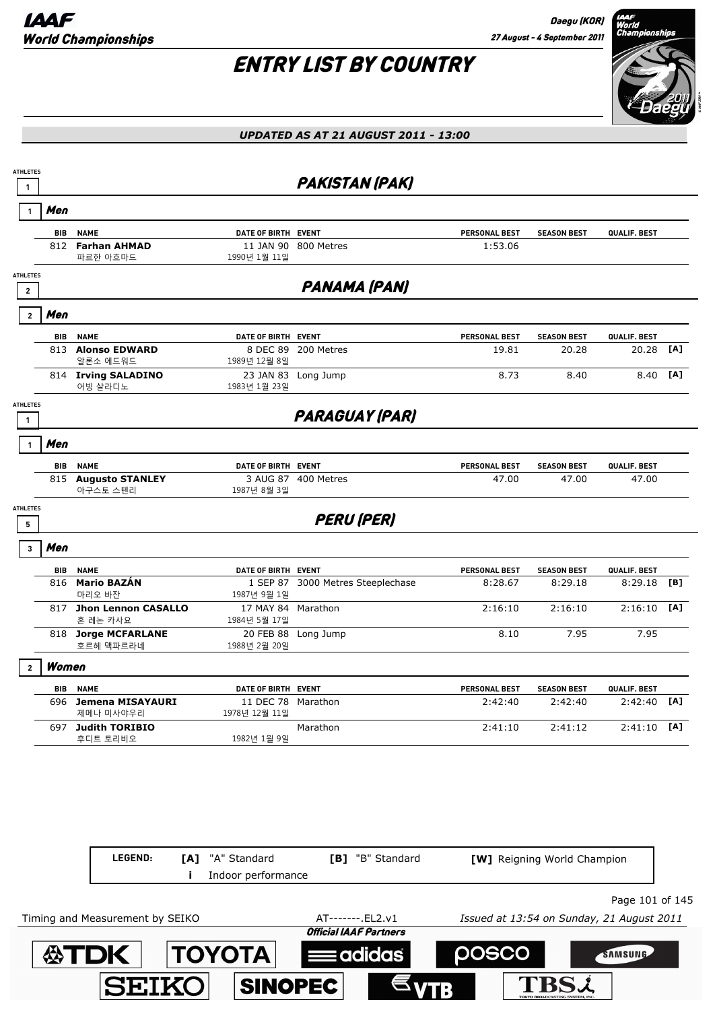



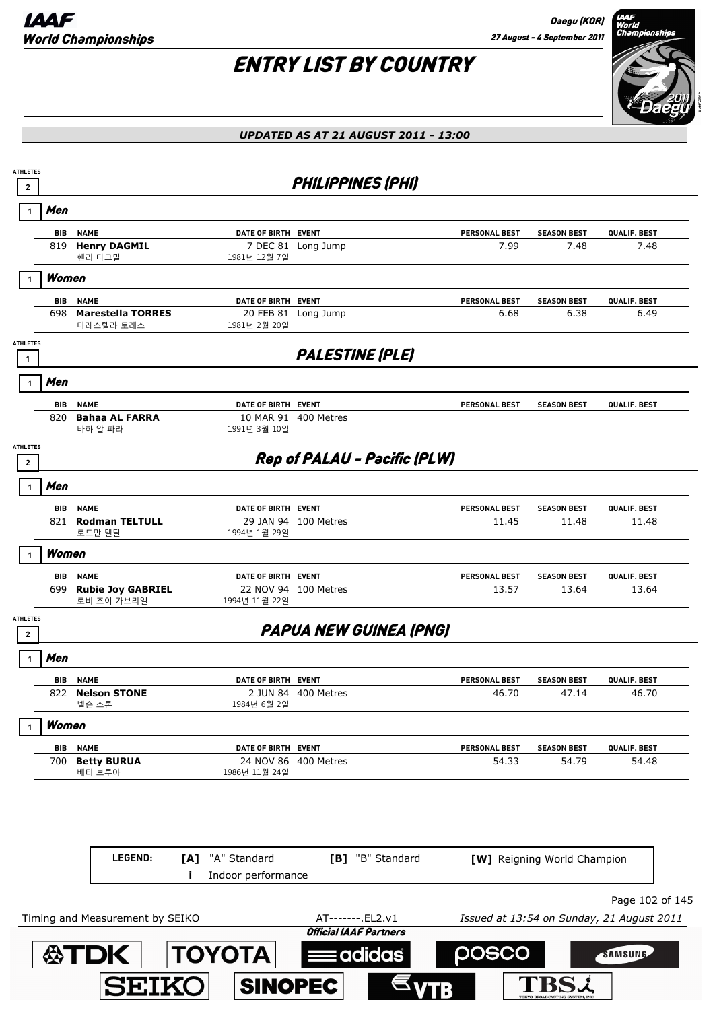

### *UPDATED AS AT 21 AUGUST 2011 - 13:00*

| $\overline{2}$                    | <b>ATHLETES</b> |                                        |                                                 | <b>PHILIPPINES (PHI)</b>      |                      |                             |                                                              |
|-----------------------------------|-----------------|----------------------------------------|-------------------------------------------------|-------------------------------|----------------------|-----------------------------|--------------------------------------------------------------|
| -1                                | Men             |                                        |                                                 |                               |                      |                             |                                                              |
|                                   | BIB             | <b>NAME</b>                            | DATE OF BIRTH EVENT                             |                               | <b>PERSONAL BEST</b> | <b>SEASON BEST</b>          | <b>QUALIF. BEST</b>                                          |
|                                   | 819             | <b>Henry DAGMIL</b><br>헨리 다그밀          | 7 DEC 81<br>1981년 12월 7일                        | Long Jump                     | 7.99                 | 7.48                        | 7.48                                                         |
|                                   | Women           |                                        |                                                 |                               |                      |                             |                                                              |
|                                   | BIB             | <b>NAME</b>                            | DATE OF BIRTH EVENT                             |                               | PERSONAL BEST        | <b>SEASON BEST</b>          | QUALIF. BEST                                                 |
|                                   | 698             | <b>Marestella TORRES</b><br>마레스텔라 토레스  | 1981년 2월 20일                                    | 20 FEB 81 Long Jump           | 6.68                 | 6.38                        | 6.49                                                         |
| <b>ATHLETES</b><br>1              |                 |                                        |                                                 | <b>PALESTINE (PLE)</b>        |                      |                             |                                                              |
|                                   | Men             |                                        |                                                 |                               |                      |                             |                                                              |
|                                   | BIB             | <b>NAME</b>                            | DATE OF BIRTH EVENT                             |                               | <b>PERSONAL BEST</b> | <b>SEASON BEST</b>          | QUALIF. BEST                                                 |
|                                   | 820             | <b>Bahaa AL FARRA</b><br>바하 알 파라       | 10 MAR 91<br>1991년 3월 10일                       | 400 Metres                    |                      |                             |                                                              |
| <b>ATHLETES</b><br>$\mathbf{2}$   |                 |                                        |                                                 | Rep of PALAU - Pacific (PLW)  |                      |                             |                                                              |
|                                   | Men             |                                        |                                                 |                               |                      |                             |                                                              |
|                                   | <b>BIB</b>      | <b>NAME</b>                            | DATE OF BIRTH EVENT                             |                               | PERSONAL BEST        | <b>SEASON BEST</b>          | QUALIF. BEST                                                 |
|                                   |                 | 821 Rodman TELTULL<br>로드만 텔털           | 1994년 1월 29일                                    | 29 JAN 94 100 Metres          | 11.45                | 11.48                       | 11.48                                                        |
|                                   | Women           |                                        |                                                 |                               |                      |                             |                                                              |
|                                   | BIB             | <b>NAME</b>                            | DATE OF BIRTH EVENT                             |                               | PERSONAL BEST        | <b>SEASON BEST</b>          | QUALIF. BEST                                                 |
|                                   | 699             | <b>Rubie Joy GABRIEL</b><br>로비 조이 가브리엘 | 1994년 11월 22일                                   | 22 NOV 94 100 Metres          | 13.57                | 13.64                       | 13.64                                                        |
| <b>ATHLETES</b><br>$\overline{2}$ |                 |                                        |                                                 | <b>PAPUA NEW GUINEA (PNG)</b> |                      |                             |                                                              |
|                                   | Men             |                                        |                                                 |                               |                      |                             |                                                              |
|                                   | BIB             | <b>NAME</b>                            | DATE OF BIRTH EVENT                             |                               | <b>PERSONAL BEST</b> | <b>SEASON BEST</b>          | QUALIF. BEST                                                 |
|                                   |                 | 822 Nelson STONE<br>넬슨 스톤              | 1984년 6월 2일                                     | 2 JUN 84 400 Metres           | 46.70                | 47.14                       | 46.70                                                        |
|                                   | Women           |                                        |                                                 |                               |                      |                             |                                                              |
|                                   | BIB             | <b>NAME</b>                            | DATE OF BIRTH EVENT                             |                               | PERSONAL BEST        | <b>SEASON BEST</b>          | QUALIF. BEST                                                 |
|                                   | 700             | <b>Betty BURUA</b><br>베티 브루아           | 1986년 11월 24일                                   | 24 NOV 86 400 Metres          | 54.33                | 54.79                       | 54.48                                                        |
|                                   |                 | LEGEND:                                | "A" Standard<br>[A]<br>Indoor performance<br>Ĩ. | [B] "B" Standard              |                      | [W] Reigning World Champion |                                                              |
|                                   |                 |                                        |                                                 |                               |                      |                             |                                                              |
|                                   |                 | Timing and Measurement by SEIKO        |                                                 | AT-------. EL2.v1             |                      |                             | Page 102 of 145<br>Issued at 13:54 on Sunday, 21 August 2011 |
|                                   |                 |                                        |                                                 | <b>Official IAAF Partners</b> |                      |                             |                                                              |

SINOPEC

SEIKO

 $\epsilon_{VTB}$ 

**TBSi**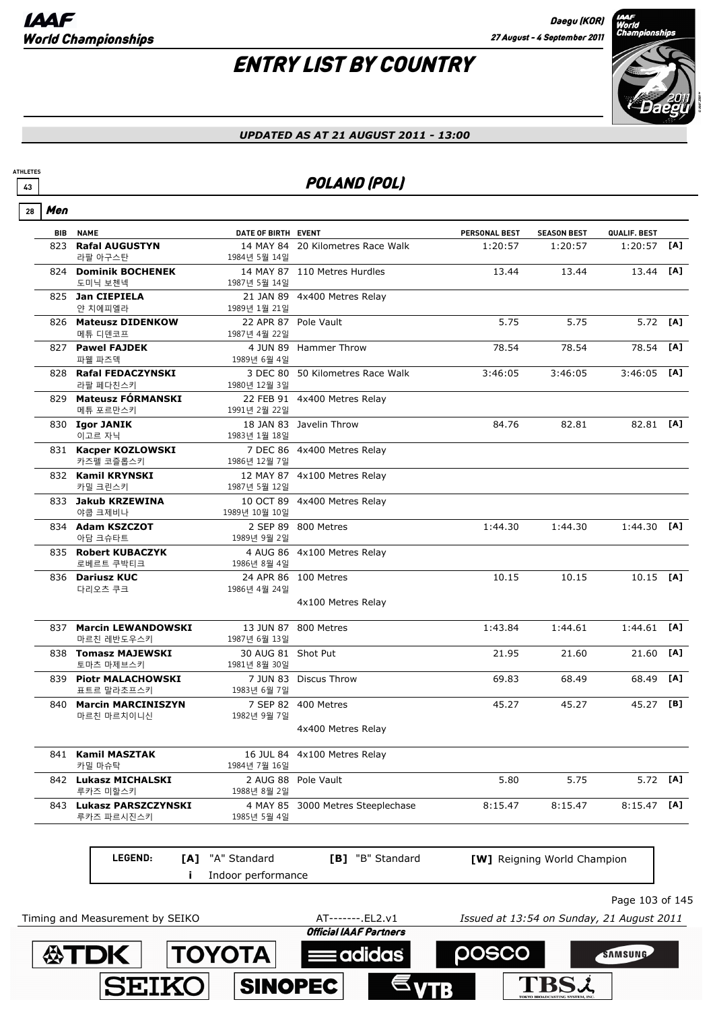# ENTRY LIST BY COUNTRY



#### *UPDATED AS AT 21 AUGUST 2011 - 13:00*

### **<sup>43</sup>** POLAND (POL)

| 28 | Men        |                                          |                         |                                   |                      |                             |                 |     |
|----|------------|------------------------------------------|-------------------------|-----------------------------------|----------------------|-----------------------------|-----------------|-----|
|    | <b>BIB</b> | <b>NAME</b>                              | DATE OF BIRTH EVENT     |                                   | <b>PERSONAL BEST</b> | <b>SEASON BEST</b>          | QUALIF. BEST    |     |
|    | 823        | <b>Rafal AUGUSTYN</b><br>라팔 아구스탄         | 1984년 5월 14일            | 14 MAY 84 20 Kilometres Race Walk | 1:20:57              | 1:20:57                     | 1:20:57         | [A] |
|    |            | 824 Dominik BOCHENEK                     |                         | 14 MAY 87 110 Metres Hurdles      | 13.44                | 13.44                       | 13.44           | [A] |
|    |            | 도미닉 보첸넥                                  | 1987년 5월 14일            |                                   |                      |                             |                 |     |
|    |            | 825 Jan CIEPIELA<br>얀 치에피엘라              | 1989년 1월 21일            | 21 JAN 89 4x400 Metres Relay      |                      |                             |                 |     |
|    |            | 826 Mateusz DIDENKOW<br>메튜 디덴코프          | 1987년 4월 22일            | 22 APR 87 Pole Vault              | 5.75                 | 5.75                        | 5.72            | [A] |
|    |            | 827 Pawel FAJDEK                         |                         | 4 JUN 89 Hammer Throw             | 78.54                | 78.54                       | 78.54           | [A] |
|    |            | 파웰 파즈덱<br>828 Rafal FEDACZYNSKI          | 1989년 6월 4일             | 3 DEC 80 50 Kilometres Race Walk  | 3:46:05              | 3:46:05                     | 3:46:05         | [A] |
|    |            | 라팔 페다친스키                                 | 1980년 12월 3일            |                                   |                      |                             |                 |     |
|    |            | 829 Mateusz FÓRMANSKI<br>메튜 포르만스키        | 1991년 2월 22일            | 22 FEB 91 4x400 Metres Relay      |                      |                             |                 |     |
|    |            | 830 Igor JANIK                           |                         | 18 JAN 83 Javelin Throw           | 84.76                | 82.81                       | 82.81 [A]       |     |
|    |            | 이고르 자닉                                   | 1983년 1월 18일            |                                   |                      |                             |                 |     |
|    |            | 831 Kacper KOZLOWSKI<br>카즈펠 코즐롭스키        | 1986년 12월 7일            | 7 DEC 86 4x400 Metres Relay       |                      |                             |                 |     |
|    |            | 832 Kamil KRYNSKI<br>카밀 크린스키             | 1987년 5월 12일            | 12 MAY 87 4x100 Metres Relay      |                      |                             |                 |     |
|    |            | 833 Jakub KRZEWINA<br>야쿱 크제비나            | 1989년 10월 10일           | 10 OCT 89 4x400 Metres Relay      |                      |                             |                 |     |
|    |            | 834 Adam KSZCZOT<br>아담 크슈타트              | 1989년 9월 2일             | 2 SEP 89 800 Metres               | 1:44.30              | 1:44.30                     | 1:44.30         | [A] |
|    |            | 835 Robert KUBACZYK                      |                         | 4 AUG 86 4x100 Metres Relay       |                      |                             |                 |     |
|    |            | 로베르트 쿠박티크                                | 1986년 8월 4일             |                                   |                      |                             |                 |     |
|    |            | 836 Dariusz KUC<br>다리오츠 쿠크               | 1986년 4월 24일            | 24 APR 86 100 Metres              | 10.15                | 10.15                       | $10.15$ [A]     |     |
|    |            |                                          |                         | 4x100 Metres Relay                |                      |                             |                 |     |
|    |            | 837 Marcin LEWANDOWSKI<br>마르친 레반도우스키     | 1987년 6월 13일            | 13 JUN 87 800 Metres              | 1:43.84              | 1:44.61                     | 1:44.61         | [A] |
|    |            | 838 Tomasz MAJEWSKI                      | 30 AUG 81 Shot Put      |                                   | 21.95                | 21.60                       | 21.60           | [A] |
|    |            | 토마츠 마제브스키                                | 1981년 8월 30일            |                                   |                      |                             |                 |     |
|    |            | 839 Piotr MALACHOWSKI<br>표트르 말라초프스키      | 1983년 6월 7일             | 7 JUN 83 Discus Throw             | 69.83                | 68.49                       | 68.49           | [A] |
|    | 840        | <b>Marcin MARCINISZYN</b><br>마르친 마르치이니신  | 1982년 9월 7일             | 7 SEP 82 400 Metres               | 45.27                | 45.27                       | 45.27           | [B] |
|    |            |                                          |                         | 4x400 Metres Relay                |                      |                             |                 |     |
|    |            | 841 Kamil MASZTAK                        | 16 JUL 84               | 4x100 Metres Relay                |                      |                             |                 |     |
|    |            | 카밀 마슈탁                                   | 1984년 7월 16일            |                                   |                      |                             |                 |     |
|    |            | 842 Lukasz MICHALSKI<br>루카즈 미할스키         | 2 AUG 88<br>1988년 8월 2일 | Pole Vault                        | 5.80                 | 5.75                        | 5.72            | [A] |
|    | 843        | <b>Lukasz PARSZCZYNSKI</b><br>루카즈 파르시진스키 | 4 MAY 85<br>1985년 5월 4일 | 3000 Metres Steeplechase          | 8:15.47              | 8:15.47                     | 8:15.47         | [A] |
|    |            | LEGEND:<br>[A]                           | "A" Standard            | [B] "B" Standard                  |                      | [W] Reigning World Champion |                 |     |
|    |            |                                          | Indoor performance      |                                   |                      |                             |                 |     |
|    |            |                                          |                         |                                   |                      |                             |                 |     |
|    |            |                                          |                         |                                   |                      |                             | Page 103 of 14! |     |

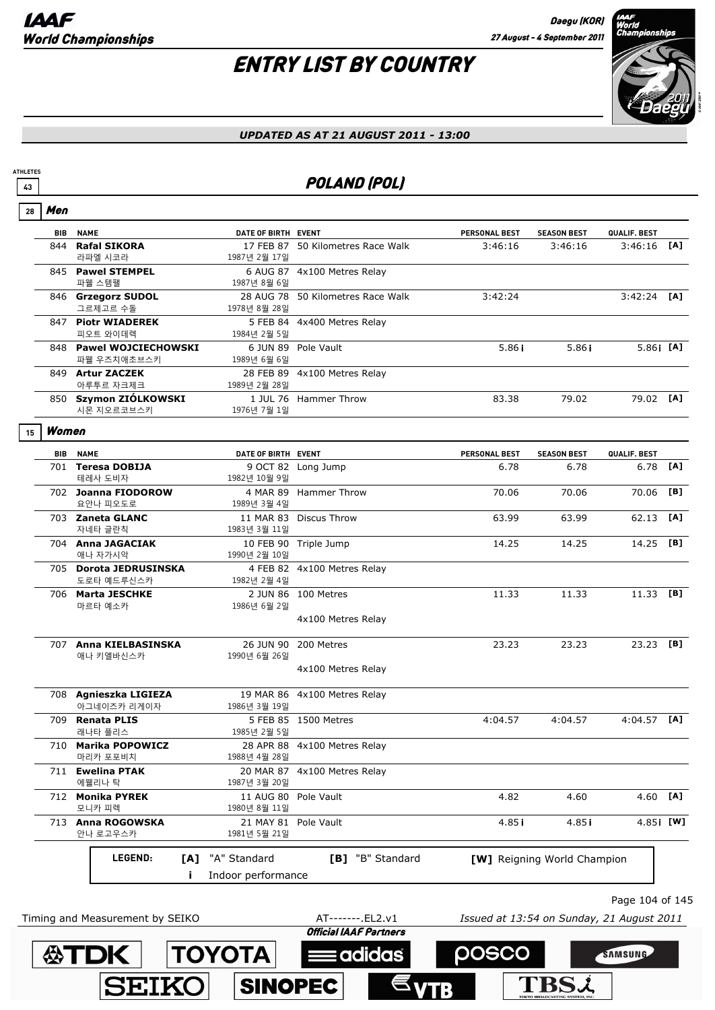**ATDK TOYOTA** 

**SEIKO** 

**ATHLETES**

# ENTRY LIST BY COUNTRY



#### *UPDATED AS AT 21 AUGUST 2011 - 13:00*

### **43** POLAND (POL)

| 28 | Men        |                                        |                                      |                                   |                                           |                             |                 |     |
|----|------------|----------------------------------------|--------------------------------------|-----------------------------------|-------------------------------------------|-----------------------------|-----------------|-----|
|    | <b>BIB</b> | <b>NAME</b>                            | DATE OF BIRTH EVENT                  |                                   | <b>PERSONAL BEST</b>                      | <b>SEASON BEST</b>          | QUALIF. BEST    |     |
|    | 844        | <b>Rafal SIKORA</b><br>라파엘 시코라         | 1987년 2월 17일                         | 17 FEB 87 50 Kilometres Race Walk | 3:46:16                                   | 3:46:16                     | 3:46:16         | [A] |
|    |            | 845 Pawel STEMPEL<br>파웰 스템팰            | 1987년 8월 6일                          | 6 AUG 87 4x100 Metres Relay       |                                           |                             |                 |     |
|    |            | 846 Grzegorz SUDOL<br>그르제고르 수돌         | 1978년 8월 28일                         | 28 AUG 78 50 Kilometres Race Walk | 3:42:24                                   |                             | $3:42:24$ [A]   |     |
|    |            | 847 Piotr WIADEREK<br>피오트 와이데렉         | 1984년 2월 5일                          | 5 FEB 84 4x400 Metres Relay       |                                           |                             |                 |     |
|    |            | 848 Pawel WOJCIECHOWSKI<br>파웰 우즈치애초브스키 | 1989년 6월 6일                          | 6 JUN 89 Pole Vault               | 5.86 <sub>i</sub>                         | 5.86 <sub>i</sub>           | $5.86$ i [A]    |     |
|    |            | 849 Artur ZACZEK<br>아루투르 자크제크          | 1989년 2월 28일                         | 28 FEB 89 4x100 Metres Relay      |                                           |                             |                 |     |
|    |            | 850 Szymon ZIÓLKOWSKI<br>시몬 지오르코브스키    | 1976년 7월 1일                          | 1 JUL 76 Hammer Throw             | 83.38                                     | 79.02                       | 79.02 [A]       |     |
| 15 | Women      |                                        |                                      |                                   |                                           |                             |                 |     |
|    | BIB        | <b>NAME</b>                            | DATE OF BIRTH EVENT                  |                                   | <b>PERSONAL BEST</b>                      | <b>SEASON BEST</b>          | QUALIF. BEST    |     |
|    |            | 701 Teresa DOBIJA<br>테레사 도비자           | 1982년 10월 9일                         | 9 OCT 82 Long Jump                | 6.78                                      | 6.78                        | 6.78            | [A] |
|    |            | 702 Joanna FIODOROW<br>요안나 피오도로        | 1989년 3월 4일                          | 4 MAR 89 Hammer Throw             | 70.06                                     | 70.06                       | 70.06           | [B] |
|    |            | 703 Zaneta GLANC<br>자네타 글란칙            | 1983년 3월 11일                         | 11 MAR 83 Discus Throw            | 63.99                                     | 63.99                       | 62.13           | [A] |
|    |            | 704 Anna JAGACIAK<br>애나 자가시악           | 1990년 2월 10일                         | 10 FEB 90 Triple Jump             | 14.25                                     | 14.25                       | 14.25           | [B] |
|    |            | 705 Dorota JEDRUSINSKA<br>도로타 예드루신스카   | 1982년 2월 4일                          | 4 FEB 82 4x100 Metres Relay       |                                           |                             |                 |     |
|    |            | 706 Marta JESCHKE<br>마르타 예소카           | 1986년 6월 2일                          | 2 JUN 86 100 Metres               | 11.33                                     | 11.33                       | 11.33 [B]       |     |
|    |            |                                        |                                      | 4x100 Metres Relay                |                                           |                             |                 |     |
|    |            | 707 Anna KIELBASINSKA<br>애나 키엘바신스카     | 1990년 6월 26일                         | 26 JUN 90 200 Metres              | 23.23                                     | 23.23                       | 23.23 [B]       |     |
|    |            |                                        |                                      | 4x100 Metres Relay                |                                           |                             |                 |     |
|    |            | 708 Agnieszka LIGIEZA<br>아그네이즈카 리게이자   | 1986년 3월 19일                         | 19 MAR 86 4x100 Metres Relay      |                                           |                             |                 |     |
|    | 709        | <b>Renata PLIS</b><br>래나타 플리스          | 1985년 2월 5일                          | 5 FEB 85 1500 Metres              | 4:04.57                                   | 4:04.57                     | $4:04.57$ [A]   |     |
|    |            | 710 Marika POPOWICZ<br>마리카 포포비치        | 1988년 4월 28일                         | 28 APR 88 4x100 Metres Relay      |                                           |                             |                 |     |
|    | 711        | <b>Ewelina PTAK</b><br>에웰리나 탁          | 1987년 3월 20일                         | 20 MAR 87 4x100 Metres Relay      |                                           |                             |                 |     |
|    |            | 712 Monika PYREK<br>모니카 피렉             | 11 AUG 80 Pole Vault<br>1980년 8월 11일 |                                   | 4.82                                      | 4.60                        | 4.60            | [A] |
|    |            | 713 Anna ROGOWSKA<br>안나 로고우스카          | 21 MAY 81 Pole Vault<br>1981년 5월 21일 |                                   | 4.85 i                                    | 4.85 i                      | 4.85 [W]        |     |
|    |            | LEGEND:<br>[A]                         | "A" Standard                         | [B] "B" Standard                  |                                           | [W] Reigning World Champion |                 |     |
|    |            | Ĩ.                                     | Indoor performance                   |                                   |                                           |                             |                 |     |
|    |            |                                        |                                      |                                   |                                           |                             | Page 104 of 145 |     |
|    |            | Timing and Measurement by SEIKO        |                                      | AT-------. EL2.v1                 | Issued at 13:54 on Sunday, 21 August 2011 |                             |                 |     |
|    |            |                                        |                                      | <b>Official IAAF Partners</b>     |                                           |                             |                 |     |

**Eadidas** 

**SINOPEC** 

posco

**TBSL** 

SAMSUNG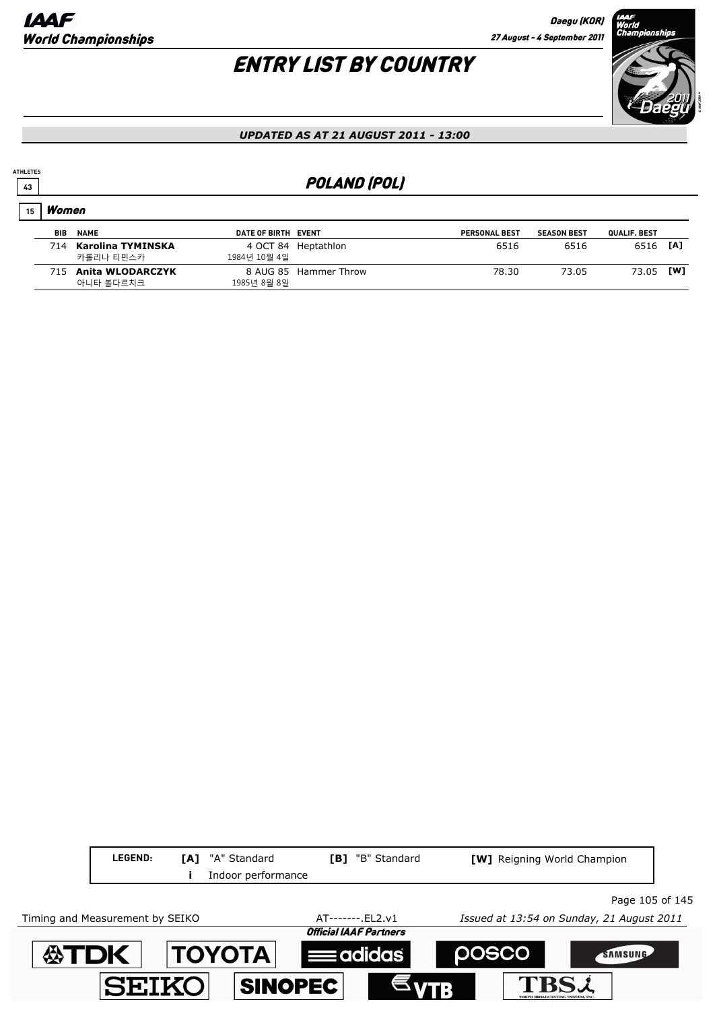

#### *UPDATED AS AT 21 AUGUST 2011 - 13:00*

### **43** POLAND (POL)

### Women **15**

**ATHLETES**

| <b>BIB</b> | <b>NAME</b>                        | DATE OF BIRTH EVENT |                       | <b>PERSONAL BEST</b> | <b>SEASON BEST</b> | QUALIF. BEST |     |
|------------|------------------------------------|---------------------|-----------------------|----------------------|--------------------|--------------|-----|
|            | 714 Karolina TYMINSKA<br>카롤리나 티민스카 | 1984년 10월 4일        | 4 OCT 84 Heptathlon   | 6516                 | 6516               | 6516         | [A] |
| 715.       | Anita WLODARCZYK                   |                     | 8 AUG 85 Hammer Throw | 78.30                | 73.05              | 73.05        | [W] |
|            | 아니타 볼다르치크                          | 1985년 8월 8일         |                       |                      |                    |              |     |

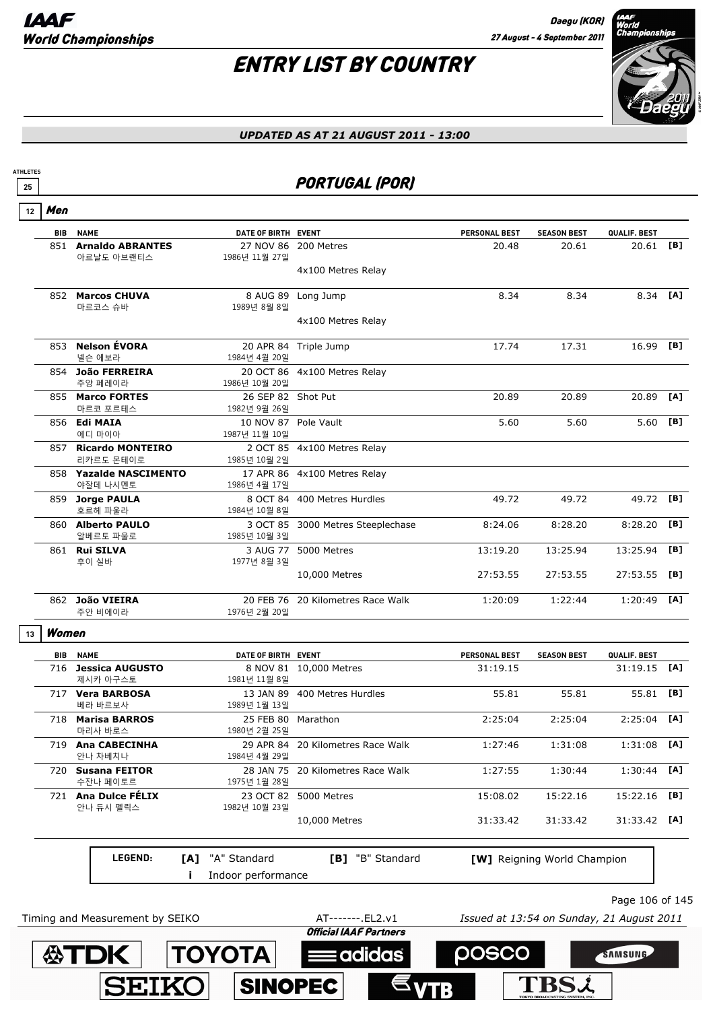# ENTRY LIST BY COUNTRY



### *UPDATED AS AT 21 AUGUST 2011 - 13:00*

### <u>25</u> **PORTUGAL (POR)**

| <b>BIB</b> | <b>NAME</b>                            | DATE OF BIRTH EVENT                   |                                   | <b>PERSONAL BEST</b>                      | <b>SEASON BEST</b>          | QUALIF. BEST        |     |
|------------|----------------------------------------|---------------------------------------|-----------------------------------|-------------------------------------------|-----------------------------|---------------------|-----|
|            | 851 Arnaldo ABRANTES<br>아르날도 아브랜티스     | 27 NOV 86<br>1986년 11월 27일            | 200 Metres                        | 20.48                                     | 20.61                       | 20.61               | [B] |
|            |                                        |                                       | 4x100 Metres Relay                |                                           |                             |                     |     |
|            | 852 Marcos CHUVA                       | 8 AUG 89                              | Long Jump                         | 8.34                                      | 8.34                        | 8.34 [A]            |     |
|            | 마르코스 슈바                                | 1989년 8월 8일                           | 4x100 Metres Relay                |                                           |                             |                     |     |
|            | 853 Nelson ÉVORA<br>넬슨 에보라             | 1984년 4월 20일                          | 20 APR 84 Triple Jump             | 17.74                                     | 17.31                       | 16.99 [B]           |     |
|            | 854 João FERREIRA<br>주앙 페레이라           | 1986년 10월 20일                         | 20 OCT 86 4x100 Metres Relay      |                                           |                             |                     |     |
|            | 855 Marco FORTES<br>마르코 포르테스           | 26 SEP 82 Shot Put<br>1982년 9월 26일    |                                   | 20.89                                     | 20.89                       | 20.89               | [A] |
|            | 856 Edi MAIA<br>에디 마이아                 | 10 NOV 87 Pole Vault<br>1987년 11월 10일 |                                   | 5.60                                      | 5.60                        | 5.60                | [B] |
|            | 857 Ricardo MONTEIRO<br>리카르도 몬테이로      | 1985년 10월 2일                          | 2 OCT 85 4x100 Metres Relay       |                                           |                             |                     |     |
|            | 858 Yazalde NASCIMENTO                 |                                       | 17 APR 86 4x100 Metres Relay      |                                           |                             |                     |     |
|            | 야잘데 나시멘토<br>859 Jorge PAULA<br>호르헤 파울라 | 1986년 4월 17일<br>1984년 10월 8일          | 8 OCT 84 400 Metres Hurdles       | 49.72                                     | 49.72                       | 49.72               | [B] |
|            | 860 Alberto PAULO<br>알베르토 파울로          | 1985년 10월 3일                          | 3 OCT 85 3000 Metres Steeplechase | 8:24.06                                   | 8:28.20                     | 8:28.20             | [B] |
|            | 861 Rui SILVA                          |                                       | 3 AUG 77 5000 Metres              | 13:19.20                                  | 13:25.94                    | 13:25.94            | [B] |
|            | 후이 실바                                  | 1977년 8월 3일                           | 10,000 Metres                     | 27:53.55                                  | 27:53.55                    | 27:53.55            | [B] |
|            | 862 João VIEIRA<br>주안 비에이라             | 20 FEB 76<br>1976년 2월 20일             | 20 Kilometres Race Walk           | 1:20:09                                   | 1:22:44                     | 1:20:49             | [A] |
| Women      |                                        |                                       |                                   |                                           |                             |                     |     |
| BIB        | <b>NAME</b>                            | DATE OF BIRTH EVENT                   |                                   | <b>PERSONAL BEST</b>                      | <b>SEASON BEST</b>          | QUALIF. BEST        |     |
|            | 716 Jessica AUGUSTO<br>제시카 아구스토        | 1981년 11월 8일                          | 8 NOV 81 10,000 Metres            | 31:19.15                                  |                             | 31:19.15            | [A] |
|            | 717 Vera BARBOSA                       |                                       | 13 JAN 89 400 Metres Hurdles      | 55.81                                     | 55.81                       | 55.81               | [B] |
|            | 베라 바르보사<br>718 Marisa BARROS           | 1989년 1월 13일<br>25 FEB 80 Marathon    |                                   | 2:25:04                                   | 2:25:04                     | 2:25:04             | [A] |
|            | 마리사 바로스                                | 1980년 2월 25일                          |                                   |                                           |                             |                     |     |
|            | 719 Ana CABECINHA<br>안나 차베치나           | 1984년 4월 29일                          | 29 APR 84 20 Kilometres Race Walk | 1:27:46                                   | 1:31:08                     | $1:31:08$ [A]       |     |
|            | 720 Susana FEITOR                      |                                       | 28 JAN 75 20 Kilometres Race Walk | 1:27:55                                   | 1:30:44                     | $1:30:44$ [A]       |     |
|            | 수잔나 페이토르<br>721 Ana Dulce FELIX        | 1975년 1월 28일                          | 23 OCT 82 5000 Metres             | 15:08.02                                  | 15:22.16                    | 15:22.16            | [B] |
|            | 안나 듀시 펠릭스                              | 1982년 10월 23일                         | 10,000 Metres                     | 31:33.42                                  | 31:33.42                    | 31:33.42 <b>[A]</b> |     |
|            |                                        |                                       |                                   |                                           |                             |                     |     |
|            | LEGEND:<br>[A]                         | "A" Standard                          | "B" Standard<br>[B]               |                                           | [W] Reigning World Champion |                     |     |
|            |                                        | Indoor performance                    |                                   |                                           |                             |                     |     |
|            |                                        |                                       |                                   |                                           |                             | Page 106 of 145     |     |
|            | Timing and Measurement by SEIKO        |                                       | AT-------. EL2.v1                 | Issued at 13:54 on Sunday, 21 August 2011 |                             |                     |     |

 $\epsilon_{\text{VTB}}$ 

**SINOPEC** 

SEIKO

**TBSi**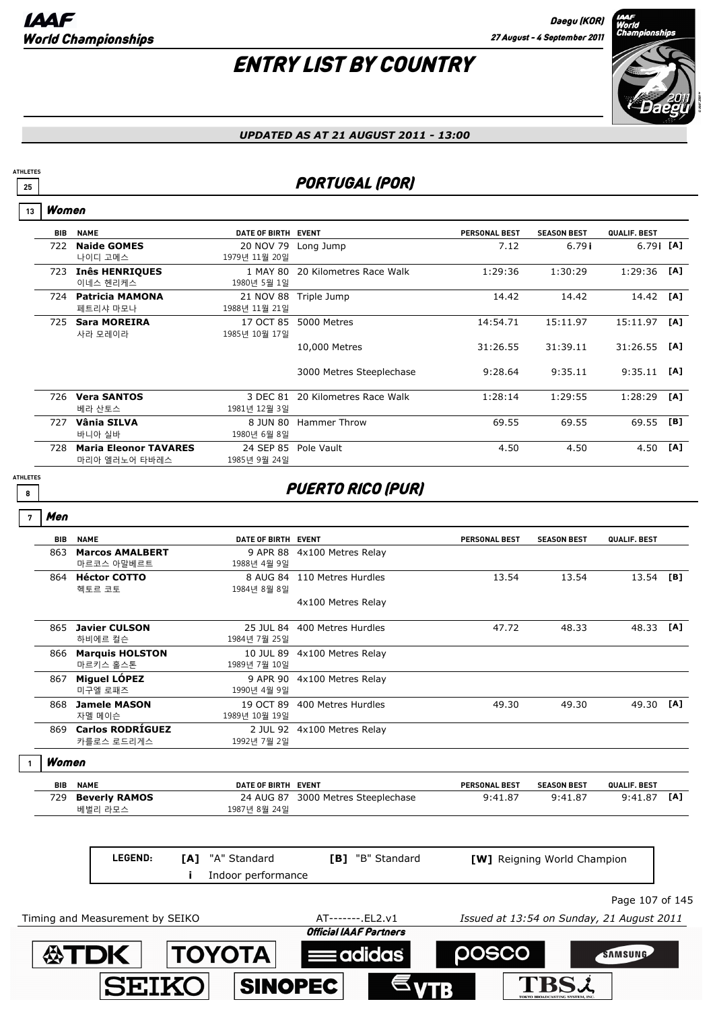

#### *UPDATED AS AT 21 AUGUST 2011 - 13:00*

### **25** PORTUGAL (POR)

#### Women **13**

**ATHLETES**

| BIB  | <b>NAME</b>                  | DATE OF BIRTH EVENT |                          | <b>PERSONAL BEST</b> | <b>SEASON BEST</b> | QUALIF. BEST |     |
|------|------------------------------|---------------------|--------------------------|----------------------|--------------------|--------------|-----|
|      |                              |                     |                          |                      |                    |              |     |
| 722  | <b>Naide GOMES</b>           | 20 NOV 79           | Long Jump                | 7.12                 | 6.79i              | $6.79$ i [A] |     |
|      | 나이디 고메스                      | 1979년 11월 20일       |                          |                      |                    |              |     |
| 723. | <b>Inês HENRIQUES</b>        | 1 MAY 80            | 20 Kilometres Race Walk  | 1:29:36              | 1:30:29            | 1:29:36      | [A] |
|      | 이네스 헨리케스                     | 1980년 5월 1일         |                          |                      |                    |              |     |
| 724  | <b>Patricia MAMONA</b>       | 21 NOV 88           | Triple Jump              | 14.42                | 14.42              | 14.42        | [A] |
|      | 페트리샤 마모나                     | 1988년 11월 21일       |                          |                      |                    |              |     |
| 725  | <b>Sara MOREIRA</b>          | 17 OCT 85           | 5000 Metres              | 14:54.71             | 15:11.97           | 15:11.97     | [A] |
|      | 사라 모레이라                      | 1985년 10월 17일       |                          |                      |                    |              |     |
|      |                              |                     | 10,000 Metres            | 31:26.55             | 31:39.11           | 31:26.55     | [A] |
|      |                              |                     |                          |                      |                    |              |     |
|      |                              |                     | 3000 Metres Steeplechase | 9:28.64              | 9:35.11            | 9:35.11      | [A] |
|      |                              |                     |                          |                      |                    |              |     |
| 726  | <b>Vera SANTOS</b>           | 3 DEC 81            | 20 Kilometres Race Walk  | 1:28:14              | 1:29:55            | 1:28:29      | [A] |
|      | 베라 산토스                       | 1981년 12월 3일        |                          |                      |                    |              |     |
| 727  | Vânia SILVA                  | 8 JUN 80            | Hammer Throw             | 69.55                | 69.55              | 69.55        | [B] |
|      | 바니아 실바                       | 1980년 6월 8일         |                          |                      |                    |              |     |
| 728  | <b>Maria Eleonor TAVARES</b> | 24 SEP 85           | Pole Vault               | 4.50                 | 4.50               | 4.50         | [A] |
|      | 마리아 엘러노어 타바레스                | 1985년 9월 24일        |                          |                      |                    |              |     |

**ATHLETES**

### **8 B PUERTO RICO (PUR)**

| ï |
|---|

|                         | DATE OF BIRTH EVENT |                                     | <b>PERSONAL BEST</b>                                                                                                                                                                                                               | <b>SEASON BEST</b> | QUALIF. BEST    |                                             |
|-------------------------|---------------------|-------------------------------------|------------------------------------------------------------------------------------------------------------------------------------------------------------------------------------------------------------------------------------|--------------------|-----------------|---------------------------------------------|
| <b>Marcos AMALBERT</b>  | 9 APR 88            | 4x100 Metres Relay                  |                                                                                                                                                                                                                                    |                    |                 |                                             |
| 마르코스 아말베르트              | 1988년 4월 9일         |                                     |                                                                                                                                                                                                                                    |                    |                 |                                             |
| 864 Héctor COTTO        |                     |                                     | 13.54                                                                                                                                                                                                                              | 13.54              | 13.54           | [B]                                         |
| 헥토르 코토                  | 1984년 8월 8일         |                                     |                                                                                                                                                                                                                                    |                    |                 |                                             |
|                         |                     | 4x100 Metres Relay                  |                                                                                                                                                                                                                                    |                    |                 |                                             |
| <b>Javier CULSON</b>    |                     |                                     | 47.72                                                                                                                                                                                                                              | 48.33              | 48.33           | [A]                                         |
| 하비에르 컬슨                 | 1984년 7월 25일        |                                     |                                                                                                                                                                                                                                    |                    |                 |                                             |
| <b>Marquis HOLSTON</b>  |                     |                                     |                                                                                                                                                                                                                                    |                    |                 |                                             |
| 마르키스 홀스톤                | 1989년 7월 10일        |                                     |                                                                                                                                                                                                                                    |                    |                 |                                             |
| <b>Miguel LÓPEZ</b>     | 9 APR 90            | 4x100 Metres Relay                  |                                                                                                                                                                                                                                    |                    |                 |                                             |
| 미구엘 로패즈                 | 1990년 4월 9일         |                                     |                                                                                                                                                                                                                                    |                    |                 |                                             |
| <b>Jamele MASON</b>     |                     |                                     | 49.30                                                                                                                                                                                                                              | 49.30              |                 | [A]                                         |
| 자멜 메이슨                  | 1989년 10월 19일       |                                     |                                                                                                                                                                                                                                    |                    |                 |                                             |
| <b>Carlos RODRÍGUEZ</b> |                     |                                     |                                                                                                                                                                                                                                    |                    |                 |                                             |
| 카를로스 로드리게스              | 1992년 7월 2일         |                                     |                                                                                                                                                                                                                                    |                    |                 |                                             |
| Women                   |                     |                                     |                                                                                                                                                                                                                                    |                    |                 |                                             |
| <b>NAME</b>             |                     |                                     | <b>PERSONAL BEST</b>                                                                                                                                                                                                               | <b>SEASON BEST</b> | QUALIF. BEST    |                                             |
| <b>Beverly RAMOS</b>    | 24 AUG 87           | 3000 Metres Steeplechase            | 9:41.87                                                                                                                                                                                                                            | 9:41.87            | 9:41.87         | [A]                                         |
|                         |                     |                                     |                                                                                                                                                                                                                                    |                    |                 |                                             |
|                         |                     |                                     |                                                                                                                                                                                                                                    |                    |                 |                                             |
|                         |                     |                                     |                                                                                                                                                                                                                                    |                    |                 |                                             |
|                         |                     |                                     |                                                                                                                                                                                                                                    |                    |                 |                                             |
|                         |                     |                                     |                                                                                                                                                                                                                                    |                    | Page 107 of 145 |                                             |
|                         | 베벌리 라모스<br>LEGEND:  | 1987년 8월 24일<br>"A" Standard<br>[A] | 8 AUG 84 110 Metres Hurdles<br>25 JUL 84 400 Metres Hurdles<br>10 JUL 89 4x100 Metres Relay<br>19 OCT 89 400 Metres Hurdles<br>2 JUL 92 4x100 Metres Relay<br>DATE OF BIRTH EVENT<br><b>[B]</b> "B" Standard<br>Indoor performance |                    |                 | 49.30<br><b>[W]</b> Reigning World Champion |

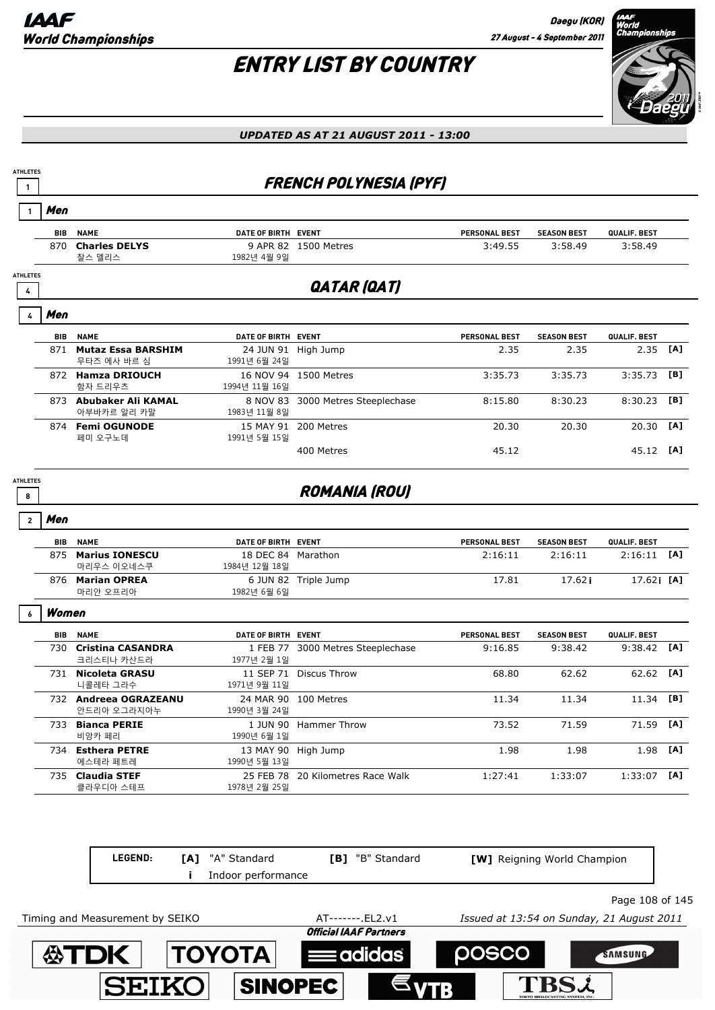# ENTRY LIST BY COUNTRY



*UPDATED AS AT 21 AUGUST 2011 - 13:00*

### **<sup>1</sup>** FRENCH POLYNESIA (PYF)

|                      | Men        |                                        |                                     |                                   |                      |                    |              |     |
|----------------------|------------|----------------------------------------|-------------------------------------|-----------------------------------|----------------------|--------------------|--------------|-----|
|                      | <b>BIB</b> | <b>NAME</b>                            | DATE OF BIRTH EVENT                 |                                   | PERSONAL BEST        | <b>SEASON BEST</b> | QUALIF. BEST |     |
|                      | 870        | <b>Charles DELYS</b><br>찰스 델리스         | 1982년 4월 9일                         | 9 APR 82 1500 Metres              | 3:49.55              | 3:58.49            | 3:58.49      |     |
| <b>ATHLETES</b><br>4 |            |                                        |                                     | QATAR (QAT)                       |                      |                    |              |     |
|                      | Men        |                                        |                                     |                                   |                      |                    |              |     |
|                      | <b>BIB</b> | <b>NAME</b>                            | DATE OF BIRTH EVENT                 |                                   | <b>PERSONAL BEST</b> | <b>SEASON BEST</b> | QUALIF. BEST |     |
|                      |            | 871 Mutaz Essa BARSHIM<br>무타즈 에사 바르 심  | 24 JUN 91 High Jump<br>1991년 6월 24일 |                                   | 2.35                 | 2.35               | 2.35         | [A] |
|                      |            | 872 Hamza DRIOUCH<br>함자 드리우츠           | 1994년 11월 16일                       | 16 NOV 94 1500 Metres             | 3:35.73              | 3:35.73            | 3:35.73      | [B] |
|                      |            | 873 Abubaker Ali KAMAL<br>아부바카르 알리 카말  | 1983년 11월 8일                        | 8 NOV 83 3000 Metres Steeplechase | 8:15.80              | 8:30.23            | 8:30.23      | [B] |
|                      |            | 874 Femi OGUNODE<br>페미 오구노데            | 1991년 5월 15일                        | 15 MAY 91 200 Metres              | 20.30                | 20.30              | 20.30        | [A] |
|                      |            |                                        |                                     | 400 Metres                        | 45.12                |                    | 45.12 [A]    |     |
| <b>ATHLETES</b><br>8 |            |                                        |                                     | <b>ROMANIA (ROU)</b>              |                      |                    |              |     |
| $\overline{2}$       | Men        |                                        |                                     |                                   |                      |                    |              |     |
|                      | <b>BIB</b> | <b>NAME</b>                            | DATE OF BIRTH EVENT                 |                                   | <b>PERSONAL BEST</b> | <b>SEASON BEST</b> | QUALIF. BEST |     |
|                      | 875        | <b>Marius IONESCU</b><br>마리우스 이오네스쿠    | 18 DEC 84 Marathon<br>1984년 12월 18일 |                                   | 2:16:11              | 2:16:11            | 2:16:11      | [A] |
|                      |            | 876 Marian OPREA<br>마리안 오프리아           | 1982년 6월 6일                         | 6 JUN 82 Triple Jump              | 17.81                | 17.62i             | 17.62i [A]   |     |
|                      | Women      |                                        |                                     |                                   |                      |                    |              |     |
|                      | <b>BIB</b> | <b>NAME</b>                            | DATE OF BIRTH EVENT                 |                                   | PERSONAL BEST        | <b>SEASON BEST</b> | QUALIF. BEST |     |
|                      | 730        | <b>Cristina CASANDRA</b><br>크리스티나 카산드라 | 1 FEB 77<br>1977년 2월 1일             | 3000 Metres Steeplechase          | 9:16.85              | 9:38.42            | 9:38.42      | [A] |
|                      |            | 731 Nicoleta GRASU<br>니콜레타 그라수         | 1971년 9월 11일                        | 11 SEP 71 Discus Throw            | 68.80                | 62.62              | 62.62        | [A] |
|                      |            | 732 Andreea OGRAZEANU<br>안드리아 오그라지아누   | 1990년 3월 24일                        | 24 MAR 90 100 Metres              | 11.34                | 11.34              | 11.34        | [B] |
|                      |            | 733 Bianca PERIE<br>비앙카 페리             | 1990년 6월 1일                         | 1 JUN 90 Hammer Throw             | 73.52                | 71.59              | 71.59        | [A] |
|                      |            | 734 Esthera PETRE<br>에스테라 페트레          | 13 MAY 90 High Jump<br>1990년 5월 13일 |                                   | 1.98                 | 1.98               | 1.98         | [A] |
|                      | 735        | <b>Claudia STEF</b><br>클라우디아 스테프       | 1978년 2월 25일                        | 25 FEB 78 20 Kilometres Race Walk | 1:27:41              | 1:33:07            | 1:33:07      | [A] |

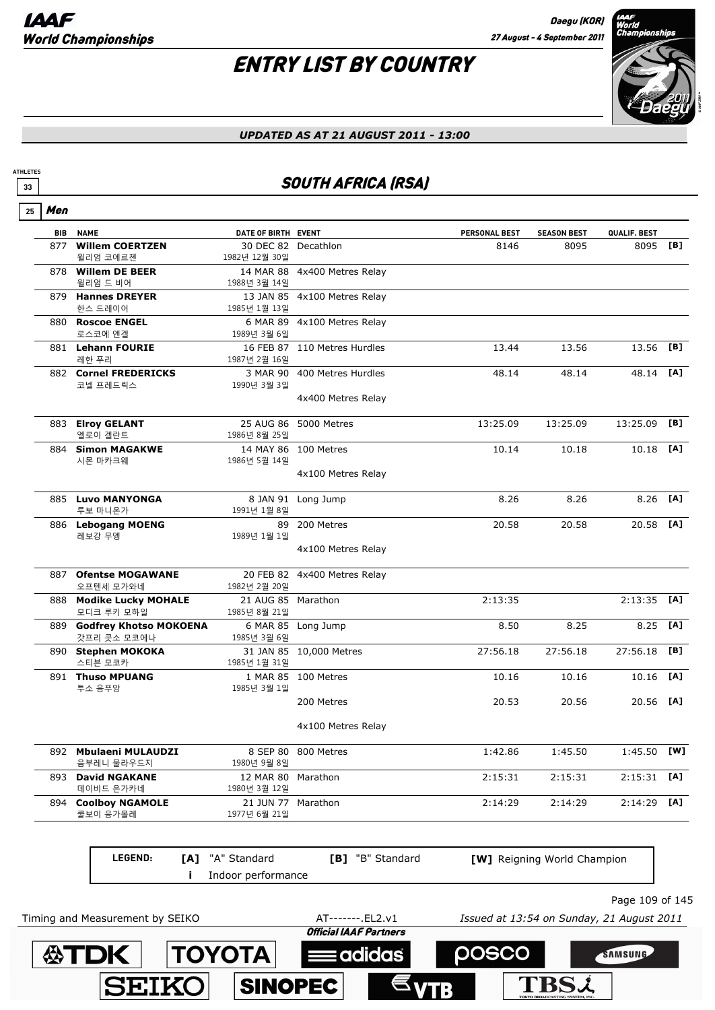**SEIK** 

**SINOPEC** 

**ATHLETES**

**TBSL** 

## ENTRY LIST BY COUNTRY



### *UPDATED AS AT 21 AUGUST 2011 - 13:00*

### **33** SOUTH AFRICA (RSA)

|     | <b>BIB NAME</b>                           | DATE OF BIRTH EVENT                  |                                                    | <b>PERSONAL BEST</b> | <b>SEASON BEST</b>                        | QUALIF. BEST    |     |
|-----|-------------------------------------------|--------------------------------------|----------------------------------------------------|----------------------|-------------------------------------------|-----------------|-----|
|     | 877 Willem COERTZEN<br>윌리엄 코에르첸           | 30 DEC 82 Decathlon<br>1982년 12월 30일 |                                                    | 8146                 | 8095                                      | 8095 [B]        |     |
|     | 878 Willem DE BEER<br>윌리엄 드 비어            | 1988년 3월 14일                         | 14 MAR 88 4x400 Metres Relay                       |                      |                                           |                 |     |
|     | 879 Hannes DREYER<br>한스 드레이어              | 1985년 1월 13일                         | 13 JAN 85 4x100 Metres Relay                       |                      |                                           |                 |     |
|     | 880 Roscoe ENGEL<br>로스코에 엔겔               | 1989년 3월 6일                          | 6 MAR 89 4x100 Metres Relay                        |                      |                                           |                 |     |
|     | 881 Lehann FOURIE<br>레한 푸리                | 1987년 2월 16일                         | 16 FEB 87 110 Metres Hurdles                       | 13.44                | 13.56                                     | 13.56           | [B] |
|     | 882 Cornel FREDERICKS<br>코넬 프레드릭스         | 1990년 3월 3일                          | 3 MAR 90 400 Metres Hurdles                        | 48.14                | 48.14                                     | 48.14           | [A] |
|     |                                           |                                      | 4x400 Metres Relay                                 |                      |                                           |                 |     |
|     | 883 Elroy GELANT<br>엘로이 겔란트               | 1986년 8월 25일                         | 25 AUG 86 5000 Metres                              | 13:25.09             | 13:25.09                                  | $13:25.09$ [B]  |     |
|     | 884 Simon MAGAKWE<br>시몬 마카크웨              | 1986년 5월 14일                         | 14 MAY 86 100 Metres                               | 10.14                | 10.18                                     | 10.18 [A]       |     |
|     |                                           |                                      | 4x100 Metres Relay                                 |                      |                                           |                 |     |
|     | 885 Luvo MANYONGA<br>루보 마니온가              | 1991년 1월 8일                          | 8 JAN 91 Long Jump                                 | 8.26                 | 8.26                                      | 8.26            | [A] |
|     | 886 Lebogang MOENG<br>레보강 무엥              | 1989년 1월 1일                          | 89 200 Metres                                      | 20.58                | 20.58                                     | 20.58           | [A] |
|     |                                           |                                      | 4x100 Metres Relay                                 |                      |                                           |                 |     |
| 887 | <b>Ofentse MOGAWANE</b><br>오프텐세 모가와네      | 1982년 2월 20일                         | 20 FEB 82 4x400 Metres Relay                       |                      |                                           |                 |     |
|     | 888 Modike Lucky MOHALE<br>모디크 루키 모하일     | 21 AUG 85 Marathon<br>1985년 8월 21일   |                                                    | 2:13:35              |                                           | $2:13:35$ [A]   |     |
|     | 889 Godfrey Khotso MOKOENA<br>갓프리 콧소 모코에나 | 1985년 3월 6일                          | 6 MAR 85 Long Jump                                 | 8.50                 | 8.25                                      | 8.25            | [A] |
|     | 890 Stephen MOKOKA<br>스티븐 모코카             | 1985년 1월 31일                         | 31 JAN 85 10,000 Metres                            | 27:56.18             | 27:56.18                                  | 27:56.18        | [B] |
|     | 891 Thuso MPUANG<br>투소 음푸앙                | 1985년 3월 1일                          | 1 MAR 85 100 Metres                                | 10.16                | 10.16                                     | 10.16           | [A] |
|     |                                           |                                      | 200 Metres                                         | 20.53                | 20.56                                     | 20.56 [A]       |     |
|     |                                           |                                      | 4x100 Metres Relay                                 |                      |                                           |                 |     |
|     | 892 Mbulaeni MULAUDZI<br>음부레니 물라우드지       | 1980년 9월 8일                          | 8 SEP 80 800 Metres                                | 1:42.86              | 1:45.50                                   | 1:45.50 [W]     |     |
| 893 | <b>David NGAKANE</b><br>데이비드 은가카네         | 12 MAR 80<br>1980년 3월 12일            | Marathon                                           | 2:15:31              | 2:15:31                                   | 2:15:31         | [A] |
|     | 894 Coolboy NGAMOLE<br>쿨보이 응가몰레           | 21 JUN 77 Marathon<br>1977년 6월 21일   |                                                    | 2:14:29              | 2:14:29                                   | 2:14:29         | [A] |
|     |                                           |                                      |                                                    |                      |                                           |                 |     |
|     | LEGEND:                                   | [A] "A" Standard                     | [B] "B" Standard                                   |                      | [W] Reigning World Champion               |                 |     |
|     |                                           | Indoor performance                   |                                                    |                      |                                           |                 |     |
|     |                                           |                                      |                                                    |                      |                                           | Page 109 of 145 |     |
|     | Timing and Measurement by SEIKO           |                                      | AT-------. EL2.v1<br><b>Official IAAF Partners</b> |                      | Issued at 13:54 on Sunday, 21 August 2011 |                 |     |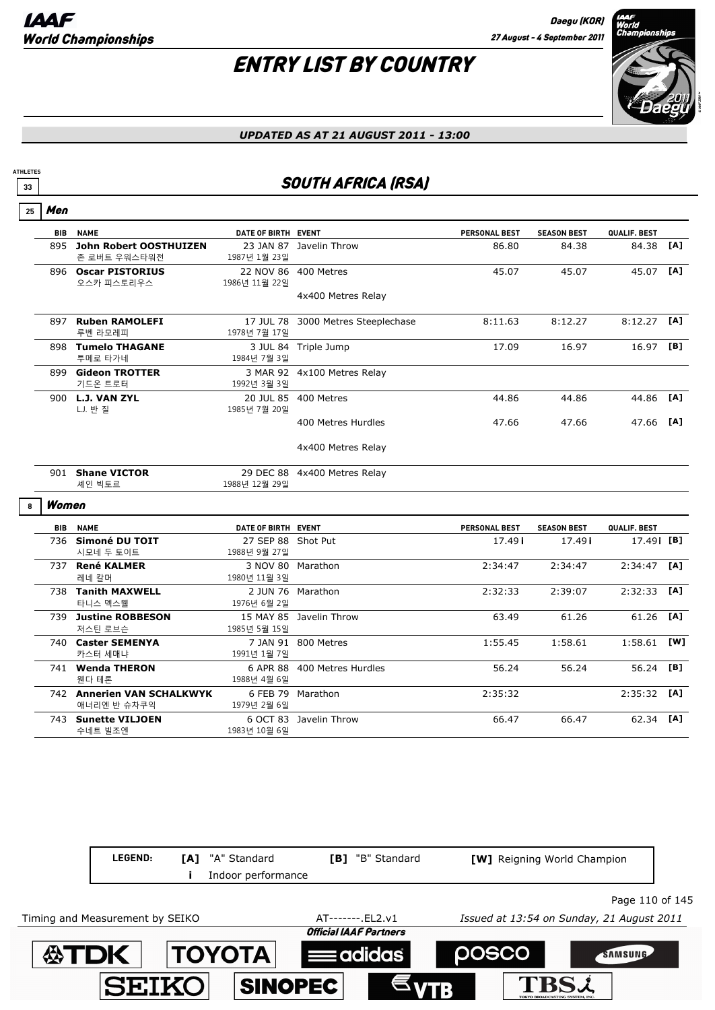

#### *UPDATED AS AT 21 AUGUST 2011 - 13:00*

### **33** SOUTH AFRICA (RSA)

|  | , |
|--|---|
|--|---|

**ATHLETES**

| <b>BIB</b> | <b>NAME</b>            | DATE OF BIRTH EVENT        |                          | <b>PERSONAL BEST</b> | <b>SEASON BEST</b> | QUALIF. BEST |     |
|------------|------------------------|----------------------------|--------------------------|----------------------|--------------------|--------------|-----|
| 895        | John Robert OOSTHUIZEN | 23 JAN 87                  | Javelin Throw            | 86.80                | 84.38              | 84.38        | [A] |
|            | 존 로버트 우워스타워전           | 1987년 1월 23일               |                          |                      |                    |              |     |
| 896        | <b>Oscar PISTORIUS</b> | 22 NOV 86                  | 400 Metres               | 45.07                | 45.07              | 45.07        | [A] |
|            | 오스카 피스토리우스             | 1986년 11월 22일              |                          |                      |                    |              |     |
|            |                        |                            | 4x400 Metres Relay       |                      |                    |              |     |
|            |                        |                            |                          |                      |                    |              |     |
| 897        | <b>Ruben RAMOLEFI</b>  | 17 JUL 78                  | 3000 Metres Steeplechase | 8:11.63              | 8:12.27            | 8:12.27      | [A] |
|            | 루벤 라모레피                | 1978년 7월 17일               |                          |                      |                    |              |     |
| 898        | <b>Tumelo THAGANE</b>  | 3 JUL 84                   | Triple Jump              | 17.09                | 16.97              | 16.97        | [B] |
|            | 투메로 타가네                | 1984년 7월 3일                |                          |                      |                    |              |     |
| 899        | <b>Gideon TROTTER</b>  | 3 MAR 92                   | 4x100 Metres Relay       |                      |                    |              |     |
|            | 기드온 트로터                | 1992년 3월 3일                |                          |                      |                    |              |     |
| 900        | <b>L.J. VAN ZYL</b>    | 20 JUL 85                  | 400 Metres               | 44.86                | 44.86              | 44.86        | [A] |
|            | L.J. 반질                | 1985년 7월 20일               |                          |                      |                    |              |     |
|            |                        |                            | 400 Metres Hurdles       | 47.66                | 47.66              | 47.66        | [A] |
|            |                        |                            | 4x400 Metres Relay       |                      |                    |              |     |
| 901        | <b>Shane VICTOR</b>    | 29 DEC 88<br>1988년 12월 29일 | 4x400 Metres Relay       |                      |                    |              |     |
|            | 셰인 빅토르                 |                            |                          |                      |                    |              |     |

#### Women **8**

| BIB  | <b>NAME</b>                                  | DATE OF BIRTH EVENT       |                    | <b>PERSONAL BEST</b> | <b>SEASON BEST</b> | QUALIF. BEST     |     |
|------|----------------------------------------------|---------------------------|--------------------|----------------------|--------------------|------------------|-----|
| 736. | Simoné DU TOIT<br>시모네 두 토이트                  | 27 SEP 88<br>1988년 9월 27일 | Shot Put           | 17.49 i              | 17.49 i            | 17.49 <b>[B]</b> |     |
| 737  | <b>René KALMER</b><br>레네 칼머                  | 3 NOV 80<br>1980년 11월 3일  | Marathon           | 2:34:47              | 2:34:47            | 2:34:47          | [A] |
| 738  | <b>Tanith MAXWELL</b><br>타니스 멕스웰             | 2 JUN 76<br>1976년 6월 2일   | Marathon           | 2:32:33              | 2:39:07            | 2:32:33          | [A] |
| 739  | <b>Justine ROBBESON</b><br>저스틴 로브슨.          | 15 MAY 85<br>1985년 5월 15일 | Javelin Throw      | 63.49                | 61.26              | 61.26            | [A] |
| 740. | <b>Caster SEMENYA</b><br>카스터 세매냐             | 7 JAN 91<br>1991년 1월 7일   | 800 Metres         | 1:55.45              | 1:58.61            | 1:58.61          | [W] |
| 741  | <b>Wenda THERON</b><br>웬다 테론                 | 6 APR 88<br>1988년 4월 6일   | 400 Metres Hurdles | 56.24                | 56.24              | 56.24            | [B] |
| 742  | <b>Annerien VAN SCHALKWYK</b><br>애너리엔 반 슈차쿠익 | 6 FEB 79<br>1979년 2월 6일   | Marathon           | 2:35:32              |                    | 2:35:32          | [A] |
| 743. | <b>Sunette VILJOEN</b><br>수네트 빌조엔            | 6 OCT 83<br>1983년 10월 6일  | Javelin Throw      | 66.47                | 66.47              | 62.34            | [A] |

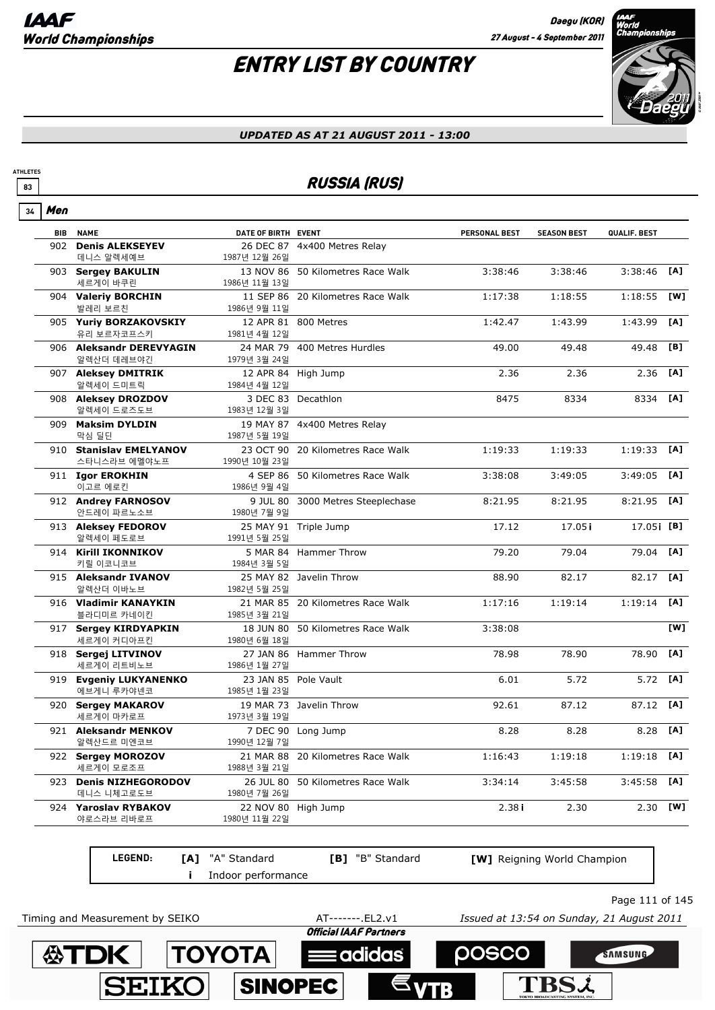## ENTRY LIST BY COUNTRY



#### *UPDATED AS AT 21 AUGUST 2011 - 13:00*

### **83** RUSSIA (RUS)

| Men<br>34 |                                         |                            |                                   |                      |                    |               |     |
|-----------|-----------------------------------------|----------------------------|-----------------------------------|----------------------|--------------------|---------------|-----|
|           | <b>BIB NAME</b>                         | DATE OF BIRTH EVENT        |                                   | <b>PERSONAL BEST</b> | <b>SEASON BEST</b> | QUALIF. BEST  |     |
| 902       | <b>Denis ALEKSEYEV</b><br>데니스 알렉세예브     | 1987년 12월 26일              | 26 DEC 87 4x400 Metres Relay      |                      |                    |               |     |
|           | 903 Sergey BAKULIN<br>세르게이 바쿠린          | 1986년 11월 13일              | 13 NOV 86 50 Kilometres Race Walk | 3:38:46              | 3:38:46            | 3:38:46       | [A] |
|           | 904 Valeriy BORCHIN<br>발레리 보르친          | 1986년 9월 11일               | 11 SEP 86 20 Kilometres Race Walk | 1:17:38              | 1:18:55            | 1:18:55       | [W] |
|           | 905 Yuriy BORZAKOVSKIY<br>유리 보르자코프스키    | 1981년 4월 12일               | 12 APR 81 800 Metres              | 1:42.47              | 1:43.99            | 1:43.99       | [A] |
|           | 906 Aleksandr DEREVYAGIN<br>알렉산더 데레브야긴  | 1979년 3월 24일               | 24 MAR 79 400 Metres Hurdles      | 49.00                | 49.48              | 49.48         | [B] |
|           | 907 Aleksey DMITRIK<br>알렉세이 드미트릭        | 1984년 4월 12일               | 12 APR 84 High Jump               | 2.36                 | 2.36               | 2.36          | [A] |
|           | 908 Aleksey DROZDOV<br>알렉세이 드로즈도브       | 1983년 12월 3일               | 3 DEC 83 Decathlon                | 8475                 | 8334               | 8334          | [A] |
| 909       | <b>Maksim DYLDIN</b><br>막심 딜딘           | 1987년 5월 19일               | 19 MAY 87 4x400 Metres Relay      |                      |                    |               |     |
|           | 910 Stanislav EMELYANOV<br>스타니스라브 에멜야노프 | 1990년 10월 23일              | 23 OCT 90 20 Kilometres Race Walk | 1:19:33              | 1:19:33            | 1:19:33       | [A] |
|           | 911 Igor EROKHIN<br>이고르 에로킨             | 1986년 9월 4일                | 4 SEP 86 50 Kilometres Race Walk  | 3:38:08              | 3:49:05            | 3:49:05       | [A] |
|           | 912 Andrey FARNOSOV<br>안드레이 파르노소브       | 1980년 7월 9일                | 9 JUL 80 3000 Metres Steeplechase | 8:21.95              | 8:21.95            | 8:21.95       | [A] |
|           | 913 Aleksey FEDOROV<br>알렉세이 페도로브        | 1991년 5월 25일               | 25 MAY 91 Triple Jump             | 17.12                | 17.05i             | 17.05 [B]     |     |
|           | 914 Kirill IKONNIKOV<br>키릴 이코니코브        | 1984년 3월 5일                | 5 MAR 84 Hammer Throw             | 79.20                | 79.04              | 79.04         | [A] |
|           | 915 Aleksandr IVANOV<br>알렉산더 이바노브       | 1982년 5월 25일               | 25 MAY 82 Javelin Throw           | 88.90                | 82.17              | 82.17         | [A] |
|           | 916 Vladimir KANAYKIN<br>블라디미르 카네이킨     | 1985년 3월 21일               | 21 MAR 85 20 Kilometres Race Walk | 1:17:16              | 1:19:14            | 1:19:14       | [A] |
|           | 917 Sergey KIRDYAPKIN<br>세르게이 커디아프킨     | 1980년 6월 18일               | 18 JUN 80 50 Kilometres Race Walk | 3:38:08              |                    |               | [W] |
|           | 918 Sergej LITVINOV<br>세르게이 리트비노브       | 1986년 1월 27일               | 27 JAN 86 Hammer Throw            | 78.98                | 78.90              | 78.90         | [A] |
|           | 919 Evgeniy LUKYANENKO<br>에브게니 루카야넨코    | 1985년 1월 23일               | 23 JAN 85 Pole Vault              | 6.01                 | 5.72               | 5.72          | [A] |
|           | 920 Sergey MAKAROV<br>세르게이 마카로프         | 1973년 3월 19일               | 19 MAR 73 Javelin Throw           | 92.61                | 87.12              | 87.12         | [A] |
|           | 921 Aleksandr MENKOV<br>알렉산드르 미엔코브      | 1990년 12월 7일               | 7 DEC 90 Long Jump                | 8.28                 | 8.28               | 8.28          | [A] |
|           | 922 Sergey MOROZOV<br>세르게이 모로조프         | 1988년 3월 21일               | 21 MAR 88 20 Kilometres Race Walk | 1:16:43              | 1:19:18            | $1:19:18$ [A] |     |
|           | 923 Denis NIZHEGORODOV<br>데니스 니체고로도브    | 1980년 7월 26일               | 26 JUL 80 50 Kilometres Race Walk | 3:34:14              | 3:45:58            | 3:45:58       | [A] |
| 924       | <b>Yaroslav RYBAKOV</b><br>야로스라브 리바로프   | 22 NOV 80<br>1980년 11월 22일 | High Jump                         | 2.38 <sub>i</sub>    | 2.30               | 2.30          | [W] |

**LEGEND: i** Indoor performance **[A]** "A" Standard **[B]** "B" Standard **[W]** Reigning World Champion

Page 111 of 145

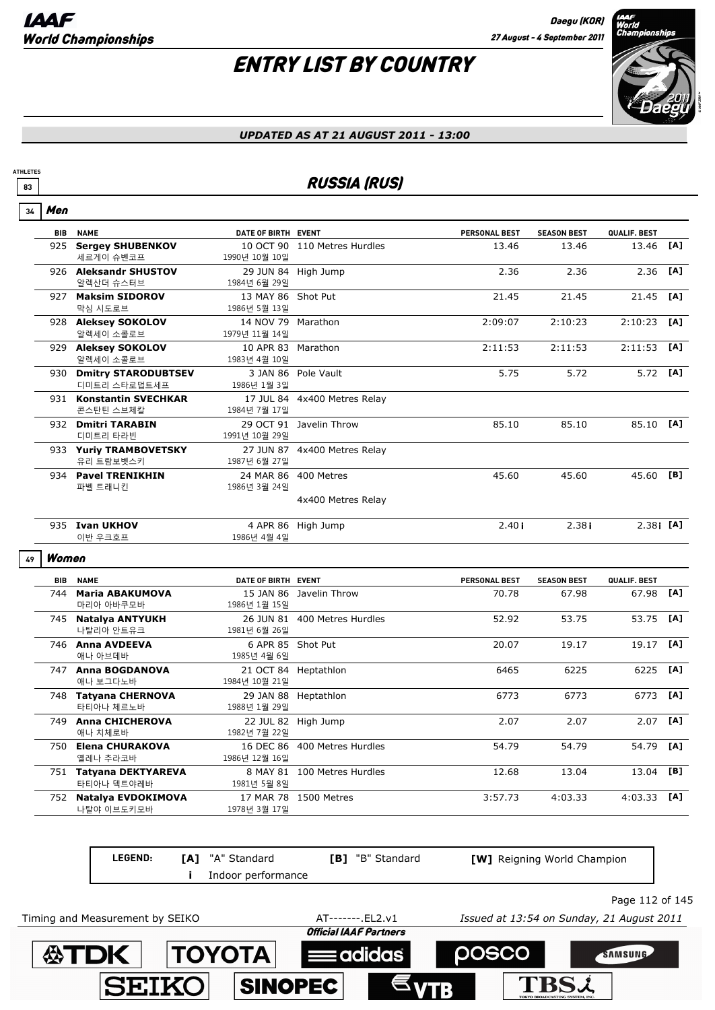TBS2

## ENTRY LIST BY COUNTRY



#### *UPDATED AS AT 21 AUGUST 2011 - 13:00*

### **83** RUSSIA (RUS)

| Men        |                                     |                                                                                                                                                                                                                                                                                                                                                                                                                                                                                                               |                                                                              |                                                                                                                                                                                                                                                                                                                                                                                                                                                                                                                                                           |                    |              |     |
|------------|-------------------------------------|---------------------------------------------------------------------------------------------------------------------------------------------------------------------------------------------------------------------------------------------------------------------------------------------------------------------------------------------------------------------------------------------------------------------------------------------------------------------------------------------------------------|------------------------------------------------------------------------------|-----------------------------------------------------------------------------------------------------------------------------------------------------------------------------------------------------------------------------------------------------------------------------------------------------------------------------------------------------------------------------------------------------------------------------------------------------------------------------------------------------------------------------------------------------------|--------------------|--------------|-----|
| <b>BIB</b> |                                     |                                                                                                                                                                                                                                                                                                                                                                                                                                                                                                               |                                                                              | PERSONAL BEST                                                                                                                                                                                                                                                                                                                                                                                                                                                                                                                                             | <b>SEASON BEST</b> | QUALIF. BEST |     |
|            | 세르게이 슈벤코프                           | 1990년 10월 10일                                                                                                                                                                                                                                                                                                                                                                                                                                                                                                 |                                                                              | 13.46                                                                                                                                                                                                                                                                                                                                                                                                                                                                                                                                                     | 13.46              | 13.46        | [A] |
|            | 알렉산더 슈스터브                           | 1984년 6월 29일                                                                                                                                                                                                                                                                                                                                                                                                                                                                                                  |                                                                              | 2.36                                                                                                                                                                                                                                                                                                                                                                                                                                                                                                                                                      | 2.36               | 2.36         | [A] |
|            | 막심 시도로브                             | 1986년 5월 13일                                                                                                                                                                                                                                                                                                                                                                                                                                                                                                  |                                                                              | 21.45                                                                                                                                                                                                                                                                                                                                                                                                                                                                                                                                                     | 21.45              | 21.45        | [A] |
|            | 알렉세이 소콜로브                           | 1979년 11월 14일                                                                                                                                                                                                                                                                                                                                                                                                                                                                                                 |                                                                              | 2:09:07                                                                                                                                                                                                                                                                                                                                                                                                                                                                                                                                                   | 2:10:23            | 2:10:23      | [A] |
|            |                                     |                                                                                                                                                                                                                                                                                                                                                                                                                                                                                                               |                                                                              | 2:11:53                                                                                                                                                                                                                                                                                                                                                                                                                                                                                                                                                   | 2:11:53            | 2:11:53      | [A] |
|            | <b>Dmitry STARODUBTSEV</b>          |                                                                                                                                                                                                                                                                                                                                                                                                                                                                                                               |                                                                              | 5.75                                                                                                                                                                                                                                                                                                                                                                                                                                                                                                                                                      | 5.72               | 5.72         | [A] |
|            |                                     |                                                                                                                                                                                                                                                                                                                                                                                                                                                                                                               |                                                                              |                                                                                                                                                                                                                                                                                                                                                                                                                                                                                                                                                           |                    |              |     |
|            |                                     |                                                                                                                                                                                                                                                                                                                                                                                                                                                                                                               |                                                                              | 85.10                                                                                                                                                                                                                                                                                                                                                                                                                                                                                                                                                     | 85.10              | 85.10 [A]    |     |
|            | 유리 트람보벳스키                           | 1987년 6월 27일                                                                                                                                                                                                                                                                                                                                                                                                                                                                                                  |                                                                              |                                                                                                                                                                                                                                                                                                                                                                                                                                                                                                                                                           |                    |              |     |
|            |                                     |                                                                                                                                                                                                                                                                                                                                                                                                                                                                                                               |                                                                              | 45.60                                                                                                                                                                                                                                                                                                                                                                                                                                                                                                                                                     | 45.60              | 45.60 [B]    |     |
|            |                                     |                                                                                                                                                                                                                                                                                                                                                                                                                                                                                                               | 4x400 Metres Relay                                                           |                                                                                                                                                                                                                                                                                                                                                                                                                                                                                                                                                           |                    |              |     |
|            | 이반 우크호프                             | 1986년 4월 4일                                                                                                                                                                                                                                                                                                                                                                                                                                                                                                   |                                                                              | 2.40i                                                                                                                                                                                                                                                                                                                                                                                                                                                                                                                                                     | 2.38i              | $2.381$ [A]  |     |
|            |                                     |                                                                                                                                                                                                                                                                                                                                                                                                                                                                                                               |                                                                              |                                                                                                                                                                                                                                                                                                                                                                                                                                                                                                                                                           |                    |              |     |
| BIB        | <b>NAME</b>                         |                                                                                                                                                                                                                                                                                                                                                                                                                                                                                                               |                                                                              | PERSONAL BEST                                                                                                                                                                                                                                                                                                                                                                                                                                                                                                                                             | <b>SEASON BEST</b> | QUALIF. BEST |     |
|            | <b>Maria ABAKUMOVA</b><br>마리아 아바쿠모바 | 1986년 1월 15일                                                                                                                                                                                                                                                                                                                                                                                                                                                                                                  |                                                                              | 70.78                                                                                                                                                                                                                                                                                                                                                                                                                                                                                                                                                     | 67.98              | 67.98        | [A] |
|            | 나탈리아 안트유크                           | 1981년 6월 26일                                                                                                                                                                                                                                                                                                                                                                                                                                                                                                  |                                                                              | 52.92                                                                                                                                                                                                                                                                                                                                                                                                                                                                                                                                                     | 53.75              | 53.75        | [A] |
|            | 애나 아브데바                             | 1985년 4월 6일                                                                                                                                                                                                                                                                                                                                                                                                                                                                                                   |                                                                              | 20.07                                                                                                                                                                                                                                                                                                                                                                                                                                                                                                                                                     | 19.17              | 19.17        | [A] |
|            | 애나 보그다노바                            | 1984년 10월 21일                                                                                                                                                                                                                                                                                                                                                                                                                                                                                                 |                                                                              | 6465                                                                                                                                                                                                                                                                                                                                                                                                                                                                                                                                                      | 6225               | 6225         | [A] |
|            | 타티아나 체르노바                           | 1988년 1월 29일                                                                                                                                                                                                                                                                                                                                                                                                                                                                                                  |                                                                              | 6773                                                                                                                                                                                                                                                                                                                                                                                                                                                                                                                                                      | 6773               | 6773         | [A] |
|            | 애나 치체로바                             | 1982년 7월 22일                                                                                                                                                                                                                                                                                                                                                                                                                                                                                                  |                                                                              | 2.07                                                                                                                                                                                                                                                                                                                                                                                                                                                                                                                                                      | 2.07               | 2.07         | [A] |
|            | 옐레나 추라코바                            | 1986년 12월 16일                                                                                                                                                                                                                                                                                                                                                                                                                                                                                                 |                                                                              | 54.79                                                                                                                                                                                                                                                                                                                                                                                                                                                                                                                                                     | 54.79              | 54.79        | [A] |
|            | 타티아나 덱트야레바                          | 1981년 5월 8일                                                                                                                                                                                                                                                                                                                                                                                                                                                                                                   |                                                                              | 12.68                                                                                                                                                                                                                                                                                                                                                                                                                                                                                                                                                     | 13.04              | 13.04        | [B] |
|            | 752 Natalya EVDOKIMOVA              | 17 MAR 78 1500 Metres                                                                                                                                                                                                                                                                                                                                                                                                                                                                                         |                                                                              | 3:57.73                                                                                                                                                                                                                                                                                                                                                                                                                                                                                                                                                   | 4:03.33            | 4:03.33      | [A] |
|            |                                     | <b>NAME</b><br>925 Sergey SHUBENKOV<br>926 Aleksandr SHUSTOV<br>927 Maksim SIDOROV<br>928 Aleksey SOKOLOV<br>929 Aleksey SOKOLOV<br>알렉세이 소콜로브<br>930<br>디미트리 스타로덥트세프<br>931 Konstantin SVECHKAR<br>콘스탄틴 스브체칼<br>932 Dmitri TARABIN<br>디미트리 타라빈<br>933 Yuriy TRAMBOVETSKY<br>934 Pavel TRENIKHIN<br>파벨 트래니킨<br>935 Ivan UKHOV<br>Women<br>744<br>745 Natalya ANTYUKH<br>746 Anna AVDEEVA<br>747 Anna BOGDANOVA<br>748 Tatyana CHERNOVA<br>749 Anna CHICHEROVA<br>750 Elena CHURAKOVA<br>751 Tatyana DEKTYAREVA | 1983년 4월 10일<br>1986년 1월 3일<br>1984년 7월 17일<br>1991년 10월 29일<br>1986년 3월 24일 | DATE OF BIRTH EVENT<br>10 OCT 90 110 Metres Hurdles<br>29 JUN 84 High Jump<br>13 MAY 86 Shot Put<br>14 NOV 79 Marathon<br>10 APR 83 Marathon<br>3 JAN 86 Pole Vault<br>17 JUL 84 4x400 Metres Relay<br>29 OCT 91 Javelin Throw<br>27 JUN 87 4x400 Metres Relay<br>24 MAR 86 400 Metres<br>4 APR 86 High Jump<br>DATE OF BIRTH EVENT<br>15 JAN 86 Javelin Throw<br>26 JUN 81 400 Metres Hurdles<br>6 APR 85 Shot Put<br>21 OCT 84 Heptathlon<br>29 JAN 88 Heptathlon<br>22 JUL 82 High Jump<br>16 DEC 86 400 Metres Hurdles<br>8 MAY 81 100 Metres Hurdles |                    |              |     |

**LEGEND: [A]** "A" Standard **[B]** "B" Standard **[W]** Reigning World Champion **i** Indoor performance Page 112 of 145 Timing and Measurement by SEIKO AT-------.EL2.v1 *Issued at 13:54 on Sunday, 21 August 2011***Official IAAF Partners 公TDK TOYOTA DOSCO** SAMSUNG adidas

**SINOPEC** 

**SEIK**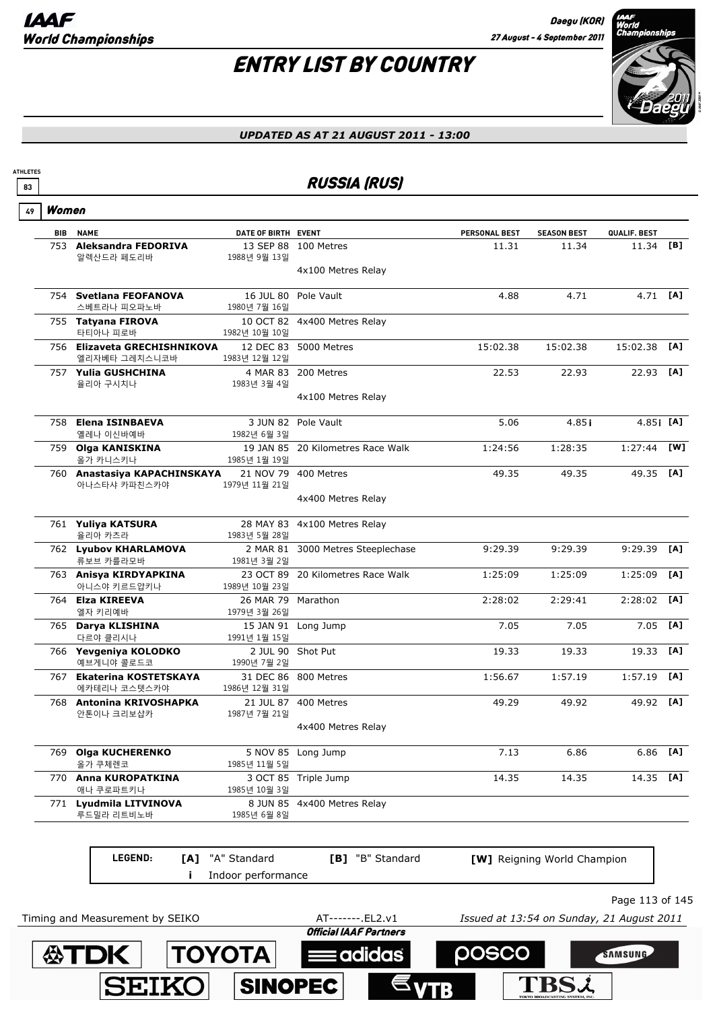

#### *UPDATED AS AT 21 AUGUST 2011 - 13:00*

### **83** RUSSIA (RUS)

| 7<br>æ<br>" |
|-------------|
|-------------|

**公下口人** 

**TOYOTA** 

**SINOPEC** 

**SEIKO** 

**ATHLETES**

| <b>BIB NAME</b>                               | DATE OF BIRTH EVENT                |                                   | <b>PERSONAL BEST</b> | <b>SEASON BEST</b>                 | QUALIF. BEST      |     |
|-----------------------------------------------|------------------------------------|-----------------------------------|----------------------|------------------------------------|-------------------|-----|
| 753 Aleksandra FEDORIVA<br>알렉산드라 페도리바         |                                    | 13 SEP 88 100 Metres              | 11.31                | 11.34                              | 11.34 [B]         |     |
|                                               | 1988년 9월 13일                       | 4x100 Metres Relay                |                      |                                    |                   |     |
| 754 Svetlana FEOFANOVA<br>스베트라나 피오파노바         | 16 JUL 80<br>1980년 7월 16일          | Pole Vault                        | 4.88                 | 4.71                               | 4.71 [ <b>A</b> ] |     |
| 755 Tatyana FIROVA<br>타티아나 피로바                | 1982년 10월 10일                      | 10 OCT 82 4x400 Metres Relay      |                      |                                    |                   |     |
| 756 Elizaveta GRECHISHNIKOVA<br>엘리자베타 그레치스니코바 | 1983년 12월 12일                      | 12 DEC 83 5000 Metres             | 15:02.38             | 15:02.38                           | 15:02.38          | [A] |
| 757 Yulia GUSHCHINA<br>율리아 구시치나               | 1983년 3월 4일                        | 4 MAR 83 200 Metres               | 22.53                | 22.93                              | 22.93 [A]         |     |
|                                               |                                    | 4x100 Metres Relay                |                      |                                    |                   |     |
| 758 Elena ISINBAEVA<br>옐레나 이신바예바              | 1982년 6월 3일                        | 3 JUN 82 Pole Vault               | 5.06                 | 4.85i                              | $4.85$ <b>[A]</b> |     |
| 759 Olga KANISKINA<br>올가 카니스키나                | 1985년 1월 19일                       | 19 JAN 85 20 Kilometres Race Walk | 1:24:56              | 1:28:35                            | 1:27:44           | [W] |
| 760 Anastasiya KAPACHINSKAYA<br>아나스타샤 카파친스카야  | 1979년 11월 21일                      | 21 NOV 79 400 Metres              | 49.35                | 49.35                              | 49.35 [A]         |     |
|                                               |                                    | 4x400 Metres Relay                |                      |                                    |                   |     |
| 761 Yuliya KATSURA<br>율리아 카츠라                 | 1983년 5월 28일                       | 28 MAY 83 4x100 Metres Relay      |                      |                                    |                   |     |
| 762 Lyubov KHARLAMOVA<br>류보브 카를라모바            | 1981년 3월 2일                        | 2 MAR 81 3000 Metres Steeplechase | 9:29.39              | 9:29.39                            | 9:29.39 [A]       |     |
| 763 Anisya KIRDYAPKINA<br>아니스야 키르드얍키나         | 1989년 10월 23일                      | 23 OCT 89 20 Kilometres Race Walk | 1:25:09              | 1:25:09                            | 1:25:09           | [A] |
| 764 Elza KIREEVA<br>엘자 키리예바                   | 26 MAR 79 Marathon<br>1979년 3월 26일 |                                   | 2:28:02              | 2:29:41                            | $2:28:02$ [A]     |     |
| 765 Darya KLISHINA<br>다르야 클리시나                | 1991년 1월 15일                       | 15 JAN 91 Long Jump               | 7.05                 | 7.05                               | 7.05              | [A] |
| 766 Yevgeniya KOLODKO<br>예브게니야 콜로드코           | 1990년 7월 2일                        | 2 JUL 90 Shot Put                 | 19.33                | 19.33                              | 19.33             | [A] |
| 767 Ekaterina KOSTETSKAYA<br>에카테리나 코스텟스카야     | 1986년 12월 31일                      | 31 DEC 86 800 Metres              | 1:56.67              | 1:57.19                            | 1:57.19           | [A] |
| 768 Antonina KRIVOSHAPKA<br>안톤이나 크리보샵카        | 1987년 7월 21일                       | 21 JUL 87 400 Metres              | 49.29                | 49.92                              | 49.92 [A]         |     |
|                                               |                                    | 4x400 Metres Relay                |                      |                                    |                   |     |
| 769 Olga KUCHERENKO<br>올가 쿠체렌코                | 1985년 11월 5일                       | 5 NOV 85 Long Jump                | 7.13                 | 6.86                               | 6.86              | [A] |
| 770 Anna KUROPATKINA<br>애나 쿠로파트키나             | 1985년 10월 3일                       | 3 OCT 85 Triple Jump              | 14.35                | 14.35                              | 14.35 [A]         |     |
| 771 Lyudmila LITVINOVA<br>루드밀라 리트비노바          | 1985년 6월 8일                        | 8 JUN 85 4x400 Metres Relay       |                      |                                    |                   |     |
| LEGEND:                                       | [A] "A" Standard                   | [B] "B" Standard                  |                      | <b>[W]</b> Reigning World Champion |                   |     |
|                                               | Indoor performance                 |                                   |                      |                                    |                   |     |

**Eadidas** 

**posco** 

**TBSi** 

SAMSUNG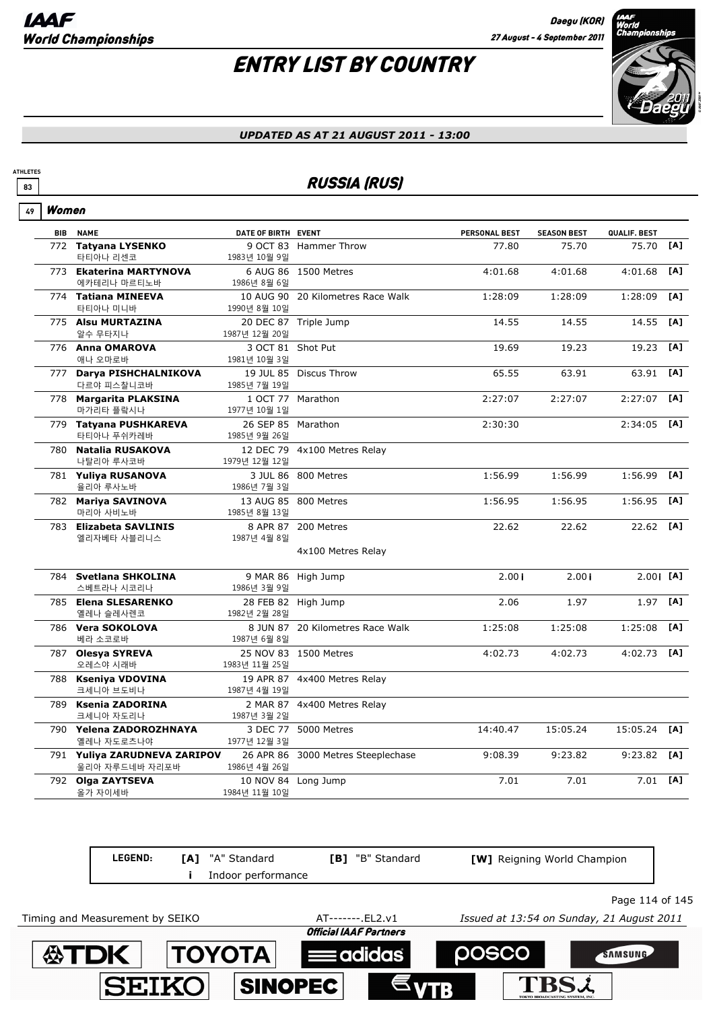

#### *UPDATED AS AT 21 AUGUST 2011 - 13:00*

### **83** RUSSIA (RUS)

| 49 | Women |
|----|-------|
|----|-------|

**ATHLETES**

| <b>BIB NAME</b>                       | DATE OF BIRTH EVENT |                                    | PERSONAL BEST | <b>SEASON BEST</b> | QUALIF. BEST  |     |
|---------------------------------------|---------------------|------------------------------------|---------------|--------------------|---------------|-----|
| 772 Tatyana LYSENKO                   |                     | 9 OCT 83 Hammer Throw              | 77.80         | 75.70              | 75.70         | [A] |
| 타티아나 리센코                              | 1983년 10월 9일        |                                    |               |                    |               |     |
| 773 Ekaterina MARTYNOVA               |                     | 6 AUG 86 1500 Metres               | 4:01.68       | 4:01.68            | 4:01.68       | [A] |
| 에카테리나 마르티노바                           | 1986년 8월 6일         |                                    |               |                    |               |     |
| 774 Tatiana MINEEVA                   |                     | 10 AUG 90 20 Kilometres Race Walk  | 1:28:09       | 1:28:09            | 1:28:09       | [A] |
| 타티아나 미니바                              | 1990년 8월 10일        |                                    |               |                    |               |     |
| 775 Alsu MURTAZINA                    |                     | 20 DEC 87 Triple Jump              | 14.55         | 14.55              | 14.55         | [A] |
| 알수 무타지나                               | 1987년 12월 20일       |                                    |               |                    |               |     |
| 776 Anna OMAROVA                      | 3 OCT 81 Shot Put   |                                    | 19.69         | 19.23              | 19.23         | [A] |
| 애나 오마로바                               | 1981년 10월 3일        |                                    |               |                    |               |     |
| 777 Darya PISHCHALNIKOVA              |                     | 19 JUL 85 Discus Throw             | 65.55         | 63.91              | 63.91         | [A] |
| 다르야 피스찰니코바                            | 1985년 7월 19일        |                                    |               |                    |               |     |
| 778 Margarita PLAKSINA                |                     | 1 OCT 77 Marathon                  | 2:27:07       | 2:27:07            | 2:27:07       | [A] |
| 마가리타 플랔시나                             | 1977년 10월 1일        |                                    |               |                    |               |     |
| 779 Tatyana PUSHKAREVA                | 26 SEP 85 Marathon  |                                    | 2:30:30       |                    | $2:34:05$ [A] |     |
| 타티아나 푸쉬카레바                            | 1985년 9월 26일        |                                    |               |                    |               |     |
| 780 Natalia RUSAKOVA                  |                     | 12 DEC 79 4x100 Metres Relay       |               |                    |               |     |
| 나탈리아 루사코바                             | 1979년 12월 12일       |                                    |               |                    |               |     |
|                                       |                     | 3 JUL 86 800 Metres                | 1:56.99       | 1:56.99            | 1:56.99       | [A] |
| 781 Yuliya RUSANOVA<br>율리아 루사노바       | 1986년 7월 3일         |                                    |               |                    |               |     |
| 782 Mariya SAVINOVA                   |                     | 13 AUG 85 800 Metres               | 1:56.95       | 1:56.95            | 1:56.95       | [A] |
| 마리아 사비노바                              | 1985년 8월 13일        |                                    |               |                    |               |     |
|                                       |                     |                                    |               |                    | 22.62 [A]     |     |
| 783 Elizabeta SAVLINIS<br>엘리자베타 사블리니스 | 1987년 4월 8일         | 8 APR 87 200 Metres                | 22.62         | 22.62              |               |     |
|                                       |                     | 4x100 Metres Relay                 |               |                    |               |     |
|                                       |                     |                                    |               |                    |               |     |
| 784 Svetlana SHKOLINA                 |                     | 9 MAR 86 High Jump                 | 2.00i         | 2.00i              | $2.00$ i [A]  |     |
| 스베트라나 시코리나                            | 1986년 3월 9일         |                                    |               |                    |               |     |
| 785 Elena SLESARENKO                  |                     | 28 FEB 82 High Jump                | 2.06          | 1.97               | 1.97          | [A] |
| 옐레나 슬레사렌코                             | 1982년 2월 28일        |                                    |               |                    |               |     |
| 786 Vera SOKOLOVA                     |                     | 8 JUN 87 20 Kilometres Race Walk   | 1:25:08       | 1:25:08            | 1:25:08       | [A] |
| 베라 소코로바                               | 1987년 6월 8일         |                                    |               |                    |               |     |
| 787 Olesya SYREVA                     |                     | 25 NOV 83 1500 Metres              | 4:02.73       | 4:02.73            | $4:02.73$ [A] |     |
| 오레스야 시래바                              | 1983년 11월 25일       |                                    |               |                    |               |     |
|                                       |                     |                                    |               |                    |               |     |
| 788 Kseniya VDOVINA<br>크세니아 브도비나      | 1987년 4월 19일        | 19 APR 87 4x400 Metres Relay       |               |                    |               |     |
|                                       |                     |                                    |               |                    |               |     |
| 789 Ksenia ZADORINA<br>크세니아 자도리나      |                     | 2 MAR 87 4x400 Metres Relay        |               |                    |               |     |
|                                       | 1987년 3월 2일         |                                    |               |                    |               |     |
| 790 Yelena ZADOROZHNAYA               |                     | 3 DEC 77 5000 Metres               | 14:40.47      | 15:05.24           | 15:05.24      | [A] |
| 옐레나 자도로츠나야                            | 1977년 12월 3일        |                                    |               |                    |               |     |
| 791 Yuliya ZARUDNEVA ZARIPOV          |                     | 26 APR 86 3000 Metres Steeplechase | 9:08.39       | 9:23.82            | 9:23.82       | [A] |
| 울리아 자루드네바 자리포바                        | 1986년 4월 26일        |                                    |               |                    |               |     |
| 792 Olga ZAYTSEVA<br>올가 자이세바          | 1984년 11월 10일       | 10 NOV 84 Long Jump                | 7.01          | 7.01               | $7.01$ [A]    |     |
|                                       |                     |                                    |               |                    |               |     |

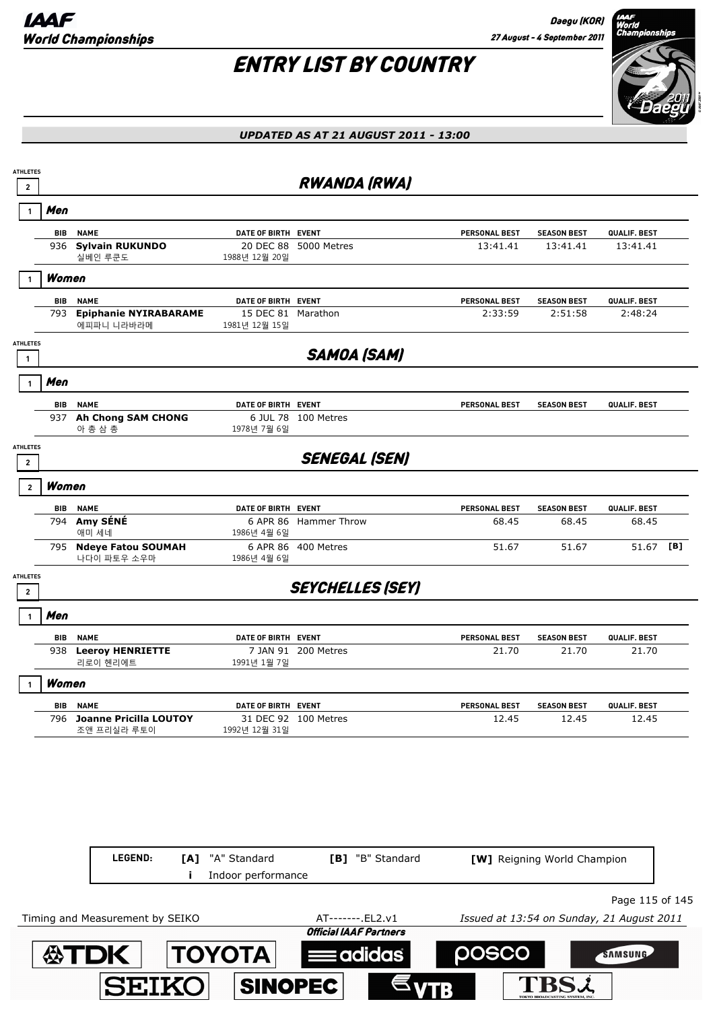

| <b>Sylvain RUKUNDO</b><br>936<br>실베인 루쿤도   | 1988년 12월 20일                                                        |                      | 13:41.41                                                                                                                                                                                                                                                                                                                                                      | 13:41.41                              | 13:41.41           |                              |
|--------------------------------------------|----------------------------------------------------------------------|----------------------|---------------------------------------------------------------------------------------------------------------------------------------------------------------------------------------------------------------------------------------------------------------------------------------------------------------------------------------------------------------|---------------------------------------|--------------------|------------------------------|
| Women                                      |                                                                      |                      |                                                                                                                                                                                                                                                                                                                                                               |                                       |                    |                              |
| <b>NAME</b>                                |                                                                      |                      | <b>PERSONAL BEST</b>                                                                                                                                                                                                                                                                                                                                          | <b>SEASON BEST</b>                    | QUALIF. BEST       |                              |
| <b>Epiphanie NYIRABARAME</b><br>에피파니 니라바라메 | 1981년 12월 15일                                                        |                      | 2:33:59                                                                                                                                                                                                                                                                                                                                                       | 2:51:58                               | 2:48:24            |                              |
|                                            |                                                                      | <b>SAMOA (SAM)</b>   |                                                                                                                                                                                                                                                                                                                                                               |                                       |                    |                              |
|                                            |                                                                      |                      |                                                                                                                                                                                                                                                                                                                                                               |                                       |                    |                              |
|                                            |                                                                      |                      |                                                                                                                                                                                                                                                                                                                                                               | <b>SEASON BEST</b>                    |                    |                              |
| 937 Ah Chong SAM CHONG<br>아 총 삼 총          | 1978년 7월 6일                                                          |                      |                                                                                                                                                                                                                                                                                                                                                               |                                       |                    |                              |
|                                            |                                                                      | <b>SENEGAL (SEN)</b> |                                                                                                                                                                                                                                                                                                                                                               |                                       |                    |                              |
| Women                                      |                                                                      |                      |                                                                                                                                                                                                                                                                                                                                                               |                                       |                    |                              |
| <b>NAME</b>                                |                                                                      |                      | <b>PERSONAL BEST</b>                                                                                                                                                                                                                                                                                                                                          | <b>SEASON BEST</b>                    | QUALIF. BEST       |                              |
| Amy SÉNÉ<br>794                            | 1986년 4월 6일                                                          |                      | 68.45                                                                                                                                                                                                                                                                                                                                                         | 68.45                                 | 68.45              |                              |
| 795 Ndeye Fatou SOUMAH<br>나다이 파토우 소우마      | 1986년 4월 6일                                                          |                      | 51.67                                                                                                                                                                                                                                                                                                                                                         | 51.67                                 | 51.67              | [B]                          |
|                                            |                                                                      |                      |                                                                                                                                                                                                                                                                                                                                                               |                                       |                    |                              |
|                                            |                                                                      |                      |                                                                                                                                                                                                                                                                                                                                                               |                                       |                    |                              |
| <b>NAME</b>                                |                                                                      |                      | PERSONAL BEST                                                                                                                                                                                                                                                                                                                                                 | <b>SEASON BEST</b>                    | QUALIF. BEST       |                              |
| <b>Leeroy HENRIETTE</b><br>938<br>리로이 헨리에트 | 1991년 1월 7일                                                          |                      | 21.70                                                                                                                                                                                                                                                                                                                                                         | 21.70                                 | 21.70              |                              |
| Women                                      |                                                                      |                      |                                                                                                                                                                                                                                                                                                                                                               |                                       |                    |                              |
| <b>NAME</b><br><b>BIB</b>                  |                                                                      |                      | PERSONAL BEST                                                                                                                                                                                                                                                                                                                                                 | <b>SEASON BEST</b>                    | QUALIF. BEST       |                              |
| 796<br>조앤 프리실라 루토이                         | 1992년 12월 31일                                                        |                      | 12.45                                                                                                                                                                                                                                                                                                                                                         | 12.45                                 | 12.45              |                              |
|                                            |                                                                      |                      |                                                                                                                                                                                                                                                                                                                                                               |                                       |                    |                              |
|                                            |                                                                      |                      |                                                                                                                                                                                                                                                                                                                                                               |                                       |                    |                              |
|                                            |                                                                      |                      |                                                                                                                                                                                                                                                                                                                                                               |                                       |                    |                              |
|                                            |                                                                      |                      |                                                                                                                                                                                                                                                                                                                                                               |                                       |                    |                              |
|                                            | <b>NAME</b><br><b>NAME</b><br>애미 세네<br><b>Joanne Pricilla LOUTOY</b> |                      | <b>RWANDA (RWA)</b><br>DATE OF BIRTH EVENT<br>20 DEC 88 5000 Metres<br>DATE OF BIRTH EVENT<br>15 DEC 81 Marathon<br>DATE OF BIRTH EVENT<br>6 JUL 78 100 Metres<br>DATE OF BIRTH EVENT<br>6 APR 86 Hammer Throw<br>6 APR 86 400 Metres<br><b>SEYCHELLES (SEY)</b><br>DATE OF BIRTH EVENT<br>7 JAN 91 200 Metres<br>DATE OF BIRTH EVENT<br>31 DEC 92 100 Metres | PERSONAL BEST<br><b>PERSONAL BEST</b> | <b>SEASON BEST</b> | QUALIF. BEST<br>QUALIF. BEST |

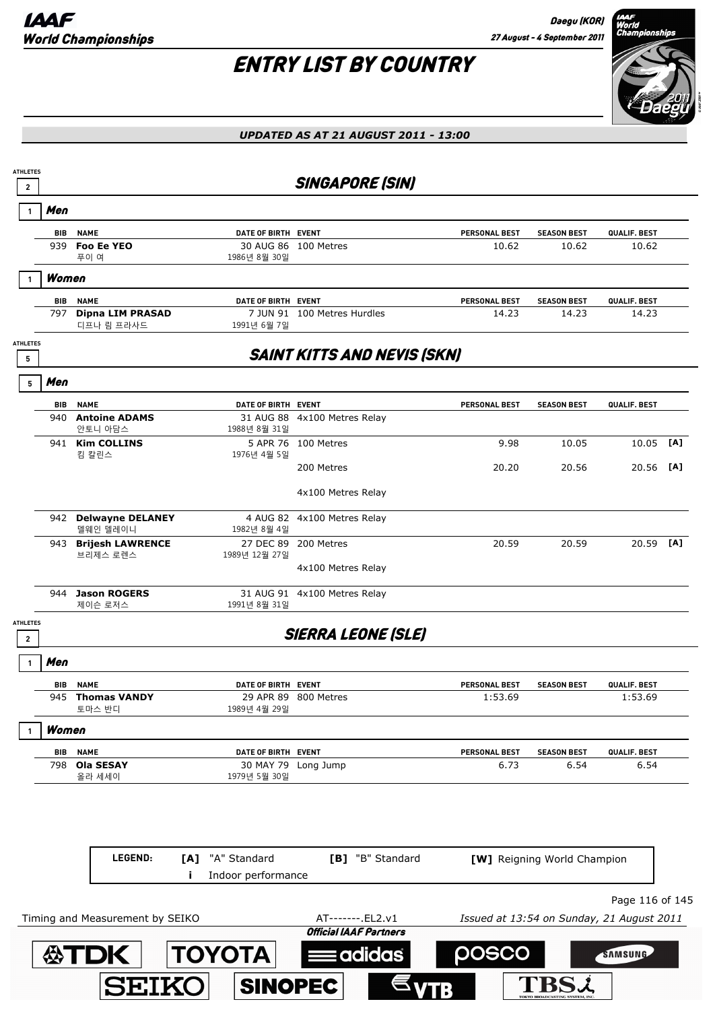

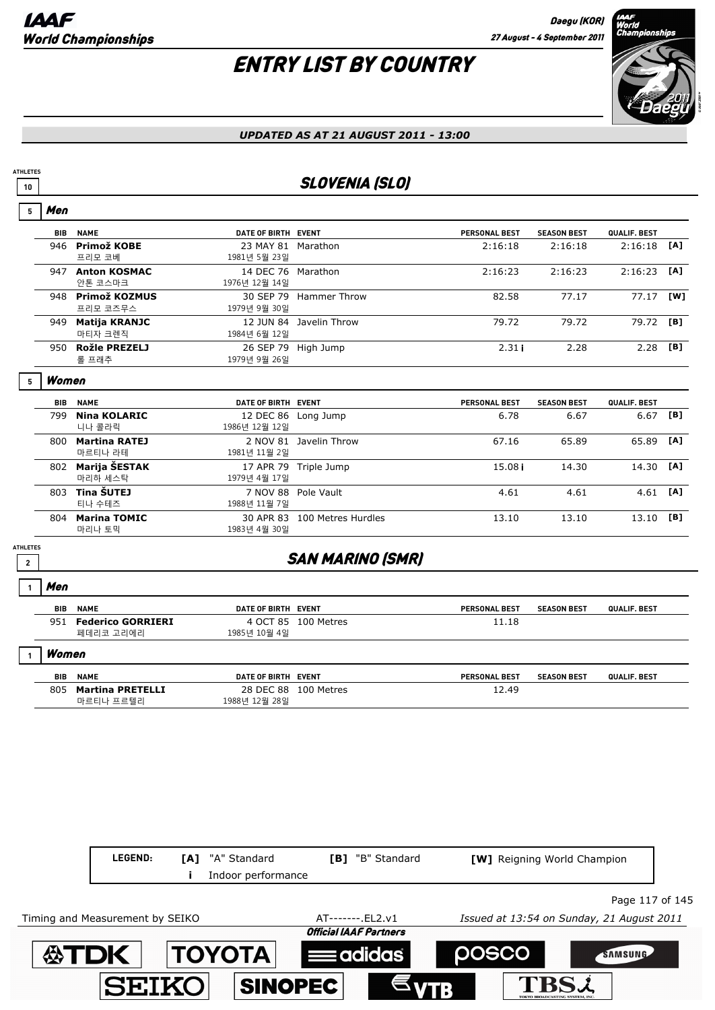## ENTRY LIST BY COUNTRY



#### *UPDATED AS AT 21 AUGUST 2011 - 13:00*

### **<sup>10</sup>** SLOVENIA (SLO)

| 5                                 | Men        |                                    |                                     |                              |                      |                    |                     |     |
|-----------------------------------|------------|------------------------------------|-------------------------------------|------------------------------|----------------------|--------------------|---------------------|-----|
|                                   | <b>BIB</b> | <b>NAME</b>                        | DATE OF BIRTH EVENT                 |                              | <b>PERSONAL BEST</b> | <b>SEASON BEST</b> | QUALIF. BEST        |     |
|                                   | 946        | Primož KOBE<br>프리모 코베              | 23 MAY 81 Marathon<br>1981년 5월 23일  |                              | 2:16:18              | 2:16:18            | 2:16:18             | [A] |
|                                   |            | 947 Anton KOSMAC<br>안톤 코스마크        | 14 DEC 76 Marathon<br>1976년 12월 14일 |                              | 2:16:23              | 2:16:23            | 2:16:23             | [A] |
|                                   |            | 948 Primož KOZMUS<br>프리모 코즈무스      | 1979년 9월 30일                        | 30 SEP 79 Hammer Throw       | 82.58                | 77.17              | 77.17               | [W] |
|                                   |            | 949 Matija KRANJC<br>마티자 크렌직       | 1984년 6월 12일                        | 12 JUN 84 Javelin Throw      | 79.72                | 79.72              | 79.72               | [B] |
|                                   |            | 950 Rožle PREZELJ<br>롤 프래추         | 1979년 9월 26일                        | 26 SEP 79 High Jump          | 2.31i                | 2.28               | 2.28                | [B] |
| 5                                 | Women      |                                    |                                     |                              |                      |                    |                     |     |
|                                   | <b>BIB</b> | <b>NAME</b>                        | DATE OF BIRTH EVENT                 |                              | <b>PERSONAL BEST</b> | <b>SEASON BEST</b> | <b>QUALIF, BEST</b> |     |
|                                   | 799        | <b>Nina KOLARIC</b><br>니나 콜라릭      | 12 DEC 86<br>1986년 12월 12일          | Long Jump                    | 6.78                 | 6.67               | 6.67                | [B] |
|                                   | 800        | <b>Martina RATEJ</b><br>마르티나 라테    | 1981년 11월 2일                        | 2 NOV 81 Javelin Throw       | 67.16                | 65.89              | 65.89               | [A] |
|                                   | 802        | Marija ŠESTAK<br>마리하 세스탁           | 1979년 4월 17일                        | 17 APR 79 Triple Jump        | 15.08i               | 14.30              | 14.30               | [A] |
|                                   |            | 803 Tina ŠUTEJ<br>티나 수테즈           | 1988년 11월 7일                        | 7 NOV 88 Pole Vault          | 4.61                 | 4.61               | 4.61                | [A] |
|                                   |            | 804 Marina TOMIC<br>마리나 토믹         | 1983년 4월 30일                        | 30 APR 83 100 Metres Hurdles | 13.10                | 13.10              | 13.10               | [B] |
| <b>ATHLETES</b><br>$\overline{2}$ |            |                                    |                                     | <b>SAN MARINO (SMR)</b>      |                      |                    |                     |     |
|                                   | Men        |                                    |                                     |                              |                      |                    |                     |     |
|                                   | BIB        | <b>NAME</b>                        | DATE OF BIRTH EVENT                 |                              | <b>PERSONAL BEST</b> | <b>SEASON BEST</b> | QUALIF. BEST        |     |
|                                   |            | 951 Federico GORRIERI<br>페데리코 고리에리 | 1985년 10월 4일                        | 4 OCT 85 100 Metres          | 11.18                |                    |                     |     |
| 1                                 | Women      |                                    |                                     |                              |                      |                    |                     |     |

| <b>BIB</b> | <b>NAME</b>                          | DATE OF BIRTH              | <b>EVENT</b> | <b>PERSONAL BEST</b> | <b>SEASON BEST</b> | QUALIF. BEST |
|------------|--------------------------------------|----------------------------|--------------|----------------------|--------------------|--------------|
| 805        | <b>Martina PRETELLI</b><br>마르티나 프르템리 | 28 DEC 88<br>1988년 12월 28일 | 100 Metres   | 12.49                |                    |              |

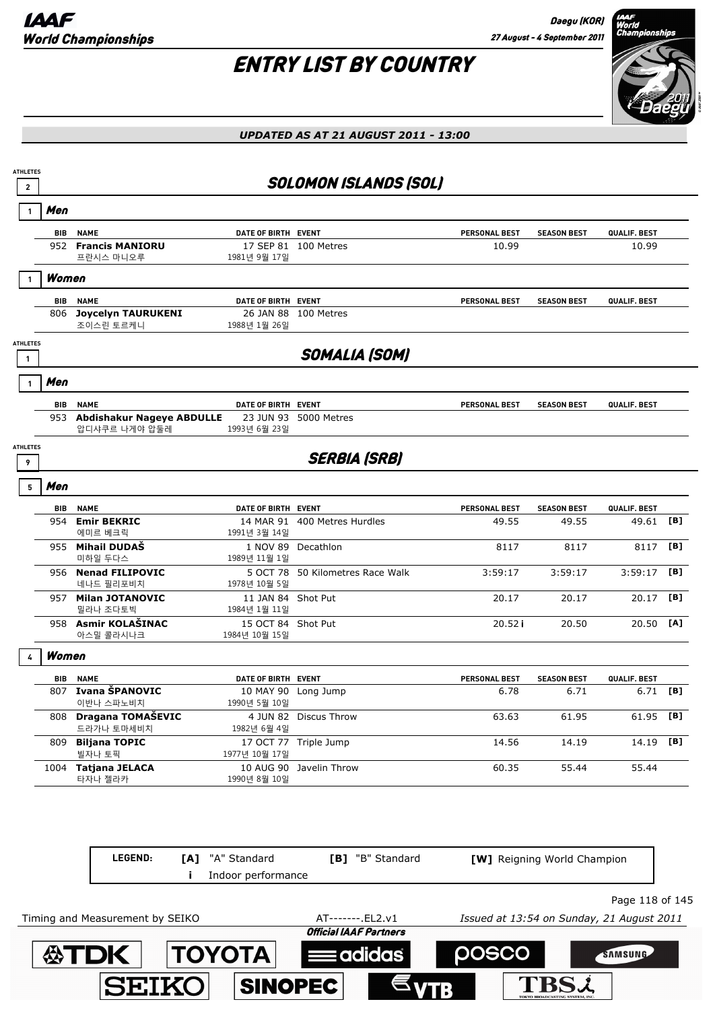

| Men<br>BIB      |                                                   |                                     | <b>SOLOMON ISLANDS (SOL)</b>     |                      |                    |              |     |
|-----------------|---------------------------------------------------|-------------------------------------|----------------------------------|----------------------|--------------------|--------------|-----|
|                 |                                                   |                                     |                                  |                      |                    |              |     |
|                 | <b>NAME</b>                                       | DATE OF BIRTH EVENT                 |                                  | <b>PERSONAL BEST</b> | <b>SEASON BEST</b> | QUALIF. BEST |     |
| 952             | <b>Francis MANIORU</b><br>프란시스 마니오루               | 1981년 9월 17일                        | 17 SEP 81 100 Metres             | 10.99                |                    | 10.99        |     |
| Women           |                                                   |                                     |                                  |                      |                    |              |     |
| BIB             | <b>NAME</b>                                       | DATE OF BIRTH EVENT                 |                                  | <b>PERSONAL BEST</b> | <b>SEASON BEST</b> | QUALIF. BEST |     |
| 806             | <b>Joycelyn TAURUKENI</b><br>조이스린 토르케니            | 1988년 1월 26일                        | 26 JAN 88 100 Metres             |                      |                    |              |     |
| <b>ATHLETES</b> |                                                   |                                     | <b>SOMALIA (SOM)</b>             |                      |                    |              |     |
| Men             |                                                   |                                     |                                  |                      |                    |              |     |
| BIB             | <b>NAME</b>                                       | DATE OF BIRTH EVENT                 |                                  | <b>PERSONAL BEST</b> | <b>SEASON BEST</b> | QUALIF. BEST |     |
| 953             | <b>Abdishakur Nageye ABDULLE</b><br>압디샤쿠르 나게야 압둘레 | 1993년 6월 23일                        | 23 JUN 93 5000 Metres            |                      |                    |              |     |
| <b>ATHLETES</b> |                                                   |                                     | <b>SERBIA (SRB)</b>              |                      |                    |              |     |
| Men<br>5        |                                                   |                                     |                                  |                      |                    |              |     |
| BIB             | <b>NAME</b>                                       | DATE OF BIRTH EVENT                 |                                  | PERSONAL BEST        | <b>SEASON BEST</b> | QUALIF. BEST |     |
|                 | 954 Emir BEKRIC<br>에미르 베크릭                        | 1991년 3월 14일                        | 14 MAR 91 400 Metres Hurdles     | 49.55                | 49.55              | 49.61 [B]    |     |
| 955             | <b>Mihail DUDAŠ</b><br>미하일 두다스                    | 1989년 11월 1일                        | 1 NOV 89 Decathlon               | 8117                 | 8117               | 8117         | [B] |
|                 | 956 Nenad FILIPOVIC<br>네나드 필리포비치                  | 1978년 10월 5일                        | 5 OCT 78 50 Kilometres Race Walk | 3:59:17              | 3:59:17            | 3:59:17      | [B] |
| 957             | <b>Milan JOTANOVIC</b><br>밀라나 조다토빅                | 11 JAN 84 Shot Put<br>1984년 1월 11일  |                                  | 20.17                | 20.17              | 20.17        | [B] |
|                 | 958 Asmir KOLAŠINAC<br>아스밀 콜라시나크                  | 15 OCT 84 Shot Put<br>1984년 10월 15일 |                                  | 20.52i               | 20.50              | 20.50        | [A] |
| Women           |                                                   |                                     |                                  |                      |                    |              |     |
| BIB             | <b>NAME</b>                                       | DATE OF BIRTH EVENT                 |                                  | PERSONAL BEST        | <b>SEASON BEST</b> | QUALIF. BEST |     |
|                 | 807 Ivana ŠPANOVIC<br>이반나 스파노비치                   | 1990년 5월 10일                        | 10 MAY 90 Long Jump              | 6.78                 | 6.71               | 6.71         | [B] |
|                 | 808 Dragana TOMAŠEVIC<br>드라가나 토마세비치               | 1982년 6월 4일                         | 4 JUN 82 Discus Throw            | 63.63                | 61.95              | 61.95 [B]    |     |
|                 | 809 Biljana TOPIC<br>빌자나 토픽                       | 1977년 10월 17일                       | 17 OCT 77 Triple Jump            | 14.56                | 14.19              | 14.19 [B]    |     |
|                 | 1004 Tatjana JELACA<br>타자나 젤라카                    | 1990년 8월 10일                        | 10 AUG 90 Javelin Throw          | 60.35                | 55.44              | 55.44        |     |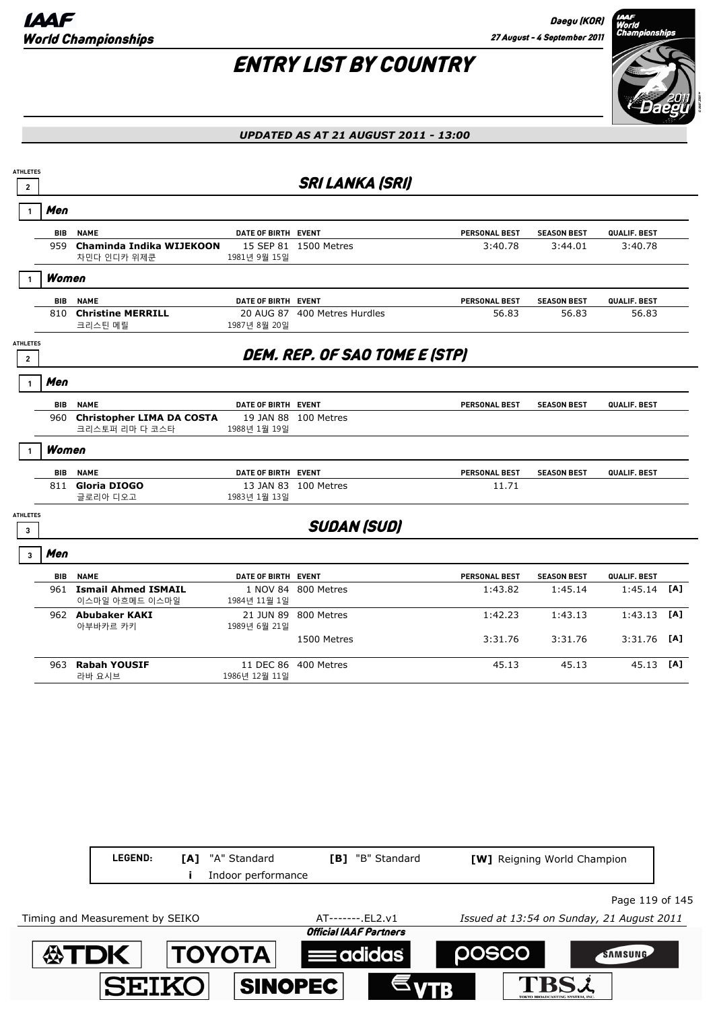

| $\mathbf{2}$                      |            |                                                 |                     | <b>SRI LANKA (SRI)</b>               |                      |                    |              |     |
|-----------------------------------|------------|-------------------------------------------------|---------------------|--------------------------------------|----------------------|--------------------|--------------|-----|
| $\mathbf{1}$                      | Men        |                                                 |                     |                                      |                      |                    |              |     |
|                                   |            | <b>BIB NAME</b>                                 | DATE OF BIRTH EVENT |                                      | <b>PERSONAL BEST</b> | <b>SEASON BEST</b> | QUALIF. BEST |     |
|                                   |            | 959 Chaminda Indika WIJEKOON<br>차민다 인디카 위제쿤     | 1981년 9월 15일        | 15 SEP 81 1500 Metres                | 3:40.78              | 3:44.01            | 3:40.78      |     |
|                                   | Women      |                                                 |                     |                                      |                      |                    |              |     |
|                                   | <b>BIB</b> | <b>NAME</b>                                     | DATE OF BIRTH EVENT |                                      | PERSONAL BEST        | <b>SEASON BEST</b> | QUALIF. BEST |     |
|                                   |            | 810 Christine MERRILL<br>크리스틴 메릴                | 1987년 8월 20일        | 20 AUG 87 400 Metres Hurdles         | 56.83                | 56.83              | 56.83        |     |
| <b>ATHLETES</b><br>$\overline{2}$ |            |                                                 |                     | <b>DEM. REP. OF SAO TOME E (STP)</b> |                      |                    |              |     |
|                                   | Men        |                                                 |                     |                                      |                      |                    |              |     |
|                                   | <b>BIB</b> | <b>NAME</b>                                     | DATE OF BIRTH EVENT |                                      | PERSONAL BEST        | <b>SEASON BEST</b> | QUALIF. BEST |     |
|                                   |            | 960 Christopher LIMA DA COSTA<br>크리스토퍼 리마 다 코스타 | 1988년 1월 19일        | 19 JAN 88 100 Metres                 |                      |                    |              |     |
|                                   | Women      |                                                 |                     |                                      |                      |                    |              |     |
|                                   | <b>BIB</b> | <b>NAME</b>                                     | DATE OF BIRTH EVENT |                                      | PERSONAL BEST        | <b>SEASON BEST</b> | QUALIF. BEST |     |
|                                   | 811        | Gloria DIOGO<br>글로리아 디오고                        | 1983년 1월 13일        | 13 JAN 83 100 Metres                 | 11.71                |                    |              |     |
| <b>ATHLETES</b><br>$\mathbf{3}$   |            |                                                 |                     | <b>SUDAN (SUD)</b>                   |                      |                    |              |     |
| $\overline{3}$                    | Men        |                                                 |                     |                                      |                      |                    |              |     |
|                                   |            | <b>BIB NAME</b>                                 | DATE OF BIRTH EVENT |                                      | PERSONAL BEST        | <b>SEASON BEST</b> | QUALIF. BEST |     |
|                                   |            | 961 Ismail Ahmed ISMAIL<br>이스마일 아흐메드 이스마일       | 1984년 11월 1일        | 1 NOV 84 800 Metres                  | 1:43.82              | 1:45.14            | 1:45.14      | [A] |
|                                   |            | 962 Abubaker KAKI<br>아부바카르 카키                   | 1989년 6월 21일        | 21 JUN 89 800 Metres                 | 1:42.23              | 1:43.13            | 1:43.13      | [A] |
|                                   |            |                                                 |                     | 1500 Metres                          | 3:31.76              | 3:31.76            | 3:31.76      | [A] |
|                                   |            | 963 Rabah YOUSIF<br>라바 요시브                      | 1986년 12월 11일       | 11 DEC 86 400 Metres                 | 45.13                | 45.13              | 45.13 [A]    |     |

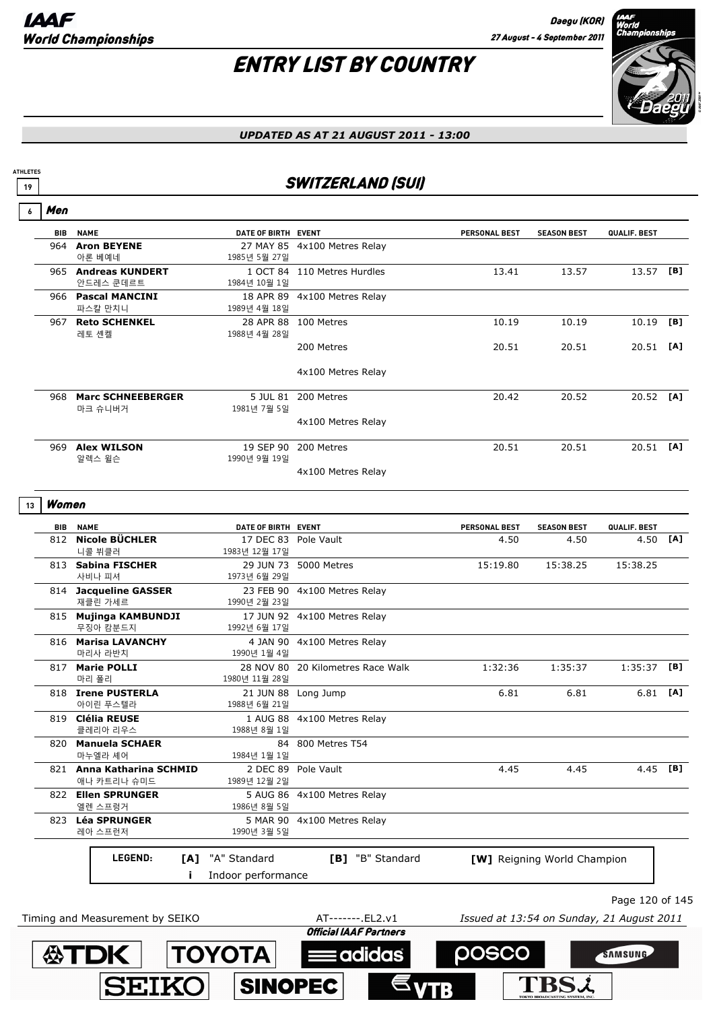## ENTRY LIST BY COUNTRY



#### *UPDATED AS AT 21 AUGUST 2011 - 13:00*

### **19** SWITZERLAND (SUI)

| 6  | Men        |                                          |                                       |                                   |                      |                                           |                 |     |
|----|------------|------------------------------------------|---------------------------------------|-----------------------------------|----------------------|-------------------------------------------|-----------------|-----|
|    | <b>BIB</b> | <b>NAME</b>                              | DATE OF BIRTH EVENT                   |                                   | <b>PERSONAL BEST</b> | <b>SEASON BEST</b>                        | QUALIF. BEST    |     |
|    | 964        | <b>Aron BEYENE</b><br>아론 베예네             | 1985년 5월 27일                          | 27 MAY 85 4x100 Metres Relay      |                      |                                           |                 |     |
|    |            | 965 Andreas KUNDERT<br>안드레스 쿤데르트         | 1984년 10월 1일                          | 1 OCT 84 110 Metres Hurdles       | 13.41                | 13.57                                     | 13.57           | [B] |
|    |            | 966 Pascal MANCINI<br>파스칼 만치니            | 1989년 4월 18일                          | 18 APR 89 4x100 Metres Relay      |                      |                                           |                 |     |
|    |            | 967 Reto SCHENKEL<br>레토 셴켈               | 1988년 4월 28일                          | 28 APR 88 100 Metres              | 10.19                | 10.19                                     | 10.19           | [B] |
|    |            |                                          |                                       | 200 Metres                        | 20.51                | 20.51                                     | 20.51 [A]       |     |
|    |            |                                          |                                       | 4x100 Metres Relay                |                      |                                           |                 |     |
|    |            | 968 Marc SCHNEEBERGER<br>마크 슈니버거         | 1981년 7월 5일                           | 5 JUL 81 200 Metres               | 20.42                | 20.52                                     | 20.52 [A]       |     |
|    |            |                                          |                                       | 4x100 Metres Relay                |                      |                                           |                 |     |
|    |            | 969 Alex WILSON<br>알렉스 윌슨                | 1990년 9월 19일                          | 19 SEP 90 200 Metres              | 20.51                | 20.51                                     | 20.51 [A]       |     |
|    |            |                                          |                                       | 4x100 Metres Relay                |                      |                                           |                 |     |
| 13 | Women      |                                          |                                       |                                   |                      |                                           |                 |     |
|    | BIB        | <b>NAME</b>                              | DATE OF BIRTH EVENT                   |                                   | PERSONAL BEST        | <b>SEASON BEST</b>                        | QUALIF. BEST    |     |
|    |            | 812 Nicole BÜCHLER<br>니콜 뷔클러             | 17 DEC 83 Pole Vault<br>1983년 12월 17일 |                                   | 4.50                 | 4.50                                      | 4.50 [A]        |     |
|    |            | 813 Sabina FISCHER<br>사비나 피셔             | 29 JUN 73<br>1973년 6월 29일             | 5000 Metres                       | 15:19.80             | 15:38.25                                  | 15:38.25        |     |
|    |            | 814 Jacqueline GASSER<br>재클린 가세르         | 23 FEB 90<br>1990년 2월 23일             | 4x100 Metres Relay                |                      |                                           |                 |     |
|    |            | 815 Mujinga KAMBUNDJI<br>무징아 캄분드지        | 1992년 6월 17일                          | 17 JUN 92 4x100 Metres Relay      |                      |                                           |                 |     |
|    |            | 816 Marisa LAVANCHY<br>마리사 라반치           | 1990년 1월 4일                           | 4 JAN 90 4x100 Metres Relay       |                      |                                           |                 |     |
|    |            | 817 Marie POLLI<br>마리 폴리                 | 1980년 11월 28일                         | 28 NOV 80 20 Kilometres Race Walk | 1:32:36              | 1:35:37                                   | 1:35:37         | [B] |
|    |            | 818 Irene PUSTERLA<br>아이린 푸스텔라           | 1988년 6월 21일                          | 21 JUN 88 Long Jump               | 6.81                 | 6.81                                      | $6.81$ [A]      |     |
|    | 819        | <b>Clélia REUSE</b><br>클레리아 리우스          | 1 AUG 88<br>1988년 8월 1일               | 4x100 Metres Relay                |                      |                                           |                 |     |
|    | 820        | <b>Manuela SCHAER</b><br>마누엘라 셰어         | 1984년 1월 1일                           | 84 800 Metres T54                 |                      |                                           |                 |     |
|    |            | 821 Anna Katharina SCHMID<br>애나 카트리나 슈미드 | 2 DEC 89<br>1989년 12월 2일              | Pole Vault                        | 4.45                 | 4.45                                      | 4.45 [B]        |     |
|    |            | 822 Ellen SPRUNGER<br>엘렌 스프렁거            | 5 AUG 86<br>1986년 8월 5일               | 4x100 Metres Relay                |                      |                                           |                 |     |
|    | 823        | <b>Léa SPRUNGER</b><br>레아 스프런저           | 5 MAR 90<br>1990년 3월 5일               | 4x100 Metres Relay                |                      |                                           |                 |     |
|    |            | LEGEND:<br>[A]                           | "A" Standard<br>Indoor performance    | [B] "B" Standard                  |                      | [W] Reigning World Champion               |                 |     |
|    |            |                                          |                                       |                                   |                      |                                           | Page 120 of 145 |     |
|    |            | Timing and Measurement by SEIKO          |                                       | AT-------. EL2.v1                 |                      | Issued at 13:54 on Sunday, 21 August 2011 |                 |     |
|    |            |                                          |                                       | <b>Official IAAF Partners</b>     |                      |                                           |                 |     |

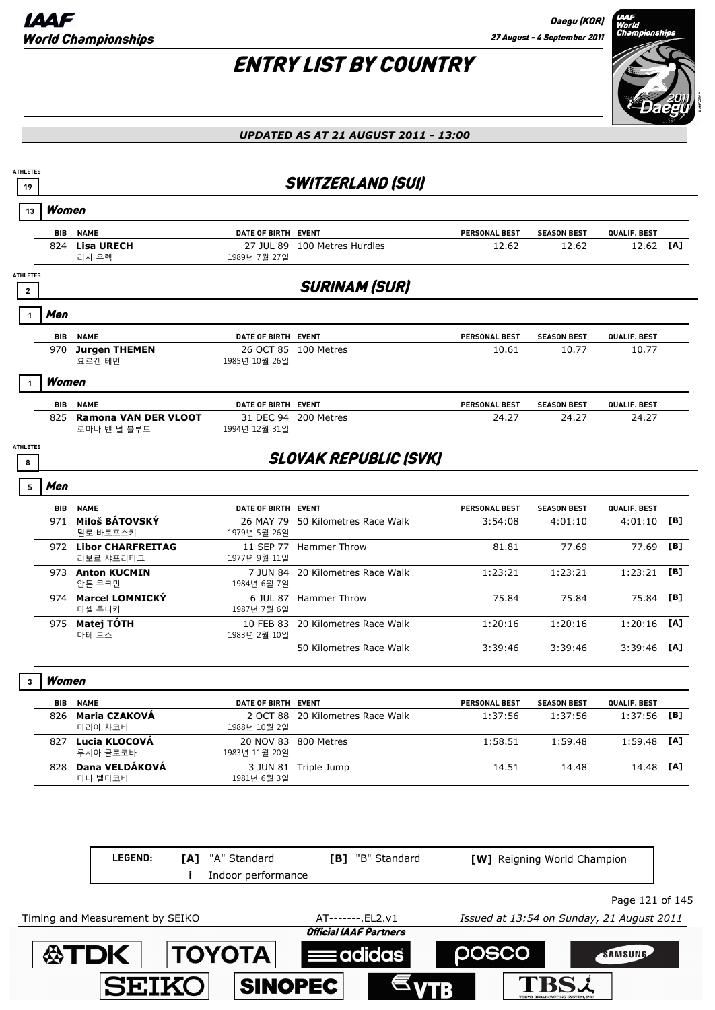Daegu (KOR) 27 August - 4 September 2011

# ENTRY LIST BY COUNTRY



| 19                                         |            |                                            |                           | <b>SWITZERLAND (SUI)</b>                           |                                           |                             |                 |     |
|--------------------------------------------|------------|--------------------------------------------|---------------------------|----------------------------------------------------|-------------------------------------------|-----------------------------|-----------------|-----|
| 13                                         | Women      |                                            |                           |                                                    |                                           |                             |                 |     |
|                                            | <b>BIB</b> | <b>NAME</b>                                | DATE OF BIRTH EVENT       |                                                    | PERSONAL BEST                             | <b>SEASON BEST</b>          | QUALIF. BEST    |     |
|                                            | 824        | <b>Lisa URECH</b><br>리사 우렉                 | 27 JUL 89<br>1989년 7월 27일 | 100 Metres Hurdles                                 | 12.62                                     | 12.62                       | 12.62           | [A] |
| <b>ATHLETES</b><br>$\overline{\mathbf{c}}$ |            |                                            |                           | <b>SURINAM (SUR)</b>                               |                                           |                             |                 |     |
|                                            | Men        |                                            |                           |                                                    |                                           |                             |                 |     |
|                                            | BIB        | <b>NAME</b>                                | DATE OF BIRTH EVENT       |                                                    | <b>PERSONAL BEST</b>                      | <b>SEASON BEST</b>          | QUALIF. BEST    |     |
|                                            | 970        | <b>Jurgen THEMEN</b><br>요르겐 테먼             | 1985년 10월 26일             | 26 OCT 85 100 Metres                               | 10.61                                     | 10.77                       | 10.77           |     |
|                                            | Women      |                                            |                           |                                                    |                                           |                             |                 |     |
|                                            | BIB        | <b>NAME</b>                                | DATE OF BIRTH EVENT       |                                                    | <b>PERSONAL BEST</b>                      | <b>SEASON BEST</b>          | QUALIF. BEST    |     |
|                                            | 825        | <b>Ramona VAN DER VLOOT</b><br>로마나 벤 덜 블루트 | 1994년 12월 31일             | 31 DEC 94 200 Metres                               | 24.27                                     | 24.27                       | 24.27           |     |
| <b>ATHLETES</b><br>8                       |            |                                            |                           | <b>SLOVAK REPUBLIC (SVK)</b>                       |                                           |                             |                 |     |
| 5                                          | Men        |                                            |                           |                                                    |                                           |                             |                 |     |
|                                            |            | <b>BIB NAME</b>                            | DATE OF BIRTH EVENT       |                                                    | <b>PERSONAL BEST</b>                      | <b>SEASON BEST</b>          | QUALIF. BEST    |     |
|                                            |            | 971 Miloš BÁTOVSKÝ<br>밀로 바토프스키             | 1979년 5월 26일              | 26 MAY 79 50 Kilometres Race Walk                  | 3:54:08                                   | 4:01:10                     | 4:01:10         | [B] |
|                                            |            | 972 Libor CHARFREITAG<br>리보르 샤프리타그         | 1977년 9월 11일              | 11 SEP 77 Hammer Throw                             | 81.81                                     | 77.69                       | 77.69           | [B] |
|                                            |            | 973 Anton KUCMIN<br>안톤 쿠크민                 | 1984년 6월 7일               | 7 JUN 84 20 Kilometres Race Walk                   | 1:23:21                                   | 1:23:21                     | 1:23:21         | [B] |
|                                            |            | 974 Marcel LOMNICKY<br>마셀 롬니키              | 1987년 7월 6일               | 6 JUL 87 Hammer Throw                              | 75.84                                     | 75.84                       | 75.84           | [B] |
|                                            |            | 975 Matej TÓTH<br>마테 토스                    | 1983년 2월 10일              | 10 FEB 83 20 Kilometres Race Walk                  | 1:20:16                                   | 1:20:16                     | 1:20:16         | [A] |
|                                            |            |                                            |                           | 50 Kilometres Race Walk                            | 3:39:46                                   | 3:39:46                     | 3:39:46         | [A] |
| 3                                          | Women      |                                            |                           |                                                    |                                           |                             |                 |     |
|                                            | BIB        | <b>NAME</b>                                | DATE OF BIRTH EVENT       |                                                    | <b>PERSONAL BEST</b>                      | <b>SEASON BEST</b>          | QUALIF. BEST    |     |
|                                            | 826        | Maria CZAKOVÁ<br>마리아 차코바                   | 1988년 10월 2일              | 2 OCT 88 20 Kilometres Race Walk                   | 1:37:56                                   | 1:37:56                     | 1:37:56         | [B] |
|                                            | 827        | Lucia KLOCOVÁ<br>루시아 클로코바                  | 1983년 11월 20일             | 20 NOV 83 800 Metres                               | 1:58.51                                   | 1:59.48                     | 1:59.48         | [A] |
|                                            |            | 828 Dana VELDÁKOVÁ<br>다나 벨다코바              | 1981년 6월 3일               | 3 JUN 81 Triple Jump                               | 14.51                                     | 14.48                       | 14.48           | [A] |
|                                            |            | LEGEND:<br>[A]                             | "A" Standard              | [B] "B" Standard                                   |                                           | [W] Reigning World Champion |                 |     |
|                                            |            |                                            | Indoor performance        |                                                    |                                           |                             |                 |     |
|                                            |            |                                            |                           |                                                    |                                           |                             | Page 121 of 145 |     |
|                                            |            | Timing and Measurement by SEIKO            |                           | AT-------. EL2.v1<br><b>Official IAAF Partners</b> | Issued at 13:54 on Sunday, 21 August 2011 |                             |                 |     |
|                                            |            |                                            |                           |                                                    |                                           |                             |                 |     |
|                                            |            | <b>公TDK</b>                                | <b>TOYOTA</b>             | $\equiv$ adidas                                    | posco                                     |                             | SAMSUNG         |     |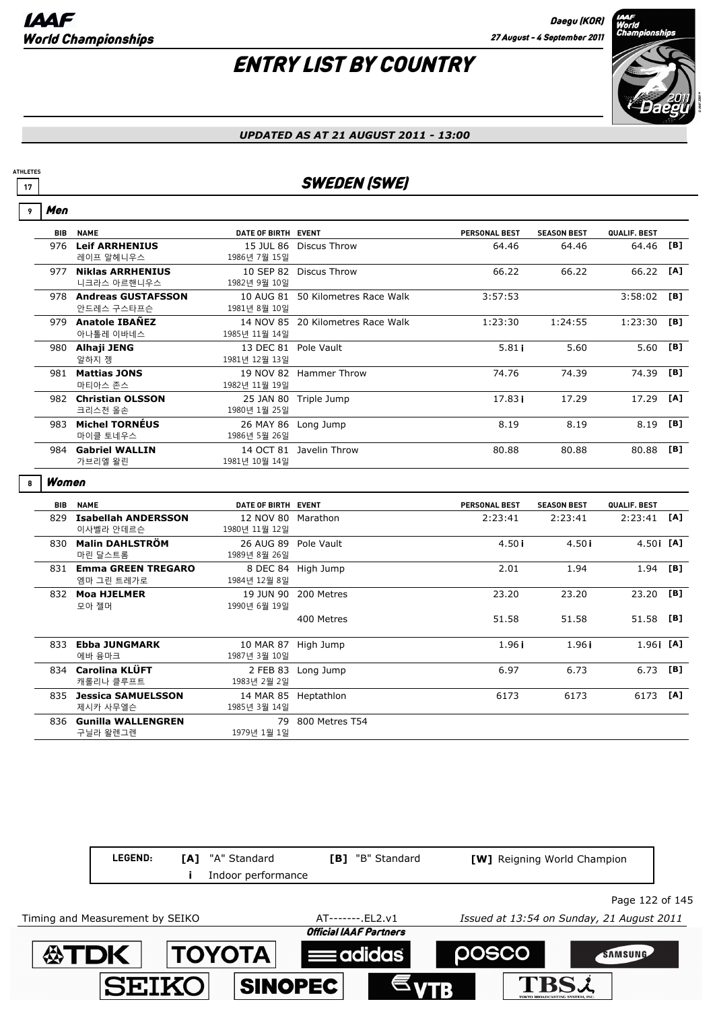Men

## ENTRY LIST BY COUNTRY



#### *UPDATED AS AT 21 AUGUST 2011 - 13:00*

### **17** SWEDEN (SWE)

| 9 | men        |                                      |                                       |                                   |                      |                    |               |      |
|---|------------|--------------------------------------|---------------------------------------|-----------------------------------|----------------------|--------------------|---------------|------|
|   | <b>BIB</b> | <b>NAME</b>                          | DATE OF BIRTH EVENT                   |                                   | <b>PERSONAL BEST</b> | <b>SEASON BEST</b> | QUALIF. BEST  |      |
|   |            | 976 Leif ARRHENIUS<br>레이프 알헤니우스      | 1986년 7월 15일                          | 15 JUL 86 Discus Throw            | 64.46                | 64.46              | 64.46         | [B]  |
|   |            | 977 Niklas ARRHENIUS<br>니크라스 아르핸니우스  | 1982년 9월 10일                          | 10 SEP 82 Discus Throw            | 66.22                | 66.22              | 66.22         | [A]  |
|   |            | 978 Andreas GUSTAFSSON<br>안드레스 구스타프슨 | 1981년 8월 10일                          | 10 AUG 81 50 Kilometres Race Walk | 3:57:53              |                    | $3:58:02$ [B] |      |
|   |            | 979 Anatole IBAÑEZ<br>아나톨레 이바네스      | 1985년 11월 14일                         | 14 NOV 85 20 Kilometres Race Walk | 1:23:30              | 1:24:55            | 1:23:30       | [B]  |
|   |            | 980 Alhaji JENG<br>알하지 젱             | 13 DEC 81 Pole Vault<br>1981년 12월 13일 |                                   | 5.81i                | 5.60               | 5.60          | [B]  |
|   |            | 981 Mattias JONS<br>마티아스 존스          | 1982년 11월 19일                         | 19 NOV 82 Hammer Throw            | 74.76                | 74.39              | 74.39         | [B]  |
|   |            | 982 Christian OLSSON<br>크리스천 올손      | 1980년 1월 25일                          | 25 JAN 80 Triple Jump             | 17.83i               | 17.29              | 17.29         | [A]  |
|   |            | 983 Michel TORNÉUS<br>마이클 토네우스       | 1986년 5월 26일                          | 26 MAY 86 Long Jump               | 8.19                 | 8.19               | 8.19          | [B]  |
|   |            | 984 Gabriel WALLIN<br>가브리엘 왈린        | 1981년 10월 14일                         | 14 OCT 81 Javelin Throw           | 80.88                | 80.88              | 80.88         | [B]  |
|   |            |                                      |                                       |                                   |                      |                    |               |      |
| 8 | Women      |                                      |                                       |                                   |                      |                    |               |      |
|   |            | <b>BIB NAME</b>                      | DATE OF BIRTH EVENT                   |                                   | <b>PERSONAL BEST</b> | <b>SEASON BEST</b> | QUALIF. BEST  |      |
|   |            | 829 Isabellah ANDERSSON<br>이사벨라 안데르슨 | 12 NOV 80 Marathon<br>1980년 11월 12일   |                                   | 2:23:41              | 2:23:41            | 2:23:41       | [A]  |
|   |            | 830 Malin DAHLSTRÖM<br>마린 달스트롬       | 26 AUG 89 Pole Vault<br>1989년 8월 26일  |                                   | 4.50i                | 4.50i              | $4.50$ i [A]  |      |
|   |            | 831 Emma GREEN TREGARO<br>엠마 그린 트레가로 | 1984년 12월 8일                          | 8 DEC 84 High Jump                | 2.01                 | 1.94               | 1.94          | [B]  |
|   |            | 832 Moa HJELMER<br>모아 젤머             | 1990년 6월 19일                          | 19 JUN 90 200 Metres              | 23.20                | 23.20              | 23.20         | [B]  |
|   |            |                                      |                                       | 400 Metres                        | 51.58                | 51.58              | 51.58         | [B]  |
|   |            | 833 Ebba JUNGMARK<br>에바 융마크          | 10 MAR 87 High Jump<br>1987년 3월 10일   |                                   | 1.96i                | 1.96i              | $1.96$ i [A]  |      |
|   |            | 834 Carolina KLÜFT<br>캐롤리나 클루프트      | 1983년 2월 2일                           | 2 FEB 83 Long Jump                | 6.97                 | 6.73               | 6.73          | [B]  |
|   |            | 835 Jessica SAMUELSSON<br>제시카 사무엘슨   | 14 MAR 85 Heptathlon<br>1985년 3월 14일  |                                   | 6173                 | 6173               | 6173          | TA1. |

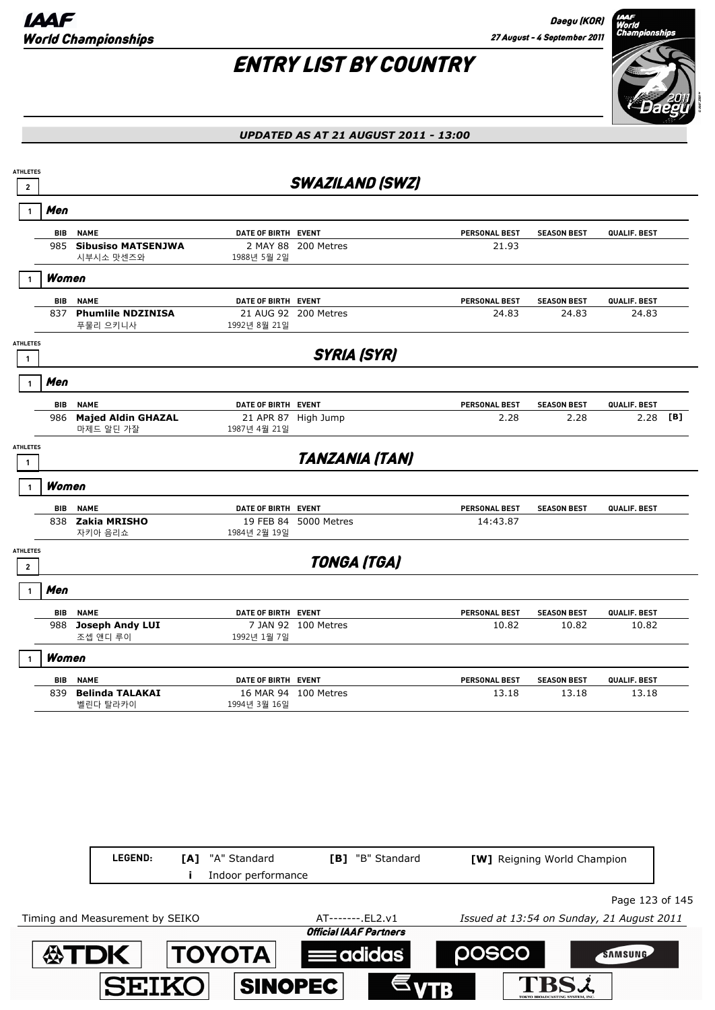

| <b>ATHLETES</b><br>$\mathbf{2}$ |            |                                        |                                    | <b>SWAZILAND (SWZ)</b> |                      |                             |                 |     |
|---------------------------------|------------|----------------------------------------|------------------------------------|------------------------|----------------------|-----------------------------|-----------------|-----|
| -1                              | Men        |                                        |                                    |                        |                      |                             |                 |     |
|                                 | BIB        | <b>NAME</b>                            | DATE OF BIRTH EVENT                |                        | PERSONAL BEST        | <b>SEASON BEST</b>          | QUALIF. BEST    |     |
|                                 | 985        | <b>Sibusiso MATSENJWA</b><br>시부시소 맛센즈와 | 1988년 5월 2일                        | 2 MAY 88 200 Metres    | 21.93                |                             |                 |     |
|                                 | Women      |                                        |                                    |                        |                      |                             |                 |     |
|                                 | BIB        | <b>NAME</b>                            | DATE OF BIRTH EVENT                |                        | PERSONAL BEST        | <b>SEASON BEST</b>          | QUALIF. BEST    |     |
|                                 | 837        | <b>Phumlile NDZINISA</b><br>푸물리 으키니사   | 1992년 8월 21일                       | 21 AUG 92 200 Metres   | 24.83                | 24.83                       | 24.83           |     |
| <b>ATHLETES</b><br>$\mathbf{1}$ |            |                                        |                                    | <b>SYRIA (SYR)</b>     |                      |                             |                 |     |
| $\mathbf{1}$                    | Men        |                                        |                                    |                        |                      |                             |                 |     |
|                                 | BIB        | <b>NAME</b>                            | DATE OF BIRTH EVENT                |                        | PERSONAL BEST        | <b>SEASON BEST</b>          | QUALIF. BEST    |     |
|                                 | 986        | <b>Majed Aldin GHAZAL</b><br>마제드 알딘 가잘 | 1987년 4월 21일                       | 21 APR 87 High Jump    | 2.28                 | 2.28                        | 2.28            | [B] |
| <b>ATHLETES</b><br>$\mathbf{1}$ |            |                                        |                                    | <b>TANZANIA (TAN)</b>  |                      |                             |                 |     |
|                                 | Women      |                                        |                                    |                        |                      |                             |                 |     |
|                                 | BIB        | <b>NAME</b>                            | DATE OF BIRTH EVENT                |                        | <b>PERSONAL BEST</b> | <b>SEASON BEST</b>          | QUALIF. BEST    |     |
|                                 | 838        | Zakia MRISHO<br>자키아 음리쇼                | 1984년 2월 19일                       | 19 FEB 84 5000 Metres  | 14:43.87             |                             |                 |     |
| <b>ATHLETES</b><br>$\mathbf 2$  |            |                                        |                                    | <b>TONGA (TGA)</b>     |                      |                             |                 |     |
|                                 | Men        |                                        |                                    |                        |                      |                             |                 |     |
|                                 | BIB        | <b>NAME</b>                            | DATE OF BIRTH EVENT                |                        | PERSONAL BEST        | <b>SEASON BEST</b>          | QUALIF. BEST    |     |
|                                 |            | 988 Joseph Andy LUI<br>조셉 앤디 루이        | 1992년 1월 7일                        | 7 JAN 92 100 Metres    | 10.82                | 10.82                       | 10.82           |     |
|                                 | Women      |                                        |                                    |                        |                      |                             |                 |     |
|                                 | <b>BIB</b> | <b>NAME</b>                            | DATE OF BIRTH EVENT                |                        | PERSONAL BEST        | <b>SEASON BEST</b>          | QUALIF. BEST    |     |
|                                 | 839        | <b>Belinda TALAKAI</b><br>벨린다 탈라카이     | 1994년 3월 16일                       | 16 MAR 94 100 Metres   | 13.18                | 13.18                       | 13.18           |     |
|                                 |            |                                        |                                    |                        |                      |                             |                 |     |
|                                 |            |                                        |                                    |                        |                      |                             |                 |     |
|                                 |            |                                        |                                    |                        |                      |                             |                 |     |
|                                 |            |                                        |                                    |                        |                      |                             |                 |     |
|                                 |            | LEGEND:<br>[A]<br>Ĩ.                   | "A" Standard<br>Indoor performance | [B] "B" Standard       |                      | [W] Reigning World Champion |                 |     |
|                                 |            |                                        |                                    |                        |                      |                             | Page 123 of 145 |     |

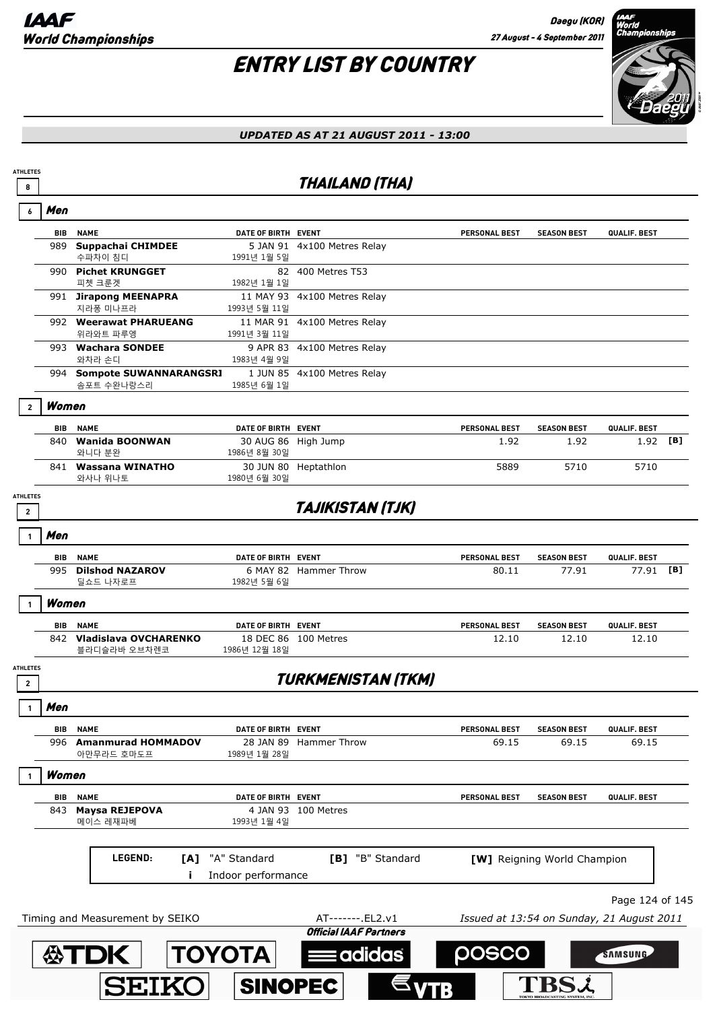## ENTRY LIST BY COUNTRY



### *UPDATED AS AT 21 AUGUST 2011 - 13:00*

### **8** THAILAND (THA)

| Men                               |                                           |                                     |                                                    |                                           |                             |                 |  |
|-----------------------------------|-------------------------------------------|-------------------------------------|----------------------------------------------------|-------------------------------------------|-----------------------------|-----------------|--|
| <b>BIB</b>                        | <b>NAME</b>                               | DATE OF BIRTH EVENT                 |                                                    | <b>PERSONAL BEST</b>                      | <b>SEASON BEST</b>          | QUALIF. BEST    |  |
|                                   | 989 Suppachai CHIMDEE<br>수파차이 침디          | 1991년 1월 5일                         | 5 JAN 91 4x100 Metres Relay                        |                                           |                             |                 |  |
|                                   | 990 Pichet KRUNGGET<br>피쳇 크룬겟             | 1982년 1월 1일                         | 82 400 Metres T53                                  |                                           |                             |                 |  |
|                                   | 991 Jirapong MEENAPRA                     |                                     | 11 MAY 93 4x100 Metres Relay                       |                                           |                             |                 |  |
|                                   | 지라퐁 미나프라<br>992 Weerawat PHARUEANG        | 1993년 5월 11일                        | 11 MAR 91 4x100 Metres Relay                       |                                           |                             |                 |  |
|                                   | 위라와트 파루엥                                  | 1991년 3월 11일                        |                                                    |                                           |                             |                 |  |
|                                   | 993 Wachara SONDEE<br>와차라 손디              | 1983년 4월 9일                         | 9 APR 83 4x100 Metres Relay                        |                                           |                             |                 |  |
|                                   | 994 Sompote SUWANNARANGSRI<br>솜포트 수완나랑스리  | 1985년 6월 1일                         | 1 JUN 85 4x100 Metres Relay                        |                                           |                             |                 |  |
| $\overline{2}$                    | Women                                     |                                     |                                                    |                                           |                             |                 |  |
|                                   | <b>NAME</b><br>BIB                        | DATE OF BIRTH EVENT                 |                                                    | <b>PERSONAL BEST</b>                      | <b>SEASON BEST</b>          | QUALIF. BEST    |  |
|                                   | 840 Wanida BOONWAN<br>와니다 분완              | 30 AUG 86 High Jump<br>1986년 8월 30일 |                                                    | 1.92                                      | 1.92                        | $1.92$ [B]      |  |
|                                   | 841 Wassana WINATHO<br>와사나 위나토            | 1980년 6월 30일                        | 30 JUN 80 Heptathlon                               | 5889                                      | 5710                        | 5710            |  |
| <b>ATHLETES</b><br>$\overline{2}$ |                                           |                                     | <b>TAJIKISTAN (TJK)</b>                            |                                           |                             |                 |  |
| Men                               |                                           |                                     |                                                    |                                           |                             |                 |  |
|                                   | BIB<br><b>NAME</b>                        | DATE OF BIRTH EVENT                 |                                                    | PERSONAL BEST                             | <b>SEASON BEST</b>          | QUALIF. BEST    |  |
|                                   | 995 Dilshod NAZAROV<br>딜쇼드 나자로프           | 1982년 5월 6일                         | 6 MAY 82 Hammer Throw                              | 80.11                                     | 77.91                       | 77.91 [B]       |  |
|                                   | Women                                     |                                     |                                                    |                                           |                             |                 |  |
| BIB                               | <b>NAME</b>                               | DATE OF BIRTH EVENT                 |                                                    | <b>PERSONAL BEST</b>                      | <b>SEASON BEST</b>          | QUALIF. BEST    |  |
|                                   | 842 Vladislava OVCHARENKO<br>블라디슬라바 오브차렌코 | 1986년 12월 18일                       | 18 DEC 86 100 Metres                               | 12.10                                     | 12.10                       | 12.10           |  |
| <b>ATHLETES</b><br>$\overline{2}$ |                                           |                                     | <b>TURKMENISTAN (TKM)</b>                          |                                           |                             |                 |  |
| Men                               |                                           |                                     |                                                    |                                           |                             |                 |  |
|                                   | BIB<br><b>NAME</b>                        | DATE OF BIRTH EVENT                 |                                                    | <b>PERSONAL BEST</b>                      | <b>SEASON BEST</b>          | QUALIF. BEST    |  |
|                                   | 996 Amanmurad HOMMADOV<br>아만무라드 호마도프      | 1989년 1월 28일                        | 28 JAN 89 Hammer Throw                             | 69.15                                     | 69.15                       | 69.15           |  |
| $\mathbf{1}$                      | Women                                     |                                     |                                                    |                                           |                             |                 |  |
| BIB                               | <b>NAME</b>                               | DATE OF BIRTH EVENT                 |                                                    | PERSONAL BEST                             | <b>SEASON BEST</b>          | QUALIF. BEST    |  |
| 843                               | <b>Maysa REJEPOVA</b><br>메이스 레재파베         | 1993년 1월 4일                         | 4 JAN 93 100 Metres                                |                                           |                             |                 |  |
|                                   | LEGEND:<br>[A]                            | "A" Standard<br>Indoor performance  | [B] "B" Standard                                   |                                           | [W] Reigning World Champion |                 |  |
|                                   |                                           |                                     |                                                    |                                           |                             | Page 124 of 145 |  |
|                                   | Timing and Measurement by SEIKO           |                                     | AT-------. EL2.v1<br><b>Official IAAF Partners</b> | Issued at 13:54 on Sunday, 21 August 2011 |                             |                 |  |
|                                   | <b>公TDK</b>                               | <b>TOYOTA</b>                       | = adidas                                           | posco                                     |                             | SAMSUNG         |  |
|                                   | <b>SEIKO</b>                              | <b>SINOPEC</b>                      |                                                    |                                           |                             |                 |  |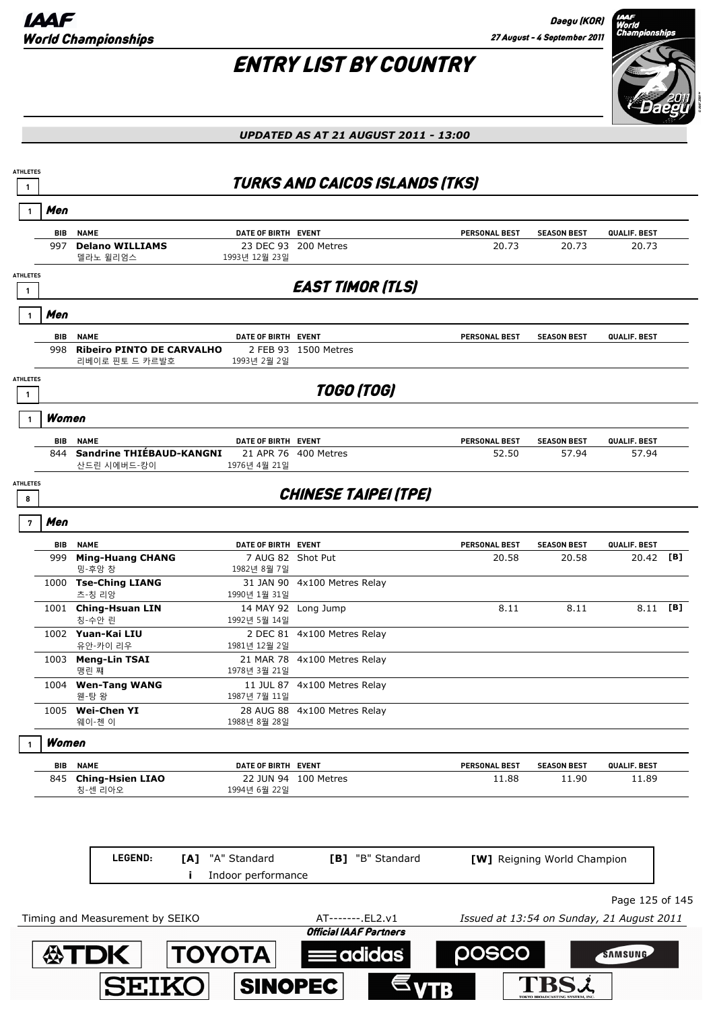Daegu (KOR) 27 August - 4 September 2011

TBSL

### ENTRY LIST BY COUNTRY



*UPDATED AS AT 21 AUGUST 2011 - 13:00*



**SINOPEC** 

**SEIK(**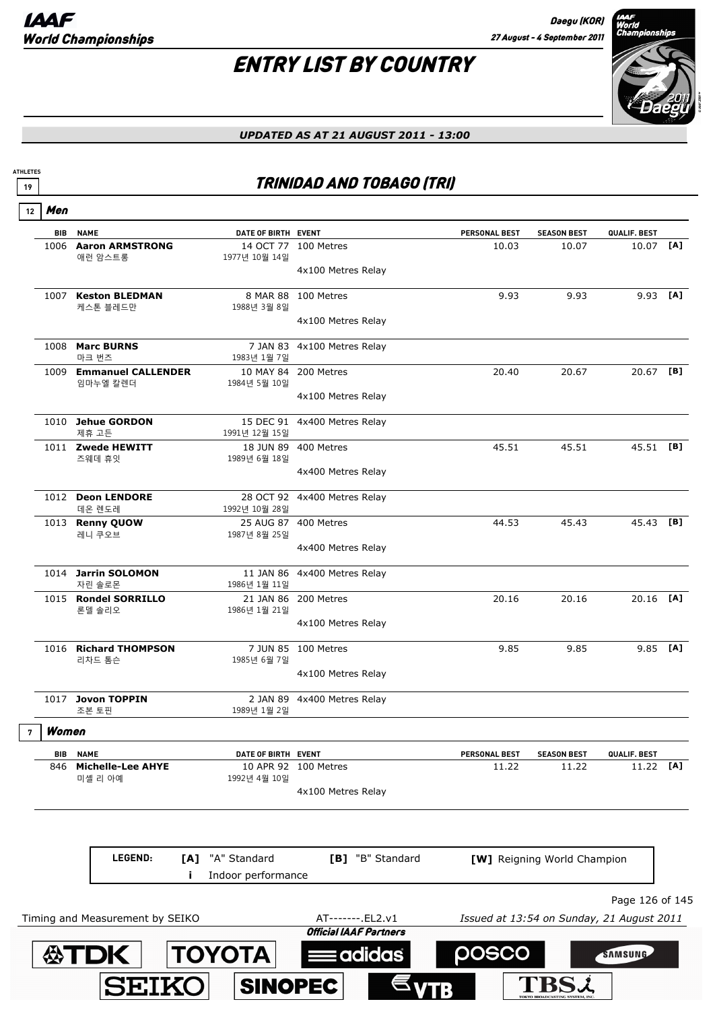**SEIKO** 

**ATHLETES**

# ENTRY LIST BY COUNTRY



*UPDATED AS AT 21 AUGUST 2011 - 13:00*

### **<sup>19</sup>** TRINIDAD AND TOBAGO (TRI)

| 12 | Men        |                                     |                         |                               |                                           |                             |                 |  |
|----|------------|-------------------------------------|-------------------------|-------------------------------|-------------------------------------------|-----------------------------|-----------------|--|
|    | <b>BIB</b> | <b>NAME</b>                         | DATE OF BIRTH EVENT     |                               | <b>PERSONAL BEST</b>                      | <b>SEASON BEST</b>          | QUALIF. BEST    |  |
|    |            | 1006 Aaron ARMSTRONG<br>애런 암스트롱     | 1977년 10월 14일           | 14 OCT 77 100 Metres          | 10.03                                     | 10.07                       | 10.07 [A]       |  |
|    |            |                                     |                         | 4x100 Metres Relay            |                                           |                             |                 |  |
|    |            | 1007 Keston BLEDMAN<br>케스톤 블레드만     | 8 MAR 88<br>1988년 3월 8일 | 100 Metres                    | 9.93                                      | 9.93                        | $9.93$ [A]      |  |
|    |            |                                     |                         | 4x100 Metres Relay            |                                           |                             |                 |  |
|    |            | 1008 Marc BURNS<br>마크 번즈            | 7 JAN 83<br>1983년 1월 7일 | 4x100 Metres Relay            |                                           |                             |                 |  |
|    |            | 1009 Emmanuel CALLENDER<br>임마누엘 칼렌더 | 1984년 5월 10일            | 10 MAY 84 200 Metres          | 20.40                                     | 20.67                       | 20.67 [B]       |  |
|    |            |                                     |                         | 4x100 Metres Relay            |                                           |                             |                 |  |
|    |            | 1010 Jehue GORDON<br>제휴 고든          | 1991년 12월 15일           | 15 DEC 91 4x400 Metres Relay  |                                           |                             |                 |  |
|    |            | 1011 Zwede HEWITT<br>즈웨데 휴잇         | 1989년 6월 18일            | 18 JUN 89 400 Metres          | 45.51                                     | 45.51                       | 45.51 [B]       |  |
|    |            |                                     |                         | 4x400 Metres Relay            |                                           |                             |                 |  |
|    |            | 1012 Deon LENDORE<br>데온 렌도레         | 1992년 10월 28일           | 28 OCT 92 4x400 Metres Relay  |                                           |                             |                 |  |
|    |            | 1013 Renny QUOW<br>레니 쿠오브           | 1987년 8월 25일            | 25 AUG 87 400 Metres          | 44.53                                     | 45.43                       | 45.43 [B]       |  |
|    |            |                                     |                         | 4x400 Metres Relay            |                                           |                             |                 |  |
|    |            | 1014 Jarrin SOLOMON<br>자린 솔로몬       | 1986년 1월 11일            | 11 JAN 86 4x400 Metres Relay  |                                           |                             |                 |  |
|    |            | 1015 Rondel SORRILLO<br>론델 솔리오      | 1986년 1월 21일            | 21 JAN 86 200 Metres          | 20.16                                     | 20.16                       | 20.16 [A]       |  |
|    |            |                                     |                         | 4x100 Metres Relay            |                                           |                             |                 |  |
|    |            | 1016 Richard THOMPSON<br>리차드 톰슨     | 1985년 6월 7일             | 7 JUN 85 100 Metres           | 9.85                                      | 9.85                        | $9.85$ [A]      |  |
|    |            |                                     |                         | 4x100 Metres Relay            |                                           |                             |                 |  |
|    |            | 1017 Jovon TOPPIN<br>조본 토핀          | 1989년 1월 2일             | 2 JAN 89 4x400 Metres Relay   |                                           |                             |                 |  |
| 7  | Women      |                                     |                         |                               |                                           |                             |                 |  |
|    | BIB        | <b>NAME</b>                         | DATE OF BIRTH EVENT     |                               | <b>PERSONAL BEST</b>                      | <b>SEASON BEST</b>          | QUALIF. BEST    |  |
|    | 846        | <b>Michelle-Lee AHYE</b><br>미셸 리 아예 | 1992년 4월 10일            | 10 APR 92 100 Metres          | 11.22                                     | 11.22                       | 11.22 [A]       |  |
|    |            |                                     |                         | 4x100 Metres Relay            |                                           |                             |                 |  |
|    |            |                                     |                         |                               |                                           |                             |                 |  |
|    |            | LEGEND:                             | "A" Standard<br>[A]     | [B] "B" Standard              |                                           | [W] Reigning World Champion |                 |  |
|    |            |                                     | Indoor performance      |                               |                                           |                             |                 |  |
|    |            |                                     |                         |                               |                                           |                             | Page 126 of 145 |  |
|    |            | Timing and Measurement by SEIKO     |                         | AT-------. EL2.v1             | Issued at 13:54 on Sunday, 21 August 2011 |                             |                 |  |
|    |            |                                     |                         | <b>Official IAAF Partners</b> |                                           |                             |                 |  |
|    |            | <b>公TDK</b>                         | <b>TOYOTA</b>           | adidas                        | <b>POSCO</b>                              |                             | SAMSUNG         |  |

 $\epsilon_{\text{VTB}}$ 

**SINOPEC** 

**TBSi**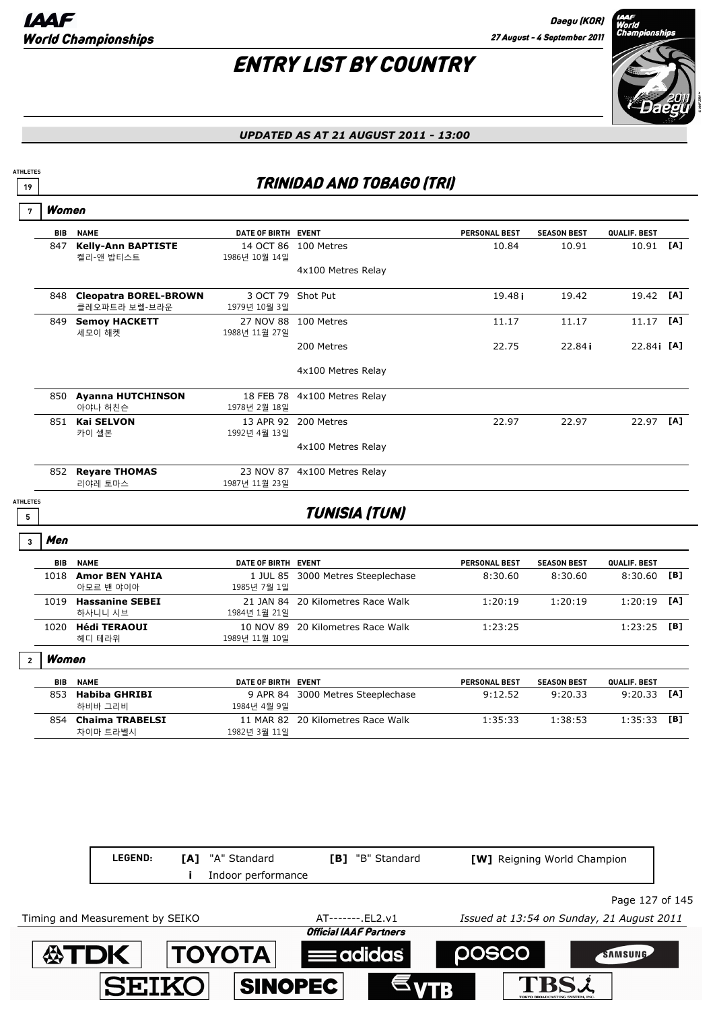## ENTRY LIST BY COUNTRY



*UPDATED AS AT 21 AUGUST 2011 - 13:00*

### **<sup>19</sup>** TRINIDAD AND TOBAGO (TRI)

|                 | <b>BIB NAME</b>                            | DATE OF BIRTH EVENT               |                                   | PERSONAL BEST        | <b>SEASON BEST</b> | QUALIF. BEST |            |
|-----------------|--------------------------------------------|-----------------------------------|-----------------------------------|----------------------|--------------------|--------------|------------|
|                 | 847 Kelly-Ann BAPTISTE<br>켈리-앤 밥티스트        | 1986년 10월 14일                     | 14 OCT 86 100 Metres              | 10.84                | 10.91              | 10.91 [A]    |            |
|                 |                                            |                                   | 4x100 Metres Relay                |                      |                    |              |            |
|                 | 848 Cleopatra BOREL-BROWN<br>클레오파트라 보렐-브라운 | 3 OCT 79 Shot Put<br>1979년 10월 3일 |                                   | 19.48 <sub>i</sub>   | 19.42              | 19.42 [A]    |            |
|                 | 849 Semoy HACKETT<br>세모이 해켓                | 1988년 11월 27일                     | 27 NOV 88 100 Metres              | 11.17                | 11.17              | 11.17        | [A]        |
|                 |                                            |                                   | 200 Metres                        | 22.75                | 22.84i             | 22.84 [A]    |            |
|                 |                                            |                                   | 4x100 Metres Relay                |                      |                    |              |            |
|                 | 850 Ayanna HUTCHINSON<br>아야나 허친슨           | 1978년 2월 18일                      | 18 FEB 78 4x100 Metres Relay      |                      |                    |              |            |
|                 | 851 Kai SELVON<br>카이 셀본                    | 1992년 4월 13일                      | 13 APR 92 200 Metres              | 22.97                | 22.97              | 22.97 [A]    |            |
|                 |                                            |                                   | 4x100 Metres Relay                |                      |                    |              |            |
|                 | 852 Reyare THOMAS<br>리야레 토마스               | 1987년 11월 23일                     | 23 NOV 87 4x100 Metres Relay      |                      |                    |              |            |
| <b>ATHLETES</b> |                                            |                                   | <b>TUNISIA (TUN)</b>              |                      |                    |              |            |
|                 |                                            |                                   |                                   |                      |                    |              |            |
| Men             |                                            |                                   |                                   |                      |                    |              |            |
| <b>BIB</b>      | <b>NAME</b>                                | DATE OF BIRTH EVENT               |                                   | PERSONAL BEST        | <b>SEASON BEST</b> | QUALIF. BEST |            |
|                 | 1018 Amor BEN YAHIA<br>아모르 밴 야이아           | 1985년 7월 1일                       | 1 JUL 85 3000 Metres Steeplechase | 8:30.60              | 8:30.60            | 8:30.60      |            |
|                 | 1019 Hassanine SEBEI                       |                                   | 21 JAN 84 20 Kilometres Race Walk | 1:20:19              | 1:20:19            | 1:20:19      |            |
|                 | 하사니니 시브<br>1020 Hédi TERAOUI<br>헤디 테라위     | 1984년 1월 21일<br>1989년 11월 10일     | 10 NOV 89 20 Kilometres Race Walk | 1:23:25              |                    | 1:23:25 [B]  |            |
| Women           |                                            |                                   |                                   |                      |                    |              | [B]<br>[A] |
| BIB             | <b>NAME</b>                                | DATE OF BIRTH EVENT               |                                   | <b>PERSONAL BEST</b> | <b>SEASON BEST</b> | QUALIF. BEST |            |
|                 | 853 Habiba GHRIBI<br>하비바 그리비               | 1984년 4월 9일                       | 9 APR 84 3000 Metres Steeplechase | 9:12.52              | 9:20.33            | 9:20.33      | [A]        |

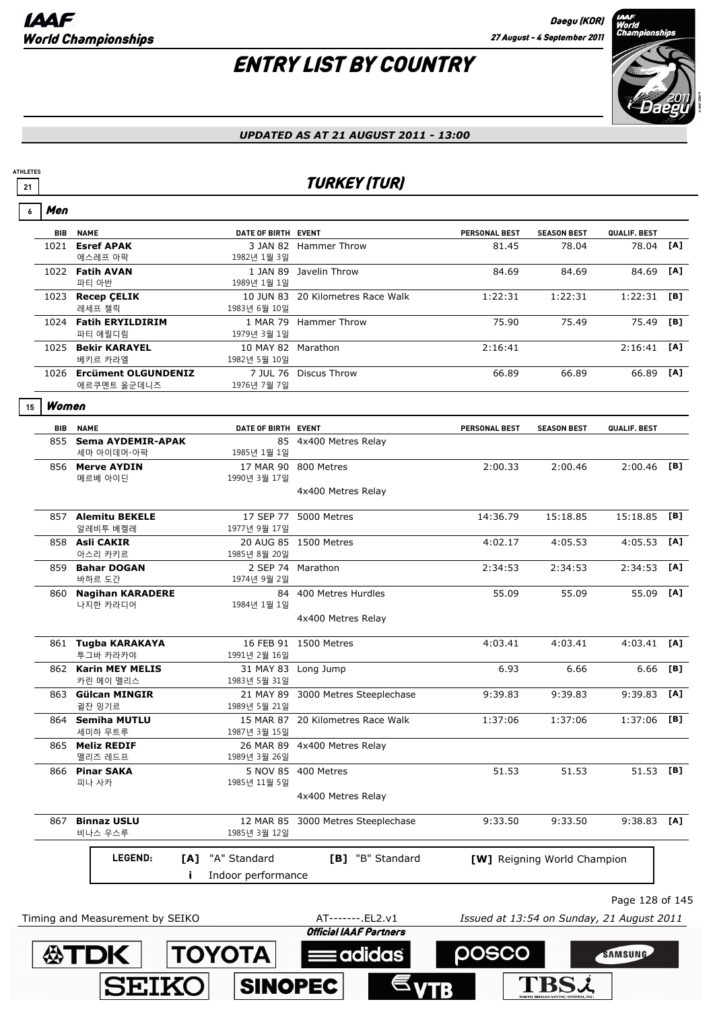**ATDK TOYOTA** 

**SEIKO** 

**ATHLETES**

## ENTRY LIST BY COUNTRY



#### *UPDATED AS AT 21 AUGUST 2011 - 13:00*

### <u>21</u> TURKEY (TUR)

| 6  | Men   |                                          |                                          |                                                 |                                           |                                    |                 |     |
|----|-------|------------------------------------------|------------------------------------------|-------------------------------------------------|-------------------------------------------|------------------------------------|-----------------|-----|
|    | BIB   | <b>NAME</b>                              | DATE OF BIRTH EVENT                      |                                                 | PERSONAL BEST                             | <b>SEASON BEST</b>                 | QUALIF. BEST    |     |
|    |       | 1021 Esref APAK<br>에스레프 아팍               | 1982년 1월 3일                              | 3 JAN 82 Hammer Throw                           | 81.45                                     | 78.04                              | 78.04           | [A] |
|    |       | 1022 Fatih AVAN<br>파티 아반                 | 1989년 1월 1일                              | 1 JAN 89 Javelin Throw                          | 84.69                                     | 84.69                              | 84.69           | [A] |
|    |       | 1023 Recep ÇELIK<br>레세프 첼릭               | 1983년 6월 10일                             | 10 JUN 83 20 Kilometres Race Walk               | 1:22:31                                   | 1:22:31                            | 1:22:31         | [B] |
|    |       | 1024 Fatih ERYILDIRIM<br>파티 에릴디림         | 1979년 3월 1일                              | 1 MAR 79 Hammer Throw                           | 75.90                                     | 75.49                              | 75.49           | [B] |
|    |       | 1025 Bekir KARAYEL<br>베키르 카라엘            | 10 MAY 82 Marathon<br>1982년 5월 10일       |                                                 | 2:16:41                                   |                                    | 2:16:41         | [A] |
|    |       | 1026 Ercüment OLGUNDENIZ<br>에르쿠멘트 올군데니즈  | 1976년 7월 7일                              | 7 JUL 76 Discus Throw                           | 66.89                                     | 66.89                              | 66.89           | [A] |
| 15 | Women |                                          |                                          |                                                 |                                           |                                    |                 |     |
|    | BIB   | <b>NAME</b>                              | DATE OF BIRTH EVENT                      |                                                 | PERSONAL BEST                             | <b>SEASON BEST</b>                 | QUALIF. BEST    |     |
|    |       | 855 Sema AYDEMIR-APAK                    |                                          | 85 4x400 Metres Relay                           |                                           |                                    |                 |     |
|    |       | 세마 아이데머-아팍<br>856 Merve AYDIN<br>메르베 아이딘 | 1985년 1월 1일<br>17 MAR 90<br>1990년 3월 17일 | 800 Metres                                      | 2:00.33                                   | 2:00.46                            | $2:00.46$ [B]   |     |
|    |       |                                          |                                          | 4x400 Metres Relay                              |                                           |                                    |                 |     |
|    |       | 857 Alemitu BEKELE<br>알레비투 베켈레           | 1977년 9월 17일                             | 17 SEP 77 5000 Metres                           | 14:36.79                                  | 15:18.85                           | 15:18.85        | [B] |
|    |       | 858 Asli CAKIR<br>아스리 카키르                | 1985년 8월 20일                             | 20 AUG 85 1500 Metres                           | 4:02.17                                   | 4:05.53                            | 4:05.53         | [A] |
|    |       | 859 Bahar DOGAN<br>바하르 도간                | 1974년 9월 2일                              | 2 SEP 74 Marathon                               | 2:34:53                                   | 2:34:53                            | 2:34:53         | [A] |
|    |       | 860 Nagihan KARADERE<br>나지한 카라디어         | 1984년 1월 1일                              | 84 400 Metres Hurdles                           | 55.09                                     | 55.09                              | 55.09           | [A] |
|    |       |                                          |                                          | 4x400 Metres Relay                              |                                           |                                    |                 |     |
|    |       | 861 Tugba KARAKAYA<br>투그바 카라카야           | 1991년 2월 16일                             | 16 FEB 91 1500 Metres                           | 4:03.41                                   | 4:03.41                            | $4:03.41$ [A]   |     |
|    |       | 862 Karin MEY MELIS<br>카린 메이 멜리스         | 31 MAY 83<br>1983년 5월 31일                | Long Jump                                       | 6.93                                      | 6.66                               | 6.66            | [B] |
|    |       | 863 Gülcan MINGIR<br>귈잔 밍기르              | 1989년 5월 21일                             | 21 MAY 89 3000 Metres Steeplechase              | 9:39.83                                   | 9:39.83                            | 9:39.83         | [A] |
|    |       | 864 Semiha MUTLU<br>세미하 무트루              | 1987년 3월 15일                             | 15 MAR 87 20 Kilometres Race Walk               | 1:37:06                                   | 1:37:06                            | 1:37:06         | [B] |
|    |       | 865 Meliz REDIF<br>멜리즈 레드프               | 1989년 3월 26일                             | 26 MAR 89 4x400 Metres Relay                    |                                           |                                    |                 |     |
|    | 866   | <b>Pinar SAKA</b><br>피나 사카               | 1985년 11월 5일                             | 5 NOV 85 400 Metres                             | 51.53                                     | 51.53                              | 51.53 [B]       |     |
|    |       |                                          |                                          | 4x400 Metres Relay                              |                                           |                                    |                 |     |
|    | 867   | <b>Binnaz USLU</b><br>비나스 우스루            | 12 MAR 85<br>1985년 3월 12일                | 3000 Metres Steeplechase                        | 9:33.50                                   | 9:33.50                            | 9:38.83         | [A] |
|    |       | LEGEND:<br>[A]                           | "A" Standard                             | [B] "B" Standard                                |                                           | <b>[W]</b> Reigning World Champion |                 |     |
|    |       |                                          | Indoor performance                       |                                                 |                                           |                                    |                 |     |
|    |       |                                          |                                          |                                                 |                                           |                                    | Page 128 of 145 |     |
|    |       | Timing and Measurement by SEIKO          |                                          | AT-------. EL2.v1                               | Issued at 13:54 on Sunday, 21 August 2011 |                                    |                 |     |
|    |       |                                          |                                          | $Off_{a a}$ $I$ $I$ $A$ $A$ $C$ $D$ $B$ $A$ $B$ |                                           |                                    |                 |     |

 $\equiv$ adida $\dot{\bf s}$ 

**SINOPEC** 

posco

**TBSL** 

SAMSUNG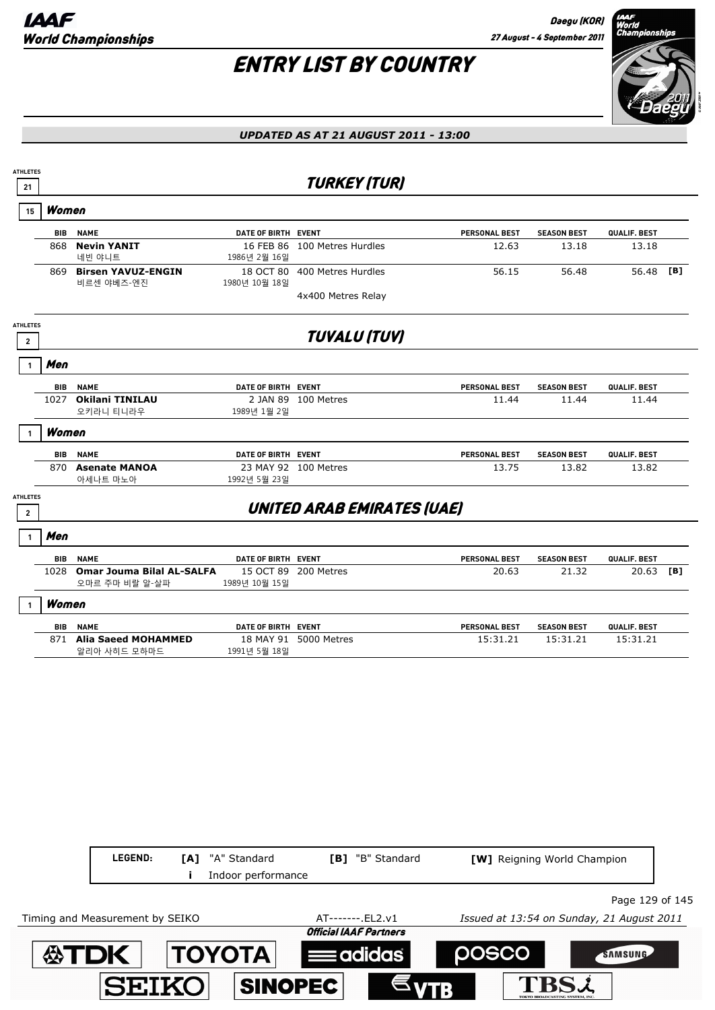

| <b>ATHLETES</b><br>21           |            |                                                    |                     | <b>TURKEY (TUR)</b>               |                      |                             |              |     |
|---------------------------------|------------|----------------------------------------------------|---------------------|-----------------------------------|----------------------|-----------------------------|--------------|-----|
| 15                              | Women      |                                                    |                     |                                   |                      |                             |              |     |
|                                 | BIB        | <b>NAME</b>                                        | DATE OF BIRTH EVENT |                                   | <b>PERSONAL BEST</b> | <b>SEASON BEST</b>          | QUALIF. BEST |     |
|                                 | 868        | <b>Nevin YANIT</b><br>네빈 야니트                       | 1986년 2월 16일        | 16 FEB 86 100 Metres Hurdles      | 12.63                | 13.18                       | 13.18        |     |
|                                 |            | 869 Birsen YAVUZ-ENGIN<br>비르센 야베즈-엔진               | 1980년 10월 18일       | 18 OCT 80 400 Metres Hurdles      | 56.15                | 56.48                       | 56.48        | [B] |
|                                 |            |                                                    |                     | 4x400 Metres Relay                |                      |                             |              |     |
| <b>ATHLETES</b><br>2            |            |                                                    |                     | <b>TUVALU (TUV)</b>               |                      |                             |              |     |
|                                 | Men        |                                                    |                     |                                   |                      |                             |              |     |
|                                 | <b>BIB</b> | <b>NAME</b>                                        | DATE OF BIRTH EVENT |                                   | <b>PERSONAL BEST</b> | <b>SEASON BEST</b>          | QUALIF. BEST |     |
|                                 |            | 1027 Okilani TINILAU<br>오키라니 티니라우                  | 1989년 1월 2일         | 2 JAN 89 100 Metres               | 11.44                | 11.44                       | 11.44        |     |
|                                 | Women      |                                                    |                     |                                   |                      |                             |              |     |
|                                 | BIB        | <b>NAME</b>                                        | DATE OF BIRTH EVENT |                                   | <b>PERSONAL BEST</b> | <b>SEASON BEST</b>          | QUALIF. BEST |     |
|                                 | 870        | <b>Asenate MANOA</b><br>아세나트 마노아                   | 1992년 5월 23일        | 23 MAY 92 100 Metres              | 13.75                | 13.82                       | 13.82        |     |
| <b>ATHLETES</b><br>$\mathbf{2}$ |            |                                                    |                     | <b>UNITED ARAB EMIRATES (UAE)</b> |                      |                             |              |     |
|                                 | Men        |                                                    |                     |                                   |                      |                             |              |     |
|                                 |            | <b>BIB NAME</b>                                    | DATE OF BIRTH EVENT |                                   | PERSONAL BEST        | <b>SEASON BEST</b>          | QUALIF. BEST |     |
|                                 | 1028       | <b>Omar Jouma Bilal AL-SALFA</b><br>오마르 주마 비랄 알-살파 | 1989년 10월 15일       | 15 OCT 89 200 Metres              | 20.63                | 21.32                       | 20.63        | [B] |
|                                 | Women      |                                                    |                     |                                   |                      |                             |              |     |
|                                 | <b>BIB</b> | <b>NAME</b>                                        | DATE OF BIRTH EVENT |                                   | <b>PERSONAL BEST</b> | <b>SEASON BEST</b>          | QUALIF. BEST |     |
|                                 |            | 871 Alia Saeed MOHAMMED<br>알리아 사히드 모하마드            | 1991년 5월 18일        | 18 MAY 91 5000 Metres             | 15:31.21             | 15:31.21                    | 15:31.21     |     |
|                                 |            |                                                    |                     |                                   |                      |                             |              |     |
|                                 |            |                                                    |                     |                                   |                      |                             |              |     |
|                                 |            |                                                    |                     |                                   |                      |                             |              |     |
|                                 |            |                                                    |                     |                                   |                      |                             |              |     |
|                                 |            |                                                    |                     |                                   |                      |                             |              |     |
|                                 |            |                                                    |                     |                                   |                      |                             |              |     |
|                                 |            |                                                    |                     |                                   |                      |                             |              |     |
|                                 |            |                                                    |                     |                                   |                      |                             |              |     |
|                                 |            | LEGEND:                                            | [A] "A" Standard    | [B] "B" Standard                  |                      | [W] Reigning World Champion |              |     |

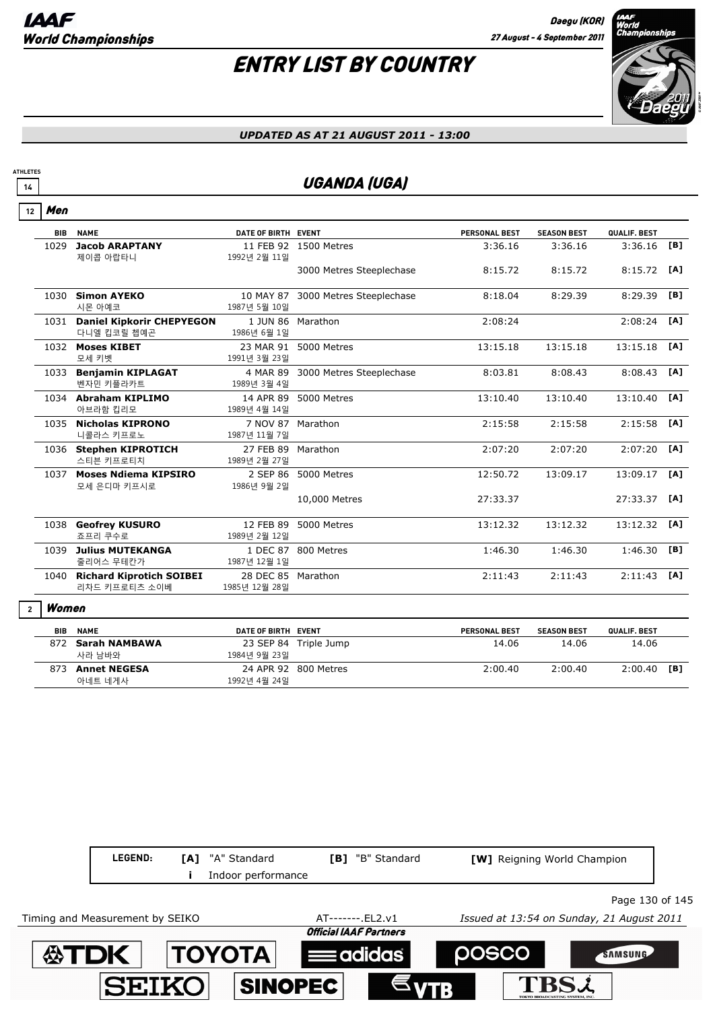

#### *UPDATED AS AT 21 AUGUST 2011 - 13:00*

### **14 UGANDA (UGA)**

Men **12**

**ATHLETES**

| <b>BIB</b> | <b>NAME</b>                                     | DATE OF BIRTH EVENT                 |                          | <b>PERSONAL BEST</b> | <b>SEASON BEST</b> | QUALIF. BEST |     |
|------------|-------------------------------------------------|-------------------------------------|--------------------------|----------------------|--------------------|--------------|-----|
| 1029       | <b>Jacob ARAPTANY</b><br>제이콥 아랍타니               | 1992년 2월 11일                        | 11 FEB 92 1500 Metres    | 3:36.16              | 3:36.16            | 3:36.16      | [B] |
|            |                                                 |                                     | 3000 Metres Steeplechase | 8:15.72              | 8:15.72            | 8:15.72      | [A] |
| 1030       | <b>Simon AYEKO</b><br>시몬 아예코                    | 10 MAY 87<br>1987년 5월 10일           | 3000 Metres Steeplechase | 8:18.04              | 8:29.39            | 8:29.39      | [B] |
| 1031       | <b>Daniel Kipkorir CHEPYEGON</b><br>다니엘 킵코릴 쳅예곤 | 1 JUN 86<br>1986년 6월 1일             | Marathon                 | 2:08:24              |                    | 2:08:24      | [A] |
|            | 1032 Moses KIBET<br>모세 키벳                       | 23 MAR 91<br>1991년 3월 23일           | 5000 Metres              | 13:15.18             | 13:15.18           | 13:15.18     | [A] |
| 1033       | <b>Benjamin KIPLAGAT</b><br>벤자민 키플라카트           | 4 MAR 89<br>1989년 3월 4일             | 3000 Metres Steeplechase | 8:03.81              | 8:08.43            | 8:08.43      | [A] |
|            | 1034 Abraham KIPLIMO<br>아브라함 킵리모                | 14 APR 89<br>1989년 4월 14일           | 5000 Metres              | 13:10.40             | 13:10.40           | 13:10.40     | [A] |
|            | 1035 Nicholas KIPRONO<br>니콜라스 키프로노              | 7 NOV 87<br>1987년 11월 7일            | Marathon                 | 2:15:58              | 2:15:58            | 2:15:58      | [A] |
|            | 1036 Stephen KIPROTICH<br>스티븐 키프로티치             | 27 FEB 89<br>1989년 2월 27일           | Marathon                 | 2:07:20              | 2:07:20            | 2:07:20      | [A] |
|            | 1037 Moses Ndiema KIPSIRO<br>모세 은디마 키프시로        | 2 SEP 86<br>1986년 9월 2일             | 5000 Metres              | 12:50.72             | 13:09.17           | 13:09.17     | [A] |
|            |                                                 |                                     | 10,000 Metres            | 27:33.37             |                    | 27:33.37     | [A] |
|            | 1038 Geofrey KUSURO<br>죠프리 쿠수로                  | 12 FEB 89<br>1989년 2월 12일           | 5000 Metres              | 13:12.32             | 13:12.32           | 13:12.32     | [A] |
| 1039       | <b>Julius MUTEKANGA</b><br>줄리어스 무테칸가            | 1 DEC 87<br>1987년 12월 1일            | 800 Metres               | 1:46.30              | 1:46.30            | 1:46.30      | [B] |
|            | 1040 Richard Kiprotich SOIBEI<br>리차드 키프로티츠 소이베  | 28 DEC 85 Marathon<br>1985년 12월 28일 |                          | 2:11:43              | 2:11:43            | 2:11:43      | [A] |
|            |                                                 |                                     |                          |                      |                    |              |     |

#### Women **2**

| BIB | <b>NAME</b>         | DATE OF BIRTH EVENT |                       | <b>PERSONAL BEST</b> | <b>SEASON BEST</b> | QUALIF, BEST |     |
|-----|---------------------|---------------------|-----------------------|----------------------|--------------------|--------------|-----|
|     | Sarah NAMBAWA       |                     | 23 SEP 84 Triple Jump | 14.06                | 14.06              | 14.06        |     |
|     | 사라 남바와              | 1984년 9월 23일        |                       |                      |                    |              |     |
|     | <b>Annet NEGESA</b> |                     | 24 APR 92 800 Metres  | 2:00.40              | 2:00.40            | 2:00.40      | [B] |
|     | 아네트 네게사             | 1992년 4월 24일        |                       |                      |                    |              |     |

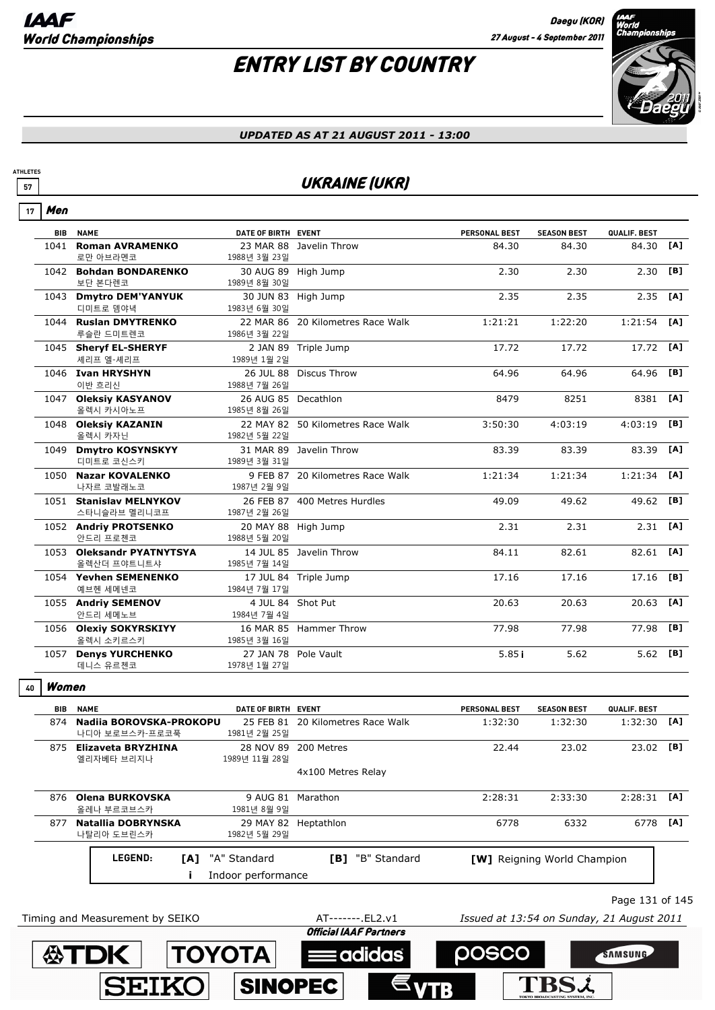**TBSL** 

## ENTRY LIST BY COUNTRY



#### *UPDATED AS AT 21 AUGUST 2011 - 13:00*

### **57** UKRAINE (UKR)

| 17 | Men        |                                               |                                     |                                                   |                                           |                             |                 |     |
|----|------------|-----------------------------------------------|-------------------------------------|---------------------------------------------------|-------------------------------------------|-----------------------------|-----------------|-----|
|    | <b>BIB</b> | <b>NAME</b>                                   | DATE OF BIRTH EVENT                 |                                                   | PERSONAL BEST                             | <b>SEASON BEST</b>          | QUALIF. BEST    |     |
|    |            | 1041 Roman AVRAMENKO<br>로만 아브라멘코              | 1988년 3월 23일                        | 23 MAR 88 Javelin Throw                           | 84.30                                     | 84.30                       | 84.30           | [A] |
|    |            | 1042 Bohdan BONDARENKO<br>보단 본다렌코             | 1989년 8월 30일                        | 30 AUG 89 High Jump                               | 2.30                                      | 2.30                        | 2.30            | [B] |
|    |            | 1043 Dmytro DEM'YANYUK<br>디미트로 뎀야녁            | 1983년 6월 30일                        | 30 JUN 83 High Jump                               | 2.35                                      | 2.35                        | 2.35            | [A] |
|    |            | 1044 Ruslan DMYTRENKO<br>루슬란 드미트렌코            | 1986년 3월 22일                        | 22 MAR 86 20 Kilometres Race Walk                 | 1:21:21                                   | 1:22:20                     | 1:21:54         | [A] |
|    |            | 1045 Sheryf EL-SHERYF<br>셰리프 엘-셰리프            | 1989년 1월 2일                         | 2 JAN 89 Triple Jump                              | 17.72                                     | 17.72                       | 17.72           | [A] |
|    |            | 1046 Ivan HRYSHYN<br>이반 흐리신                   | 1988년 7월 26일                        | 26 JUL 88 Discus Throw                            | 64.96                                     | 64.96                       | 64.96           | [B] |
|    |            | 1047 Oleksiy KASYANOV<br>올렉시 카시아노프            | 26 AUG 85 Decathlon<br>1985년 8월 26일 |                                                   | 8479                                      | 8251                        | 8381            | [A] |
|    |            | 1048 Oleksiy KAZANIN<br>올렉시 카자닌               | 1982년 5월 22일                        | 22 MAY 82 50 Kilometres Race Walk                 | 3:50:30                                   | 4:03:19                     | 4:03:19         | [B] |
|    |            | 1049 Dmytro KOSYNSKYY<br>디미트로 코신스키            | 1989년 3월 31일                        | 31 MAR 89 Javelin Throw                           | 83.39                                     | 83.39                       | 83.39           | [A] |
|    |            | 1050 Nazar KOVALENKO<br>나자르 코발래노코             | 1987년 2월 9일                         | 9 FEB 87 20 Kilometres Race Walk                  | 1:21:34                                   | 1:21:34                     | 1:21:34         | [A] |
|    |            | 1051 Stanislav MELNYKOV<br>스타니슬라브 멜리니코프       | 1987년 2월 26일                        | 26 FEB 87 400 Metres Hurdles                      | 49.09                                     | 49.62                       | 49.62           | [B] |
|    |            | 1052 Andriy PROTSENKO<br>안드리 프로첸코             | 1988년 5월 20일                        | 20 MAY 88 High Jump                               | 2.31                                      | 2.31                        | 2.31            | [A] |
|    |            | 1053 Oleksandr PYATNYTSYA<br>올렉산더 프야트니트샤      | 1985년 7월 14일                        | 14 JUL 85 Javelin Throw                           | 84.11                                     | 82.61                       | 82.61           | [A] |
|    |            | 1054 Yevhen SEMENENKO<br>예브헨 세메넨코             | 1984년 7월 17일                        | 17 JUL 84 Triple Jump                             | 17.16                                     | 17.16                       | 17.16           | [B] |
|    |            | 1055 Andriy SEMENOV<br>안드리 세메노브               | 1984년 7월 4일                         | 4 JUL 84 Shot Put                                 | 20.63                                     | 20.63                       | 20.63           | [A] |
|    |            | 1056 Olexiy SOKYRSKIYY<br>올렉시 소키르스키           | 1985년 3월 16일                        | 16 MAR 85 Hammer Throw                            | 77.98                                     | 77.98                       | 77.98           | [B] |
|    |            | 1057 Denys YURCHENKO<br>데니스 유르첸코              | 1978년 1월 27일                        | 27 JAN 78 Pole Vault                              | 5.85i                                     | 5.62                        | 5.62 [B]        |     |
| 40 | Women      |                                               |                                     |                                                   |                                           |                             |                 |     |
|    | <b>BIB</b> | <b>NAME</b>                                   | DATE OF BIRTH EVENT                 |                                                   | PERSONAL BEST                             | <b>SEASON BEST</b>          | QUALIF. BEST    |     |
|    |            | 874 Nadiia BOROVSKA-PROKOPU<br>나디아 보로브스카-프로코푹 | 1981년 2월 25일                        | 25 FEB 81 20 Kilometres Race Walk                 | 1:32:30                                   | 1:32:30                     | $1:32:30$ [A]   |     |
|    |            | 875 Elizaveta BRYZHINA<br>엘리자베타 브리지나          | 1989년 11월 28일                       | 28 NOV 89 200 Metres                              | 22.44                                     | 23.02                       | 23.02 [B]       |     |
|    |            |                                               |                                     | 4x100 Metres Relay                                |                                           |                             |                 |     |
|    |            | 876 Olena BURKOVSKA<br>올레나 부르코브스카             | 1981년 8월 9일                         | 9 AUG 81 Marathon                                 | 2:28:31                                   | 2:33:30                     | 2:28:31         | [A] |
|    |            | 877 Natallia DOBRYNSKA<br>나탈리아 도브린스카          | 1982년 5월 29일                        | 29 MAY 82 Heptathlon                              | 6778                                      | 6332                        | 6778            | [A] |
|    |            | LEGEND:<br>[A]                                | "A" Standard<br>Indoor performance  | [B] "B" Standard                                  |                                           | [W] Reigning World Champion |                 |     |
|    |            |                                               |                                     |                                                   |                                           |                             | Page 131 of 145 |     |
|    |            | Timing and Measurement by SEIKO               |                                     | AT-------.EL2.v1<br><b>Official IAAF Partners</b> | Issued at 13:54 on Sunday, 21 August 2011 |                             |                 |     |
|    |            |                                               |                                     |                                                   |                                           |                             |                 |     |
|    |            | <b>公TDK</b>                                   | <b>TOYOTA</b>                       | adidas                                            | <b>POSCO</b>                              |                             | SAMSUNG         |     |

**SINOPEC** 

**SEIKO**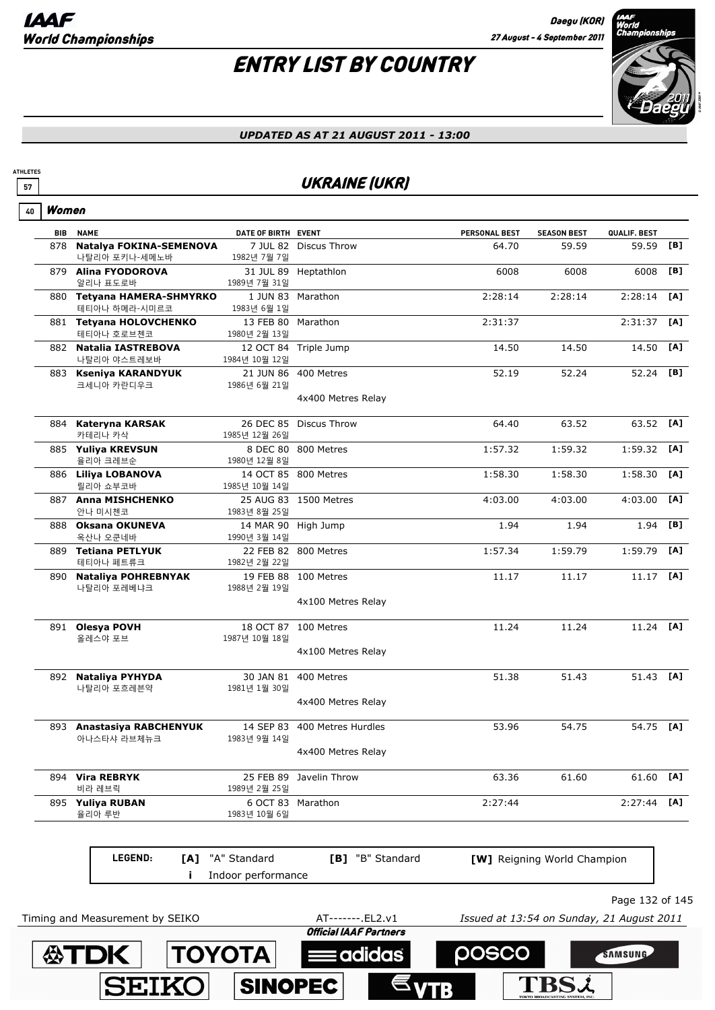## ENTRY LIST BY COUNTRY



#### *UPDATED AS AT 21 AUGUST 2011 - 13:00*

### **57** UKRAINE (UKR)

| 40         | Women                                       |                                    |                        |               |                             |              |     |
|------------|---------------------------------------------|------------------------------------|------------------------|---------------|-----------------------------|--------------|-----|
| <b>BIB</b> | <b>NAME</b>                                 | DATE OF BIRTH EVENT                |                        | PERSONAL BEST | <b>SEASON BEST</b>          | QUALIF. BEST |     |
| 878        | Natalya FOKINA-SEMENOVA<br>나탈리아 포키나-세메노바    | 1982년 7월 7일                        | 7 JUL 82 Discus Throw  | 64.70         | 59.59                       | 59.59        | [B] |
|            | 879 Alina FYODOROVA<br>알리나 표도로바             | 1989년 7월 31일                       | 31 JUL 89 Heptathlon   | 6008          | 6008                        | 6008         | [B] |
|            | 880 Tetyana HAMERA-SHMYRKO<br>테티아나 하메라-시미르코 | 1983년 6월 1일                        | 1 JUN 83 Marathon      | 2:28:14       | 2:28:14                     | 2:28:14      | [A] |
|            | 881 Tetyana HOLOVCHENKO<br>테티아나 호로브첸코       | 13 FEB 80 Marathon<br>1980년 2월 13일 |                        | 2:31:37       |                             | 2:31:37      | [A] |
|            | 882 Natalia IASTREBOVA<br>나탈리아 야스트레보바       | 1984년 10월 12일                      | 12 OCT 84 Triple Jump  | 14.50         | 14.50                       | 14.50        | [A] |
|            | 883 Kseniya KARANDYUK<br>크세니아 카란디우크         | 1986년 6월 21일                       | 21 JUN 86 400 Metres   | 52.19         | 52.24                       | 52.24        | [B] |
|            |                                             |                                    | 4x400 Metres Relay     |               |                             |              |     |
|            | 884 Kateryna KARSAK<br>카테리나 카삭              | 1985년 12월 26일                      | 26 DEC 85 Discus Throw | 64.40         | 63.52                       | 63.52        | [A] |
|            | 885 Yuliya KREVSUN<br>율리아 크레브순              | 1980년 12월 8일                       | 8 DEC 80 800 Metres    | 1:57.32       | 1:59.32                     | 1:59.32      | [A] |
|            | 886 Liliya LOBANOVA<br>릴리아 쇼부코바             | 1985년 10월 14일                      | 14 OCT 85 800 Metres   | 1:58.30       | 1:58.30                     | 1:58.30      | [A] |
|            | 887 Anna MISHCHENKO<br>안나 미시첸코              | 1983년 8월 25일                       | 25 AUG 83 1500 Metres  | 4:03.00       | 4:03.00                     | 4:03.00      | [A] |
| 888        | <b>Oksana OKUNEVA</b><br>옥산나 오쿤네바           | 14 MAR 90<br>1990년 3월 14일          | High Jump              | 1.94          | 1.94                        | 1.94         | [B] |
|            | 889 Tetiana PETLYUK<br>테티아나 페트류크            | 1982년 2월 22일                       | 22 FEB 82 800 Metres   | 1:57.34       | 1:59.79                     | 1:59.79      | [A] |
| 890        | <b>Nataliya POHREBNYAK</b><br>나탈리아 포레베냐크    | 1988년 2월 19일                       | 19 FEB 88 100 Metres   | 11.17         | 11.17                       | 11.17        | [A] |
|            |                                             |                                    | 4x100 Metres Relay     |               |                             |              |     |
|            | 891 Olesya POVH<br>올레스야 포브                  | 1987년 10월 18일                      | 18 OCT 87 100 Metres   | 11.24         | 11.24                       | 11.24 [A]    |     |
|            |                                             |                                    | 4x100 Metres Relay     |               |                             |              |     |
|            | 892 Nataliya PYHYDA<br>나탈리아 포흐레븐약           | 30 JAN 81<br>1981년 1월 30일          | 400 Metres             | 51.38         | 51.43                       | 51.43 [A]    |     |
|            |                                             |                                    | 4x400 Metres Relay     |               |                             |              |     |
|            | 893 Anastasiya RABCHENYUK<br>아나스타샤 라브체뉴크    | 14 SEP 83<br>1983년 9월 14일          | 400 Metres Hurdles     | 53.96         | 54.75                       | 54.75 [A]    |     |
|            |                                             |                                    | 4x400 Metres Relay     |               |                             |              |     |
|            | 894 Vira REBRYK<br>비라 레브릭                   | 25 FEB 89<br>1989년 2월 25일          | Javelin Throw          | 63.36         | 61.60                       | 61.60        | [A] |
|            | 895 Yuliya RUBAN<br>율리아 루반                  | 6 OCT 83<br>1983년 10월 6일           | Marathon               | 2:27:44       |                             | 2:27:44      | [A] |
|            | LEGEND:<br>[A]                              | "A" Standard                       | [B] "B" Standard       |               | [W] Reigning World Champion |              |     |
|            |                                             | Indoor performance                 |                        |               |                             |              |     |

Page 132 of 145

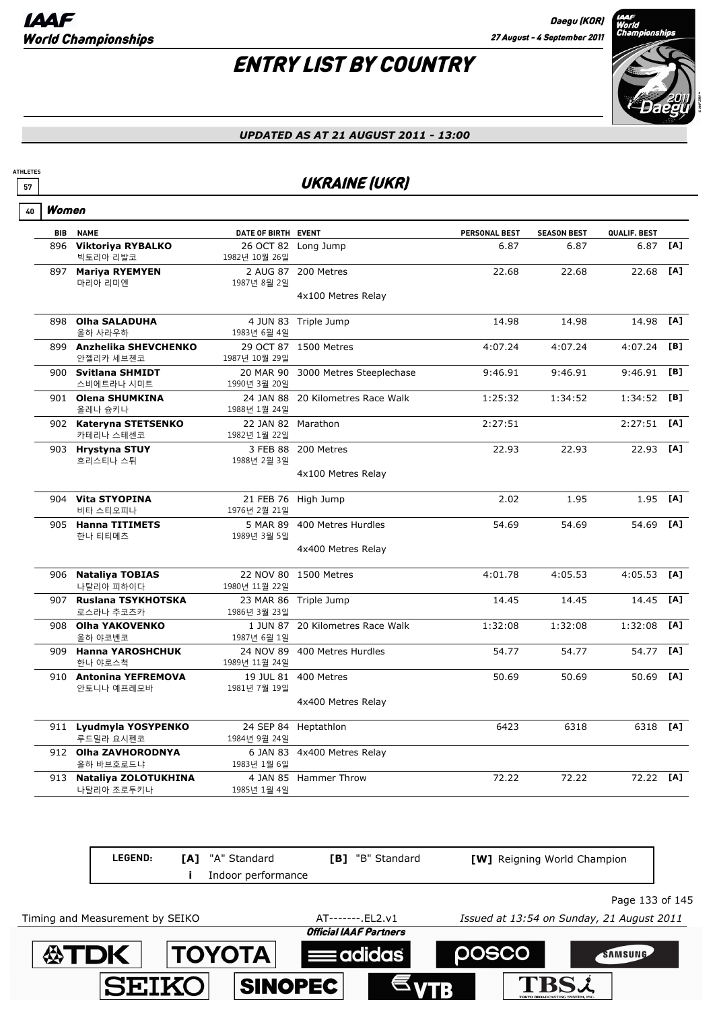

#### *UPDATED AS AT 21 AUGUST 2011 - 13:00*

### **57** UKRAINE (UKR)

| ۷U | l Women |
|----|---------|
|----|---------|

**ATHLETES**

|     | <b>BIB NAME</b>                        | DATE OF BIRTH EVENT                |                                    | PERSONAL BEST | <b>SEASON BEST</b> | QUALIF. BEST |     |
|-----|----------------------------------------|------------------------------------|------------------------------------|---------------|--------------------|--------------|-----|
| 896 | <b>Viktoriya RYBALKO</b><br>빅토리아 리발코   | 1982년 10월 26일                      | 26 OCT 82 Long Jump                | 6.87          | 6.87               | 6.87         | [A] |
|     | 897 Mariya RYEMYEN<br>마리아 리미엔          | 1987년 8월 2일                        | 2 AUG 87 200 Metres                | 22.68         | 22.68              | 22.68        | [A] |
|     |                                        |                                    | 4x100 Metres Relay                 |               |                    |              |     |
|     | 898 Olha SALADUHA<br>올하 사라우하           | 1983년 6월 4일                        | 4 JUN 83 Triple Jump               | 14.98         | 14.98              | 14.98        | [A] |
|     | 899 Anzhelika SHEVCHENKO<br>안젤리카 세브첸코  | 1987년 10월 29일                      | 29 OCT 87 1500 Metres              | 4:07.24       | 4:07.24            | 4:07.24      | [B] |
|     | 900 Svitlana SHMIDT<br>스비에트라나 시미트      | 1990년 3월 20일                       | 20 MAR 90 3000 Metres Steeplechase | 9:46.91       | 9:46.91            | 9:46.91      | [B] |
|     | 901 Olena SHUMKINA<br>올레나 슘키나          | 1988년 1월 24일                       | 24 JAN 88 20 Kilometres Race Walk  | 1:25:32       | 1:34:52            | 1:34:52      | [B] |
|     | 902 Kateryna STETSENKO<br>카테리나 스테센코    | 22 JAN 82 Marathon<br>1982년 1월 22일 |                                    | 2:27:51       |                    | 2:27:51      | [A] |
|     | 903 Hrystyna STUY<br>흐리스티나 스튀          | 1988년 2월 3일                        | 3 FEB 88 200 Metres                | 22.93         | 22.93              | 22.93 [A]    |     |
|     |                                        |                                    | 4x100 Metres Relay                 |               |                    |              |     |
|     | 904 Vita STYOPINA<br>비타 스티오피나          | 1976년 2월 21일                       | 21 FEB 76 High Jump                | 2.02          | 1.95               | 1.95         | [A] |
|     | 905 Hanna TITIMETS<br>한나 티티메츠          | 1989년 3월 5일                        | 5 MAR 89 400 Metres Hurdles        | 54.69         | 54.69              | 54.69        | [A] |
|     |                                        |                                    | 4x400 Metres Relay                 |               |                    |              |     |
|     | 906 Nataliya TOBIAS<br>나탈리아 피하이다       | 1980년 11월 22일                      | 22 NOV 80 1500 Metres              | 4:01.78       | 4:05.53            | 4:05.53      | [A] |
|     | 907 Ruslana TSYKHOTSKA<br>로스라나 추코츠카    | 1986년 3월 23일                       | 23 MAR 86 Triple Jump              | 14.45         | 14.45              | 14.45        | [A] |
|     | 908 Olha YAKOVENKO<br>올하 야코벤코          | 1987년 6월 1일                        | 1 JUN 87 20 Kilometres Race Walk   | 1:32:08       | 1:32:08            | 1:32:08      | [A] |
|     | 909 Hanna YAROSHCHUK<br>한나 야로스척        | 1989년 11월 24일                      | 24 NOV 89 400 Metres Hurdles       | 54.77         | 54.77              | 54.77        | [A] |
|     | 910 Antonina YEFREMOVA<br>안토니나 예프레모바   | 1981년 7월 19일                       | 19 JUL 81 400 Metres               | 50.69         | 50.69              | 50.69        | [A] |
|     |                                        |                                    | 4x400 Metres Relay                 |               |                    |              |     |
|     | 911 Lyudmyla YOSYPENKO<br>루드밀라 요시펜코    | 1984년 9월 24일                       | 24 SEP 84 Heptathlon               | 6423          | 6318               | 6318 [A]     |     |
|     | 912 Olha ZAVHORODNYA<br>올하 바브호로드냐      | 1983년 1월 6일                        | 6 JAN 83 4x400 Metres Relay        |               |                    |              |     |
|     | 913 Nataliya ZOLOTUKHINA<br>나탈리아 조로투키나 | 1985년 1월 4일                        | 4 JAN 85 Hammer Throw              | 72.22         | 72.22              | 72.22 [A]    |     |

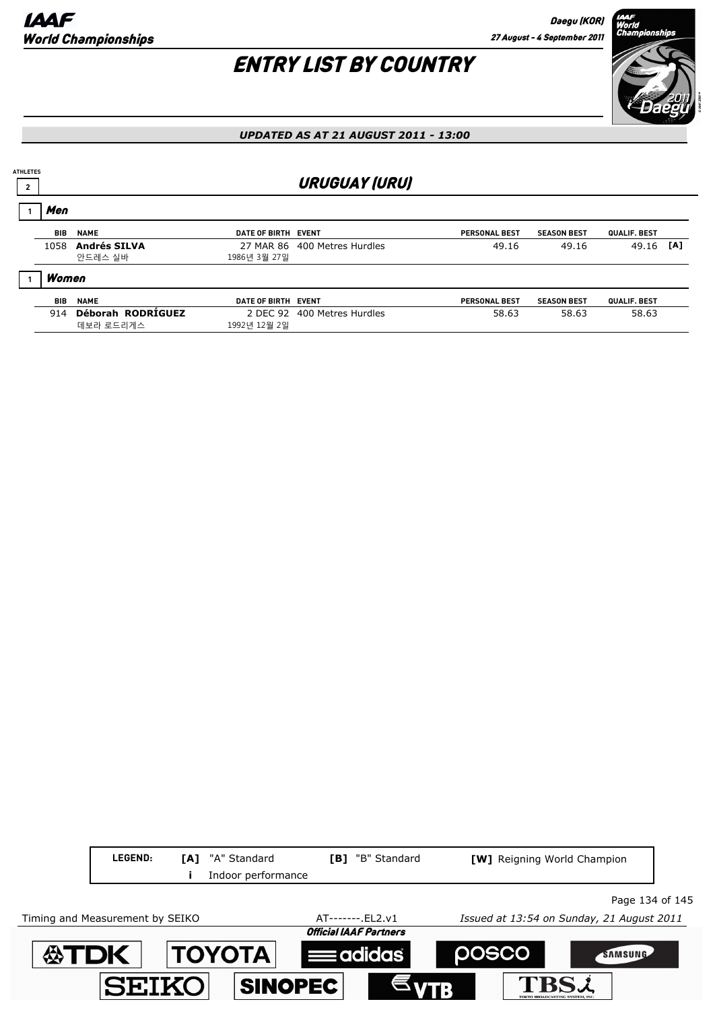

| Men  |                                |              |                                                                                                                                   |                    |              |     |
|------|--------------------------------|--------------|-----------------------------------------------------------------------------------------------------------------------------------|--------------------|--------------|-----|
| BIB  | <b>NAME</b>                    |              | <b>PERSONAL BEST</b>                                                                                                              | <b>SEASON BEST</b> | QUALIF. BEST |     |
| 1058 | <b>Andrés SILVA</b><br>안드레스 실바 | 1986년 3월 27일 | 49.16                                                                                                                             | 49.16              | 49.16        | [A] |
|      |                                |              |                                                                                                                                   |                    |              |     |
| BIB  | <b>NAME</b>                    |              | <b>PERSONAL BEST</b>                                                                                                              | <b>SEASON BEST</b> | QUALIF. BEST |     |
| 914  | Déborah RODRÍGUEZ<br>데보라 로드리게스 | 1992년 12월 2일 | 58.63                                                                                                                             | 58.63              | 58.63        |     |
|      | <b>ATHLETES</b>                | Women        | <b>URUGUAY (URU)</b><br>DATE OF BIRTH EVENT<br>27 MAR 86 400 Metres Hurdles<br>DATE OF BIRTH EVENT<br>2 DEC 92 400 Metres Hurdles |                    |              |     |

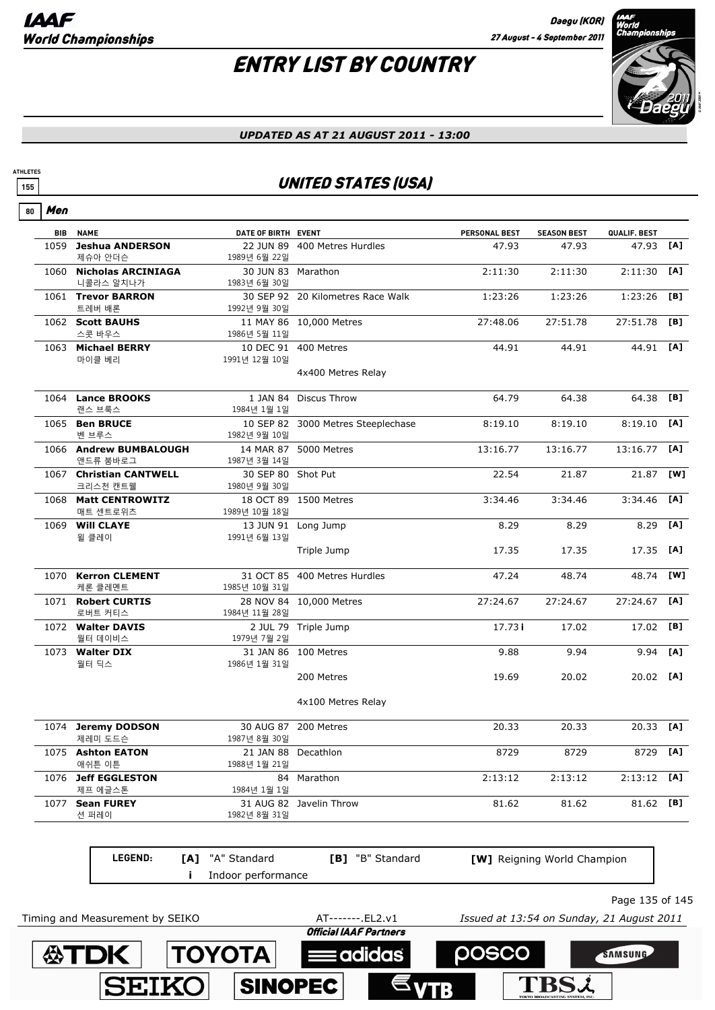## ENTRY LIST BY COUNTRY



#### *UPDATED AS AT 21 AUGUST 2011 - 13:00*

### **155** UNITED STATES (USA)

|      | <b>BIB NAME</b>                      | DATE OF BIRTH EVENT                 |                                    | <b>PERSONAL BEST</b> | <b>SEASON BEST</b>          | QUALIF. BEST  |     |
|------|--------------------------------------|-------------------------------------|------------------------------------|----------------------|-----------------------------|---------------|-----|
| 1059 | <b>Jeshua ANDERSON</b><br>제슈아 안더슨    | 1989년 6월 22일                        | 22 JUN 89 400 Metres Hurdles       | 47.93                | 47.93                       | 47.93         | [A] |
|      | 1060 Nicholas ARCINIAGA<br>니콜라스 알치나가 | 30 JUN 83 Marathon<br>1983년 6월 30일  |                                    | 2:11:30              | 2:11:30                     | 2:11:30       | [A] |
|      | 1061 Trevor BARRON<br>트레버 배론         | 1992년 9월 30일                        | 30 SEP 92 20 Kilometres Race Walk  | 1:23:26              | 1:23:26                     | 1:23:26       | [B] |
|      | 1062 Scott BAUHS<br>스콧 바우스           | 1986년 5월 11일                        | 11 MAY 86 10,000 Metres            | 27:48.06             | 27:51.78                    | 27:51.78      | [B] |
|      | 1063 Michael BERRY<br>마이클 베리         | 1991년 12월 10일                       | 10 DEC 91 400 Metres               | 44.91                | 44.91                       | 44.91 [A]     |     |
|      |                                      |                                     | 4x400 Metres Relay                 |                      |                             |               |     |
|      | 1064 Lance BROOKS<br>랜스 브룩스          | 1984년 1월 1일                         | 1 JAN 84 Discus Throw              | 64.79                | 64.38                       | 64.38         | [B] |
|      | 1065 Ben BRUCE                       |                                     | 10 SEP 82 3000 Metres Steeplechase | 8:19.10              | 8:19.10                     | 8:19.10       | [A] |
|      | 벤 브루스<br>1066 Andrew BUMBALOUGH      | 1982년 9월 10일                        | 14 MAR 87 5000 Metres              | 13:16.77             | 13:16.77                    | 13:16.77      | [A] |
|      | 앤드류 붐바로그<br>1067 Christian CANTWELL  | 1987년 3월 14일<br>30 SEP 80 Shot Put  |                                    | 22.54                | 21.87                       | 21.87         | [W] |
|      | 크리스천 캔트웰                             | 1980년 9월 30일                        |                                    |                      |                             |               |     |
|      | 1068 Matt CENTROWITZ<br>매트 센트로위츠     | 1989년 10월 18일                       | 18 OCT 89 1500 Metres              | 3:34.46              | 3:34.46                     | 3:34.46       | [A] |
| 1069 | <b>Will CLAYE</b><br>윌 클레이           | 1991년 6월 13일                        | 13 JUN 91 Long Jump                | 8.29                 | 8.29                        | 8.29          | [A] |
|      |                                      |                                     | Triple Jump                        | 17.35                | 17.35                       | 17.35         | [A] |
|      | 1070 Kerron CLEMENT<br>케론 클레멘트       | 1985년 10월 31일                       | 31 OCT 85 400 Metres Hurdles       | 47.24                | 48.74                       | 48.74         | [W] |
|      | 1071 Robert CURTIS<br>로버트 커티스        | 1984년 11월 28일                       | 28 NOV 84 10,000 Metres            | 27:24.67             | 27:24.67                    | 27:24.67      | [A] |
|      | 1072 Walter DAVIS<br>월터 데이비스         | 1979년 7월 2일                         | 2 JUL 79 Triple Jump               | 17.73i               | 17.02                       | 17.02 [B]     |     |
|      | 1073 Walter DIX<br>월터 딕스             | 1986년 1월 31일                        | 31 JAN 86 100 Metres               | 9.88                 | 9.94                        | 9.94          | [A] |
|      |                                      |                                     | 200 Metres                         | 19.69                | 20.02                       | 20.02 [A]     |     |
|      |                                      |                                     | 4x100 Metres Relay                 |                      |                             |               |     |
|      | 1074 Jeremy DODSON<br>제레미 도드슨        | 1987년 8월 30일                        | 30 AUG 87 200 Metres               | 20.33                | 20.33                       | 20.33         | [A] |
|      | 1075 Ashton EATON<br>애쉬튼 이튼          | 21 JAN 88 Decathlon<br>1988년 1월 21일 |                                    | 8729                 | 8729                        | 8729          | [A] |
| 1076 | <b>Jeff EGGLESTON</b><br>제프 에글스톤     | 84<br>1984년 1월 1일                   | Marathon                           | 2:13:12              | 2:13:12                     | $2:13:12$ [A] |     |
| 1077 | <b>Sean FUREY</b><br>션 퍼레이           | 1982년 8월 31일                        | 31 AUG 82 Javelin Throw            | 81.62                | 81.62                       | 81.62         | [B] |
|      | LEGEND:<br>[A]                       | "A" Standard                        | [B] "B" Standard                   |                      | [W] Reigning World Champion |               |     |
|      | Ĩ.                                   | Indoor performance                  |                                    |                      |                             |               |     |

Timing and Measurement by SEIKO **AT-------**.EL2.v1 *Issued at 13:54 on Sunday, 21 August 2011*<br>**Official IAAF Partners** 

adidas

**POSCO** 

**TBS2** 

**TOYOTA** 

**SEIKO** 

**SINOPEC** 

**公TDK** 



SAMSUNG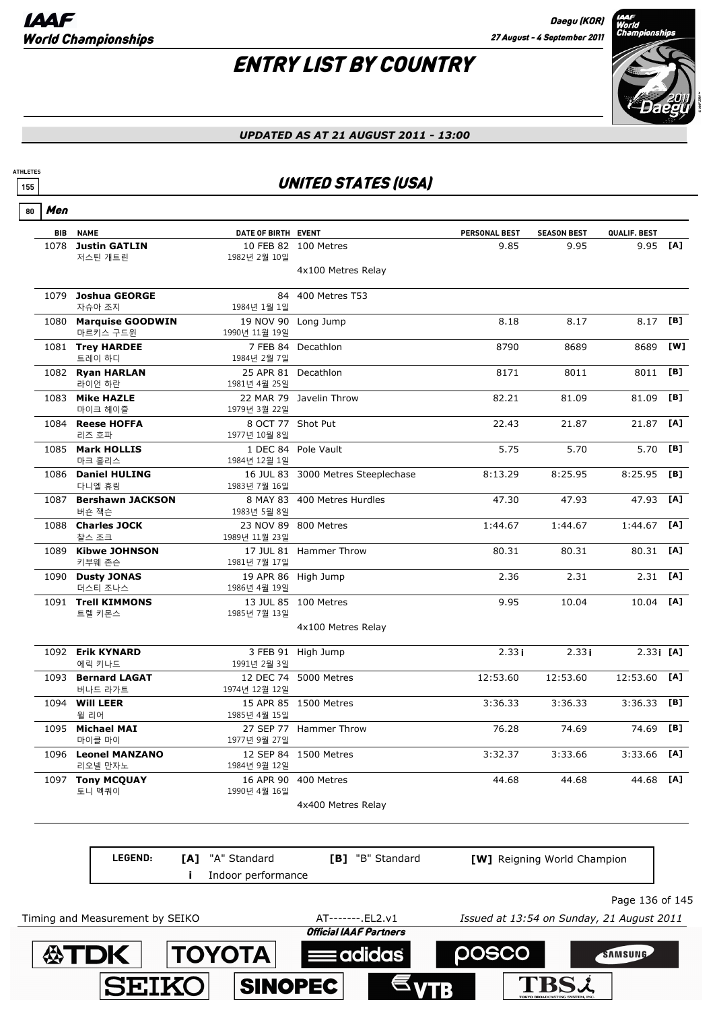**SEIKO** 

SINOPEC

## ENTRY LIST BY COUNTRY



**TBSL** 

#### *UPDATED AS AT 21 AUGUST 2011 - 13:00*

### **155** UNITED STATES (USA)

Men **80**

**ATHLETES**

| ווסויו |                                   |                                     |                                    |               |                                           |                 |     |
|--------|-----------------------------------|-------------------------------------|------------------------------------|---------------|-------------------------------------------|-----------------|-----|
| BIB    | <b>NAME</b>                       | DATE OF BIRTH EVENT                 |                                    | PERSONAL BEST | <b>SEASON BEST</b>                        | QUALIF. BEST    |     |
| 1078   | <b>Justin GATLIN</b><br>저스틴 개트린   | 1982년 2월 10일                        | 10 FEB 82 100 Metres               | 9.85          | 9.95                                      | 9.95            | [A] |
|        |                                   |                                     | 4x100 Metres Relay                 |               |                                           |                 |     |
|        | 1079 Joshua GEORGE<br>자슈아 조지      | 1984년 1월 1일                         | 84 400 Metres T53                  |               |                                           |                 |     |
|        | 1080 Marquise GOODWIN<br>마르키스 구드윈 | 1990년 11월 19일                       | 19 NOV 90 Long Jump                | 8.18          | 8.17                                      | 8.17            | [B] |
|        | 1081 Trey HARDEE<br>트레이 하디        | 1984년 2월 7일                         | 7 FEB 84 Decathlon                 | 8790          | 8689                                      | 8689            | [W] |
|        | 1082 Ryan HARLAN<br>라이언 하란        | 25 APR 81 Decathlon<br>1981년 4월 25일 |                                    | 8171          | 8011                                      | 8011            | [B] |
|        | 1083 Mike HAZLE<br>마이크 헤이즐        | 1979년 3월 22일                        | 22 MAR 79 Javelin Throw            | 82.21         | 81.09                                     | 81.09           | [B] |
|        | 1084 Reese HOFFA<br>리즈 호파         | 8 OCT 77 Shot Put<br>1977년 10월 8일   |                                    | 22.43         | 21.87                                     | 21.87 [A]       |     |
|        | 1085 Mark HOLLIS<br>마크 홀리스        | 1984년 12월 1일                        | 1 DEC 84 Pole Vault                | 5.75          | 5.70                                      | 5.70            | [B] |
|        | 1086 Daniel HULING<br>다니엘 휴링      | 1983년 7월 16일                        | 16 JUL 83 3000 Metres Steeplechase | 8:13.29       | 8:25.95                                   | 8:25.95         | [B] |
|        | 1087 Bershawn JACKSON<br>버숀 잭슨    | 1983년 5월 8일                         | 8 MAY 83 400 Metres Hurdles        | 47.30         | 47.93                                     | 47.93           | [A] |
|        | 1088 Charles JOCK<br>찰스 조크        | 1989년 11월 23일                       | 23 NOV 89 800 Metres               | 1:44.67       | 1:44.67                                   | $1:44.67$ [A]   |     |
|        | 1089 Kibwe JOHNSON<br>키부웨 존슨      | 1981년 7월 17일                        | 17 JUL 81 Hammer Throw             | 80.31         | 80.31                                     | 80.31 [A]       |     |
|        | 1090 Dusty JONAS<br>더스티 조나스       | 1986년 4월 19일                        | 19 APR 86 High Jump                | 2.36          | 2.31                                      | $2.31$ [A]      |     |
|        | 1091 Trell KIMMONS<br>트렐 키몬스      | 1985년 7월 13일                        | 13 JUL 85 100 Metres               | 9.95          | 10.04                                     | 10.04 [A]       |     |
|        |                                   |                                     | 4x100 Metres Relay                 |               |                                           |                 |     |
|        | 1092 Erik KYNARD<br>에릭 키나드        | 1991년 2월 3일                         | 3 FEB 91 High Jump                 | 2.33i         | 2.33i                                     | $2.33$ [A]      |     |
|        | 1093 Bernard LAGAT<br>버나드 라가트     | 1974년 12월 12일                       | 12 DEC 74 5000 Metres              | 12:53.60      | 12:53.60                                  | 12:53.60 [A]    |     |
|        | 1094 Will LEER<br>윌 리어            | 1985년 4월 15일                        | 15 APR 85 1500 Metres              | 3:36.33       | 3:36.33                                   | 3:36.33         | [B] |
|        | 1095 Michael MAI<br>마이클 마이        | 1977년 9월 27일                        | 27 SEP 77 Hammer Throw             | 76.28         | 74.69                                     | 74.69           | [B] |
|        | 1096 Leonel MANZANO<br>리오넬 만자노    | 1984년 9월 12일                        | 12 SEP 84 1500 Metres              | 3:32.37       | 3:33.66                                   | $3:33.66$ [A]   |     |
|        | 1097 Tony MCQUAY<br>토니 멕쿼이        | 16 APR 90<br>1990년 4월 16일           | 400 Metres                         | 44.68         | 44.68                                     | 44.68           | [A] |
|        |                                   |                                     | 4x400 Metres Relay                 |               |                                           |                 |     |
|        |                                   |                                     |                                    |               |                                           |                 |     |
|        | LEGEND:                           | "A" Standard<br>[A]                 | "B" Standard<br>[B]                |               | [W] Reigning World Champion               |                 |     |
|        |                                   | Indoor performance                  |                                    |               |                                           |                 |     |
|        | Timing and Measurement by SEIKO   |                                     | AT-------. EL2.v1                  |               | Issued at 13:54 on Sunday, 21 August 2011 | Page 136 of 145 |     |
|        |                                   |                                     | <b>Official IAAF Partners</b>      |               |                                           |                 |     |
|        | <b>公TDK</b>                       | <b>TOYOTA</b>                       | adidas:                            | <u> posco</u> |                                           | SAMSUNG         |     |
|        |                                   |                                     |                                    |               |                                           |                 |     |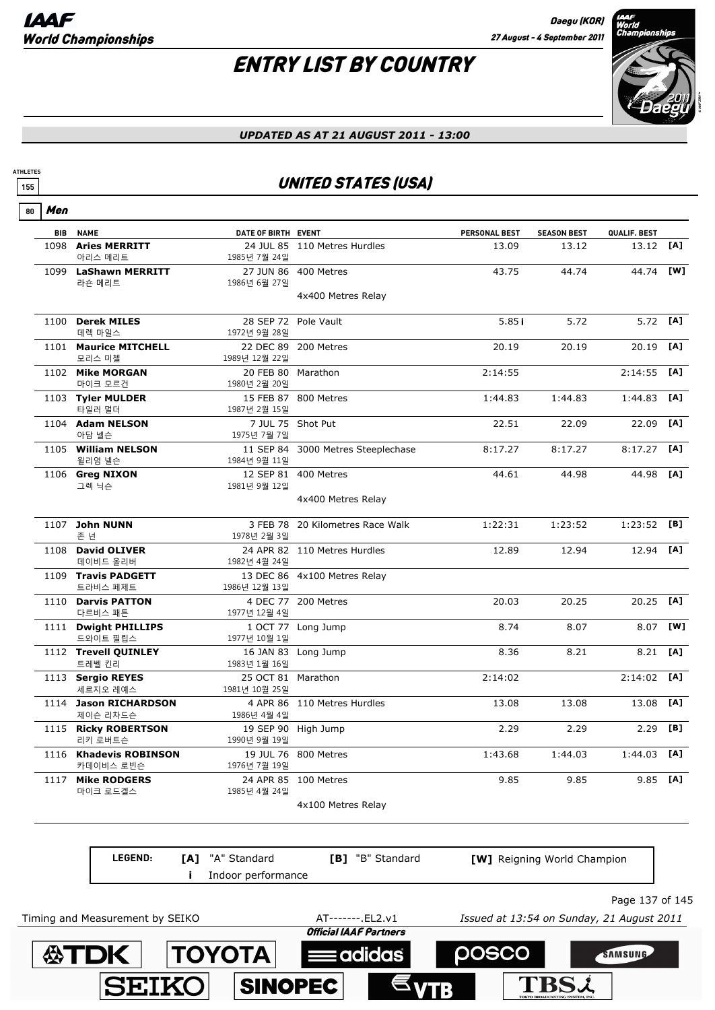TBS2

## ENTRY LIST BY COUNTRY



#### *UPDATED AS AT 21 AUGUST 2011 - 13:00*

### **155** UNITED STATES (USA)

Men **80**

**ATHLETES**

|      | <b>BIB NAME</b>                     | DATE OF BIRTH EVENT                 |                                    | <b>PERSONAL BEST</b> | <b>SEASON BEST</b> | QUALIF. BEST  |     |
|------|-------------------------------------|-------------------------------------|------------------------------------|----------------------|--------------------|---------------|-----|
|      | 1098 Aries MERRITT<br>아리스 메리트       | 1985년 7월 24일                        | 24 JUL 85 110 Metres Hurdles       | 13.09                | 13.12              | 13.12         | [A] |
|      | 1099 LaShawn MERRITT<br>라숀 메리트      | 1986년 6월 27일                        | 27 JUN 86 400 Metres               | 43.75                | 44.74              | 44.74         | [W] |
|      |                                     |                                     | 4x400 Metres Relay                 |                      |                    |               |     |
|      | 1100 Derek MILES<br>데렉 마일스          | 1972년 9월 28일                        | 28 SEP 72 Pole Vault               | 5.85i                | 5.72               | 5.72          | [A] |
|      | 1101 Maurice MITCHELL<br>모리스 미첼     | 1989년 12월 22일                       | 22 DEC 89 200 Metres               | 20.19                | 20.19              | 20.19         | [A] |
|      | 1102 Mike MORGAN<br>마이크 모르건         | 20 FEB 80 Marathon<br>1980년 2월 20일  |                                    | 2:14:55              |                    | 2:14:55       | [A] |
|      | 1103 Tyler MULDER<br>타일러 멀더         | 1987년 2월 15일                        | 15 FEB 87 800 Metres               | 1:44.83              | 1:44.83            | 1:44.83       | [A] |
|      | 1104 Adam NELSON<br>아담 넬슨           | 1975년 7월 7일                         | 7 JUL 75 Shot Put                  | 22.51                | 22.09              | 22.09         | [A] |
|      | 1105 William NELSON<br>윌리엄 넬슨       | 1984년 9월 11일                        | 11 SEP 84 3000 Metres Steeplechase | 8:17.27              | 8:17.27            | 8:17.27       | [A] |
|      | 1106 Greg NIXON<br>그렉 닉슨            | 1981년 9월 12일                        | 12 SEP 81 400 Metres               | 44.61                | 44.98              | 44.98         | [A] |
|      |                                     |                                     | 4x400 Metres Relay                 |                      |                    |               |     |
| 1107 | <b>John NUNN</b><br>존 넌             | 1978년 2월 3일                         | 3 FEB 78 20 Kilometres Race Walk   | 1:22:31              | 1:23:52            | $1:23:52$ [B] |     |
|      | 1108 David OLIVER<br>데이비드 올리버       | 1982년 4월 24일                        | 24 APR 82 110 Metres Hurdles       | 12.89                | 12.94              | 12.94         | [A] |
|      | 1109 Travis PADGETT<br>트라비스 페제트     | 1986년 12월 13일                       | 13 DEC 86 4x100 Metres Relay       |                      |                    |               |     |
|      | 1110 Darvis PATTON<br>다르비스 패튼       | 1977년 12월 4일                        | 4 DEC 77 200 Metres                | 20.03                | 20.25              | 20.25         | [A] |
|      | 1111 Dwight PHILLIPS<br>드와이트 필립스    | 1977년 10월 1일                        | 1 OCT 77 Long Jump                 | 8.74                 | 8.07               | 8.07          | [W] |
|      | 1112 Trevell QUINLEY<br>트레벨 킨리      | 1983년 1월 16일                        | 16 JAN 83 Long Jump                | 8.36                 | 8.21               | 8.21          | [A] |
|      | 1113 Sergio REYES<br>세르지오 레예스       | 25 OCT 81 Marathon<br>1981년 10월 25일 |                                    | 2:14:02              |                    | 2:14:02       | [A] |
|      | 1114 Jason RICHARDSON<br>제이슨 리차드슨   | 1986년 4월 4일                         | 4 APR 86 110 Metres Hurdles        | 13.08                | 13.08              | 13.08         | [A] |
|      | 1115 Ricky ROBERTSON<br>리키 로버트슨     | 1990년 9월 19일                        | 19 SEP 90 High Jump                | 2.29                 | 2.29               | 2.29          | [B] |
|      | 1116 Khadevis ROBINSON<br>카데이비스 로빈슨 | 1976년 7월 19일                        | 19 JUL 76 800 Metres               | 1:43.68              | 1:44.03            | 1:44.03       | [A] |
|      | 1117 Mike RODGERS<br>마이크 로드겔스       | 1985년 4월 24일                        | 24 APR 85 100 Metres               | 9.85                 | 9.85               | 9.85          | [A] |
|      |                                     |                                     | 4x100 Metres Relay                 |                      |                    |               |     |



**SINOPEC** 

**SEIKO**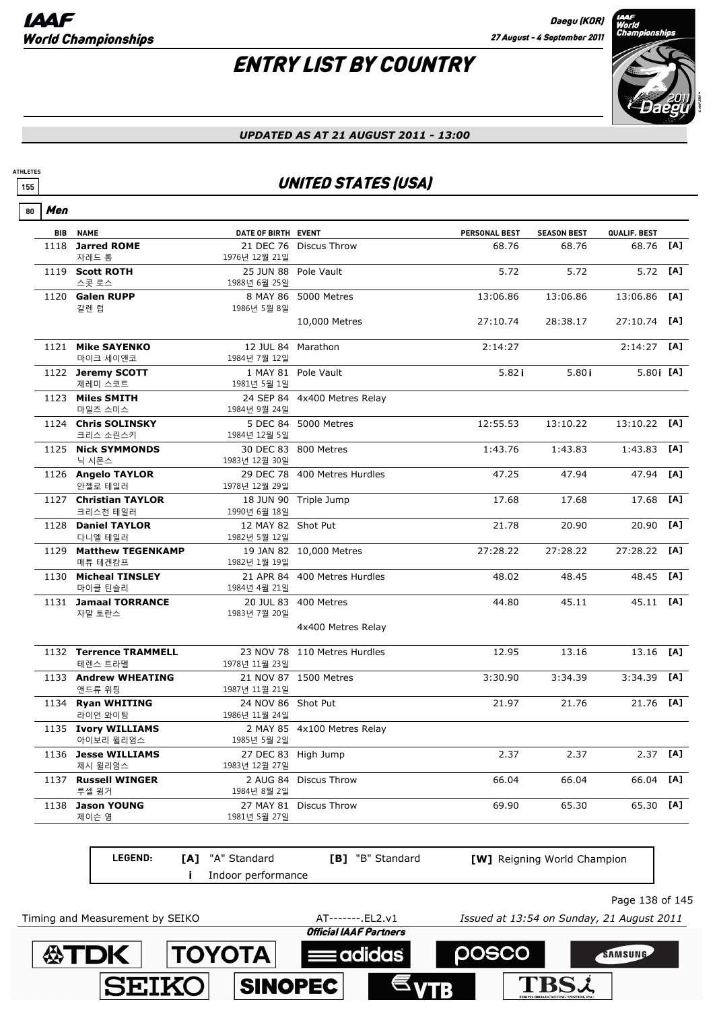**公TDK** 

**TOYOTA** 

**SINOPEC** 

**SEIKO** 

**ATHLETES**

## ENTRY LIST BY COUNTRY



#### *UPDATED AS AT 21 AUGUST 2011 - 13:00*

### **155** UNITED STATES (USA)

| Men<br>80  |                                   |                                      |                              |                      |                    |              |     |
|------------|-----------------------------------|--------------------------------------|------------------------------|----------------------|--------------------|--------------|-----|
| <b>BIB</b> | <b>NAME</b>                       | DATE OF BIRTH EVENT                  |                              | <b>PERSONAL BEST</b> | <b>SEASON BEST</b> | QUALIF. BEST |     |
| 1118       | <b>Jarred ROME</b><br>자레드 롬       | 1976년 12월 21일                        | 21 DEC 76 Discus Throw       | 68.76                | 68.76              | 68.76        | [A] |
|            | 1119 Scott ROTH                   | 25 JUN 88 Pole Vault                 |                              | 5.72                 | 5.72               | 5.72         | [A] |
|            | 스콧 로스                             | 1988년 6월 25일                         |                              |                      | 13:06.86           |              | [A] |
|            | 1120 Galen RUPP<br>갈렌 럽           | 1986년 5월 8일                          | 8 MAY 86 5000 Metres         | 13:06.86             |                    | 13:06.86     |     |
|            |                                   |                                      | 10,000 Metres                | 27:10.74             | 28:38.17           | 27:10.74     | [A] |
|            | 1121 Mike SAYENKO                 | 12 JUL 84 Marathon                   |                              | 2:14:27              |                    | 2:14:27      | [A] |
|            | 마이크 세이앤코                          | 1984년 7월 12일                         |                              |                      |                    |              |     |
|            | 1122 Jeremy SCOTT<br>제레미 스코트      | 1981년 5월 1일                          | 1 MAY 81 Pole Vault          | 5.82i                | 5.80i              | 5.80 [A]     |     |
|            | 1123 Miles SMITH                  |                                      | 24 SEP 84 4x400 Metres Relay |                      |                    |              |     |
|            | 마일즈 스미스                           | 1984년 9월 24일                         |                              |                      |                    |              |     |
|            | 1124 Chris SOLINSKY<br>크리스 소린스키   | 1984년 12월 5일                         | 5 DEC 84 5000 Metres         | 12:55.53             | 13:10.22           | 13:10.22     | [A] |
|            | 1125 Nick SYMMONDS<br>닉 시몬스       | 1983년 12월 30일                        | 30 DEC 83 800 Metres         | 1:43.76              | 1:43.83            | 1:43.83      | [A] |
|            | 1126 Angelo TAYLOR<br>안젤로 테일러     | 1978년 12월 29일                        | 29 DEC 78 400 Metres Hurdles | 47.25                | 47.94              | 47.94        | [A] |
|            | 1127 Christian TAYLOR<br>크리스천 테일러 | 1990년 6월 18일                         | 18 JUN 90 Triple Jump        | 17.68                | 17.68              | 17.68        | [A] |
| 1128       | <b>Daniel TAYLOR</b><br>다니엘 테일러   | 12 MAY 82 Shot Put<br>1982년 5월 12일   |                              | 21.78                | 20.90              | 20.90        | [A] |
|            | 1129 Matthew TEGENKAMP<br>매튜 테겐캄프 | 1982년 1월 19일                         | 19 JAN 82 10,000 Metres      | 27:28.22             | 27:28.22           | 27:28.22     | [A] |
|            | 1130 Micheal TINSLEY<br>마이클 틴슬리   | 1984년 4월 21일                         | 21 APR 84 400 Metres Hurdles | 48.02                | 48.45              | 48.45        | [A] |
|            | 1131 Jamaal TORRANCE<br>자말 토란스    | 1983년 7월 20일                         | 20 JUL 83 400 Metres         | 44.80                | 45.11              | 45.11        | [A] |
|            |                                   |                                      | 4x400 Metres Relay           |                      |                    |              |     |
|            | 1132 Terrence TRAMMELL<br>테렌스 트라멜 | 1978년 11월 23일                        | 23 NOV 78 110 Metres Hurdles | 12.95                | 13.16              | 13.16        | [A] |
|            | 1133 Andrew WHEATING              |                                      | 21 NOV 87 1500 Metres        | 3:30.90              | 3:34.39            | 3:34.39      | [A] |
|            | 앤드류 위팅<br>1134 Ryan WHITING       | 1987년 11월 21일<br>24 NOV 86 Shot Put  |                              | 21.97                | 21.76              | 21.76        | [A] |
|            | 라이언 와이팅                           | 1986년 11월 24일                        |                              |                      |                    |              |     |
|            | 1135 Ivory WILLIAMS<br>아이보리 윌리엄스  | 1985년 5월 2일                          | 2 MAY 85 4x100 Metres Relay  |                      |                    |              |     |
|            | 1136 Jesse WILLIAMS<br>제시 윌리엄스    | 27 DEC 83 High Jump<br>1983년 12월 27일 |                              | 2.37                 | 2.37               | $2.37$ [A]   |     |
| 1137       | <b>Russell WINGER</b><br>루셀 윙거    | 2 AUG 84<br>1984년 8월 2일              | Discus Throw                 | 66.04                | 66.04              | 66.04 [A]    |     |
| 1138       | <b>Jason YOUNG</b><br>제이슨 영       | 1981년 5월 27일                         | 27 MAY 81 Discus Throw       | 69.90                | 65.30              | 65.30 [A]    |     |

**LEGEND: i** Indoor performance **[A]** "A" Standard **[B]** "B" Standard **[W]** Reigning World Champion Timing and Measurement by SEIKO AT-------.EL2.v1 *Issued at 13:54 on Sunday, 21 August 2011*

adidas

**POSCO** 

TBS2



SAMSUNG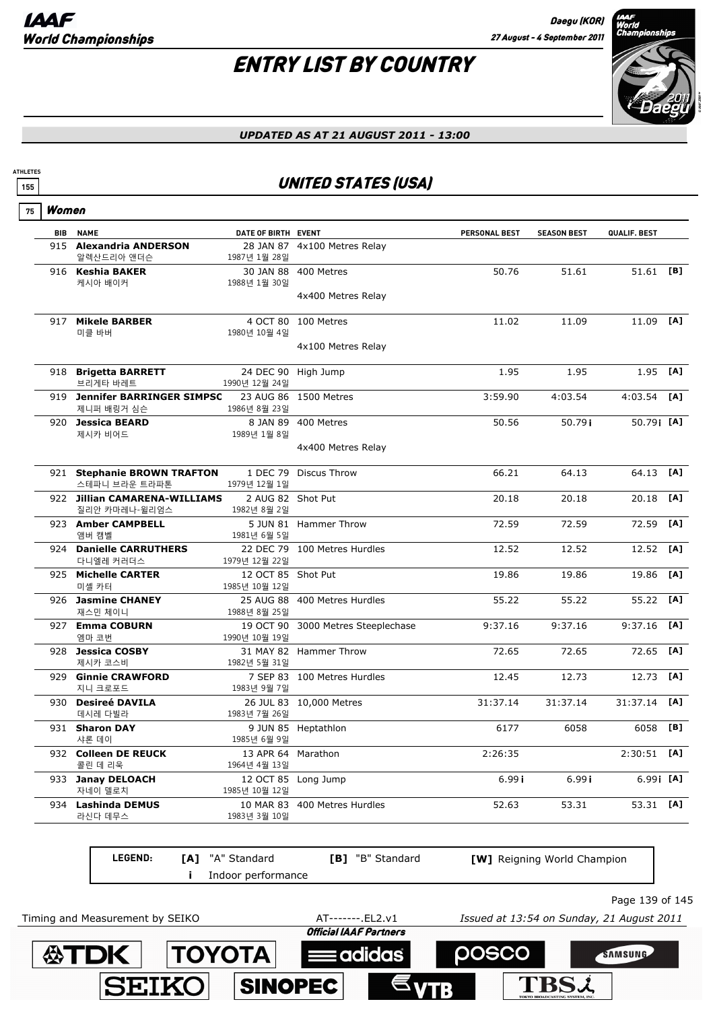## ENTRY LIST BY COUNTRY



#### *UPDATED AS AT 21 AUGUST 2011 - 13:00*

### **155** UNITED STATES (USA)

| 75 | Women      |                                                |                                     |                                    |               |                    |               |     |
|----|------------|------------------------------------------------|-------------------------------------|------------------------------------|---------------|--------------------|---------------|-----|
|    | <b>BIB</b> | <b>NAME</b>                                    | DATE OF BIRTH EVENT                 |                                    | PERSONAL BEST | <b>SEASON BEST</b> | QUALIF. BEST  |     |
|    |            | 915 Alexandria ANDERSON<br>알렉산드리아 앤더슨          | 1987년 1월 28일                        | 28 JAN 87 4x100 Metres Relay       |               |                    |               |     |
|    |            | 916 Keshia BAKER<br>케시아 배이커                    | 1988년 1월 30일                        | 30 JAN 88 400 Metres               | 50.76         | 51.61              | 51.61 [B]     |     |
|    |            |                                                |                                     | 4x400 Metres Relay                 |               |                    |               |     |
|    |            | 917 Mikele BARBER<br>미클 바버                     | 1980년 10월 4일                        | 4 OCT 80 100 Metres                | 11.02         | 11.09              | 11.09 [A]     |     |
|    |            |                                                |                                     | 4x100 Metres Relay                 |               |                    |               |     |
|    |            | 918 Brigetta BARRETT<br>브리게타 바레트               | 1990년 12월 24일                       | 24 DEC 90 High Jump                | 1.95          | 1.95               | 1.95          | [A] |
|    |            | 919 Jennifer BARRINGER SIMPSC<br>제니퍼 배링거 심슨    | 1986년 8월 23일                        | 23 AUG 86 1500 Metres              | 3:59.90       | 4:03.54            | 4:03.54       | [A] |
|    |            | 920 Jessica BEARD<br>제시카 비어드                   | 8 JAN 89<br>1989년 1월 8일             | 400 Metres                         | 50.56         | 50.79i             | 50.79 [A]     |     |
|    |            |                                                |                                     | 4x400 Metres Relay                 |               |                    |               |     |
|    |            | 921 Stephanie BROWN TRAFTON<br>스테파니 브라운 트라파톤   | 1 DEC 79<br>1979년 12월 1일            | Discus Throw                       | 66.21         | 64.13              | 64.13         | [A] |
|    |            | 922 Jillian CAMARENA-WILLIAMS<br>질리안 카마레나-윌리엄스 | 2 AUG 82 Shot Put<br>1982년 8월 2일    |                                    | 20.18         | 20.18              | 20.18         | [A] |
|    |            | 923 Amber CAMPBELL<br>앰버 캠벨                    | 1981년 6월 5일                         | 5 JUN 81 Hammer Throw              | 72.59         | 72.59              | 72.59         | [A] |
|    |            | 924 Danielle CARRUTHERS<br>다니엘레 커러더스           | 1979년 12월 22일                       | 22 DEC 79 100 Metres Hurdles       | 12.52         | 12.52              | 12.52         | [A] |
|    |            | 925 Michelle CARTER<br>미셸 카터                   | 12 OCT 85 Shot Put<br>1985년 10월 12일 |                                    | 19.86         | 19.86              | 19.86         | [A] |
|    |            | 926 Jasmine CHANEY<br>재스민 체이니                  | 1988년 8월 25일                        | 25 AUG 88 400 Metres Hurdles       | 55.22         | 55.22              | 55.22         | [A] |
|    |            | 927 Emma COBURN<br>엠마 코번                       | 1990년 10월 19일                       | 19 OCT 90 3000 Metres Steeplechase | 9:37.16       | 9:37.16            | 9:37.16       | [A] |
|    |            | 928 Jessica COSBY<br>제시카 코스비                   | 1982년 5월 31일                        | 31 MAY 82 Hammer Throw             | 72.65         | 72.65              | 72.65         | [A] |
|    | 929        | <b>Ginnie CRAWFORD</b><br>지니 크로포드              | 1983년 9월 7일                         | 7 SEP 83 100 Metres Hurdles        | 12.45         | 12.73              | 12.73         | [A] |
|    | 930        | <b>Desireé DAVILA</b><br>데시레 다빌라               | 1983년 7월 26일                        | 26 JUL 83 10,000 Metres            | 31:37.14      | 31:37.14           | 31:37.14      | [A] |
|    |            | 931 Sharon DAY<br>샤론 데이                        | 1985년 6월 9일                         | 9 JUN 85 Heptathlon                | 6177          | 6058               | 6058          | [B] |
|    |            | 932 Colleen DE REUCK<br>콜린 데 리욱                | 13 APR 64 Marathon<br>1964년 4월 13일  |                                    | 2:26:35       |                    | $2:30:51$ [A] |     |
|    |            | 933 Janay DELOACH<br>자네이 델로치                   | 1985년 10월 12일                       | 12 OCT 85 Long Jump                | 6.99 i        | 6.99i              | $6.99$ [A]    |     |
|    | 934        | <b>Lashinda DEMUS</b><br>라신다 데무스               | 1983년 3월 10일                        | 10 MAR 83 400 Metres Hurdles       | 52.63         | 53.31              | 53.31 [A]     |     |

| <b>LEGEND:</b> | <b>[A]</b> "A" Standard<br>Indoor performance | <b>[B]</b> "B" Standard | [W] Reigning World Champion |  |
|----------------|-----------------------------------------------|-------------------------|-----------------------------|--|
|                |                                               |                         | Page 139 of                 |  |

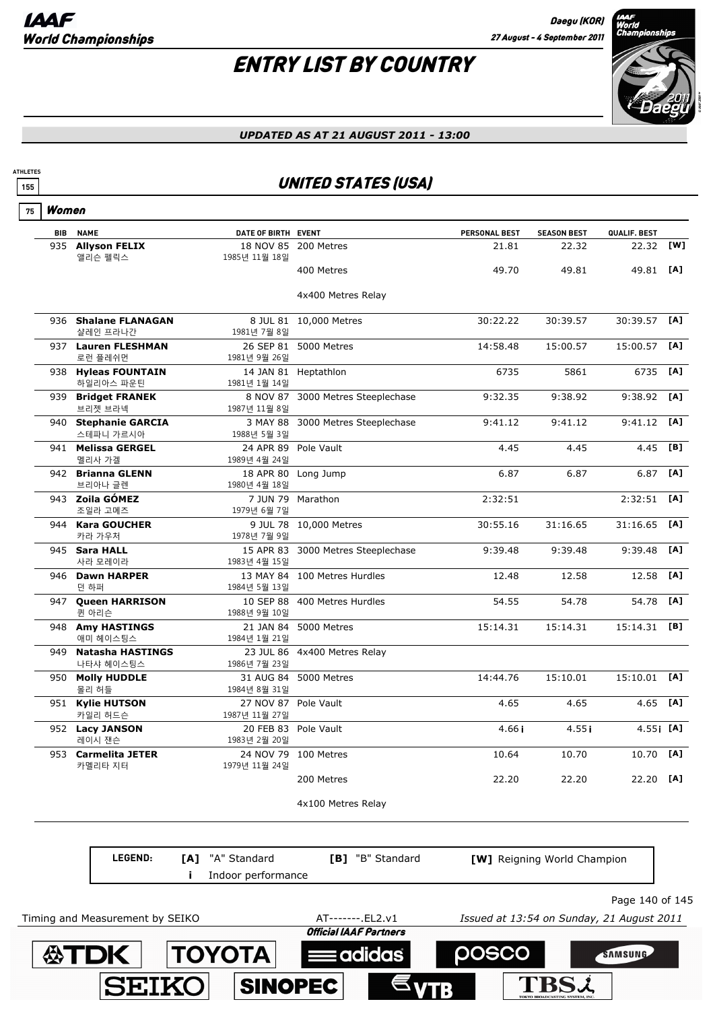

#### *UPDATED AS AT 21 AUGUST 2011 - 13:00*

### **155** UNITED STATES (USA)

|  | Women |
|--|-------|
|--|-------|

**ATHLETES**

| <b>BIB</b> | <b>NAME</b>                | DATE OF BIRTH EVENT  |                                    | PERSONAL BEST | <b>SEASON BEST</b> | QUALIF. BEST   |     |
|------------|----------------------------|----------------------|------------------------------------|---------------|--------------------|----------------|-----|
| 935        | <b>Allyson FELIX</b>       |                      | 18 NOV 85 200 Metres               | 21.81         | 22.32              | 22.32 [W]      |     |
|            | 앨리슨 펠릭스                    | 1985년 11월 18일        |                                    |               |                    |                |     |
|            |                            |                      | 400 Metres                         | 49.70         | 49.81              | 49.81          | [A] |
|            |                            |                      |                                    |               |                    |                |     |
|            |                            |                      | 4x400 Metres Relay                 |               |                    |                |     |
|            | 936 Shalane FLANAGAN       |                      | 8 JUL 81 10,000 Metres             | 30:22.22      | 30:39.57           | 30:39.57       | [A] |
|            | 샬레인 프라나간                   | 1981년 7월 8일          |                                    |               |                    |                |     |
|            | 937 Lauren FLESHMAN        |                      | 26 SEP 81 5000 Metres              | 14:58.48      | 15:00.57           | 15:00.57       | [A] |
|            | 로런 플레쉬먼                    | 1981년 9월 26일         |                                    |               |                    |                |     |
|            | 938 Hyleas FOUNTAIN        |                      | 14 JAN 81 Heptathlon               | 6735          | 5861               | 6735           | [A] |
|            | 하일리아스 파운틴                  | 1981년 1월 14일         |                                    |               |                    |                |     |
| 939        | <b>Bridget FRANEK</b>      | 8 NOV 87             | 3000 Metres Steeplechase           | 9:32.35       | 9:38.92            | 9:38.92        | [A] |
|            | 브리젯 브라넥                    | 1987년 11월 8일         |                                    |               |                    |                |     |
|            | 940 Stephanie GARCIA       |                      | 3 MAY 88 3000 Metres Steeplechase  | 9:41.12       | 9:41.12            | 9:41.12        | TA1 |
|            | 스테파니 가르시아                  | 1988년 5월 3일          |                                    |               |                    |                |     |
|            | 941 Melissa GERGEL         |                      | 24 APR 89 Pole Vault               | 4.45          | 4.45               | 4.45           | [B] |
|            | 멜리사 가겔                     | 1989년 4월 24일         |                                    |               |                    |                |     |
|            | 942 Brianna GLENN          |                      | 18 APR 80 Long Jump                | 6.87          | 6.87               | 6.87           | [A] |
|            | 브리아나 글렌                    | 1980년 4월 18일         |                                    |               |                    |                |     |
|            | 943 Zoila GÓMEZ            |                      | 7 JUN 79 Marathon                  | 2:32:51       |                    | 2:32:51        | [A] |
|            | 조일라 고메즈                    | 1979년 6월 7일          |                                    |               |                    |                |     |
|            | 944 Kara GOUCHER<br>카라 가우처 | 1978년 7월 9일          | 9 JUL 78 10,000 Metres             | 30:55.16      | 31:16.65           | 31:16.65       | [A] |
|            | 945 Sara HALL              |                      | 15 APR 83 3000 Metres Steeplechase | 9:39.48       | 9:39.48            | 9:39.48        | [A] |
|            | 사라 모레이라                    | 1983년 4월 15일         |                                    |               |                    |                |     |
|            | 946 Dawn HARPER            |                      | 13 MAY 84 100 Metres Hurdles       | 12.48         | 12.58              | 12.58          | [A] |
|            | 던 하퍼                       | 1984년 5월 13일         |                                    |               |                    |                |     |
|            | 947 Queen HARRISON         |                      | 10 SEP 88 400 Metres Hurdles       | 54.55         | 54.78              | 54.78          | [A] |
|            | 퀸 아리슨                      | 1988년 9월 10일         |                                    |               |                    |                |     |
|            | 948 Amy HASTINGS           |                      | 21 JAN 84 5000 Metres              | 15:14.31      | 15:14.31           | $15:14.31$ [B] |     |
|            | 애미 헤이스팅스                   | 1984년 1월 21일         |                                    |               |                    |                |     |
|            | 949 Natasha HASTINGS       |                      | 23 JUL 86 4x400 Metres Relay       |               |                    |                |     |
|            | 나타샤 헤이스팅스                  | 1986년 7월 23일         |                                    |               |                    |                |     |
|            | 950 Molly HUDDLE           |                      | 31 AUG 84 5000 Metres              | 14:44.76      | 15:10.01           | 15:10.01       | [A] |
|            | 몰리 허들                      | 1984년 8월 31일         |                                    |               |                    |                |     |
|            | 951 Kylie HUTSON           | 27 NOV 87 Pole Vault |                                    | 4.65          | 4.65               | 4.65           | [A] |
|            | 카일리 허드슨                    | 1987년 11월 27일        |                                    |               |                    |                |     |
|            | 952 Lacy JANSON            |                      | 20 FEB 83 Pole Vault               | 4.66i         | 4.55i              | $4.55$ i [A]   |     |
|            | 레이시 잰슨                     | 1983년 2월 20일         |                                    |               |                    |                |     |
|            | 953 Carmelita JETER        |                      | 24 NOV 79 100 Metres               | 10.64         | 10.70              | 10.70          | [A] |
|            | 카멜리타 지터                    | 1979년 11월 24일        |                                    |               |                    |                |     |
|            |                            |                      | 200 Metres                         | 22.20         | 22.20              | 22.20          | [A] |
|            |                            |                      |                                    |               |                    |                |     |
|            |                            |                      | 4x100 Metres Relay                 |               |                    |                |     |

**LEGEND: [A]** "A" Standard **[B]** "B" Standard **[W]** Reigning World Champion **i** Indoor performance Page 140 of 145 Timing and Measurement by SEIKO AT-------.EL2.v1 *Issued at 13:54 on Sunday, 21 August 2011***Official IAAF Partners 公TDK TOYOTA POSCO** adidas SAMSUNG **TBS2 SEIKO SINOPEC**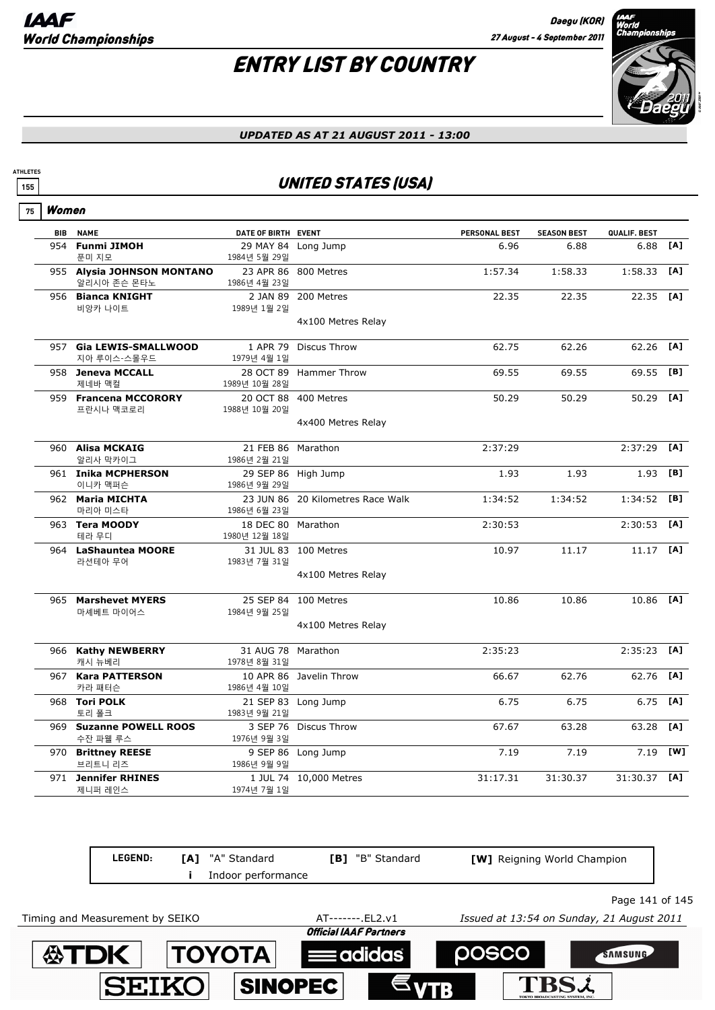## ENTRY LIST BY COUNTRY



*UPDATED AS AT 21 AUGUST 2011 - 13:00*

### **<sup>155</sup>** UNITED STATES (USA)

| 75 | Women      |                                           |                                     |                                            |               |                    |              |     |
|----|------------|-------------------------------------------|-------------------------------------|--------------------------------------------|---------------|--------------------|--------------|-----|
|    | <b>BIB</b> | <b>NAME</b>                               | DATE OF BIRTH EVENT                 |                                            | PERSONAL BEST | <b>SEASON BEST</b> | QUALIF. BEST |     |
|    | 954        | <b>Funmi JIMOH</b><br>푼미 지모               | 1984년 5월 29일                        | 29 MAY 84 Long Jump                        | 6.96          | 6.88               | 6.88         | [A] |
|    |            | 955 Alysia JOHNSON MONTANO<br>알리시아 존슨 몬타노 | 1986년 4월 23일                        | 23 APR 86 800 Metres                       | 1:57.34       | 1:58.33            | 1:58.33      | [A] |
|    |            | 956 Bianca KNIGHT<br>비앙카 나이트              | 1989년 1월 2일                         | 2 JAN 89 200 Metres<br>4x100 Metres Relay  | 22.35         | 22.35              | 22.35 [A]    |     |
|    |            | 957 Gia LEWIS-SMALLWOOD<br>지아 루이스-스몰우드    | 1979년 4월 1일                         | 1 APR 79 Discus Throw                      | 62.75         | 62.26              | 62.26        | [A] |
|    |            | 958 Jeneva MCCALL<br>제네바 맥컬               | 1989년 10월 28일                       | 28 OCT 89 Hammer Throw                     | 69.55         | 69.55              | 69.55        | [B] |
|    |            | 959 Francena MCCORORY<br>프란시나 맥코로리        | 1988년 10월 20일                       | 20 OCT 88 400 Metres                       | 50.29         | 50.29              | 50.29        | [A] |
|    |            |                                           |                                     | 4x400 Metres Relay                         |               |                    |              |     |
|    |            | 960 Alisa MCKAIG<br>알리사 막카이그              | 21 FEB 86 Marathon<br>1986년 2월 21일  |                                            | 2:37:29       |                    | 2:37:29      | [A] |
|    |            | 961 Inika MCPHERSON<br>이니카 맥퍼슨            | 1986년 9월 29일                        | 29 SEP 86 High Jump                        | 1.93          | 1.93               | 1.93         | [B] |
|    |            | 962 Maria MICHTA<br>마리아 미스타               | 1986년 6월 23일                        | 23 JUN 86 20 Kilometres Race Walk          | 1:34:52       | 1:34:52            | 1:34:52      | [B] |
|    |            | 963 Tera MOODY<br>테라 무디                   | 18 DEC 80 Marathon<br>1980년 12월 18일 |                                            | 2:30:53       |                    | 2:30:53      | [A] |
|    |            | 964 LaShauntea MOORE<br>라션테아 무어           | 1983년 7월 31일                        | 31 JUL 83 100 Metres<br>4x100 Metres Relay | 10.97         | 11.17              | 11.17        | [A] |
|    |            | 965 Marshevet MYERS<br>마셰베트 마이어스          | 1984년 9월 25일                        | 25 SEP 84 100 Metres                       | 10.86         | 10.86              | 10.86        | [A] |
|    |            |                                           |                                     | 4x100 Metres Relay                         |               |                    |              |     |
|    |            | 966 Kathy NEWBERRY<br>캐시 뉴베리              | 31 AUG 78<br>1978년 8월 31일           | Marathon                                   | 2:35:23       |                    | 2:35:23      | [A] |
|    |            | 967 Kara PATTERSON<br>카라 패터슨              | 1986년 4월 10일                        | 10 APR 86 Javelin Throw                    | 66.67         | 62.76              | 62.76        | [A] |
|    |            | 968 Tori POLK<br>토리 폴크                    | 1983년 9월 21일                        | 21 SEP 83 Long Jump                        | 6.75          | 6.75               | 6.75         | [A] |
|    |            | 969 Suzanne POWELL ROOS<br>수잔 파웰 루스       | 1976년 9월 3일                         | 3 SEP 76 Discus Throw                      | 67.67         | 63.28              | 63.28        | [A] |
|    |            | 970 Brittney REESE<br>브리트니 리즈             | 1986년 9월 9일                         | 9 SEP 86 Long Jump                         | 7.19          | 7.19               | 7.19         | [W] |
|    |            | 971 Jennifer RHINES<br>제니퍼 레인스            | 1974년 7월 1일                         | 1 JUL 74 10,000 Metres                     | 31:17.31      | 31:30.37           | 31:30.37     | [A] |

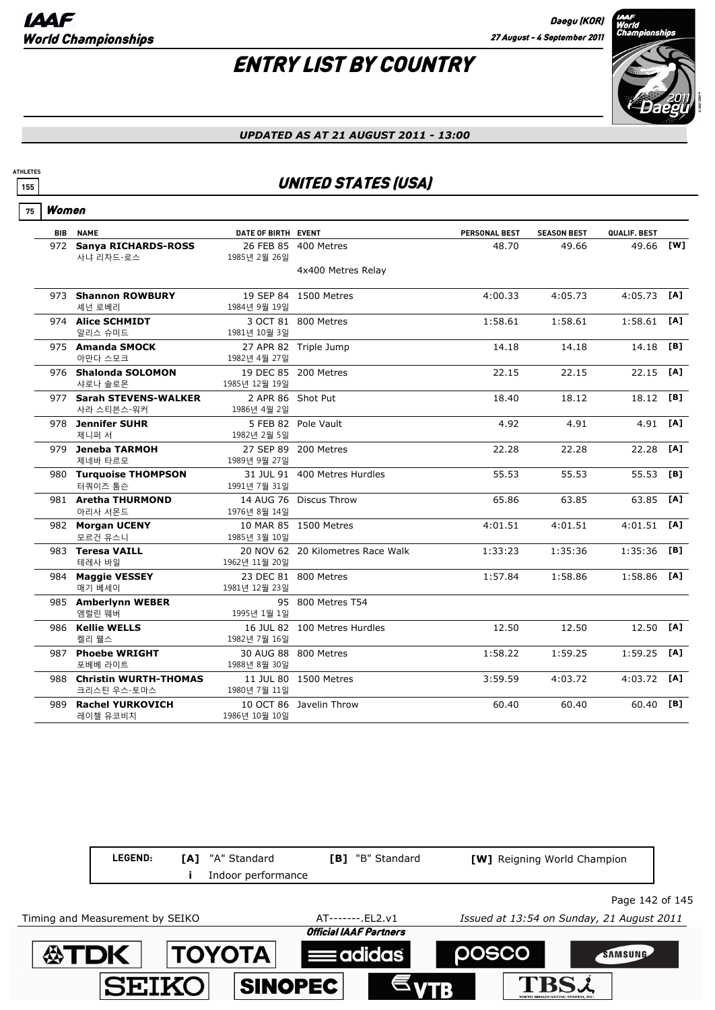

#### *UPDATED AS AT 21 AUGUST 2011 - 13:00*

### **155** UNITED STATES (USA)

Women **75**

**ATHLETES**

|     | <b>BIB NAME</b>                        | DATE OF BIRTH EVENT              |                                   | <b>PERSONAL BEST</b> | <b>SEASON BEST</b> | QUALIF. BEST  |     |
|-----|----------------------------------------|----------------------------------|-----------------------------------|----------------------|--------------------|---------------|-----|
|     | 972 Sanya RICHARDS-ROSS                |                                  | 26 FEB 85 400 Metres              | 48.70                | 49.66              | 49.66 [W]     |     |
|     | 사냐 리차드-로스                              | 1985년 2월 26일                     |                                   |                      |                    |               |     |
|     |                                        |                                  | 4x400 Metres Relay                |                      |                    |               |     |
|     | 973 Shannon ROWBURY                    |                                  | 19 SEP 84 1500 Metres             | 4:00.33              | 4:05.73            | $4:05.73$ [A] |     |
|     | 셰넌 로베리                                 | 1984년 9월 19일                     |                                   |                      |                    |               |     |
|     | 974 Alice SCHMIDT                      |                                  | 3 OCT 81 800 Metres               | 1:58.61              | 1:58.61            | 1:58.61       | [A] |
|     | 알리스 슈미드                                | 1981년 10월 3일                     |                                   |                      |                    |               |     |
|     | 975 Amanda SMOCK                       |                                  | 27 APR 82 Triple Jump             | 14.18                | 14.18              | 14.18         | [B] |
|     | 아만다 스모크                                | 1982년 4월 27일                     |                                   |                      |                    |               |     |
|     | 976 Shalonda SOLOMON                   |                                  | 19 DEC 85 200 Metres              | 22.15                | 22.15              | 22.15         | [A] |
|     | 샤로나 솔로몬                                | 1985년 12월 19일                    |                                   |                      |                    |               |     |
|     | 977 Sarah STEVENS-WALKER<br>사라 스티븐스-워커 | 2 APR 86 Shot Put<br>1986년 4월 2일 |                                   | 18.40                | 18.12              | 18.12         | [B] |
|     | 978 Jennifer SUHR                      |                                  | 5 FEB 82 Pole Vault               | 4.92                 | 4.91               | 4.91 [A]      |     |
|     | 제니퍼 서                                  | 1982년 2월 5일                      |                                   |                      |                    |               |     |
|     | 979 Jeneba TARMOH                      |                                  | 27 SEP 89 200 Metres              | 22.28                | 22.28              | 22.28         | [A] |
|     | 제네바 타르모                                | 1989년 9월 27일                     |                                   |                      |                    |               |     |
|     | 980 Turquoise THOMPSON                 |                                  | 31 JUL 91 400 Metres Hurdles      | 55.53                | 55.53              | 55.53         | [B] |
|     | 터쿼이즈 톰슨                                | 1991년 7월 31일                     |                                   |                      |                    |               |     |
|     | 981 Aretha THURMOND                    |                                  | 14 AUG 76 Discus Throw            | 65.86                | 63.85              | 63.85         | [A] |
|     | 아리사 서몬드                                | 1976년 8월 14일                     |                                   |                      |                    |               |     |
|     | 982 Morgan UCENY                       |                                  | 10 MAR 85 1500 Metres             | 4:01.51              | 4:01.51            | 4:01.51       | [A] |
|     | 모르건 유스니                                | 1985년 3월 10일                     |                                   |                      |                    |               |     |
|     | 983 Teresa VAILL                       |                                  | 20 NOV 62 20 Kilometres Race Walk | 1:33:23              | 1:35:36            | 1:35:36       | [B] |
|     | 테레사 바일                                 | 1962년 11월 20일                    |                                   |                      |                    |               |     |
|     | 984 Maggie VESSEY                      |                                  | 23 DEC 81 800 Metres              | 1:57.84              | 1:58.86            | 1:58.86       | [A] |
|     | 매기 베세이                                 | 1981년 12월 23일                    |                                   |                      |                    |               |     |
|     | 985 Amberlynn WEBER<br>앰럴린 웨버          | 1995년 1월 1일                      | 95 800 Metres T54                 |                      |                    |               |     |
|     | 986 Kellie WELLS                       |                                  | 16 JUL 82 100 Metres Hurdles      | 12.50                | 12.50              | 12.50         | [A] |
|     | 켈리 웰스                                  | 1982년 7월 16일                     |                                   |                      |                    |               |     |
|     | 987 Phoebe WRIGHT                      |                                  | 30 AUG 88 800 Metres              | 1:58.22              | 1:59.25            | 1:59.25       | TA1 |
|     | 포베베 라이트                                | 1988년 8월 30일                     |                                   |                      |                    |               |     |
|     | 988 Christin WURTH-THOMAS              |                                  | 11 JUL 80 1500 Metres             | 3:59.59              | 4:03.72            | 4:03.72       | [A] |
|     | 크리스틴 우스-토마스                            | 1980년 7월 11일                     |                                   |                      |                    |               |     |
| 989 | <b>Rachel YURKOVICH</b>                |                                  | 10 OCT 86 Javelin Throw           | 60.40                | 60.40              | 60.40         | [B] |
|     | 레이첼 유코비치                               | 1986년 10월 10일                    |                                   |                      |                    |               |     |

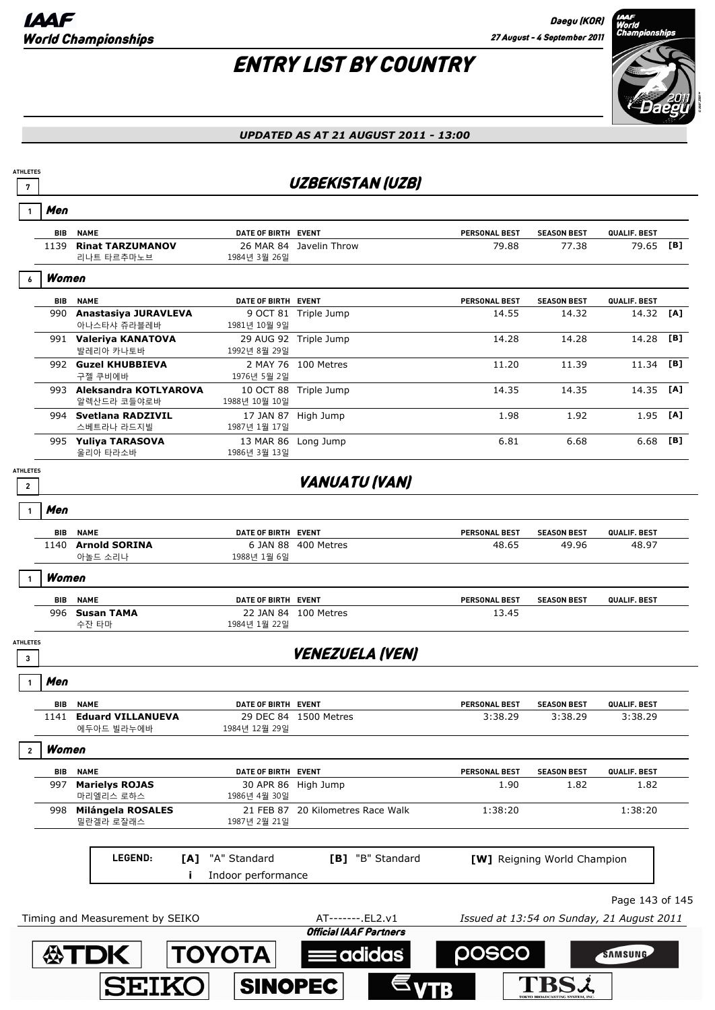# ENTRY LIST BY COUNTRY



### *UPDATED AS AT 21 AUGUST 2011 - 13:00*

### **<sup>7</sup>** UZBEKISTAN (UZB)

|                                 | Men        |                                          |                                     |                                                    |                                           |                             |                 |     |
|---------------------------------|------------|------------------------------------------|-------------------------------------|----------------------------------------------------|-------------------------------------------|-----------------------------|-----------------|-----|
|                                 | BIB        | <b>NAME</b>                              | DATE OF BIRTH EVENT                 |                                                    | PERSONAL BEST                             | <b>SEASON BEST</b>          | QUALIF. BEST    |     |
|                                 |            | 1139 Rinat TARZUMANOV<br>리나트 타르추마노브      | 1984년 3월 26일                        | 26 MAR 84 Javelin Throw                            | 79.88                                     | 77.38                       | 79.65           | [B] |
|                                 | Women      |                                          |                                     |                                                    |                                           |                             |                 |     |
|                                 | <b>BIB</b> | <b>NAME</b>                              | DATE OF BIRTH EVENT                 |                                                    | PERSONAL BEST                             | <b>SEASON BEST</b>          | QUALIF. BEST    |     |
|                                 | 990        | Anastasiya JURAVLEVA<br>아나스타샤 쥬라블레바      | 1981년 10월 9일                        | 9 OCT 81 Triple Jump                               | 14.55                                     | 14.32                       | 14.32           | [A] |
|                                 |            | 991 Valeriya KANATOVA<br>발레리아 카나토바       | 1992년 8월 29일                        | 29 AUG 92 Triple Jump                              | 14.28                                     | 14.28                       | 14.28           | [B] |
|                                 |            | 992 Guzel KHUBBIEVA<br>구젤 쿠비에바           | 1976년 5월 2일                         | 2 MAY 76 100 Metres                                | 11.20                                     | 11.39                       | 11.34           | [B] |
|                                 |            | 993 Aleksandra KOTLYAROVA<br>알렉산드라 코들야로바 | 1988년 10월 10일                       | 10 OCT 88 Triple Jump                              | 14.35                                     | 14.35                       | 14.35           | [A] |
|                                 |            | 994 Svetlana RADZIVIL<br>스베트라나 라드지빌      | 1987년 1월 17일                        | 17 JAN 87 High Jump                                | 1.98                                      | 1.92                        | 1.95            | [A] |
|                                 |            | 995 Yuliya TARASOVA<br>울리아 타라소바          | 13 MAR 86 Long Jump<br>1986년 3월 13일 |                                                    | 6.81                                      | 6.68                        | 6.68            | [B] |
| <b>ATHLETES</b><br>$\mathbf{2}$ |            |                                          |                                     | <b>VANUATU (VAN)</b>                               |                                           |                             |                 |     |
|                                 | Men        |                                          |                                     |                                                    |                                           |                             |                 |     |
|                                 | <b>BIB</b> | <b>NAME</b>                              | DATE OF BIRTH EVENT                 |                                                    | PERSONAL BEST                             | <b>SEASON BEST</b>          | QUALIF. BEST    |     |
|                                 |            | 1140 Arnold SORINA<br>아놀드 소리나            | 1988년 1월 6일                         | 6 JAN 88 400 Metres                                | 48.65                                     | 49.96                       | 48.97           |     |
|                                 | Women      |                                          |                                     |                                                    |                                           |                             |                 |     |
|                                 | BIB        | <b>NAME</b>                              | DATE OF BIRTH EVENT                 |                                                    | PERSONAL BEST                             | <b>SEASON BEST</b>          | QUALIF. BEST    |     |
|                                 |            | 996 Susan TAMA<br>수잔 타마                  | 1984년 1월 22일                        | 22 JAN 84 100 Metres                               | 13.45                                     |                             |                 |     |
| <b>ATHLETES</b><br>3            |            |                                          |                                     | <b>VENEZUELA (VEN)</b>                             |                                           |                             |                 |     |
|                                 | Men        |                                          |                                     |                                                    |                                           |                             |                 |     |
|                                 | <b>BIB</b> | <b>NAME</b>                              | DATE OF BIRTH EVENT                 |                                                    | PERSONAL BEST                             | <b>SEASON BEST</b>          | QUALIF. BEST    |     |
|                                 | 1141       | <b>Eduard VILLANUEVA</b><br>에두아드 빌라누에바   | 1984년 12월 29일                       | 29 DEC 84 1500 Metres                              | 3:38.29                                   | 3:38.29                     | 3:38.29         |     |
|                                 | Women      |                                          |                                     |                                                    |                                           |                             |                 |     |
|                                 | BIB        | <b>NAME</b>                              | DATE OF BIRTH EVENT                 |                                                    | PERSONAL BEST                             | <b>SEASON BEST</b>          | QUALIF. BEST    |     |
|                                 |            | 997 Marielys ROJAS<br>마리엘리스 로하스          | 1986년 4월 30일                        | 30 APR 86 High Jump                                | 1.90                                      | 1.82                        | 1.82            |     |
|                                 |            | 998 Milángela ROSALES<br>밀란겔라 로잘래스       | 1987년 2월 21일                        | 21 FEB 87 20 Kilometres Race Walk                  | 1:38:20                                   |                             | 1:38:20         |     |
|                                 |            | LEGEND:<br>[A]                           | "A" Standard<br>Indoor performance  | [B] "B" Standard                                   |                                           | [W] Reigning World Champion |                 |     |
|                                 |            |                                          |                                     |                                                    |                                           |                             | Page 143 of 145 |     |
|                                 |            | Timing and Measurement by SEIKO          |                                     | AT-------. EL2.v1<br><b>Official IAAF Partners</b> | Issued at 13:54 on Sunday, 21 August 2011 |                             |                 |     |
|                                 |            | <b>公TDK</b>                              | <b>TOYOTA</b>                       | <b>Eadidas</b>                                     | posco                                     |                             | SAMSUNG         |     |

 $\epsilon_{\text{VTB}}$ 

**SINOPEC** 

SEIKO

**TBSi**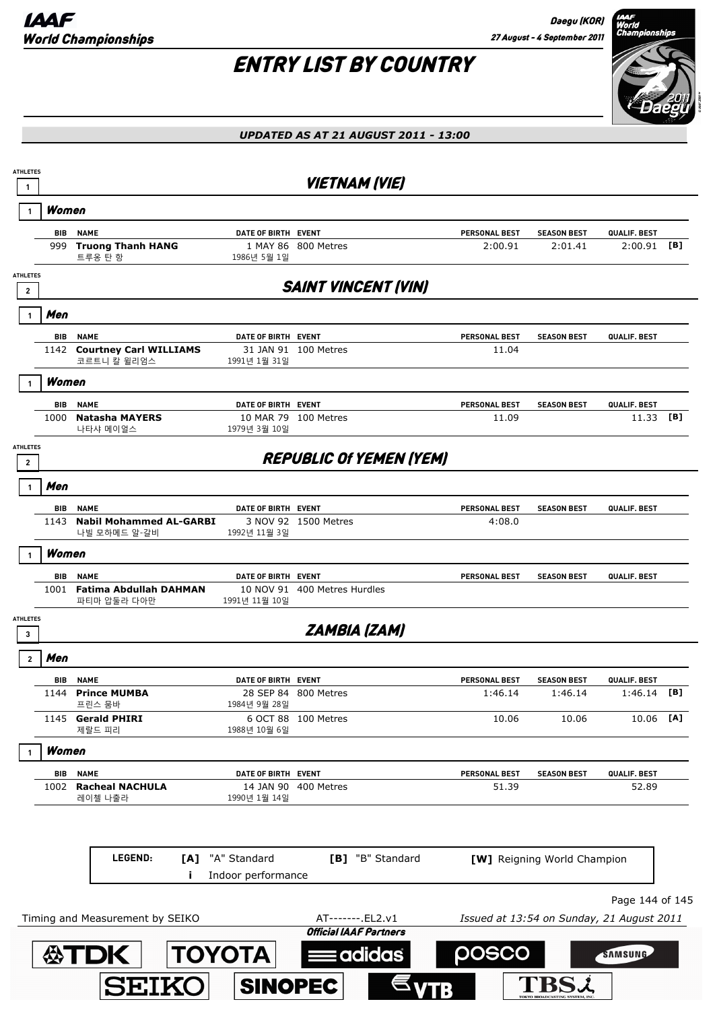

| <b>ATHLETES</b><br>$\mathbf{1}$            |            |                                                |                          | <b>VIETNAM (VIE)</b>                               |                                           |                             |                 |     |
|--------------------------------------------|------------|------------------------------------------------|--------------------------|----------------------------------------------------|-------------------------------------------|-----------------------------|-----------------|-----|
|                                            | Women      |                                                |                          |                                                    |                                           |                             |                 |     |
|                                            | BIB        | <b>NAME</b>                                    | DATE OF BIRTH EVENT      |                                                    | <b>PERSONAL BEST</b>                      | <b>SEASON BEST</b>          | QUALIF. BEST    |     |
|                                            | 999        | <b>Truong Thanh HANG</b><br>트루옹 탄 항            | 1986년 5월 1일              | 1 MAY 86 800 Metres                                | 2:00.91                                   | 2:01.41                     | 2:00.91         | [B] |
| <b>ATHLETES</b><br>$\overline{\mathbf{2}}$ |            |                                                |                          | <b>SAINT VINCENT (VIN)</b>                         |                                           |                             |                 |     |
|                                            | Men        |                                                |                          |                                                    |                                           |                             |                 |     |
|                                            | <b>BIB</b> | <b>NAME</b>                                    | DATE OF BIRTH EVENT      |                                                    | <b>PERSONAL BEST</b>                      | <b>SEASON BEST</b>          | QUALIF. BEST    |     |
|                                            | 1142       | <b>Courtney Carl WILLIAMS</b><br>코르트니 칼 윌리엄스   | 1991년 1월 31일             | 31 JAN 91 100 Metres                               | 11.04                                     |                             |                 |     |
|                                            | Women      |                                                |                          |                                                    |                                           |                             |                 |     |
|                                            | BIB        | <b>NAME</b>                                    | DATE OF BIRTH EVENT      |                                                    | <b>PERSONAL BEST</b>                      | <b>SEASON BEST</b>          | QUALIF. BEST    |     |
|                                            | 1000       | <b>Natasha MAYERS</b><br>나타샤 메이얼스              | 1979년 3월 10일             | 10 MAR 79 100 Metres                               | 11.09                                     |                             | 11.33           | [B] |
| <b>ATHLETES</b><br>$\mathbf{2}$            |            |                                                |                          | <b>REPUBLIC OF YEMEN (YEM)</b>                     |                                           |                             |                 |     |
|                                            | Men        |                                                |                          |                                                    |                                           |                             |                 |     |
|                                            | <b>BIB</b> | <b>NAME</b>                                    | DATE OF BIRTH EVENT      |                                                    | <b>PERSONAL BEST</b>                      | <b>SEASON BEST</b>          | QUALIF. BEST    |     |
|                                            | 1143       | <b>Nabil Mohammed AL-GARBI</b><br>나빌 모하메드 알-갈비 | 1992년 11월 3일             | 3 NOV 92 1500 Metres                               | 4:08.0                                    |                             |                 |     |
|                                            | Women      |                                                |                          |                                                    |                                           |                             |                 |     |
|                                            | <b>BIB</b> | <b>NAME</b>                                    | DATE OF BIRTH EVENT      |                                                    | <b>PERSONAL BEST</b>                      | <b>SEASON BEST</b>          | QUALIF. BEST    |     |
|                                            | 1001       | <b>Fatima Abdullah DAHMAN</b><br>파티마 압둘라 다아만   | 1991년 11월 10일            | 10 NOV 91 400 Metres Hurdles                       |                                           |                             |                 |     |
| <b>ATHLETES</b><br>3                       |            |                                                |                          | <b>ZAMBIA (ZAM)</b>                                |                                           |                             |                 |     |
| $\overline{2}$                             | Men        |                                                |                          |                                                    |                                           |                             |                 |     |
|                                            | BIB        | <b>NAME</b>                                    | DATE OF BIRTH EVENT      |                                                    | <b>PERSONAL BEST</b>                      | <b>SEASON BEST</b>          | QUALIF. BEST    |     |
|                                            | 1144       | <b>Prince MUMBA</b><br>프린스 뭄바                  | 1984년 9월 28일             | 28 SEP 84 800 Metres                               | 1:46.14                                   | 1:46.14                     | 1:46.14         | [B] |
|                                            | 1145       | <b>Gerald PHIRI</b><br>제랄드 피리                  | 6 OCT 88<br>1988년 10월 6일 | 100 Metres                                         | 10.06                                     | 10.06                       | 10.06 [A]       |     |
|                                            | Women      |                                                |                          |                                                    |                                           |                             |                 |     |
|                                            | BIB        | <b>NAME</b>                                    | DATE OF BIRTH EVENT      |                                                    | <b>PERSONAL BEST</b>                      | <b>SEASON BEST</b>          | QUALIF. BEST    |     |
|                                            | 1002       | <b>Racheal NACHULA</b><br>레이첼 나출라              | 1990년 1월 14일             | 14 JAN 90 400 Metres                               | 51.39                                     |                             | 52.89           |     |
|                                            |            |                                                |                          |                                                    |                                           |                             |                 |     |
|                                            |            | LEGEND:<br>[A]                                 | "A" Standard             | [B] "B" Standard                                   |                                           | [W] Reigning World Champion |                 |     |
|                                            |            |                                                | Indoor performance       |                                                    |                                           |                             |                 |     |
|                                            |            |                                                |                          |                                                    |                                           |                             | Page 144 of 145 |     |
|                                            |            | Timing and Measurement by SEIKO                |                          | AT-------. EL2.v1<br><b>Official IAAF Partners</b> | Issued at 13:54 on Sunday, 21 August 2011 |                             |                 |     |
|                                            |            | <b>公TDK</b>                                    | <b>TOYOTA</b>            | adidas                                             | posco                                     |                             | SAMSUNG         |     |
|                                            |            | <b>SEIKO</b>                                   | <b>SINOPEC</b>           |                                                    |                                           |                             |                 |     |